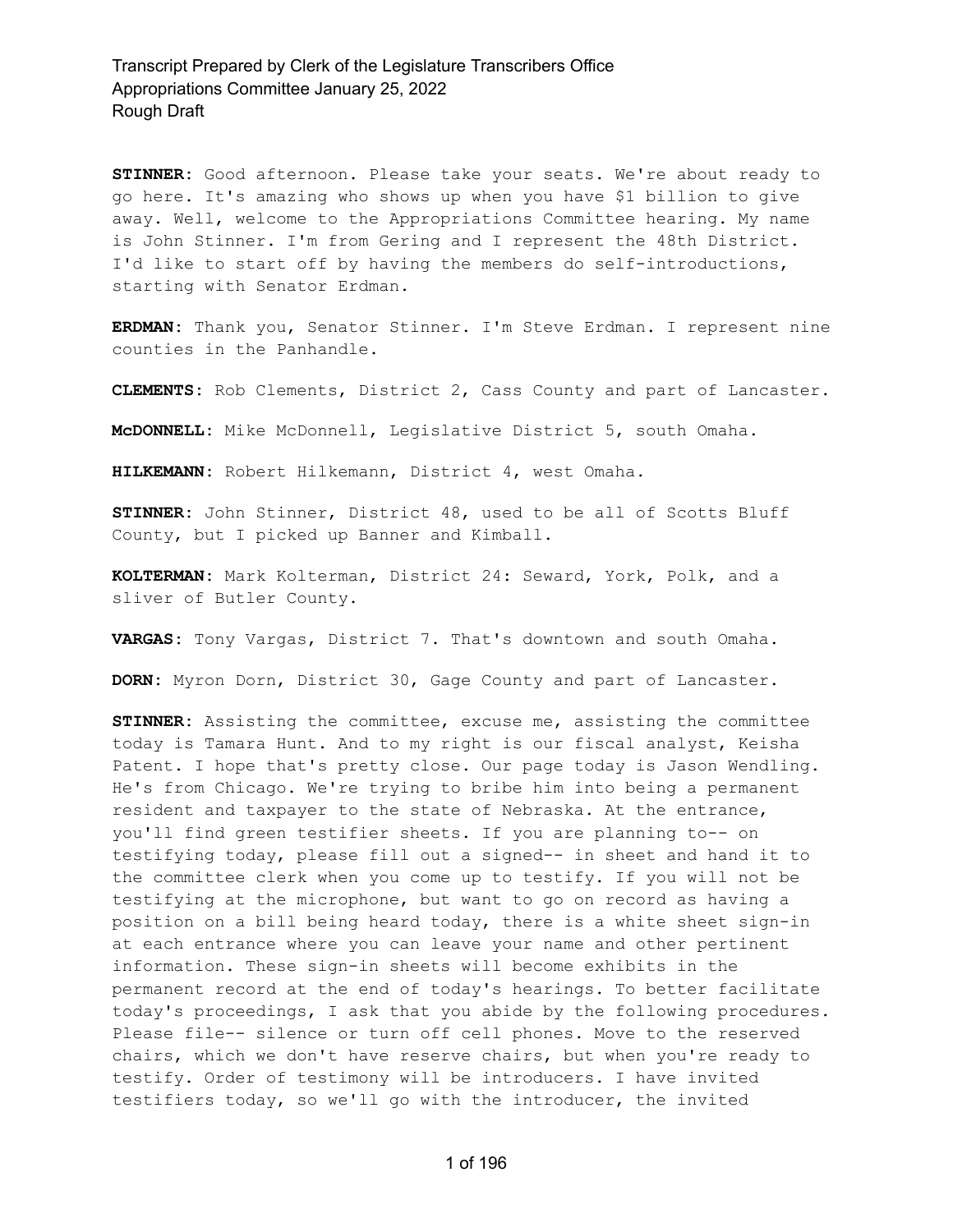**STINNER:** Good afternoon. Please take your seats. We're about ready to go here. It's amazing who shows up when you have \$1 billion to give away. Well, welcome to the Appropriations Committee hearing. My name is John Stinner. I'm from Gering and I represent the 48th District. I'd like to start off by having the members do self-introductions, starting with Senator Erdman.

**ERDMAN:** Thank you, Senator Stinner. I'm Steve Erdman. I represent nine counties in the Panhandle.

**CLEMENTS:** Rob Clements, District 2, Cass County and part of Lancaster.

**McDONNELL:** Mike McDonnell, Legislative District 5, south Omaha.

**HILKEMANN:** Robert Hilkemann, District 4, west Omaha.

**STINNER:** John Stinner, District 48, used to be all of Scotts Bluff County, but I picked up Banner and Kimball.

**KOLTERMAN:** Mark Kolterman, District 24: Seward, York, Polk, and a sliver of Butler County.

**VARGAS:** Tony Vargas, District 7. That's downtown and south Omaha.

**DORN:** Myron Dorn, District 30, Gage County and part of Lancaster.

**STINNER:** Assisting the committee, excuse me, assisting the committee today is Tamara Hunt. And to my right is our fiscal analyst, Keisha Patent. I hope that's pretty close. Our page today is Jason Wendling. He's from Chicago. We're trying to bribe him into being a permanent resident and taxpayer to the state of Nebraska. At the entrance, you'll find green testifier sheets. If you are planning to-- on testifying today, please fill out a signed-- in sheet and hand it to the committee clerk when you come up to testify. If you will not be testifying at the microphone, but want to go on record as having a position on a bill being heard today, there is a white sheet sign-in at each entrance where you can leave your name and other pertinent information. These sign-in sheets will become exhibits in the permanent record at the end of today's hearings. To better facilitate today's proceedings, I ask that you abide by the following procedures. Please file-- silence or turn off cell phones. Move to the reserved chairs, which we don't have reserve chairs, but when you're ready to testify. Order of testimony will be introducers. I have invited testifiers today, so we'll go with the introducer, the invited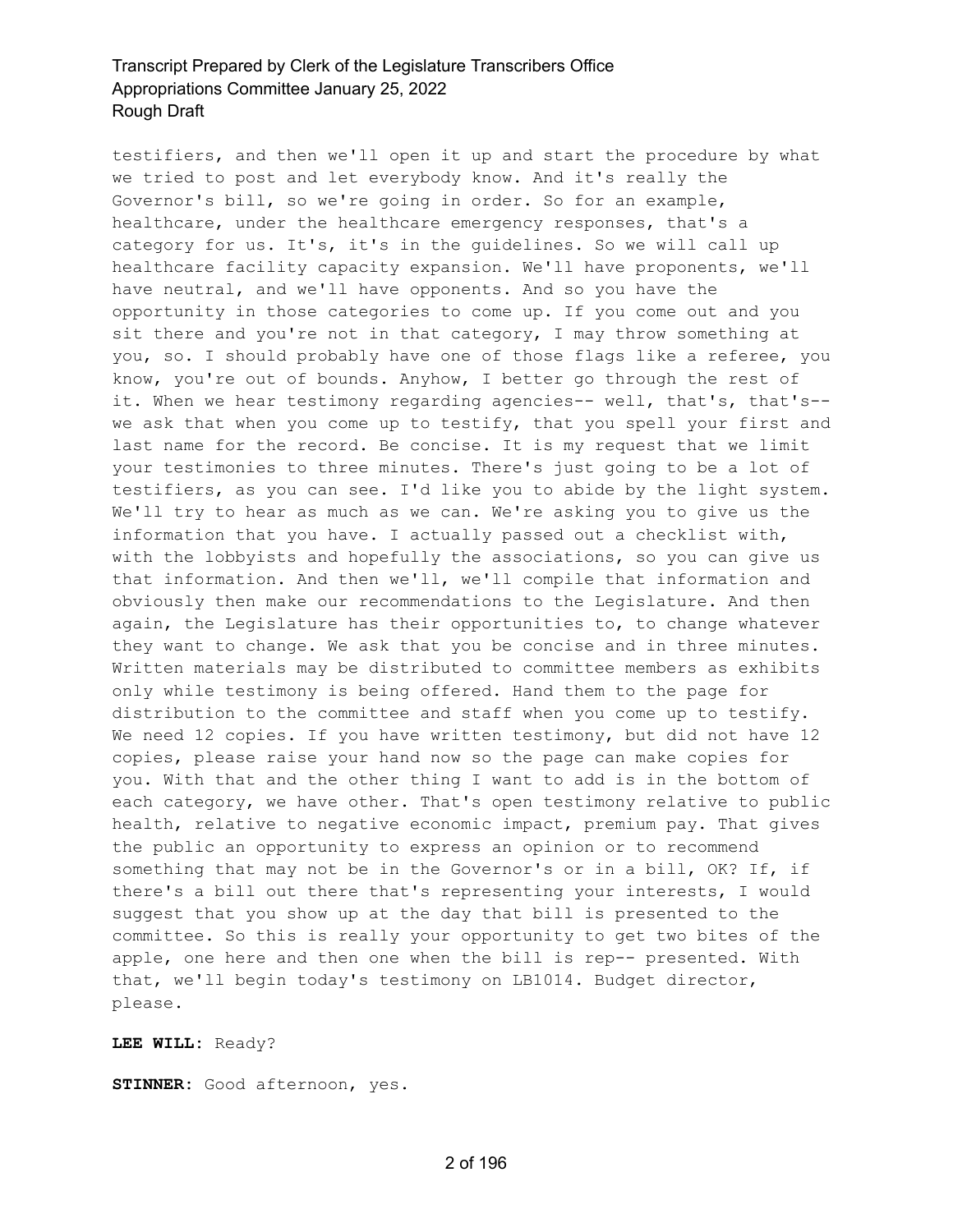testifiers, and then we'll open it up and start the procedure by what we tried to post and let everybody know. And it's really the Governor's bill, so we're going in order. So for an example, healthcare, under the healthcare emergency responses, that's a category for us. It's, it's in the guidelines. So we will call up healthcare facility capacity expansion. We'll have proponents, we'll have neutral, and we'll have opponents. And so you have the opportunity in those categories to come up. If you come out and you sit there and you're not in that category, I may throw something at you, so. I should probably have one of those flags like a referee, you know, you're out of bounds. Anyhow, I better go through the rest of it. When we hear testimony regarding agencies-- well, that's, that's-we ask that when you come up to testify, that you spell your first and last name for the record. Be concise. It is my request that we limit your testimonies to three minutes. There's just going to be a lot of testifiers, as you can see. I'd like you to abide by the light system. We'll try to hear as much as we can. We're asking you to give us the information that you have. I actually passed out a checklist with, with the lobbyists and hopefully the associations, so you can give us that information. And then we'll, we'll compile that information and obviously then make our recommendations to the Legislature. And then again, the Legislature has their opportunities to, to change whatever they want to change. We ask that you be concise and in three minutes. Written materials may be distributed to committee members as exhibits only while testimony is being offered. Hand them to the page for distribution to the committee and staff when you come up to testify. We need 12 copies. If you have written testimony, but did not have 12 copies, please raise your hand now so the page can make copies for you. With that and the other thing I want to add is in the bottom of each category, we have other. That's open testimony relative to public health, relative to negative economic impact, premium pay. That gives the public an opportunity to express an opinion or to recommend something that may not be in the Governor's or in a bill, OK? If, if there's a bill out there that's representing your interests, I would suggest that you show up at the day that bill is presented to the committee. So this is really your opportunity to get two bites of the apple, one here and then one when the bill is rep-- presented. With that, we'll begin today's testimony on LB1014. Budget director, please.

#### **LEE WILL:** Ready?

**STINNER:** Good afternoon, yes.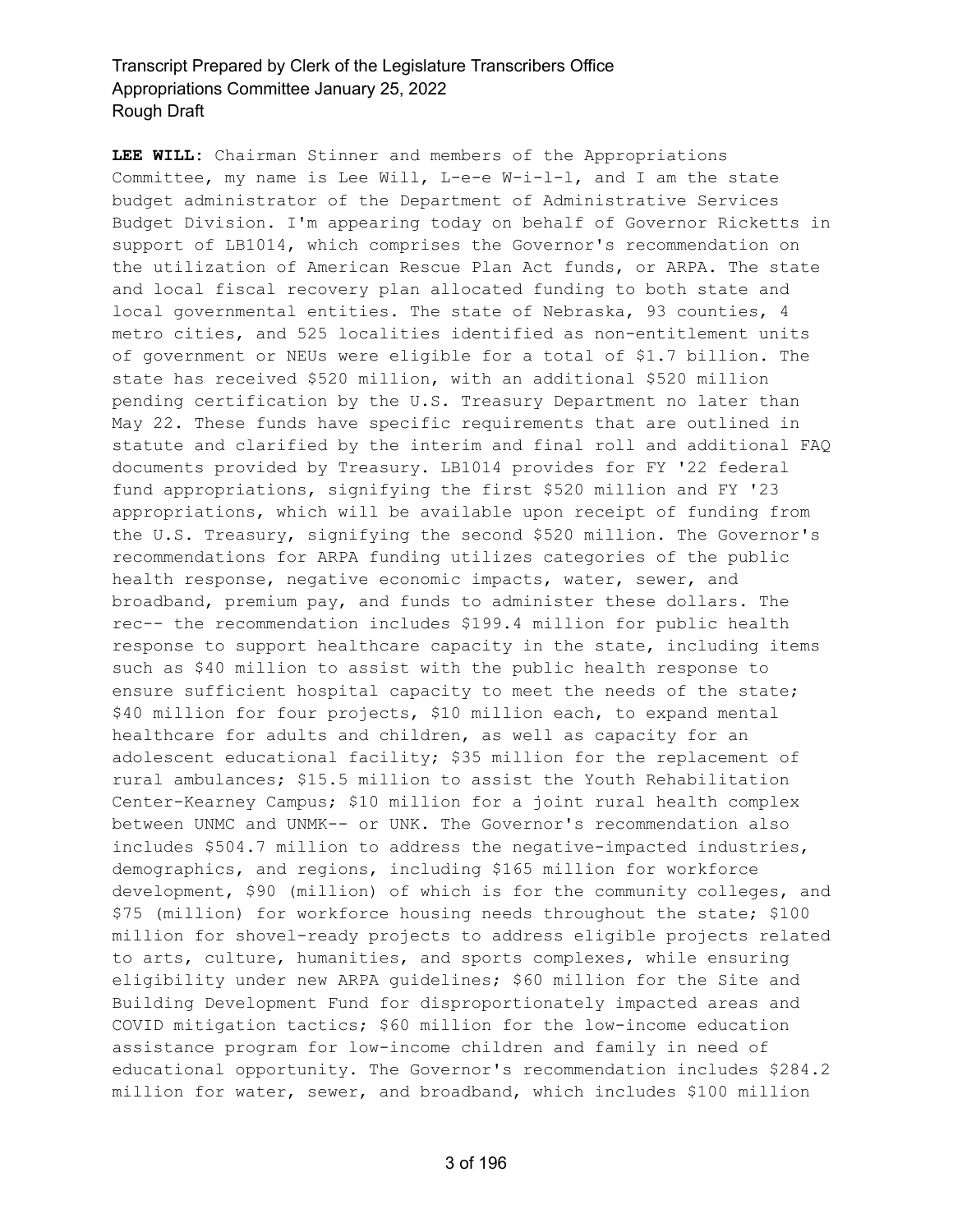**LEE WILL:** Chairman Stinner and members of the Appropriations Committee, my name is Lee Will, L-e-e W-i-l-l, and I am the state budget administrator of the Department of Administrative Services Budget Division. I'm appearing today on behalf of Governor Ricketts in support of LB1014, which comprises the Governor's recommendation on the utilization of American Rescue Plan Act funds, or ARPA. The state and local fiscal recovery plan allocated funding to both state and local governmental entities. The state of Nebraska, 93 counties, 4 metro cities, and 525 localities identified as non-entitlement units of government or NEUs were eligible for a total of \$1.7 billion. The state has received \$520 million, with an additional \$520 million pending certification by the U.S. Treasury Department no later than May 22. These funds have specific requirements that are outlined in statute and clarified by the interim and final roll and additional FAQ documents provided by Treasury. LB1014 provides for FY '22 federal fund appropriations, signifying the first \$520 million and FY '23 appropriations, which will be available upon receipt of funding from the U.S. Treasury, signifying the second \$520 million. The Governor's recommendations for ARPA funding utilizes categories of the public health response, negative economic impacts, water, sewer, and broadband, premium pay, and funds to administer these dollars. The rec-- the recommendation includes \$199.4 million for public health response to support healthcare capacity in the state, including items such as \$40 million to assist with the public health response to ensure sufficient hospital capacity to meet the needs of the state; \$40 million for four projects, \$10 million each, to expand mental healthcare for adults and children, as well as capacity for an adolescent educational facility; \$35 million for the replacement of rural ambulances; \$15.5 million to assist the Youth Rehabilitation Center-Kearney Campus; \$10 million for a joint rural health complex between UNMC and UNMK-- or UNK. The Governor's recommendation also includes \$504.7 million to address the negative-impacted industries, demographics, and regions, including \$165 million for workforce development, \$90 (million) of which is for the community colleges, and \$75 (million) for workforce housing needs throughout the state; \$100 million for shovel-ready projects to address eligible projects related to arts, culture, humanities, and sports complexes, while ensuring eligibility under new ARPA guidelines; \$60 million for the Site and Building Development Fund for disproportionately impacted areas and COVID mitigation tactics; \$60 million for the low-income education assistance program for low-income children and family in need of educational opportunity. The Governor's recommendation includes \$284.2 million for water, sewer, and broadband, which includes \$100 million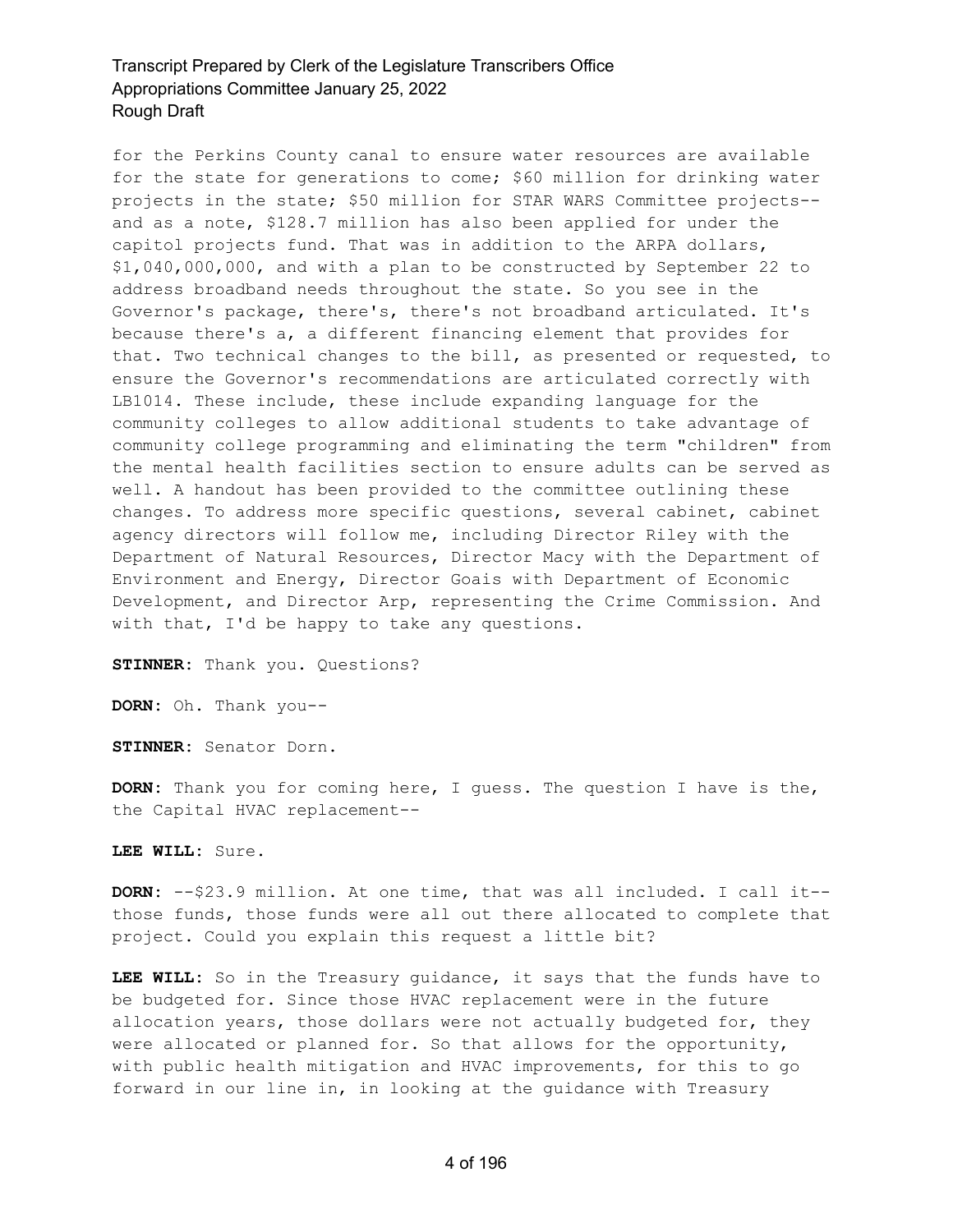for the Perkins County canal to ensure water resources are available for the state for generations to come; \$60 million for drinking water projects in the state; \$50 million for STAR WARS Committee projects- and as a note, \$128.7 million has also been applied for under the capitol projects fund. That was in addition to the ARPA dollars, \$1,040,000,000, and with a plan to be constructed by September 22 to address broadband needs throughout the state. So you see in the Governor's package, there's, there's not broadband articulated. It's because there's a, a different financing element that provides for that. Two technical changes to the bill, as presented or requested, to ensure the Governor's recommendations are articulated correctly with LB1014. These include, these include expanding language for the community colleges to allow additional students to take advantage of community college programming and eliminating the term "children" from the mental health facilities section to ensure adults can be served as well. A handout has been provided to the committee outlining these changes. To address more specific questions, several cabinet, cabinet agency directors will follow me, including Director Riley with the Department of Natural Resources, Director Macy with the Department of Environment and Energy, Director Goais with Department of Economic Development, and Director Arp, representing the Crime Commission. And with that, I'd be happy to take any questions.

**STINNER:** Thank you. Questions?

**DORN:** Oh. Thank you--

**STINNER:** Senator Dorn.

**DORN:** Thank you for coming here, I guess. The question I have is the, the Capital HVAC replacement--

**LEE WILL:** Sure.

**DORN:** --\$23.9 million. At one time, that was all included. I call it- those funds, those funds were all out there allocated to complete that project. Could you explain this request a little bit?

**LEE WILL:** So in the Treasury guidance, it says that the funds have to be budgeted for. Since those HVAC replacement were in the future allocation years, those dollars were not actually budgeted for, they were allocated or planned for. So that allows for the opportunity, with public health mitigation and HVAC improvements, for this to go forward in our line in, in looking at the guidance with Treasury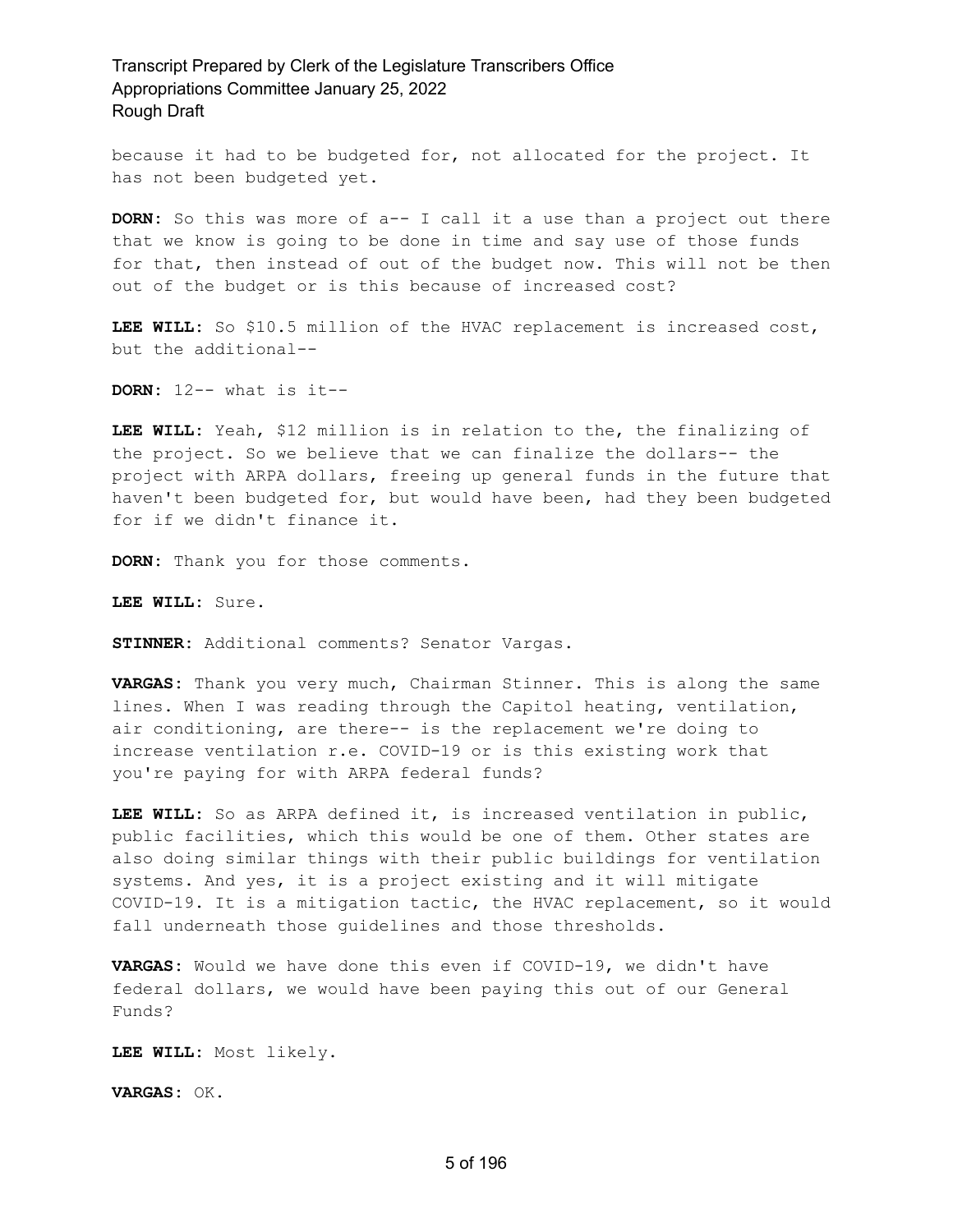because it had to be budgeted for, not allocated for the project. It has not been budgeted yet.

**DORN:** So this was more of a-- I call it a use than a project out there that we know is going to be done in time and say use of those funds for that, then instead of out of the budget now. This will not be then out of the budget or is this because of increased cost?

**LEE WILL:** So \$10.5 million of the HVAC replacement is increased cost, but the additional--

**DORN:** 12-- what is it--

**LEE WILL:** Yeah, \$12 million is in relation to the, the finalizing of the project. So we believe that we can finalize the dollars-- the project with ARPA dollars, freeing up general funds in the future that haven't been budgeted for, but would have been, had they been budgeted for if we didn't finance it.

**DORN:** Thank you for those comments.

**LEE WILL:** Sure.

**STINNER:** Additional comments? Senator Vargas.

**VARGAS:** Thank you very much, Chairman Stinner. This is along the same lines. When I was reading through the Capitol heating, ventilation, air conditioning, are there-- is the replacement we're doing to increase ventilation r.e. COVID-19 or is this existing work that you're paying for with ARPA federal funds?

**LEE WILL:** So as ARPA defined it, is increased ventilation in public, public facilities, which this would be one of them. Other states are also doing similar things with their public buildings for ventilation systems. And yes, it is a project existing and it will mitigate COVID-19. It is a mitigation tactic, the HVAC replacement, so it would fall underneath those guidelines and those thresholds.

**VARGAS:** Would we have done this even if COVID-19, we didn't have federal dollars, we would have been paying this out of our General Funds?

**LEE WILL:** Most likely.

**VARGAS:** OK.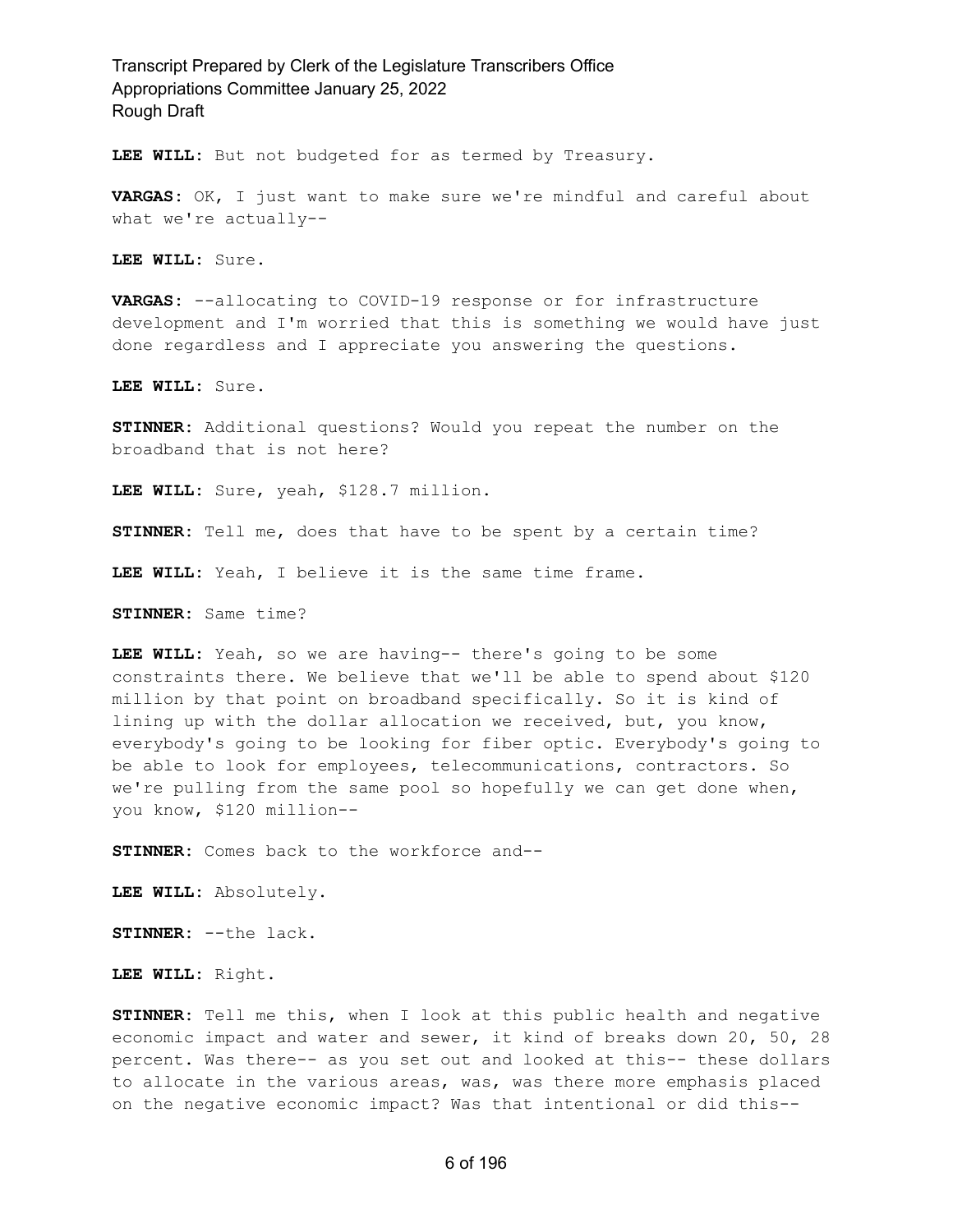**LEE WILL:** But not budgeted for as termed by Treasury.

**VARGAS:** OK, I just want to make sure we're mindful and careful about what we're actually--

**LEE WILL:** Sure.

**VARGAS:** --allocating to COVID-19 response or for infrastructure development and I'm worried that this is something we would have just done regardless and I appreciate you answering the questions.

**LEE WILL:** Sure.

**STINNER:** Additional questions? Would you repeat the number on the broadband that is not here?

**LEE WILL:** Sure, yeah, \$128.7 million.

**STINNER:** Tell me, does that have to be spent by a certain time?

**LEE WILL:** Yeah, I believe it is the same time frame.

**STINNER:** Same time?

**LEE WILL:** Yeah, so we are having-- there's going to be some constraints there. We believe that we'll be able to spend about \$120 million by that point on broadband specifically. So it is kind of lining up with the dollar allocation we received, but, you know, everybody's going to be looking for fiber optic. Everybody's going to be able to look for employees, telecommunications, contractors. So we're pulling from the same pool so hopefully we can get done when, you know, \$120 million--

**STINNER:** Comes back to the workforce and--

**LEE WILL:** Absolutely.

**STINNER:** --the lack.

**LEE WILL:** Right.

**STINNER:** Tell me this, when I look at this public health and negative economic impact and water and sewer, it kind of breaks down 20, 50, 28 percent. Was there-- as you set out and looked at this-- these dollars to allocate in the various areas, was, was there more emphasis placed on the negative economic impact? Was that intentional or did this--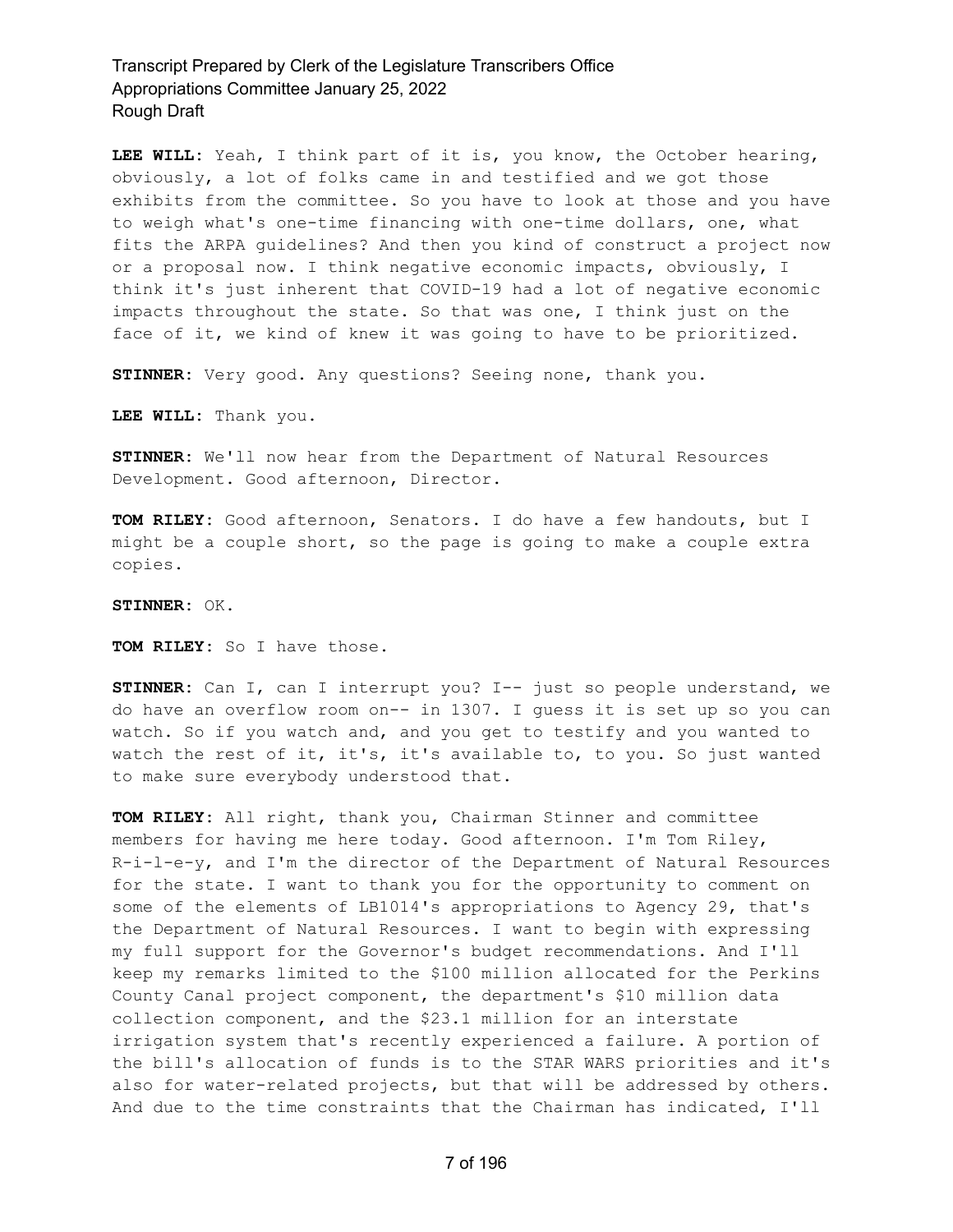**LEE WILL:** Yeah, I think part of it is, you know, the October hearing, obviously, a lot of folks came in and testified and we got those exhibits from the committee. So you have to look at those and you have to weigh what's one-time financing with one-time dollars, one, what fits the ARPA guidelines? And then you kind of construct a project now or a proposal now. I think negative economic impacts, obviously, I think it's just inherent that COVID-19 had a lot of negative economic impacts throughout the state. So that was one, I think just on the face of it, we kind of knew it was going to have to be prioritized.

**STINNER:** Very good. Any questions? Seeing none, thank you.

**LEE WILL:** Thank you.

**STINNER:** We'll now hear from the Department of Natural Resources Development. Good afternoon, Director.

**TOM RILEY:** Good afternoon, Senators. I do have a few handouts, but I might be a couple short, so the page is going to make a couple extra copies.

**STINNER:** OK.

**TOM RILEY:** So I have those.

**STINNER:** Can I, can I interrupt you? I-- just so people understand, we do have an overflow room on-- in 1307. I guess it is set up so you can watch. So if you watch and, and you get to testify and you wanted to watch the rest of it, it's, it's available to, to you. So just wanted to make sure everybody understood that.

**TOM RILEY:** All right, thank you, Chairman Stinner and committee members for having me here today. Good afternoon. I'm Tom Riley, R-i-l-e-y, and I'm the director of the Department of Natural Resources for the state. I want to thank you for the opportunity to comment on some of the elements of LB1014's appropriations to Agency 29, that's the Department of Natural Resources. I want to begin with expressing my full support for the Governor's budget recommendations. And I'll keep my remarks limited to the \$100 million allocated for the Perkins County Canal project component, the department's \$10 million data collection component, and the \$23.1 million for an interstate irrigation system that's recently experienced a failure. A portion of the bill's allocation of funds is to the STAR WARS priorities and it's also for water-related projects, but that will be addressed by others. And due to the time constraints that the Chairman has indicated, I'll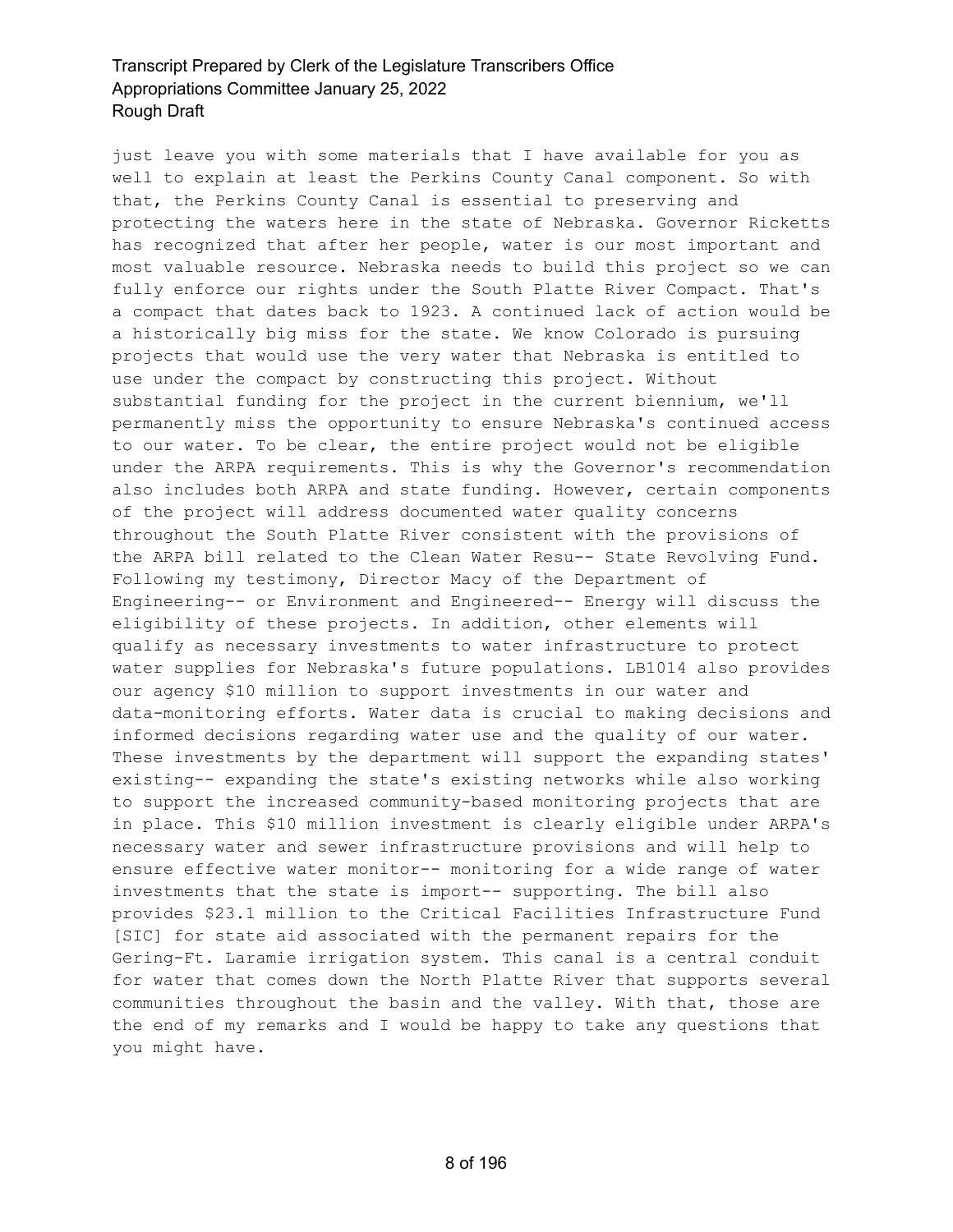just leave you with some materials that I have available for you as well to explain at least the Perkins County Canal component. So with that, the Perkins County Canal is essential to preserving and protecting the waters here in the state of Nebraska. Governor Ricketts has recognized that after her people, water is our most important and most valuable resource. Nebraska needs to build this project so we can fully enforce our rights under the South Platte River Compact. That's a compact that dates back to 1923. A continued lack of action would be a historically big miss for the state. We know Colorado is pursuing projects that would use the very water that Nebraska is entitled to use under the compact by constructing this project. Without substantial funding for the project in the current biennium, we'll permanently miss the opportunity to ensure Nebraska's continued access to our water. To be clear, the entire project would not be eligible under the ARPA requirements. This is why the Governor's recommendation also includes both ARPA and state funding. However, certain components of the project will address documented water quality concerns throughout the South Platte River consistent with the provisions of the ARPA bill related to the Clean Water Resu-- State Revolving Fund. Following my testimony, Director Macy of the Department of Engineering-- or Environment and Engineered-- Energy will discuss the eligibility of these projects. In addition, other elements will qualify as necessary investments to water infrastructure to protect water supplies for Nebraska's future populations. LB1014 also provides our agency \$10 million to support investments in our water and data-monitoring efforts. Water data is crucial to making decisions and informed decisions regarding water use and the quality of our water. These investments by the department will support the expanding states' existing-- expanding the state's existing networks while also working to support the increased community-based monitoring projects that are in place. This \$10 million investment is clearly eligible under ARPA's necessary water and sewer infrastructure provisions and will help to ensure effective water monitor-- monitoring for a wide range of water investments that the state is import-- supporting. The bill also provides \$23.1 million to the Critical Facilities Infrastructure Fund [SIC] for state aid associated with the permanent repairs for the Gering-Ft. Laramie irrigation system. This canal is a central conduit for water that comes down the North Platte River that supports several communities throughout the basin and the valley. With that, those are the end of my remarks and I would be happy to take any questions that you might have.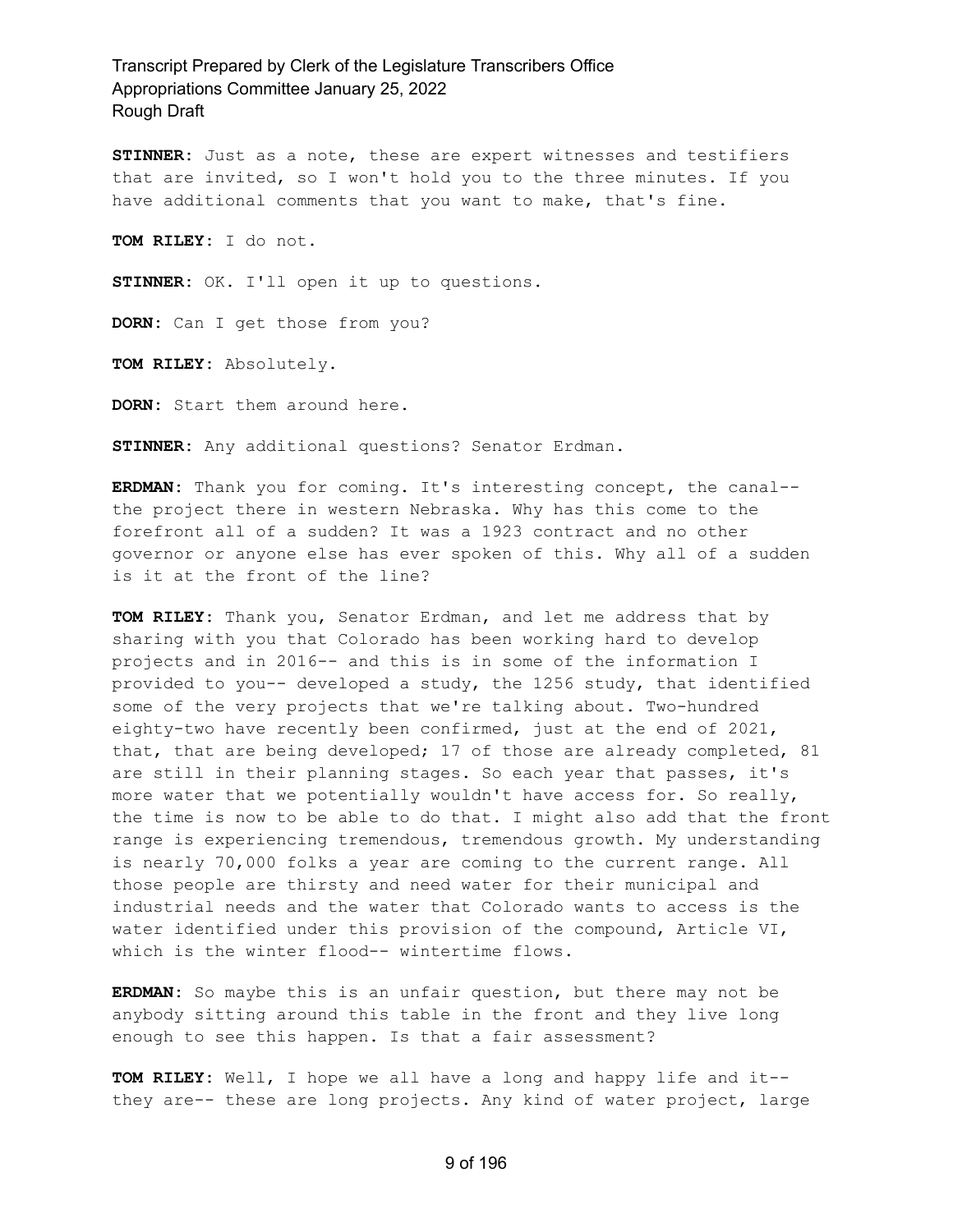**STINNER:** Just as a note, these are expert witnesses and testifiers that are invited, so I won't hold you to the three minutes. If you have additional comments that you want to make, that's fine.

**TOM RILEY:** I do not.

**STINNER:** OK. I'll open it up to questions.

**DORN:** Can I get those from you?

**TOM RILEY:** Absolutely.

**DORN:** Start them around here.

**STINNER:** Any additional questions? Senator Erdman.

**ERDMAN:** Thank you for coming. It's interesting concept, the canal- the project there in western Nebraska. Why has this come to the forefront all of a sudden? It was a 1923 contract and no other governor or anyone else has ever spoken of this. Why all of a sudden is it at the front of the line?

**TOM RILEY:** Thank you, Senator Erdman, and let me address that by sharing with you that Colorado has been working hard to develop projects and in 2016-- and this is in some of the information I provided to you-- developed a study, the 1256 study, that identified some of the very projects that we're talking about. Two-hundred eighty-two have recently been confirmed, just at the end of 2021, that, that are being developed; 17 of those are already completed, 81 are still in their planning stages. So each year that passes, it's more water that we potentially wouldn't have access for. So really, the time is now to be able to do that. I might also add that the front range is experiencing tremendous, tremendous growth. My understanding is nearly 70,000 folks a year are coming to the current range. All those people are thirsty and need water for their municipal and industrial needs and the water that Colorado wants to access is the water identified under this provision of the compound, Article VI, which is the winter flood-- wintertime flows.

**ERDMAN:** So maybe this is an unfair question, but there may not be anybody sitting around this table in the front and they live long enough to see this happen. Is that a fair assessment?

**TOM RILEY:** Well, I hope we all have a long and happy life and it- they are-- these are long projects. Any kind of water project, large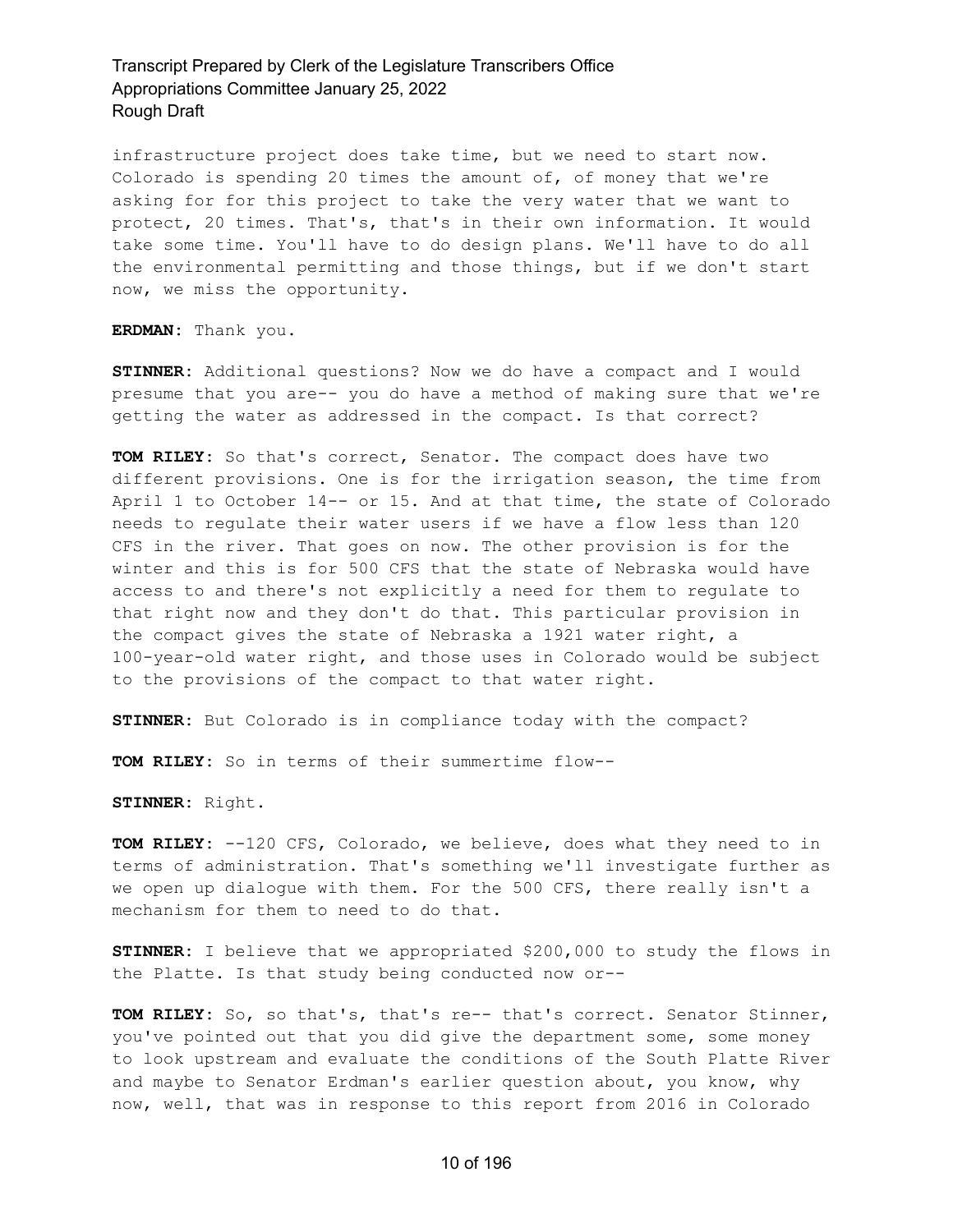infrastructure project does take time, but we need to start now. Colorado is spending 20 times the amount of, of money that we're asking for for this project to take the very water that we want to protect, 20 times. That's, that's in their own information. It would take some time. You'll have to do design plans. We'll have to do all the environmental permitting and those things, but if we don't start now, we miss the opportunity.

**ERDMAN:** Thank you.

**STINNER:** Additional questions? Now we do have a compact and I would presume that you are-- you do have a method of making sure that we're getting the water as addressed in the compact. Is that correct?

**TOM RILEY:** So that's correct, Senator. The compact does have two different provisions. One is for the irrigation season, the time from April 1 to October 14-- or 15. And at that time, the state of Colorado needs to regulate their water users if we have a flow less than 120 CFS in the river. That goes on now. The other provision is for the winter and this is for 500 CFS that the state of Nebraska would have access to and there's not explicitly a need for them to regulate to that right now and they don't do that. This particular provision in the compact gives the state of Nebraska a 1921 water right, a 100-year-old water right, and those uses in Colorado would be subject to the provisions of the compact to that water right.

**STINNER:** But Colorado is in compliance today with the compact?

**TOM RILEY:** So in terms of their summertime flow--

**STINNER:** Right.

**TOM RILEY:** --120 CFS, Colorado, we believe, does what they need to in terms of administration. That's something we'll investigate further as we open up dialogue with them. For the 500 CFS, there really isn't a mechanism for them to need to do that.

**STINNER:** I believe that we appropriated \$200,000 to study the flows in the Platte. Is that study being conducted now or--

**TOM RILEY:** So, so that's, that's re-- that's correct. Senator Stinner, you've pointed out that you did give the department some, some money to look upstream and evaluate the conditions of the South Platte River and maybe to Senator Erdman's earlier question about, you know, why now, well, that was in response to this report from 2016 in Colorado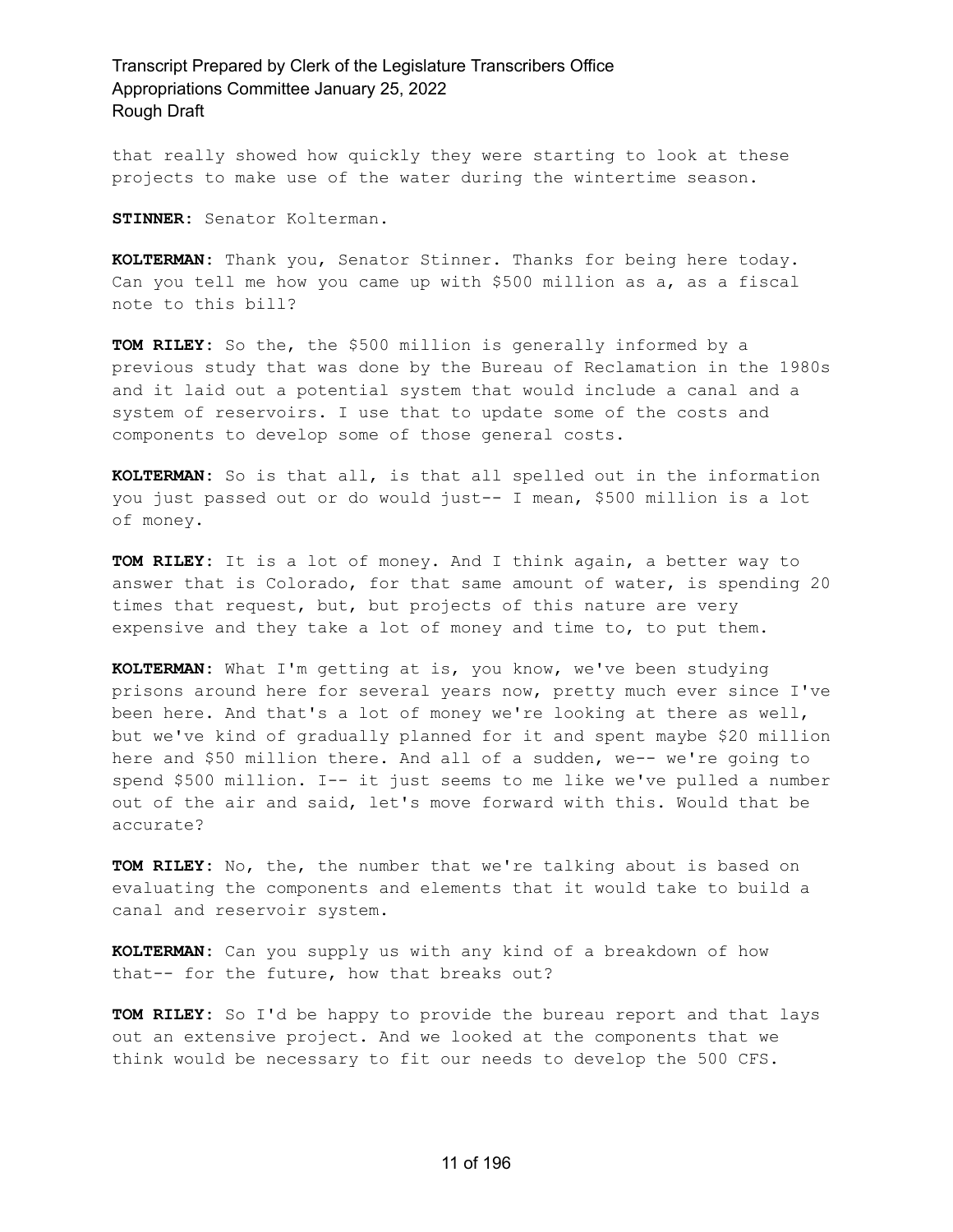that really showed how quickly they were starting to look at these projects to make use of the water during the wintertime season.

**STINNER:** Senator Kolterman.

**KOLTERMAN:** Thank you, Senator Stinner. Thanks for being here today. Can you tell me how you came up with \$500 million as a, as a fiscal note to this bill?

**TOM RILEY:** So the, the \$500 million is generally informed by a previous study that was done by the Bureau of Reclamation in the 1980s and it laid out a potential system that would include a canal and a system of reservoirs. I use that to update some of the costs and components to develop some of those general costs.

**KOLTERMAN:** So is that all, is that all spelled out in the information you just passed out or do would just-- I mean, \$500 million is a lot of money.

**TOM RILEY:** It is a lot of money. And I think again, a better way to answer that is Colorado, for that same amount of water, is spending 20 times that request, but, but projects of this nature are very expensive and they take a lot of money and time to, to put them.

**KOLTERMAN:** What I'm getting at is, you know, we've been studying prisons around here for several years now, pretty much ever since I've been here. And that's a lot of money we're looking at there as well, but we've kind of gradually planned for it and spent maybe \$20 million here and \$50 million there. And all of a sudden, we-- we're going to spend \$500 million. I-- it just seems to me like we've pulled a number out of the air and said, let's move forward with this. Would that be accurate?

**TOM RILEY:** No, the, the number that we're talking about is based on evaluating the components and elements that it would take to build a canal and reservoir system.

**KOLTERMAN:** Can you supply us with any kind of a breakdown of how that-- for the future, how that breaks out?

**TOM RILEY:** So I'd be happy to provide the bureau report and that lays out an extensive project. And we looked at the components that we think would be necessary to fit our needs to develop the 500 CFS.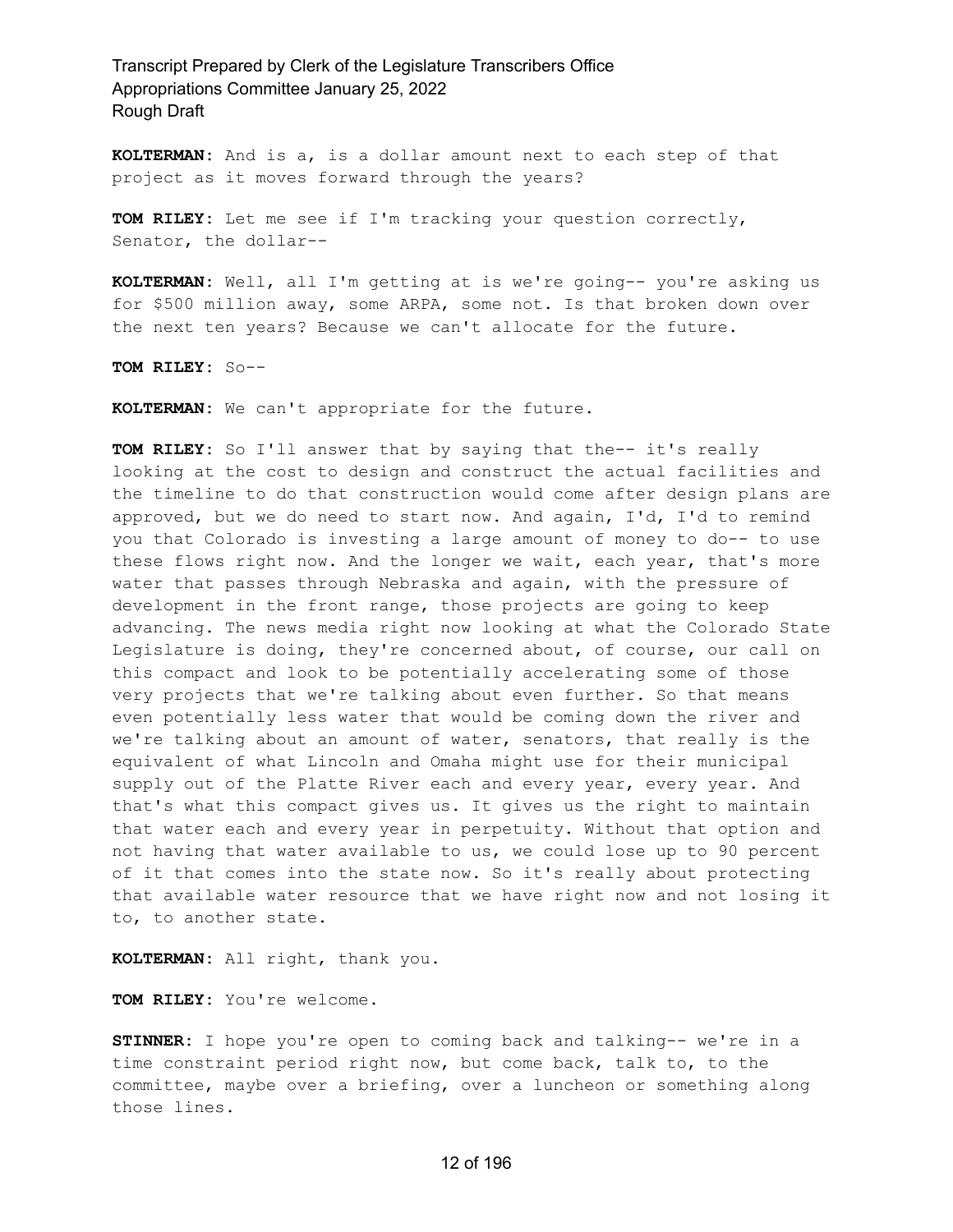**KOLTERMAN:** And is a, is a dollar amount next to each step of that project as it moves forward through the years?

**TOM RILEY:** Let me see if I'm tracking your question correctly, Senator, the dollar--

**KOLTERMAN:** Well, all I'm getting at is we're going-- you're asking us for \$500 million away, some ARPA, some not. Is that broken down over the next ten years? Because we can't allocate for the future.

**TOM RILEY:** So--

**KOLTERMAN:** We can't appropriate for the future.

**TOM RILEY:** So I'll answer that by saying that the-- it's really looking at the cost to design and construct the actual facilities and the timeline to do that construction would come after design plans are approved, but we do need to start now. And again, I'd, I'd to remind you that Colorado is investing a large amount of money to do-- to use these flows right now. And the longer we wait, each year, that's more water that passes through Nebraska and again, with the pressure of development in the front range, those projects are going to keep advancing. The news media right now looking at what the Colorado State Legislature is doing, they're concerned about, of course, our call on this compact and look to be potentially accelerating some of those very projects that we're talking about even further. So that means even potentially less water that would be coming down the river and we're talking about an amount of water, senators, that really is the equivalent of what Lincoln and Omaha might use for their municipal supply out of the Platte River each and every year, every year. And that's what this compact gives us. It gives us the right to maintain that water each and every year in perpetuity. Without that option and not having that water available to us, we could lose up to 90 percent of it that comes into the state now. So it's really about protecting that available water resource that we have right now and not losing it to, to another state.

**KOLTERMAN:** All right, thank you.

**TOM RILEY:** You're welcome.

**STINNER:** I hope you're open to coming back and talking-- we're in a time constraint period right now, but come back, talk to, to the committee, maybe over a briefing, over a luncheon or something along those lines.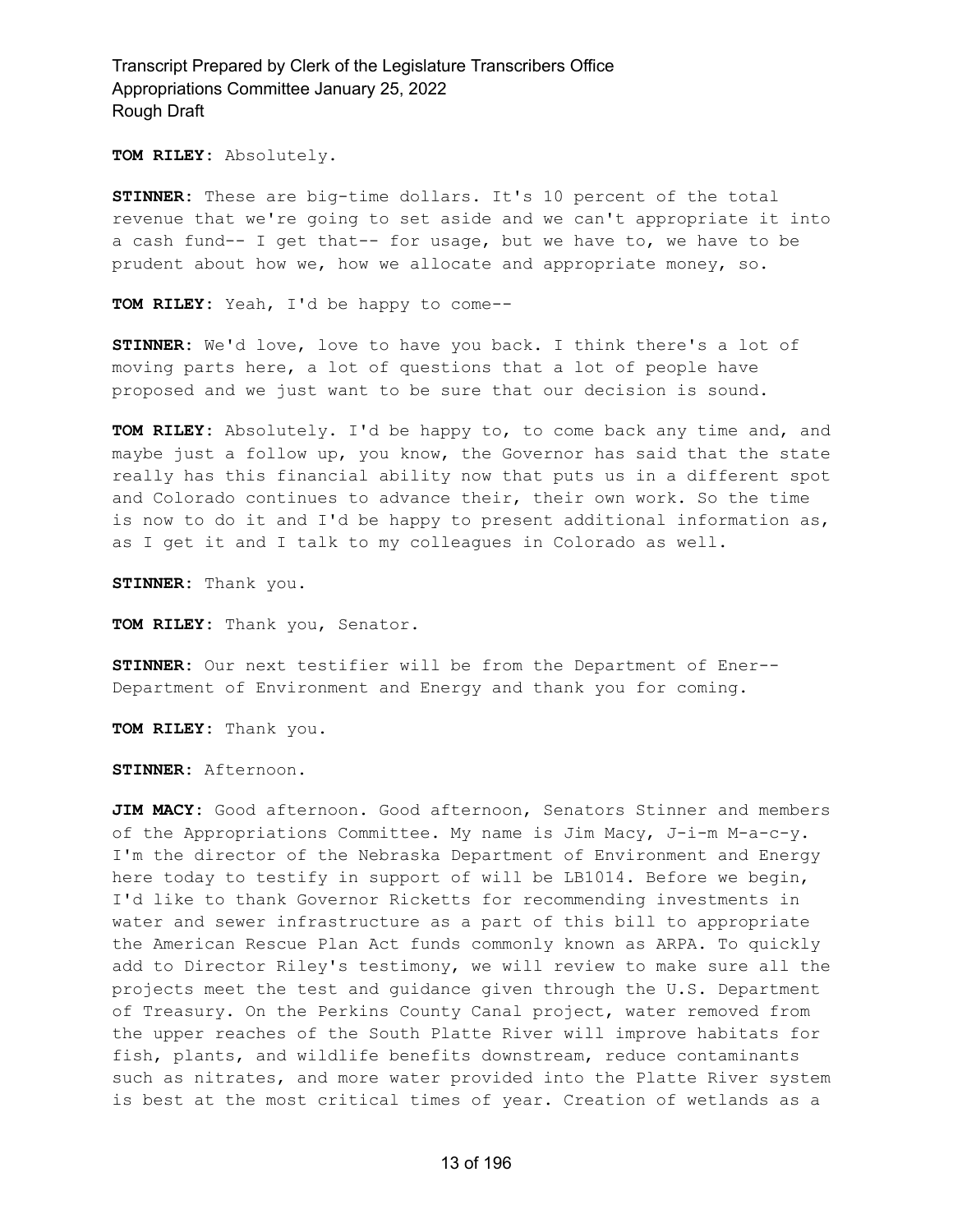**TOM RILEY:** Absolutely.

**STINNER:** These are big-time dollars. It's 10 percent of the total revenue that we're going to set aside and we can't appropriate it into a cash fund-- I get that-- for usage, but we have to, we have to be prudent about how we, how we allocate and appropriate money, so.

**TOM RILEY:** Yeah, I'd be happy to come--

**STINNER:** We'd love, love to have you back. I think there's a lot of moving parts here, a lot of questions that a lot of people have proposed and we just want to be sure that our decision is sound.

**TOM RILEY:** Absolutely. I'd be happy to, to come back any time and, and maybe just a follow up, you know, the Governor has said that the state really has this financial ability now that puts us in a different spot and Colorado continues to advance their, their own work. So the time is now to do it and I'd be happy to present additional information as, as I get it and I talk to my colleagues in Colorado as well.

**STINNER:** Thank you.

**TOM RILEY:** Thank you, Senator.

**STINNER:** Our next testifier will be from the Department of Ener-- Department of Environment and Energy and thank you for coming.

**TOM RILEY:** Thank you.

**STINNER:** Afternoon.

**JIM MACY:** Good afternoon. Good afternoon, Senators Stinner and members of the Appropriations Committee. My name is Jim Macy, J-i-m M-a-c-y. I'm the director of the Nebraska Department of Environment and Energy here today to testify in support of will be LB1014. Before we begin, I'd like to thank Governor Ricketts for recommending investments in water and sewer infrastructure as a part of this bill to appropriate the American Rescue Plan Act funds commonly known as ARPA. To quickly add to Director Riley's testimony, we will review to make sure all the projects meet the test and guidance given through the U.S. Department of Treasury. On the Perkins County Canal project, water removed from the upper reaches of the South Platte River will improve habitats for fish, plants, and wildlife benefits downstream, reduce contaminants such as nitrates, and more water provided into the Platte River system is best at the most critical times of year. Creation of wetlands as a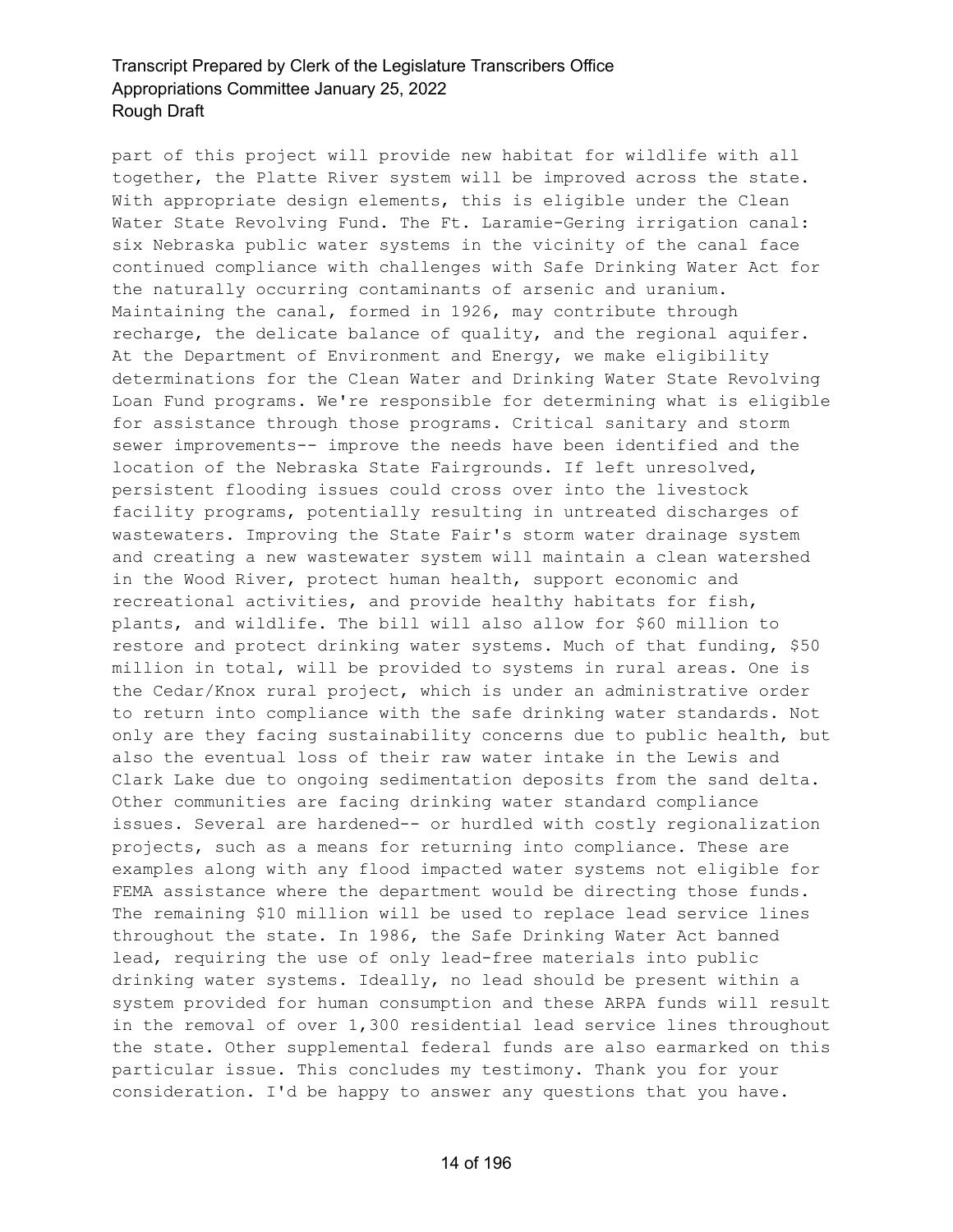part of this project will provide new habitat for wildlife with all together, the Platte River system will be improved across the state. With appropriate design elements, this is eligible under the Clean Water State Revolving Fund. The Ft. Laramie-Gering irrigation canal: six Nebraska public water systems in the vicinity of the canal face continued compliance with challenges with Safe Drinking Water Act for the naturally occurring contaminants of arsenic and uranium. Maintaining the canal, formed in 1926, may contribute through recharge, the delicate balance of quality, and the regional aquifer. At the Department of Environment and Energy, we make eligibility determinations for the Clean Water and Drinking Water State Revolving Loan Fund programs. We're responsible for determining what is eligible for assistance through those programs. Critical sanitary and storm sewer improvements-- improve the needs have been identified and the location of the Nebraska State Fairgrounds. If left unresolved, persistent flooding issues could cross over into the livestock facility programs, potentially resulting in untreated discharges of wastewaters. Improving the State Fair's storm water drainage system and creating a new wastewater system will maintain a clean watershed in the Wood River, protect human health, support economic and recreational activities, and provide healthy habitats for fish, plants, and wildlife. The bill will also allow for \$60 million to restore and protect drinking water systems. Much of that funding, \$50 million in total, will be provided to systems in rural areas. One is the Cedar/Knox rural project, which is under an administrative order to return into compliance with the safe drinking water standards. Not only are they facing sustainability concerns due to public health, but also the eventual loss of their raw water intake in the Lewis and Clark Lake due to ongoing sedimentation deposits from the sand delta. Other communities are facing drinking water standard compliance issues. Several are hardened-- or hurdled with costly regionalization projects, such as a means for returning into compliance. These are examples along with any flood impacted water systems not eligible for FEMA assistance where the department would be directing those funds. The remaining \$10 million will be used to replace lead service lines throughout the state. In 1986, the Safe Drinking Water Act banned lead, requiring the use of only lead-free materials into public drinking water systems. Ideally, no lead should be present within a system provided for human consumption and these ARPA funds will result in the removal of over 1,300 residential lead service lines throughout the state. Other supplemental federal funds are also earmarked on this particular issue. This concludes my testimony. Thank you for your consideration. I'd be happy to answer any questions that you have.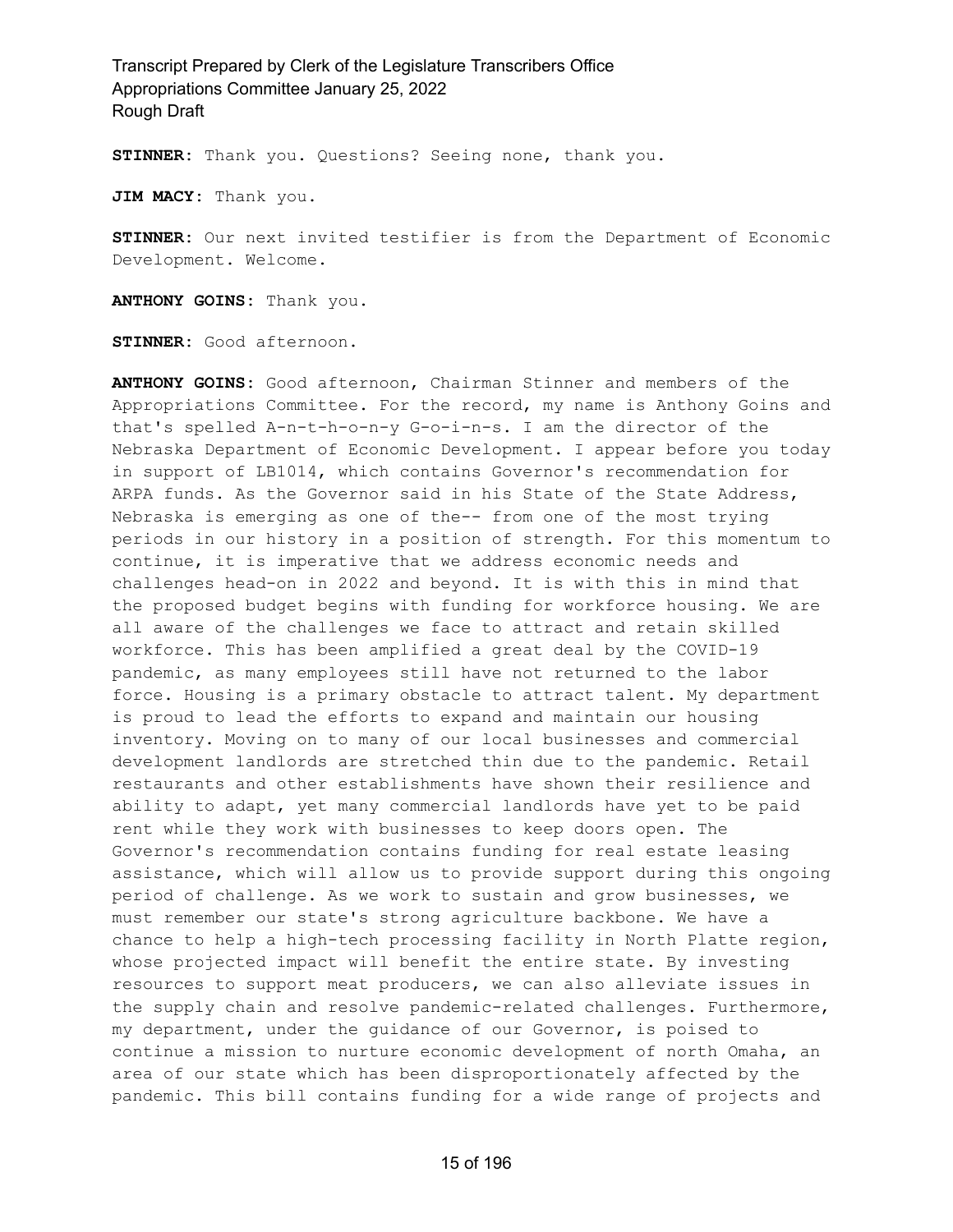**STINNER:** Thank you. Questions? Seeing none, thank you.

**JIM MACY:** Thank you.

**STINNER:** Our next invited testifier is from the Department of Economic Development. Welcome.

**ANTHONY GOINS:** Thank you.

**STINNER:** Good afternoon.

**ANTHONY GOINS:** Good afternoon, Chairman Stinner and members of the Appropriations Committee. For the record, my name is Anthony Goins and that's spelled A-n-t-h-o-n-y G-o-i-n-s. I am the director of the Nebraska Department of Economic Development. I appear before you today in support of LB1014, which contains Governor's recommendation for ARPA funds. As the Governor said in his State of the State Address, Nebraska is emerging as one of the-- from one of the most trying periods in our history in a position of strength. For this momentum to continue, it is imperative that we address economic needs and challenges head-on in 2022 and beyond. It is with this in mind that the proposed budget begins with funding for workforce housing. We are all aware of the challenges we face to attract and retain skilled workforce. This has been amplified a great deal by the COVID-19 pandemic, as many employees still have not returned to the labor force. Housing is a primary obstacle to attract talent. My department is proud to lead the efforts to expand and maintain our housing inventory. Moving on to many of our local businesses and commercial development landlords are stretched thin due to the pandemic. Retail restaurants and other establishments have shown their resilience and ability to adapt, yet many commercial landlords have yet to be paid rent while they work with businesses to keep doors open. The Governor's recommendation contains funding for real estate leasing assistance, which will allow us to provide support during this ongoing period of challenge. As we work to sustain and grow businesses, we must remember our state's strong agriculture backbone. We have a chance to help a high-tech processing facility in North Platte region, whose projected impact will benefit the entire state. By investing resources to support meat producers, we can also alleviate issues in the supply chain and resolve pandemic-related challenges. Furthermore, my department, under the guidance of our Governor, is poised to continue a mission to nurture economic development of north Omaha, an area of our state which has been disproportionately affected by the pandemic. This bill contains funding for a wide range of projects and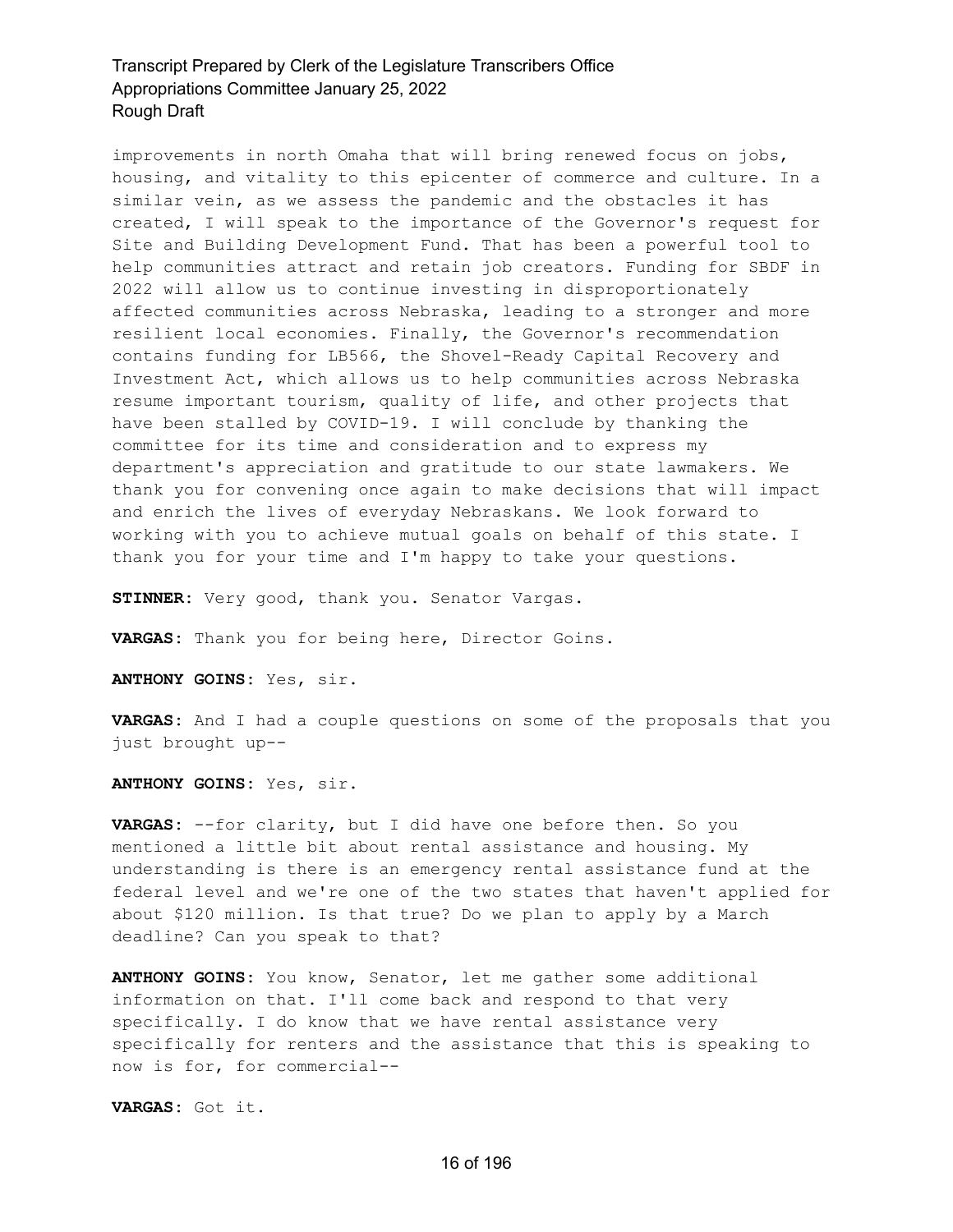improvements in north Omaha that will bring renewed focus on jobs, housing, and vitality to this epicenter of commerce and culture. In a similar vein, as we assess the pandemic and the obstacles it has created, I will speak to the importance of the Governor's request for Site and Building Development Fund. That has been a powerful tool to help communities attract and retain job creators. Funding for SBDF in 2022 will allow us to continue investing in disproportionately affected communities across Nebraska, leading to a stronger and more resilient local economies. Finally, the Governor's recommendation contains funding for LB566, the Shovel-Ready Capital Recovery and Investment Act, which allows us to help communities across Nebraska resume important tourism, quality of life, and other projects that have been stalled by COVID-19. I will conclude by thanking the committee for its time and consideration and to express my department's appreciation and gratitude to our state lawmakers. We thank you for convening once again to make decisions that will impact and enrich the lives of everyday Nebraskans. We look forward to working with you to achieve mutual goals on behalf of this state. I thank you for your time and I'm happy to take your questions.

**STINNER:** Very good, thank you. Senator Vargas.

**VARGAS:** Thank you for being here, Director Goins.

**ANTHONY GOINS:** Yes, sir.

**VARGAS:** And I had a couple questions on some of the proposals that you just brought up--

**ANTHONY GOINS:** Yes, sir.

**VARGAS:** --for clarity, but I did have one before then. So you mentioned a little bit about rental assistance and housing. My understanding is there is an emergency rental assistance fund at the federal level and we're one of the two states that haven't applied for about \$120 million. Is that true? Do we plan to apply by a March deadline? Can you speak to that?

**ANTHONY GOINS:** You know, Senator, let me gather some additional information on that. I'll come back and respond to that very specifically. I do know that we have rental assistance very specifically for renters and the assistance that this is speaking to now is for, for commercial--

**VARGAS:** Got it.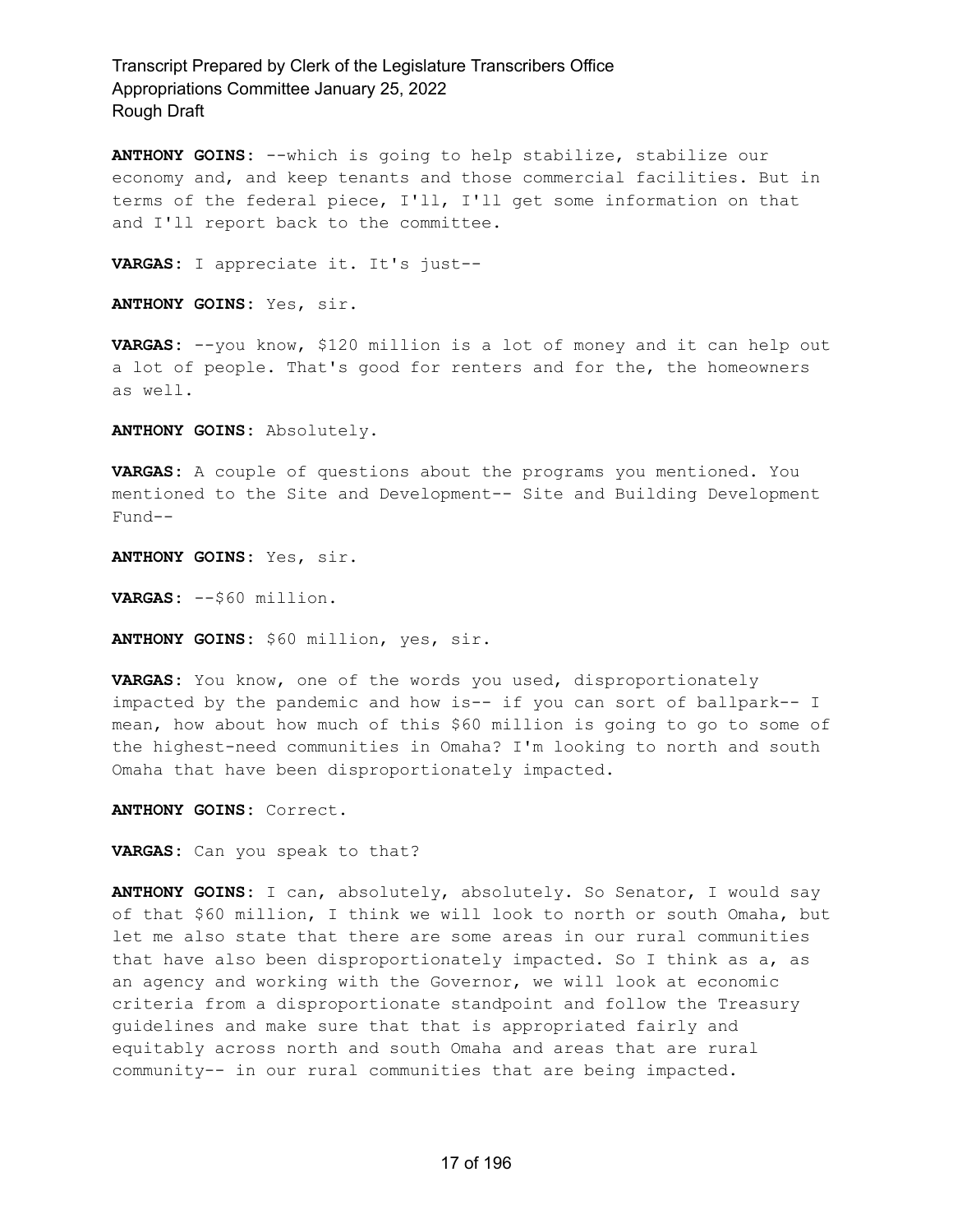**ANTHONY GOINS:** --which is going to help stabilize, stabilize our economy and, and keep tenants and those commercial facilities. But in terms of the federal piece, I'll, I'll get some information on that and I'll report back to the committee.

**VARGAS:** I appreciate it. It's just--

**ANTHONY GOINS:** Yes, sir.

**VARGAS:** --you know, \$120 million is a lot of money and it can help out a lot of people. That's good for renters and for the, the homeowners as well.

**ANTHONY GOINS:** Absolutely.

**VARGAS:** A couple of questions about the programs you mentioned. You mentioned to the Site and Development-- Site and Building Development Fund--

**ANTHONY GOINS:** Yes, sir.

**VARGAS:** --\$60 million.

**ANTHONY GOINS:** \$60 million, yes, sir.

**VARGAS:** You know, one of the words you used, disproportionately impacted by the pandemic and how is-- if you can sort of ballpark-- I mean, how about how much of this \$60 million is going to go to some of the highest-need communities in Omaha? I'm looking to north and south Omaha that have been disproportionately impacted.

**ANTHONY GOINS:** Correct.

**VARGAS:** Can you speak to that?

**ANTHONY GOINS:** I can, absolutely, absolutely. So Senator, I would say of that \$60 million, I think we will look to north or south Omaha, but let me also state that there are some areas in our rural communities that have also been disproportionately impacted. So I think as a, as an agency and working with the Governor, we will look at economic criteria from a disproportionate standpoint and follow the Treasury guidelines and make sure that that is appropriated fairly and equitably across north and south Omaha and areas that are rural community-- in our rural communities that are being impacted.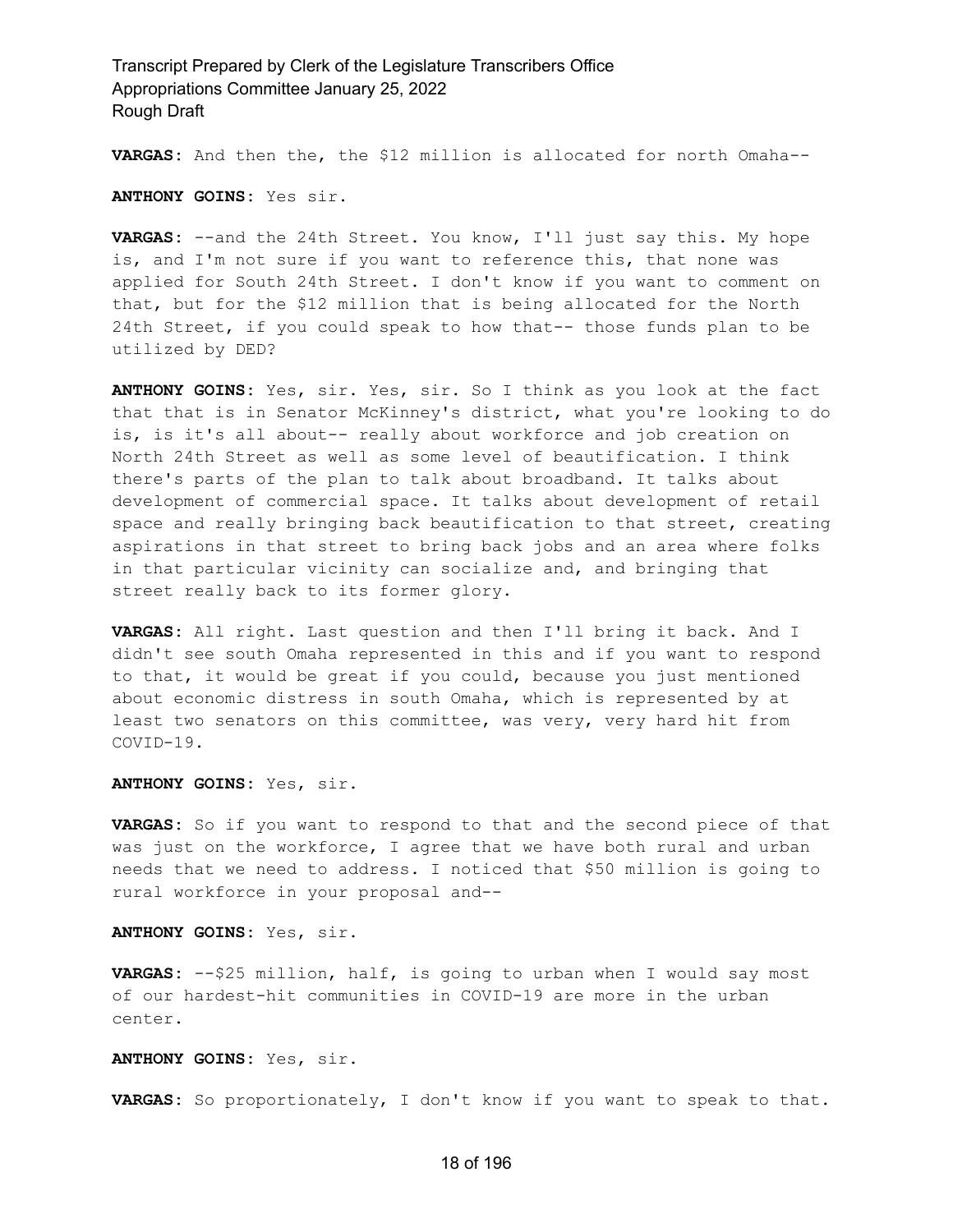**VARGAS:** And then the, the \$12 million is allocated for north Omaha--

**ANTHONY GOINS:** Yes sir.

**VARGAS:** --and the 24th Street. You know, I'll just say this. My hope is, and I'm not sure if you want to reference this, that none was applied for South 24th Street. I don't know if you want to comment on that, but for the \$12 million that is being allocated for the North 24th Street, if you could speak to how that-- those funds plan to be utilized by DED?

**ANTHONY GOINS:** Yes, sir. Yes, sir. So I think as you look at the fact that that is in Senator McKinney's district, what you're looking to do is, is it's all about-- really about workforce and job creation on North 24th Street as well as some level of beautification. I think there's parts of the plan to talk about broadband. It talks about development of commercial space. It talks about development of retail space and really bringing back beautification to that street, creating aspirations in that street to bring back jobs and an area where folks in that particular vicinity can socialize and, and bringing that street really back to its former glory.

**VARGAS:** All right. Last question and then I'll bring it back. And I didn't see south Omaha represented in this and if you want to respond to that, it would be great if you could, because you just mentioned about economic distress in south Omaha, which is represented by at least two senators on this committee, was very, very hard hit from COVID-19.

**ANTHONY GOINS:** Yes, sir.

**VARGAS:** So if you want to respond to that and the second piece of that was just on the workforce, I agree that we have both rural and urban needs that we need to address. I noticed that \$50 million is going to rural workforce in your proposal and--

**ANTHONY GOINS:** Yes, sir.

**VARGAS:** --\$25 million, half, is going to urban when I would say most of our hardest-hit communities in COVID-19 are more in the urban center.

**ANTHONY GOINS:** Yes, sir.

**VARGAS:** So proportionately, I don't know if you want to speak to that.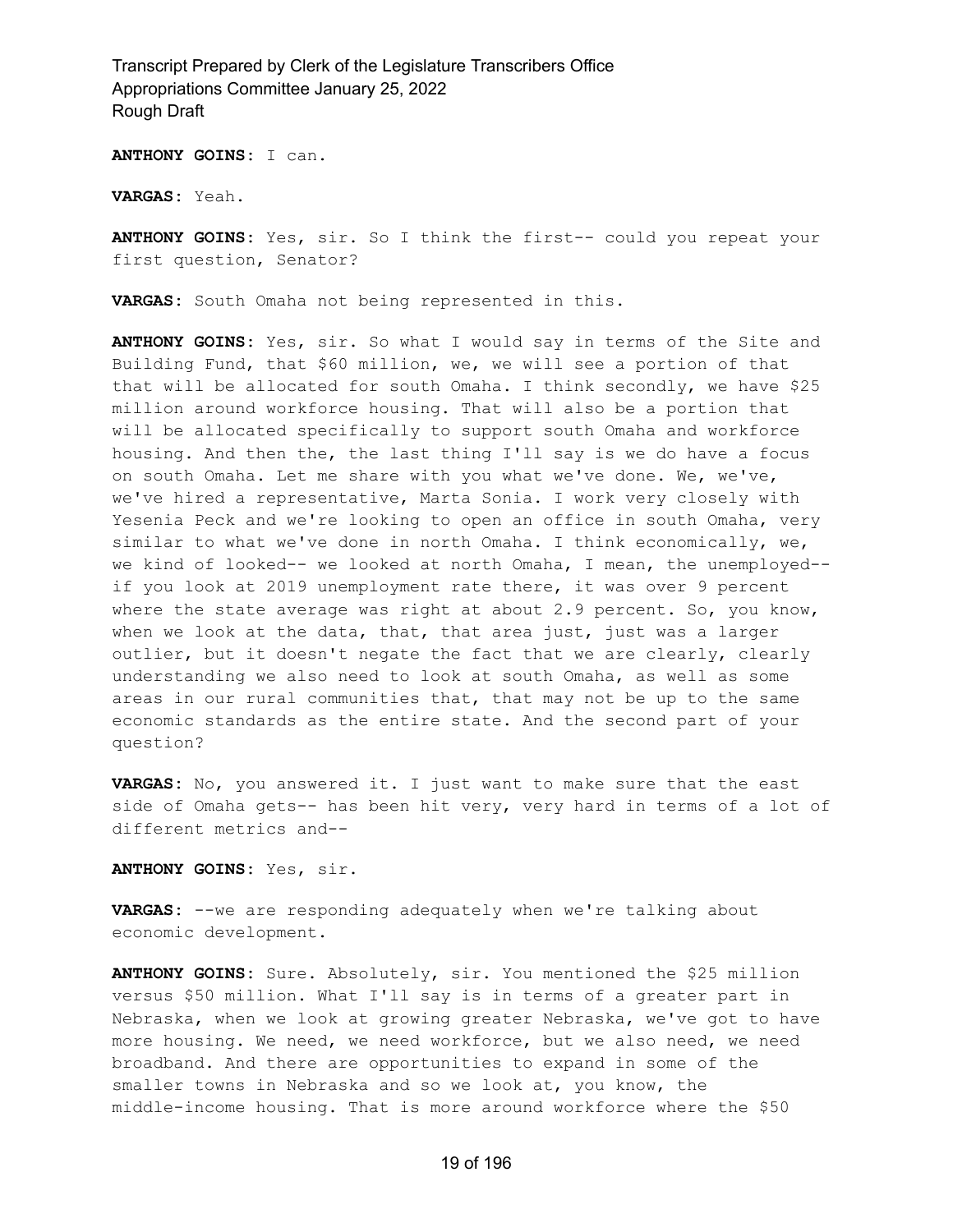**ANTHONY GOINS:** I can.

**VARGAS:** Yeah.

**ANTHONY GOINS:** Yes, sir. So I think the first-- could you repeat your first question, Senator?

**VARGAS:** South Omaha not being represented in this.

**ANTHONY GOINS:** Yes, sir. So what I would say in terms of the Site and Building Fund, that \$60 million, we, we will see a portion of that that will be allocated for south Omaha. I think secondly, we have \$25 million around workforce housing. That will also be a portion that will be allocated specifically to support south Omaha and workforce housing. And then the, the last thing I'll say is we do have a focus on south Omaha. Let me share with you what we've done. We, we've, we've hired a representative, Marta Sonia. I work very closely with Yesenia Peck and we're looking to open an office in south Omaha, very similar to what we've done in north Omaha. I think economically, we, we kind of looked-- we looked at north Omaha, I mean, the unemployed- if you look at 2019 unemployment rate there, it was over 9 percent where the state average was right at about 2.9 percent. So, you know, when we look at the data, that, that area just, just was a larger outlier, but it doesn't negate the fact that we are clearly, clearly understanding we also need to look at south Omaha, as well as some areas in our rural communities that, that may not be up to the same economic standards as the entire state. And the second part of your question?

**VARGAS:** No, you answered it. I just want to make sure that the east side of Omaha gets-- has been hit very, very hard in terms of a lot of different metrics and--

**ANTHONY GOINS:** Yes, sir.

**VARGAS:** --we are responding adequately when we're talking about economic development.

**ANTHONY GOINS:** Sure. Absolutely, sir. You mentioned the \$25 million versus \$50 million. What I'll say is in terms of a greater part in Nebraska, when we look at growing greater Nebraska, we've got to have more housing. We need, we need workforce, but we also need, we need broadband. And there are opportunities to expand in some of the smaller towns in Nebraska and so we look at, you know, the middle-income housing. That is more around workforce where the \$50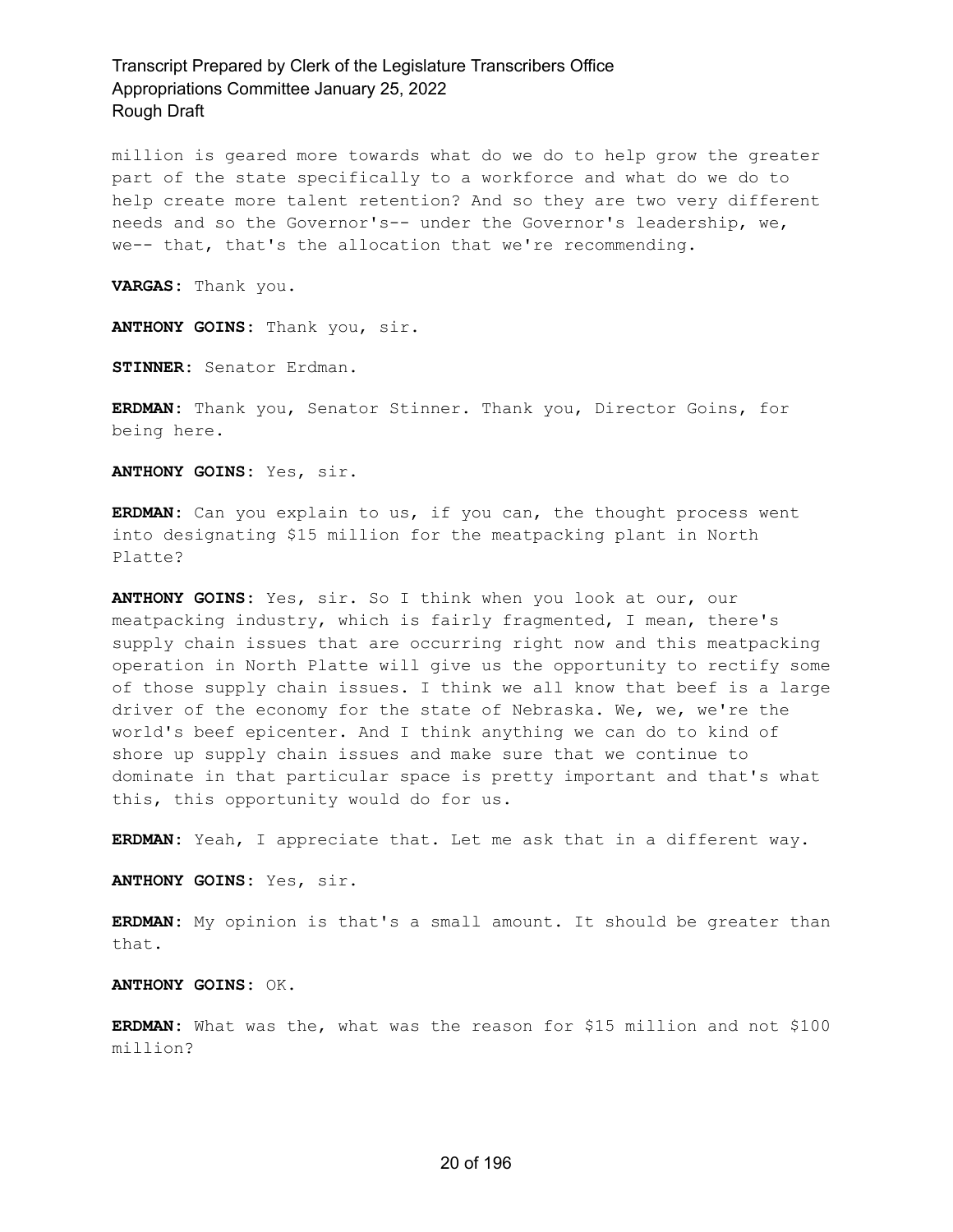million is geared more towards what do we do to help grow the greater part of the state specifically to a workforce and what do we do to help create more talent retention? And so they are two very different needs and so the Governor's-- under the Governor's leadership, we, we-- that, that's the allocation that we're recommending.

**VARGAS:** Thank you.

**ANTHONY GOINS:** Thank you, sir.

**STINNER:** Senator Erdman.

**ERDMAN:** Thank you, Senator Stinner. Thank you, Director Goins, for being here.

**ANTHONY GOINS:** Yes, sir.

**ERDMAN:** Can you explain to us, if you can, the thought process went into designating \$15 million for the meatpacking plant in North Platte?

**ANTHONY GOINS:** Yes, sir. So I think when you look at our, our meatpacking industry, which is fairly fragmented, I mean, there's supply chain issues that are occurring right now and this meatpacking operation in North Platte will give us the opportunity to rectify some of those supply chain issues. I think we all know that beef is a large driver of the economy for the state of Nebraska. We, we, we're the world's beef epicenter. And I think anything we can do to kind of shore up supply chain issues and make sure that we continue to dominate in that particular space is pretty important and that's what this, this opportunity would do for us.

**ERDMAN:** Yeah, I appreciate that. Let me ask that in a different way.

**ANTHONY GOINS:** Yes, sir.

**ERDMAN:** My opinion is that's a small amount. It should be greater than that.

**ANTHONY GOINS:** OK.

**ERDMAN:** What was the, what was the reason for \$15 million and not \$100 million?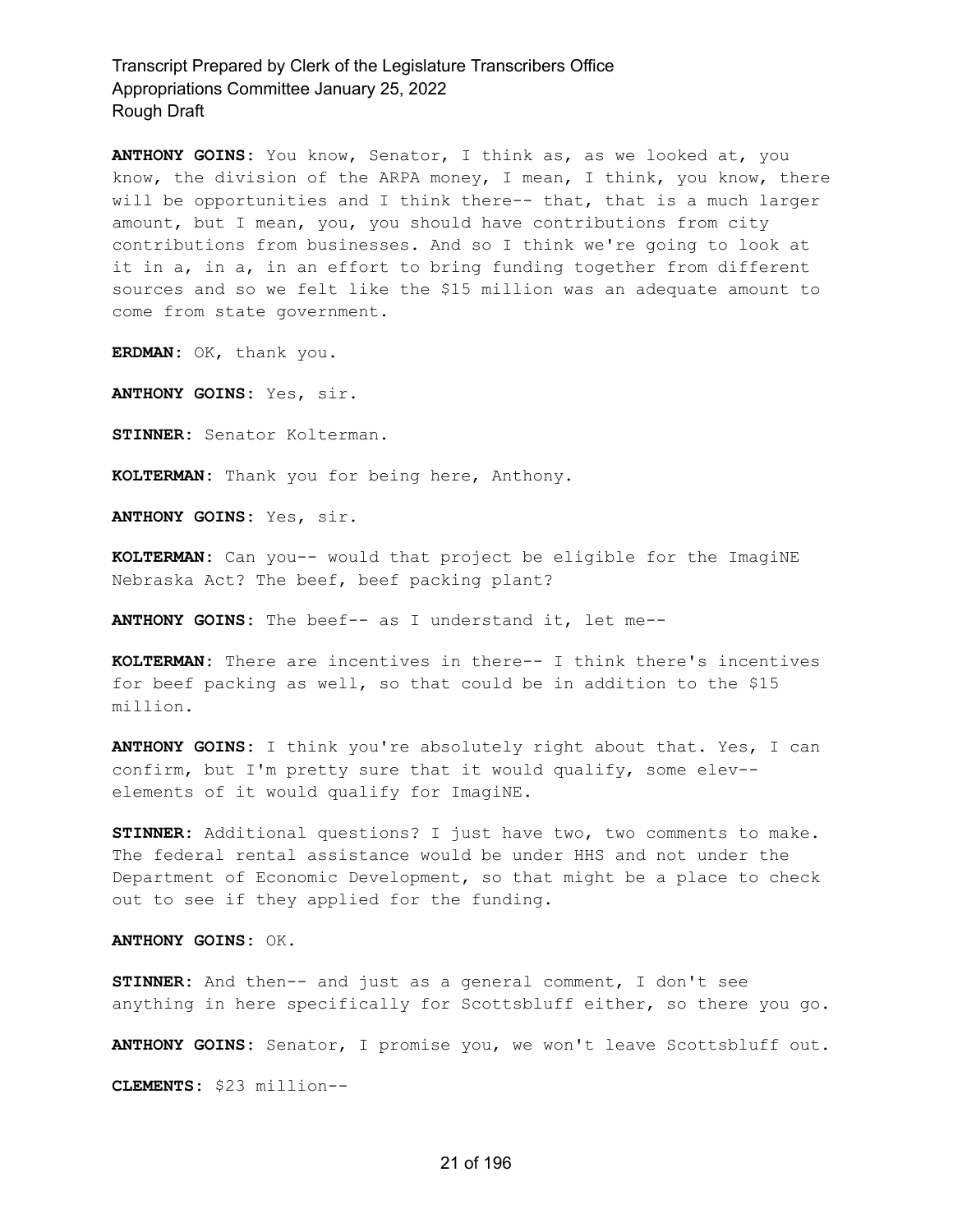**ANTHONY GOINS:** You know, Senator, I think as, as we looked at, you know, the division of the ARPA money, I mean, I think, you know, there will be opportunities and I think there-- that, that is a much larger amount, but I mean, you, you should have contributions from city contributions from businesses. And so I think we're going to look at it in a, in a, in an effort to bring funding together from different sources and so we felt like the \$15 million was an adequate amount to come from state government.

**ERDMAN:** OK, thank you.

**ANTHONY GOINS:** Yes, sir.

**STINNER:** Senator Kolterman.

**KOLTERMAN:** Thank you for being here, Anthony.

**ANTHONY GOINS:** Yes, sir.

**KOLTERMAN:** Can you-- would that project be eligible for the ImagiNE Nebraska Act? The beef, beef packing plant?

**ANTHONY GOINS:** The beef-- as I understand it, let me--

**KOLTERMAN:** There are incentives in there-- I think there's incentives for beef packing as well, so that could be in addition to the \$15 million.

**ANTHONY GOINS:** I think you're absolutely right about that. Yes, I can confirm, but I'm pretty sure that it would qualify, some elev- elements of it would qualify for ImagiNE.

**STINNER:** Additional questions? I just have two, two comments to make. The federal rental assistance would be under HHS and not under the Department of Economic Development, so that might be a place to check out to see if they applied for the funding.

**ANTHONY GOINS:** OK.

**STINNER:** And then-- and just as a general comment, I don't see anything in here specifically for Scottsbluff either, so there you go.

**ANTHONY GOINS:** Senator, I promise you, we won't leave Scottsbluff out.

**CLEMENTS:** \$23 million--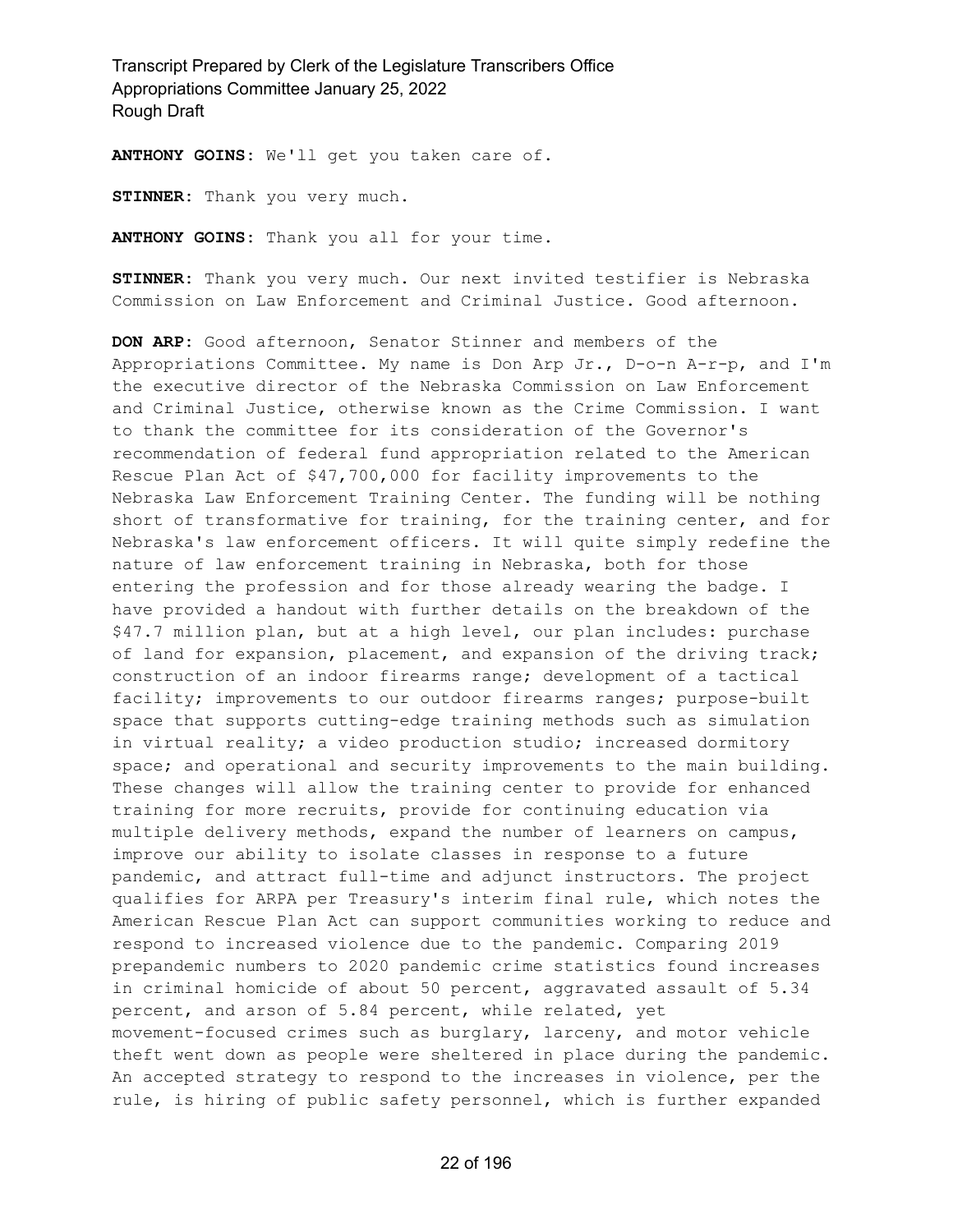**ANTHONY GOINS:** We'll get you taken care of.

**STINNER:** Thank you very much.

**ANTHONY GOINS:** Thank you all for your time.

**STINNER:** Thank you very much. Our next invited testifier is Nebraska Commission on Law Enforcement and Criminal Justice. Good afternoon.

**DON ARP:** Good afternoon, Senator Stinner and members of the Appropriations Committee. My name is Don Arp Jr., D-o-n A-r-p, and I'm the executive director of the Nebraska Commission on Law Enforcement and Criminal Justice, otherwise known as the Crime Commission. I want to thank the committee for its consideration of the Governor's recommendation of federal fund appropriation related to the American Rescue Plan Act of \$47,700,000 for facility improvements to the Nebraska Law Enforcement Training Center. The funding will be nothing short of transformative for training, for the training center, and for Nebraska's law enforcement officers. It will quite simply redefine the nature of law enforcement training in Nebraska, both for those entering the profession and for those already wearing the badge. I have provided a handout with further details on the breakdown of the \$47.7 million plan, but at a high level, our plan includes: purchase of land for expansion, placement, and expansion of the driving track; construction of an indoor firearms range; development of a tactical facility; improvements to our outdoor firearms ranges; purpose-built space that supports cutting-edge training methods such as simulation in virtual reality; a video production studio; increased dormitory space; and operational and security improvements to the main building. These changes will allow the training center to provide for enhanced training for more recruits, provide for continuing education via multiple delivery methods, expand the number of learners on campus, improve our ability to isolate classes in response to a future pandemic, and attract full-time and adjunct instructors. The project qualifies for ARPA per Treasury's interim final rule, which notes the American Rescue Plan Act can support communities working to reduce and respond to increased violence due to the pandemic. Comparing 2019 prepandemic numbers to 2020 pandemic crime statistics found increases in criminal homicide of about 50 percent, aggravated assault of 5.34 percent, and arson of 5.84 percent, while related, yet movement-focused crimes such as burglary, larceny, and motor vehicle theft went down as people were sheltered in place during the pandemic. An accepted strategy to respond to the increases in violence, per the rule, is hiring of public safety personnel, which is further expanded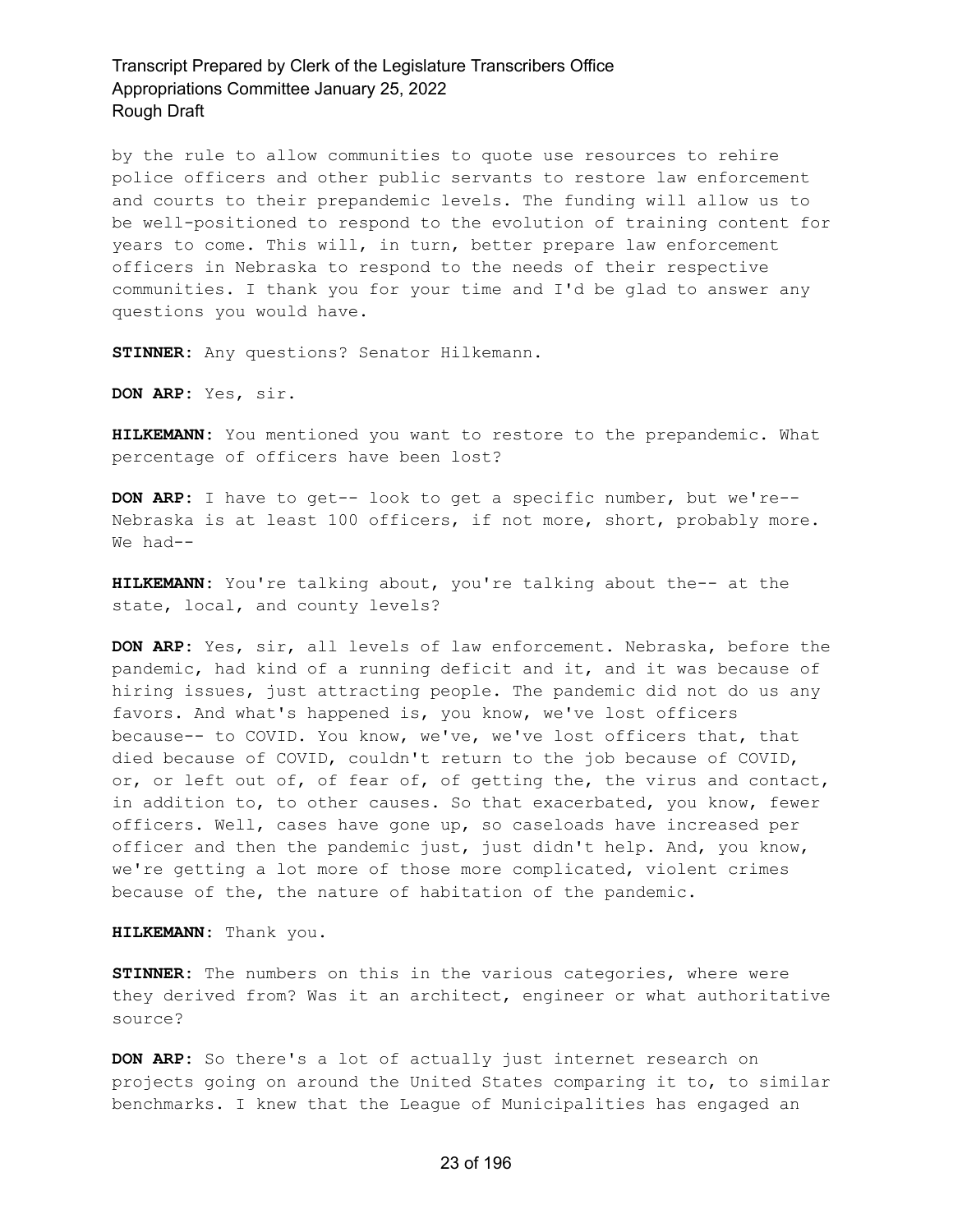by the rule to allow communities to quote use resources to rehire police officers and other public servants to restore law enforcement and courts to their prepandemic levels. The funding will allow us to be well-positioned to respond to the evolution of training content for years to come. This will, in turn, better prepare law enforcement officers in Nebraska to respond to the needs of their respective communities. I thank you for your time and I'd be glad to answer any questions you would have.

**STINNER:** Any questions? Senator Hilkemann.

**DON ARP:** Yes, sir.

**HILKEMANN:** You mentioned you want to restore to the prepandemic. What percentage of officers have been lost?

**DON ARP:** I have to get-- look to get a specific number, but we're-- Nebraska is at least 100 officers, if not more, short, probably more. We had--

**HILKEMANN:** You're talking about, you're talking about the-- at the state, local, and county levels?

**DON ARP:** Yes, sir, all levels of law enforcement. Nebraska, before the pandemic, had kind of a running deficit and it, and it was because of hiring issues, just attracting people. The pandemic did not do us any favors. And what's happened is, you know, we've lost officers because-- to COVID. You know, we've, we've lost officers that, that died because of COVID, couldn't return to the job because of COVID, or, or left out of, of fear of, of getting the, the virus and contact, in addition to, to other causes. So that exacerbated, you know, fewer officers. Well, cases have gone up, so caseloads have increased per officer and then the pandemic just, just didn't help. And, you know, we're getting a lot more of those more complicated, violent crimes because of the, the nature of habitation of the pandemic.

**HILKEMANN:** Thank you.

**STINNER:** The numbers on this in the various categories, where were they derived from? Was it an architect, engineer or what authoritative source?

**DON ARP:** So there's a lot of actually just internet research on projects going on around the United States comparing it to, to similar benchmarks. I knew that the League of Municipalities has engaged an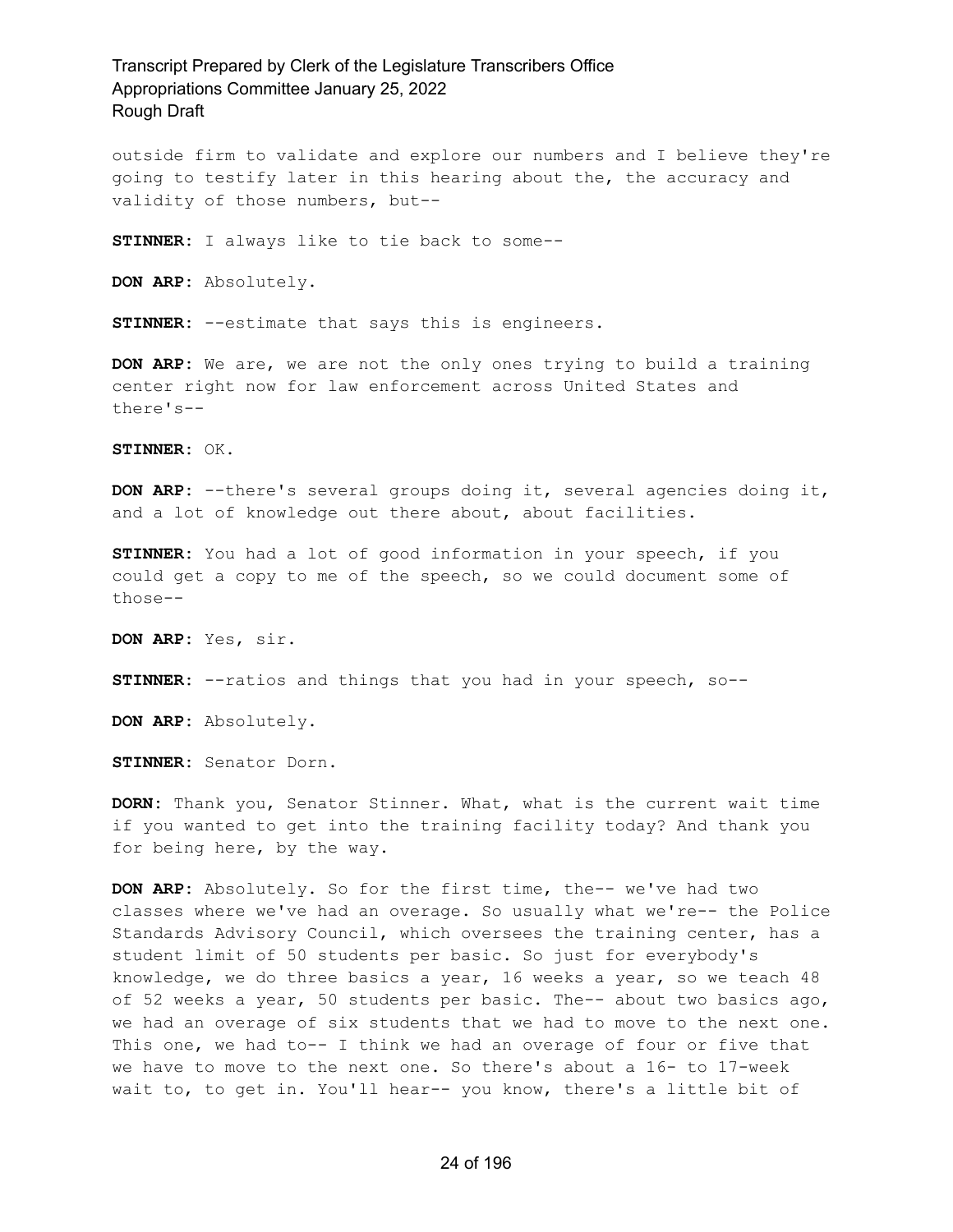outside firm to validate and explore our numbers and I believe they're going to testify later in this hearing about the, the accuracy and validity of those numbers, but--

**STINNER:** I always like to tie back to some--

**DON ARP:** Absolutely.

**STINNER:** --estimate that says this is engineers.

**DON ARP:** We are, we are not the only ones trying to build a training center right now for law enforcement across United States and there's--

**STINNER:** OK.

**DON ARP:** --there's several groups doing it, several agencies doing it, and a lot of knowledge out there about, about facilities.

**STINNER:** You had a lot of good information in your speech, if you could get a copy to me of the speech, so we could document some of those--

**DON ARP:** Yes, sir.

**STINNER:** --ratios and things that you had in your speech, so--

**DON ARP:** Absolutely.

**STINNER:** Senator Dorn.

**DORN:** Thank you, Senator Stinner. What, what is the current wait time if you wanted to get into the training facility today? And thank you for being here, by the way.

**DON ARP:** Absolutely. So for the first time, the-- we've had two classes where we've had an overage. So usually what we're-- the Police Standards Advisory Council, which oversees the training center, has a student limit of 50 students per basic. So just for everybody's knowledge, we do three basics a year, 16 weeks a year, so we teach 48 of 52 weeks a year, 50 students per basic. The-- about two basics ago, we had an overage of six students that we had to move to the next one. This one, we had to-- I think we had an overage of four or five that we have to move to the next one. So there's about a 16- to 17-week wait to, to get in. You'll hear-- you know, there's a little bit of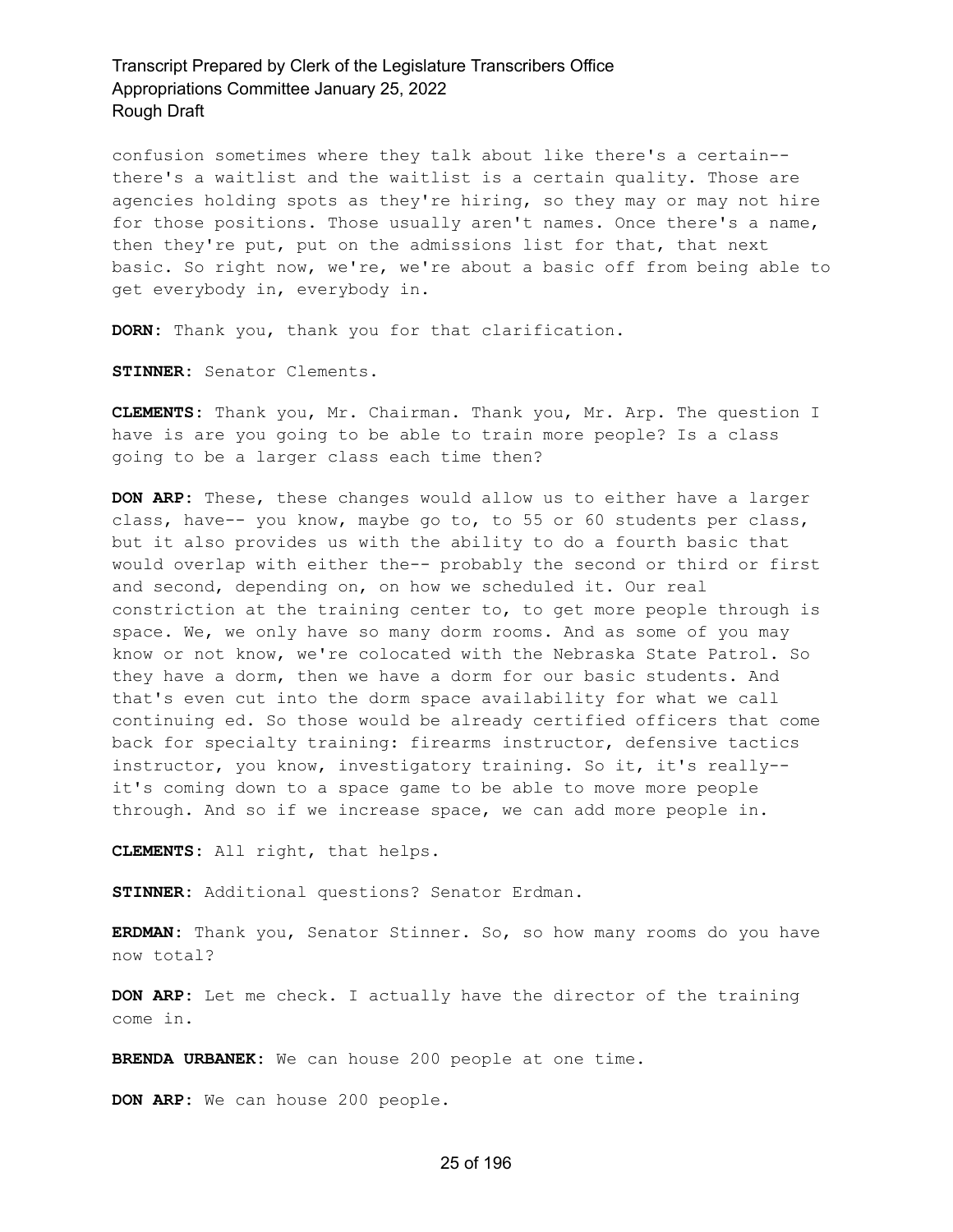confusion sometimes where they talk about like there's a certain- there's a waitlist and the waitlist is a certain quality. Those are agencies holding spots as they're hiring, so they may or may not hire for those positions. Those usually aren't names. Once there's a name, then they're put, put on the admissions list for that, that next basic. So right now, we're, we're about a basic off from being able to get everybody in, everybody in.

**DORN:** Thank you, thank you for that clarification.

**STINNER:** Senator Clements.

**CLEMENTS:** Thank you, Mr. Chairman. Thank you, Mr. Arp. The question I have is are you going to be able to train more people? Is a class going to be a larger class each time then?

**DON ARP:** These, these changes would allow us to either have a larger class, have-- you know, maybe go to, to 55 or 60 students per class, but it also provides us with the ability to do a fourth basic that would overlap with either the-- probably the second or third or first and second, depending on, on how we scheduled it. Our real constriction at the training center to, to get more people through is space. We, we only have so many dorm rooms. And as some of you may know or not know, we're colocated with the Nebraska State Patrol. So they have a dorm, then we have a dorm for our basic students. And that's even cut into the dorm space availability for what we call continuing ed. So those would be already certified officers that come back for specialty training: firearms instructor, defensive tactics instructor, you know, investigatory training. So it, it's really- it's coming down to a space game to be able to move more people through. And so if we increase space, we can add more people in.

**CLEMENTS:** All right, that helps.

**STINNER:** Additional questions? Senator Erdman.

**ERDMAN:** Thank you, Senator Stinner. So, so how many rooms do you have now total?

**DON ARP:** Let me check. I actually have the director of the training come in.

**BRENDA URBANEK:** We can house 200 people at one time.

**DON ARP:** We can house 200 people.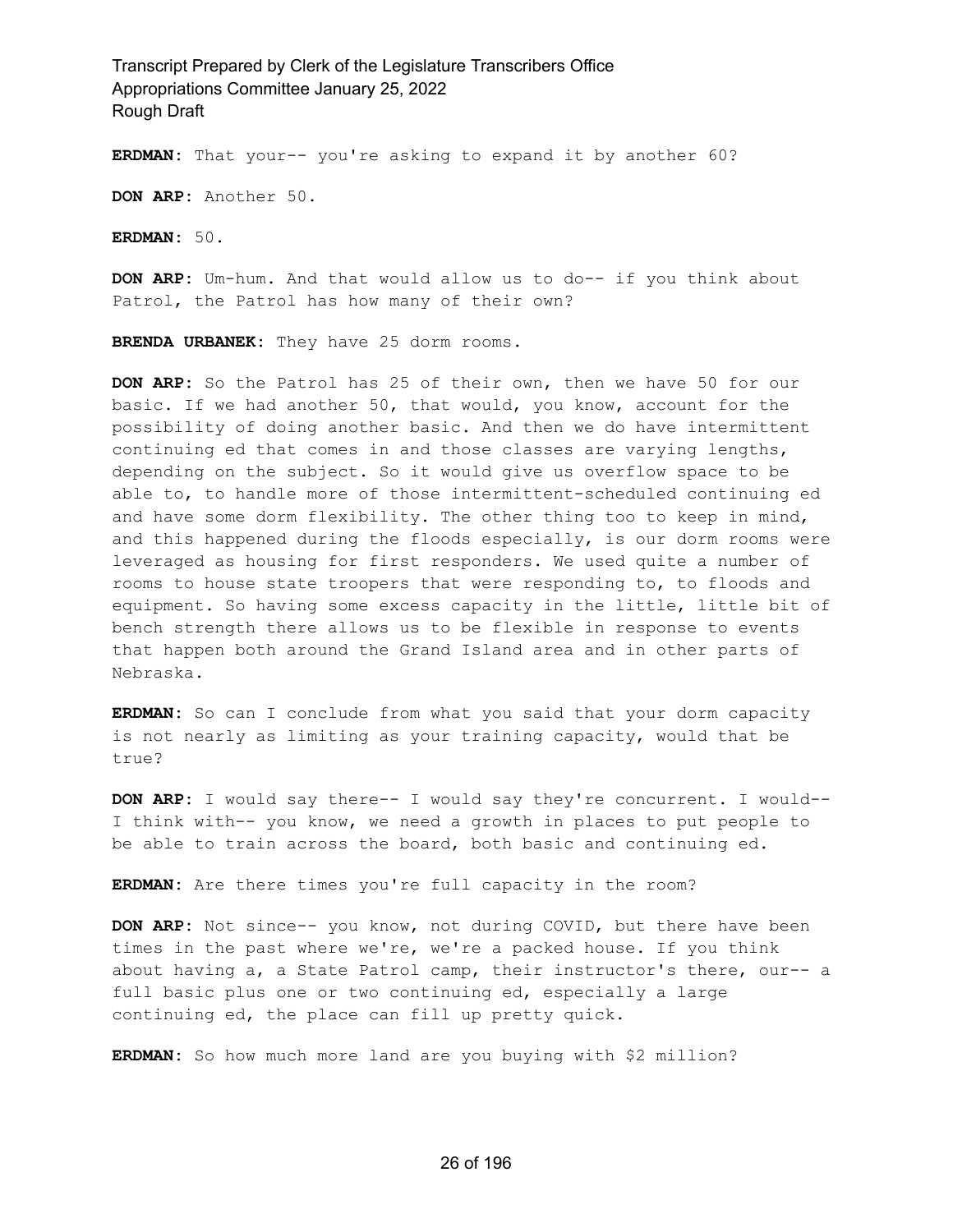**ERDMAN:** That your-- you're asking to expand it by another 60?

**DON ARP:** Another 50.

**ERDMAN:** 50.

**DON ARP:** Um-hum. And that would allow us to do-- if you think about Patrol, the Patrol has how many of their own?

**BRENDA URBANEK:** They have 25 dorm rooms.

**DON ARP:** So the Patrol has 25 of their own, then we have 50 for our basic. If we had another 50, that would, you know, account for the possibility of doing another basic. And then we do have intermittent continuing ed that comes in and those classes are varying lengths, depending on the subject. So it would give us overflow space to be able to, to handle more of those intermittent-scheduled continuing ed and have some dorm flexibility. The other thing too to keep in mind, and this happened during the floods especially, is our dorm rooms were leveraged as housing for first responders. We used quite a number of rooms to house state troopers that were responding to, to floods and equipment. So having some excess capacity in the little, little bit of bench strength there allows us to be flexible in response to events that happen both around the Grand Island area and in other parts of Nebraska.

**ERDMAN:** So can I conclude from what you said that your dorm capacity is not nearly as limiting as your training capacity, would that be true?

**DON ARP:** I would say there-- I would say they're concurrent. I would-- I think with-- you know, we need a growth in places to put people to be able to train across the board, both basic and continuing ed.

**ERDMAN:** Are there times you're full capacity in the room?

**DON ARP:** Not since-- you know, not during COVID, but there have been times in the past where we're, we're a packed house. If you think about having a, a State Patrol camp, their instructor's there, our-- a full basic plus one or two continuing ed, especially a large continuing ed, the place can fill up pretty quick.

**ERDMAN:** So how much more land are you buying with \$2 million?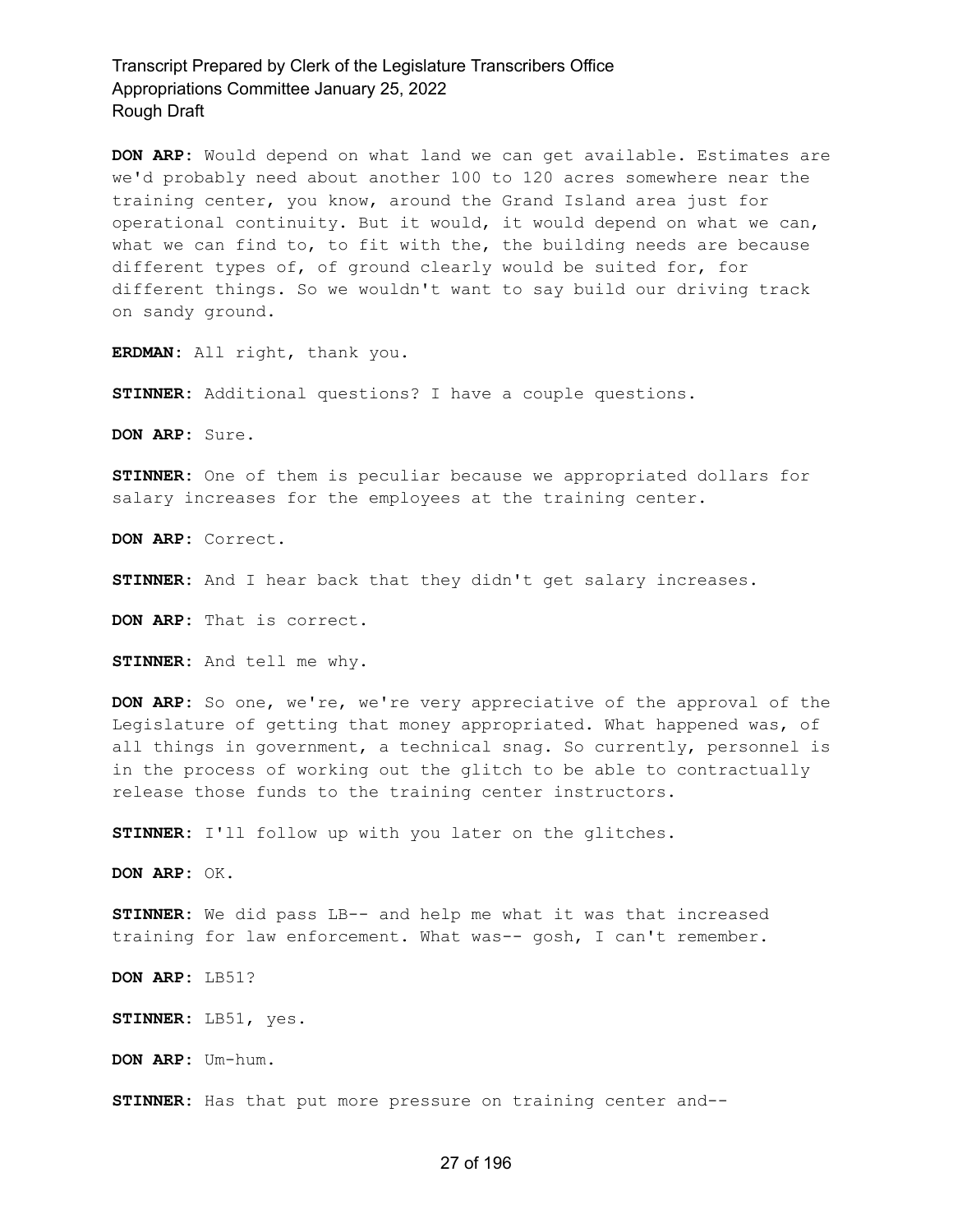**DON ARP:** Would depend on what land we can get available. Estimates are we'd probably need about another 100 to 120 acres somewhere near the training center, you know, around the Grand Island area just for operational continuity. But it would, it would depend on what we can, what we can find to, to fit with the, the building needs are because different types of, of ground clearly would be suited for, for different things. So we wouldn't want to say build our driving track on sandy ground.

**ERDMAN:** All right, thank you.

**STINNER:** Additional questions? I have a couple questions.

**DON ARP:** Sure.

**STINNER:** One of them is peculiar because we appropriated dollars for salary increases for the employees at the training center.

**DON ARP:** Correct.

**STINNER:** And I hear back that they didn't get salary increases.

**DON ARP:** That is correct.

**STINNER:** And tell me why.

**DON ARP:** So one, we're, we're very appreciative of the approval of the Legislature of getting that money appropriated. What happened was, of all things in government, a technical snag. So currently, personnel is in the process of working out the glitch to be able to contractually release those funds to the training center instructors.

**STINNER:** I'll follow up with you later on the glitches.

**DON ARP:** OK.

**STINNER:** We did pass LB-- and help me what it was that increased training for law enforcement. What was-- gosh, I can't remember.

**DON ARP:** LB51?

**STINNER:** LB51, yes.

**DON ARP:** Um-hum.

**STINNER:** Has that put more pressure on training center and--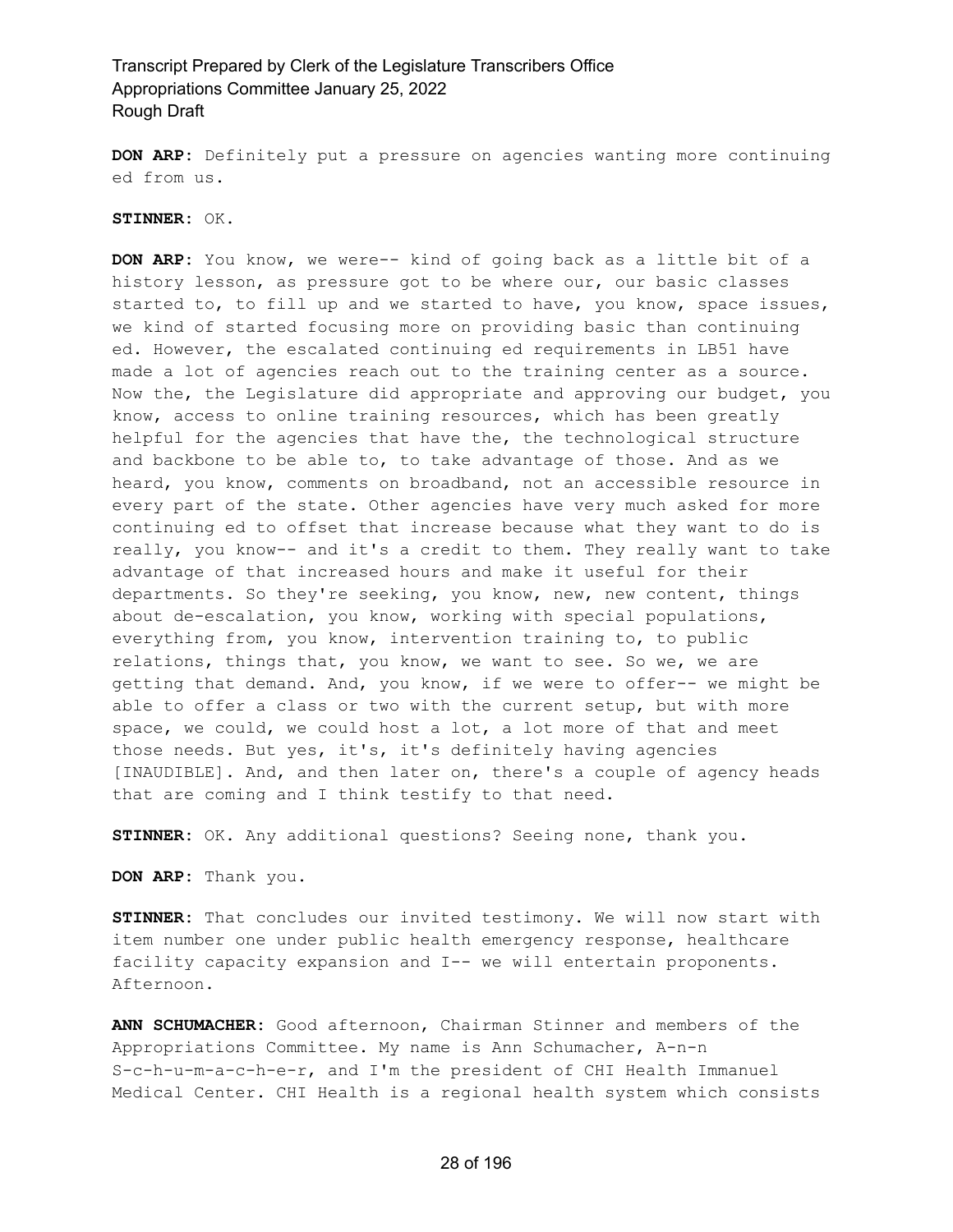**DON ARP:** Definitely put a pressure on agencies wanting more continuing ed from us.

#### **STINNER:** OK.

**DON ARP:** You know, we were-- kind of going back as a little bit of a history lesson, as pressure got to be where our, our basic classes started to, to fill up and we started to have, you know, space issues, we kind of started focusing more on providing basic than continuing ed. However, the escalated continuing ed requirements in LB51 have made a lot of agencies reach out to the training center as a source. Now the, the Legislature did appropriate and approving our budget, you know, access to online training resources, which has been greatly helpful for the agencies that have the, the technological structure and backbone to be able to, to take advantage of those. And as we heard, you know, comments on broadband, not an accessible resource in every part of the state. Other agencies have very much asked for more continuing ed to offset that increase because what they want to do is really, you know-- and it's a credit to them. They really want to take advantage of that increased hours and make it useful for their departments. So they're seeking, you know, new, new content, things about de-escalation, you know, working with special populations, everything from, you know, intervention training to, to public relations, things that, you know, we want to see. So we, we are getting that demand. And, you know, if we were to offer-- we might be able to offer a class or two with the current setup, but with more space, we could, we could host a lot, a lot more of that and meet those needs. But yes, it's, it's definitely having agencies [INAUDIBLE]. And, and then later on, there's a couple of agency heads that are coming and I think testify to that need.

**STINNER:** OK. Any additional questions? Seeing none, thank you.

**DON ARP:** Thank you.

**STINNER:** That concludes our invited testimony. We will now start with item number one under public health emergency response, healthcare facility capacity expansion and I-- we will entertain proponents. Afternoon.

**ANN SCHUMACHER:** Good afternoon, Chairman Stinner and members of the Appropriations Committee. My name is Ann Schumacher, A-n-n S-c-h-u-m-a-c-h-e-r, and I'm the president of CHI Health Immanuel Medical Center. CHI Health is a regional health system which consists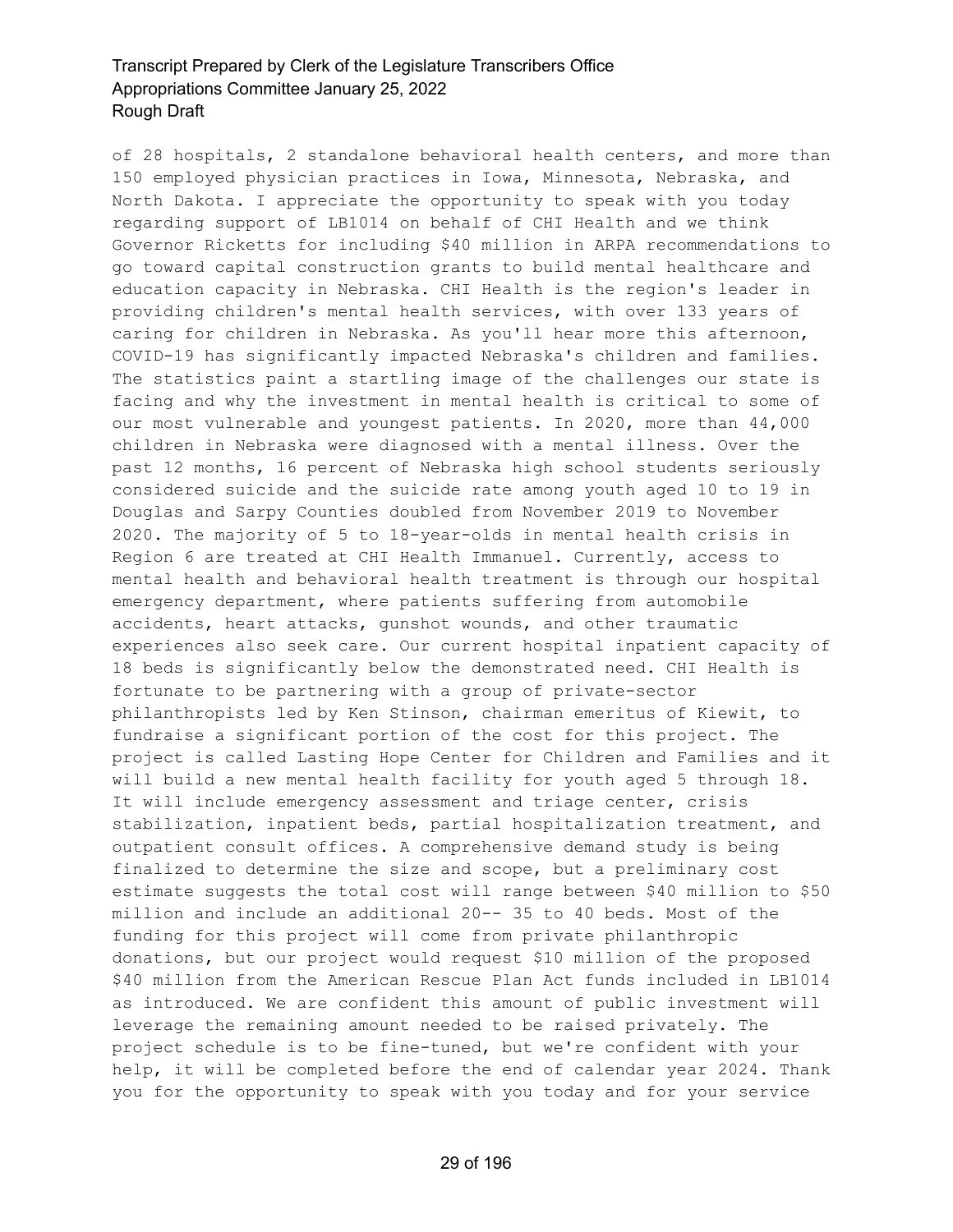of 28 hospitals, 2 standalone behavioral health centers, and more than 150 employed physician practices in Iowa, Minnesota, Nebraska, and North Dakota. I appreciate the opportunity to speak with you today regarding support of LB1014 on behalf of CHI Health and we think Governor Ricketts for including \$40 million in ARPA recommendations to go toward capital construction grants to build mental healthcare and education capacity in Nebraska. CHI Health is the region's leader in providing children's mental health services, with over 133 years of caring for children in Nebraska. As you'll hear more this afternoon, COVID-19 has significantly impacted Nebraska's children and families. The statistics paint a startling image of the challenges our state is facing and why the investment in mental health is critical to some of our most vulnerable and youngest patients. In 2020, more than 44,000 children in Nebraska were diagnosed with a mental illness. Over the past 12 months, 16 percent of Nebraska high school students seriously considered suicide and the suicide rate among youth aged 10 to 19 in Douglas and Sarpy Counties doubled from November 2019 to November 2020. The majority of 5 to 18-year-olds in mental health crisis in Region 6 are treated at CHI Health Immanuel. Currently, access to mental health and behavioral health treatment is through our hospital emergency department, where patients suffering from automobile accidents, heart attacks, gunshot wounds, and other traumatic experiences also seek care. Our current hospital inpatient capacity of 18 beds is significantly below the demonstrated need. CHI Health is fortunate to be partnering with a group of private-sector philanthropists led by Ken Stinson, chairman emeritus of Kiewit, to fundraise a significant portion of the cost for this project. The project is called Lasting Hope Center for Children and Families and it will build a new mental health facility for youth aged 5 through 18. It will include emergency assessment and triage center, crisis stabilization, inpatient beds, partial hospitalization treatment, and outpatient consult offices. A comprehensive demand study is being finalized to determine the size and scope, but a preliminary cost estimate suggests the total cost will range between \$40 million to \$50 million and include an additional 20-- 35 to 40 beds. Most of the funding for this project will come from private philanthropic donations, but our project would request \$10 million of the proposed \$40 million from the American Rescue Plan Act funds included in LB1014 as introduced. We are confident this amount of public investment will leverage the remaining amount needed to be raised privately. The project schedule is to be fine-tuned, but we're confident with your help, it will be completed before the end of calendar year 2024. Thank you for the opportunity to speak with you today and for your service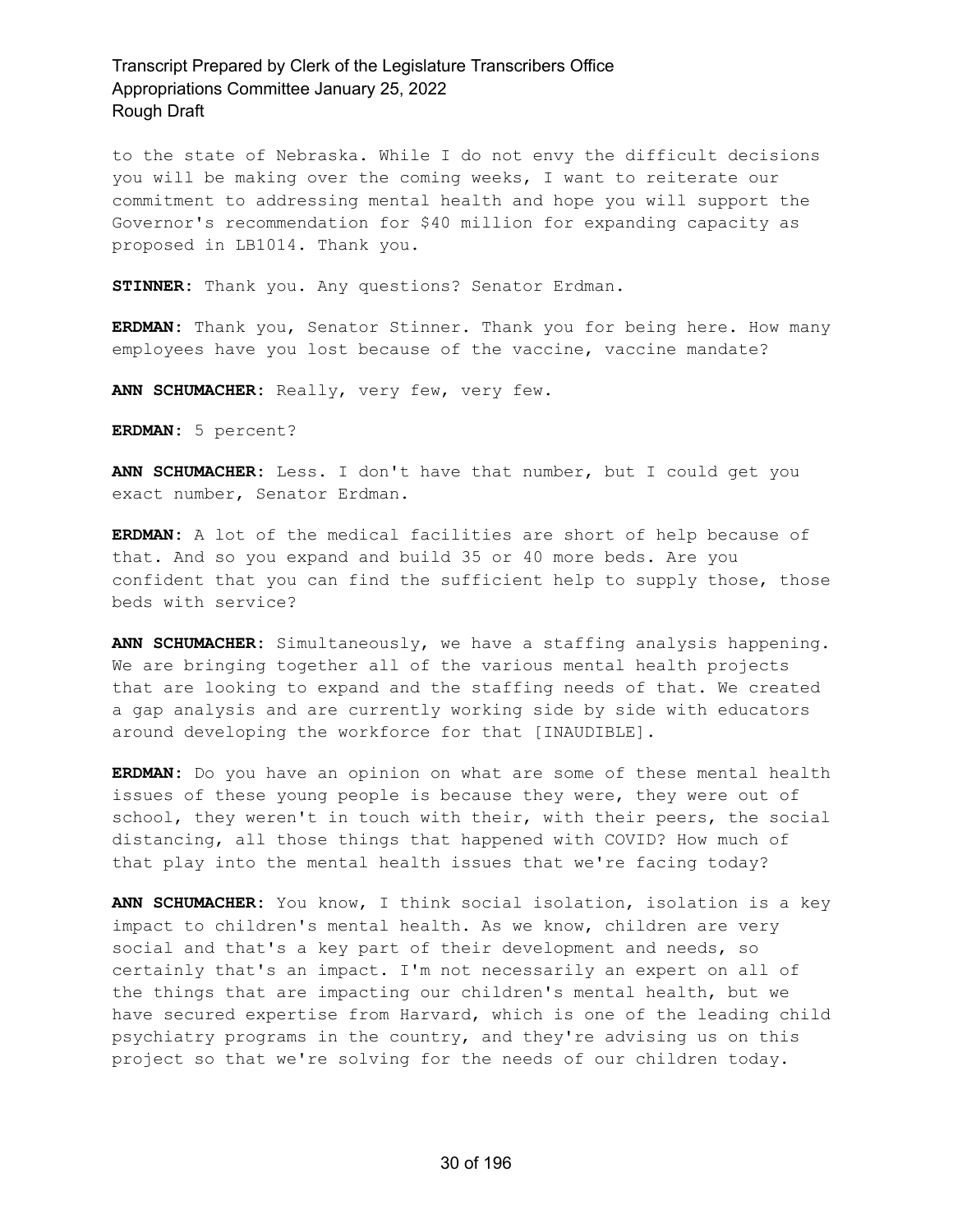to the state of Nebraska. While I do not envy the difficult decisions you will be making over the coming weeks, I want to reiterate our commitment to addressing mental health and hope you will support the Governor's recommendation for \$40 million for expanding capacity as proposed in LB1014. Thank you.

**STINNER:** Thank you. Any questions? Senator Erdman.

**ERDMAN:** Thank you, Senator Stinner. Thank you for being here. How many employees have you lost because of the vaccine, vaccine mandate?

**ANN SCHUMACHER:** Really, very few, very few.

**ERDMAN:** 5 percent?

**ANN SCHUMACHER:** Less. I don't have that number, but I could get you exact number, Senator Erdman.

**ERDMAN:** A lot of the medical facilities are short of help because of that. And so you expand and build 35 or 40 more beds. Are you confident that you can find the sufficient help to supply those, those beds with service?

**ANN SCHUMACHER:** Simultaneously, we have a staffing analysis happening. We are bringing together all of the various mental health projects that are looking to expand and the staffing needs of that. We created a gap analysis and are currently working side by side with educators around developing the workforce for that [INAUDIBLE].

**ERDMAN:** Do you have an opinion on what are some of these mental health issues of these young people is because they were, they were out of school, they weren't in touch with their, with their peers, the social distancing, all those things that happened with COVID? How much of that play into the mental health issues that we're facing today?

**ANN SCHUMACHER:** You know, I think social isolation, isolation is a key impact to children's mental health. As we know, children are very social and that's a key part of their development and needs, so certainly that's an impact. I'm not necessarily an expert on all of the things that are impacting our children's mental health, but we have secured expertise from Harvard, which is one of the leading child psychiatry programs in the country, and they're advising us on this project so that we're solving for the needs of our children today.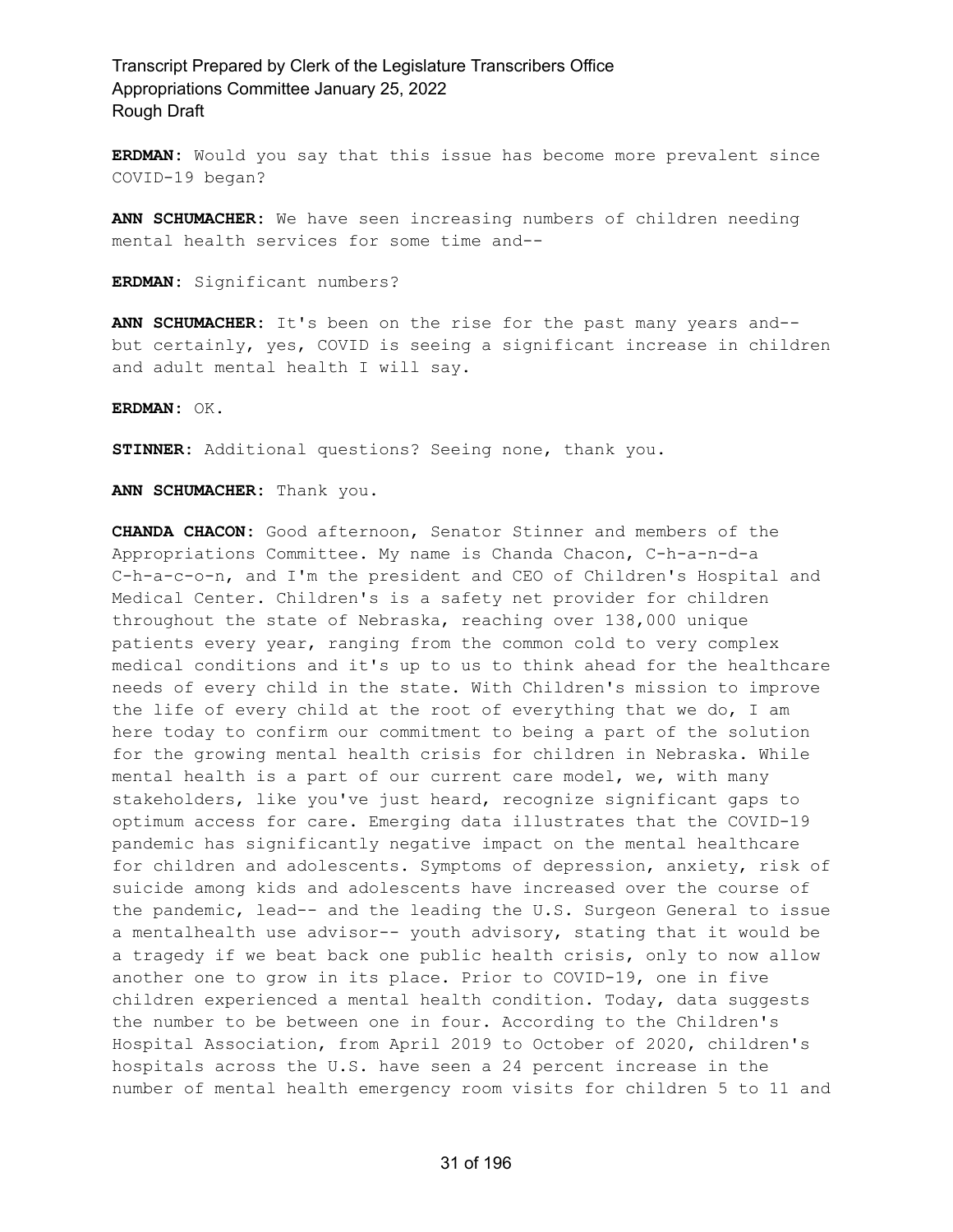**ERDMAN:** Would you say that this issue has become more prevalent since COVID-19 began?

**ANN SCHUMACHER:** We have seen increasing numbers of children needing mental health services for some time and--

**ERDMAN:** Significant numbers?

**ANN SCHUMACHER:** It's been on the rise for the past many years and- but certainly, yes, COVID is seeing a significant increase in children and adult mental health I will say.

**ERDMAN:** OK.

**STINNER:** Additional questions? Seeing none, thank you.

**ANN SCHUMACHER:** Thank you.

**CHANDA CHACON:** Good afternoon, Senator Stinner and members of the Appropriations Committee. My name is Chanda Chacon, C-h-a-n-d-a C-h-a-c-o-n, and I'm the president and CEO of Children's Hospital and Medical Center. Children's is a safety net provider for children throughout the state of Nebraska, reaching over 138,000 unique patients every year, ranging from the common cold to very complex medical conditions and it's up to us to think ahead for the healthcare needs of every child in the state. With Children's mission to improve the life of every child at the root of everything that we do, I am here today to confirm our commitment to being a part of the solution for the growing mental health crisis for children in Nebraska. While mental health is a part of our current care model, we, with many stakeholders, like you've just heard, recognize significant gaps to optimum access for care. Emerging data illustrates that the COVID-19 pandemic has significantly negative impact on the mental healthcare for children and adolescents. Symptoms of depression, anxiety, risk of suicide among kids and adolescents have increased over the course of the pandemic, lead-- and the leading the U.S. Surgeon General to issue a mentalhealth use advisor-- youth advisory, stating that it would be a tragedy if we beat back one public health crisis, only to now allow another one to grow in its place. Prior to COVID-19, one in five children experienced a mental health condition. Today, data suggests the number to be between one in four. According to the Children's Hospital Association, from April 2019 to October of 2020, children's hospitals across the U.S. have seen a 24 percent increase in the number of mental health emergency room visits for children 5 to 11 and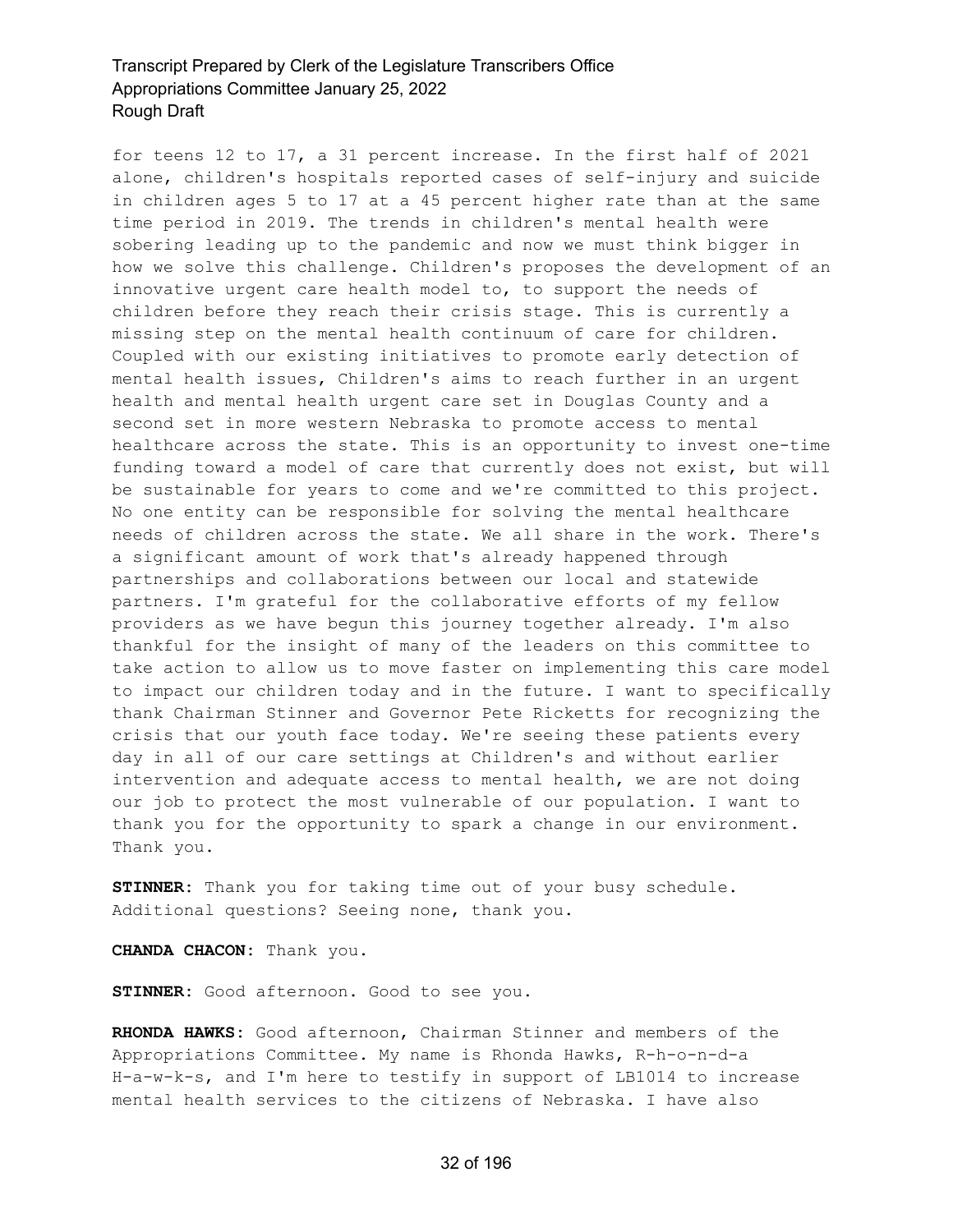for teens 12 to 17, a 31 percent increase. In the first half of 2021 alone, children's hospitals reported cases of self-injury and suicide in children ages 5 to 17 at a 45 percent higher rate than at the same time period in 2019. The trends in children's mental health were sobering leading up to the pandemic and now we must think bigger in how we solve this challenge. Children's proposes the development of an innovative urgent care health model to, to support the needs of children before they reach their crisis stage. This is currently a missing step on the mental health continuum of care for children. Coupled with our existing initiatives to promote early detection of mental health issues, Children's aims to reach further in an urgent health and mental health urgent care set in Douglas County and a second set in more western Nebraska to promote access to mental healthcare across the state. This is an opportunity to invest one-time funding toward a model of care that currently does not exist, but will be sustainable for years to come and we're committed to this project. No one entity can be responsible for solving the mental healthcare needs of children across the state. We all share in the work. There's a significant amount of work that's already happened through partnerships and collaborations between our local and statewide partners. I'm grateful for the collaborative efforts of my fellow providers as we have begun this journey together already. I'm also thankful for the insight of many of the leaders on this committee to take action to allow us to move faster on implementing this care model to impact our children today and in the future. I want to specifically thank Chairman Stinner and Governor Pete Ricketts for recognizing the crisis that our youth face today. We're seeing these patients every day in all of our care settings at Children's and without earlier intervention and adequate access to mental health, we are not doing our job to protect the most vulnerable of our population. I want to thank you for the opportunity to spark a change in our environment. Thank you.

**STINNER:** Thank you for taking time out of your busy schedule. Additional questions? Seeing none, thank you.

**CHANDA CHACON:** Thank you.

**STINNER:** Good afternoon. Good to see you.

**RHONDA HAWKS:** Good afternoon, Chairman Stinner and members of the Appropriations Committee. My name is Rhonda Hawks, R-h-o-n-d-a H-a-w-k-s, and I'm here to testify in support of LB1014 to increase mental health services to the citizens of Nebraska. I have also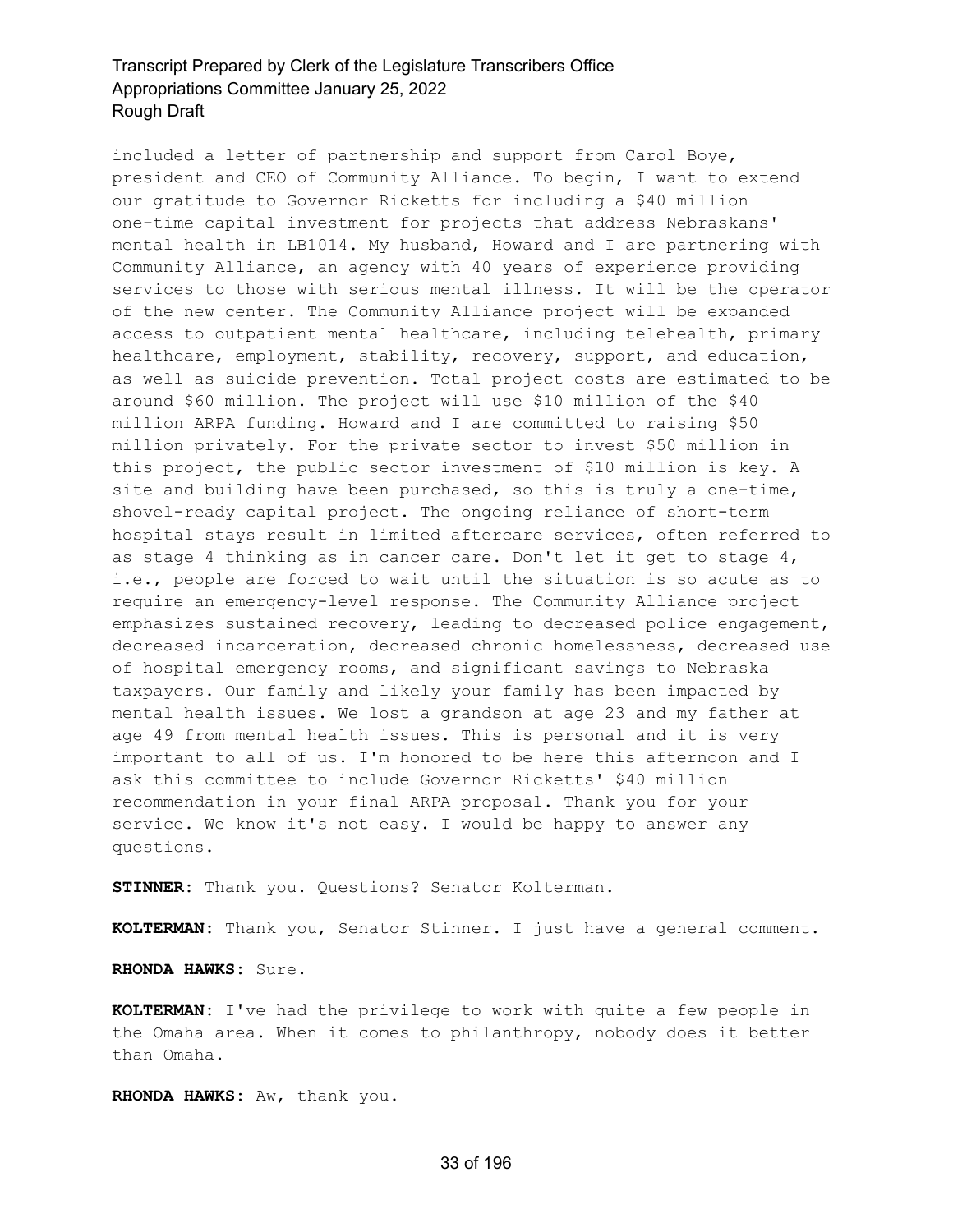included a letter of partnership and support from Carol Boye, president and CEO of Community Alliance. To begin, I want to extend our gratitude to Governor Ricketts for including a \$40 million one-time capital investment for projects that address Nebraskans' mental health in LB1014. My husband, Howard and I are partnering with Community Alliance, an agency with 40 years of experience providing services to those with serious mental illness. It will be the operator of the new center. The Community Alliance project will be expanded access to outpatient mental healthcare, including telehealth, primary healthcare, employment, stability, recovery, support, and education, as well as suicide prevention. Total project costs are estimated to be around \$60 million. The project will use \$10 million of the \$40 million ARPA funding. Howard and I are committed to raising \$50 million privately. For the private sector to invest \$50 million in this project, the public sector investment of \$10 million is key. A site and building have been purchased, so this is truly a one-time, shovel-ready capital project. The ongoing reliance of short-term hospital stays result in limited aftercare services, often referred to as stage 4 thinking as in cancer care. Don't let it get to stage 4, i.e., people are forced to wait until the situation is so acute as to require an emergency-level response. The Community Alliance project emphasizes sustained recovery, leading to decreased police engagement, decreased incarceration, decreased chronic homelessness, decreased use of hospital emergency rooms, and significant savings to Nebraska taxpayers. Our family and likely your family has been impacted by mental health issues. We lost a grandson at age 23 and my father at age 49 from mental health issues. This is personal and it is very important to all of us. I'm honored to be here this afternoon and I ask this committee to include Governor Ricketts' \$40 million recommendation in your final ARPA proposal. Thank you for your service. We know it's not easy. I would be happy to answer any questions.

**STINNER:** Thank you. Questions? Senator Kolterman.

**KOLTERMAN:** Thank you, Senator Stinner. I just have a general comment.

**RHONDA HAWKS:** Sure.

**KOLTERMAN:** I've had the privilege to work with quite a few people in the Omaha area. When it comes to philanthropy, nobody does it better than Omaha.

**RHONDA HAWKS:** Aw, thank you.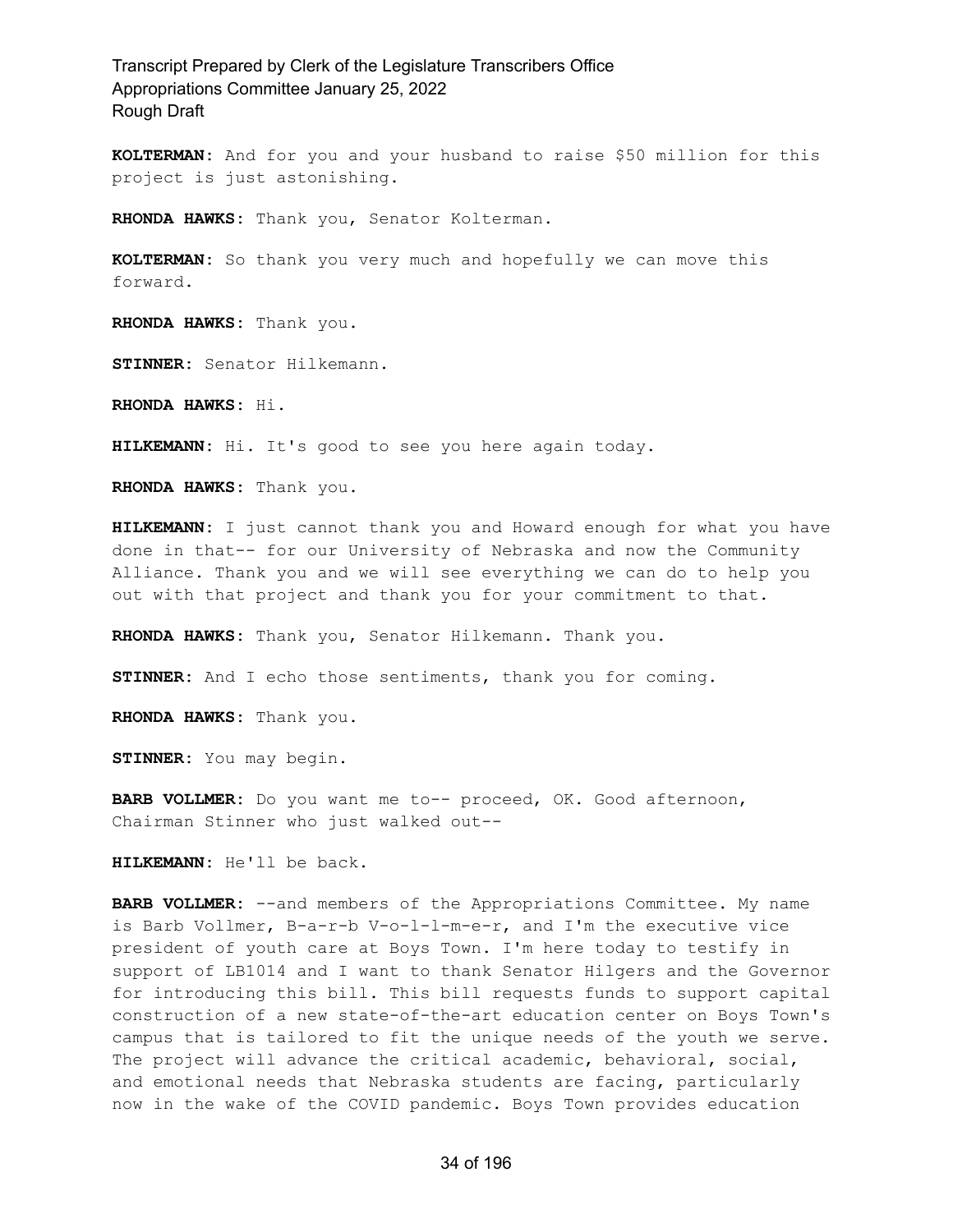**KOLTERMAN:** And for you and your husband to raise \$50 million for this project is just astonishing.

**RHONDA HAWKS:** Thank you, Senator Kolterman.

**KOLTERMAN:** So thank you very much and hopefully we can move this forward.

**RHONDA HAWKS:** Thank you.

**STINNER:** Senator Hilkemann.

**RHONDA HAWKS:** Hi.

**HILKEMANN:** Hi. It's good to see you here again today.

**RHONDA HAWKS:** Thank you.

**HILKEMANN:** I just cannot thank you and Howard enough for what you have done in that-- for our University of Nebraska and now the Community Alliance. Thank you and we will see everything we can do to help you out with that project and thank you for your commitment to that.

**RHONDA HAWKS:** Thank you, Senator Hilkemann. Thank you.

**STINNER:** And I echo those sentiments, thank you for coming.

**RHONDA HAWKS:** Thank you.

**STINNER:** You may begin.

**BARB VOLLMER:** Do you want me to-- proceed, OK. Good afternoon, Chairman Stinner who just walked out--

**HILKEMANN:** He'll be back.

**BARB VOLLMER:** --and members of the Appropriations Committee. My name is Barb Vollmer, B-a-r-b V-o-l-l-m-e-r, and I'm the executive vice president of youth care at Boys Town. I'm here today to testify in support of LB1014 and I want to thank Senator Hilgers and the Governor for introducing this bill. This bill requests funds to support capital construction of a new state-of-the-art education center on Boys Town's campus that is tailored to fit the unique needs of the youth we serve. The project will advance the critical academic, behavioral, social, and emotional needs that Nebraska students are facing, particularly now in the wake of the COVID pandemic. Boys Town provides education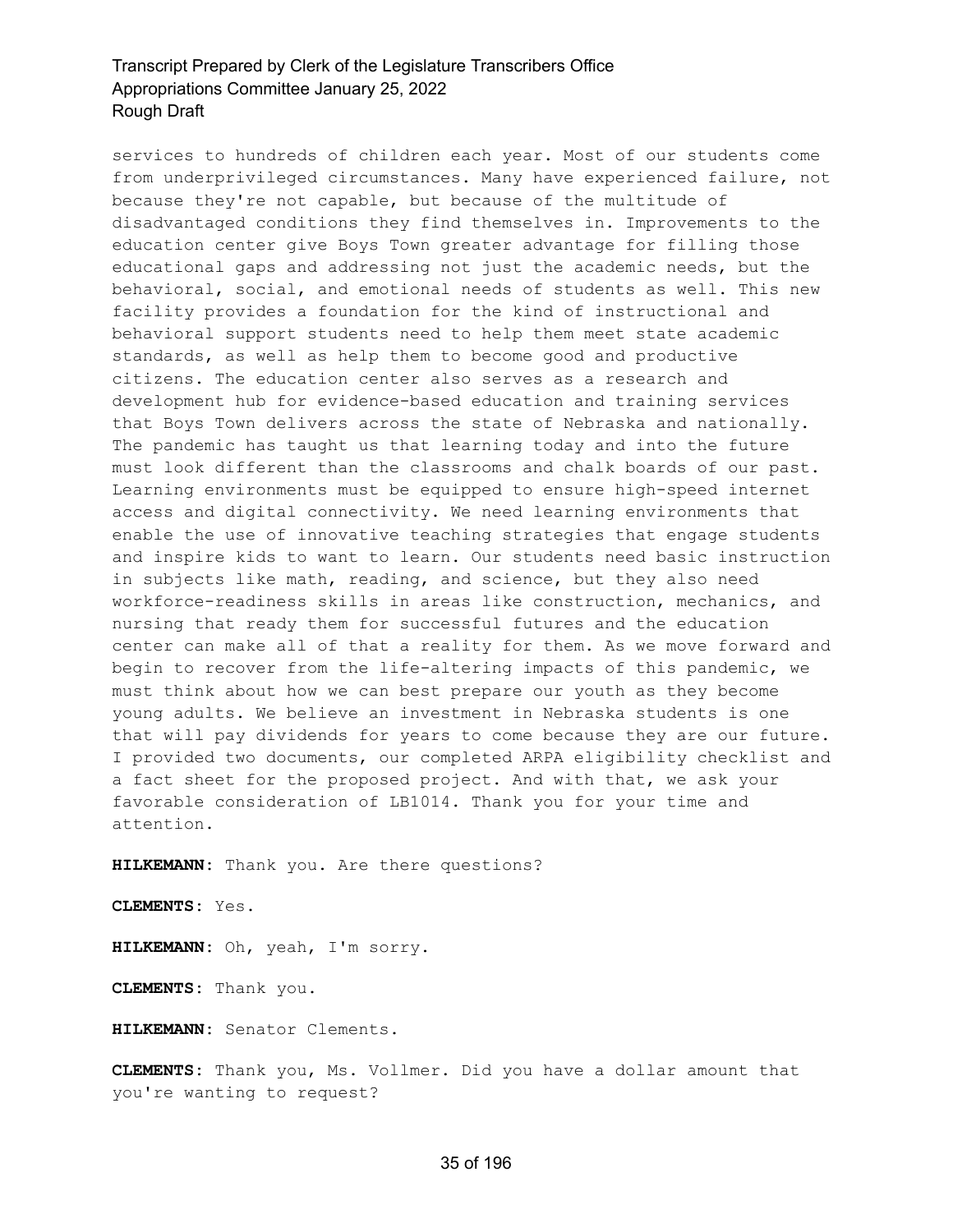services to hundreds of children each year. Most of our students come from underprivileged circumstances. Many have experienced failure, not because they're not capable, but because of the multitude of disadvantaged conditions they find themselves in. Improvements to the education center give Boys Town greater advantage for filling those educational gaps and addressing not just the academic needs, but the behavioral, social, and emotional needs of students as well. This new facility provides a foundation for the kind of instructional and behavioral support students need to help them meet state academic standards, as well as help them to become good and productive citizens. The education center also serves as a research and development hub for evidence-based education and training services that Boys Town delivers across the state of Nebraska and nationally. The pandemic has taught us that learning today and into the future must look different than the classrooms and chalk boards of our past. Learning environments must be equipped to ensure high-speed internet access and digital connectivity. We need learning environments that enable the use of innovative teaching strategies that engage students and inspire kids to want to learn. Our students need basic instruction in subjects like math, reading, and science, but they also need workforce-readiness skills in areas like construction, mechanics, and nursing that ready them for successful futures and the education center can make all of that a reality for them. As we move forward and begin to recover from the life-altering impacts of this pandemic, we must think about how we can best prepare our youth as they become young adults. We believe an investment in Nebraska students is one that will pay dividends for years to come because they are our future. I provided two documents, our completed ARPA eligibility checklist and a fact sheet for the proposed project. And with that, we ask your favorable consideration of LB1014. Thank you for your time and attention.

**HILKEMANN:** Thank you. Are there questions?

**CLEMENTS:** Yes.

**HILKEMANN:** Oh, yeah, I'm sorry.

**CLEMENTS:** Thank you.

**HILKEMANN:** Senator Clements.

**CLEMENTS:** Thank you, Ms. Vollmer. Did you have a dollar amount that you're wanting to request?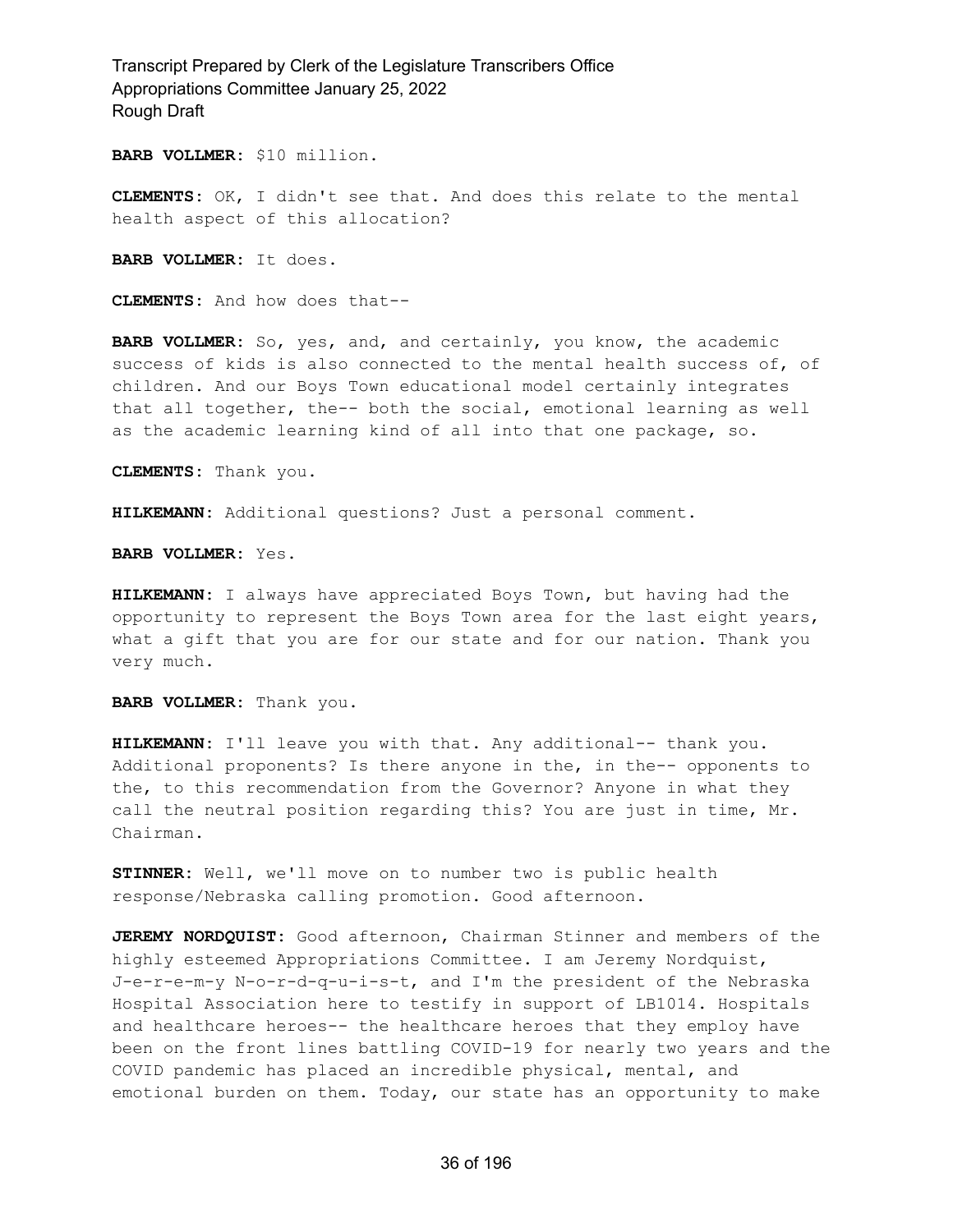**BARB VOLLMER:** \$10 million.

**CLEMENTS:** OK, I didn't see that. And does this relate to the mental health aspect of this allocation?

**BARB VOLLMER:** It does.

**CLEMENTS:** And how does that--

**BARB VOLLMER:** So, yes, and, and certainly, you know, the academic success of kids is also connected to the mental health success of, of children. And our Boys Town educational model certainly integrates that all together, the-- both the social, emotional learning as well as the academic learning kind of all into that one package, so.

**CLEMENTS:** Thank you.

**HILKEMANN:** Additional questions? Just a personal comment.

**BARB VOLLMER:** Yes.

**HILKEMANN:** I always have appreciated Boys Town, but having had the opportunity to represent the Boys Town area for the last eight years, what a gift that you are for our state and for our nation. Thank you very much.

**BARB VOLLMER:** Thank you.

**HILKEMANN:** I'll leave you with that. Any additional-- thank you. Additional proponents? Is there anyone in the, in the-- opponents to the, to this recommendation from the Governor? Anyone in what they call the neutral position regarding this? You are just in time, Mr. Chairman.

**STINNER:** Well, we'll move on to number two is public health response/Nebraska calling promotion. Good afternoon.

**JEREMY NORDQUIST:** Good afternoon, Chairman Stinner and members of the highly esteemed Appropriations Committee. I am Jeremy Nordquist, J-e-r-e-m-y N-o-r-d-q-u-i-s-t, and I'm the president of the Nebraska Hospital Association here to testify in support of LB1014. Hospitals and healthcare heroes-- the healthcare heroes that they employ have been on the front lines battling COVID-19 for nearly two years and the COVID pandemic has placed an incredible physical, mental, and emotional burden on them. Today, our state has an opportunity to make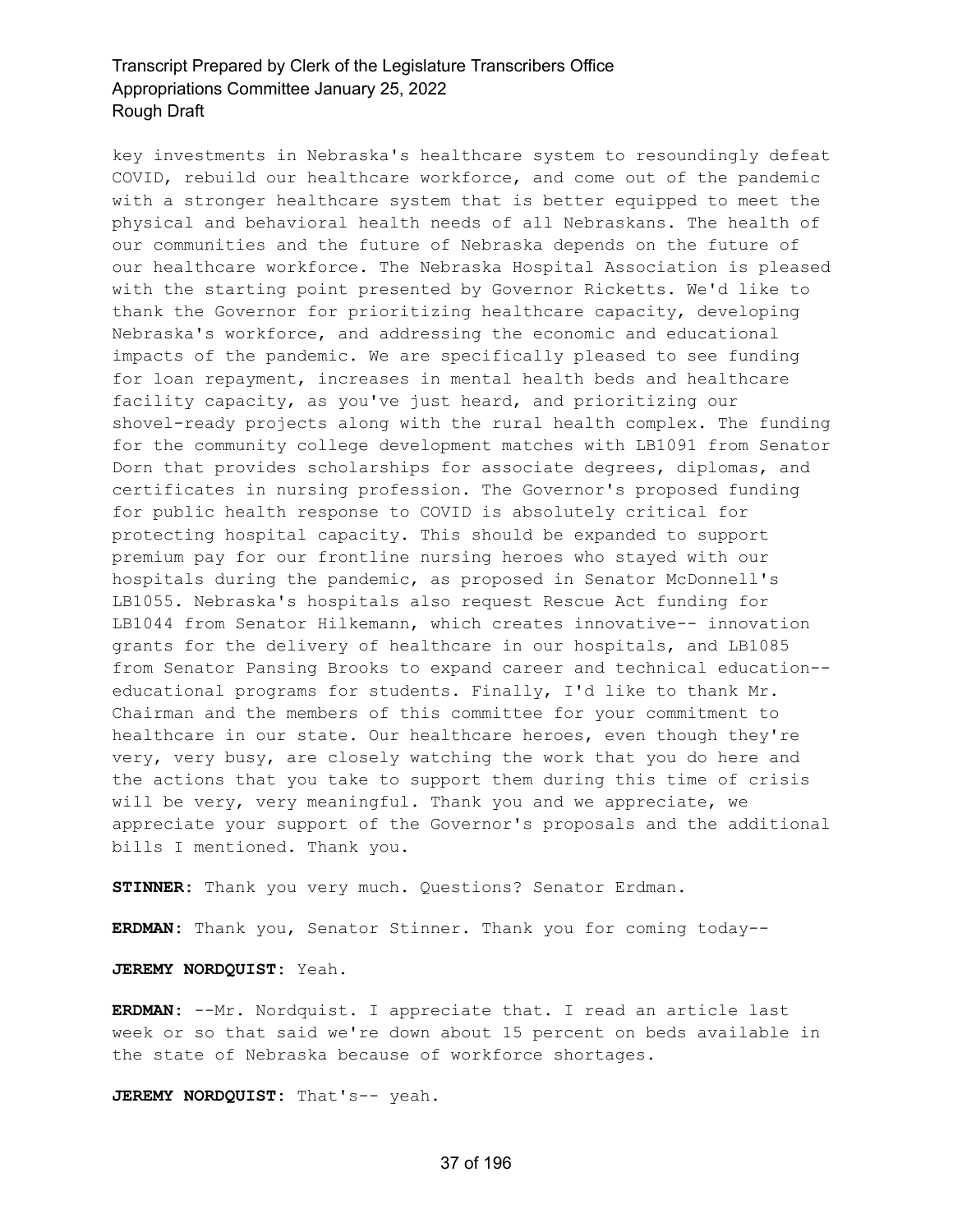key investments in Nebraska's healthcare system to resoundingly defeat COVID, rebuild our healthcare workforce, and come out of the pandemic with a stronger healthcare system that is better equipped to meet the physical and behavioral health needs of all Nebraskans. The health of our communities and the future of Nebraska depends on the future of our healthcare workforce. The Nebraska Hospital Association is pleased with the starting point presented by Governor Ricketts. We'd like to thank the Governor for prioritizing healthcare capacity, developing Nebraska's workforce, and addressing the economic and educational impacts of the pandemic. We are specifically pleased to see funding for loan repayment, increases in mental health beds and healthcare facility capacity, as you've just heard, and prioritizing our shovel-ready projects along with the rural health complex. The funding for the community college development matches with LB1091 from Senator Dorn that provides scholarships for associate degrees, diplomas, and certificates in nursing profession. The Governor's proposed funding for public health response to COVID is absolutely critical for protecting hospital capacity. This should be expanded to support premium pay for our frontline nursing heroes who stayed with our hospitals during the pandemic, as proposed in Senator McDonnell's LB1055. Nebraska's hospitals also request Rescue Act funding for LB1044 from Senator Hilkemann, which creates innovative-- innovation grants for the delivery of healthcare in our hospitals, and LB1085 from Senator Pansing Brooks to expand career and technical education- educational programs for students. Finally, I'd like to thank Mr. Chairman and the members of this committee for your commitment to healthcare in our state. Our healthcare heroes, even though they're very, very busy, are closely watching the work that you do here and the actions that you take to support them during this time of crisis will be very, very meaningful. Thank you and we appreciate, we appreciate your support of the Governor's proposals and the additional bills I mentioned. Thank you.

**STINNER:** Thank you very much. Questions? Senator Erdman.

**ERDMAN:** Thank you, Senator Stinner. Thank you for coming today--

**JEREMY NORDQUIST:** Yeah.

**ERDMAN:** --Mr. Nordquist. I appreciate that. I read an article last week or so that said we're down about 15 percent on beds available in the state of Nebraska because of workforce shortages.

**JEREMY NORDQUIST:** That's-- yeah.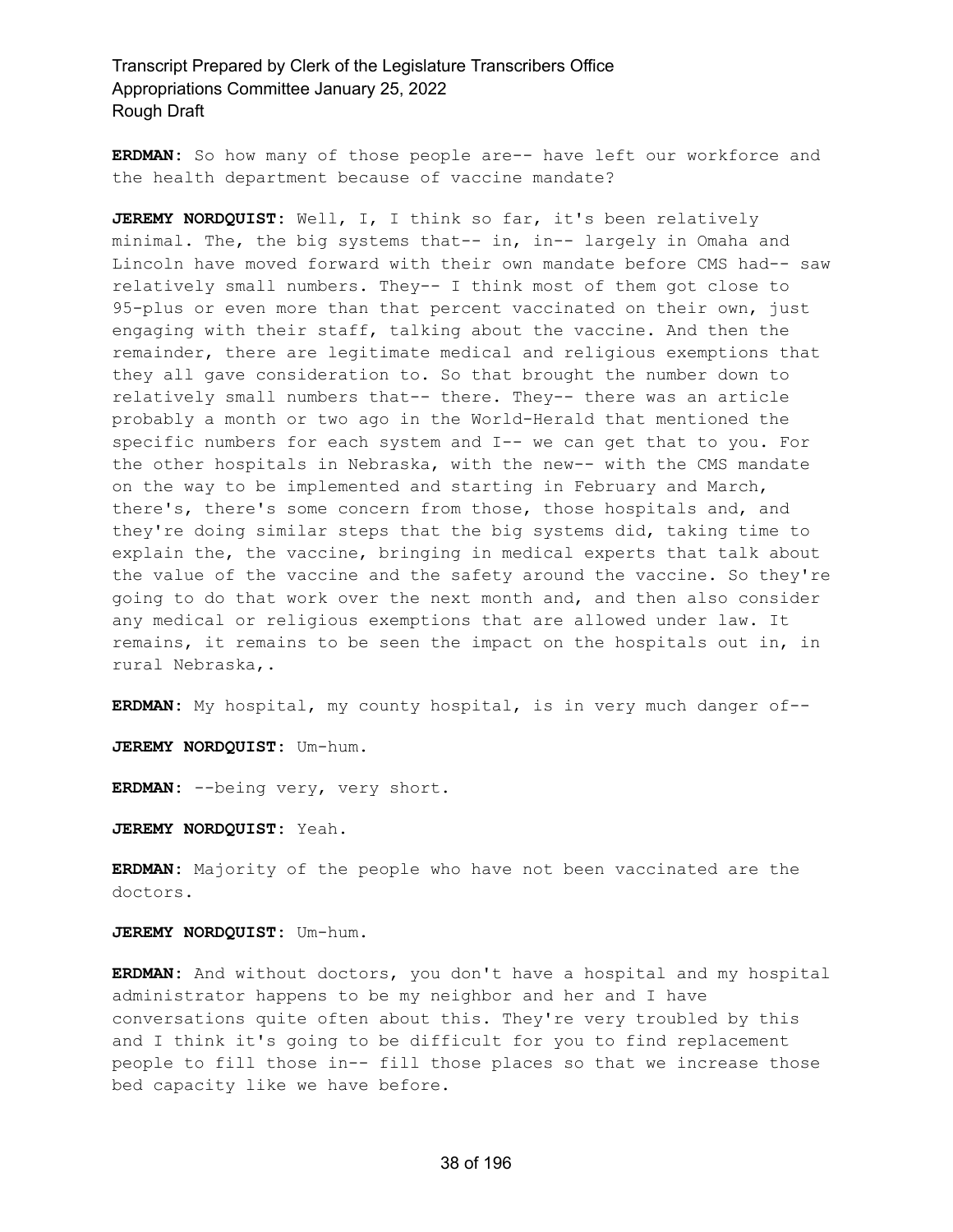**ERDMAN:** So how many of those people are-- have left our workforce and the health department because of vaccine mandate?

**JEREMY NORDQUIST:** Well, I, I think so far, it's been relatively minimal. The, the big systems that-- in, in-- largely in Omaha and Lincoln have moved forward with their own mandate before CMS had-- saw relatively small numbers. They-- I think most of them got close to 95-plus or even more than that percent vaccinated on their own, just engaging with their staff, talking about the vaccine. And then the remainder, there are legitimate medical and religious exemptions that they all gave consideration to. So that brought the number down to relatively small numbers that-- there. They-- there was an article probably a month or two ago in the World-Herald that mentioned the specific numbers for each system and I-- we can get that to you. For the other hospitals in Nebraska, with the new-- with the CMS mandate on the way to be implemented and starting in February and March, there's, there's some concern from those, those hospitals and, and they're doing similar steps that the big systems did, taking time to explain the, the vaccine, bringing in medical experts that talk about the value of the vaccine and the safety around the vaccine. So they're going to do that work over the next month and, and then also consider any medical or religious exemptions that are allowed under law. It remains, it remains to be seen the impact on the hospitals out in, in rural Nebraska,.

**ERDMAN:** My hospital, my county hospital, is in very much danger of--

**JEREMY NORDQUIST:** Um-hum.

**ERDMAN:** --being very, very short.

**JEREMY NORDQUIST:** Yeah.

**ERDMAN:** Majority of the people who have not been vaccinated are the doctors.

**JEREMY NORDQUIST:** Um-hum.

**ERDMAN:** And without doctors, you don't have a hospital and my hospital administrator happens to be my neighbor and her and I have conversations quite often about this. They're very troubled by this and I think it's going to be difficult for you to find replacement people to fill those in-- fill those places so that we increase those bed capacity like we have before.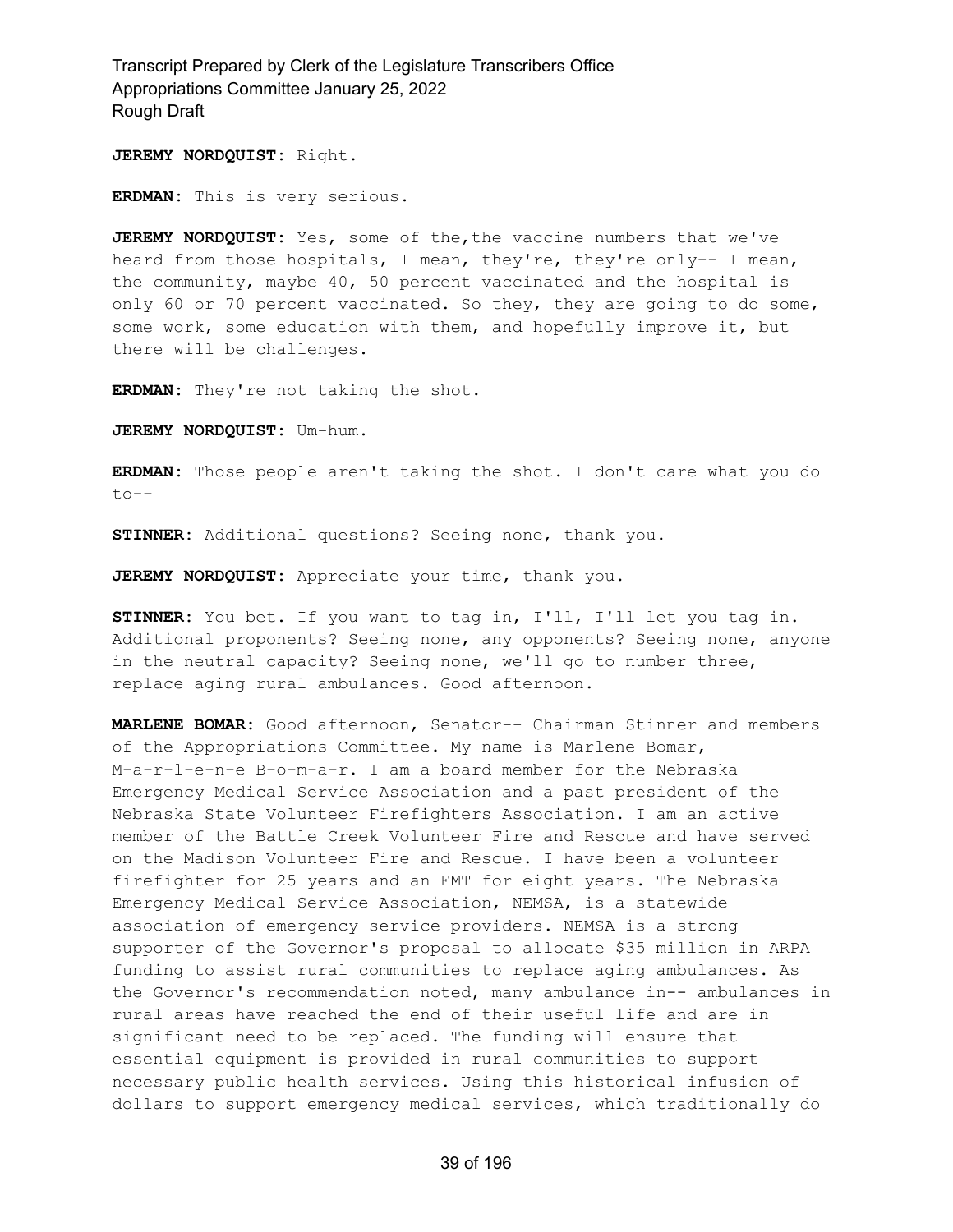**JEREMY NORDQUIST:** Right.

**ERDMAN:** This is very serious.

**JEREMY NORDQUIST:** Yes, some of the,the vaccine numbers that we've heard from those hospitals, I mean, they're, they're only-- I mean, the community, maybe 40, 50 percent vaccinated and the hospital is only 60 or 70 percent vaccinated. So they, they are going to do some, some work, some education with them, and hopefully improve it, but there will be challenges.

**ERDMAN:** They're not taking the shot.

**JEREMY NORDQUIST:** Um-hum.

**ERDMAN:** Those people aren't taking the shot. I don't care what you do to--

**STINNER:** Additional questions? Seeing none, thank you.

**JEREMY NORDQUIST:** Appreciate your time, thank you.

**STINNER:** You bet. If you want to tag in, I'll, I'll let you tag in. Additional proponents? Seeing none, any opponents? Seeing none, anyone in the neutral capacity? Seeing none, we'll go to number three, replace aging rural ambulances. Good afternoon.

**MARLENE BOMAR:** Good afternoon, Senator-- Chairman Stinner and members of the Appropriations Committee. My name is Marlene Bomar, M-a-r-l-e-n-e B-o-m-a-r. I am a board member for the Nebraska Emergency Medical Service Association and a past president of the Nebraska State Volunteer Firefighters Association. I am an active member of the Battle Creek Volunteer Fire and Rescue and have served on the Madison Volunteer Fire and Rescue. I have been a volunteer firefighter for 25 years and an EMT for eight years. The Nebraska Emergency Medical Service Association, NEMSA, is a statewide association of emergency service providers. NEMSA is a strong supporter of the Governor's proposal to allocate \$35 million in ARPA funding to assist rural communities to replace aging ambulances. As the Governor's recommendation noted, many ambulance in-- ambulances in rural areas have reached the end of their useful life and are in significant need to be replaced. The funding will ensure that essential equipment is provided in rural communities to support necessary public health services. Using this historical infusion of dollars to support emergency medical services, which traditionally do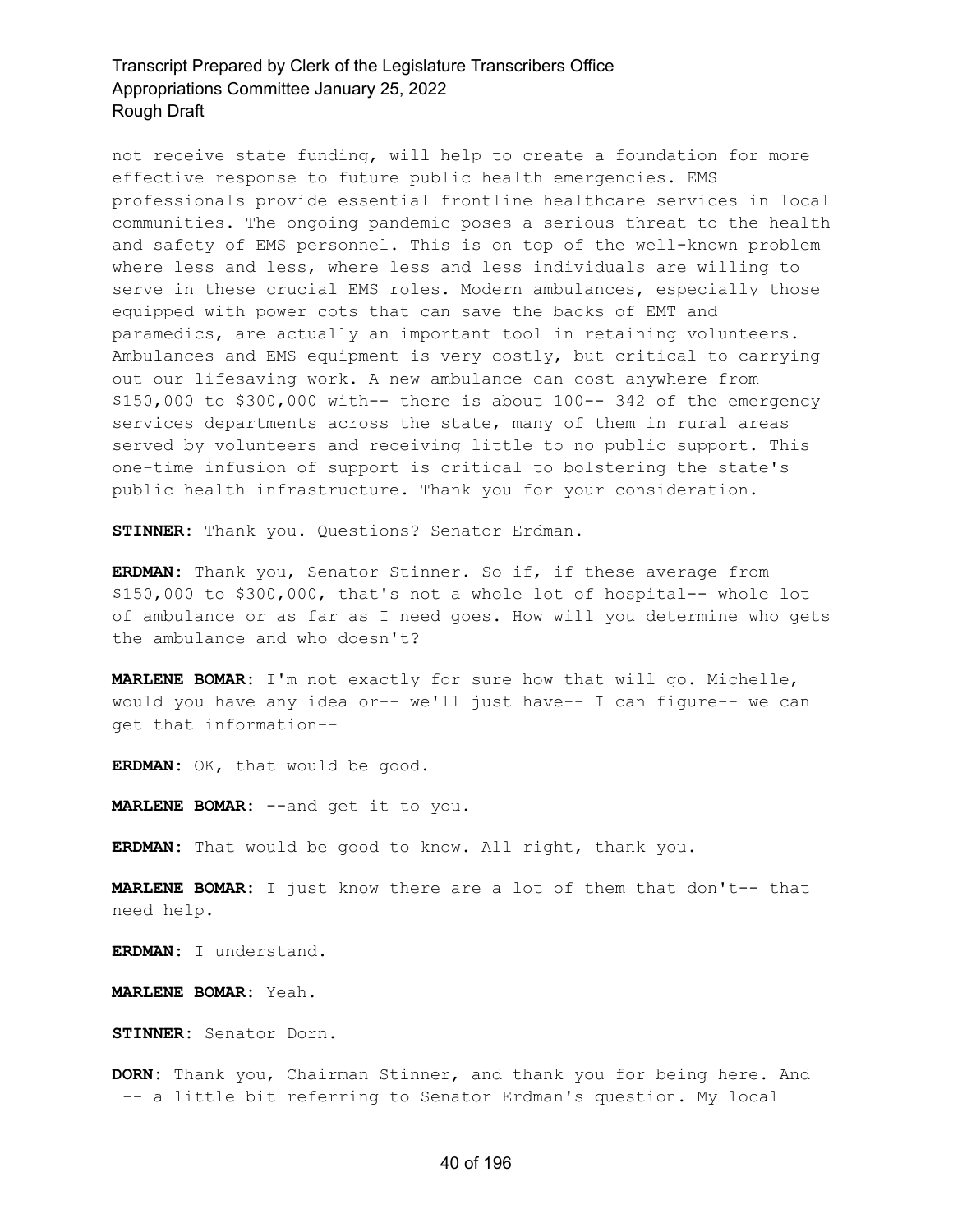not receive state funding, will help to create a foundation for more effective response to future public health emergencies. EMS professionals provide essential frontline healthcare services in local communities. The ongoing pandemic poses a serious threat to the health and safety of EMS personnel. This is on top of the well-known problem where less and less, where less and less individuals are willing to serve in these crucial EMS roles. Modern ambulances, especially those equipped with power cots that can save the backs of EMT and paramedics, are actually an important tool in retaining volunteers. Ambulances and EMS equipment is very costly, but critical to carrying out our lifesaving work. A new ambulance can cost anywhere from \$150,000 to \$300,000 with-- there is about 100-- 342 of the emergency services departments across the state, many of them in rural areas served by volunteers and receiving little to no public support. This one-time infusion of support is critical to bolstering the state's public health infrastructure. Thank you for your consideration.

**STINNER:** Thank you. Questions? Senator Erdman.

**ERDMAN:** Thank you, Senator Stinner. So if, if these average from \$150,000 to \$300,000, that's not a whole lot of hospital-- whole lot of ambulance or as far as I need goes. How will you determine who gets the ambulance and who doesn't?

**MARLENE BOMAR:** I'm not exactly for sure how that will go. Michelle, would you have any idea or-- we'll just have-- I can figure-- we can get that information--

**ERDMAN:** OK, that would be good.

**MARLENE BOMAR:** --and get it to you.

**ERDMAN:** That would be good to know. All right, thank you.

**MARLENE BOMAR:** I just know there are a lot of them that don't-- that need help.

**ERDMAN:** I understand.

**MARLENE BOMAR:** Yeah.

**STINNER:** Senator Dorn.

**DORN:** Thank you, Chairman Stinner, and thank you for being here. And I-- a little bit referring to Senator Erdman's question. My local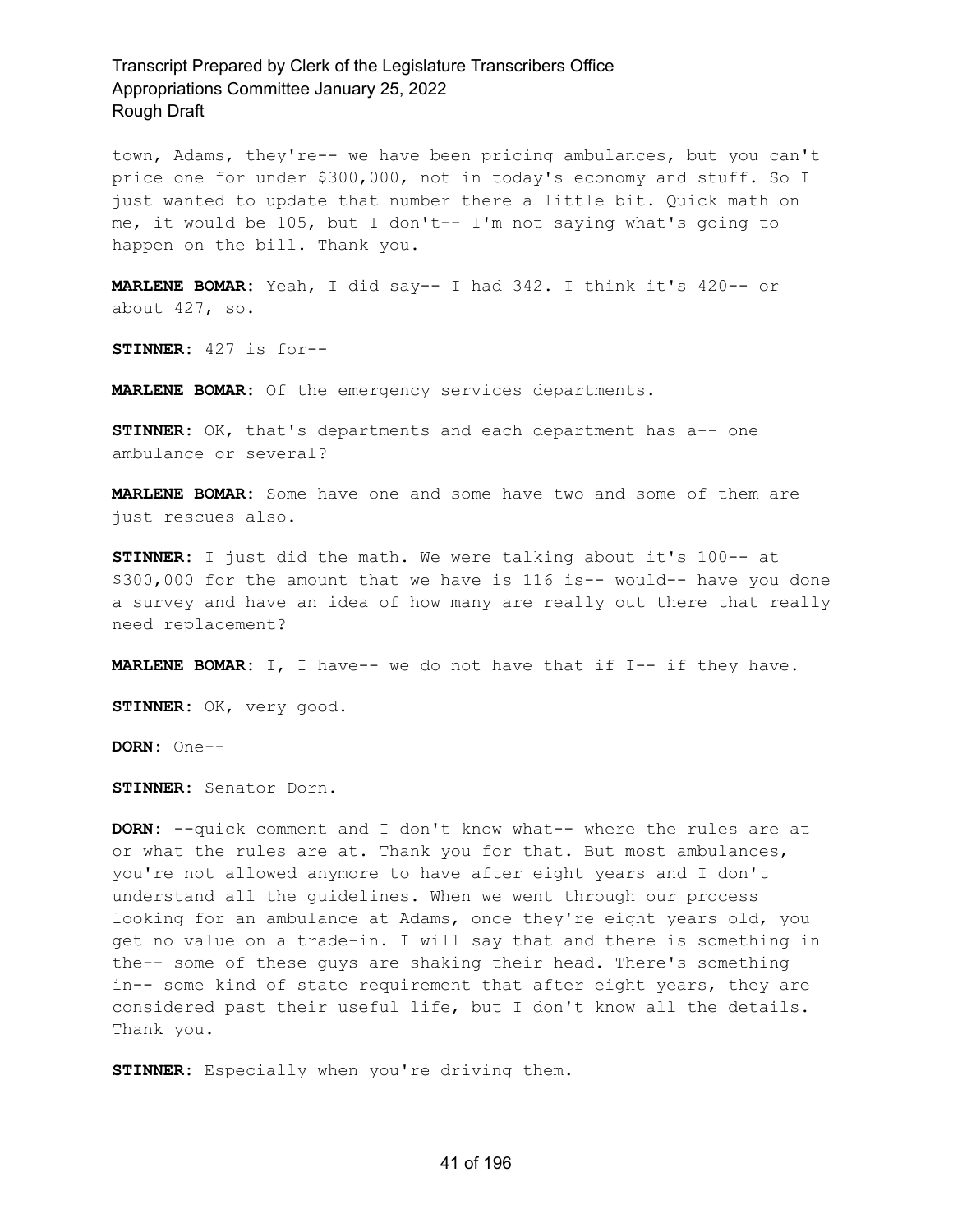town, Adams, they're-- we have been pricing ambulances, but you can't price one for under \$300,000, not in today's economy and stuff. So I just wanted to update that number there a little bit. Quick math on me, it would be 105, but I don't-- I'm not saying what's going to happen on the bill. Thank you.

**MARLENE BOMAR:** Yeah, I did say-- I had 342. I think it's 420-- or about 427, so.

**STINNER:** 427 is for--

**MARLENE BOMAR:** Of the emergency services departments.

**STINNER:** OK, that's departments and each department has a-- one ambulance or several?

**MARLENE BOMAR:** Some have one and some have two and some of them are just rescues also.

**STINNER:** I just did the math. We were talking about it's 100-- at \$300,000 for the amount that we have is 116 is-- would-- have you done a survey and have an idea of how many are really out there that really need replacement?

**MARLENE BOMAR:** I, I have-- we do not have that if I-- if they have.

**STINNER:** OK, very good.

**DORN:** One--

**STINNER:** Senator Dorn.

**DORN:** --quick comment and I don't know what-- where the rules are at or what the rules are at. Thank you for that. But most ambulances, you're not allowed anymore to have after eight years and I don't understand all the guidelines. When we went through our process looking for an ambulance at Adams, once they're eight years old, you get no value on a trade-in. I will say that and there is something in the-- some of these guys are shaking their head. There's something in-- some kind of state requirement that after eight years, they are considered past their useful life, but I don't know all the details. Thank you.

**STINNER:** Especially when you're driving them.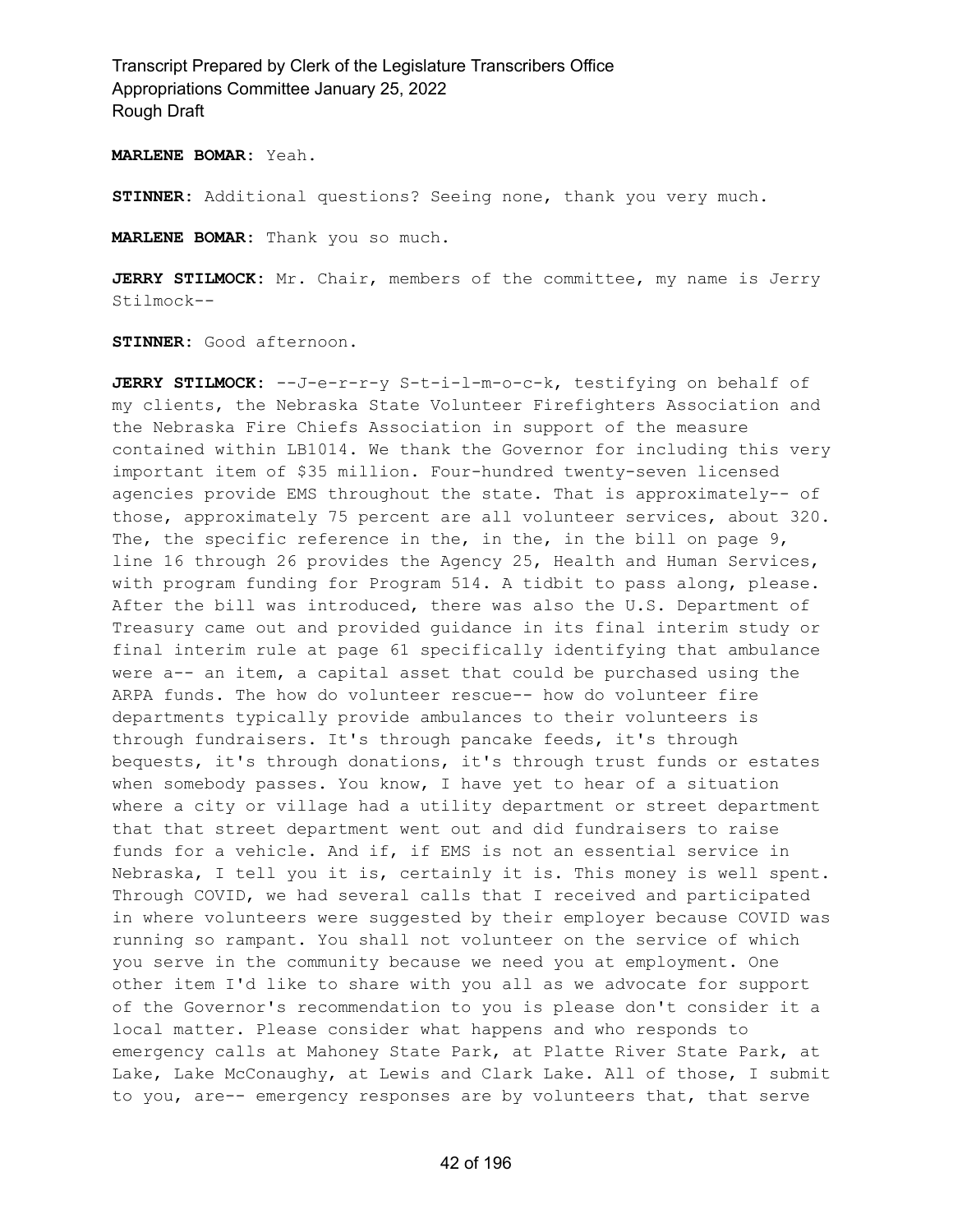**MARLENE BOMAR:** Yeah.

**STINNER:** Additional questions? Seeing none, thank you very much.

**MARLENE BOMAR:** Thank you so much.

**JERRY STILMOCK:** Mr. Chair, members of the committee, my name is Jerry Stilmock--

**STINNER:** Good afternoon.

**JERRY STILMOCK:** --J-e-r-r-y S-t-i-l-m-o-c-k, testifying on behalf of my clients, the Nebraska State Volunteer Firefighters Association and the Nebraska Fire Chiefs Association in support of the measure contained within LB1014. We thank the Governor for including this very important item of \$35 million. Four-hundred twenty-seven licensed agencies provide EMS throughout the state. That is approximately-- of those, approximately 75 percent are all volunteer services, about 320. The, the specific reference in the, in the, in the bill on page 9, line 16 through 26 provides the Agency 25, Health and Human Services, with program funding for Program 514. A tidbit to pass along, please. After the bill was introduced, there was also the U.S. Department of Treasury came out and provided guidance in its final interim study or final interim rule at page 61 specifically identifying that ambulance were a-- an item, a capital asset that could be purchased using the ARPA funds. The how do volunteer rescue-- how do volunteer fire departments typically provide ambulances to their volunteers is through fundraisers. It's through pancake feeds, it's through bequests, it's through donations, it's through trust funds or estates when somebody passes. You know, I have yet to hear of a situation where a city or village had a utility department or street department that that street department went out and did fundraisers to raise funds for a vehicle. And if, if EMS is not an essential service in Nebraska, I tell you it is, certainly it is. This money is well spent. Through COVID, we had several calls that I received and participated in where volunteers were suggested by their employer because COVID was running so rampant. You shall not volunteer on the service of which you serve in the community because we need you at employment. One other item I'd like to share with you all as we advocate for support of the Governor's recommendation to you is please don't consider it a local matter. Please consider what happens and who responds to emergency calls at Mahoney State Park, at Platte River State Park, at Lake, Lake McConaughy, at Lewis and Clark Lake. All of those, I submit to you, are-- emergency responses are by volunteers that, that serve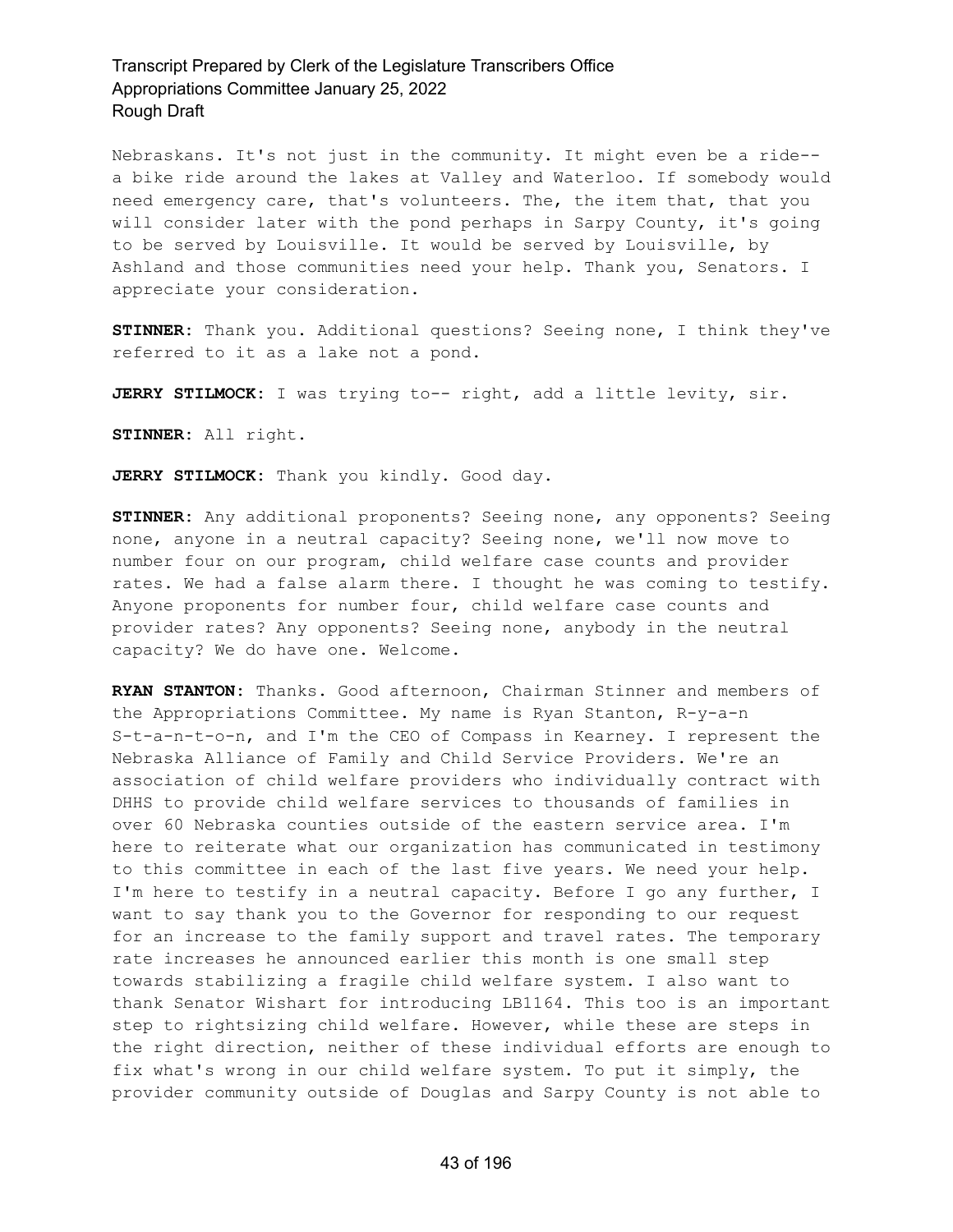Nebraskans. It's not just in the community. It might even be a ride- a bike ride around the lakes at Valley and Waterloo. If somebody would need emergency care, that's volunteers. The, the item that, that you will consider later with the pond perhaps in Sarpy County, it's going to be served by Louisville. It would be served by Louisville, by Ashland and those communities need your help. Thank you, Senators. I appreciate your consideration.

**STINNER:** Thank you. Additional questions? Seeing none, I think they've referred to it as a lake not a pond.

**JERRY STILMOCK:** I was trying to-- right, add a little levity, sir.

**STINNER:** All right.

**JERRY STILMOCK:** Thank you kindly. Good day.

**STINNER:** Any additional proponents? Seeing none, any opponents? Seeing none, anyone in a neutral capacity? Seeing none, we'll now move to number four on our program, child welfare case counts and provider rates. We had a false alarm there. I thought he was coming to testify. Anyone proponents for number four, child welfare case counts and provider rates? Any opponents? Seeing none, anybody in the neutral capacity? We do have one. Welcome.

**RYAN STANTON:** Thanks. Good afternoon, Chairman Stinner and members of the Appropriations Committee. My name is Ryan Stanton, R-y-a-n S-t-a-n-t-o-n, and I'm the CEO of Compass in Kearney. I represent the Nebraska Alliance of Family and Child Service Providers. We're an association of child welfare providers who individually contract with DHHS to provide child welfare services to thousands of families in over 60 Nebraska counties outside of the eastern service area. I'm here to reiterate what our organization has communicated in testimony to this committee in each of the last five years. We need your help. I'm here to testify in a neutral capacity. Before I go any further, I want to say thank you to the Governor for responding to our request for an increase to the family support and travel rates. The temporary rate increases he announced earlier this month is one small step towards stabilizing a fragile child welfare system. I also want to thank Senator Wishart for introducing LB1164. This too is an important step to rightsizing child welfare. However, while these are steps in the right direction, neither of these individual efforts are enough to fix what's wrong in our child welfare system. To put it simply, the provider community outside of Douglas and Sarpy County is not able to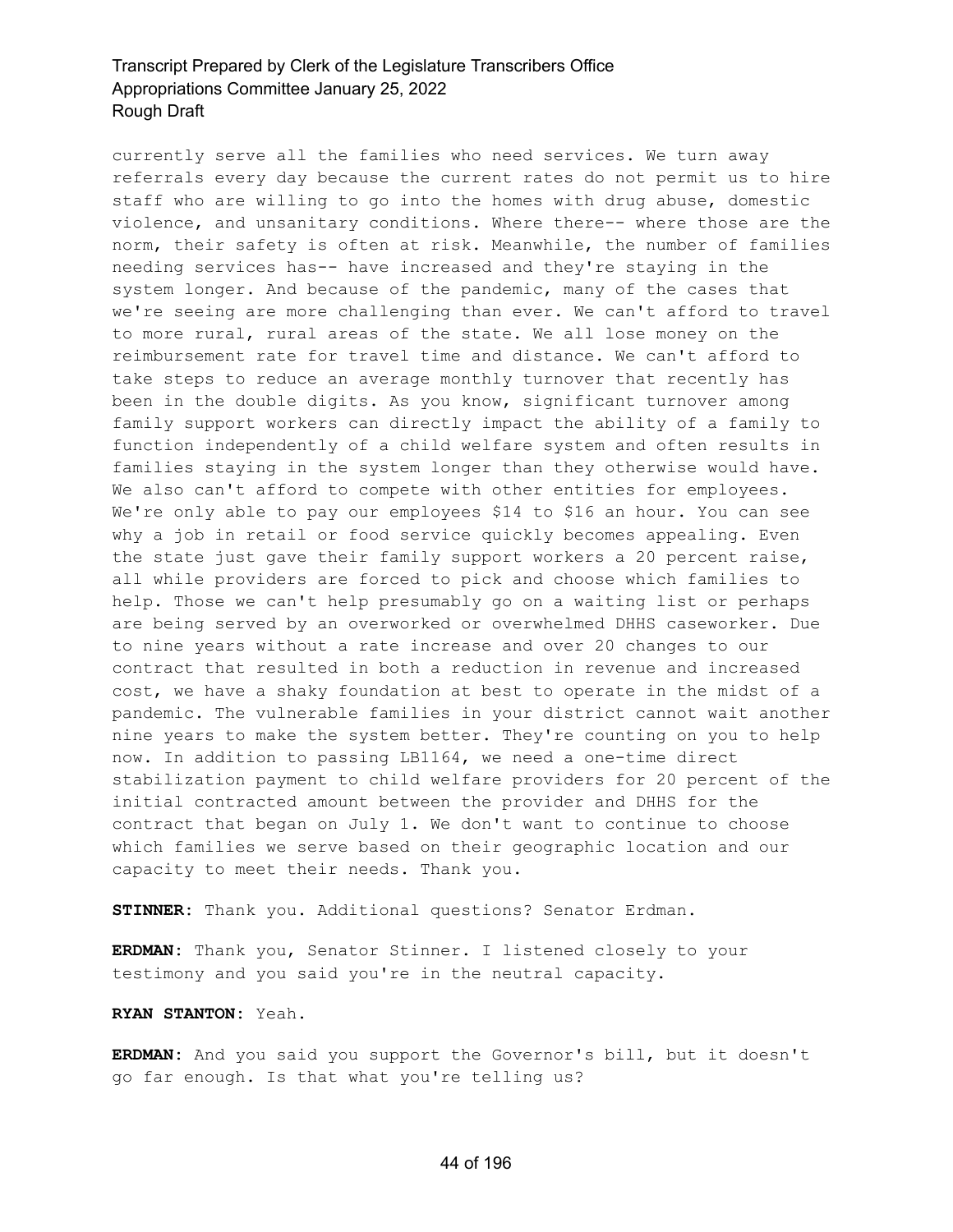currently serve all the families who need services. We turn away referrals every day because the current rates do not permit us to hire staff who are willing to go into the homes with drug abuse, domestic violence, and unsanitary conditions. Where there-- where those are the norm, their safety is often at risk. Meanwhile, the number of families needing services has-- have increased and they're staying in the system longer. And because of the pandemic, many of the cases that we're seeing are more challenging than ever. We can't afford to travel to more rural, rural areas of the state. We all lose money on the reimbursement rate for travel time and distance. We can't afford to take steps to reduce an average monthly turnover that recently has been in the double digits. As you know, significant turnover among family support workers can directly impact the ability of a family to function independently of a child welfare system and often results in families staying in the system longer than they otherwise would have. We also can't afford to compete with other entities for employees. We're only able to pay our employees \$14 to \$16 an hour. You can see why a job in retail or food service quickly becomes appealing. Even the state just gave their family support workers a 20 percent raise, all while providers are forced to pick and choose which families to help. Those we can't help presumably go on a waiting list or perhaps are being served by an overworked or overwhelmed DHHS caseworker. Due to nine years without a rate increase and over 20 changes to our contract that resulted in both a reduction in revenue and increased cost, we have a shaky foundation at best to operate in the midst of a pandemic. The vulnerable families in your district cannot wait another nine years to make the system better. They're counting on you to help now. In addition to passing LB1164, we need a one-time direct stabilization payment to child welfare providers for 20 percent of the initial contracted amount between the provider and DHHS for the contract that began on July 1. We don't want to continue to choose which families we serve based on their geographic location and our capacity to meet their needs. Thank you.

**STINNER:** Thank you. Additional questions? Senator Erdman.

**ERDMAN:** Thank you, Senator Stinner. I listened closely to your testimony and you said you're in the neutral capacity.

**RYAN STANTON:** Yeah.

**ERDMAN:** And you said you support the Governor's bill, but it doesn't go far enough. Is that what you're telling us?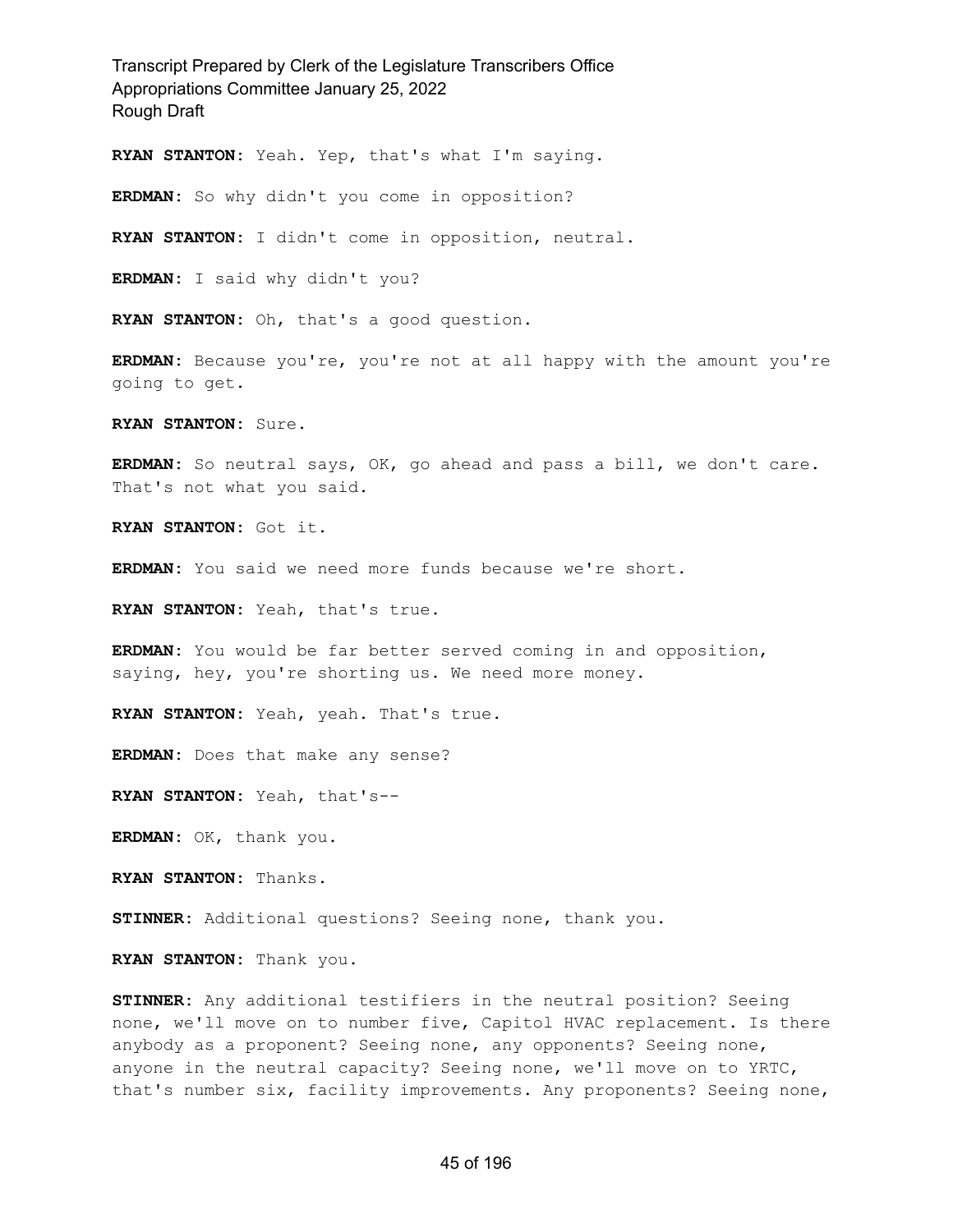**RYAN STANTON:** Yeah. Yep, that's what I'm saying.

**ERDMAN:** So why didn't you come in opposition?

**RYAN STANTON:** I didn't come in opposition, neutral.

**ERDMAN:** I said why didn't you?

**RYAN STANTON:** Oh, that's a good question.

**ERDMAN:** Because you're, you're not at all happy with the amount you're going to get.

**RYAN STANTON:** Sure.

**ERDMAN:** So neutral says, OK, go ahead and pass a bill, we don't care. That's not what you said.

**RYAN STANTON:** Got it.

**ERDMAN:** You said we need more funds because we're short.

**RYAN STANTON:** Yeah, that's true.

**ERDMAN:** You would be far better served coming in and opposition, saying, hey, you're shorting us. We need more money.

**RYAN STANTON:** Yeah, yeah. That's true.

**ERDMAN:** Does that make any sense?

**RYAN STANTON:** Yeah, that's--

**ERDMAN:** OK, thank you.

**RYAN STANTON:** Thanks.

**STINNER:** Additional questions? Seeing none, thank you.

**RYAN STANTON:** Thank you.

**STINNER:** Any additional testifiers in the neutral position? Seeing none, we'll move on to number five, Capitol HVAC replacement. Is there anybody as a proponent? Seeing none, any opponents? Seeing none, anyone in the neutral capacity? Seeing none, we'll move on to YRTC, that's number six, facility improvements. Any proponents? Seeing none,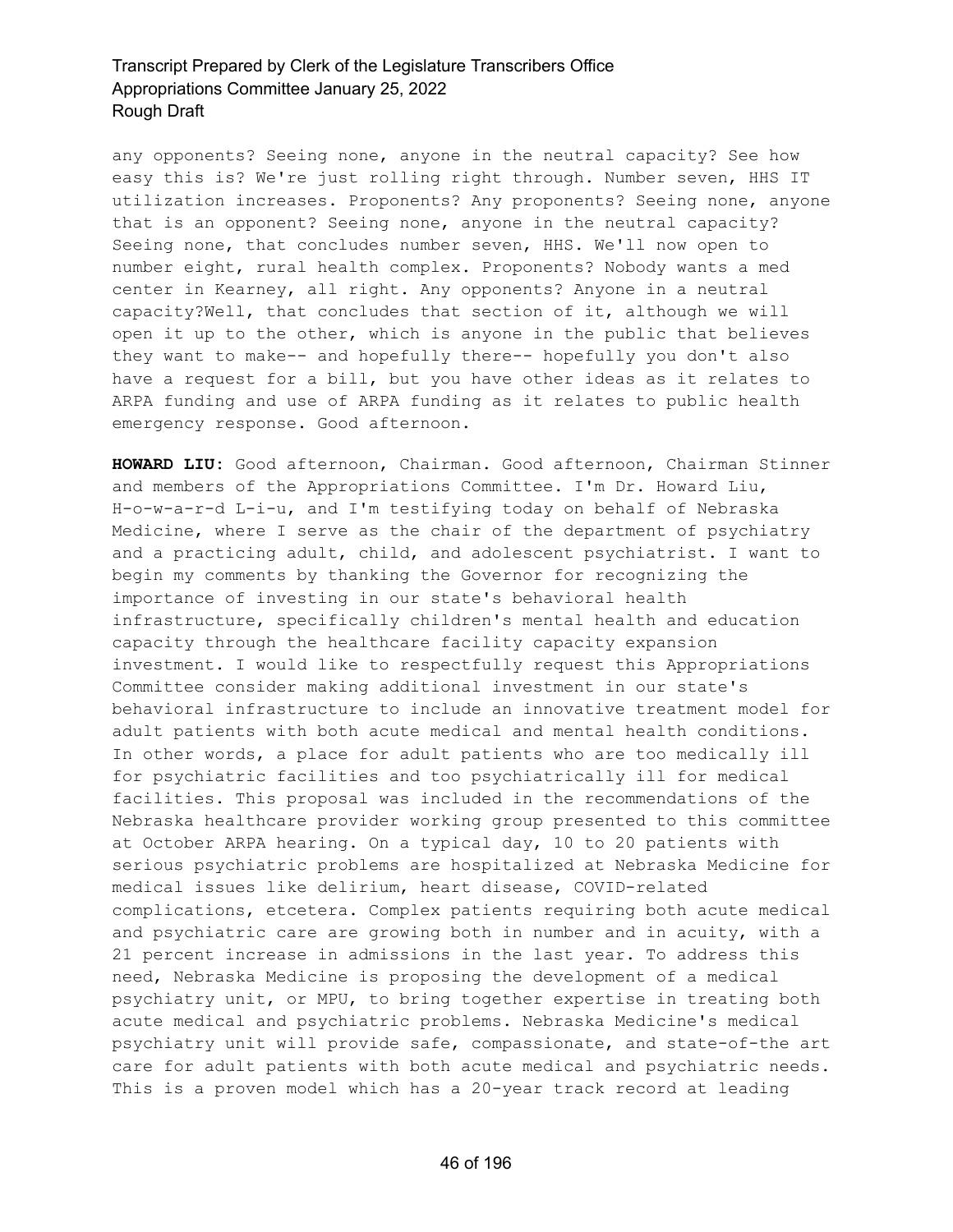any opponents? Seeing none, anyone in the neutral capacity? See how easy this is? We're just rolling right through. Number seven, HHS IT utilization increases. Proponents? Any proponents? Seeing none, anyone that is an opponent? Seeing none, anyone in the neutral capacity? Seeing none, that concludes number seven, HHS. We'll now open to number eight, rural health complex. Proponents? Nobody wants a med center in Kearney, all right. Any opponents? Anyone in a neutral capacity?Well, that concludes that section of it, although we will open it up to the other, which is anyone in the public that believes they want to make-- and hopefully there-- hopefully you don't also have a request for a bill, but you have other ideas as it relates to ARPA funding and use of ARPA funding as it relates to public health emergency response. Good afternoon.

**HOWARD LIU:** Good afternoon, Chairman. Good afternoon, Chairman Stinner and members of the Appropriations Committee. I'm Dr. Howard Liu, H-o-w-a-r-d L-i-u, and I'm testifying today on behalf of Nebraska Medicine, where I serve as the chair of the department of psychiatry and a practicing adult, child, and adolescent psychiatrist. I want to begin my comments by thanking the Governor for recognizing the importance of investing in our state's behavioral health infrastructure, specifically children's mental health and education capacity through the healthcare facility capacity expansion investment. I would like to respectfully request this Appropriations Committee consider making additional investment in our state's behavioral infrastructure to include an innovative treatment model for adult patients with both acute medical and mental health conditions. In other words, a place for adult patients who are too medically ill for psychiatric facilities and too psychiatrically ill for medical facilities. This proposal was included in the recommendations of the Nebraska healthcare provider working group presented to this committee at October ARPA hearing. On a typical day, 10 to 20 patients with serious psychiatric problems are hospitalized at Nebraska Medicine for medical issues like delirium, heart disease, COVID-related complications, etcetera. Complex patients requiring both acute medical and psychiatric care are growing both in number and in acuity, with a 21 percent increase in admissions in the last year. To address this need, Nebraska Medicine is proposing the development of a medical psychiatry unit, or MPU, to bring together expertise in treating both acute medical and psychiatric problems. Nebraska Medicine's medical psychiatry unit will provide safe, compassionate, and state-of-the art care for adult patients with both acute medical and psychiatric needs. This is a proven model which has a 20-year track record at leading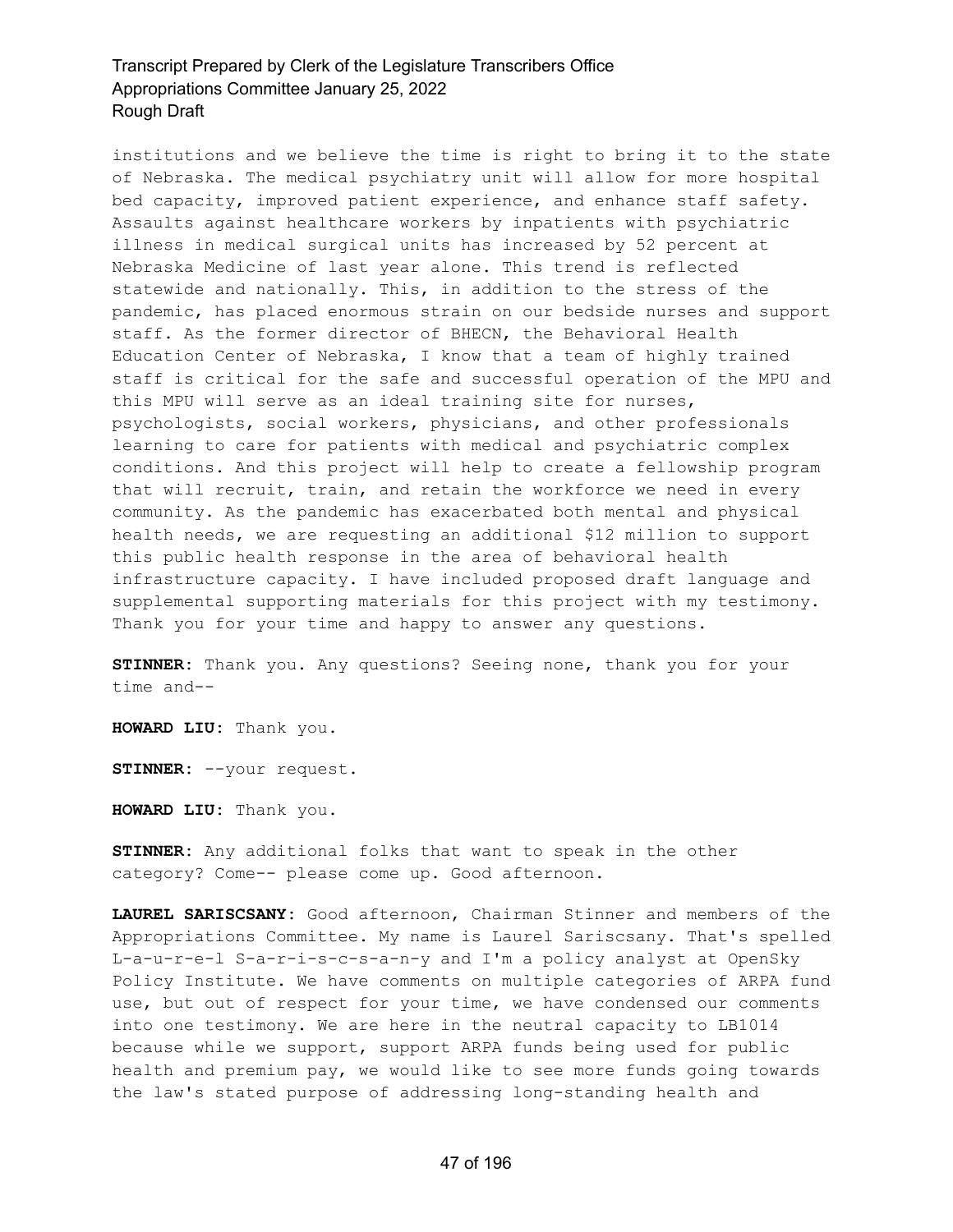institutions and we believe the time is right to bring it to the state of Nebraska. The medical psychiatry unit will allow for more hospital bed capacity, improved patient experience, and enhance staff safety. Assaults against healthcare workers by inpatients with psychiatric illness in medical surgical units has increased by 52 percent at Nebraska Medicine of last year alone. This trend is reflected statewide and nationally. This, in addition to the stress of the pandemic, has placed enormous strain on our bedside nurses and support staff. As the former director of BHECN, the Behavioral Health Education Center of Nebraska, I know that a team of highly trained staff is critical for the safe and successful operation of the MPU and this MPU will serve as an ideal training site for nurses, psychologists, social workers, physicians, and other professionals learning to care for patients with medical and psychiatric complex conditions. And this project will help to create a fellowship program that will recruit, train, and retain the workforce we need in every community. As the pandemic has exacerbated both mental and physical health needs, we are requesting an additional \$12 million to support this public health response in the area of behavioral health infrastructure capacity. I have included proposed draft language and supplemental supporting materials for this project with my testimony. Thank you for your time and happy to answer any questions.

**STINNER:** Thank you. Any questions? Seeing none, thank you for your time and--

**HOWARD LIU:** Thank you.

**STINNER:** --your request.

**HOWARD LIU:** Thank you.

**STINNER:** Any additional folks that want to speak in the other category? Come-- please come up. Good afternoon.

**LAUREL SARISCSANY:** Good afternoon, Chairman Stinner and members of the Appropriations Committee. My name is Laurel Sariscsany. That's spelled L-a-u-r-e-l S-a-r-i-s-c-s-a-n-y and I'm a policy analyst at OpenSky Policy Institute. We have comments on multiple categories of ARPA fund use, but out of respect for your time, we have condensed our comments into one testimony. We are here in the neutral capacity to LB1014 because while we support, support ARPA funds being used for public health and premium pay, we would like to see more funds going towards the law's stated purpose of addressing long-standing health and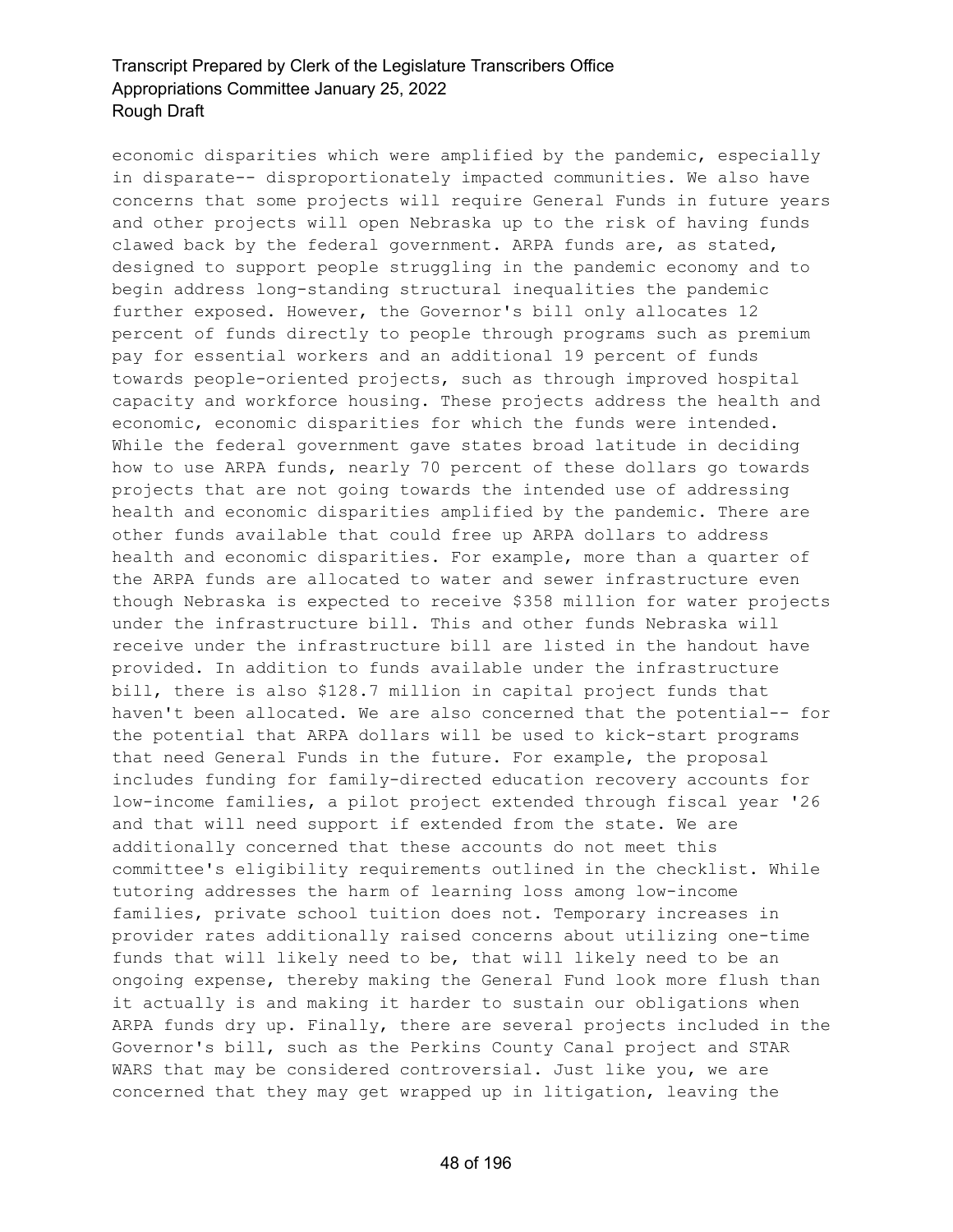economic disparities which were amplified by the pandemic, especially in disparate-- disproportionately impacted communities. We also have concerns that some projects will require General Funds in future years and other projects will open Nebraska up to the risk of having funds clawed back by the federal government. ARPA funds are, as stated, designed to support people struggling in the pandemic economy and to begin address long-standing structural inequalities the pandemic further exposed. However, the Governor's bill only allocates 12 percent of funds directly to people through programs such as premium pay for essential workers and an additional 19 percent of funds towards people-oriented projects, such as through improved hospital capacity and workforce housing. These projects address the health and economic, economic disparities for which the funds were intended. While the federal government gave states broad latitude in deciding how to use ARPA funds, nearly 70 percent of these dollars go towards projects that are not going towards the intended use of addressing health and economic disparities amplified by the pandemic. There are other funds available that could free up ARPA dollars to address health and economic disparities. For example, more than a quarter of the ARPA funds are allocated to water and sewer infrastructure even though Nebraska is expected to receive \$358 million for water projects under the infrastructure bill. This and other funds Nebraska will receive under the infrastructure bill are listed in the handout have provided. In addition to funds available under the infrastructure bill, there is also \$128.7 million in capital project funds that haven't been allocated. We are also concerned that the potential-- for the potential that ARPA dollars will be used to kick-start programs that need General Funds in the future. For example, the proposal includes funding for family-directed education recovery accounts for low-income families, a pilot project extended through fiscal year '26 and that will need support if extended from the state. We are additionally concerned that these accounts do not meet this committee's eligibility requirements outlined in the checklist. While tutoring addresses the harm of learning loss among low-income families, private school tuition does not. Temporary increases in provider rates additionally raised concerns about utilizing one-time funds that will likely need to be, that will likely need to be an ongoing expense, thereby making the General Fund look more flush than it actually is and making it harder to sustain our obligations when ARPA funds dry up. Finally, there are several projects included in the Governor's bill, such as the Perkins County Canal project and STAR WARS that may be considered controversial. Just like you, we are concerned that they may get wrapped up in litigation, leaving the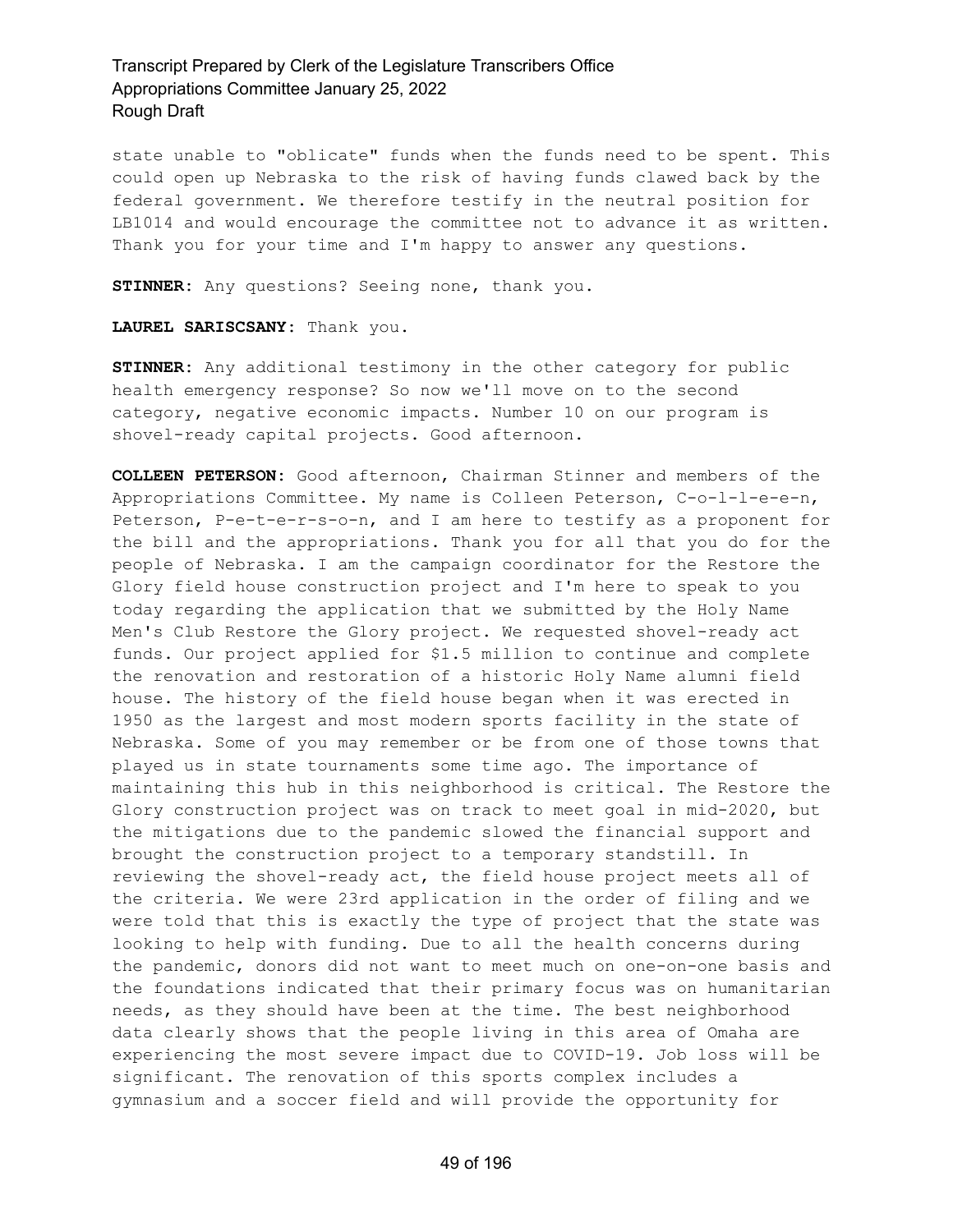state unable to "oblicate" funds when the funds need to be spent. This could open up Nebraska to the risk of having funds clawed back by the federal government. We therefore testify in the neutral position for LB1014 and would encourage the committee not to advance it as written. Thank you for your time and I'm happy to answer any questions.

**STINNER:** Any questions? Seeing none, thank you.

#### **LAUREL SARISCSANY:** Thank you.

**STINNER:** Any additional testimony in the other category for public health emergency response? So now we'll move on to the second category, negative economic impacts. Number 10 on our program is shovel-ready capital projects. Good afternoon.

**COLLEEN PETERSON:** Good afternoon, Chairman Stinner and members of the Appropriations Committee. My name is Colleen Peterson, C-o-l-l-e-e-n, Peterson, P-e-t-e-r-s-o-n, and I am here to testify as a proponent for the bill and the appropriations. Thank you for all that you do for the people of Nebraska. I am the campaign coordinator for the Restore the Glory field house construction project and I'm here to speak to you today regarding the application that we submitted by the Holy Name Men's Club Restore the Glory project. We requested shovel-ready act funds. Our project applied for \$1.5 million to continue and complete the renovation and restoration of a historic Holy Name alumni field house. The history of the field house began when it was erected in 1950 as the largest and most modern sports facility in the state of Nebraska. Some of you may remember or be from one of those towns that played us in state tournaments some time ago. The importance of maintaining this hub in this neighborhood is critical. The Restore the Glory construction project was on track to meet goal in mid-2020, but the mitigations due to the pandemic slowed the financial support and brought the construction project to a temporary standstill. In reviewing the shovel-ready act, the field house project meets all of the criteria. We were 23rd application in the order of filing and we were told that this is exactly the type of project that the state was looking to help with funding. Due to all the health concerns during the pandemic, donors did not want to meet much on one-on-one basis and the foundations indicated that their primary focus was on humanitarian needs, as they should have been at the time. The best neighborhood data clearly shows that the people living in this area of Omaha are experiencing the most severe impact due to COVID-19. Job loss will be significant. The renovation of this sports complex includes a gymnasium and a soccer field and will provide the opportunity for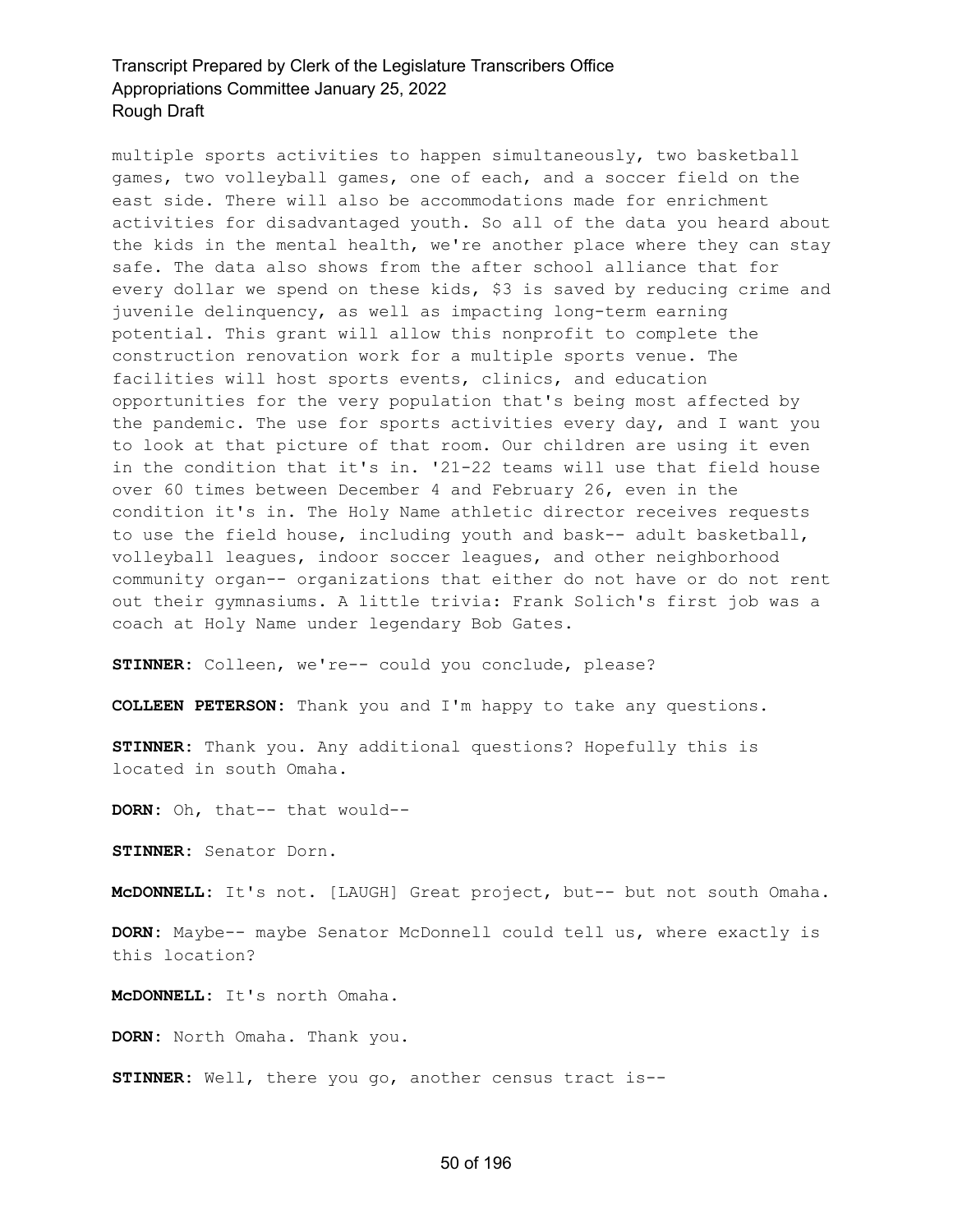multiple sports activities to happen simultaneously, two basketball games, two volleyball games, one of each, and a soccer field on the east side. There will also be accommodations made for enrichment activities for disadvantaged youth. So all of the data you heard about the kids in the mental health, we're another place where they can stay safe. The data also shows from the after school alliance that for every dollar we spend on these kids, \$3 is saved by reducing crime and juvenile delinquency, as well as impacting long-term earning potential. This grant will allow this nonprofit to complete the construction renovation work for a multiple sports venue. The facilities will host sports events, clinics, and education opportunities for the very population that's being most affected by the pandemic. The use for sports activities every day, and I want you to look at that picture of that room. Our children are using it even in the condition that it's in. '21-22 teams will use that field house over 60 times between December 4 and February 26, even in the condition it's in. The Holy Name athletic director receives requests to use the field house, including youth and bask-- adult basketball, volleyball leagues, indoor soccer leagues, and other neighborhood community organ-- organizations that either do not have or do not rent out their gymnasiums. A little trivia: Frank Solich's first job was a coach at Holy Name under legendary Bob Gates.

**STINNER:** Colleen, we're-- could you conclude, please?

**COLLEEN PETERSON:** Thank you and I'm happy to take any questions.

**STINNER:** Thank you. Any additional questions? Hopefully this is located in south Omaha.

**DORN:** Oh, that-- that would--

**STINNER:** Senator Dorn.

**McDONNELL:** It's not. [LAUGH] Great project, but-- but not south Omaha.

**DORN:** Maybe-- maybe Senator McDonnell could tell us, where exactly is this location?

**McDONNELL:** It's north Omaha.

**DORN:** North Omaha. Thank you.

**STINNER:** Well, there you go, another census tract is--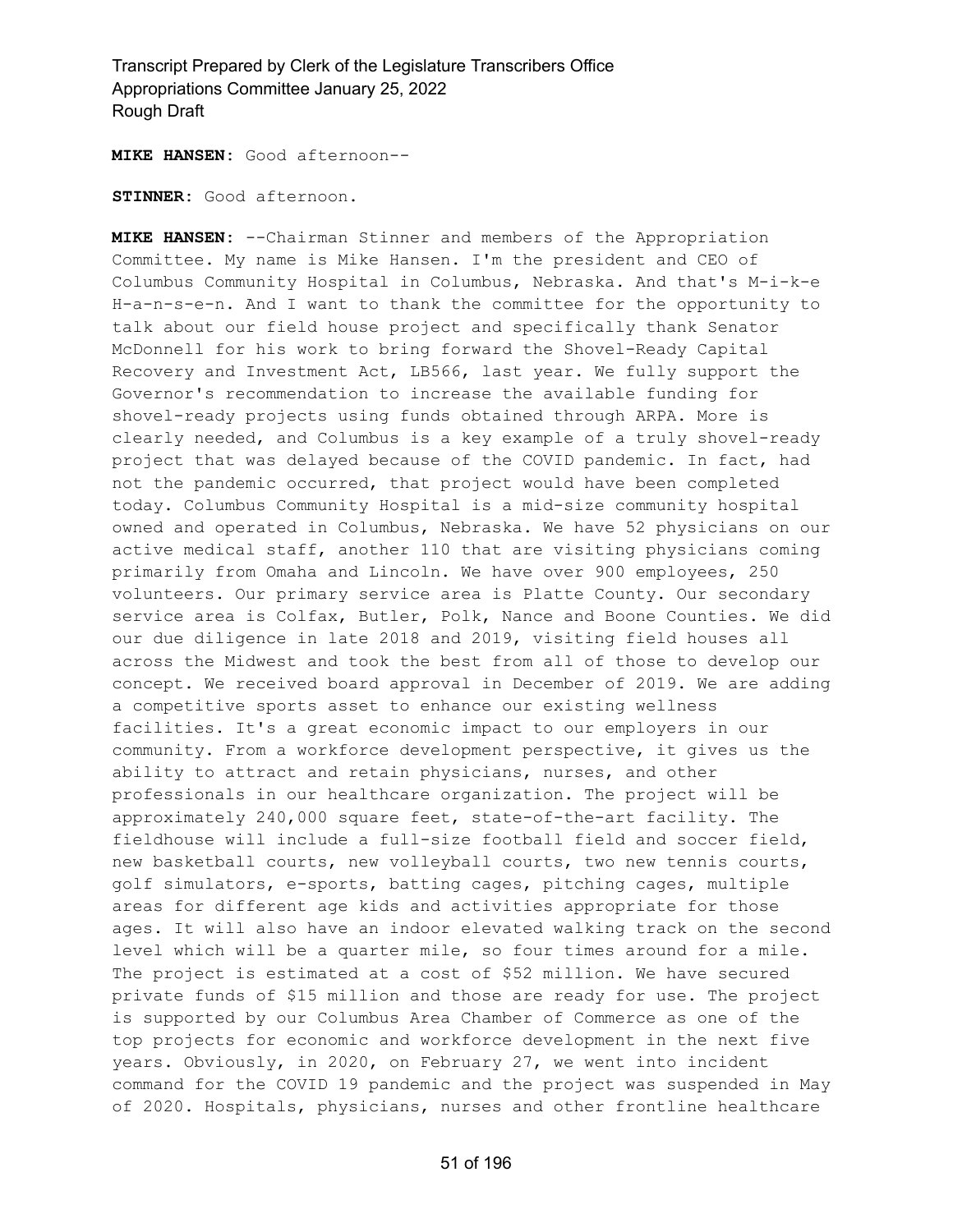**MIKE HANSEN:** Good afternoon--

**STINNER:** Good afternoon.

**MIKE HANSEN:** --Chairman Stinner and members of the Appropriation Committee. My name is Mike Hansen. I'm the president and CEO of Columbus Community Hospital in Columbus, Nebraska. And that's M-i-k-e H-a-n-s-e-n. And I want to thank the committee for the opportunity to talk about our field house project and specifically thank Senator McDonnell for his work to bring forward the Shovel-Ready Capital Recovery and Investment Act, LB566, last year. We fully support the Governor's recommendation to increase the available funding for shovel-ready projects using funds obtained through ARPA. More is clearly needed, and Columbus is a key example of a truly shovel-ready project that was delayed because of the COVID pandemic. In fact, had not the pandemic occurred, that project would have been completed today. Columbus Community Hospital is a mid-size community hospital owned and operated in Columbus, Nebraska. We have 52 physicians on our active medical staff, another 110 that are visiting physicians coming primarily from Omaha and Lincoln. We have over 900 employees, 250 volunteers. Our primary service area is Platte County. Our secondary service area is Colfax, Butler, Polk, Nance and Boone Counties. We did our due diligence in late 2018 and 2019, visiting field houses all across the Midwest and took the best from all of those to develop our concept. We received board approval in December of 2019. We are adding a competitive sports asset to enhance our existing wellness facilities. It's a great economic impact to our employers in our community. From a workforce development perspective, it gives us the ability to attract and retain physicians, nurses, and other professionals in our healthcare organization. The project will be approximately 240,000 square feet, state-of-the-art facility. The fieldhouse will include a full-size football field and soccer field, new basketball courts, new volleyball courts, two new tennis courts, golf simulators, e-sports, batting cages, pitching cages, multiple areas for different age kids and activities appropriate for those ages. It will also have an indoor elevated walking track on the second level which will be a quarter mile, so four times around for a mile. The project is estimated at a cost of \$52 million. We have secured private funds of \$15 million and those are ready for use. The project is supported by our Columbus Area Chamber of Commerce as one of the top projects for economic and workforce development in the next five years. Obviously, in 2020, on February 27, we went into incident command for the COVID 19 pandemic and the project was suspended in May of 2020. Hospitals, physicians, nurses and other frontline healthcare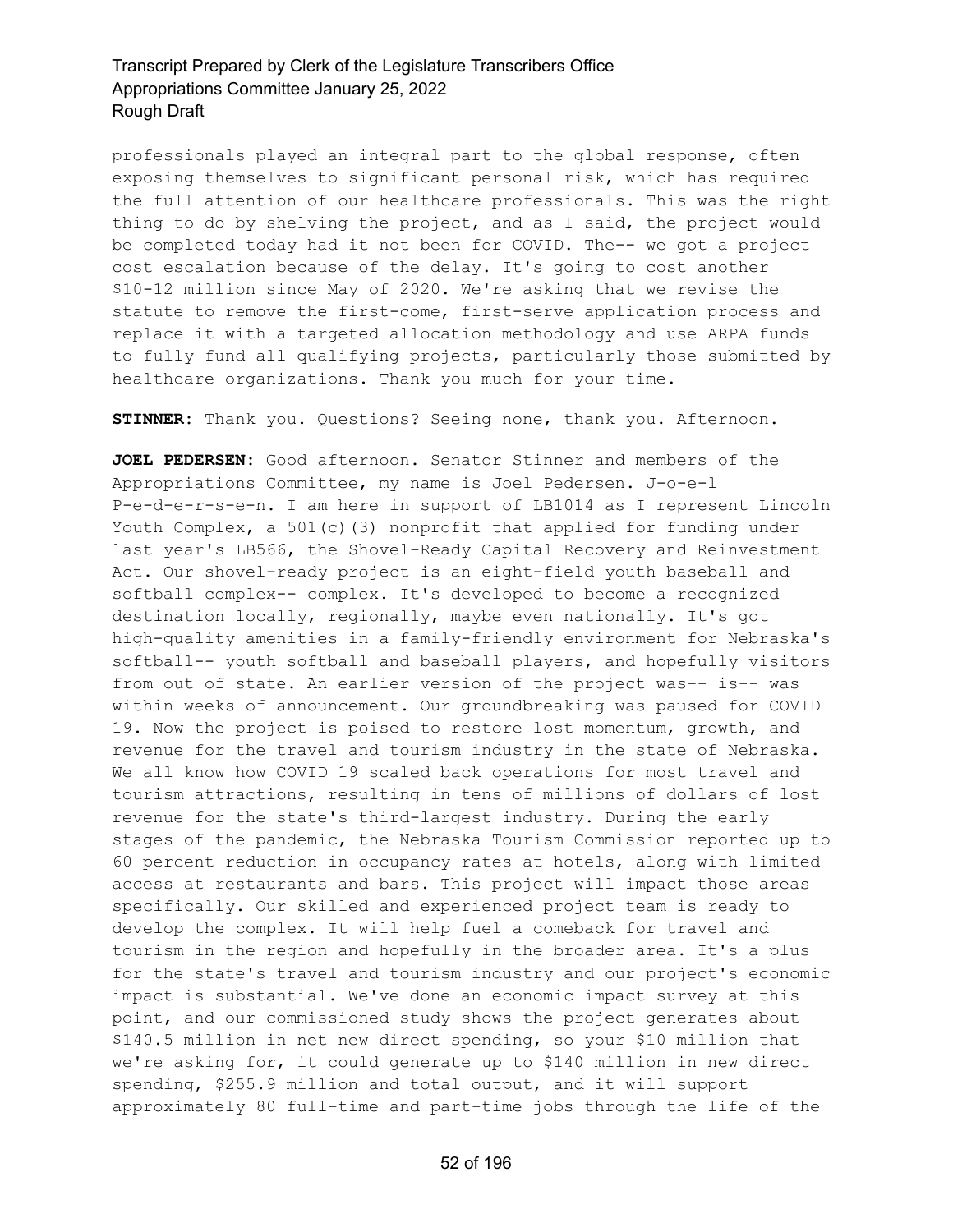professionals played an integral part to the global response, often exposing themselves to significant personal risk, which has required the full attention of our healthcare professionals. This was the right thing to do by shelving the project, and as I said, the project would be completed today had it not been for COVID. The-- we got a project cost escalation because of the delay. It's going to cost another \$10-12 million since May of 2020. We're asking that we revise the statute to remove the first-come, first-serve application process and replace it with a targeted allocation methodology and use ARPA funds to fully fund all qualifying projects, particularly those submitted by healthcare organizations. Thank you much for your time.

**STINNER:** Thank you. Questions? Seeing none, thank you. Afternoon.

**JOEL PEDERSEN:** Good afternoon. Senator Stinner and members of the Appropriations Committee, my name is Joel Pedersen. J-o-e-l P-e-d-e-r-s-e-n. I am here in support of LB1014 as I represent Lincoln Youth Complex, a  $501(c)$  (3) nonprofit that applied for funding under last year's LB566, the Shovel-Ready Capital Recovery and Reinvestment Act. Our shovel-ready project is an eight-field youth baseball and softball complex-- complex. It's developed to become a recognized destination locally, regionally, maybe even nationally. It's got high-quality amenities in a family-friendly environment for Nebraska's softball-- youth softball and baseball players, and hopefully visitors from out of state. An earlier version of the project was-- is-- was within weeks of announcement. Our groundbreaking was paused for COVID 19. Now the project is poised to restore lost momentum, growth, and revenue for the travel and tourism industry in the state of Nebraska. We all know how COVID 19 scaled back operations for most travel and tourism attractions, resulting in tens of millions of dollars of lost revenue for the state's third-largest industry. During the early stages of the pandemic, the Nebraska Tourism Commission reported up to 60 percent reduction in occupancy rates at hotels, along with limited access at restaurants and bars. This project will impact those areas specifically. Our skilled and experienced project team is ready to develop the complex. It will help fuel a comeback for travel and tourism in the region and hopefully in the broader area. It's a plus for the state's travel and tourism industry and our project's economic impact is substantial. We've done an economic impact survey at this point, and our commissioned study shows the project generates about \$140.5 million in net new direct spending, so your \$10 million that we're asking for, it could generate up to \$140 million in new direct spending, \$255.9 million and total output, and it will support approximately 80 full-time and part-time jobs through the life of the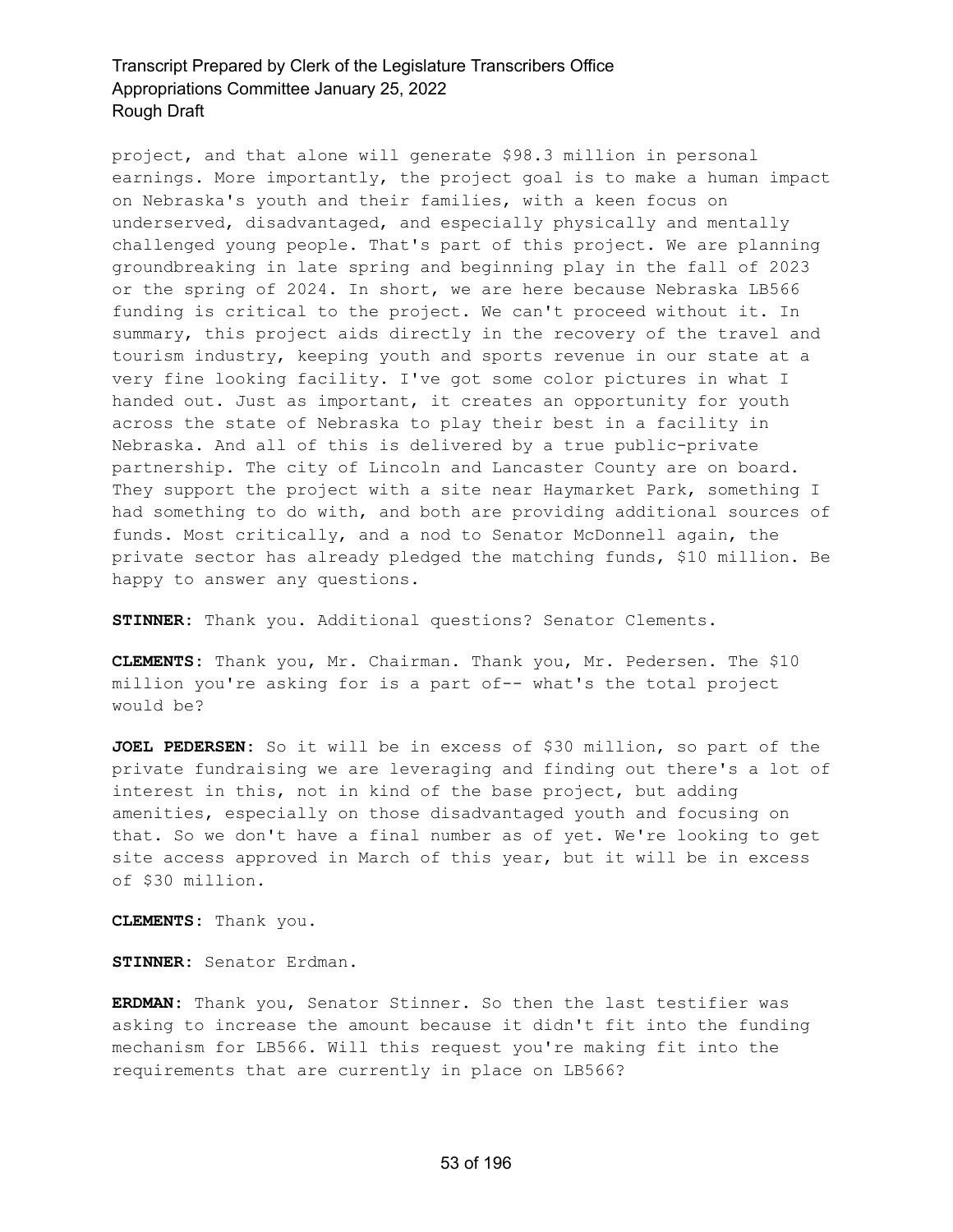project, and that alone will generate \$98.3 million in personal earnings. More importantly, the project goal is to make a human impact on Nebraska's youth and their families, with a keen focus on underserved, disadvantaged, and especially physically and mentally challenged young people. That's part of this project. We are planning groundbreaking in late spring and beginning play in the fall of 2023 or the spring of 2024. In short, we are here because Nebraska LB566 funding is critical to the project. We can't proceed without it. In summary, this project aids directly in the recovery of the travel and tourism industry, keeping youth and sports revenue in our state at a very fine looking facility. I've got some color pictures in what I handed out. Just as important, it creates an opportunity for youth across the state of Nebraska to play their best in a facility in Nebraska. And all of this is delivered by a true public-private partnership. The city of Lincoln and Lancaster County are on board. They support the project with a site near Haymarket Park, something I had something to do with, and both are providing additional sources of funds. Most critically, and a nod to Senator McDonnell again, the private sector has already pledged the matching funds, \$10 million. Be happy to answer any questions.

**STINNER:** Thank you. Additional questions? Senator Clements.

**CLEMENTS:** Thank you, Mr. Chairman. Thank you, Mr. Pedersen. The \$10 million you're asking for is a part of-- what's the total project would be?

**JOEL PEDERSEN:** So it will be in excess of \$30 million, so part of the private fundraising we are leveraging and finding out there's a lot of interest in this, not in kind of the base project, but adding amenities, especially on those disadvantaged youth and focusing on that. So we don't have a final number as of yet. We're looking to get site access approved in March of this year, but it will be in excess of \$30 million.

**CLEMENTS:** Thank you.

**STINNER:** Senator Erdman.

**ERDMAN:** Thank you, Senator Stinner. So then the last testifier was asking to increase the amount because it didn't fit into the funding mechanism for LB566. Will this request you're making fit into the requirements that are currently in place on LB566?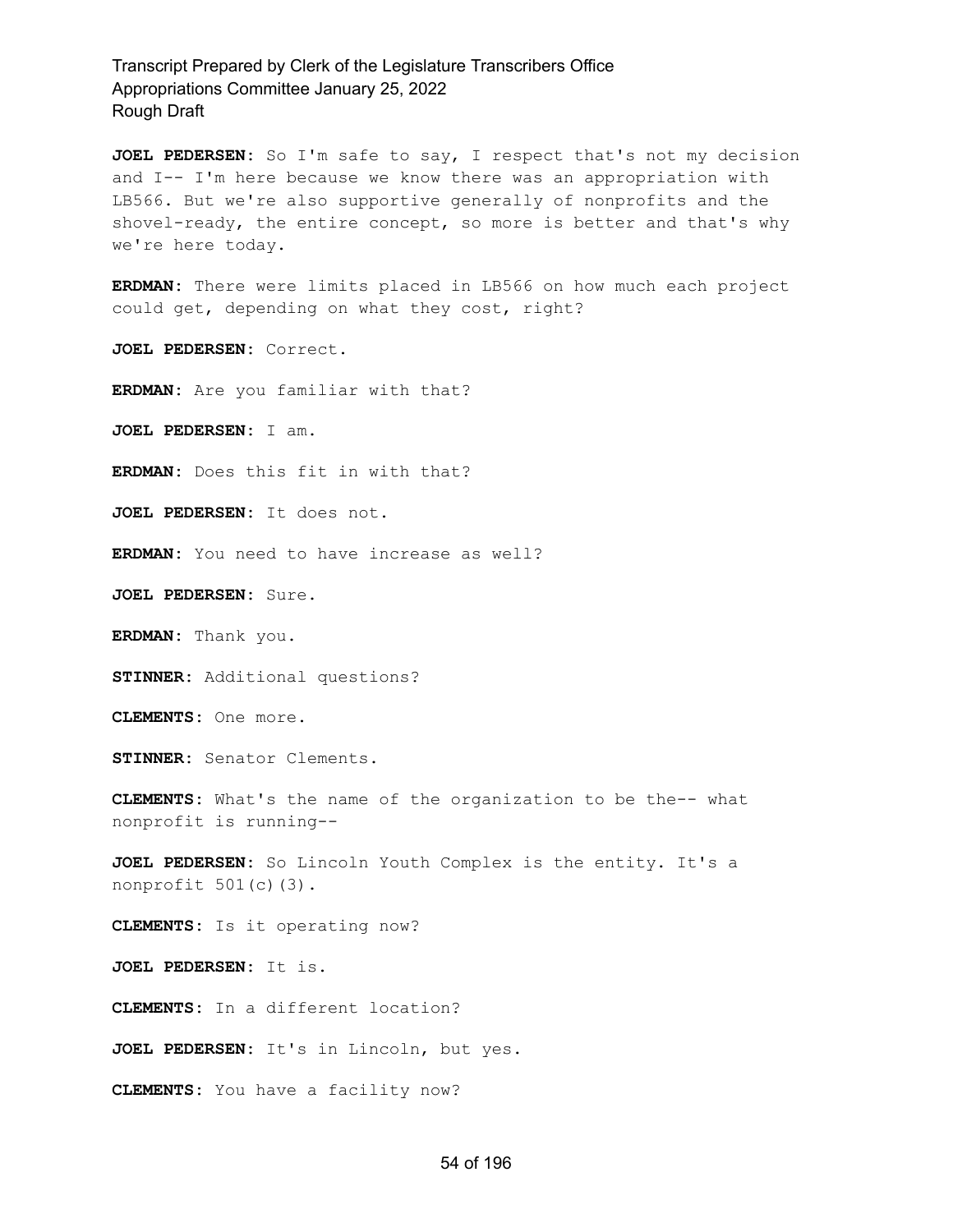**JOEL PEDERSEN:** So I'm safe to say, I respect that's not my decision and I-- I'm here because we know there was an appropriation with LB566. But we're also supportive generally of nonprofits and the shovel-ready, the entire concept, so more is better and that's why we're here today.

**ERDMAN:** There were limits placed in LB566 on how much each project could get, depending on what they cost, right?

**JOEL PEDERSEN:** Correct.

**ERDMAN:** Are you familiar with that?

**JOEL PEDERSEN:** I am.

**ERDMAN:** Does this fit in with that?

**JOEL PEDERSEN:** It does not.

**ERDMAN:** You need to have increase as well?

**JOEL PEDERSEN:** Sure.

**ERDMAN:** Thank you.

**STINNER:** Additional questions?

**CLEMENTS:** One more.

**STINNER:** Senator Clements.

**CLEMENTS:** What's the name of the organization to be the-- what nonprofit is running--

**JOEL PEDERSEN:** So Lincoln Youth Complex is the entity. It's a nonprofit 501(c)(3).

**CLEMENTS:** Is it operating now?

**JOEL PEDERSEN:** It is.

**CLEMENTS:** In a different location?

**JOEL PEDERSEN:** It's in Lincoln, but yes.

**CLEMENTS:** You have a facility now?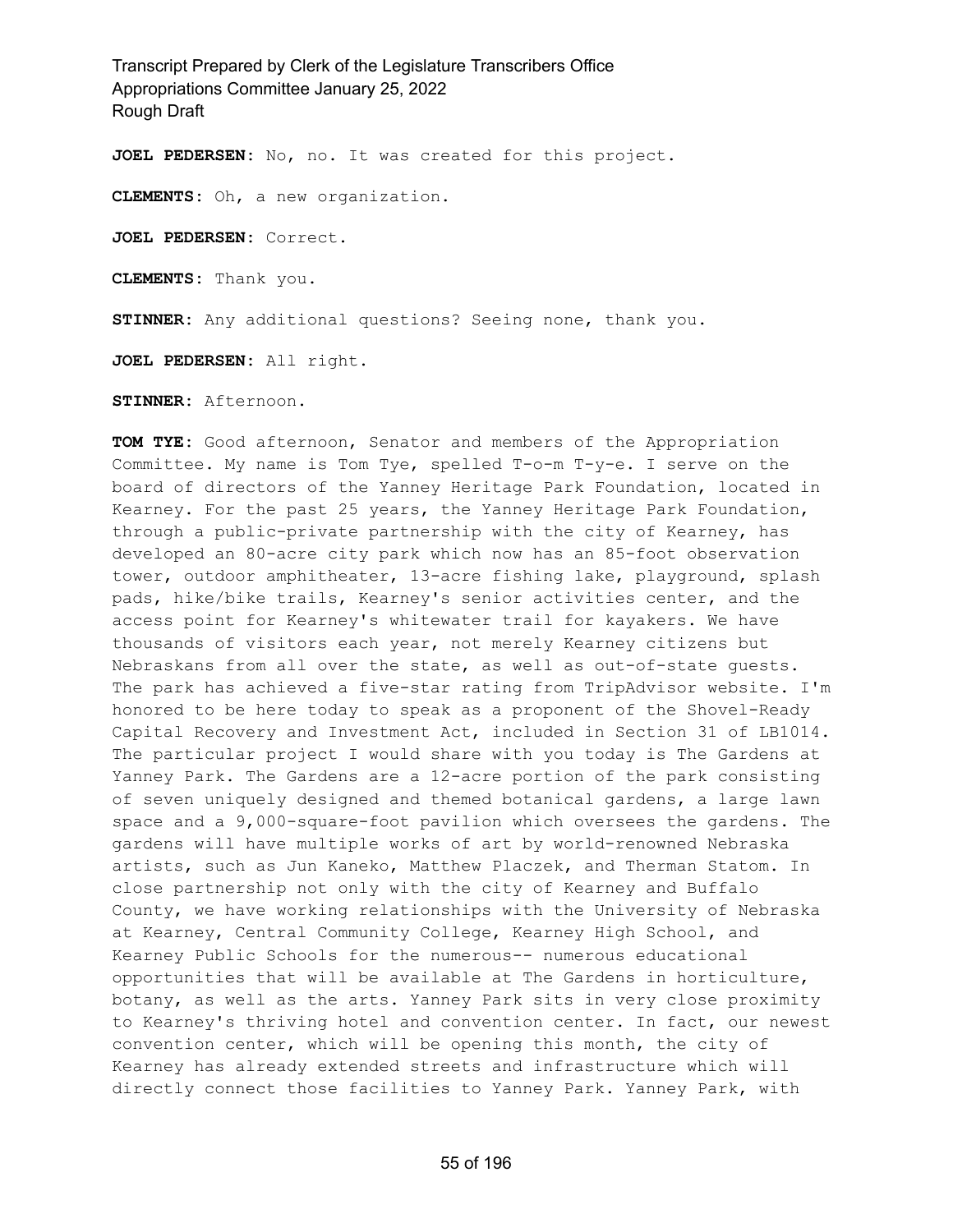**JOEL PEDERSEN:** No, no. It was created for this project.

**CLEMENTS:** Oh, a new organization.

**JOEL PEDERSEN:** Correct.

**CLEMENTS:** Thank you.

**STINNER:** Any additional questions? Seeing none, thank you.

**JOEL PEDERSEN:** All right.

**STINNER:** Afternoon.

**TOM TYE:** Good afternoon, Senator and members of the Appropriation Committee. My name is Tom Tye, spelled T-o-m T-y-e. I serve on the board of directors of the Yanney Heritage Park Foundation, located in Kearney. For the past 25 years, the Yanney Heritage Park Foundation, through a public-private partnership with the city of Kearney, has developed an 80-acre city park which now has an 85-foot observation tower, outdoor amphitheater, 13-acre fishing lake, playground, splash pads, hike/bike trails, Kearney's senior activities center, and the access point for Kearney's whitewater trail for kayakers. We have thousands of visitors each year, not merely Kearney citizens but Nebraskans from all over the state, as well as out-of-state guests. The park has achieved a five-star rating from TripAdvisor website. I'm honored to be here today to speak as a proponent of the Shovel-Ready Capital Recovery and Investment Act, included in Section 31 of LB1014. The particular project I would share with you today is The Gardens at Yanney Park. The Gardens are a 12-acre portion of the park consisting of seven uniquely designed and themed botanical gardens, a large lawn space and a 9,000-square-foot pavilion which oversees the gardens. The gardens will have multiple works of art by world-renowned Nebraska artists, such as Jun Kaneko, Matthew Placzek, and Therman Statom. In close partnership not only with the city of Kearney and Buffalo County, we have working relationships with the University of Nebraska at Kearney, Central Community College, Kearney High School, and Kearney Public Schools for the numerous-- numerous educational opportunities that will be available at The Gardens in horticulture, botany, as well as the arts. Yanney Park sits in very close proximity to Kearney's thriving hotel and convention center. In fact, our newest convention center, which will be opening this month, the city of Kearney has already extended streets and infrastructure which will directly connect those facilities to Yanney Park. Yanney Park, with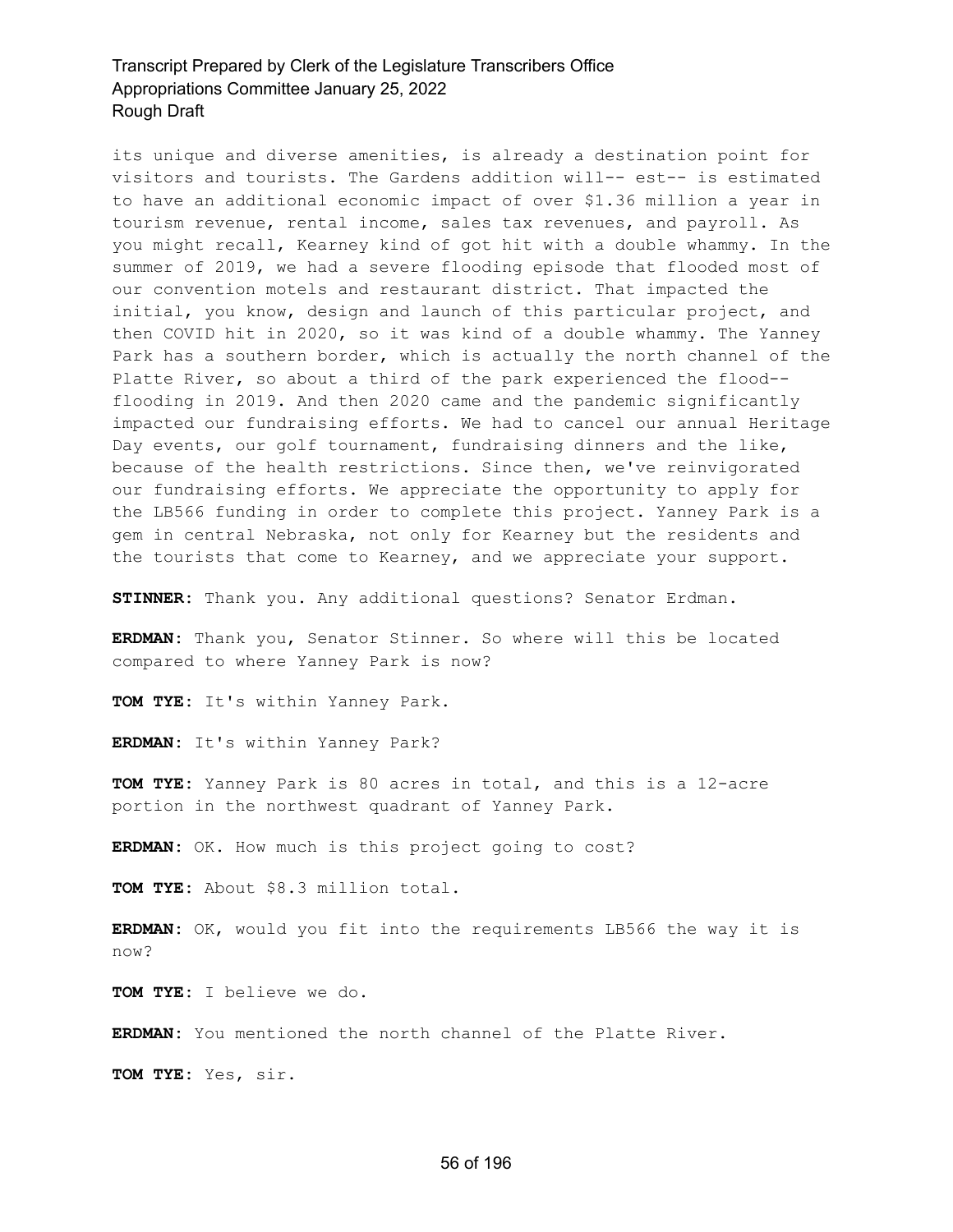its unique and diverse amenities, is already a destination point for visitors and tourists. The Gardens addition will-- est-- is estimated to have an additional economic impact of over \$1.36 million a year in tourism revenue, rental income, sales tax revenues, and payroll. As you might recall, Kearney kind of got hit with a double whammy. In the summer of 2019, we had a severe flooding episode that flooded most of our convention motels and restaurant district. That impacted the initial, you know, design and launch of this particular project, and then COVID hit in 2020, so it was kind of a double whammy. The Yanney Park has a southern border, which is actually the north channel of the Platte River, so about a third of the park experienced the flood- flooding in 2019. And then 2020 came and the pandemic significantly impacted our fundraising efforts. We had to cancel our annual Heritage Day events, our golf tournament, fundraising dinners and the like, because of the health restrictions. Since then, we've reinvigorated our fundraising efforts. We appreciate the opportunity to apply for the LB566 funding in order to complete this project. Yanney Park is a gem in central Nebraska, not only for Kearney but the residents and the tourists that come to Kearney, and we appreciate your support.

**STINNER:** Thank you. Any additional questions? Senator Erdman.

**ERDMAN:** Thank you, Senator Stinner. So where will this be located compared to where Yanney Park is now?

**TOM TYE:** It's within Yanney Park.

**ERDMAN:** It's within Yanney Park?

**TOM TYE:** Yanney Park is 80 acres in total, and this is a 12-acre portion in the northwest quadrant of Yanney Park.

**ERDMAN:** OK. How much is this project going to cost?

**TOM TYE:** About \$8.3 million total.

**ERDMAN:** OK, would you fit into the requirements LB566 the way it is now?

**TOM TYE:** I believe we do.

**ERDMAN:** You mentioned the north channel of the Platte River.

**TOM TYE:** Yes, sir.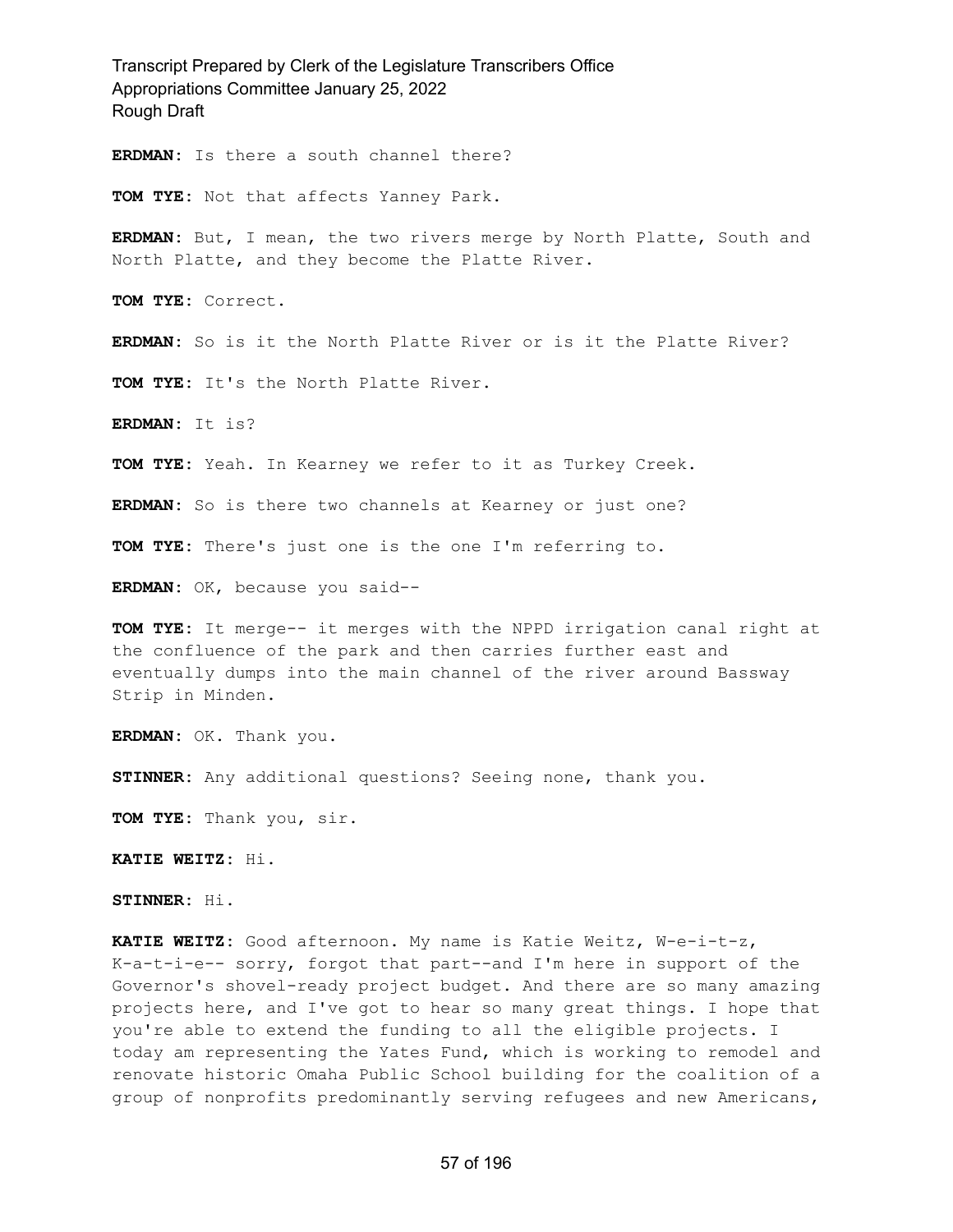Transcript Prepared by Clerk of the Legislature Transcribers Office Appropriations Committee January 25, 2022 Rough Draft **ERDMAN:** Is there a south channel there? **TOM TYE:** Not that affects Yanney Park. **ERDMAN:** But, I mean, the two rivers merge by North Platte, South and North Platte, and they become the Platte River. **TOM TYE:** Correct. **ERDMAN:** So is it the North Platte River or is it the Platte River? **TOM TYE:** It's the North Platte River. **ERDMAN:** It is? **TOM TYE:** Yeah. In Kearney we refer to it as Turkey Creek. **ERDMAN:** So is there two channels at Kearney or just one? **TOM TYE:** There's just one is the one I'm referring to. **ERDMAN:** OK, because you said-- **TOM TYE:** It merge-- it merges with the NPPD irrigation canal right at the confluence of the park and then carries further east and eventually dumps into the main channel of the river around Bassway Strip in Minden. **ERDMAN:** OK. Thank you. **STINNER:** Any additional questions? Seeing none, thank you. **TOM TYE:** Thank you, sir. **KATIE WEITZ:** Hi. **STINNER:** Hi. **KATIE WEITZ:** Good afternoon. My name is Katie Weitz, W-e-i-t-z, K-a-t-i-e-- sorry, forgot that part--and I'm here in support of the Governor's shovel-ready project budget. And there are so many amazing

projects here, and I've got to hear so many great things. I hope that you're able to extend the funding to all the eligible projects. I today am representing the Yates Fund, which is working to remodel and renovate historic Omaha Public School building for the coalition of a group of nonprofits predominantly serving refugees and new Americans,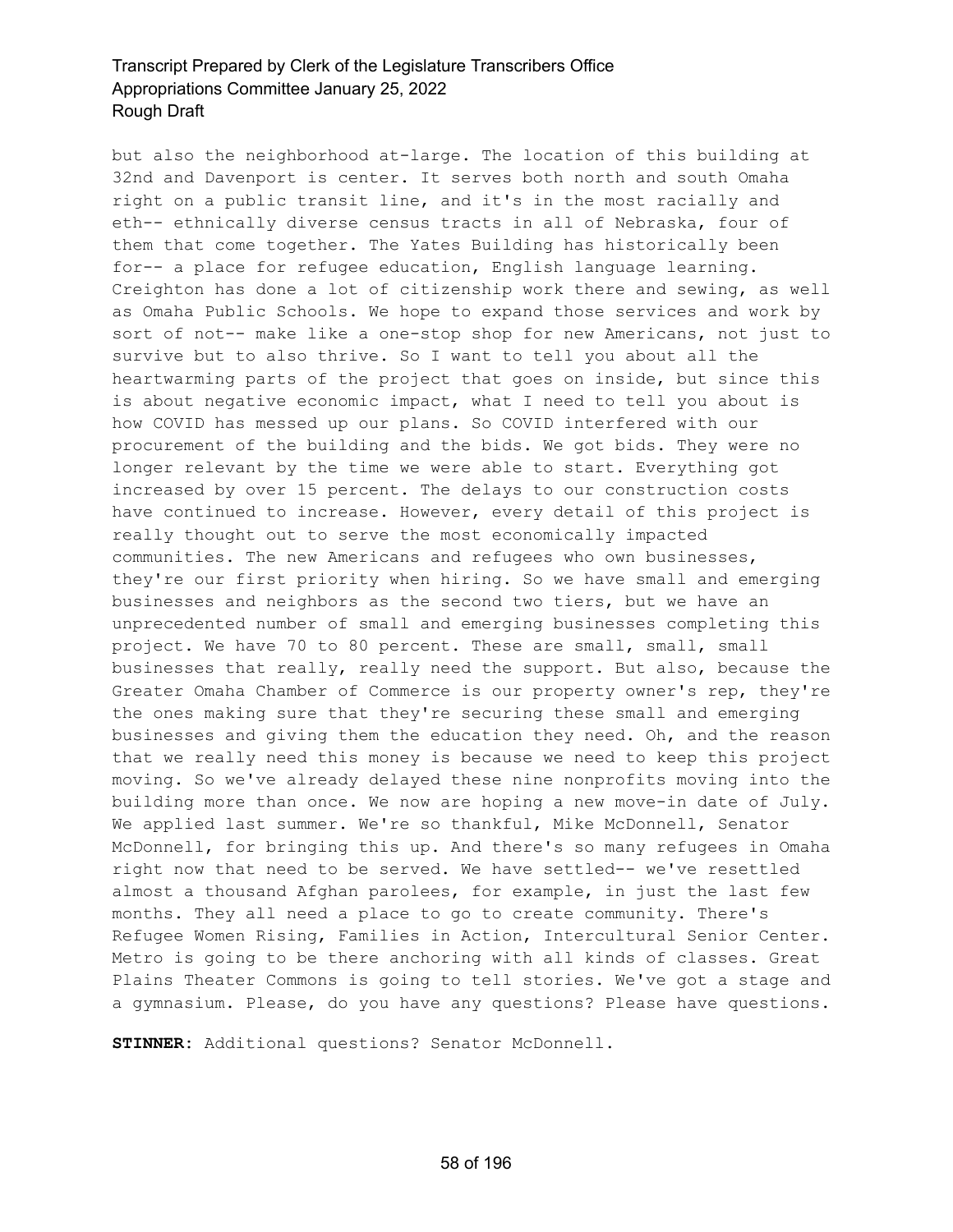but also the neighborhood at-large. The location of this building at 32nd and Davenport is center. It serves both north and south Omaha right on a public transit line, and it's in the most racially and eth-- ethnically diverse census tracts in all of Nebraska, four of them that come together. The Yates Building has historically been for-- a place for refugee education, English language learning. Creighton has done a lot of citizenship work there and sewing, as well as Omaha Public Schools. We hope to expand those services and work by sort of not-- make like a one-stop shop for new Americans, not just to survive but to also thrive. So I want to tell you about all the heartwarming parts of the project that goes on inside, but since this is about negative economic impact, what I need to tell you about is how COVID has messed up our plans. So COVID interfered with our procurement of the building and the bids. We got bids. They were no longer relevant by the time we were able to start. Everything got increased by over 15 percent. The delays to our construction costs have continued to increase. However, every detail of this project is really thought out to serve the most economically impacted communities. The new Americans and refugees who own businesses, they're our first priority when hiring. So we have small and emerging businesses and neighbors as the second two tiers, but we have an unprecedented number of small and emerging businesses completing this project. We have 70 to 80 percent. These are small, small, small businesses that really, really need the support. But also, because the Greater Omaha Chamber of Commerce is our property owner's rep, they're the ones making sure that they're securing these small and emerging businesses and giving them the education they need. Oh, and the reason that we really need this money is because we need to keep this project moving. So we've already delayed these nine nonprofits moving into the building more than once. We now are hoping a new move-in date of July. We applied last summer. We're so thankful, Mike McDonnell, Senator McDonnell, for bringing this up. And there's so many refugees in Omaha right now that need to be served. We have settled-- we've resettled almost a thousand Afghan parolees, for example, in just the last few months. They all need a place to go to create community. There's Refugee Women Rising, Families in Action, Intercultural Senior Center. Metro is going to be there anchoring with all kinds of classes. Great Plains Theater Commons is going to tell stories. We've got a stage and a gymnasium. Please, do you have any questions? Please have questions.

**STINNER:** Additional questions? Senator McDonnell.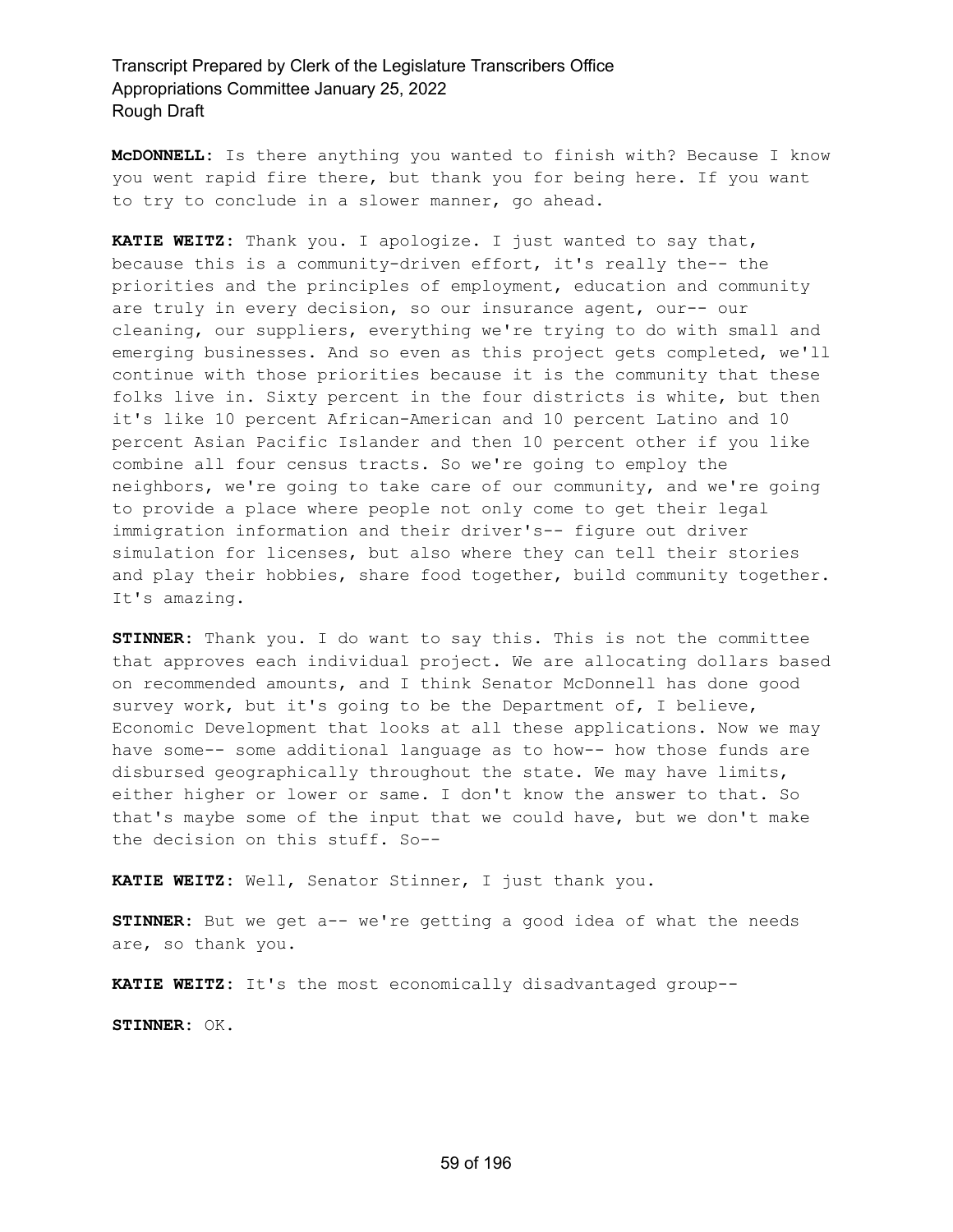**McDONNELL:** Is there anything you wanted to finish with? Because I know you went rapid fire there, but thank you for being here. If you want to try to conclude in a slower manner, go ahead.

**KATIE WEITZ:** Thank you. I apologize. I just wanted to say that, because this is a community-driven effort, it's really the-- the priorities and the principles of employment, education and community are truly in every decision, so our insurance agent, our-- our cleaning, our suppliers, everything we're trying to do with small and emerging businesses. And so even as this project gets completed, we'll continue with those priorities because it is the community that these folks live in. Sixty percent in the four districts is white, but then it's like 10 percent African-American and 10 percent Latino and 10 percent Asian Pacific Islander and then 10 percent other if you like combine all four census tracts. So we're going to employ the neighbors, we're going to take care of our community, and we're going to provide a place where people not only come to get their legal immigration information and their driver's-- figure out driver simulation for licenses, but also where they can tell their stories and play their hobbies, share food together, build community together. It's amazing.

**STINNER:** Thank you. I do want to say this. This is not the committee that approves each individual project. We are allocating dollars based on recommended amounts, and I think Senator McDonnell has done good survey work, but it's going to be the Department of, I believe, Economic Development that looks at all these applications. Now we may have some-- some additional language as to how-- how those funds are disbursed geographically throughout the state. We may have limits, either higher or lower or same. I don't know the answer to that. So that's maybe some of the input that we could have, but we don't make the decision on this stuff. So--

**KATIE WEITZ:** Well, Senator Stinner, I just thank you.

**STINNER:** But we get a-- we're getting a good idea of what the needs are, so thank you.

**KATIE WEITZ:** It's the most economically disadvantaged group--

**STINNER:** OK.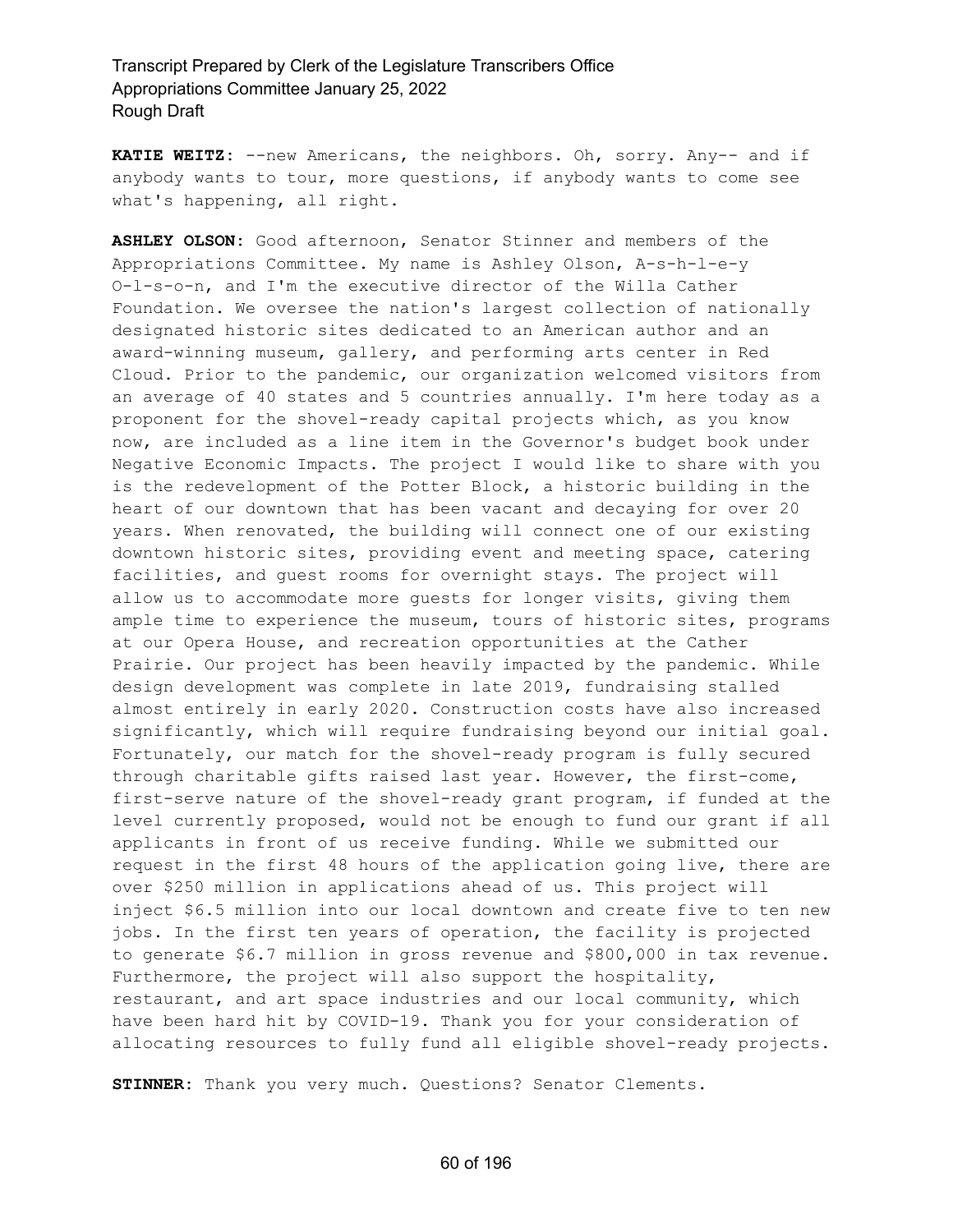**KATIE WEITZ:** --new Americans, the neighbors. Oh, sorry. Any-- and if anybody wants to tour, more questions, if anybody wants to come see what's happening, all right.

**ASHLEY OLSON:** Good afternoon, Senator Stinner and members of the Appropriations Committee. My name is Ashley Olson, A-s-h-l-e-y O-l-s-o-n, and I'm the executive director of the Willa Cather Foundation. We oversee the nation's largest collection of nationally designated historic sites dedicated to an American author and an award-winning museum, gallery, and performing arts center in Red Cloud. Prior to the pandemic, our organization welcomed visitors from an average of 40 states and 5 countries annually. I'm here today as a proponent for the shovel-ready capital projects which, as you know now, are included as a line item in the Governor's budget book under Negative Economic Impacts. The project I would like to share with you is the redevelopment of the Potter Block, a historic building in the heart of our downtown that has been vacant and decaying for over 20 years. When renovated, the building will connect one of our existing downtown historic sites, providing event and meeting space, catering facilities, and guest rooms for overnight stays. The project will allow us to accommodate more guests for longer visits, giving them ample time to experience the museum, tours of historic sites, programs at our Opera House, and recreation opportunities at the Cather Prairie. Our project has been heavily impacted by the pandemic. While design development was complete in late 2019, fundraising stalled almost entirely in early 2020. Construction costs have also increased significantly, which will require fundraising beyond our initial goal. Fortunately, our match for the shovel-ready program is fully secured through charitable gifts raised last year. However, the first-come, first-serve nature of the shovel-ready grant program, if funded at the level currently proposed, would not be enough to fund our grant if all applicants in front of us receive funding. While we submitted our request in the first 48 hours of the application going live, there are over \$250 million in applications ahead of us. This project will inject \$6.5 million into our local downtown and create five to ten new jobs. In the first ten years of operation, the facility is projected to generate \$6.7 million in gross revenue and \$800,000 in tax revenue. Furthermore, the project will also support the hospitality, restaurant, and art space industries and our local community, which have been hard hit by COVID-19. Thank you for your consideration of allocating resources to fully fund all eligible shovel-ready projects.

**STINNER:** Thank you very much. Questions? Senator Clements.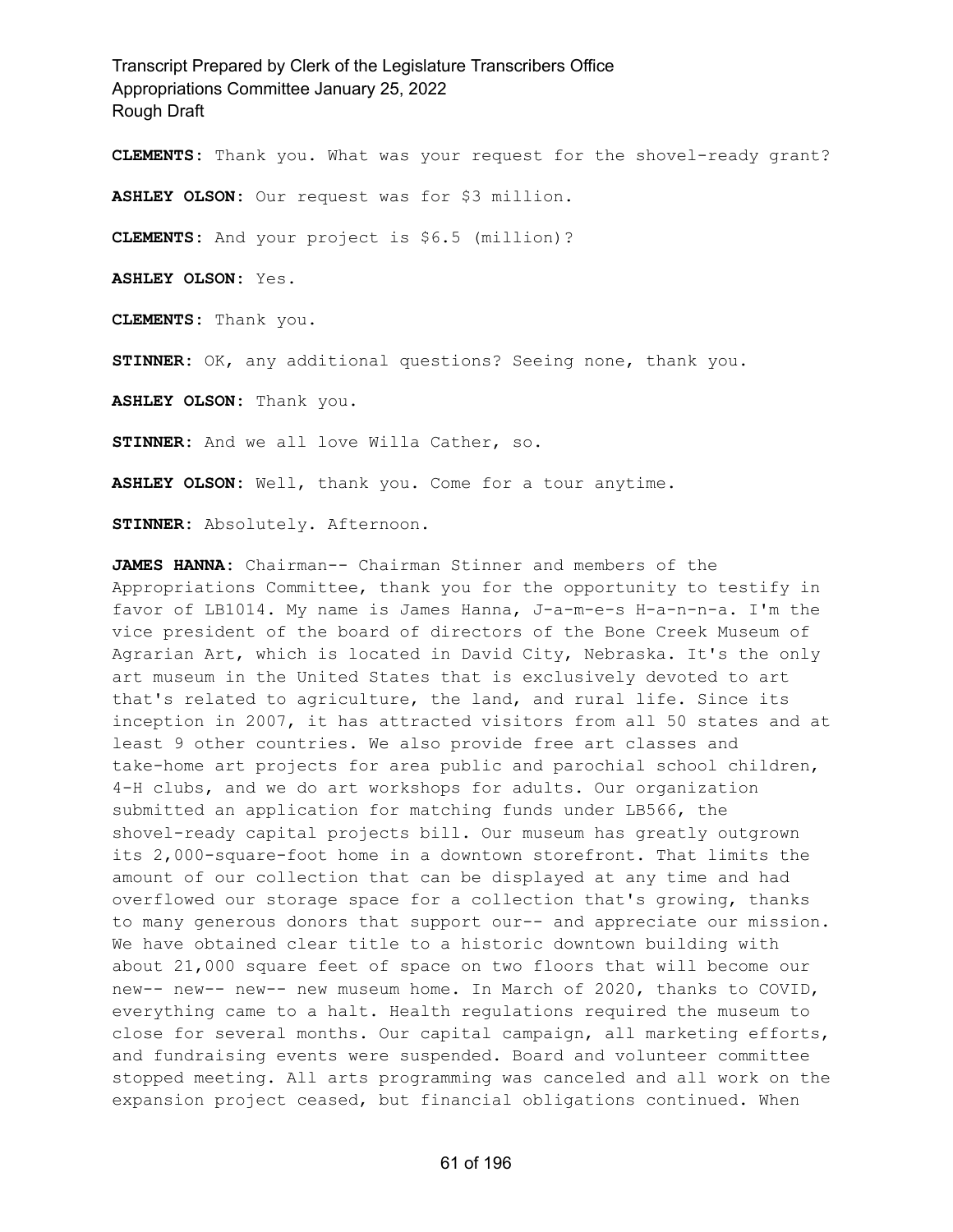**CLEMENTS:** Thank you. What was your request for the shovel-ready grant?

**ASHLEY OLSON:** Our request was for \$3 million.

**CLEMENTS:** And your project is \$6.5 (million)?

**ASHLEY OLSON:** Yes.

**CLEMENTS:** Thank you.

**STINNER:** OK, any additional questions? Seeing none, thank you.

**ASHLEY OLSON:** Thank you.

**STINNER:** And we all love Willa Cather, so.

**ASHLEY OLSON:** Well, thank you. Come for a tour anytime.

**STINNER:** Absolutely. Afternoon.

**JAMES HANNA:** Chairman-- Chairman Stinner and members of the Appropriations Committee, thank you for the opportunity to testify in favor of LB1014. My name is James Hanna, J-a-m-e-s H-a-n-n-a. I'm the vice president of the board of directors of the Bone Creek Museum of Agrarian Art, which is located in David City, Nebraska. It's the only art museum in the United States that is exclusively devoted to art that's related to agriculture, the land, and rural life. Since its inception in 2007, it has attracted visitors from all 50 states and at least 9 other countries. We also provide free art classes and take-home art projects for area public and parochial school children, 4-H clubs, and we do art workshops for adults. Our organization submitted an application for matching funds under LB566, the shovel-ready capital projects bill. Our museum has greatly outgrown its 2,000-square-foot home in a downtown storefront. That limits the amount of our collection that can be displayed at any time and had overflowed our storage space for a collection that's growing, thanks to many generous donors that support our-- and appreciate our mission. We have obtained clear title to a historic downtown building with about 21,000 square feet of space on two floors that will become our new-- new-- new-- new museum home. In March of 2020, thanks to COVID, everything came to a halt. Health regulations required the museum to close for several months. Our capital campaign, all marketing efforts, and fundraising events were suspended. Board and volunteer committee stopped meeting. All arts programming was canceled and all work on the expansion project ceased, but financial obligations continued. When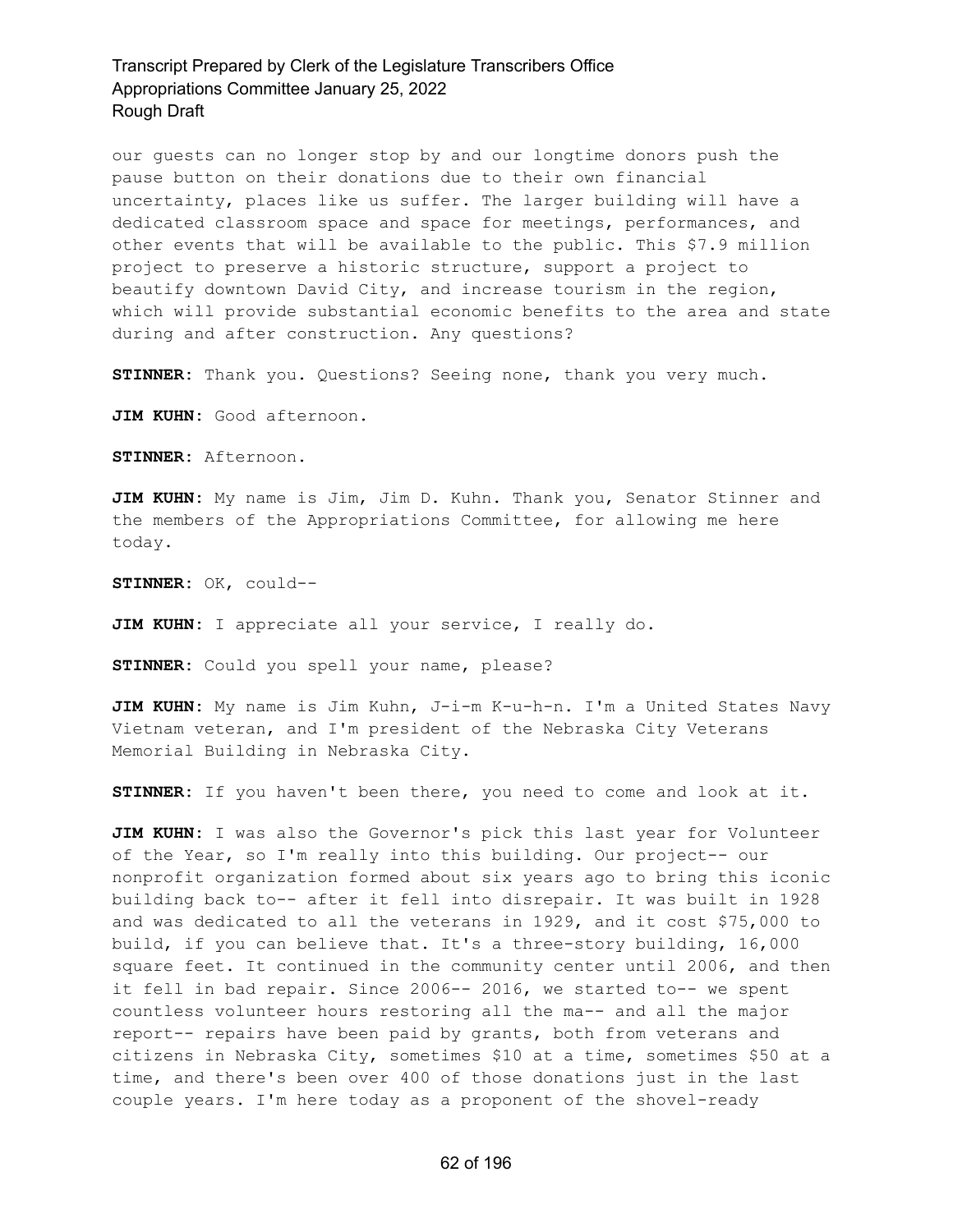our guests can no longer stop by and our longtime donors push the pause button on their donations due to their own financial uncertainty, places like us suffer. The larger building will have a dedicated classroom space and space for meetings, performances, and other events that will be available to the public. This \$7.9 million project to preserve a historic structure, support a project to beautify downtown David City, and increase tourism in the region, which will provide substantial economic benefits to the area and state during and after construction. Any questions?

**STINNER:** Thank you. Questions? Seeing none, thank you very much.

**JIM KUHN:** Good afternoon.

**STINNER:** Afternoon.

**JIM KUHN:** My name is Jim, Jim D. Kuhn. Thank you, Senator Stinner and the members of the Appropriations Committee, for allowing me here today.

**STINNER:** OK, could--

**JIM KUHN:** I appreciate all your service, I really do.

**STINNER:** Could you spell your name, please?

**JIM KUHN:** My name is Jim Kuhn, J-i-m K-u-h-n. I'm a United States Navy Vietnam veteran, and I'm president of the Nebraska City Veterans Memorial Building in Nebraska City.

**STINNER:** If you haven't been there, you need to come and look at it.

**JIM KUHN:** I was also the Governor's pick this last year for Volunteer of the Year, so I'm really into this building. Our project-- our nonprofit organization formed about six years ago to bring this iconic building back to-- after it fell into disrepair. It was built in 1928 and was dedicated to all the veterans in 1929, and it cost \$75,000 to build, if you can believe that. It's a three-story building, 16,000 square feet. It continued in the community center until 2006, and then it fell in bad repair. Since 2006-- 2016, we started to-- we spent countless volunteer hours restoring all the ma-- and all the major report-- repairs have been paid by grants, both from veterans and citizens in Nebraska City, sometimes \$10 at a time, sometimes \$50 at a time, and there's been over 400 of those donations just in the last couple years. I'm here today as a proponent of the shovel-ready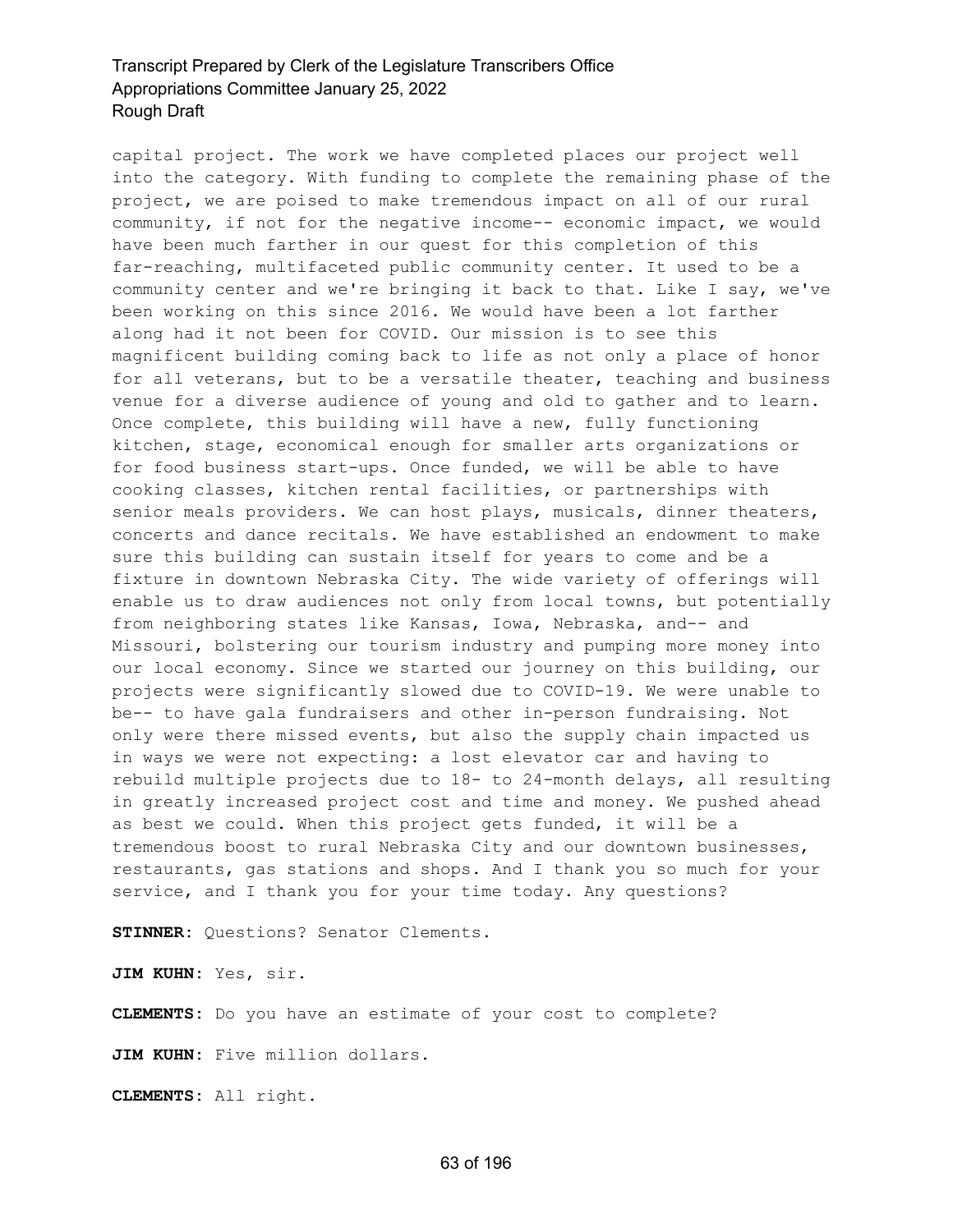capital project. The work we have completed places our project well into the category. With funding to complete the remaining phase of the project, we are poised to make tremendous impact on all of our rural community, if not for the negative income-- economic impact, we would have been much farther in our quest for this completion of this far-reaching, multifaceted public community center. It used to be a community center and we're bringing it back to that. Like I say, we've been working on this since 2016. We would have been a lot farther along had it not been for COVID. Our mission is to see this magnificent building coming back to life as not only a place of honor for all veterans, but to be a versatile theater, teaching and business venue for a diverse audience of young and old to gather and to learn. Once complete, this building will have a new, fully functioning kitchen, stage, economical enough for smaller arts organizations or for food business start-ups. Once funded, we will be able to have cooking classes, kitchen rental facilities, or partnerships with senior meals providers. We can host plays, musicals, dinner theaters, concerts and dance recitals. We have established an endowment to make sure this building can sustain itself for years to come and be a fixture in downtown Nebraska City. The wide variety of offerings will enable us to draw audiences not only from local towns, but potentially from neighboring states like Kansas, Iowa, Nebraska, and-- and Missouri, bolstering our tourism industry and pumping more money into our local economy. Since we started our journey on this building, our projects were significantly slowed due to COVID-19. We were unable to be-- to have gala fundraisers and other in-person fundraising. Not only were there missed events, but also the supply chain impacted us in ways we were not expecting: a lost elevator car and having to rebuild multiple projects due to 18- to 24-month delays, all resulting in greatly increased project cost and time and money. We pushed ahead as best we could. When this project gets funded, it will be a tremendous boost to rural Nebraska City and our downtown businesses, restaurants, gas stations and shops. And I thank you so much for your service, and I thank you for your time today. Any questions?

**STINNER:** Questions? Senator Clements.

**JIM KUHN:** Yes, sir.

**CLEMENTS:** Do you have an estimate of your cost to complete?

**JIM KUHN:** Five million dollars.

**CLEMENTS:** All right.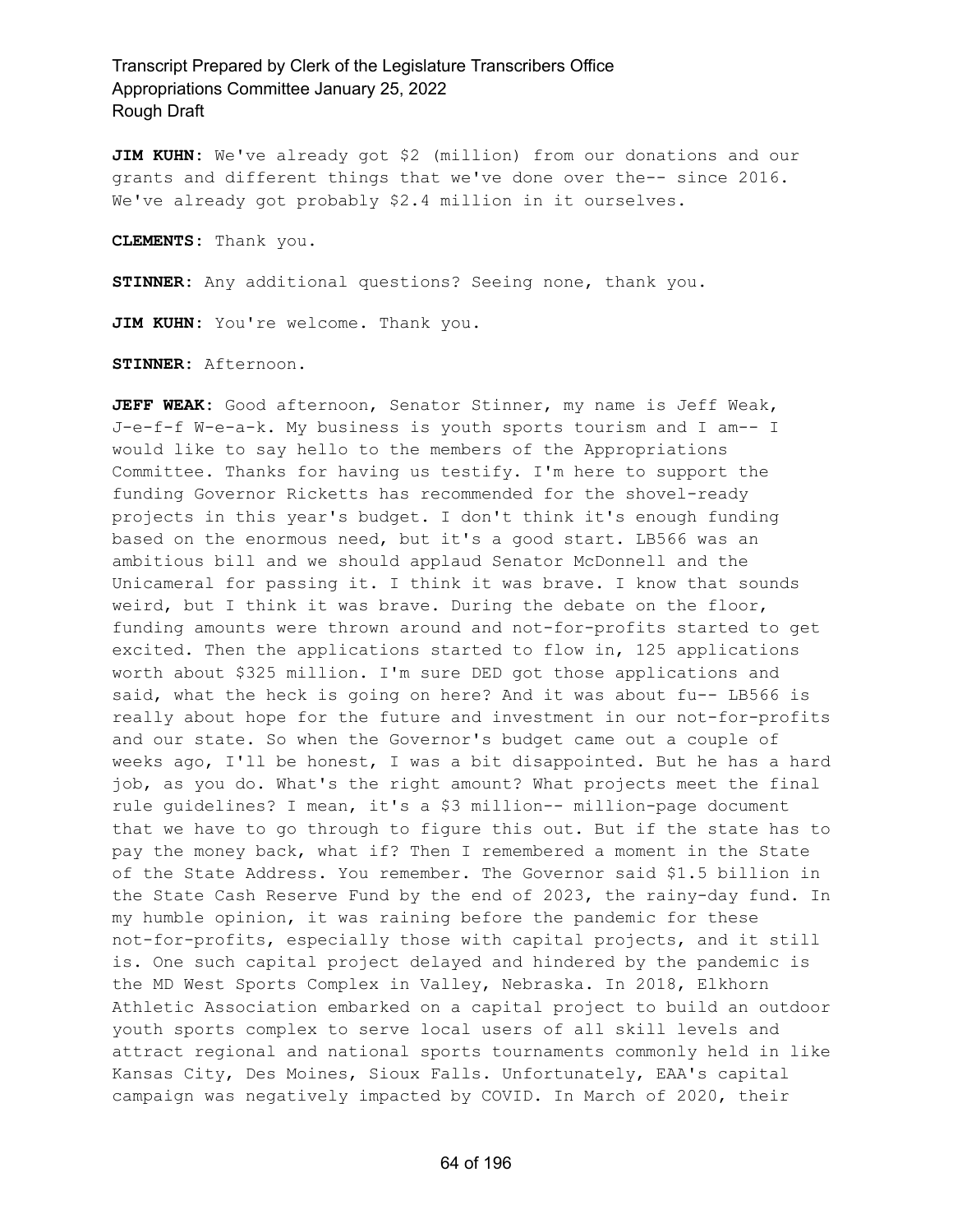**JIM KUHN:** We've already got \$2 (million) from our donations and our grants and different things that we've done over the-- since 2016. We've already got probably \$2.4 million in it ourselves.

**CLEMENTS:** Thank you.

**STINNER:** Any additional questions? Seeing none, thank you.

**JIM KUHN:** You're welcome. Thank you.

**STINNER:** Afternoon.

**JEFF WEAK:** Good afternoon, Senator Stinner, my name is Jeff Weak, J-e-f-f W-e-a-k. My business is youth sports tourism and I am-- I would like to say hello to the members of the Appropriations Committee. Thanks for having us testify. I'm here to support the funding Governor Ricketts has recommended for the shovel-ready projects in this year's budget. I don't think it's enough funding based on the enormous need, but it's a good start. LB566 was an ambitious bill and we should applaud Senator McDonnell and the Unicameral for passing it. I think it was brave. I know that sounds weird, but I think it was brave. During the debate on the floor, funding amounts were thrown around and not-for-profits started to get excited. Then the applications started to flow in, 125 applications worth about \$325 million. I'm sure DED got those applications and said, what the heck is going on here? And it was about fu-- LB566 is really about hope for the future and investment in our not-for-profits and our state. So when the Governor's budget came out a couple of weeks ago, I'll be honest, I was a bit disappointed. But he has a hard job, as you do. What's the right amount? What projects meet the final rule guidelines? I mean, it's a \$3 million-- million-page document that we have to go through to figure this out. But if the state has to pay the money back, what if? Then I remembered a moment in the State of the State Address. You remember. The Governor said \$1.5 billion in the State Cash Reserve Fund by the end of 2023, the rainy-day fund. In my humble opinion, it was raining before the pandemic for these not-for-profits, especially those with capital projects, and it still is. One such capital project delayed and hindered by the pandemic is the MD West Sports Complex in Valley, Nebraska. In 2018, Elkhorn Athletic Association embarked on a capital project to build an outdoor youth sports complex to serve local users of all skill levels and attract regional and national sports tournaments commonly held in like Kansas City, Des Moines, Sioux Falls. Unfortunately, EAA's capital campaign was negatively impacted by COVID. In March of 2020, their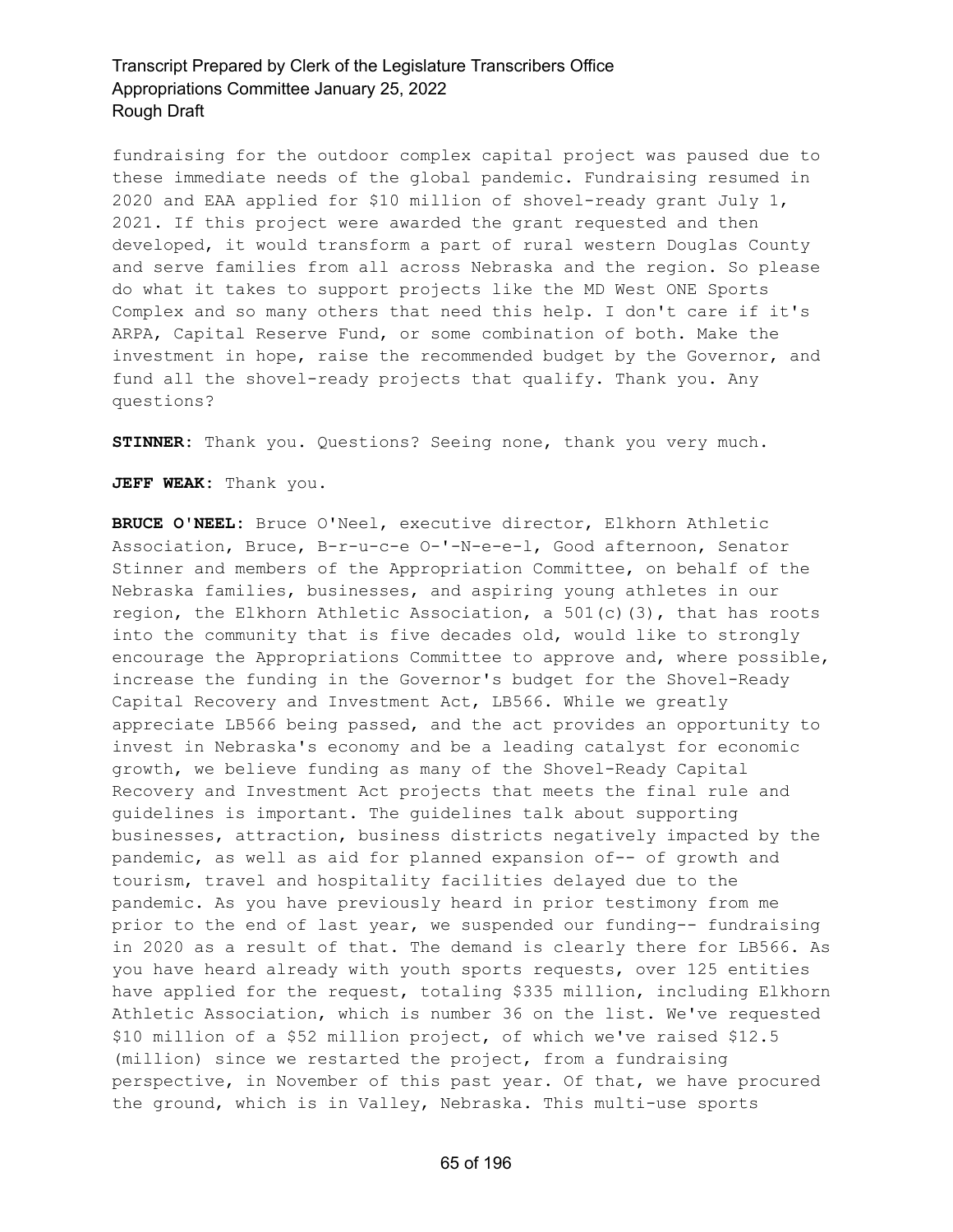fundraising for the outdoor complex capital project was paused due to these immediate needs of the global pandemic. Fundraising resumed in 2020 and EAA applied for \$10 million of shovel-ready grant July 1, 2021. If this project were awarded the grant requested and then developed, it would transform a part of rural western Douglas County and serve families from all across Nebraska and the region. So please do what it takes to support projects like the MD West ONE Sports Complex and so many others that need this help. I don't care if it's ARPA, Capital Reserve Fund, or some combination of both. Make the investment in hope, raise the recommended budget by the Governor, and fund all the shovel-ready projects that qualify. Thank you. Any questions?

**STINNER:** Thank you. Questions? Seeing none, thank you very much.

**JEFF WEAK:** Thank you.

**BRUCE O'NEEL:** Bruce O'Neel, executive director, Elkhorn Athletic Association, Bruce, B-r-u-c-e O-'-N-e-e-l, Good afternoon, Senator Stinner and members of the Appropriation Committee, on behalf of the Nebraska families, businesses, and aspiring young athletes in our region, the Elkhorn Athletic Association, a  $501(c)(3)$ , that has roots into the community that is five decades old, would like to strongly encourage the Appropriations Committee to approve and, where possible, increase the funding in the Governor's budget for the Shovel-Ready Capital Recovery and Investment Act, LB566. While we greatly appreciate LB566 being passed, and the act provides an opportunity to invest in Nebraska's economy and be a leading catalyst for economic growth, we believe funding as many of the Shovel-Ready Capital Recovery and Investment Act projects that meets the final rule and guidelines is important. The guidelines talk about supporting businesses, attraction, business districts negatively impacted by the pandemic, as well as aid for planned expansion of-- of growth and tourism, travel and hospitality facilities delayed due to the pandemic. As you have previously heard in prior testimony from me prior to the end of last year, we suspended our funding-- fundraising in 2020 as a result of that. The demand is clearly there for LB566. As you have heard already with youth sports requests, over 125 entities have applied for the request, totaling \$335 million, including Elkhorn Athletic Association, which is number 36 on the list. We've requested \$10 million of a \$52 million project, of which we've raised \$12.5 (million) since we restarted the project, from a fundraising perspective, in November of this past year. Of that, we have procured the ground, which is in Valley, Nebraska. This multi-use sports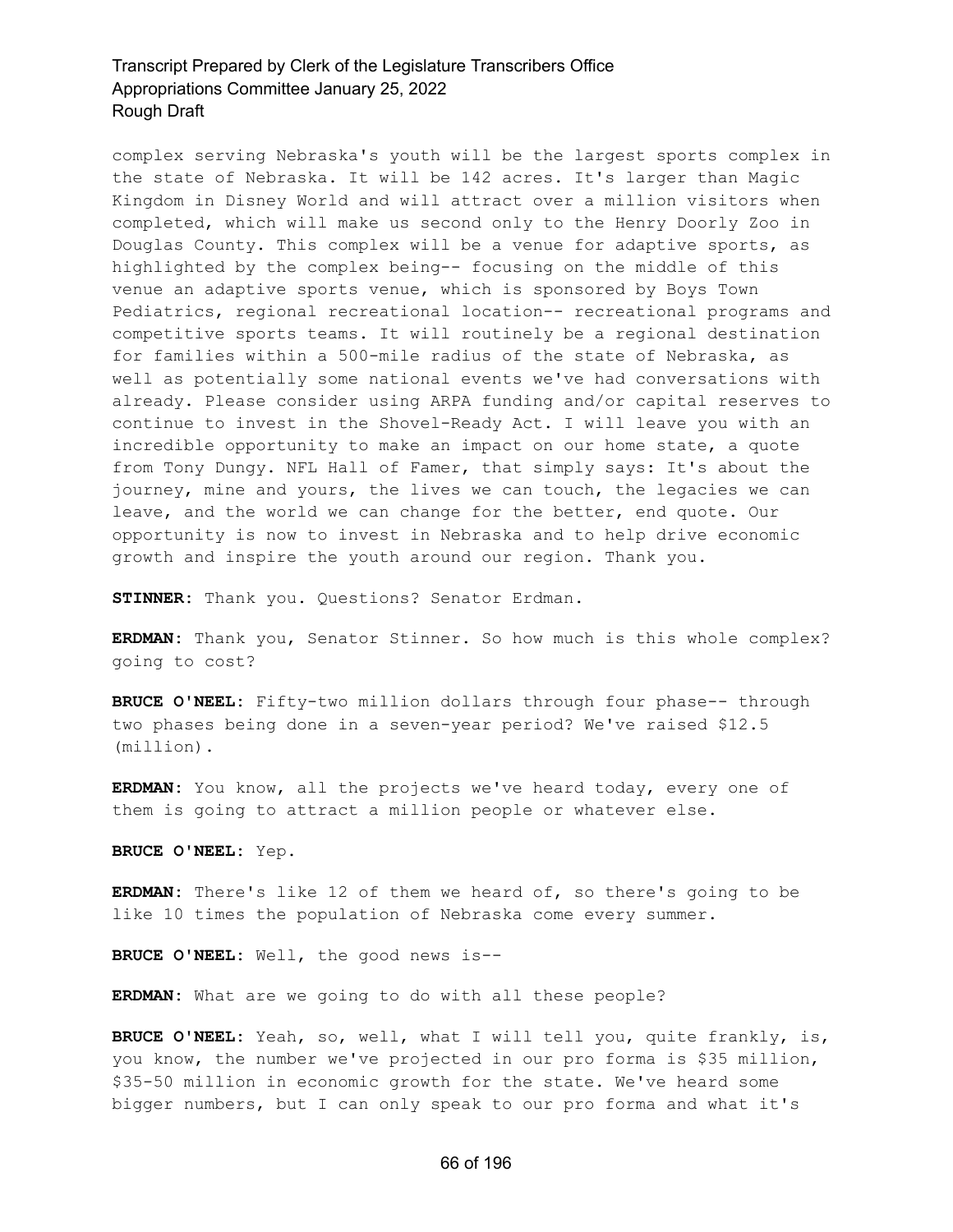complex serving Nebraska's youth will be the largest sports complex in the state of Nebraska. It will be 142 acres. It's larger than Magic Kingdom in Disney World and will attract over a million visitors when completed, which will make us second only to the Henry Doorly Zoo in Douglas County. This complex will be a venue for adaptive sports, as highlighted by the complex being-- focusing on the middle of this venue an adaptive sports venue, which is sponsored by Boys Town Pediatrics, regional recreational location-- recreational programs and competitive sports teams. It will routinely be a regional destination for families within a 500-mile radius of the state of Nebraska, as well as potentially some national events we've had conversations with already. Please consider using ARPA funding and/or capital reserves to continue to invest in the Shovel-Ready Act. I will leave you with an incredible opportunity to make an impact on our home state, a quote from Tony Dungy. NFL Hall of Famer, that simply says: It's about the journey, mine and yours, the lives we can touch, the legacies we can leave, and the world we can change for the better, end quote. Our opportunity is now to invest in Nebraska and to help drive economic growth and inspire the youth around our region. Thank you.

**STINNER:** Thank you. Questions? Senator Erdman.

**ERDMAN:** Thank you, Senator Stinner. So how much is this whole complex? going to cost?

**BRUCE O'NEEL:** Fifty-two million dollars through four phase-- through two phases being done in a seven-year period? We've raised \$12.5 (million).

**ERDMAN:** You know, all the projects we've heard today, every one of them is going to attract a million people or whatever else.

**BRUCE O'NEEL:** Yep.

**ERDMAN:** There's like 12 of them we heard of, so there's going to be like 10 times the population of Nebraska come every summer.

**BRUCE O'NEEL:** Well, the good news is--

**ERDMAN:** What are we going to do with all these people?

**BRUCE O'NEEL:** Yeah, so, well, what I will tell you, quite frankly, is, you know, the number we've projected in our pro forma is \$35 million, \$35-50 million in economic growth for the state. We've heard some bigger numbers, but I can only speak to our pro forma and what it's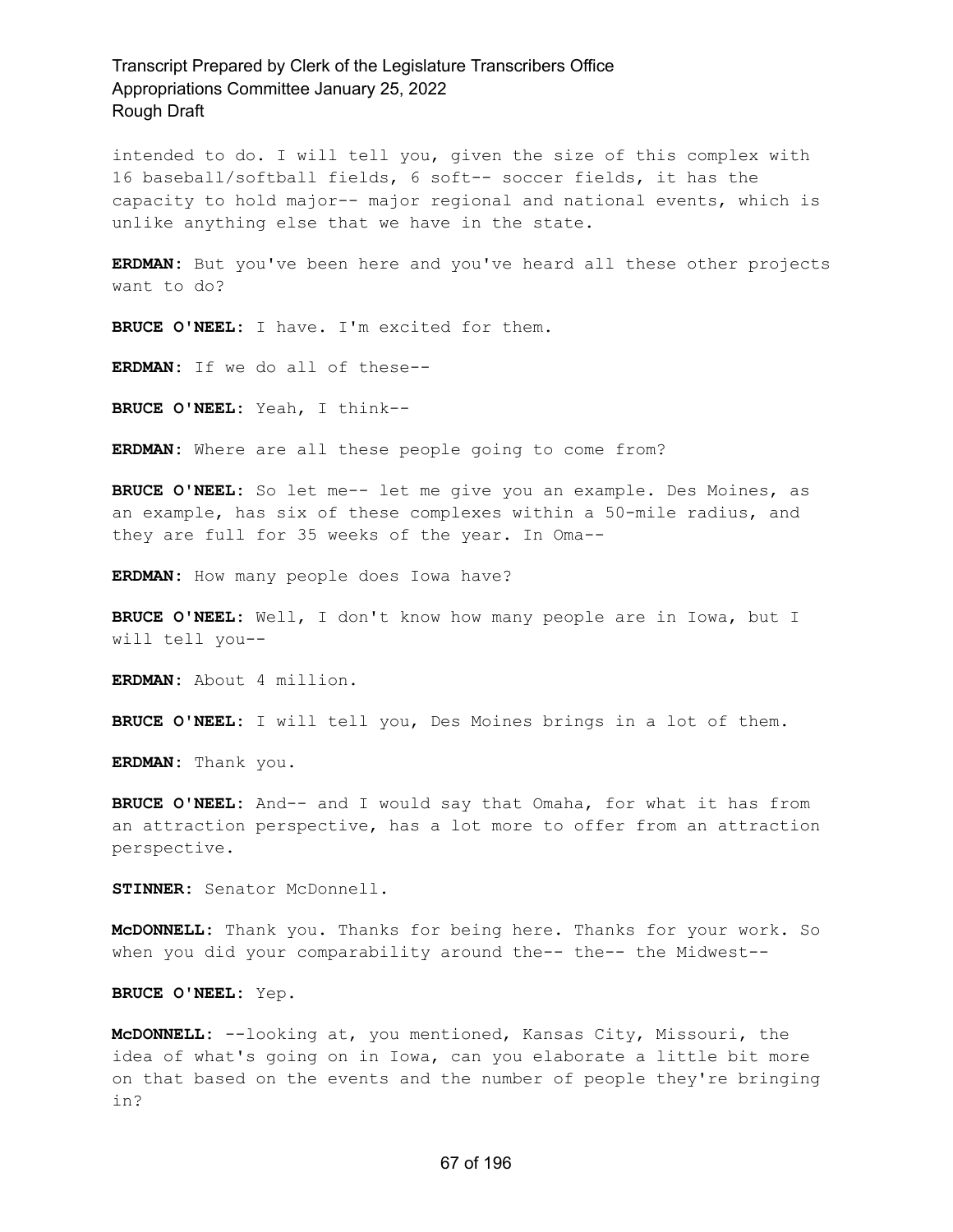intended to do. I will tell you, given the size of this complex with 16 baseball/softball fields, 6 soft-- soccer fields, it has the capacity to hold major-- major regional and national events, which is unlike anything else that we have in the state.

**ERDMAN:** But you've been here and you've heard all these other projects want to do?

**BRUCE O'NEEL:** I have. I'm excited for them.

**ERDMAN:** If we do all of these--

**BRUCE O'NEEL:** Yeah, I think--

**ERDMAN:** Where are all these people going to come from?

**BRUCE O'NEEL:** So let me-- let me give you an example. Des Moines, as an example, has six of these complexes within a 50-mile radius, and they are full for 35 weeks of the year. In Oma--

**ERDMAN:** How many people does Iowa have?

**BRUCE O'NEEL:** Well, I don't know how many people are in Iowa, but I will tell you--

**ERDMAN:** About 4 million.

**BRUCE O'NEEL:** I will tell you, Des Moines brings in a lot of them.

**ERDMAN:** Thank you.

**BRUCE O'NEEL:** And-- and I would say that Omaha, for what it has from an attraction perspective, has a lot more to offer from an attraction perspective.

**STINNER:** Senator McDonnell.

**McDONNELL:** Thank you. Thanks for being here. Thanks for your work. So when you did your comparability around the-- the-- the Midwest--

**BRUCE O'NEEL:** Yep.

**McDONNELL:** --looking at, you mentioned, Kansas City, Missouri, the idea of what's going on in Iowa, can you elaborate a little bit more on that based on the events and the number of people they're bringing in?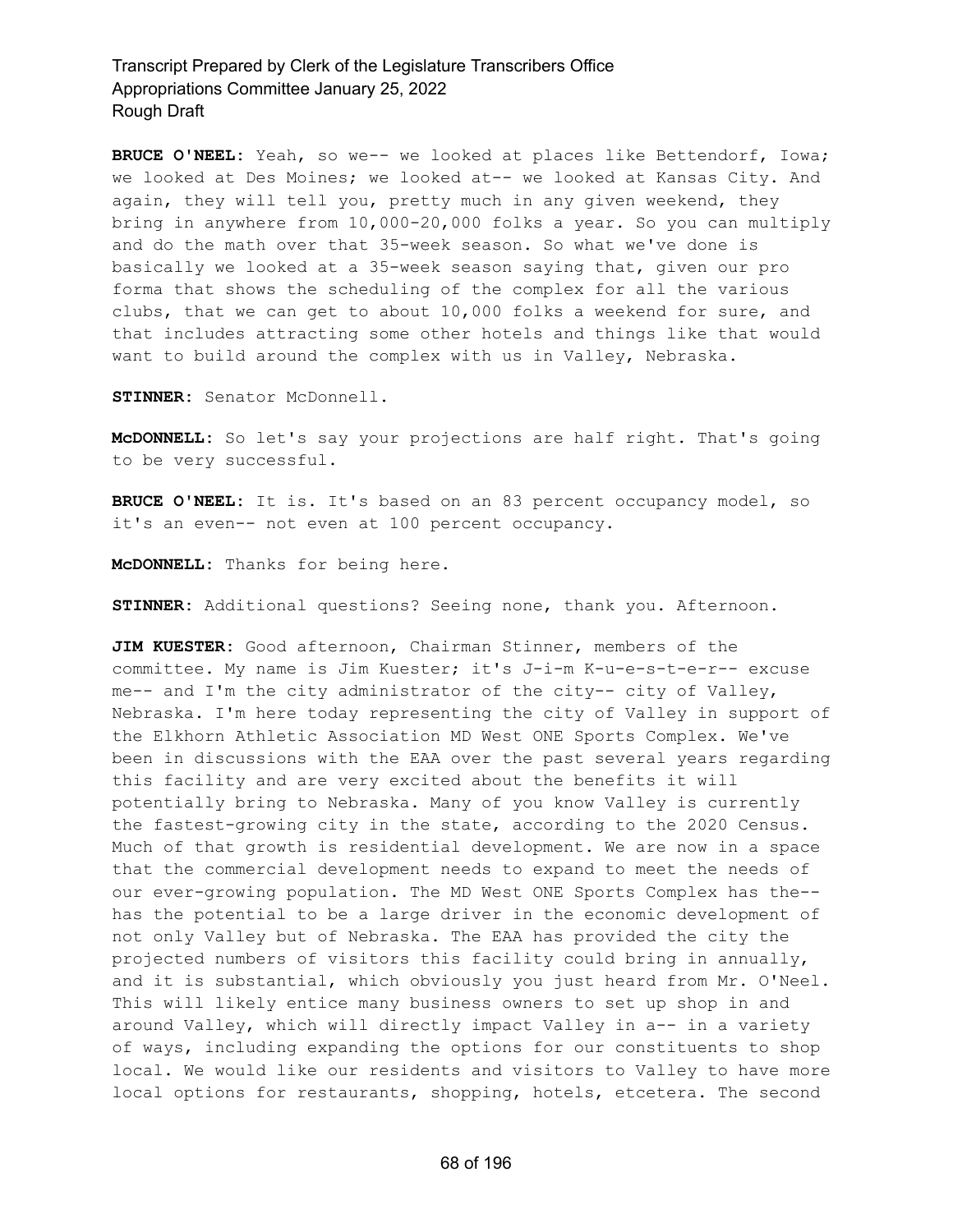**BRUCE O'NEEL:** Yeah, so we-- we looked at places like Bettendorf, Iowa; we looked at Des Moines; we looked at-- we looked at Kansas City. And again, they will tell you, pretty much in any given weekend, they bring in anywhere from 10,000-20,000 folks a year. So you can multiply and do the math over that 35-week season. So what we've done is basically we looked at a 35-week season saying that, given our pro forma that shows the scheduling of the complex for all the various clubs, that we can get to about 10,000 folks a weekend for sure, and that includes attracting some other hotels and things like that would want to build around the complex with us in Valley, Nebraska.

**STINNER:** Senator McDonnell.

**McDONNELL:** So let's say your projections are half right. That's going to be very successful.

**BRUCE O'NEEL:** It is. It's based on an 83 percent occupancy model, so it's an even-- not even at 100 percent occupancy.

**McDONNELL:** Thanks for being here.

**STINNER:** Additional questions? Seeing none, thank you. Afternoon.

**JIM KUESTER:** Good afternoon, Chairman Stinner, members of the committee. My name is Jim Kuester; it's J-i-m K-u-e-s-t-e-r-- excuse me-- and I'm the city administrator of the city-- city of Valley, Nebraska. I'm here today representing the city of Valley in support of the Elkhorn Athletic Association MD West ONE Sports Complex. We've been in discussions with the EAA over the past several years regarding this facility and are very excited about the benefits it will potentially bring to Nebraska. Many of you know Valley is currently the fastest-growing city in the state, according to the 2020 Census. Much of that growth is residential development. We are now in a space that the commercial development needs to expand to meet the needs of our ever-growing population. The MD West ONE Sports Complex has the- has the potential to be a large driver in the economic development of not only Valley but of Nebraska. The EAA has provided the city the projected numbers of visitors this facility could bring in annually, and it is substantial, which obviously you just heard from Mr. O'Neel. This will likely entice many business owners to set up shop in and around Valley, which will directly impact Valley in a-- in a variety of ways, including expanding the options for our constituents to shop local. We would like our residents and visitors to Valley to have more local options for restaurants, shopping, hotels, etcetera. The second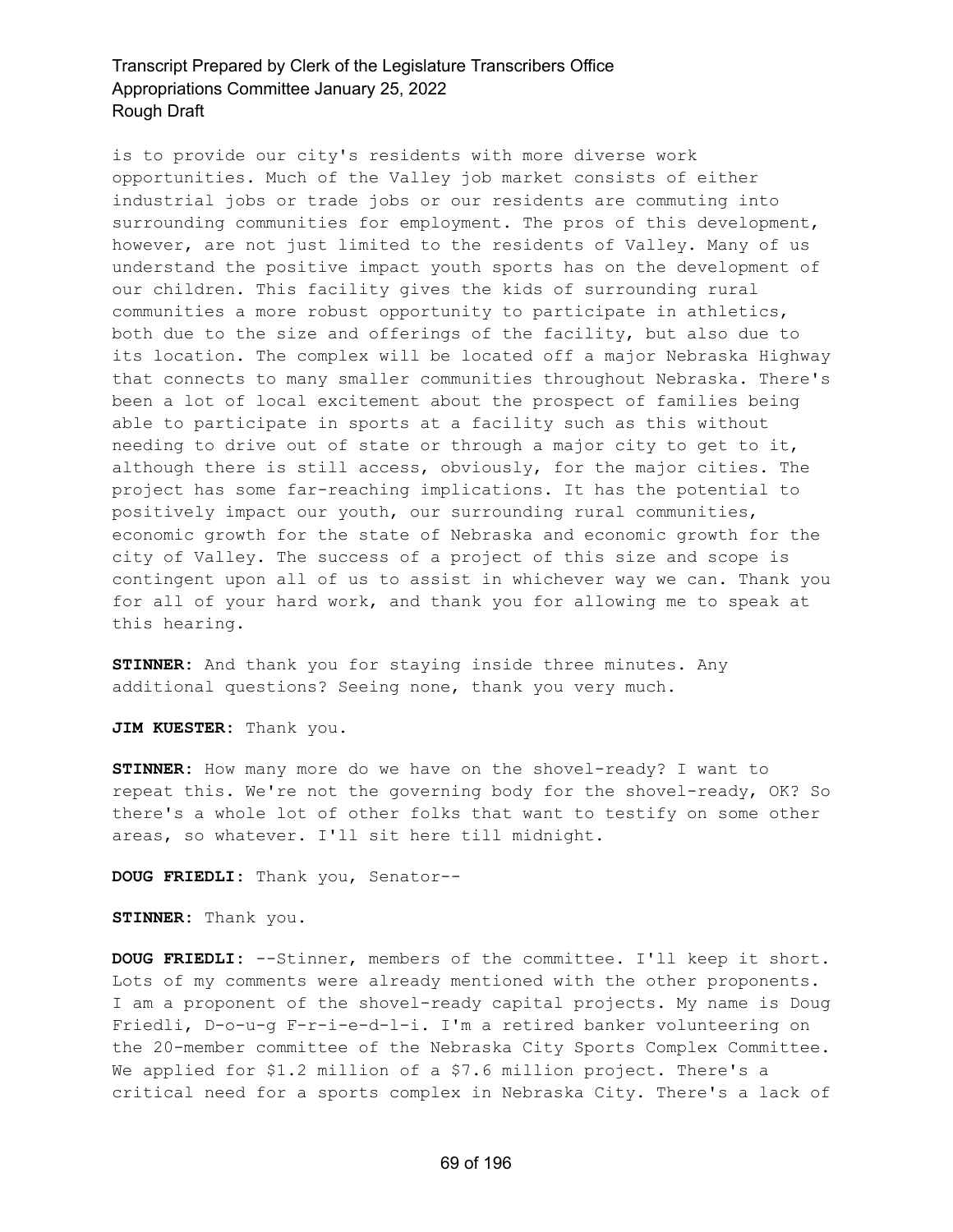is to provide our city's residents with more diverse work opportunities. Much of the Valley job market consists of either industrial jobs or trade jobs or our residents are commuting into surrounding communities for employment. The pros of this development, however, are not just limited to the residents of Valley. Many of us understand the positive impact youth sports has on the development of our children. This facility gives the kids of surrounding rural communities a more robust opportunity to participate in athletics, both due to the size and offerings of the facility, but also due to its location. The complex will be located off a major Nebraska Highway that connects to many smaller communities throughout Nebraska. There's been a lot of local excitement about the prospect of families being able to participate in sports at a facility such as this without needing to drive out of state or through a major city to get to it, although there is still access, obviously, for the major cities. The project has some far-reaching implications. It has the potential to positively impact our youth, our surrounding rural communities, economic growth for the state of Nebraska and economic growth for the city of Valley. The success of a project of this size and scope is contingent upon all of us to assist in whichever way we can. Thank you for all of your hard work, and thank you for allowing me to speak at this hearing.

**STINNER:** And thank you for staying inside three minutes. Any additional questions? Seeing none, thank you very much.

**JIM KUESTER:** Thank you.

**STINNER:** How many more do we have on the shovel-ready? I want to repeat this. We're not the governing body for the shovel-ready, OK? So there's a whole lot of other folks that want to testify on some other areas, so whatever. I'll sit here till midnight.

**DOUG FRIEDLI:** Thank you, Senator--

**STINNER:** Thank you.

**DOUG FRIEDLI:** --Stinner, members of the committee. I'll keep it short. Lots of my comments were already mentioned with the other proponents. I am a proponent of the shovel-ready capital projects. My name is Doug Friedli, D-o-u-g F-r-i-e-d-l-i. I'm a retired banker volunteering on the 20-member committee of the Nebraska City Sports Complex Committee. We applied for \$1.2 million of a \$7.6 million project. There's a critical need for a sports complex in Nebraska City. There's a lack of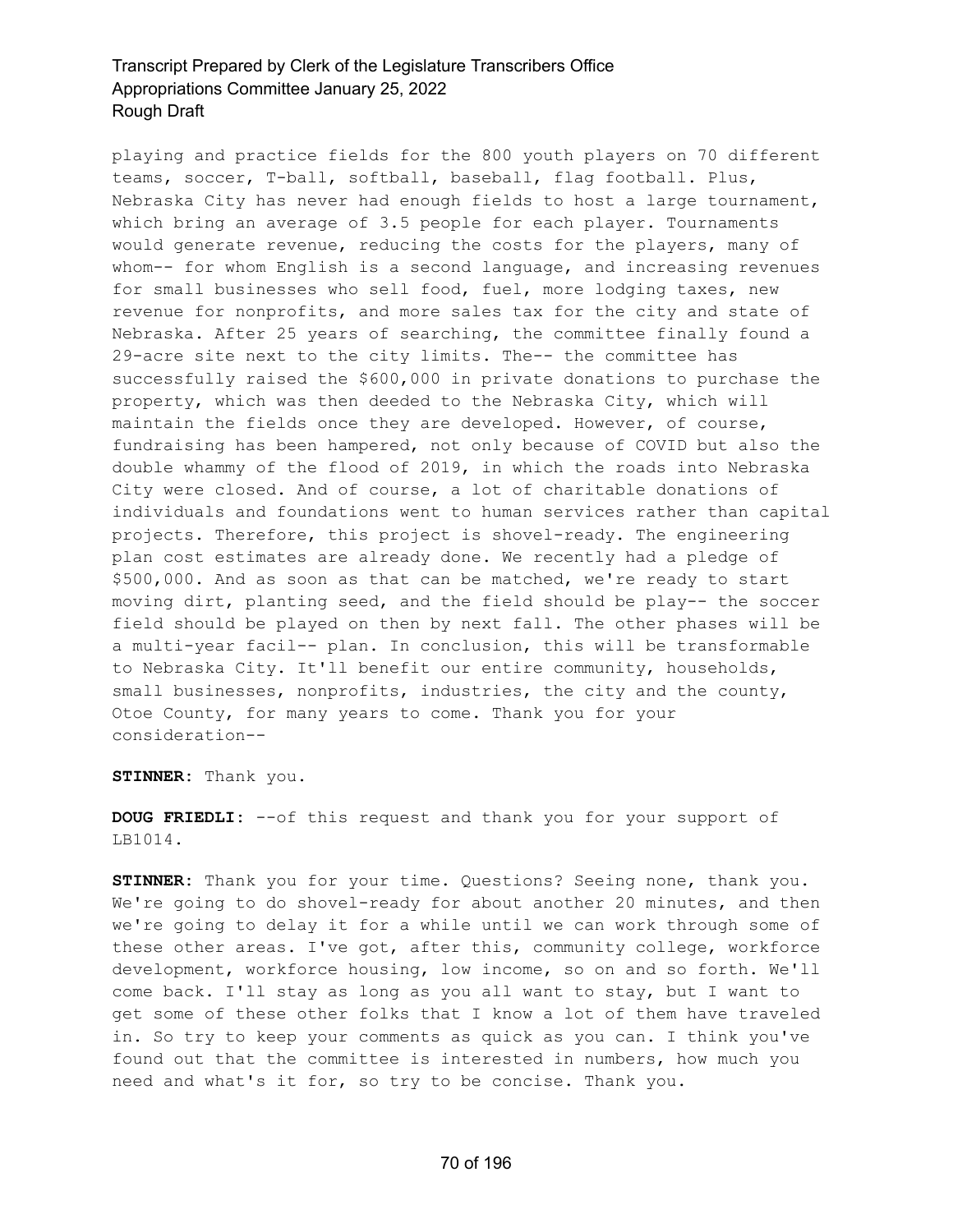playing and practice fields for the 800 youth players on 70 different teams, soccer, T-ball, softball, baseball, flag football. Plus, Nebraska City has never had enough fields to host a large tournament, which bring an average of 3.5 people for each player. Tournaments would generate revenue, reducing the costs for the players, many of whom-- for whom English is a second language, and increasing revenues for small businesses who sell food, fuel, more lodging taxes, new revenue for nonprofits, and more sales tax for the city and state of Nebraska. After 25 years of searching, the committee finally found a 29-acre site next to the city limits. The-- the committee has successfully raised the \$600,000 in private donations to purchase the property, which was then deeded to the Nebraska City, which will maintain the fields once they are developed. However, of course, fundraising has been hampered, not only because of COVID but also the double whammy of the flood of 2019, in which the roads into Nebraska City were closed. And of course, a lot of charitable donations of individuals and foundations went to human services rather than capital projects. Therefore, this project is shovel-ready. The engineering plan cost estimates are already done. We recently had a pledge of \$500,000. And as soon as that can be matched, we're ready to start moving dirt, planting seed, and the field should be play-- the soccer field should be played on then by next fall. The other phases will be a multi-year facil-- plan. In conclusion, this will be transformable to Nebraska City. It'll benefit our entire community, households, small businesses, nonprofits, industries, the city and the county, Otoe County, for many years to come. Thank you for your consideration--

**STINNER:** Thank you.

**DOUG FRIEDLI:** --of this request and thank you for your support of LB1014.

**STINNER:** Thank you for your time. Questions? Seeing none, thank you. We're going to do shovel-ready for about another 20 minutes, and then we're going to delay it for a while until we can work through some of these other areas. I've got, after this, community college, workforce development, workforce housing, low income, so on and so forth. We'll come back. I'll stay as long as you all want to stay, but I want to get some of these other folks that I know a lot of them have traveled in. So try to keep your comments as quick as you can. I think you've found out that the committee is interested in numbers, how much you need and what's it for, so try to be concise. Thank you.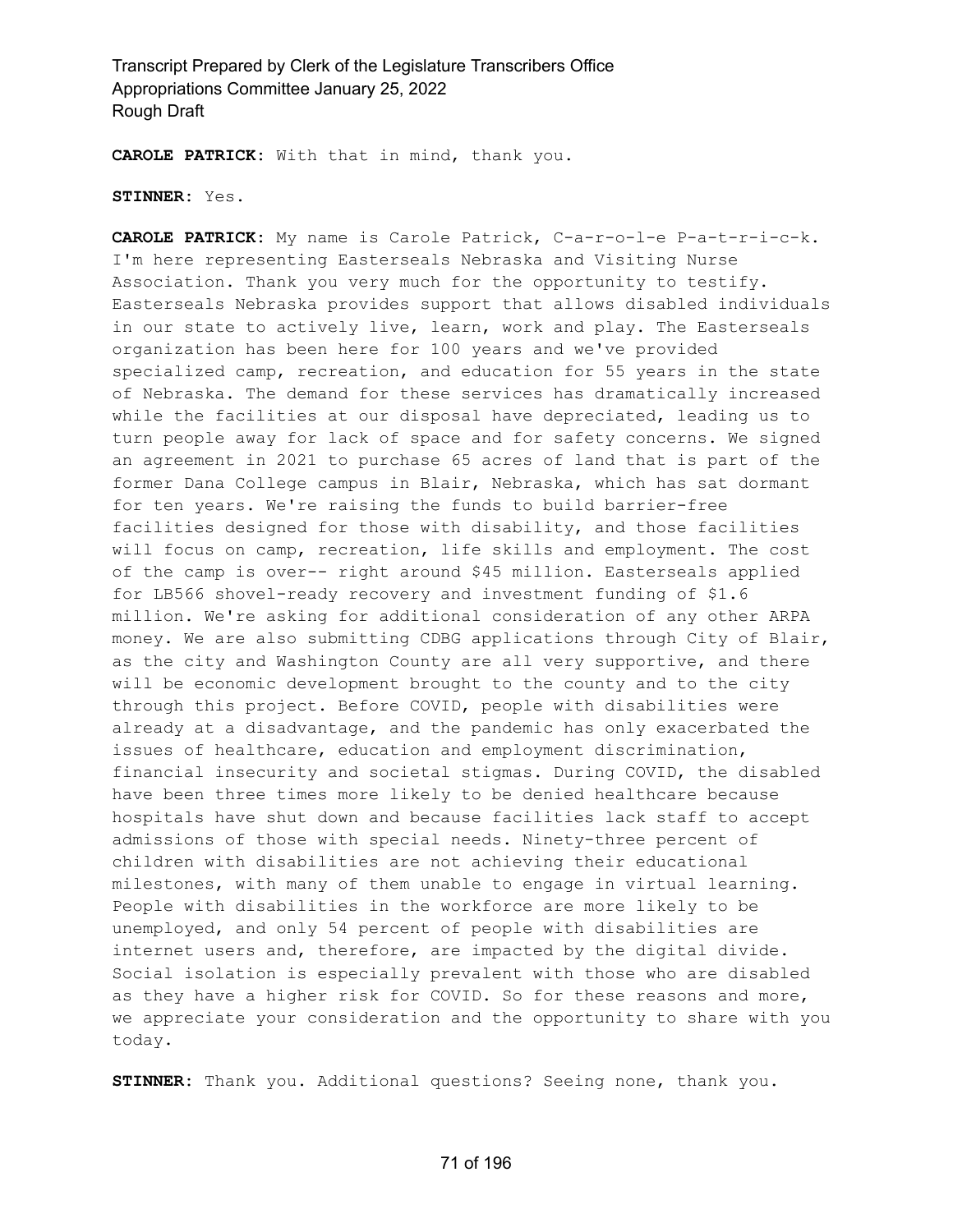**CAROLE PATRICK:** With that in mind, thank you.

**STINNER:** Yes.

**CAROLE PATRICK:** My name is Carole Patrick, C-a-r-o-l-e P-a-t-r-i-c-k. I'm here representing Easterseals Nebraska and Visiting Nurse Association. Thank you very much for the opportunity to testify. Easterseals Nebraska provides support that allows disabled individuals in our state to actively live, learn, work and play. The Easterseals organization has been here for 100 years and we've provided specialized camp, recreation, and education for 55 years in the state of Nebraska. The demand for these services has dramatically increased while the facilities at our disposal have depreciated, leading us to turn people away for lack of space and for safety concerns. We signed an agreement in 2021 to purchase 65 acres of land that is part of the former Dana College campus in Blair, Nebraska, which has sat dormant for ten years. We're raising the funds to build barrier-free facilities designed for those with disability, and those facilities will focus on camp, recreation, life skills and employment. The cost of the camp is over-- right around \$45 million. Easterseals applied for LB566 shovel-ready recovery and investment funding of \$1.6 million. We're asking for additional consideration of any other ARPA money. We are also submitting CDBG applications through City of Blair, as the city and Washington County are all very supportive, and there will be economic development brought to the county and to the city through this project. Before COVID, people with disabilities were already at a disadvantage, and the pandemic has only exacerbated the issues of healthcare, education and employment discrimination, financial insecurity and societal stigmas. During COVID, the disabled have been three times more likely to be denied healthcare because hospitals have shut down and because facilities lack staff to accept admissions of those with special needs. Ninety-three percent of children with disabilities are not achieving their educational milestones, with many of them unable to engage in virtual learning. People with disabilities in the workforce are more likely to be unemployed, and only 54 percent of people with disabilities are internet users and, therefore, are impacted by the digital divide. Social isolation is especially prevalent with those who are disabled as they have a higher risk for COVID. So for these reasons and more, we appreciate your consideration and the opportunity to share with you today.

**STINNER:** Thank you. Additional questions? Seeing none, thank you.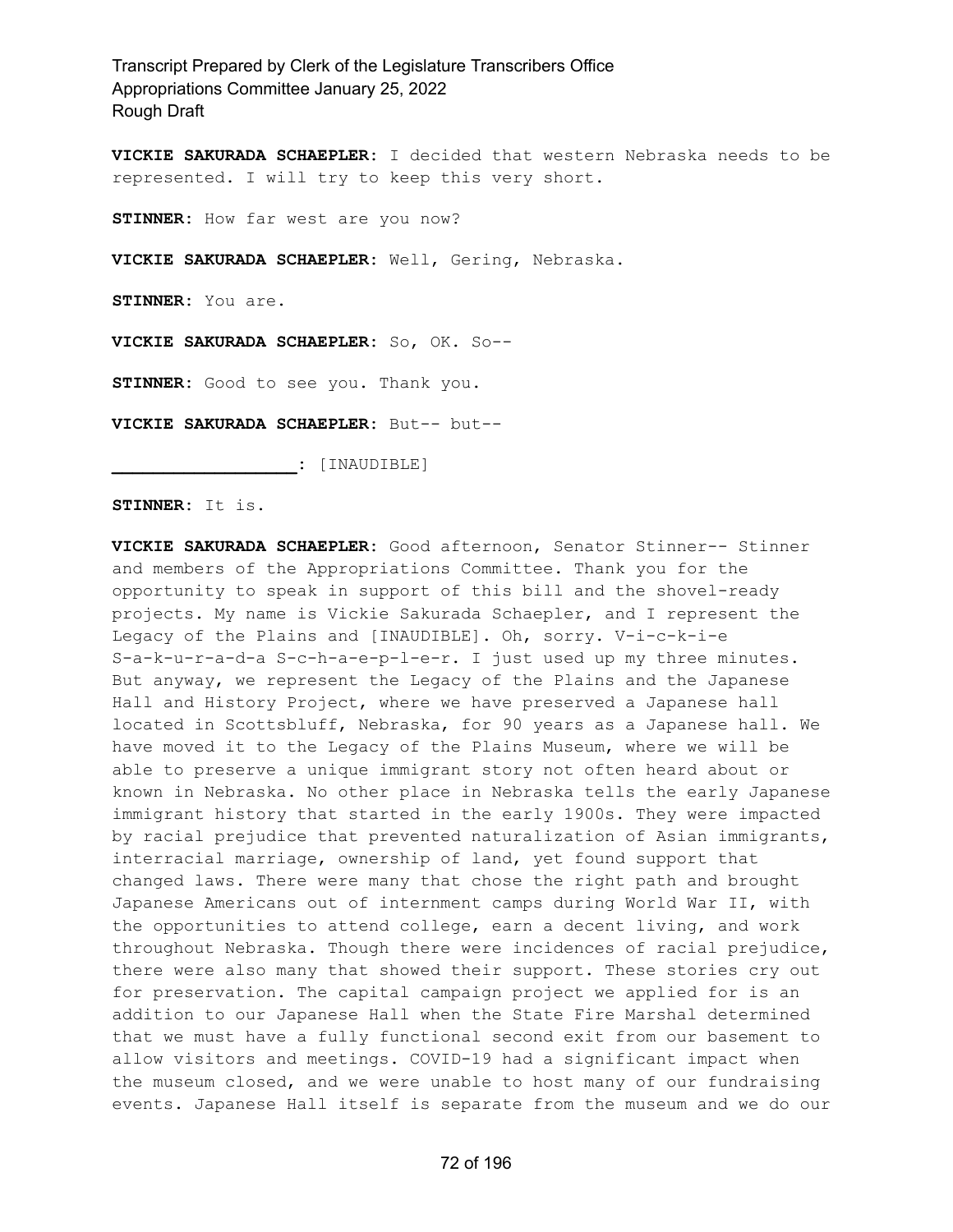**VICKIE SAKURADA SCHAEPLER:** I decided that western Nebraska needs to be represented. I will try to keep this very short.

**STINNER:** How far west are you now?

**VICKIE SAKURADA SCHAEPLER:** Well, Gering, Nebraska.

**STINNER:** You are.

**VICKIE SAKURADA SCHAEPLER:** So, OK. So--

**STINNER:** Good to see you. Thank you.

**VICKIE SAKURADA SCHAEPLER:** But-- but--

**\_\_\_\_\_\_\_\_\_\_\_\_\_\_\_\_\_\_:** [INAUDIBLE]

**STINNER:** It is.

**VICKIE SAKURADA SCHAEPLER:** Good afternoon, Senator Stinner-- Stinner and members of the Appropriations Committee. Thank you for the opportunity to speak in support of this bill and the shovel-ready projects. My name is Vickie Sakurada Schaepler, and I represent the Legacy of the Plains and [INAUDIBLE]. Oh, sorry. V-i-c-k-i-e S-a-k-u-r-a-d-a S-c-h-a-e-p-l-e-r. I just used up my three minutes. But anyway, we represent the Legacy of the Plains and the Japanese Hall and History Project, where we have preserved a Japanese hall located in Scottsbluff, Nebraska, for 90 years as a Japanese hall. We have moved it to the Legacy of the Plains Museum, where we will be able to preserve a unique immigrant story not often heard about or known in Nebraska. No other place in Nebraska tells the early Japanese immigrant history that started in the early 1900s. They were impacted by racial prejudice that prevented naturalization of Asian immigrants, interracial marriage, ownership of land, yet found support that changed laws. There were many that chose the right path and brought Japanese Americans out of internment camps during World War II, with the opportunities to attend college, earn a decent living, and work throughout Nebraska. Though there were incidences of racial prejudice, there were also many that showed their support. These stories cry out for preservation. The capital campaign project we applied for is an addition to our Japanese Hall when the State Fire Marshal determined that we must have a fully functional second exit from our basement to allow visitors and meetings. COVID-19 had a significant impact when the museum closed, and we were unable to host many of our fundraising events. Japanese Hall itself is separate from the museum and we do our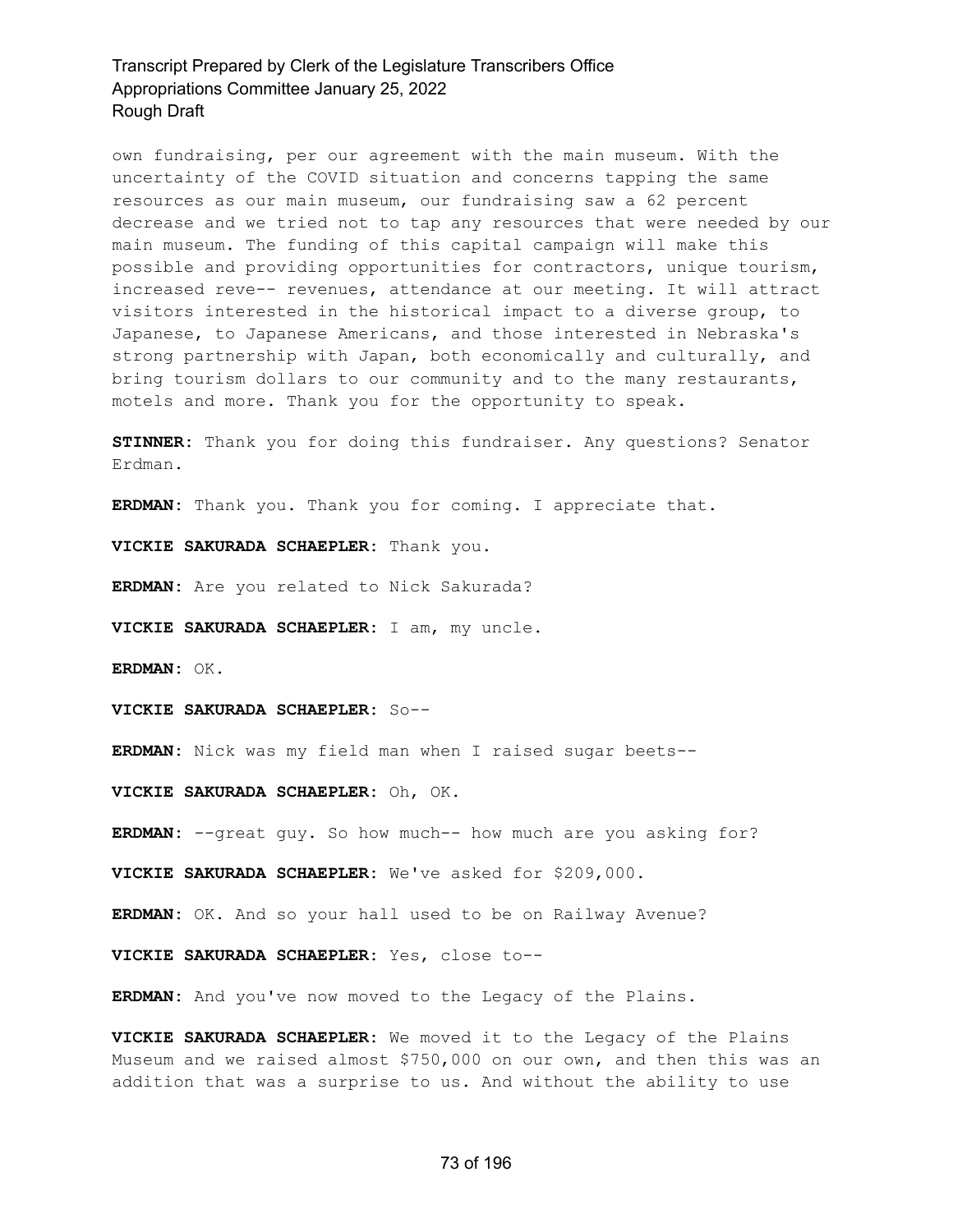own fundraising, per our agreement with the main museum. With the uncertainty of the COVID situation and concerns tapping the same resources as our main museum, our fundraising saw a 62 percent decrease and we tried not to tap any resources that were needed by our main museum. The funding of this capital campaign will make this possible and providing opportunities for contractors, unique tourism, increased reve-- revenues, attendance at our meeting. It will attract visitors interested in the historical impact to a diverse group, to Japanese, to Japanese Americans, and those interested in Nebraska's strong partnership with Japan, both economically and culturally, and bring tourism dollars to our community and to the many restaurants, motels and more. Thank you for the opportunity to speak.

**STINNER:** Thank you for doing this fundraiser. Any questions? Senator Erdman.

**ERDMAN:** Thank you. Thank you for coming. I appreciate that.

**VICKIE SAKURADA SCHAEPLER:** Thank you.

**ERDMAN:** Are you related to Nick Sakurada?

**VICKIE SAKURADA SCHAEPLER:** I am, my uncle.

**ERDMAN:** OK.

**VICKIE SAKURADA SCHAEPLER:** So--

**ERDMAN:** Nick was my field man when I raised sugar beets--

**VICKIE SAKURADA SCHAEPLER:** Oh, OK.

**ERDMAN:** --great guy. So how much-- how much are you asking for?

**VICKIE SAKURADA SCHAEPLER:** We've asked for \$209,000.

**ERDMAN:** OK. And so your hall used to be on Railway Avenue?

**VICKIE SAKURADA SCHAEPLER:** Yes, close to--

**ERDMAN:** And you've now moved to the Legacy of the Plains.

**VICKIE SAKURADA SCHAEPLER:** We moved it to the Legacy of the Plains Museum and we raised almost \$750,000 on our own, and then this was an addition that was a surprise to us. And without the ability to use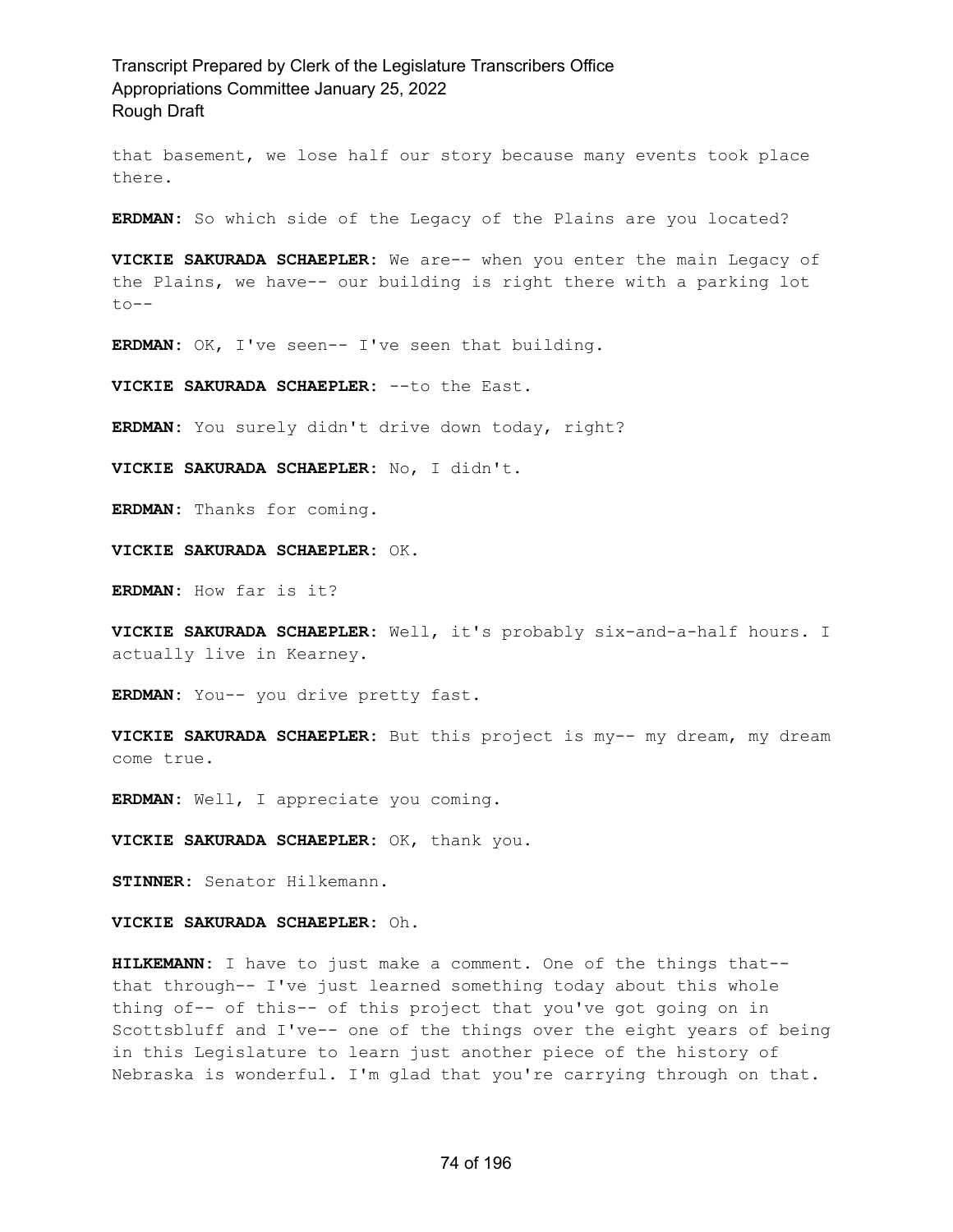that basement, we lose half our story because many events took place there.

**ERDMAN:** So which side of the Legacy of the Plains are you located?

**VICKIE SAKURADA SCHAEPLER:** We are-- when you enter the main Legacy of the Plains, we have-- our building is right there with a parking lot  $to --$ 

**ERDMAN:** OK, I've seen-- I've seen that building.

**VICKIE SAKURADA SCHAEPLER:** --to the East.

**ERDMAN:** You surely didn't drive down today, right?

**VICKIE SAKURADA SCHAEPLER:** No, I didn't.

**ERDMAN:** Thanks for coming.

**VICKIE SAKURADA SCHAEPLER:** OK.

**ERDMAN:** How far is it?

**VICKIE SAKURADA SCHAEPLER:** Well, it's probably six-and-a-half hours. I actually live in Kearney.

**ERDMAN:** You-- you drive pretty fast.

**VICKIE SAKURADA SCHAEPLER:** But this project is my-- my dream, my dream come true.

**ERDMAN:** Well, I appreciate you coming.

**VICKIE SAKURADA SCHAEPLER:** OK, thank you.

**STINNER:** Senator Hilkemann.

**VICKIE SAKURADA SCHAEPLER:** Oh.

**HILKEMANN:** I have to just make a comment. One of the things that- that through-- I've just learned something today about this whole thing of-- of this-- of this project that you've got going on in Scottsbluff and I've-- one of the things over the eight years of being in this Legislature to learn just another piece of the history of Nebraska is wonderful. I'm glad that you're carrying through on that.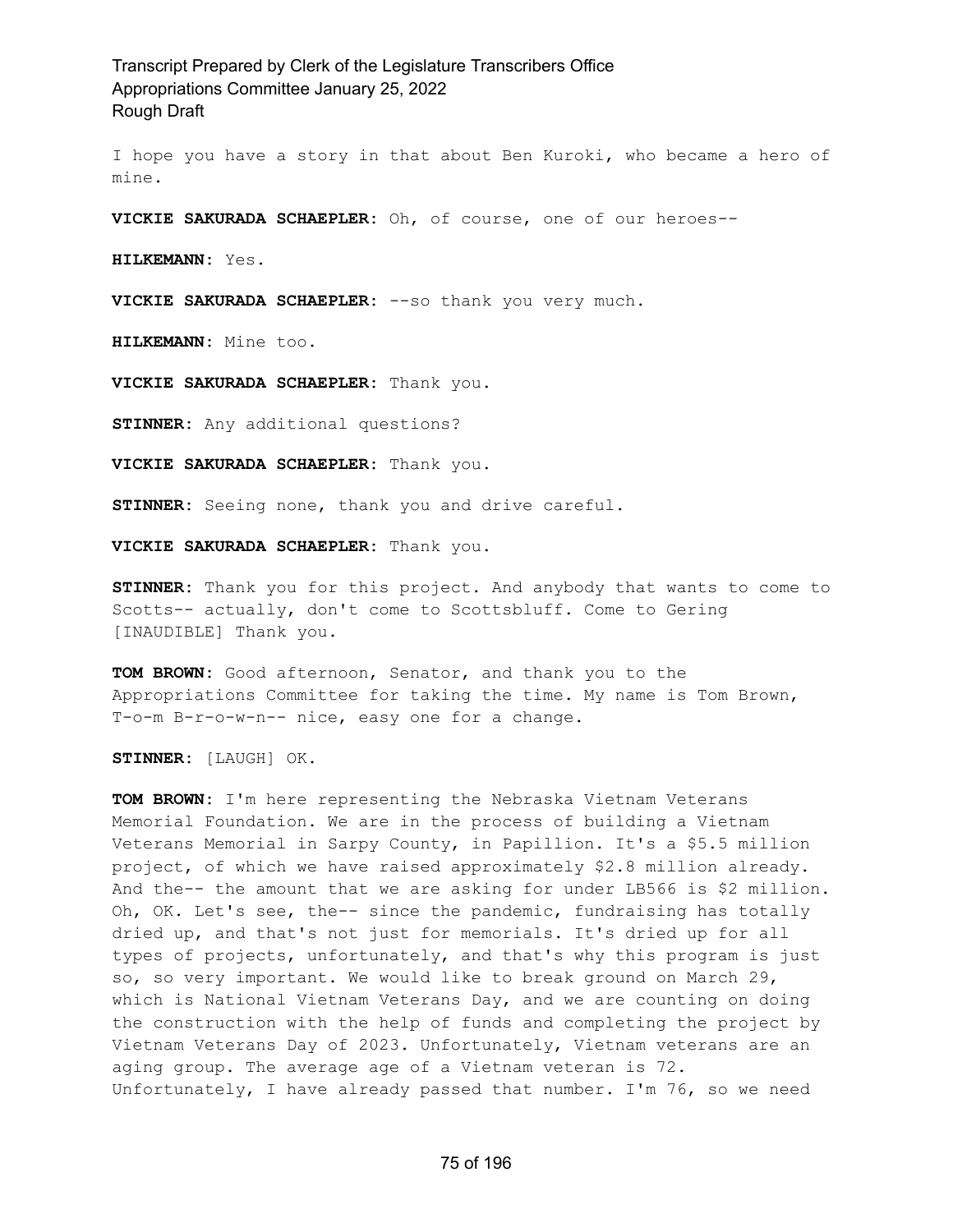I hope you have a story in that about Ben Kuroki, who became a hero of mine.

**VICKIE SAKURADA SCHAEPLER:** Oh, of course, one of our heroes--

**HILKEMANN:** Yes.

**VICKIE SAKURADA SCHAEPLER:** --so thank you very much.

**HILKEMANN:** Mine too.

**VICKIE SAKURADA SCHAEPLER:** Thank you.

**STINNER:** Any additional questions?

**VICKIE SAKURADA SCHAEPLER:** Thank you.

**STINNER:** Seeing none, thank you and drive careful.

**VICKIE SAKURADA SCHAEPLER:** Thank you.

**STINNER:** Thank you for this project. And anybody that wants to come to Scotts-- actually, don't come to Scottsbluff. Come to Gering [INAUDIBLE] Thank you.

**TOM BROWN:** Good afternoon, Senator, and thank you to the Appropriations Committee for taking the time. My name is Tom Brown, T-o-m B-r-o-w-n-- nice, easy one for a change.

**STINNER:** [LAUGH] OK.

**TOM BROWN:** I'm here representing the Nebraska Vietnam Veterans Memorial Foundation. We are in the process of building a Vietnam Veterans Memorial in Sarpy County, in Papillion. It's a \$5.5 million project, of which we have raised approximately \$2.8 million already. And the-- the amount that we are asking for under LB566 is \$2 million. Oh, OK. Let's see, the-- since the pandemic, fundraising has totally dried up, and that's not just for memorials. It's dried up for all types of projects, unfortunately, and that's why this program is just so, so very important. We would like to break ground on March 29, which is National Vietnam Veterans Day, and we are counting on doing the construction with the help of funds and completing the project by Vietnam Veterans Day of 2023. Unfortunately, Vietnam veterans are an aging group. The average age of a Vietnam veteran is 72. Unfortunately, I have already passed that number. I'm 76, so we need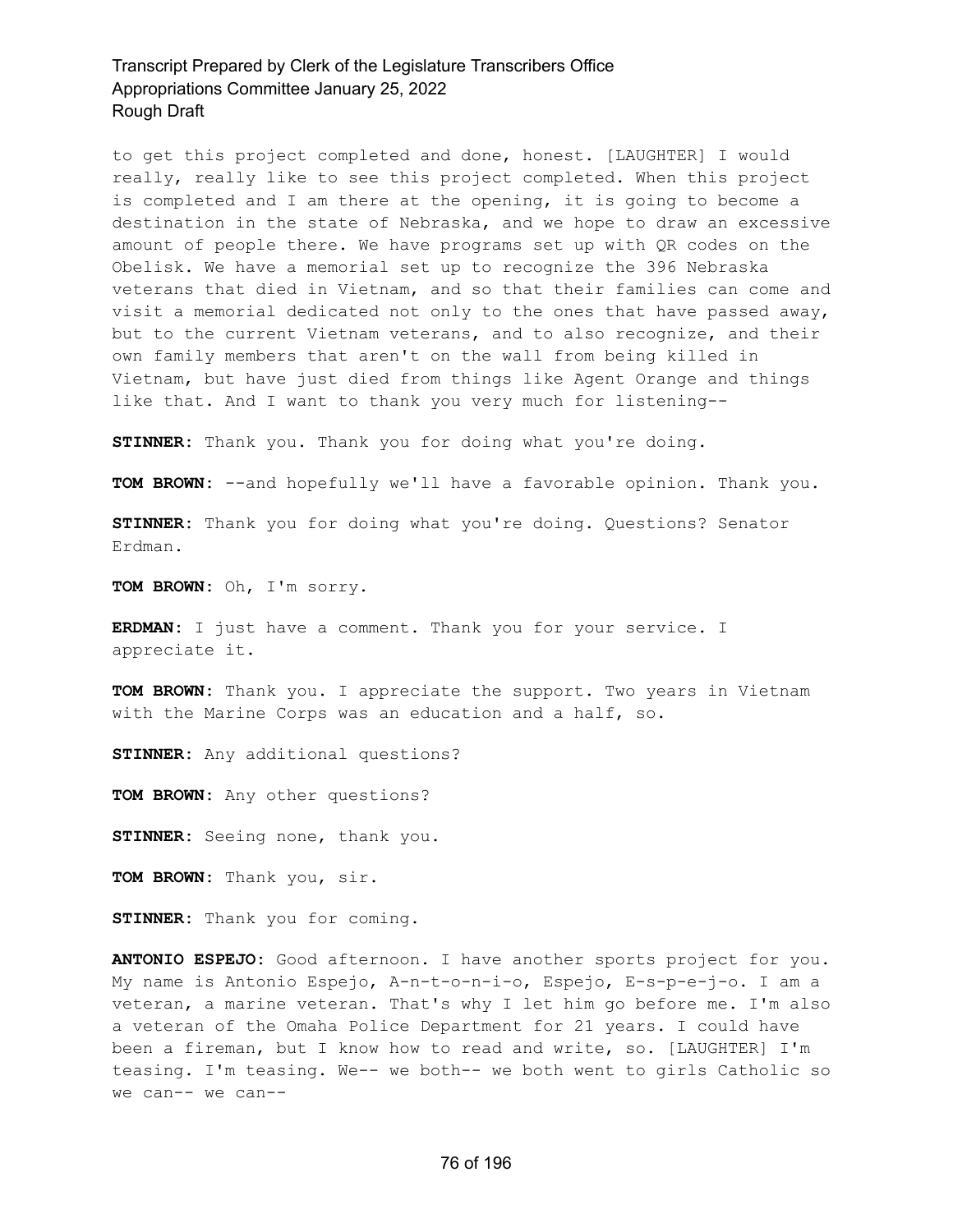to get this project completed and done, honest. [LAUGHTER] I would really, really like to see this project completed. When this project is completed and I am there at the opening, it is going to become a destination in the state of Nebraska, and we hope to draw an excessive amount of people there. We have programs set up with QR codes on the Obelisk. We have a memorial set up to recognize the 396 Nebraska veterans that died in Vietnam, and so that their families can come and visit a memorial dedicated not only to the ones that have passed away, but to the current Vietnam veterans, and to also recognize, and their own family members that aren't on the wall from being killed in Vietnam, but have just died from things like Agent Orange and things like that. And I want to thank you very much for listening--

**STINNER:** Thank you. Thank you for doing what you're doing.

**TOM BROWN:** --and hopefully we'll have a favorable opinion. Thank you.

**STINNER:** Thank you for doing what you're doing. Questions? Senator Erdman.

**TOM BROWN:** Oh, I'm sorry.

**ERDMAN:** I just have a comment. Thank you for your service. I appreciate it.

**TOM BROWN:** Thank you. I appreciate the support. Two years in Vietnam with the Marine Corps was an education and a half, so.

**STINNER:** Any additional questions?

**TOM BROWN:** Any other questions?

**STINNER:** Seeing none, thank you.

**TOM BROWN:** Thank you, sir.

**STINNER:** Thank you for coming.

**ANTONIO ESPEJO:** Good afternoon. I have another sports project for you. My name is Antonio Espejo, A-n-t-o-n-i-o, Espejo, E-s-p-e-j-o. I am a veteran, a marine veteran. That's why I let him go before me. I'm also a veteran of the Omaha Police Department for 21 years. I could have been a fireman, but I know how to read and write, so. [LAUGHTER] I'm teasing. I'm teasing. We-- we both-- we both went to girls Catholic so we can-- we can--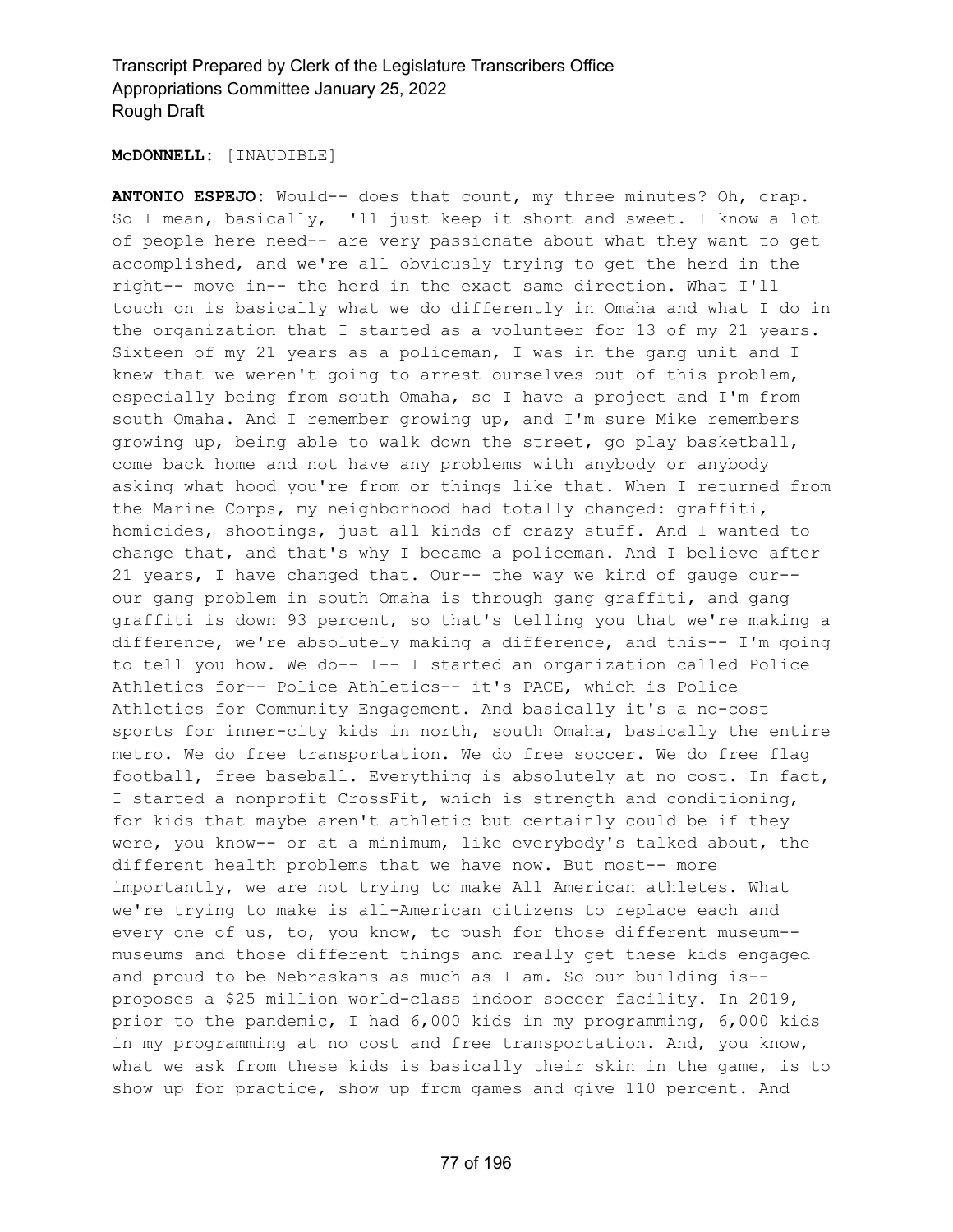#### **McDONNELL:** [INAUDIBLE]

**ANTONIO ESPEJO:** Would-- does that count, my three minutes? Oh, crap. So I mean, basically, I'll just keep it short and sweet. I know a lot of people here need-- are very passionate about what they want to get accomplished, and we're all obviously trying to get the herd in the right-- move in-- the herd in the exact same direction. What I'll touch on is basically what we do differently in Omaha and what I do in the organization that I started as a volunteer for 13 of my 21 years. Sixteen of my 21 years as a policeman, I was in the gang unit and I knew that we weren't going to arrest ourselves out of this problem, especially being from south Omaha, so I have a project and I'm from south Omaha. And I remember growing up, and I'm sure Mike remembers growing up, being able to walk down the street, go play basketball, come back home and not have any problems with anybody or anybody asking what hood you're from or things like that. When I returned from the Marine Corps, my neighborhood had totally changed: graffiti, homicides, shootings, just all kinds of crazy stuff. And I wanted to change that, and that's why I became a policeman. And I believe after 21 years, I have changed that. Our-- the way we kind of gauge our- our gang problem in south Omaha is through gang graffiti, and gang graffiti is down 93 percent, so that's telling you that we're making a difference, we're absolutely making a difference, and this-- I'm going to tell you how. We do-- I-- I started an organization called Police Athletics for-- Police Athletics-- it's PACE, which is Police Athletics for Community Engagement. And basically it's a no-cost sports for inner-city kids in north, south Omaha, basically the entire metro. We do free transportation. We do free soccer. We do free flag football, free baseball. Everything is absolutely at no cost. In fact, I started a nonprofit CrossFit, which is strength and conditioning, for kids that maybe aren't athletic but certainly could be if they were, you know-- or at a minimum, like everybody's talked about, the different health problems that we have now. But most-- more importantly, we are not trying to make All American athletes. What we're trying to make is all-American citizens to replace each and every one of us, to, you know, to push for those different museum- museums and those different things and really get these kids engaged and proud to be Nebraskans as much as I am. So our building is- proposes a \$25 million world-class indoor soccer facility. In 2019, prior to the pandemic, I had 6,000 kids in my programming, 6,000 kids in my programming at no cost and free transportation. And, you know, what we ask from these kids is basically their skin in the game, is to show up for practice, show up from games and give 110 percent. And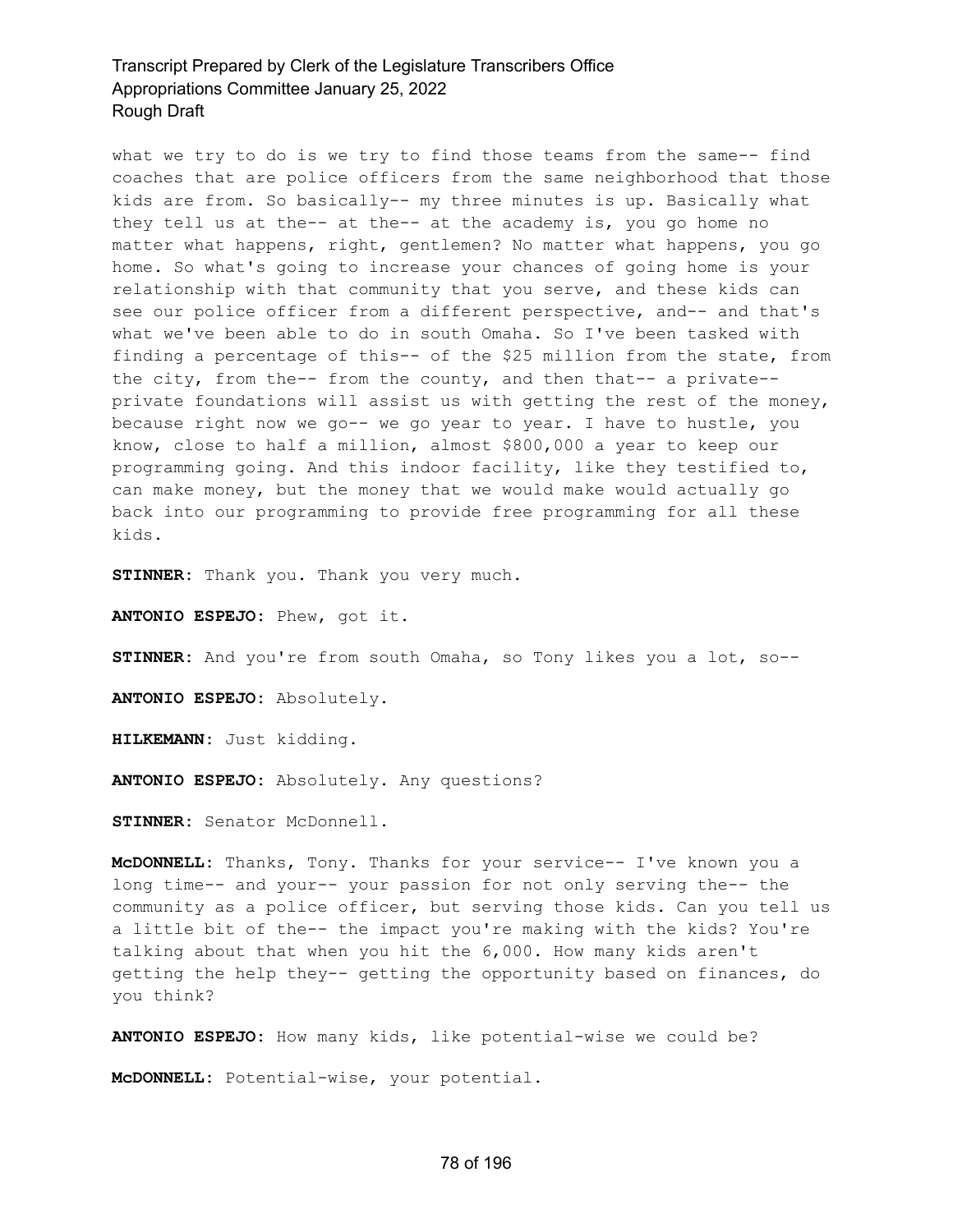what we try to do is we try to find those teams from the same-- find coaches that are police officers from the same neighborhood that those kids are from. So basically-- my three minutes is up. Basically what they tell us at the-- at the-- at the academy is, you go home no matter what happens, right, gentlemen? No matter what happens, you go home. So what's going to increase your chances of going home is your relationship with that community that you serve, and these kids can see our police officer from a different perspective, and-- and that's what we've been able to do in south Omaha. So I've been tasked with finding a percentage of this-- of the \$25 million from the state, from the city, from the-- from the county, and then that-- a private- private foundations will assist us with getting the rest of the money, because right now we go-- we go year to year. I have to hustle, you know, close to half a million, almost \$800,000 a year to keep our programming going. And this indoor facility, like they testified to, can make money, but the money that we would make would actually go back into our programming to provide free programming for all these kids.

**STINNER:** Thank you. Thank you very much.

**ANTONIO ESPEJO:** Phew, got it.

**STINNER:** And you're from south Omaha, so Tony likes you a lot, so--

**ANTONIO ESPEJO:** Absolutely.

**HILKEMANN:** Just kidding.

**ANTONIO ESPEJO:** Absolutely. Any questions?

**STINNER:** Senator McDonnell.

**McDONNELL:** Thanks, Tony. Thanks for your service-- I've known you a long time-- and your-- your passion for not only serving the-- the community as a police officer, but serving those kids. Can you tell us a little bit of the-- the impact you're making with the kids? You're talking about that when you hit the 6,000. How many kids aren't getting the help they-- getting the opportunity based on finances, do you think?

**ANTONIO ESPEJO:** How many kids, like potential-wise we could be?

**McDONNELL:** Potential-wise, your potential.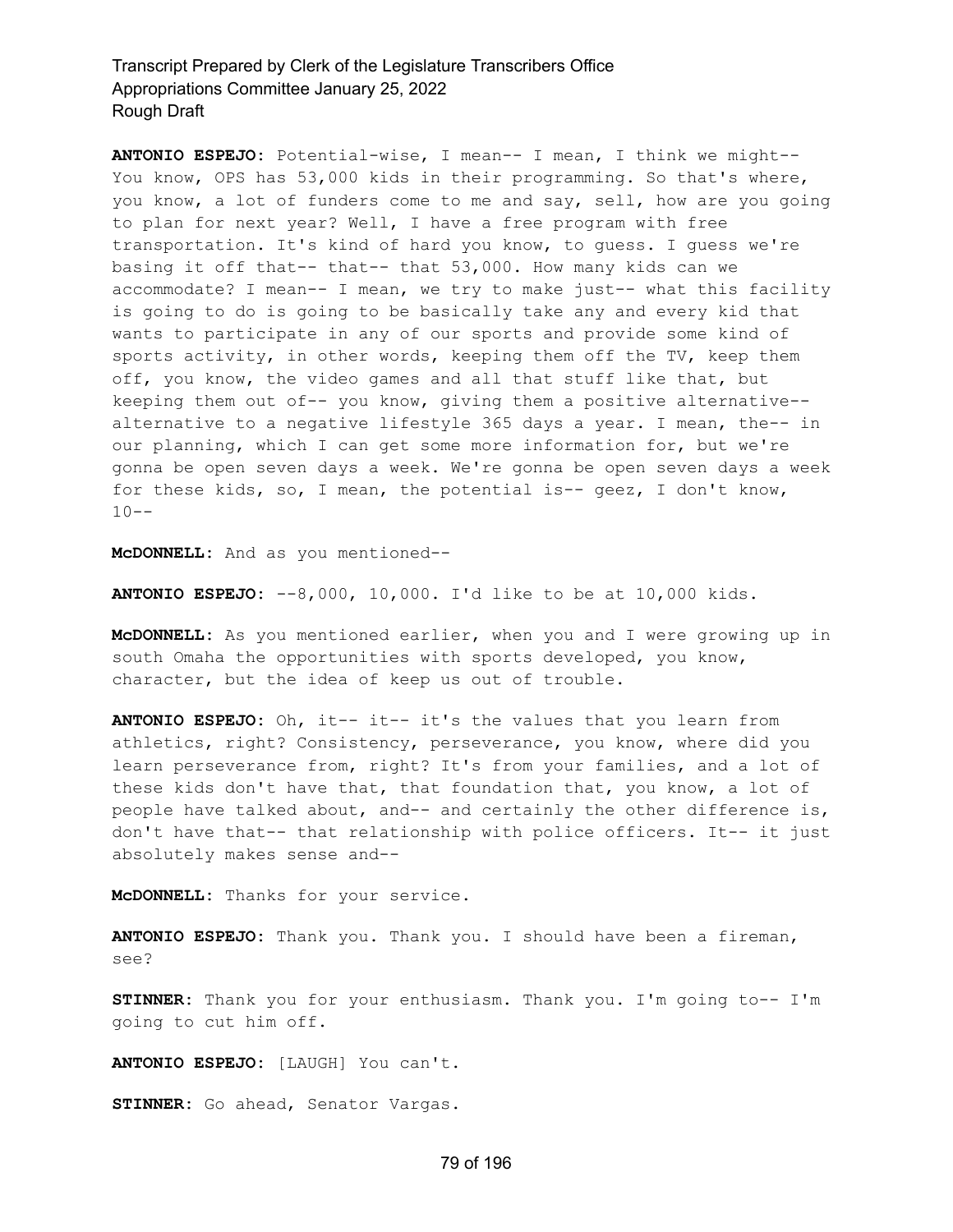**ANTONIO ESPEJO:** Potential-wise, I mean-- I mean, I think we might-- You know, OPS has 53,000 kids in their programming. So that's where, you know, a lot of funders come to me and say, sell, how are you going to plan for next year? Well, I have a free program with free transportation. It's kind of hard you know, to guess. I guess we're basing it off that-- that-- that 53,000. How many kids can we accommodate? I mean-- I mean, we try to make just-- what this facility is going to do is going to be basically take any and every kid that wants to participate in any of our sports and provide some kind of sports activity, in other words, keeping them off the TV, keep them off, you know, the video games and all that stuff like that, but keeping them out of-- you know, giving them a positive alternative- alternative to a negative lifestyle 365 days a year. I mean, the-- in our planning, which I can get some more information for, but we're gonna be open seven days a week. We're gonna be open seven days a week for these kids, so, I mean, the potential is-- geez, I don't know,  $10--$ 

**McDONNELL:** And as you mentioned--

**ANTONIO ESPEJO:** --8,000, 10,000. I'd like to be at 10,000 kids.

**McDONNELL:** As you mentioned earlier, when you and I were growing up in south Omaha the opportunities with sports developed, you know, character, but the idea of keep us out of trouble.

**ANTONIO ESPEJO:** Oh, it-- it-- it's the values that you learn from athletics, right? Consistency, perseverance, you know, where did you learn perseverance from, right? It's from your families, and a lot of these kids don't have that, that foundation that, you know, a lot of people have talked about, and-- and certainly the other difference is, don't have that-- that relationship with police officers. It-- it just absolutely makes sense and--

**McDONNELL:** Thanks for your service.

**ANTONIO ESPEJO:** Thank you. Thank you. I should have been a fireman, see?

**STINNER:** Thank you for your enthusiasm. Thank you. I'm going to-- I'm going to cut him off.

**ANTONIO ESPEJO:** [LAUGH] You can't.

**STINNER:** Go ahead, Senator Vargas.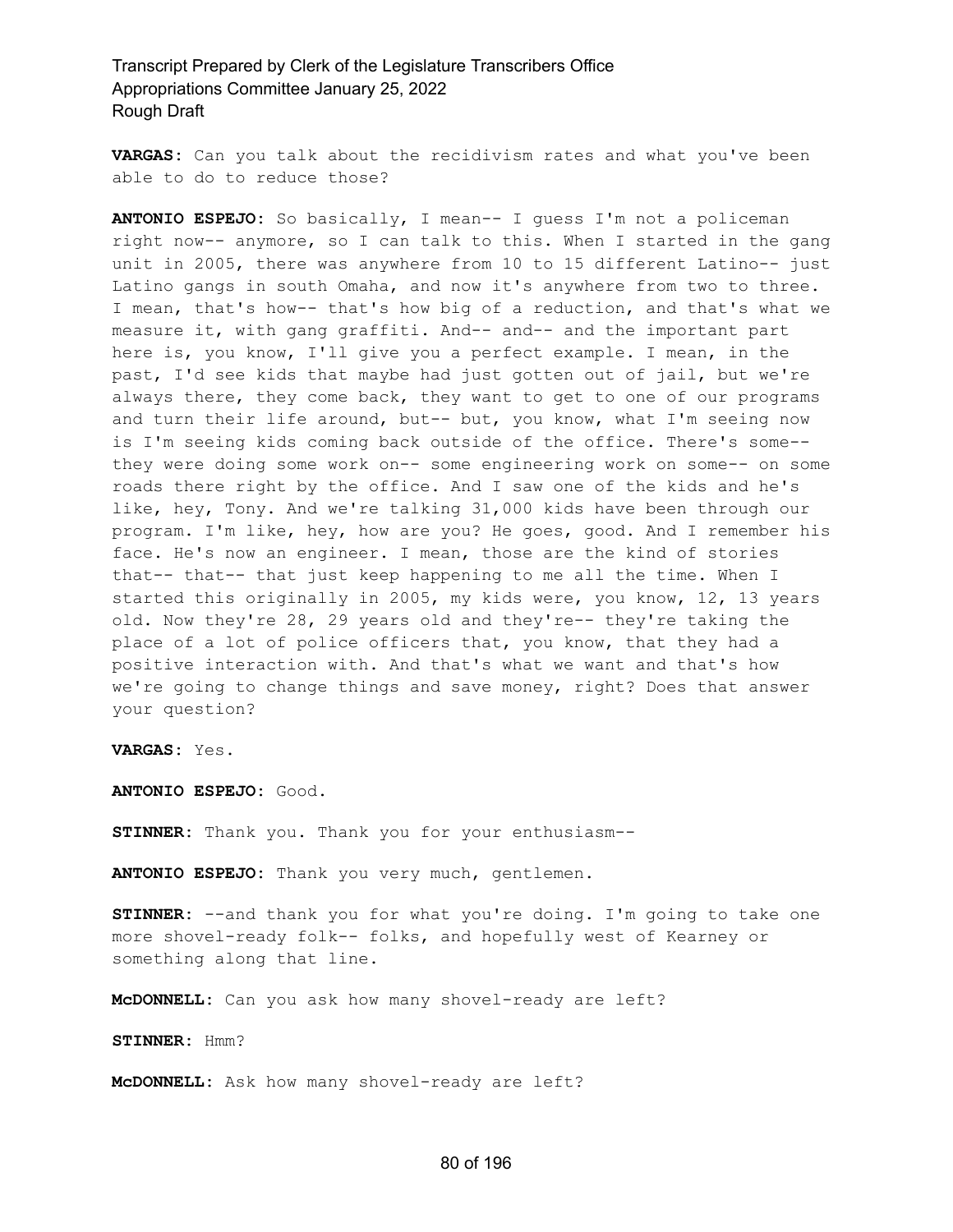**VARGAS:** Can you talk about the recidivism rates and what you've been able to do to reduce those?

**ANTONIO ESPEJO:** So basically, I mean-- I guess I'm not a policeman right now-- anymore, so I can talk to this. When I started in the gang unit in 2005, there was anywhere from 10 to 15 different Latino-- just Latino gangs in south Omaha, and now it's anywhere from two to three. I mean, that's how-- that's how big of a reduction, and that's what we measure it, with gang graffiti. And-- and-- and the important part here is, you know, I'll give you a perfect example. I mean, in the past, I'd see kids that maybe had just gotten out of jail, but we're always there, they come back, they want to get to one of our programs and turn their life around, but-- but, you know, what I'm seeing now is I'm seeing kids coming back outside of the office. There's some- they were doing some work on-- some engineering work on some-- on some roads there right by the office. And I saw one of the kids and he's like, hey, Tony. And we're talking 31,000 kids have been through our program. I'm like, hey, how are you? He goes, good. And I remember his face. He's now an engineer. I mean, those are the kind of stories that-- that-- that just keep happening to me all the time. When I started this originally in 2005, my kids were, you know, 12, 13 years old. Now they're 28, 29 years old and they're-- they're taking the place of a lot of police officers that, you know, that they had a positive interaction with. And that's what we want and that's how we're going to change things and save money, right? Does that answer your question?

**VARGAS:** Yes.

**ANTONIO ESPEJO:** Good.

**STINNER:** Thank you. Thank you for your enthusiasm--

**ANTONIO ESPEJO:** Thank you very much, gentlemen.

**STINNER:** --and thank you for what you're doing. I'm going to take one more shovel-ready folk-- folks, and hopefully west of Kearney or something along that line.

**McDONNELL:** Can you ask how many shovel-ready are left?

**STINNER:** Hmm?

**McDONNELL:** Ask how many shovel-ready are left?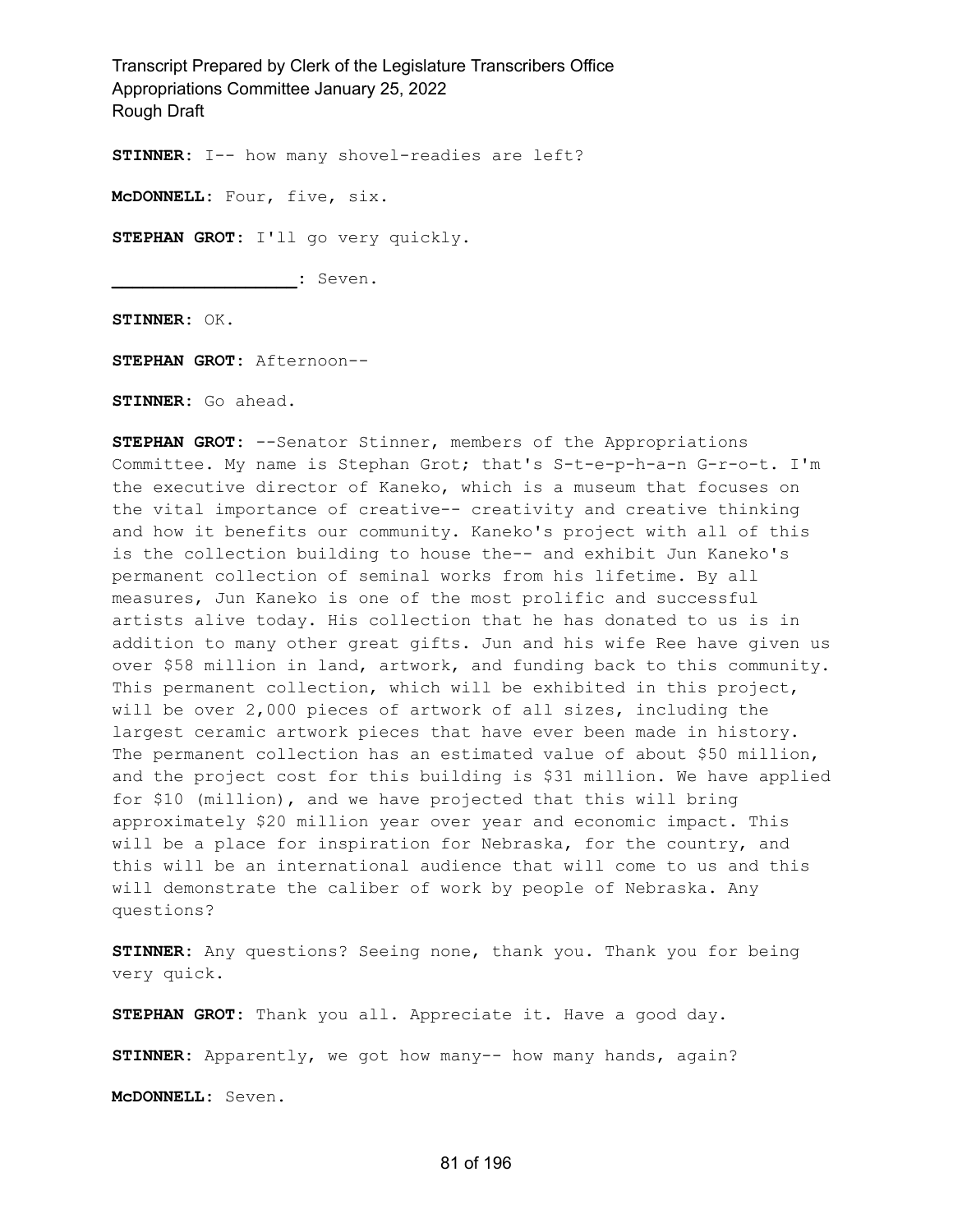**STINNER:** I-- how many shovel-readies are left?

**McDONNELL:** Four, five, six.

**STEPHAN GROT:** I'll go very quickly.

**\_\_\_\_\_\_\_\_\_\_\_\_\_\_\_\_\_\_:** Seven.

**STINNER:** OK.

**STEPHAN GROT:** Afternoon--

**STINNER:** Go ahead.

**STEPHAN GROT:** --Senator Stinner, members of the Appropriations Committee. My name is Stephan Grot; that's S-t-e-p-h-a-n G-r-o-t. I'm the executive director of Kaneko, which is a museum that focuses on the vital importance of creative-- creativity and creative thinking and how it benefits our community. Kaneko's project with all of this is the collection building to house the-- and exhibit Jun Kaneko's permanent collection of seminal works from his lifetime. By all measures, Jun Kaneko is one of the most prolific and successful artists alive today. His collection that he has donated to us is in addition to many other great gifts. Jun and his wife Ree have given us over \$58 million in land, artwork, and funding back to this community. This permanent collection, which will be exhibited in this project, will be over 2,000 pieces of artwork of all sizes, including the largest ceramic artwork pieces that have ever been made in history. The permanent collection has an estimated value of about \$50 million, and the project cost for this building is \$31 million. We have applied for \$10 (million), and we have projected that this will bring approximately \$20 million year over year and economic impact. This will be a place for inspiration for Nebraska, for the country, and this will be an international audience that will come to us and this will demonstrate the caliber of work by people of Nebraska. Any questions?

**STINNER:** Any questions? Seeing none, thank you. Thank you for being very quick.

**STEPHAN GROT:** Thank you all. Appreciate it. Have a good day.

**STINNER:** Apparently, we got how many-- how many hands, again?

**McDONNELL:** Seven.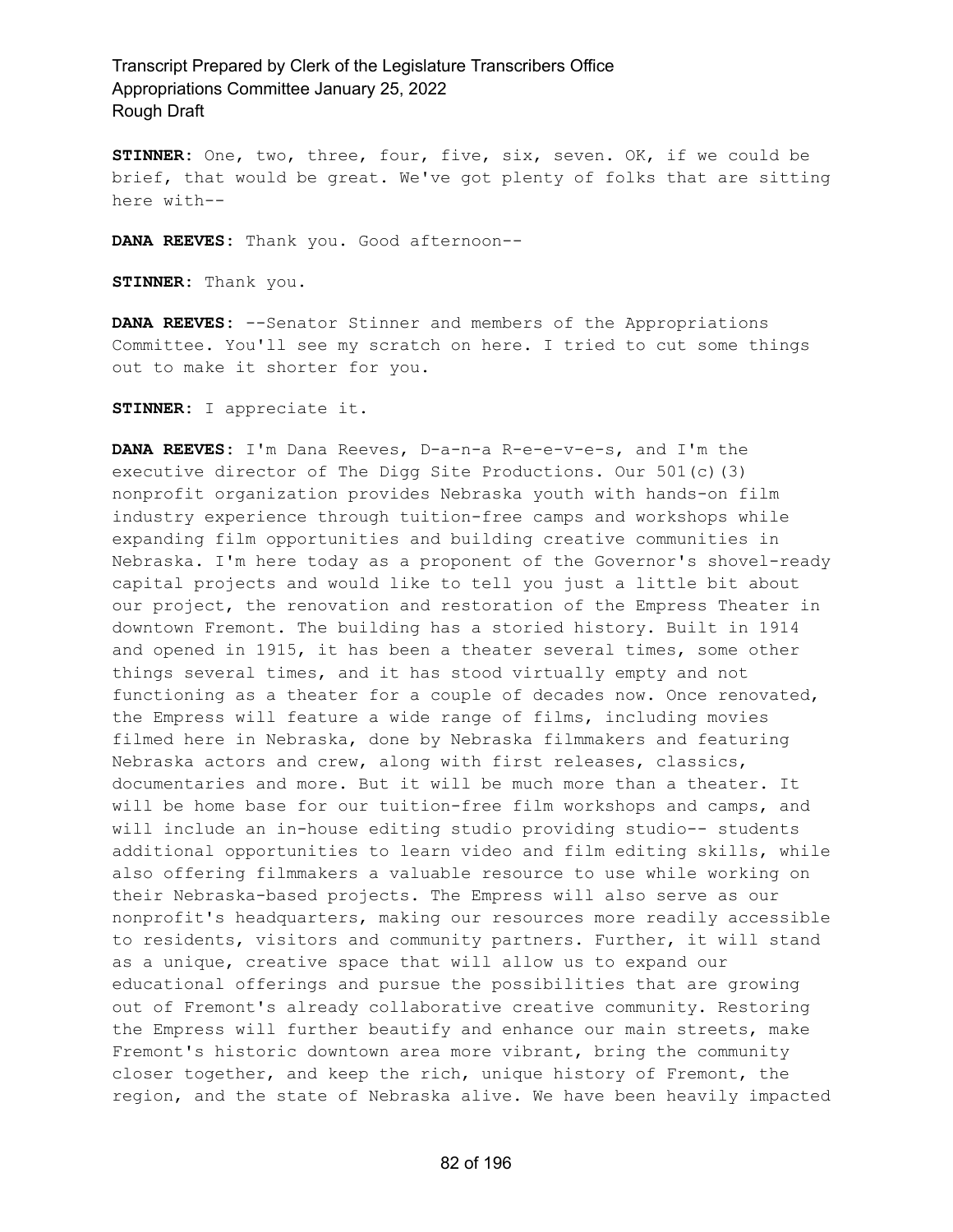**STINNER:** One, two, three, four, five, six, seven. OK, if we could be brief, that would be great. We've got plenty of folks that are sitting here with--

**DANA REEVES:** Thank you. Good afternoon--

**STINNER:** Thank you.

**DANA REEVES:** --Senator Stinner and members of the Appropriations Committee. You'll see my scratch on here. I tried to cut some things out to make it shorter for you.

**STINNER:** I appreciate it.

**DANA REEVES:** I'm Dana Reeves, D-a-n-a R-e-e-v-e-s, and I'm the executive director of The Digg Site Productions. Our 501(c)(3) nonprofit organization provides Nebraska youth with hands-on film industry experience through tuition-free camps and workshops while expanding film opportunities and building creative communities in Nebraska. I'm here today as a proponent of the Governor's shovel-ready capital projects and would like to tell you just a little bit about our project, the renovation and restoration of the Empress Theater in downtown Fremont. The building has a storied history. Built in 1914 and opened in 1915, it has been a theater several times, some other things several times, and it has stood virtually empty and not functioning as a theater for a couple of decades now. Once renovated, the Empress will feature a wide range of films, including movies filmed here in Nebraska, done by Nebraska filmmakers and featuring Nebraska actors and crew, along with first releases, classics, documentaries and more. But it will be much more than a theater. It will be home base for our tuition-free film workshops and camps, and will include an in-house editing studio providing studio-- students additional opportunities to learn video and film editing skills, while also offering filmmakers a valuable resource to use while working on their Nebraska-based projects. The Empress will also serve as our nonprofit's headquarters, making our resources more readily accessible to residents, visitors and community partners. Further, it will stand as a unique, creative space that will allow us to expand our educational offerings and pursue the possibilities that are growing out of Fremont's already collaborative creative community. Restoring the Empress will further beautify and enhance our main streets, make Fremont's historic downtown area more vibrant, bring the community closer together, and keep the rich, unique history of Fremont, the region, and the state of Nebraska alive. We have been heavily impacted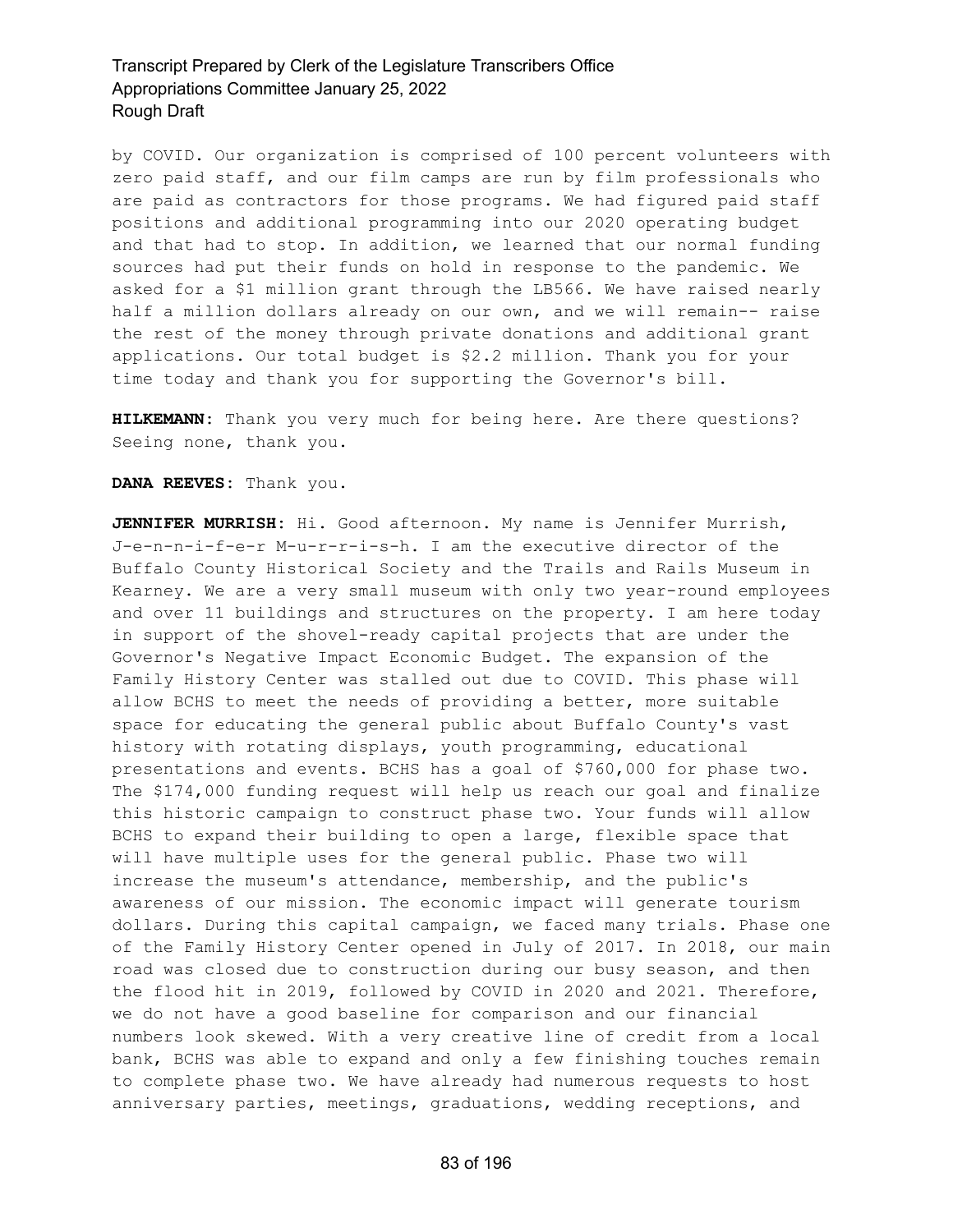by COVID. Our organization is comprised of 100 percent volunteers with zero paid staff, and our film camps are run by film professionals who are paid as contractors for those programs. We had figured paid staff positions and additional programming into our 2020 operating budget and that had to stop. In addition, we learned that our normal funding sources had put their funds on hold in response to the pandemic. We asked for a \$1 million grant through the LB566. We have raised nearly half a million dollars already on our own, and we will remain-- raise the rest of the money through private donations and additional grant applications. Our total budget is \$2.2 million. Thank you for your time today and thank you for supporting the Governor's bill.

**HILKEMANN:** Thank you very much for being here. Are there questions? Seeing none, thank you.

**DANA REEVES:** Thank you.

**JENNIFER MURRISH:** Hi. Good afternoon. My name is Jennifer Murrish, J-e-n-n-i-f-e-r M-u-r-r-i-s-h. I am the executive director of the Buffalo County Historical Society and the Trails and Rails Museum in Kearney. We are a very small museum with only two year-round employees and over 11 buildings and structures on the property. I am here today in support of the shovel-ready capital projects that are under the Governor's Negative Impact Economic Budget. The expansion of the Family History Center was stalled out due to COVID. This phase will allow BCHS to meet the needs of providing a better, more suitable space for educating the general public about Buffalo County's vast history with rotating displays, youth programming, educational presentations and events. BCHS has a goal of \$760,000 for phase two. The \$174,000 funding request will help us reach our goal and finalize this historic campaign to construct phase two. Your funds will allow BCHS to expand their building to open a large, flexible space that will have multiple uses for the general public. Phase two will increase the museum's attendance, membership, and the public's awareness of our mission. The economic impact will generate tourism dollars. During this capital campaign, we faced many trials. Phase one of the Family History Center opened in July of 2017. In 2018, our main road was closed due to construction during our busy season, and then the flood hit in 2019, followed by COVID in 2020 and 2021. Therefore, we do not have a good baseline for comparison and our financial numbers look skewed. With a very creative line of credit from a local bank, BCHS was able to expand and only a few finishing touches remain to complete phase two. We have already had numerous requests to host anniversary parties, meetings, graduations, wedding receptions, and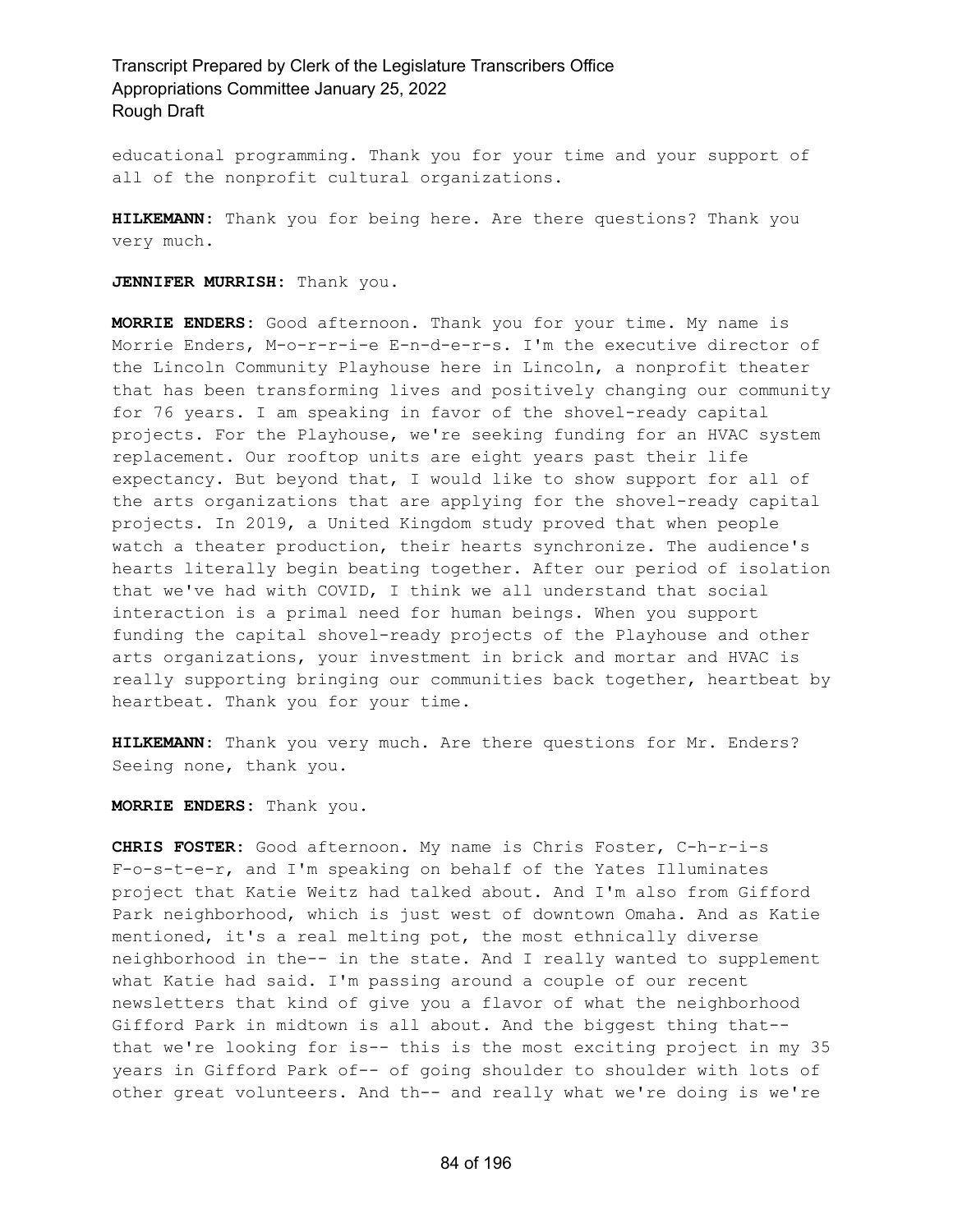educational programming. Thank you for your time and your support of all of the nonprofit cultural organizations.

**HILKEMANN:** Thank you for being here. Are there questions? Thank you very much.

**JENNIFER MURRISH:** Thank you.

**MORRIE ENDERS:** Good afternoon. Thank you for your time. My name is Morrie Enders, M-o-r-r-i-e E-n-d-e-r-s. I'm the executive director of the Lincoln Community Playhouse here in Lincoln, a nonprofit theater that has been transforming lives and positively changing our community for 76 years. I am speaking in favor of the shovel-ready capital projects. For the Playhouse, we're seeking funding for an HVAC system replacement. Our rooftop units are eight years past their life expectancy. But beyond that, I would like to show support for all of the arts organizations that are applying for the shovel-ready capital projects. In 2019, a United Kingdom study proved that when people watch a theater production, their hearts synchronize. The audience's hearts literally begin beating together. After our period of isolation that we've had with COVID, I think we all understand that social interaction is a primal need for human beings. When you support funding the capital shovel-ready projects of the Playhouse and other arts organizations, your investment in brick and mortar and HVAC is really supporting bringing our communities back together, heartbeat by heartbeat. Thank you for your time.

**HILKEMANN:** Thank you very much. Are there questions for Mr. Enders? Seeing none, thank you.

**MORRIE ENDERS:** Thank you.

**CHRIS FOSTER:** Good afternoon. My name is Chris Foster, C-h-r-i-s F-o-s-t-e-r, and I'm speaking on behalf of the Yates Illuminates project that Katie Weitz had talked about. And I'm also from Gifford Park neighborhood, which is just west of downtown Omaha. And as Katie mentioned, it's a real melting pot, the most ethnically diverse neighborhood in the-- in the state. And I really wanted to supplement what Katie had said. I'm passing around a couple of our recent newsletters that kind of give you a flavor of what the neighborhood Gifford Park in midtown is all about. And the biggest thing that- that we're looking for is-- this is the most exciting project in my 35 years in Gifford Park of-- of going shoulder to shoulder with lots of other great volunteers. And th-- and really what we're doing is we're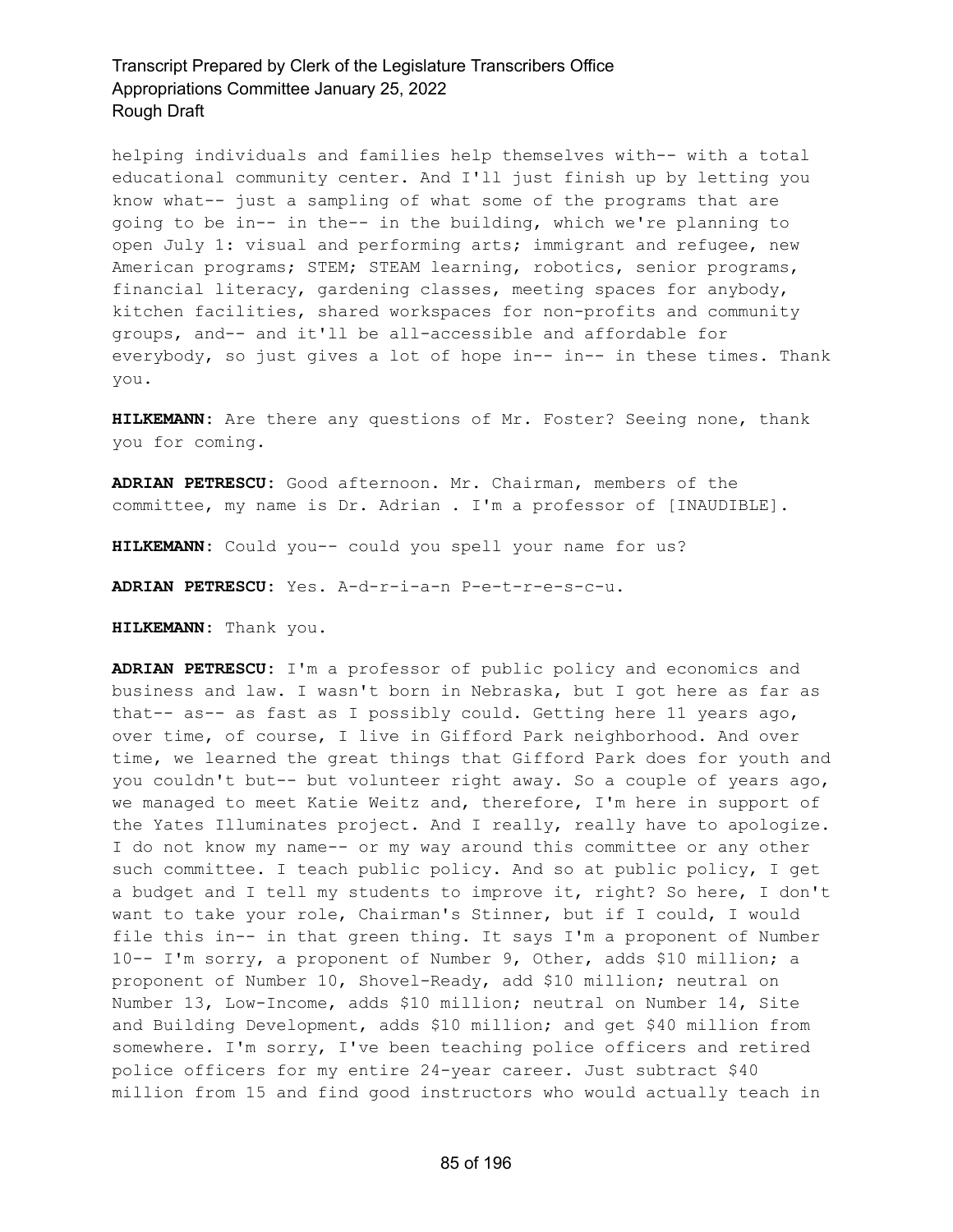helping individuals and families help themselves with-- with a total educational community center. And I'll just finish up by letting you know what-- just a sampling of what some of the programs that are going to be in-- in the-- in the building, which we're planning to open July 1: visual and performing arts; immigrant and refugee, new American programs; STEM; STEAM learning, robotics, senior programs, financial literacy, gardening classes, meeting spaces for anybody, kitchen facilities, shared workspaces for non-profits and community groups, and-- and it'll be all-accessible and affordable for everybody, so just gives a lot of hope in-- in-- in these times. Thank you.

**HILKEMANN:** Are there any questions of Mr. Foster? Seeing none, thank you for coming.

**ADRIAN PETRESCU:** Good afternoon. Mr. Chairman, members of the committee, my name is Dr. Adrian . I'm a professor of [INAUDIBLE].

**HILKEMANN:** Could you-- could you spell your name for us?

**ADRIAN PETRESCU:** Yes. A-d-r-i-a-n P-e-t-r-e-s-c-u.

**HILKEMANN:** Thank you.

**ADRIAN PETRESCU:** I'm a professor of public policy and economics and business and law. I wasn't born in Nebraska, but I got here as far as that-- as-- as fast as I possibly could. Getting here 11 years ago, over time, of course, I live in Gifford Park neighborhood. And over time, we learned the great things that Gifford Park does for youth and you couldn't but-- but volunteer right away. So a couple of years ago, we managed to meet Katie Weitz and, therefore, I'm here in support of the Yates Illuminates project. And I really, really have to apologize. I do not know my name-- or my way around this committee or any other such committee. I teach public policy. And so at public policy, I get a budget and I tell my students to improve it, right? So here, I don't want to take your role, Chairman's Stinner, but if I could, I would file this in-- in that green thing. It says I'm a proponent of Number 10-- I'm sorry, a proponent of Number 9, Other, adds \$10 million; a proponent of Number 10, Shovel-Ready, add \$10 million; neutral on Number 13, Low-Income, adds \$10 million; neutral on Number 14, Site and Building Development, adds \$10 million; and get \$40 million from somewhere. I'm sorry, I've been teaching police officers and retired police officers for my entire 24-year career. Just subtract \$40 million from 15 and find good instructors who would actually teach in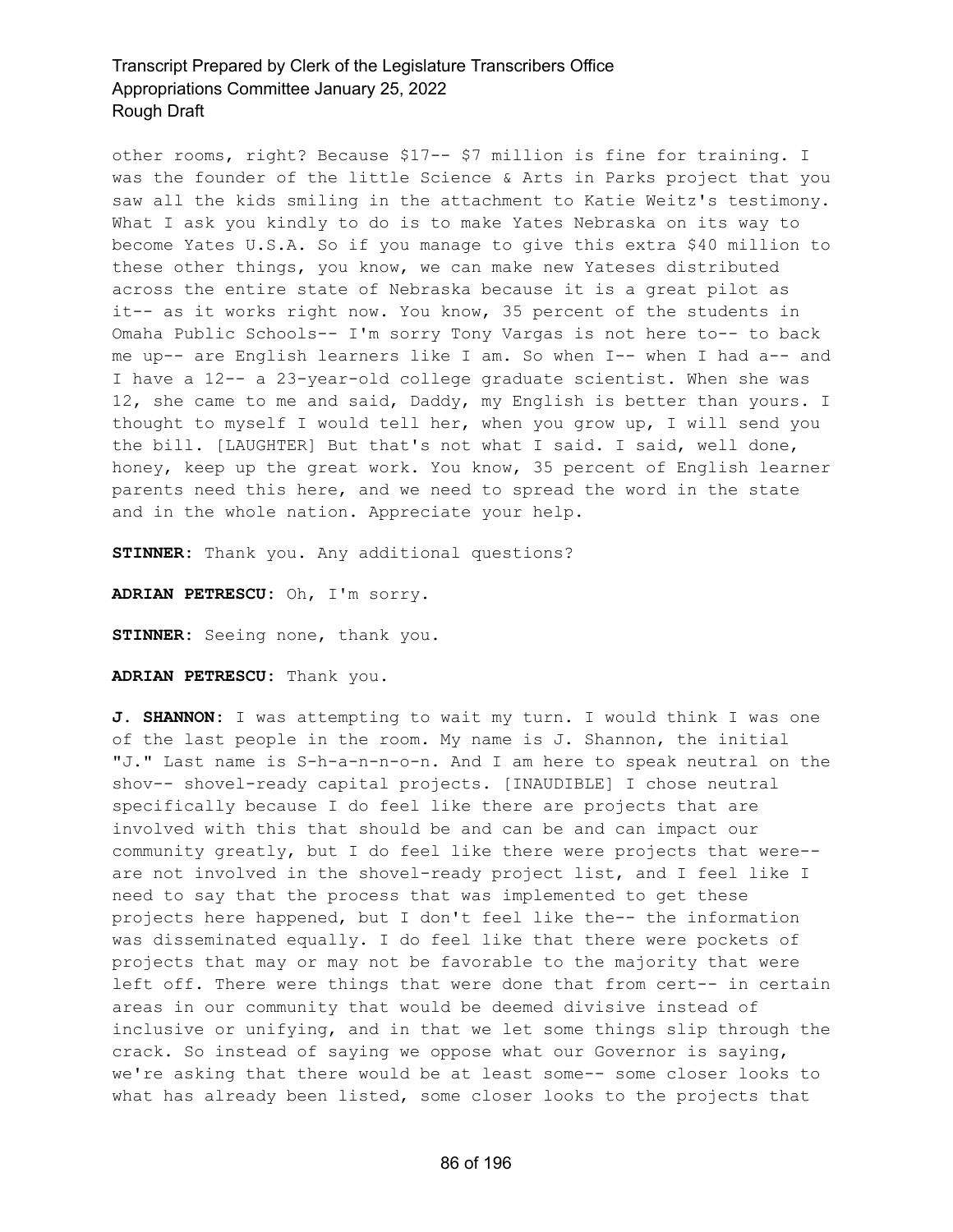other rooms, right? Because \$17-- \$7 million is fine for training. I was the founder of the little Science & Arts in Parks project that you saw all the kids smiling in the attachment to Katie Weitz's testimony. What I ask you kindly to do is to make Yates Nebraska on its way to become Yates U.S.A. So if you manage to give this extra \$40 million to these other things, you know, we can make new Yateses distributed across the entire state of Nebraska because it is a great pilot as it-- as it works right now. You know, 35 percent of the students in Omaha Public Schools-- I'm sorry Tony Vargas is not here to-- to back me up-- are English learners like I am. So when I-- when I had a-- and I have a 12-- a 23-year-old college graduate scientist. When she was 12, she came to me and said, Daddy, my English is better than yours. I thought to myself I would tell her, when you grow up, I will send you the bill. [LAUGHTER] But that's not what I said. I said, well done, honey, keep up the great work. You know, 35 percent of English learner parents need this here, and we need to spread the word in the state and in the whole nation. Appreciate your help.

**STINNER:** Thank you. Any additional questions?

**ADRIAN PETRESCU:** Oh, I'm sorry.

**STINNER:** Seeing none, thank you.

**ADRIAN PETRESCU:** Thank you.

**J. SHANNON:** I was attempting to wait my turn. I would think I was one of the last people in the room. My name is J. Shannon, the initial "J." Last name is S-h-a-n-n-o-n. And I am here to speak neutral on the shov-- shovel-ready capital projects. [INAUDIBLE] I chose neutral specifically because I do feel like there are projects that are involved with this that should be and can be and can impact our community greatly, but I do feel like there were projects that were- are not involved in the shovel-ready project list, and I feel like I need to say that the process that was implemented to get these projects here happened, but I don't feel like the-- the information was disseminated equally. I do feel like that there were pockets of projects that may or may not be favorable to the majority that were left off. There were things that were done that from cert-- in certain areas in our community that would be deemed divisive instead of inclusive or unifying, and in that we let some things slip through the crack. So instead of saying we oppose what our Governor is saying, we're asking that there would be at least some-- some closer looks to what has already been listed, some closer looks to the projects that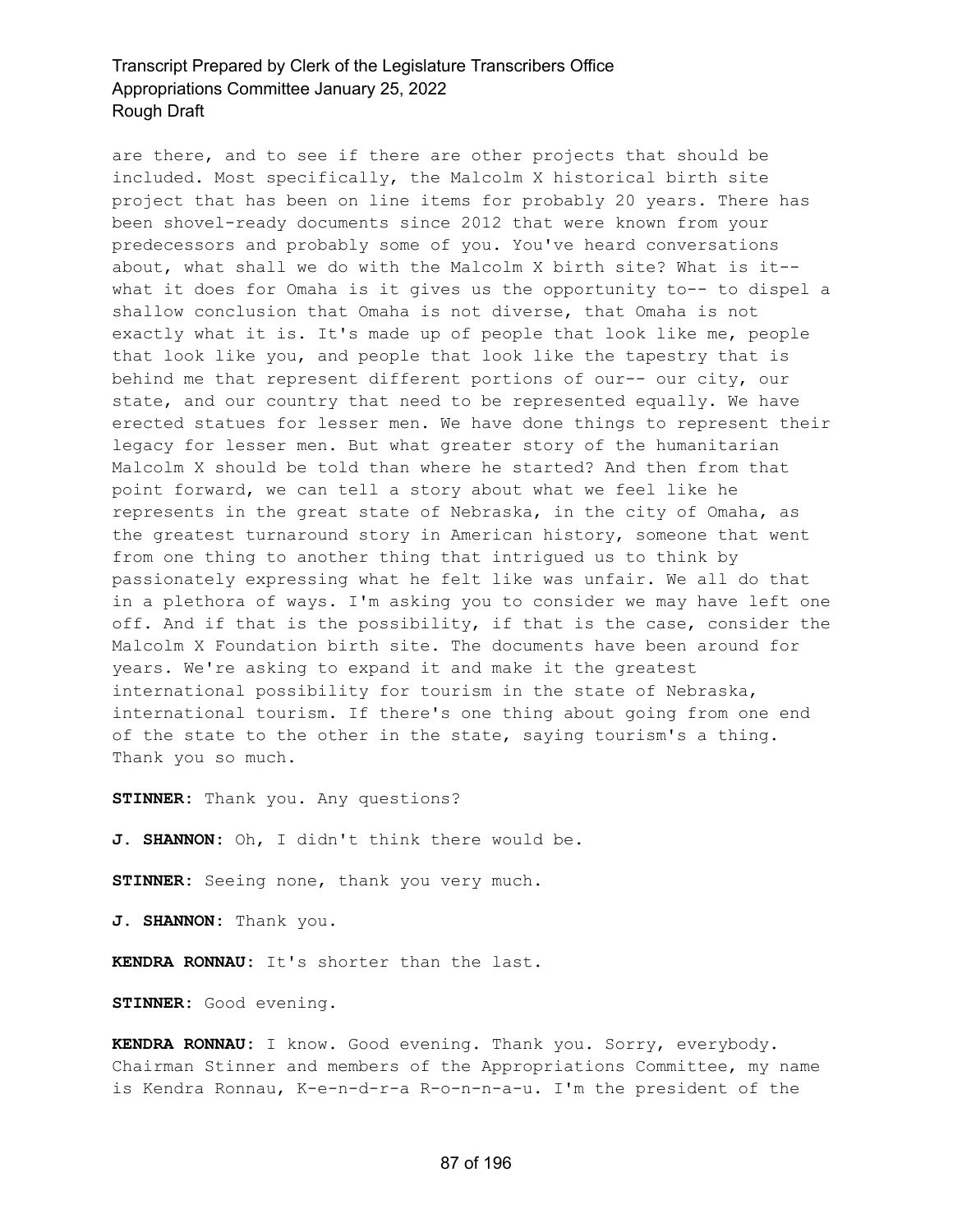are there, and to see if there are other projects that should be included. Most specifically, the Malcolm X historical birth site project that has been on line items for probably 20 years. There has been shovel-ready documents since 2012 that were known from your predecessors and probably some of you. You've heard conversations about, what shall we do with the Malcolm X birth site? What is it- what it does for Omaha is it gives us the opportunity to-- to dispel a shallow conclusion that Omaha is not diverse, that Omaha is not exactly what it is. It's made up of people that look like me, people that look like you, and people that look like the tapestry that is behind me that represent different portions of our-- our city, our state, and our country that need to be represented equally. We have erected statues for lesser men. We have done things to represent their legacy for lesser men. But what greater story of the humanitarian Malcolm X should be told than where he started? And then from that point forward, we can tell a story about what we feel like he represents in the great state of Nebraska, in the city of Omaha, as the greatest turnaround story in American history, someone that went from one thing to another thing that intrigued us to think by passionately expressing what he felt like was unfair. We all do that in a plethora of ways. I'm asking you to consider we may have left one off. And if that is the possibility, if that is the case, consider the Malcolm X Foundation birth site. The documents have been around for years. We're asking to expand it and make it the greatest international possibility for tourism in the state of Nebraska, international tourism. If there's one thing about going from one end of the state to the other in the state, saying tourism's a thing. Thank you so much.

**STINNER:** Thank you. Any questions?

**J. SHANNON:** Oh, I didn't think there would be.

**STINNER:** Seeing none, thank you very much.

**J. SHANNON:** Thank you.

**KENDRA RONNAU:** It's shorter than the last.

**STINNER:** Good evening.

**KENDRA RONNAU:** I know. Good evening. Thank you. Sorry, everybody. Chairman Stinner and members of the Appropriations Committee, my name is Kendra Ronnau, K-e-n-d-r-a R-o-n-n-a-u. I'm the president of the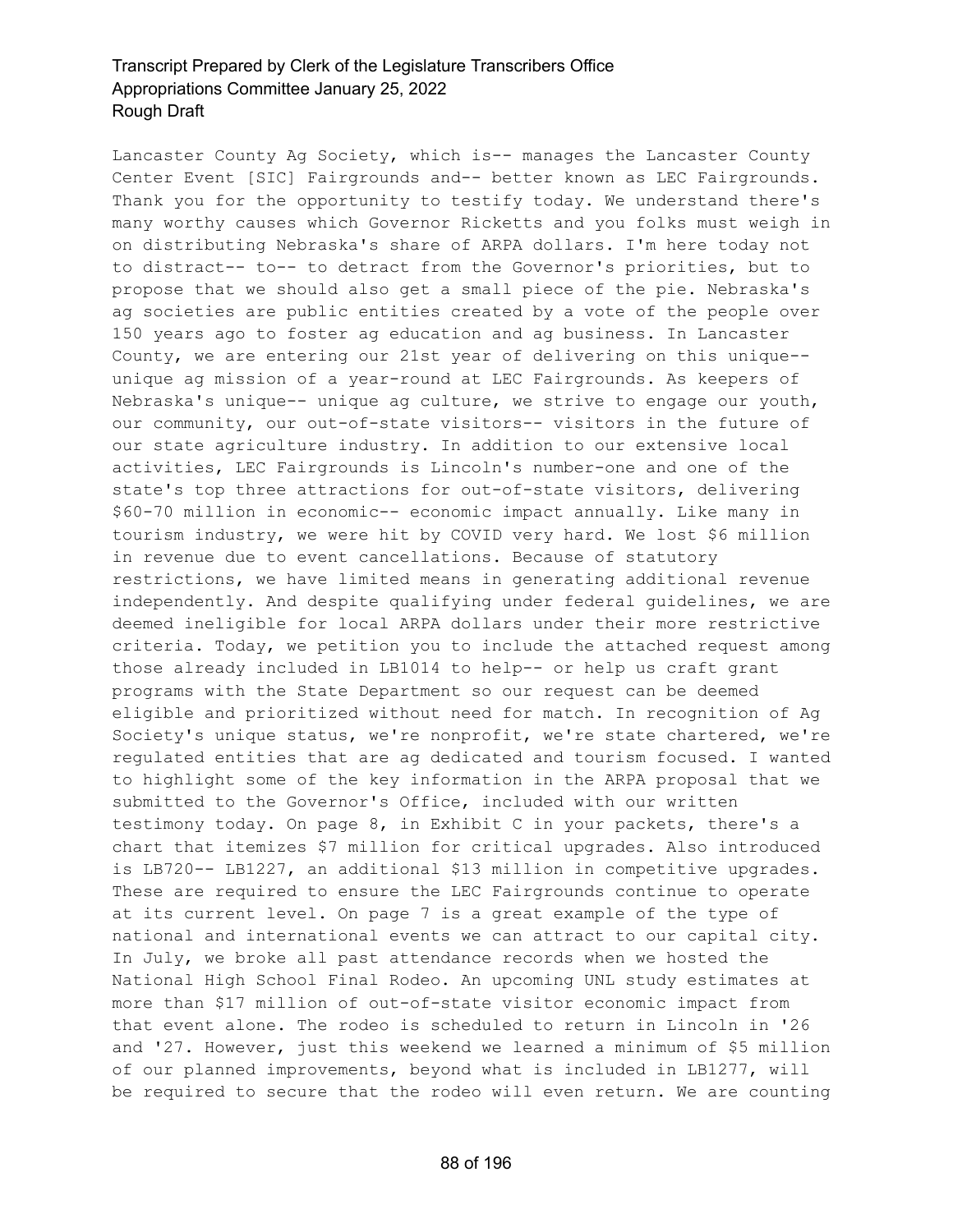Lancaster County Ag Society, which is-- manages the Lancaster County Center Event [SIC] Fairgrounds and-- better known as LEC Fairgrounds. Thank you for the opportunity to testify today. We understand there's many worthy causes which Governor Ricketts and you folks must weigh in on distributing Nebraska's share of ARPA dollars. I'm here today not to distract-- to-- to detract from the Governor's priorities, but to propose that we should also get a small piece of the pie. Nebraska's ag societies are public entities created by a vote of the people over 150 years ago to foster ag education and ag business. In Lancaster County, we are entering our 21st year of delivering on this unique- unique ag mission of a year-round at LEC Fairgrounds. As keepers of Nebraska's unique-- unique ag culture, we strive to engage our youth, our community, our out-of-state visitors-- visitors in the future of our state agriculture industry. In addition to our extensive local activities, LEC Fairgrounds is Lincoln's number-one and one of the state's top three attractions for out-of-state visitors, delivering \$60-70 million in economic-- economic impact annually. Like many in tourism industry, we were hit by COVID very hard. We lost \$6 million in revenue due to event cancellations. Because of statutory restrictions, we have limited means in generating additional revenue independently. And despite qualifying under federal guidelines, we are deemed ineligible for local ARPA dollars under their more restrictive criteria. Today, we petition you to include the attached request among those already included in LB1014 to help-- or help us craft grant programs with the State Department so our request can be deemed eligible and prioritized without need for match. In recognition of Ag Society's unique status, we're nonprofit, we're state chartered, we're regulated entities that are ag dedicated and tourism focused. I wanted to highlight some of the key information in the ARPA proposal that we submitted to the Governor's Office, included with our written testimony today. On page 8, in Exhibit C in your packets, there's a chart that itemizes \$7 million for critical upgrades. Also introduced is LB720-- LB1227, an additional \$13 million in competitive upgrades. These are required to ensure the LEC Fairgrounds continue to operate at its current level. On page 7 is a great example of the type of national and international events we can attract to our capital city. In July, we broke all past attendance records when we hosted the National High School Final Rodeo. An upcoming UNL study estimates at more than \$17 million of out-of-state visitor economic impact from that event alone. The rodeo is scheduled to return in Lincoln in '26 and '27. However, just this weekend we learned a minimum of \$5 million of our planned improvements, beyond what is included in LB1277, will be required to secure that the rodeo will even return. We are counting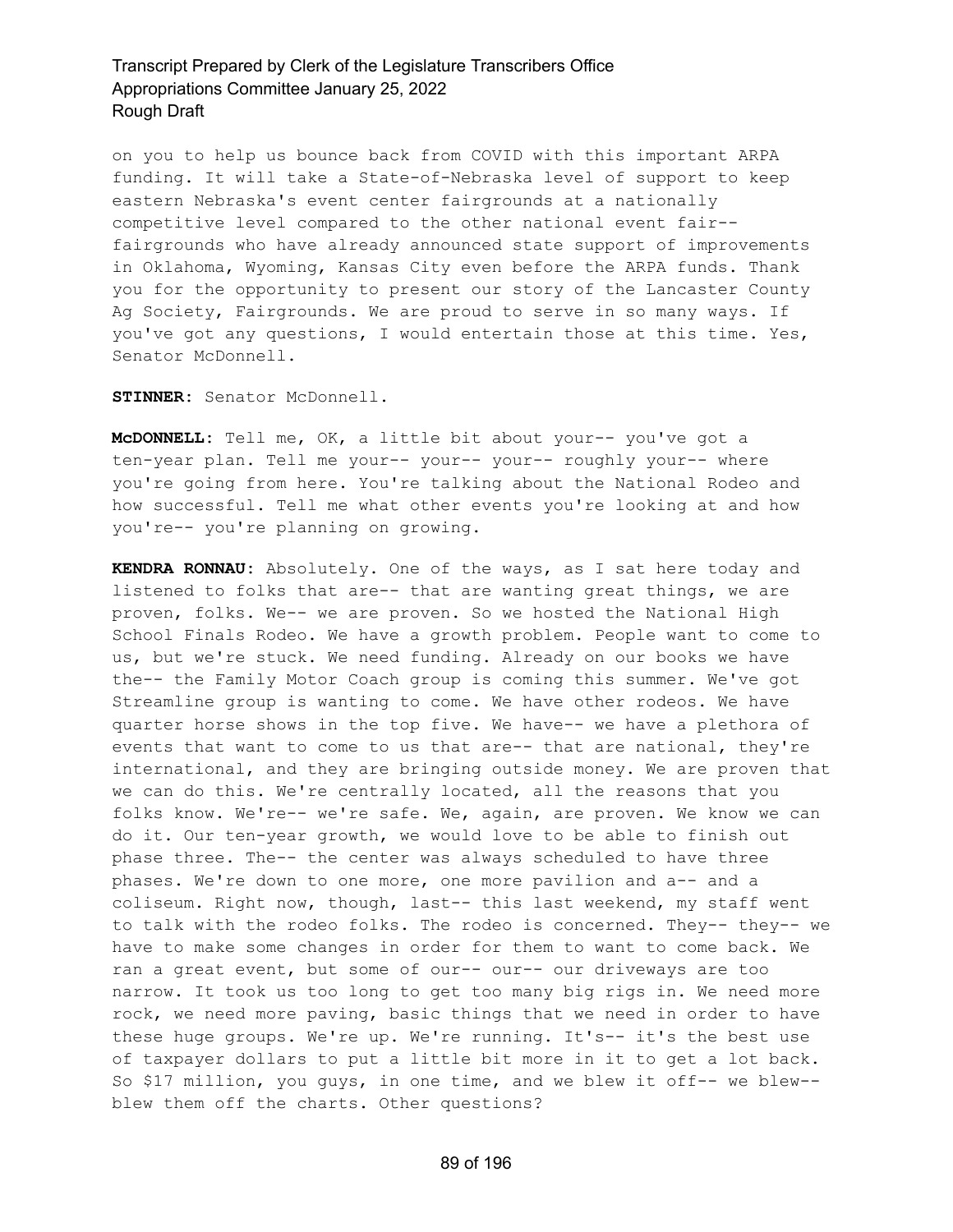on you to help us bounce back from COVID with this important ARPA funding. It will take a State-of-Nebraska level of support to keep eastern Nebraska's event center fairgrounds at a nationally competitive level compared to the other national event fair- fairgrounds who have already announced state support of improvements in Oklahoma, Wyoming, Kansas City even before the ARPA funds. Thank you for the opportunity to present our story of the Lancaster County Ag Society, Fairgrounds. We are proud to serve in so many ways. If you've got any questions, I would entertain those at this time. Yes, Senator McDonnell.

**STINNER:** Senator McDonnell.

**McDONNELL:** Tell me, OK, a little bit about your-- you've got a ten-year plan. Tell me your-- your-- your-- roughly your-- where you're going from here. You're talking about the National Rodeo and how successful. Tell me what other events you're looking at and how you're-- you're planning on growing.

**KENDRA RONNAU:** Absolutely. One of the ways, as I sat here today and listened to folks that are-- that are wanting great things, we are proven, folks. We-- we are proven. So we hosted the National High School Finals Rodeo. We have a growth problem. People want to come to us, but we're stuck. We need funding. Already on our books we have the-- the Family Motor Coach group is coming this summer. We've got Streamline group is wanting to come. We have other rodeos. We have quarter horse shows in the top five. We have-- we have a plethora of events that want to come to us that are-- that are national, they're international, and they are bringing outside money. We are proven that we can do this. We're centrally located, all the reasons that you folks know. We're-- we're safe. We, again, are proven. We know we can do it. Our ten-year growth, we would love to be able to finish out phase three. The-- the center was always scheduled to have three phases. We're down to one more, one more pavilion and a-- and a coliseum. Right now, though, last-- this last weekend, my staff went to talk with the rodeo folks. The rodeo is concerned. They-- they-- we have to make some changes in order for them to want to come back. We ran a great event, but some of our-- our-- our driveways are too narrow. It took us too long to get too many big rigs in. We need more rock, we need more paving, basic things that we need in order to have these huge groups. We're up. We're running. It's-- it's the best use of taxpayer dollars to put a little bit more in it to get a lot back. So \$17 million, you guys, in one time, and we blew it off-- we blew- blew them off the charts. Other questions?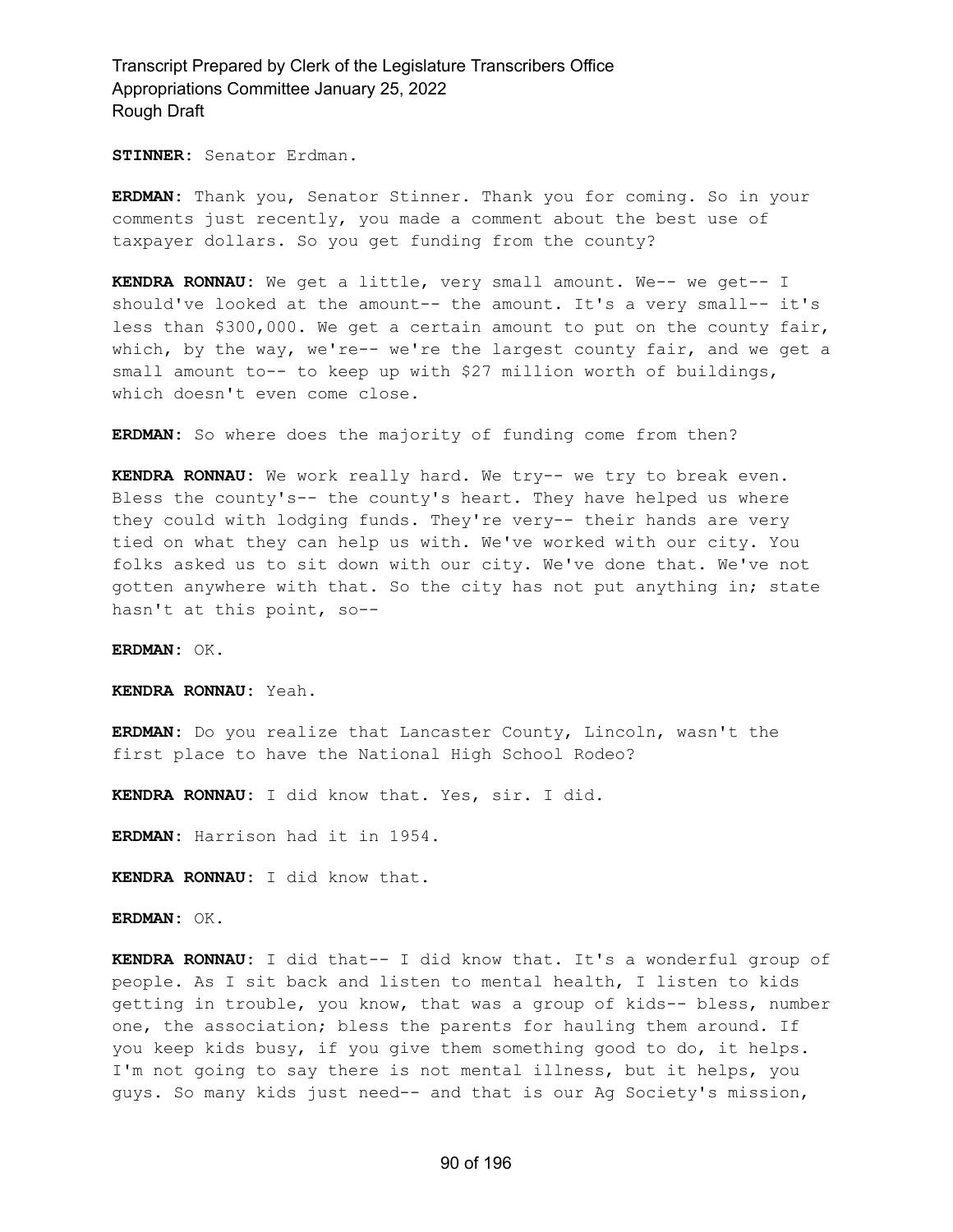**STINNER:** Senator Erdman.

**ERDMAN:** Thank you, Senator Stinner. Thank you for coming. So in your comments just recently, you made a comment about the best use of taxpayer dollars. So you get funding from the county?

**KENDRA RONNAU:** We get a little, very small amount. We-- we get-- I should've looked at the amount-- the amount. It's a very small-- it's less than \$300,000. We get a certain amount to put on the county fair, which, by the way, we're-- we're the largest county fair, and we get a small amount to-- to keep up with \$27 million worth of buildings, which doesn't even come close.

**ERDMAN:** So where does the majority of funding come from then?

**KENDRA RONNAU:** We work really hard. We try-- we try to break even. Bless the county's-- the county's heart. They have helped us where they could with lodging funds. They're very-- their hands are very tied on what they can help us with. We've worked with our city. You folks asked us to sit down with our city. We've done that. We've not gotten anywhere with that. So the city has not put anything in; state hasn't at this point, so--

**ERDMAN:** OK.

**KENDRA RONNAU:** Yeah.

**ERDMAN:** Do you realize that Lancaster County, Lincoln, wasn't the first place to have the National High School Rodeo?

**KENDRA RONNAU:** I did know that. Yes, sir. I did.

**ERDMAN:** Harrison had it in 1954.

**KENDRA RONNAU:** I did know that.

**ERDMAN:** OK.

**KENDRA RONNAU:** I did that-- I did know that. It's a wonderful group of people. As I sit back and listen to mental health, I listen to kids getting in trouble, you know, that was a group of kids-- bless, number one, the association; bless the parents for hauling them around. If you keep kids busy, if you give them something good to do, it helps. I'm not going to say there is not mental illness, but it helps, you guys. So many kids just need-- and that is our Ag Society's mission,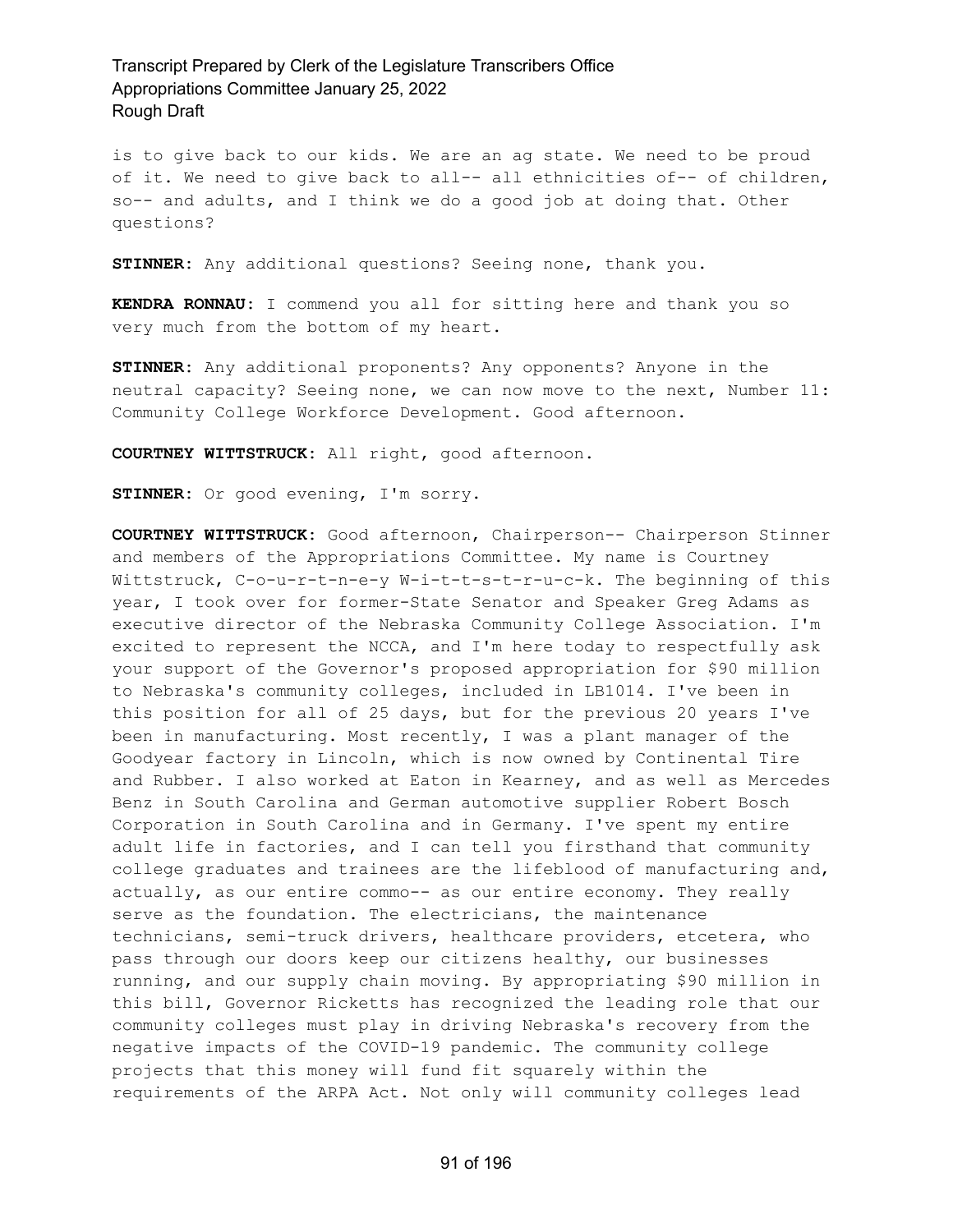is to give back to our kids. We are an ag state. We need to be proud of it. We need to give back to all-- all ethnicities of-- of children, so-- and adults, and I think we do a good job at doing that. Other questions?

**STINNER:** Any additional questions? Seeing none, thank you.

**KENDRA RONNAU:** I commend you all for sitting here and thank you so very much from the bottom of my heart.

**STINNER:** Any additional proponents? Any opponents? Anyone in the neutral capacity? Seeing none, we can now move to the next, Number 11: Community College Workforce Development. Good afternoon.

**COURTNEY WITTSTRUCK:** All right, good afternoon.

**STINNER:** Or good evening, I'm sorry.

**COURTNEY WITTSTRUCK:** Good afternoon, Chairperson-- Chairperson Stinner and members of the Appropriations Committee. My name is Courtney Wittstruck, C-o-u-r-t-n-e-y W-i-t-t-s-t-r-u-c-k. The beginning of this year, I took over for former-State Senator and Speaker Greg Adams as executive director of the Nebraska Community College Association. I'm excited to represent the NCCA, and I'm here today to respectfully ask your support of the Governor's proposed appropriation for \$90 million to Nebraska's community colleges, included in LB1014. I've been in this position for all of 25 days, but for the previous 20 years I've been in manufacturing. Most recently, I was a plant manager of the Goodyear factory in Lincoln, which is now owned by Continental Tire and Rubber. I also worked at Eaton in Kearney, and as well as Mercedes Benz in South Carolina and German automotive supplier Robert Bosch Corporation in South Carolina and in Germany. I've spent my entire adult life in factories, and I can tell you firsthand that community college graduates and trainees are the lifeblood of manufacturing and, actually, as our entire commo-- as our entire economy. They really serve as the foundation. The electricians, the maintenance technicians, semi-truck drivers, healthcare providers, etcetera, who pass through our doors keep our citizens healthy, our businesses running, and our supply chain moving. By appropriating \$90 million in this bill, Governor Ricketts has recognized the leading role that our community colleges must play in driving Nebraska's recovery from the negative impacts of the COVID-19 pandemic. The community college projects that this money will fund fit squarely within the requirements of the ARPA Act. Not only will community colleges lead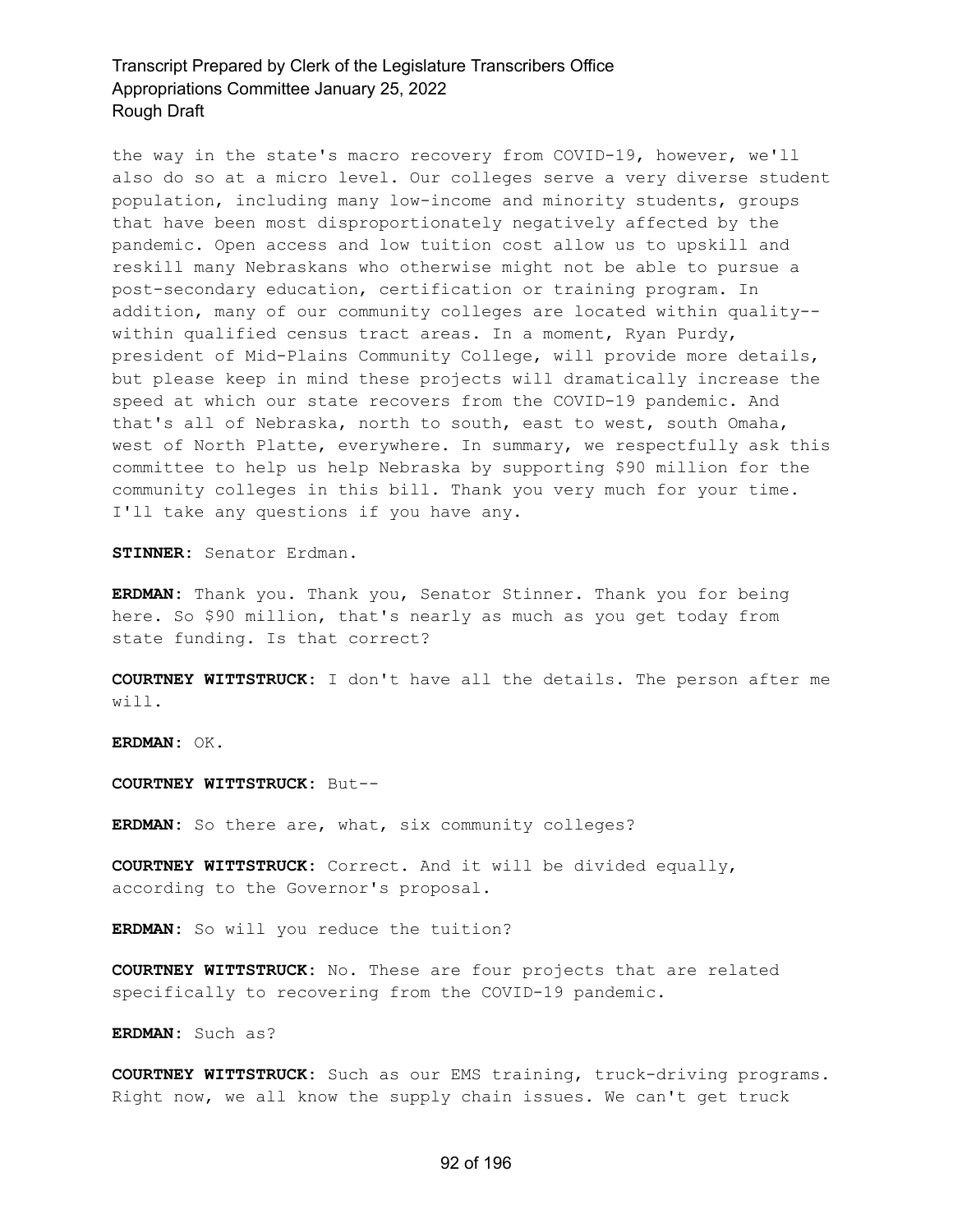the way in the state's macro recovery from COVID-19, however, we'll also do so at a micro level. Our colleges serve a very diverse student population, including many low-income and minority students, groups that have been most disproportionately negatively affected by the pandemic. Open access and low tuition cost allow us to upskill and reskill many Nebraskans who otherwise might not be able to pursue a post-secondary education, certification or training program. In addition, many of our community colleges are located within quality- within qualified census tract areas. In a moment, Ryan Purdy, president of Mid-Plains Community College, will provide more details, but please keep in mind these projects will dramatically increase the speed at which our state recovers from the COVID-19 pandemic. And that's all of Nebraska, north to south, east to west, south Omaha, west of North Platte, everywhere. In summary, we respectfully ask this committee to help us help Nebraska by supporting \$90 million for the community colleges in this bill. Thank you very much for your time. I'll take any questions if you have any.

**STINNER:** Senator Erdman.

**ERDMAN:** Thank you. Thank you, Senator Stinner. Thank you for being here. So \$90 million, that's nearly as much as you get today from state funding. Is that correct?

**COURTNEY WITTSTRUCK:** I don't have all the details. The person after me will.

**ERDMAN:** OK.

**COURTNEY WITTSTRUCK:** But--

**ERDMAN:** So there are, what, six community colleges?

**COURTNEY WITTSTRUCK:** Correct. And it will be divided equally, according to the Governor's proposal.

**ERDMAN:** So will you reduce the tuition?

**COURTNEY WITTSTRUCK:** No. These are four projects that are related specifically to recovering from the COVID-19 pandemic.

**ERDMAN:** Such as?

**COURTNEY WITTSTRUCK:** Such as our EMS training, truck-driving programs. Right now, we all know the supply chain issues. We can't get truck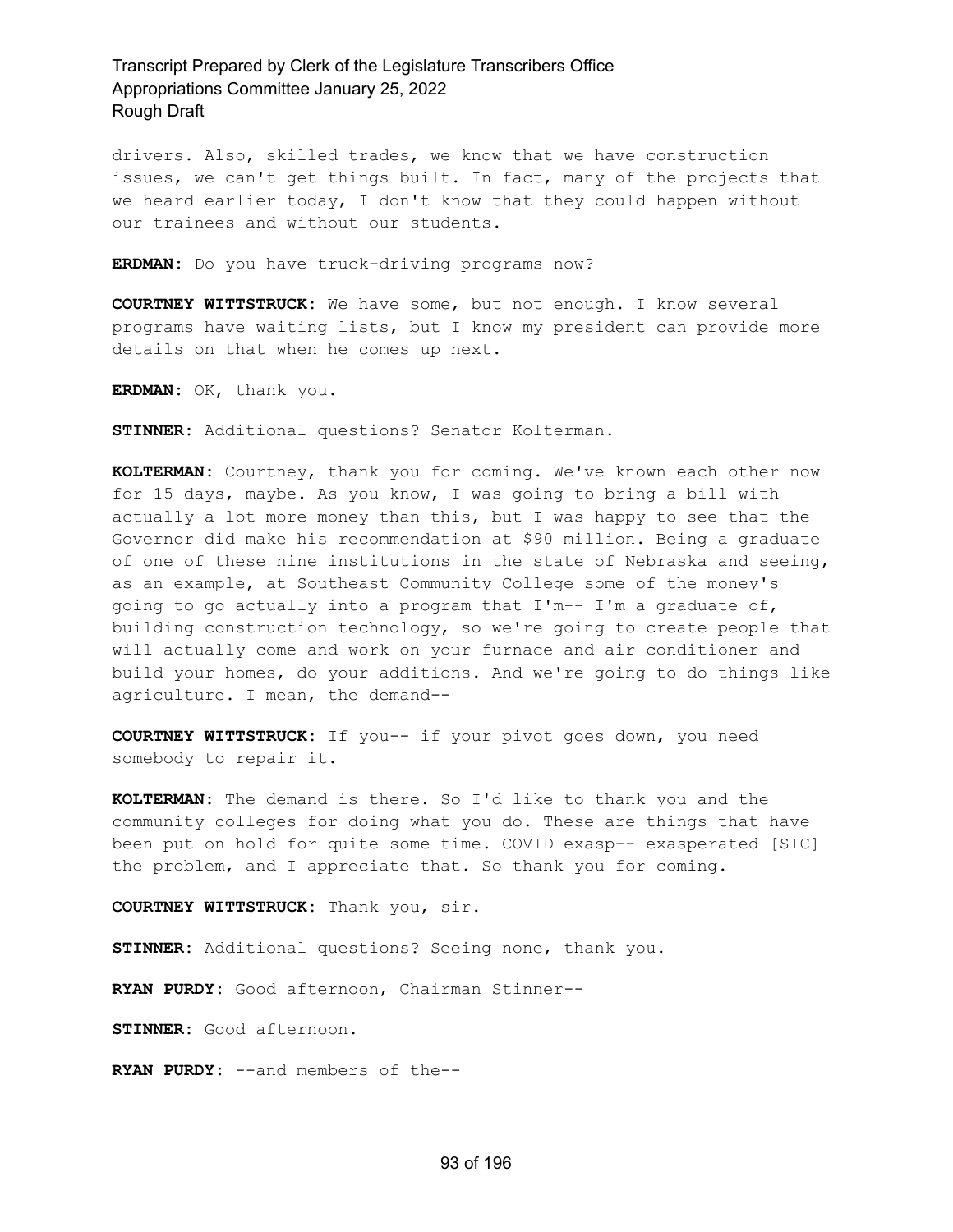drivers. Also, skilled trades, we know that we have construction issues, we can't get things built. In fact, many of the projects that we heard earlier today, I don't know that they could happen without our trainees and without our students.

**ERDMAN:** Do you have truck-driving programs now?

**COURTNEY WITTSTRUCK:** We have some, but not enough. I know several programs have waiting lists, but I know my president can provide more details on that when he comes up next.

**ERDMAN:** OK, thank you.

**STINNER:** Additional questions? Senator Kolterman.

**KOLTERMAN:** Courtney, thank you for coming. We've known each other now for 15 days, maybe. As you know, I was going to bring a bill with actually a lot more money than this, but I was happy to see that the Governor did make his recommendation at \$90 million. Being a graduate of one of these nine institutions in the state of Nebraska and seeing, as an example, at Southeast Community College some of the money's going to go actually into a program that I'm-- I'm a graduate of, building construction technology, so we're going to create people that will actually come and work on your furnace and air conditioner and build your homes, do your additions. And we're going to do things like agriculture. I mean, the demand--

**COURTNEY WITTSTRUCK:** If you-- if your pivot goes down, you need somebody to repair it.

**KOLTERMAN:** The demand is there. So I'd like to thank you and the community colleges for doing what you do. These are things that have been put on hold for quite some time. COVID exasp-- exasperated [SIC] the problem, and I appreciate that. So thank you for coming.

**COURTNEY WITTSTRUCK:** Thank you, sir.

**STINNER:** Additional questions? Seeing none, thank you.

**RYAN PURDY:** Good afternoon, Chairman Stinner--

**STINNER:** Good afternoon.

**RYAN PURDY:** --and members of the--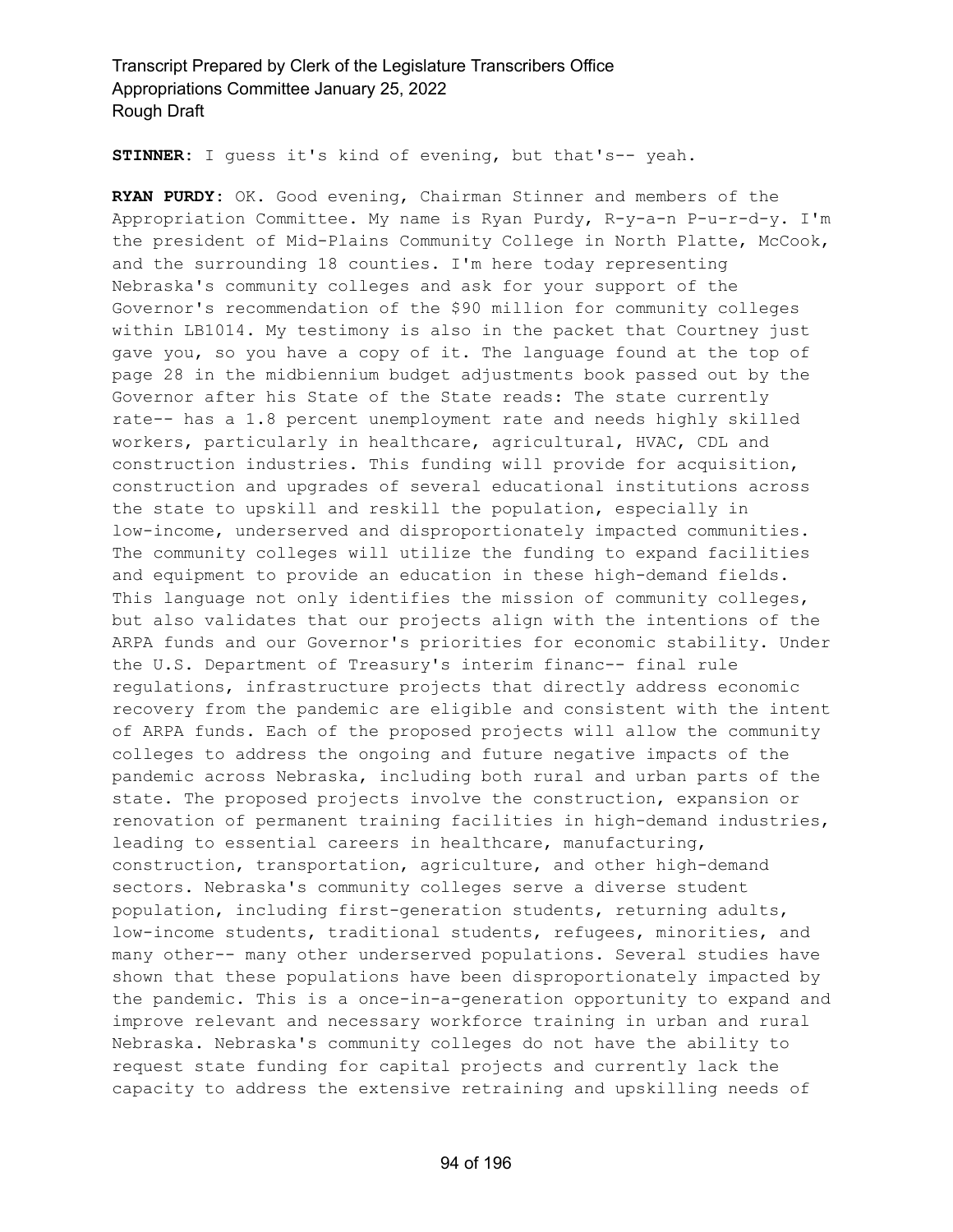**STINNER:** I guess it's kind of evening, but that's-- yeah.

**RYAN PURDY:** OK. Good evening, Chairman Stinner and members of the Appropriation Committee. My name is Ryan Purdy, R-y-a-n P-u-r-d-y. I'm the president of Mid-Plains Community College in North Platte, McCook, and the surrounding 18 counties. I'm here today representing Nebraska's community colleges and ask for your support of the Governor's recommendation of the \$90 million for community colleges within LB1014. My testimony is also in the packet that Courtney just gave you, so you have a copy of it. The language found at the top of page 28 in the midbiennium budget adjustments book passed out by the Governor after his State of the State reads: The state currently rate-- has a 1.8 percent unemployment rate and needs highly skilled workers, particularly in healthcare, agricultural, HVAC, CDL and construction industries. This funding will provide for acquisition, construction and upgrades of several educational institutions across the state to upskill and reskill the population, especially in low-income, underserved and disproportionately impacted communities. The community colleges will utilize the funding to expand facilities and equipment to provide an education in these high-demand fields. This language not only identifies the mission of community colleges, but also validates that our projects align with the intentions of the ARPA funds and our Governor's priorities for economic stability. Under the U.S. Department of Treasury's interim financ-- final rule regulations, infrastructure projects that directly address economic recovery from the pandemic are eligible and consistent with the intent of ARPA funds. Each of the proposed projects will allow the community colleges to address the ongoing and future negative impacts of the pandemic across Nebraska, including both rural and urban parts of the state. The proposed projects involve the construction, expansion or renovation of permanent training facilities in high-demand industries, leading to essential careers in healthcare, manufacturing, construction, transportation, agriculture, and other high-demand sectors. Nebraska's community colleges serve a diverse student population, including first-generation students, returning adults, low-income students, traditional students, refugees, minorities, and many other-- many other underserved populations. Several studies have shown that these populations have been disproportionately impacted by the pandemic. This is a once-in-a-generation opportunity to expand and improve relevant and necessary workforce training in urban and rural Nebraska. Nebraska's community colleges do not have the ability to request state funding for capital projects and currently lack the capacity to address the extensive retraining and upskilling needs of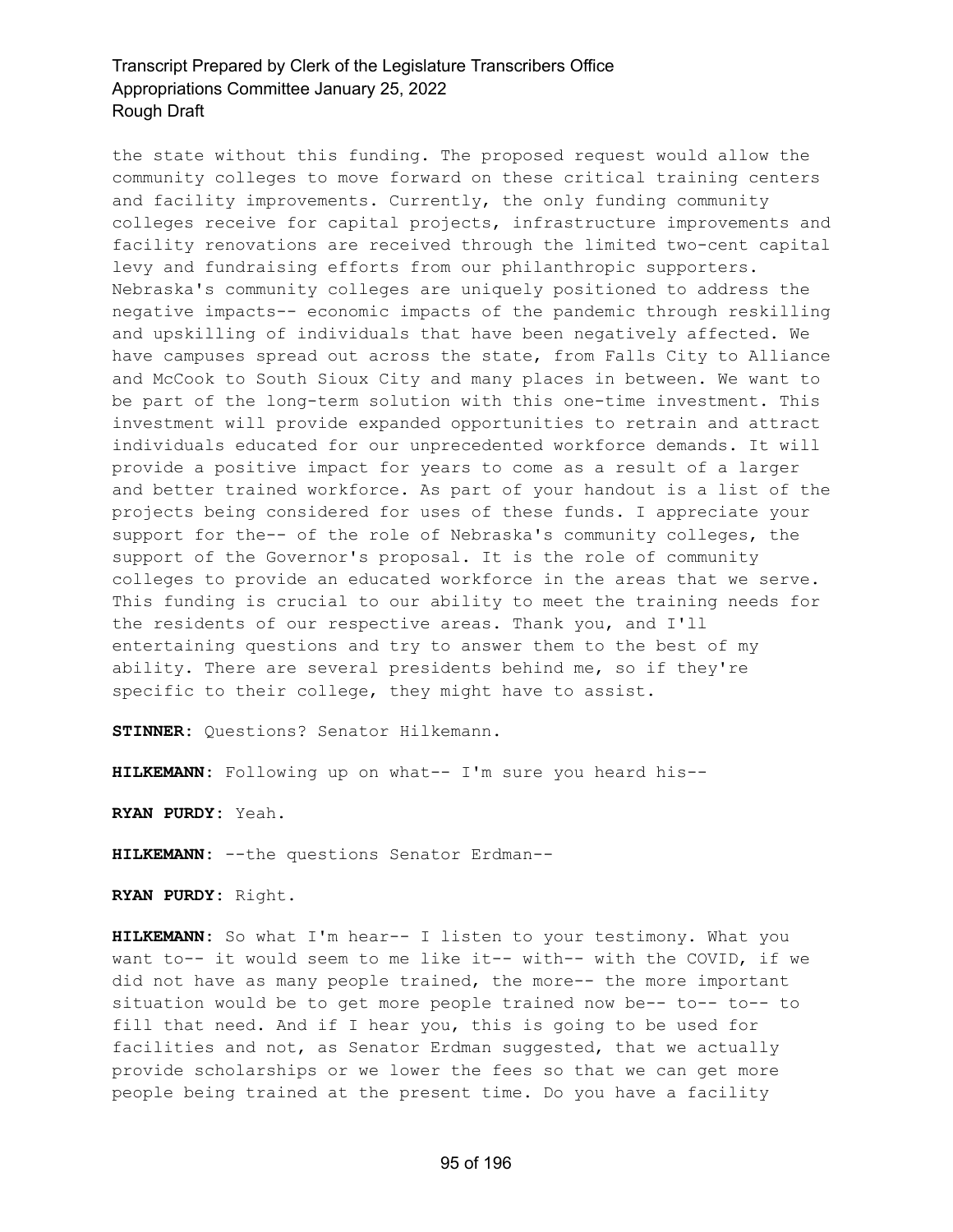the state without this funding. The proposed request would allow the community colleges to move forward on these critical training centers and facility improvements. Currently, the only funding community colleges receive for capital projects, infrastructure improvements and facility renovations are received through the limited two-cent capital levy and fundraising efforts from our philanthropic supporters. Nebraska's community colleges are uniquely positioned to address the negative impacts-- economic impacts of the pandemic through reskilling and upskilling of individuals that have been negatively affected. We have campuses spread out across the state, from Falls City to Alliance and McCook to South Sioux City and many places in between. We want to be part of the long-term solution with this one-time investment. This investment will provide expanded opportunities to retrain and attract individuals educated for our unprecedented workforce demands. It will provide a positive impact for years to come as a result of a larger and better trained workforce. As part of your handout is a list of the projects being considered for uses of these funds. I appreciate your support for the-- of the role of Nebraska's community colleges, the support of the Governor's proposal. It is the role of community colleges to provide an educated workforce in the areas that we serve. This funding is crucial to our ability to meet the training needs for the residents of our respective areas. Thank you, and I'll entertaining questions and try to answer them to the best of my ability. There are several presidents behind me, so if they're specific to their college, they might have to assist.

**STINNER:** Questions? Senator Hilkemann.

**HILKEMANN:** Following up on what-- I'm sure you heard his--

**RYAN PURDY:** Yeah.

**HILKEMANN:** --the questions Senator Erdman--

**RYAN PURDY:** Right.

**HILKEMANN:** So what I'm hear-- I listen to your testimony. What you want to-- it would seem to me like it-- with-- with the COVID, if we did not have as many people trained, the more-- the more important situation would be to get more people trained now be-- to-- to-- to fill that need. And if I hear you, this is going to be used for facilities and not, as Senator Erdman suggested, that we actually provide scholarships or we lower the fees so that we can get more people being trained at the present time. Do you have a facility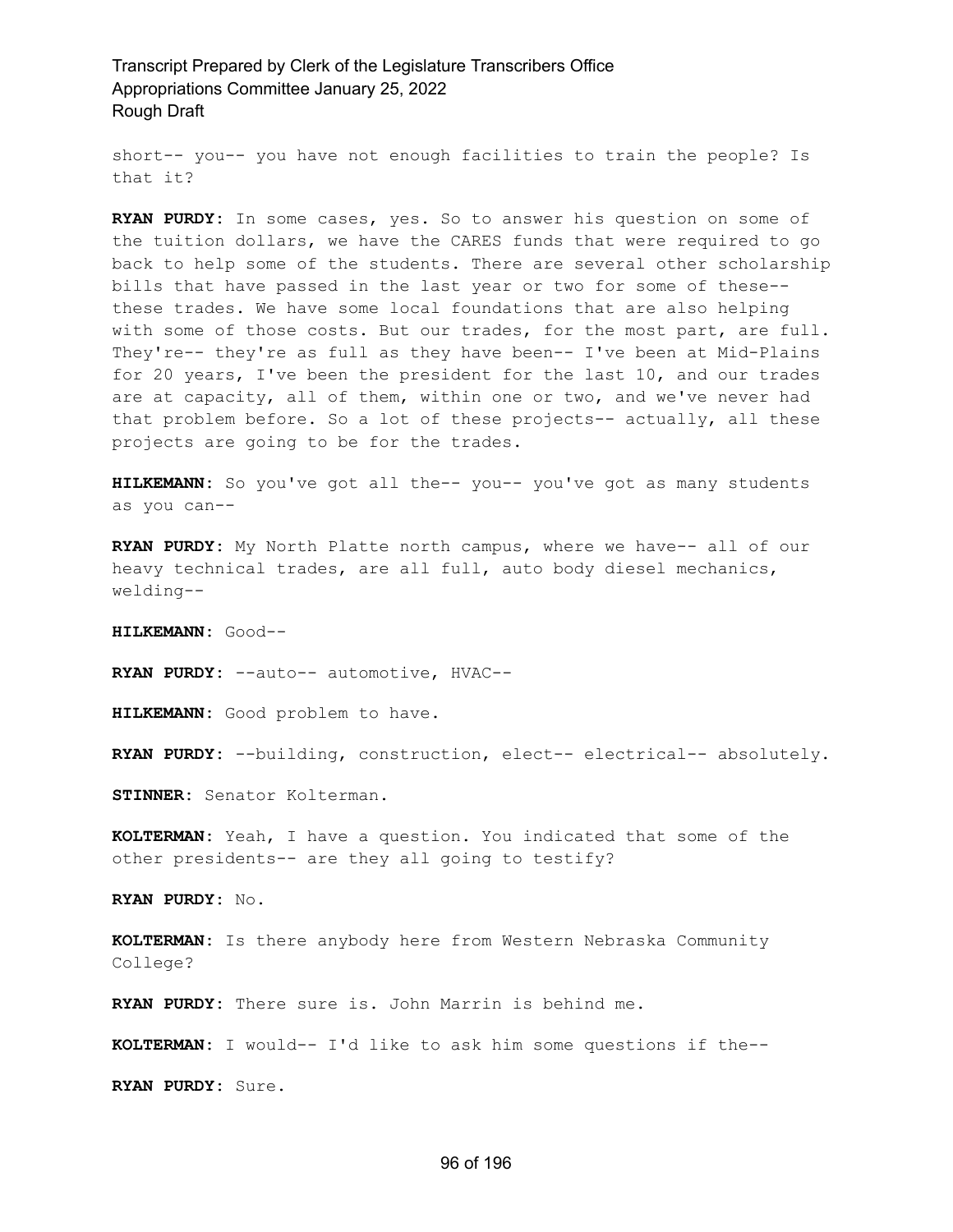short-- you-- you have not enough facilities to train the people? Is that it?

**RYAN PURDY:** In some cases, yes. So to answer his question on some of the tuition dollars, we have the CARES funds that were required to go back to help some of the students. There are several other scholarship bills that have passed in the last year or two for some of these- these trades. We have some local foundations that are also helping with some of those costs. But our trades, for the most part, are full. They're-- they're as full as they have been-- I've been at Mid-Plains for 20 years, I've been the president for the last 10, and our trades are at capacity, all of them, within one or two, and we've never had that problem before. So a lot of these projects-- actually, all these projects are going to be for the trades.

**HILKEMANN:** So you've got all the-- you-- you've got as many students as you can--

**RYAN PURDY:** My North Platte north campus, where we have-- all of our heavy technical trades, are all full, auto body diesel mechanics, welding--

**HILKEMANN:** Good--

**RYAN PURDY:** --auto-- automotive, HVAC--

**HILKEMANN:** Good problem to have.

**RYAN PURDY:** --building, construction, elect-- electrical-- absolutely.

**STINNER:** Senator Kolterman.

**KOLTERMAN:** Yeah, I have a question. You indicated that some of the other presidents-- are they all going to testify?

**RYAN PURDY:** No.

**KOLTERMAN:** Is there anybody here from Western Nebraska Community College?

**RYAN PURDY:** There sure is. John Marrin is behind me.

**KOLTERMAN:** I would-- I'd like to ask him some questions if the--

**RYAN PURDY:** Sure.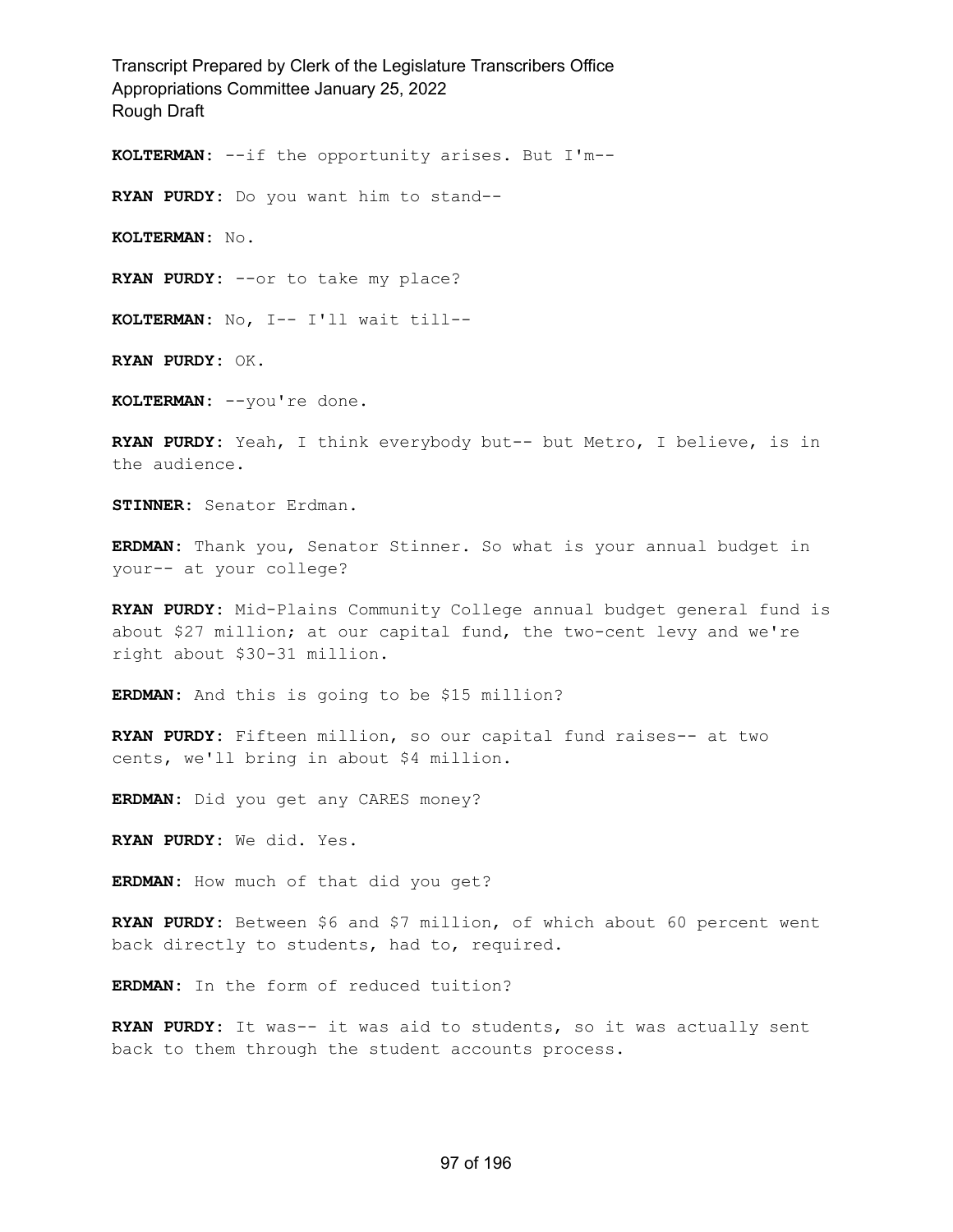**KOLTERMAN:** --if the opportunity arises. But I'm--

**RYAN PURDY:** Do you want him to stand--

**KOLTERMAN:** No.

**RYAN PURDY:** --or to take my place?

**KOLTERMAN:** No, I-- I'll wait till--

**RYAN PURDY:** OK.

**KOLTERMAN:** --you're done.

**RYAN PURDY:** Yeah, I think everybody but-- but Metro, I believe, is in the audience.

**STINNER:** Senator Erdman.

**ERDMAN:** Thank you, Senator Stinner. So what is your annual budget in your-- at your college?

**RYAN PURDY:** Mid-Plains Community College annual budget general fund is about \$27 million; at our capital fund, the two-cent levy and we're right about \$30-31 million.

**ERDMAN:** And this is going to be \$15 million?

**RYAN PURDY:** Fifteen million, so our capital fund raises-- at two cents, we'll bring in about \$4 million.

**ERDMAN:** Did you get any CARES money?

**RYAN PURDY:** We did. Yes.

**ERDMAN:** How much of that did you get?

**RYAN PURDY:** Between \$6 and \$7 million, of which about 60 percent went back directly to students, had to, required.

**ERDMAN:** In the form of reduced tuition?

**RYAN PURDY:** It was-- it was aid to students, so it was actually sent back to them through the student accounts process.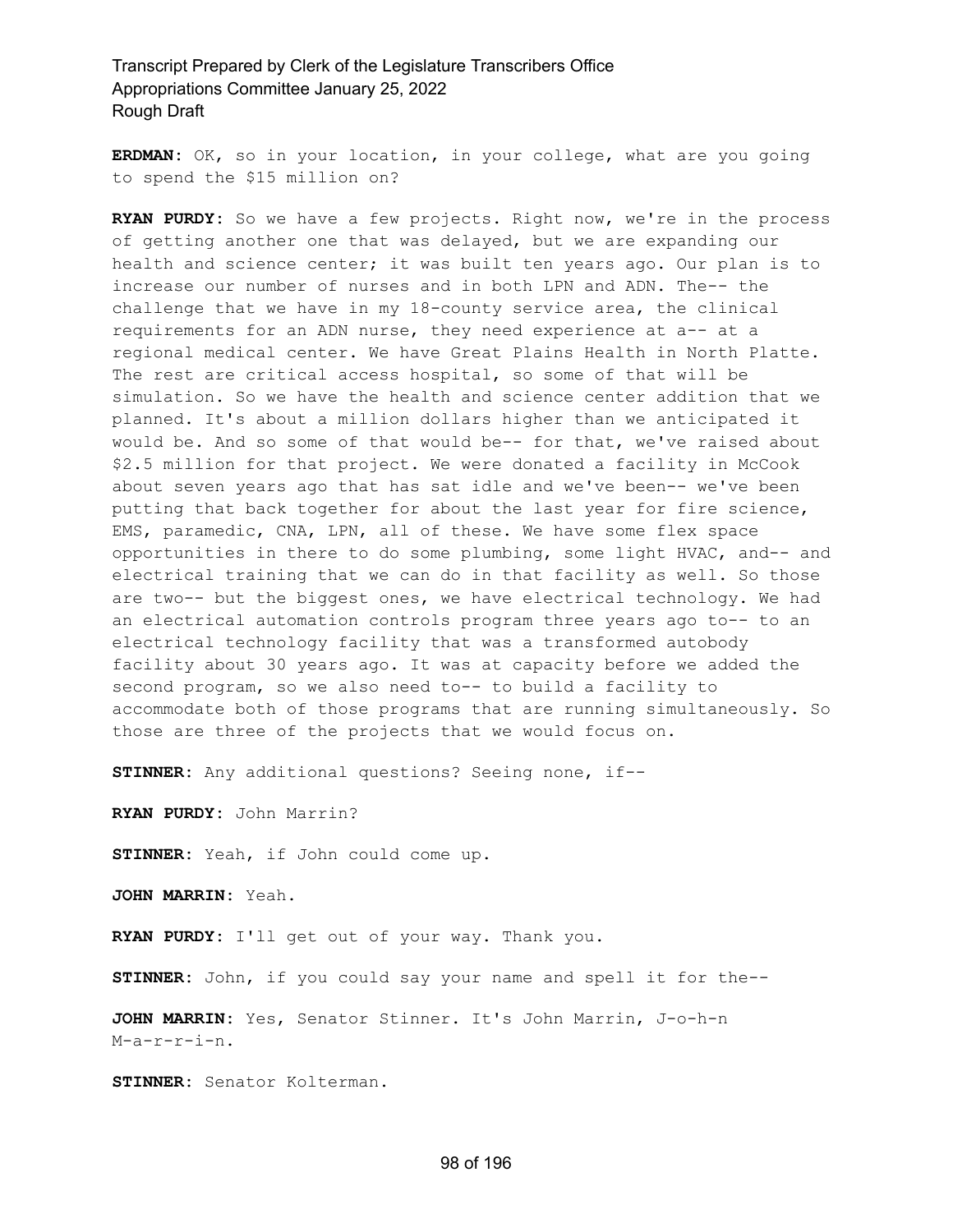**ERDMAN:** OK, so in your location, in your college, what are you going to spend the \$15 million on?

**RYAN PURDY:** So we have a few projects. Right now, we're in the process of getting another one that was delayed, but we are expanding our health and science center; it was built ten years ago. Our plan is to increase our number of nurses and in both LPN and ADN. The-- the challenge that we have in my 18-county service area, the clinical requirements for an ADN nurse, they need experience at a-- at a regional medical center. We have Great Plains Health in North Platte. The rest are critical access hospital, so some of that will be simulation. So we have the health and science center addition that we planned. It's about a million dollars higher than we anticipated it would be. And so some of that would be-- for that, we've raised about \$2.5 million for that project. We were donated a facility in McCook about seven years ago that has sat idle and we've been-- we've been putting that back together for about the last year for fire science, EMS, paramedic, CNA, LPN, all of these. We have some flex space opportunities in there to do some plumbing, some light HVAC, and-- and electrical training that we can do in that facility as well. So those are two-- but the biggest ones, we have electrical technology. We had an electrical automation controls program three years ago to-- to an electrical technology facility that was a transformed autobody facility about 30 years ago. It was at capacity before we added the second program, so we also need to-- to build a facility to accommodate both of those programs that are running simultaneously. So those are three of the projects that we would focus on.

**STINNER:** Any additional questions? Seeing none, if--

**RYAN PURDY:** John Marrin?

**STINNER:** Yeah, if John could come up.

**JOHN MARRIN:** Yeah.

**RYAN PURDY:** I'll get out of your way. Thank you.

**STINNER:** John, if you could say your name and spell it for the--

**JOHN MARRIN:** Yes, Senator Stinner. It's John Marrin, J-o-h-n M-a-r-r-i-n.

**STINNER:** Senator Kolterman.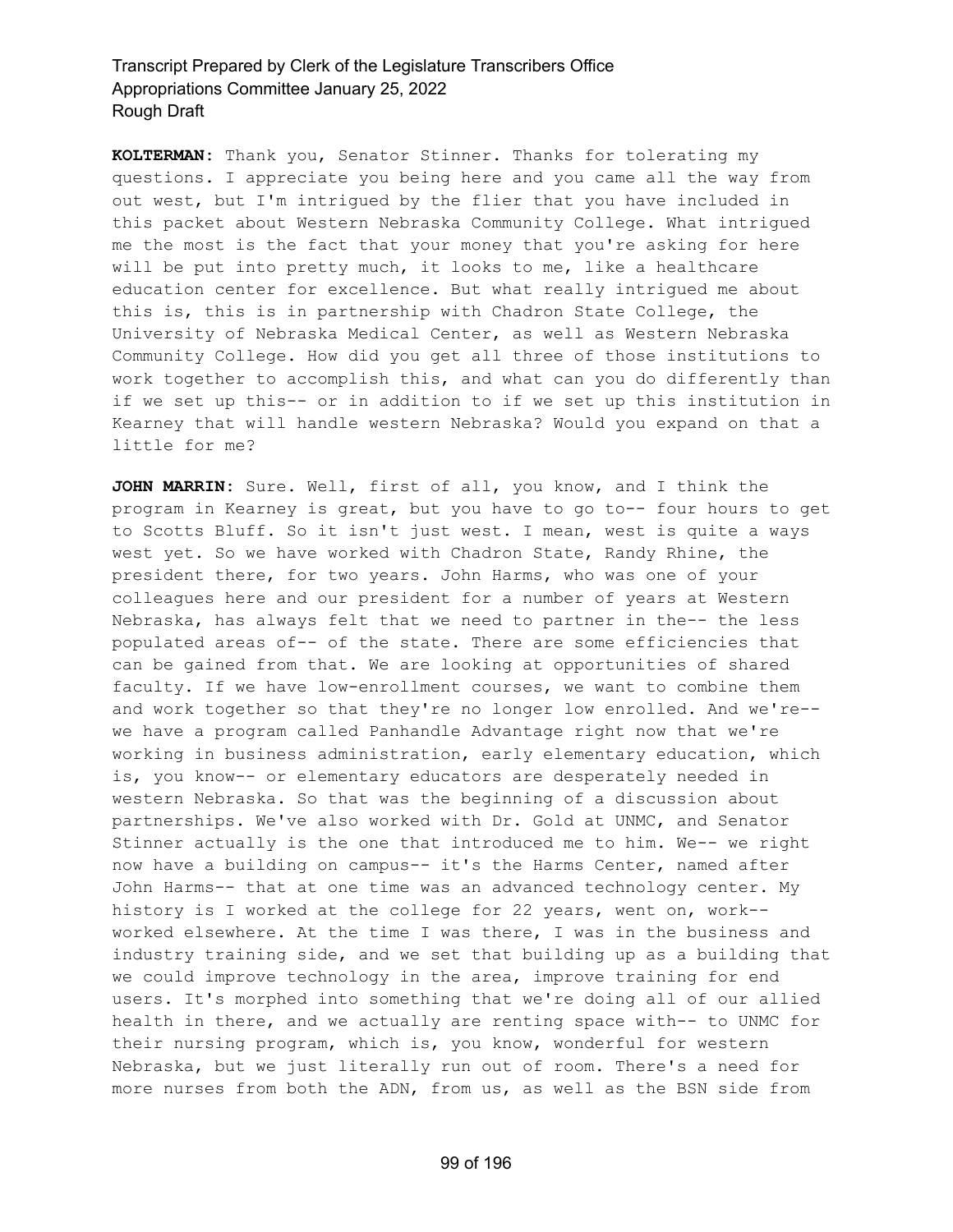**KOLTERMAN:** Thank you, Senator Stinner. Thanks for tolerating my questions. I appreciate you being here and you came all the way from out west, but I'm intrigued by the flier that you have included in this packet about Western Nebraska Community College. What intrigued me the most is the fact that your money that you're asking for here will be put into pretty much, it looks to me, like a healthcare education center for excellence. But what really intrigued me about this is, this is in partnership with Chadron State College, the University of Nebraska Medical Center, as well as Western Nebraska Community College. How did you get all three of those institutions to work together to accomplish this, and what can you do differently than if we set up this-- or in addition to if we set up this institution in Kearney that will handle western Nebraska? Would you expand on that a little for me?

**JOHN MARRIN:** Sure. Well, first of all, you know, and I think the program in Kearney is great, but you have to go to-- four hours to get to Scotts Bluff. So it isn't just west. I mean, west is quite a ways west yet. So we have worked with Chadron State, Randy Rhine, the president there, for two years. John Harms, who was one of your colleagues here and our president for a number of years at Western Nebraska, has always felt that we need to partner in the-- the less populated areas of-- of the state. There are some efficiencies that can be gained from that. We are looking at opportunities of shared faculty. If we have low-enrollment courses, we want to combine them and work together so that they're no longer low enrolled. And we're- we have a program called Panhandle Advantage right now that we're working in business administration, early elementary education, which is, you know-- or elementary educators are desperately needed in western Nebraska. So that was the beginning of a discussion about partnerships. We've also worked with Dr. Gold at UNMC, and Senator Stinner actually is the one that introduced me to him. We-- we right now have a building on campus-- it's the Harms Center, named after John Harms-- that at one time was an advanced technology center. My history is I worked at the college for 22 years, went on, work- worked elsewhere. At the time I was there, I was in the business and industry training side, and we set that building up as a building that we could improve technology in the area, improve training for end users. It's morphed into something that we're doing all of our allied health in there, and we actually are renting space with-- to UNMC for their nursing program, which is, you know, wonderful for western Nebraska, but we just literally run out of room. There's a need for more nurses from both the ADN, from us, as well as the BSN side from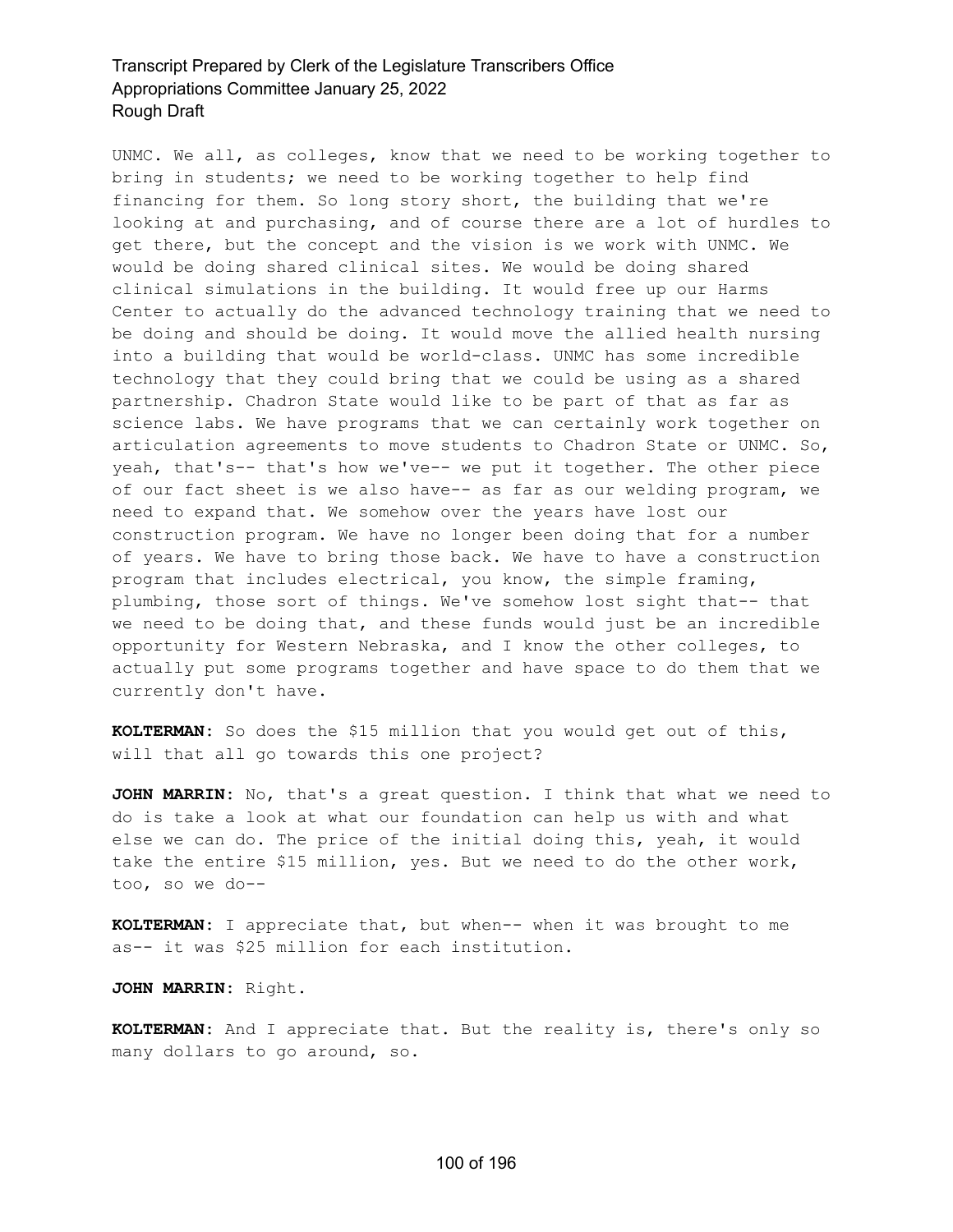UNMC. We all, as colleges, know that we need to be working together to bring in students; we need to be working together to help find financing for them. So long story short, the building that we're looking at and purchasing, and of course there are a lot of hurdles to get there, but the concept and the vision is we work with UNMC. We would be doing shared clinical sites. We would be doing shared clinical simulations in the building. It would free up our Harms Center to actually do the advanced technology training that we need to be doing and should be doing. It would move the allied health nursing into a building that would be world-class. UNMC has some incredible technology that they could bring that we could be using as a shared partnership. Chadron State would like to be part of that as far as science labs. We have programs that we can certainly work together on articulation agreements to move students to Chadron State or UNMC. So, yeah, that's-- that's how we've-- we put it together. The other piece of our fact sheet is we also have-- as far as our welding program, we need to expand that. We somehow over the years have lost our construction program. We have no longer been doing that for a number of years. We have to bring those back. We have to have a construction program that includes electrical, you know, the simple framing, plumbing, those sort of things. We've somehow lost sight that-- that we need to be doing that, and these funds would just be an incredible opportunity for Western Nebraska, and I know the other colleges, to actually put some programs together and have space to do them that we currently don't have.

**KOLTERMAN:** So does the \$15 million that you would get out of this, will that all go towards this one project?

**JOHN MARRIN:** No, that's a great question. I think that what we need to do is take a look at what our foundation can help us with and what else we can do. The price of the initial doing this, yeah, it would take the entire \$15 million, yes. But we need to do the other work, too, so we do--

**KOLTERMAN:** I appreciate that, but when-- when it was brought to me as-- it was \$25 million for each institution.

**JOHN MARRIN:** Right.

**KOLTERMAN:** And I appreciate that. But the reality is, there's only so many dollars to go around, so.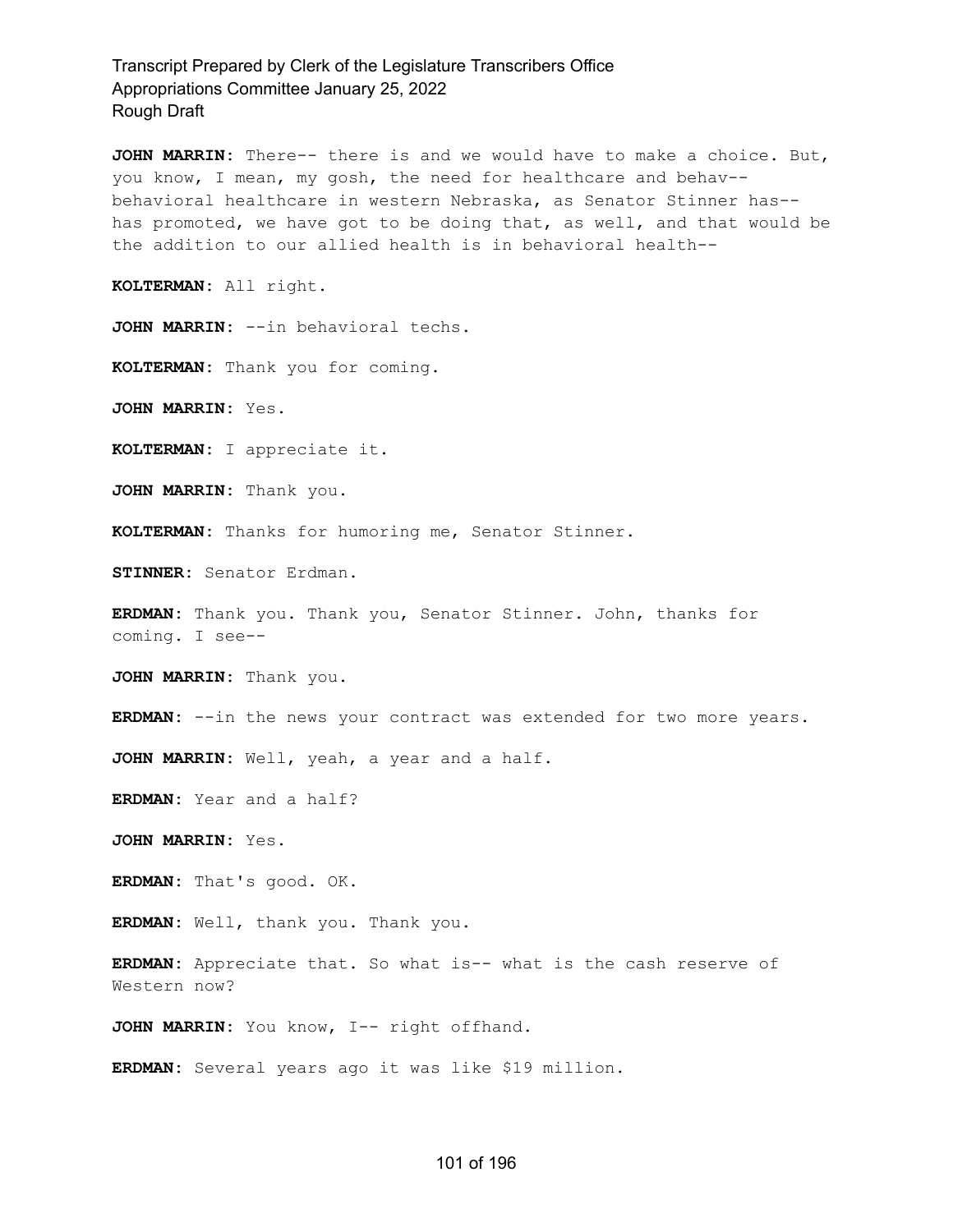**JOHN MARRIN:** There-- there is and we would have to make a choice. But, you know, I mean, my gosh, the need for healthcare and behav- behavioral healthcare in western Nebraska, as Senator Stinner has- has promoted, we have got to be doing that, as well, and that would be the addition to our allied health is in behavioral health--

**KOLTERMAN:** All right.

**JOHN MARRIN:** --in behavioral techs.

**KOLTERMAN:** Thank you for coming.

**JOHN MARRIN:** Yes.

**KOLTERMAN:** I appreciate it.

**JOHN MARRIN:** Thank you.

**KOLTERMAN:** Thanks for humoring me, Senator Stinner.

**STINNER:** Senator Erdman.

**ERDMAN:** Thank you. Thank you, Senator Stinner. John, thanks for coming. I see--

**JOHN MARRIN:** Thank you.

**ERDMAN:** --in the news your contract was extended for two more years.

**JOHN MARRIN:** Well, yeah, a year and a half.

**ERDMAN:** Year and a half?

**JOHN MARRIN:** Yes.

**ERDMAN:** That's good. OK.

**ERDMAN:** Well, thank you. Thank you.

**ERDMAN:** Appreciate that. So what is-- what is the cash reserve of Western now?

**JOHN MARRIN:** You know, I-- right offhand.

**ERDMAN:** Several years ago it was like \$19 million.

#### 101 of 196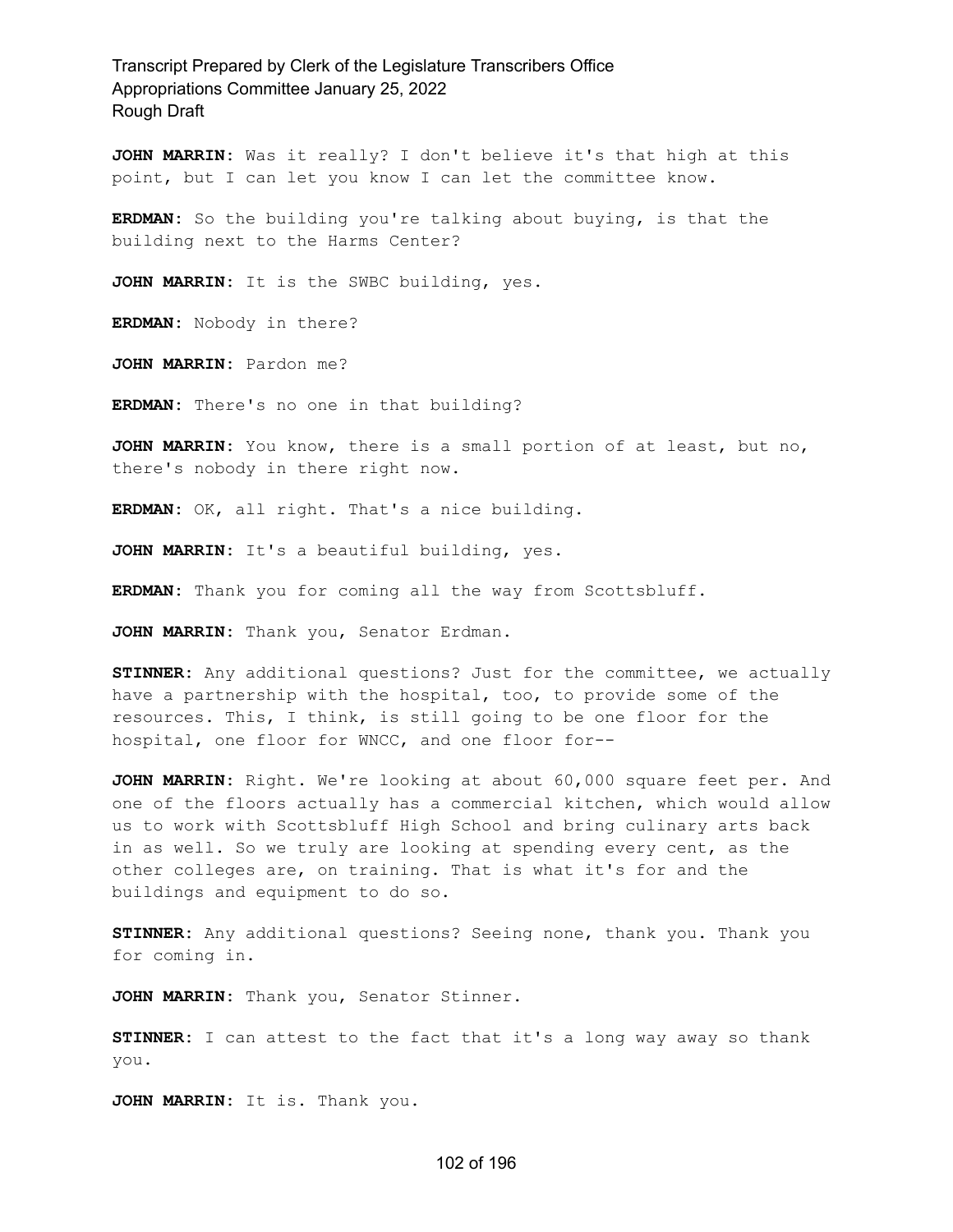**JOHN MARRIN:** Was it really? I don't believe it's that high at this point, but I can let you know I can let the committee know.

**ERDMAN:** So the building you're talking about buying, is that the building next to the Harms Center?

**JOHN MARRIN:** It is the SWBC building, yes.

**ERDMAN:** Nobody in there?

**JOHN MARRIN:** Pardon me?

**ERDMAN:** There's no one in that building?

**JOHN MARRIN:** You know, there is a small portion of at least, but no, there's nobody in there right now.

**ERDMAN:** OK, all right. That's a nice building.

**JOHN MARRIN:** It's a beautiful building, yes.

**ERDMAN:** Thank you for coming all the way from Scottsbluff.

**JOHN MARRIN:** Thank you, Senator Erdman.

**STINNER:** Any additional questions? Just for the committee, we actually have a partnership with the hospital, too, to provide some of the resources. This, I think, is still going to be one floor for the hospital, one floor for WNCC, and one floor for--

**JOHN MARRIN:** Right. We're looking at about 60,000 square feet per. And one of the floors actually has a commercial kitchen, which would allow us to work with Scottsbluff High School and bring culinary arts back in as well. So we truly are looking at spending every cent, as the other colleges are, on training. That is what it's for and the buildings and equipment to do so.

**STINNER:** Any additional questions? Seeing none, thank you. Thank you for coming in.

**JOHN MARRIN:** Thank you, Senator Stinner.

**STINNER:** I can attest to the fact that it's a long way away so thank you.

**JOHN MARRIN:** It is. Thank you.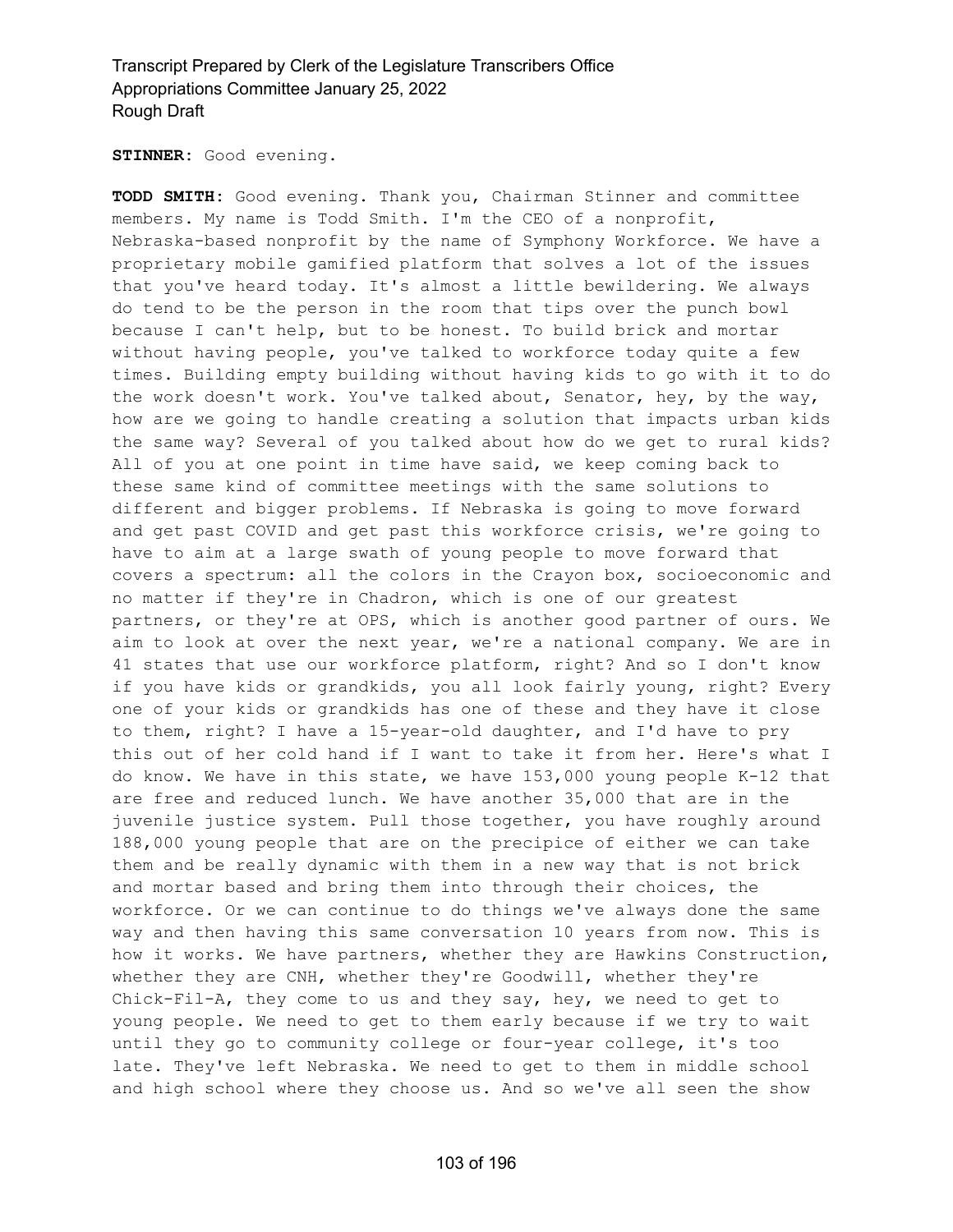**STINNER:** Good evening.

**TODD SMITH:** Good evening. Thank you, Chairman Stinner and committee members. My name is Todd Smith. I'm the CEO of a nonprofit, Nebraska-based nonprofit by the name of Symphony Workforce. We have a proprietary mobile gamified platform that solves a lot of the issues that you've heard today. It's almost a little bewildering. We always do tend to be the person in the room that tips over the punch bowl because I can't help, but to be honest. To build brick and mortar without having people, you've talked to workforce today quite a few times. Building empty building without having kids to go with it to do the work doesn't work. You've talked about, Senator, hey, by the way, how are we going to handle creating a solution that impacts urban kids the same way? Several of you talked about how do we get to rural kids? All of you at one point in time have said, we keep coming back to these same kind of committee meetings with the same solutions to different and bigger problems. If Nebraska is going to move forward and get past COVID and get past this workforce crisis, we're going to have to aim at a large swath of young people to move forward that covers a spectrum: all the colors in the Crayon box, socioeconomic and no matter if they're in Chadron, which is one of our greatest partners, or they're at OPS, which is another good partner of ours. We aim to look at over the next year, we're a national company. We are in 41 states that use our workforce platform, right? And so I don't know if you have kids or grandkids, you all look fairly young, right? Every one of your kids or grandkids has one of these and they have it close to them, right? I have a 15-year-old daughter, and I'd have to pry this out of her cold hand if I want to take it from her. Here's what I do know. We have in this state, we have 153,000 young people K-12 that are free and reduced lunch. We have another 35,000 that are in the juvenile justice system. Pull those together, you have roughly around 188,000 young people that are on the precipice of either we can take them and be really dynamic with them in a new way that is not brick and mortar based and bring them into through their choices, the workforce. Or we can continue to do things we've always done the same way and then having this same conversation 10 years from now. This is how it works. We have partners, whether they are Hawkins Construction, whether they are CNH, whether they're Goodwill, whether they're Chick-Fil-A, they come to us and they say, hey, we need to get to young people. We need to get to them early because if we try to wait until they go to community college or four-year college, it's too late. They've left Nebraska. We need to get to them in middle school and high school where they choose us. And so we've all seen the show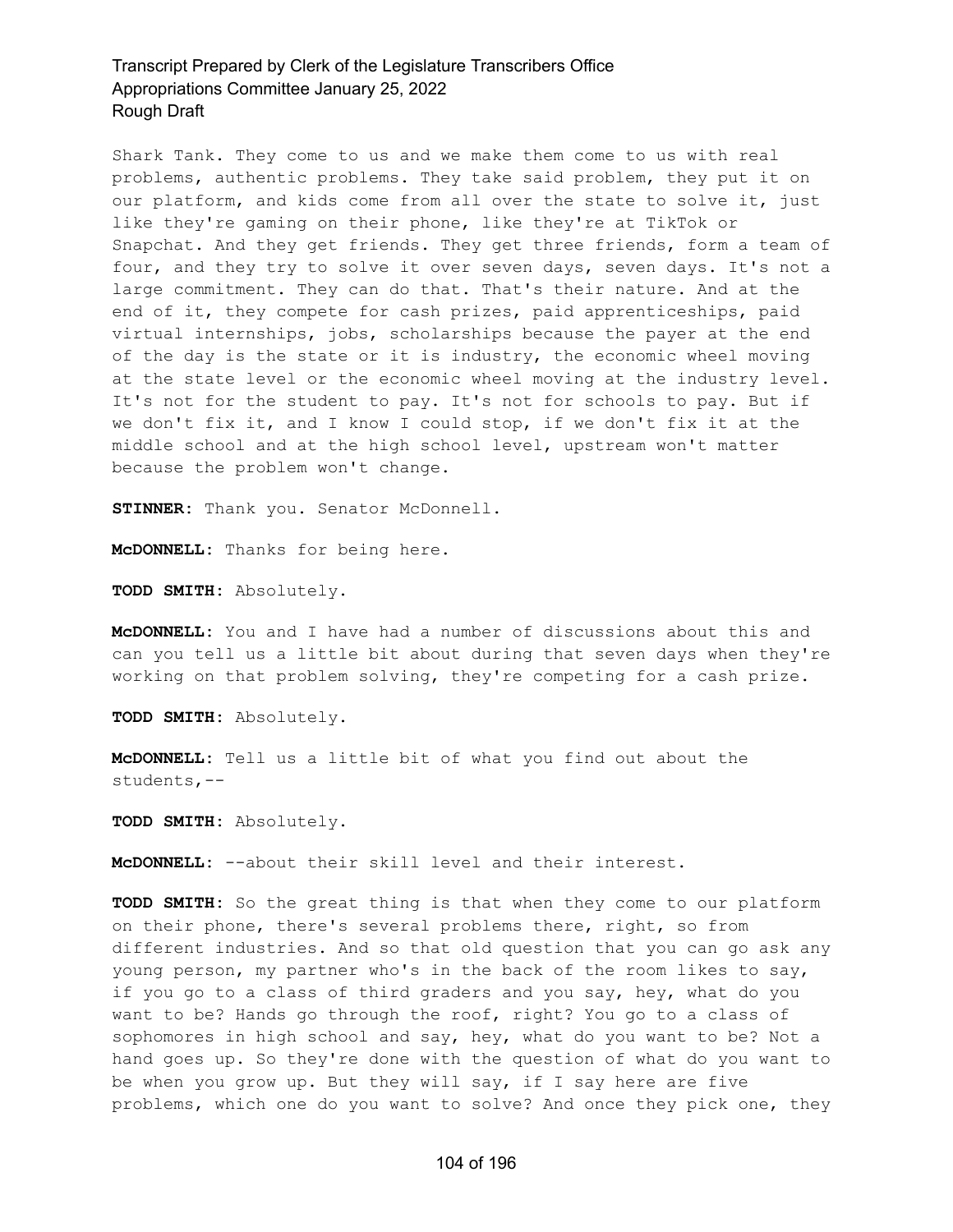Shark Tank. They come to us and we make them come to us with real problems, authentic problems. They take said problem, they put it on our platform, and kids come from all over the state to solve it, just like they're gaming on their phone, like they're at TikTok or Snapchat. And they get friends. They get three friends, form a team of four, and they try to solve it over seven days, seven days. It's not a large commitment. They can do that. That's their nature. And at the end of it, they compete for cash prizes, paid apprenticeships, paid virtual internships, jobs, scholarships because the payer at the end of the day is the state or it is industry, the economic wheel moving at the state level or the economic wheel moving at the industry level. It's not for the student to pay. It's not for schools to pay. But if we don't fix it, and I know I could stop, if we don't fix it at the middle school and at the high school level, upstream won't matter because the problem won't change.

**STINNER:** Thank you. Senator McDonnell.

**McDONNELL:** Thanks for being here.

**TODD SMITH:** Absolutely.

**McDONNELL:** You and I have had a number of discussions about this and can you tell us a little bit about during that seven days when they're working on that problem solving, they're competing for a cash prize.

**TODD SMITH:** Absolutely.

**McDONNELL:** Tell us a little bit of what you find out about the students,--

**TODD SMITH:** Absolutely.

**McDONNELL:** --about their skill level and their interest.

**TODD SMITH:** So the great thing is that when they come to our platform on their phone, there's several problems there, right, so from different industries. And so that old question that you can go ask any young person, my partner who's in the back of the room likes to say, if you go to a class of third graders and you say, hey, what do you want to be? Hands go through the roof, right? You go to a class of sophomores in high school and say, hey, what do you want to be? Not a hand goes up. So they're done with the question of what do you want to be when you grow up. But they will say, if I say here are five problems, which one do you want to solve? And once they pick one, they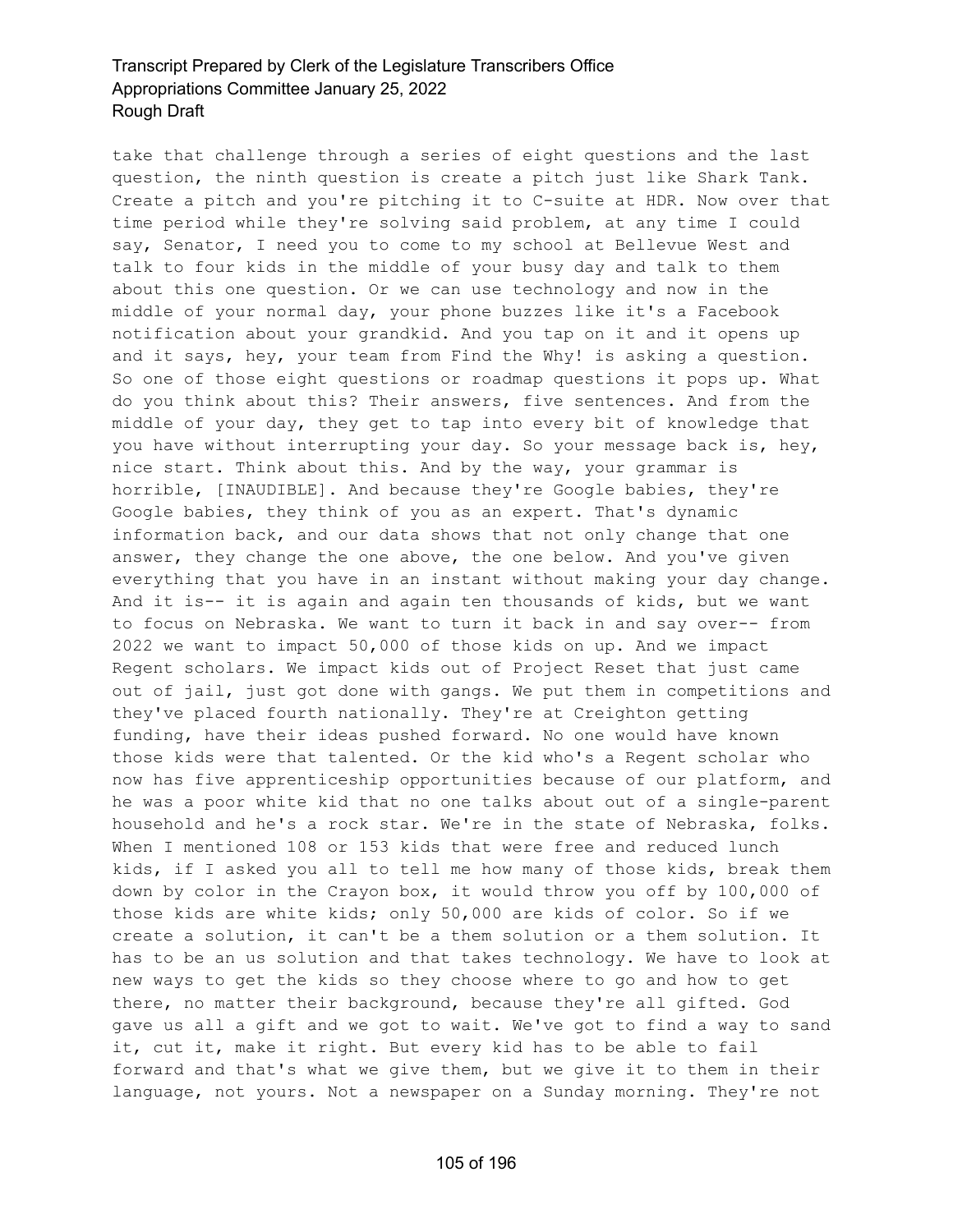take that challenge through a series of eight questions and the last question, the ninth question is create a pitch just like Shark Tank. Create a pitch and you're pitching it to C-suite at HDR. Now over that time period while they're solving said problem, at any time I could say, Senator, I need you to come to my school at Bellevue West and talk to four kids in the middle of your busy day and talk to them about this one question. Or we can use technology and now in the middle of your normal day, your phone buzzes like it's a Facebook notification about your grandkid. And you tap on it and it opens up and it says, hey, your team from Find the Why! is asking a question. So one of those eight questions or roadmap questions it pops up. What do you think about this? Their answers, five sentences. And from the middle of your day, they get to tap into every bit of knowledge that you have without interrupting your day. So your message back is, hey, nice start. Think about this. And by the way, your grammar is horrible, [INAUDIBLE]. And because they're Google babies, they're Google babies, they think of you as an expert. That's dynamic information back, and our data shows that not only change that one answer, they change the one above, the one below. And you've given everything that you have in an instant without making your day change. And it is-- it is again and again ten thousands of kids, but we want to focus on Nebraska. We want to turn it back in and say over-- from 2022 we want to impact 50,000 of those kids on up. And we impact Regent scholars. We impact kids out of Project Reset that just came out of jail, just got done with gangs. We put them in competitions and they've placed fourth nationally. They're at Creighton getting funding, have their ideas pushed forward. No one would have known those kids were that talented. Or the kid who's a Regent scholar who now has five apprenticeship opportunities because of our platform, and he was a poor white kid that no one talks about out of a single-parent household and he's a rock star. We're in the state of Nebraska, folks. When I mentioned 108 or 153 kids that were free and reduced lunch kids, if I asked you all to tell me how many of those kids, break them down by color in the Crayon box, it would throw you off by 100,000 of those kids are white kids; only 50,000 are kids of color. So if we create a solution, it can't be a them solution or a them solution. It has to be an us solution and that takes technology. We have to look at new ways to get the kids so they choose where to go and how to get there, no matter their background, because they're all gifted. God gave us all a gift and we got to wait. We've got to find a way to sand it, cut it, make it right. But every kid has to be able to fail forward and that's what we give them, but we give it to them in their language, not yours. Not a newspaper on a Sunday morning. They're not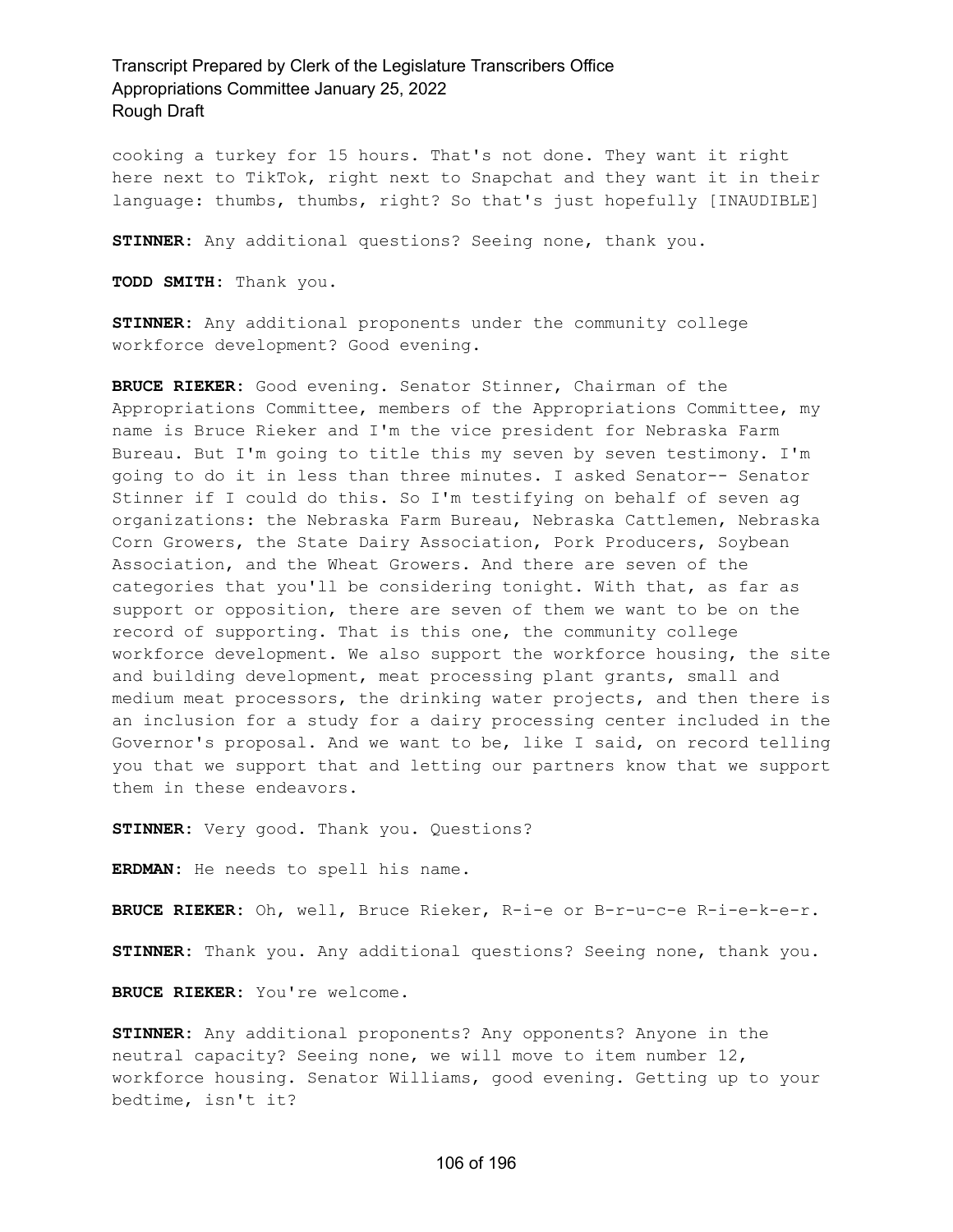cooking a turkey for 15 hours. That's not done. They want it right here next to TikTok, right next to Snapchat and they want it in their language: thumbs, thumbs, right? So that's just hopefully [INAUDIBLE]

**STINNER:** Any additional questions? Seeing none, thank you.

**TODD SMITH:** Thank you.

**STINNER:** Any additional proponents under the community college workforce development? Good evening.

**BRUCE RIEKER:** Good evening. Senator Stinner, Chairman of the Appropriations Committee, members of the Appropriations Committee, my name is Bruce Rieker and I'm the vice president for Nebraska Farm Bureau. But I'm going to title this my seven by seven testimony. I'm going to do it in less than three minutes. I asked Senator-- Senator Stinner if I could do this. So I'm testifying on behalf of seven ag organizations: the Nebraska Farm Bureau, Nebraska Cattlemen, Nebraska Corn Growers, the State Dairy Association, Pork Producers, Soybean Association, and the Wheat Growers. And there are seven of the categories that you'll be considering tonight. With that, as far as support or opposition, there are seven of them we want to be on the record of supporting. That is this one, the community college workforce development. We also support the workforce housing, the site and building development, meat processing plant grants, small and medium meat processors, the drinking water projects, and then there is an inclusion for a study for a dairy processing center included in the Governor's proposal. And we want to be, like I said, on record telling you that we support that and letting our partners know that we support them in these endeavors.

**STINNER:** Very good. Thank you. Questions?

**ERDMAN:** He needs to spell his name.

**BRUCE RIEKER:** Oh, well, Bruce Rieker, R-i-e or B-r-u-c-e R-i-e-k-e-r.

**STINNER:** Thank you. Any additional questions? Seeing none, thank you.

**BRUCE RIEKER:** You're welcome.

**STINNER:** Any additional proponents? Any opponents? Anyone in the neutral capacity? Seeing none, we will move to item number 12, workforce housing. Senator Williams, good evening. Getting up to your bedtime, isn't it?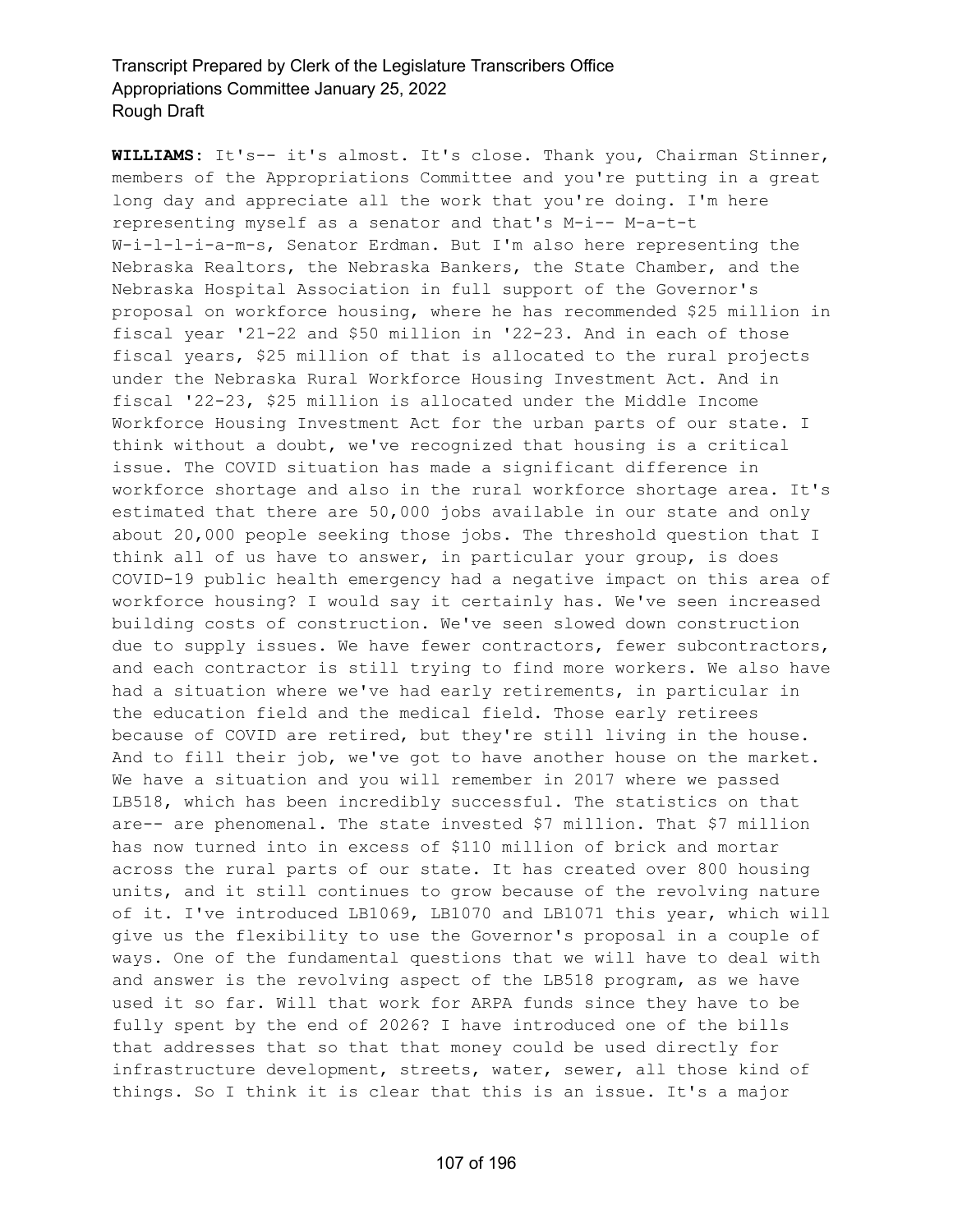**WILLIAMS:** It's-- it's almost. It's close. Thank you, Chairman Stinner, members of the Appropriations Committee and you're putting in a great long day and appreciate all the work that you're doing. I'm here representing myself as a senator and that's M-i-- M-a-t-t W-i-l-l-i-a-m-s, Senator Erdman. But I'm also here representing the Nebraska Realtors, the Nebraska Bankers, the State Chamber, and the Nebraska Hospital Association in full support of the Governor's proposal on workforce housing, where he has recommended \$25 million in fiscal year '21-22 and \$50 million in '22-23. And in each of those fiscal years, \$25 million of that is allocated to the rural projects under the Nebraska Rural Workforce Housing Investment Act. And in fiscal '22-23, \$25 million is allocated under the Middle Income Workforce Housing Investment Act for the urban parts of our state. I think without a doubt, we've recognized that housing is a critical issue. The COVID situation has made a significant difference in workforce shortage and also in the rural workforce shortage area. It's estimated that there are 50,000 jobs available in our state and only about 20,000 people seeking those jobs. The threshold question that I think all of us have to answer, in particular your group, is does COVID-19 public health emergency had a negative impact on this area of workforce housing? I would say it certainly has. We've seen increased building costs of construction. We've seen slowed down construction due to supply issues. We have fewer contractors, fewer subcontractors, and each contractor is still trying to find more workers. We also have had a situation where we've had early retirements, in particular in the education field and the medical field. Those early retirees because of COVID are retired, but they're still living in the house. And to fill their job, we've got to have another house on the market. We have a situation and you will remember in 2017 where we passed LB518, which has been incredibly successful. The statistics on that are-- are phenomenal. The state invested \$7 million. That \$7 million has now turned into in excess of \$110 million of brick and mortar across the rural parts of our state. It has created over 800 housing units, and it still continues to grow because of the revolving nature of it. I've introduced LB1069, LB1070 and LB1071 this year, which will give us the flexibility to use the Governor's proposal in a couple of ways. One of the fundamental questions that we will have to deal with and answer is the revolving aspect of the LB518 program, as we have used it so far. Will that work for ARPA funds since they have to be fully spent by the end of 2026? I have introduced one of the bills that addresses that so that that money could be used directly for infrastructure development, streets, water, sewer, all those kind of things. So I think it is clear that this is an issue. It's a major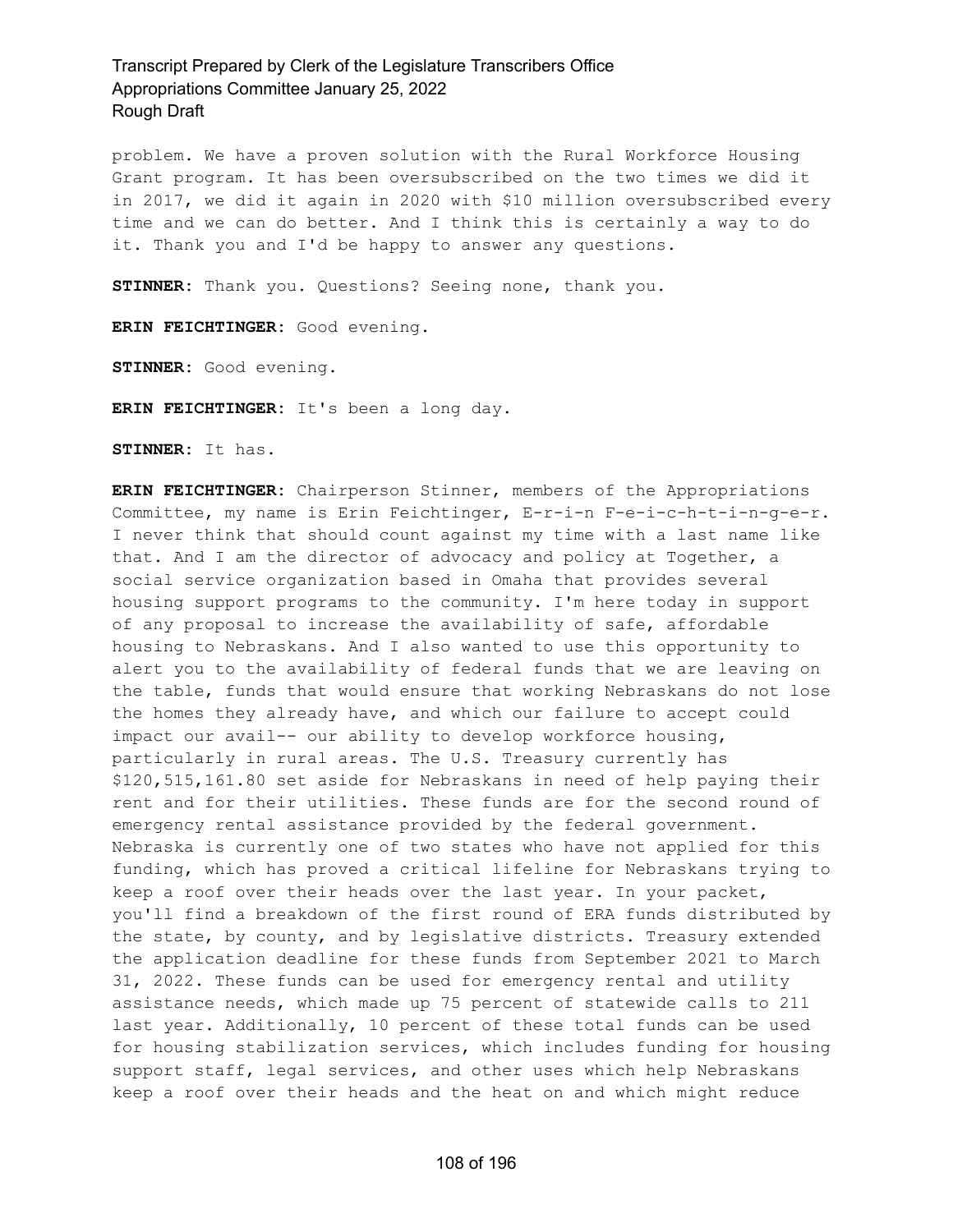problem. We have a proven solution with the Rural Workforce Housing Grant program. It has been oversubscribed on the two times we did it in 2017, we did it again in 2020 with \$10 million oversubscribed every time and we can do better. And I think this is certainly a way to do it. Thank you and I'd be happy to answer any questions.

**STINNER:** Thank you. Questions? Seeing none, thank you.

**ERIN FEICHTINGER:** Good evening.

**STINNER:** Good evening.

**ERIN FEICHTINGER:** It's been a long day.

**STINNER:** It has.

**ERIN FEICHTINGER:** Chairperson Stinner, members of the Appropriations Committee, my name is Erin Feichtinger, E-r-i-n F-e-i-c-h-t-i-n-g-e-r. I never think that should count against my time with a last name like that. And I am the director of advocacy and policy at Together, a social service organization based in Omaha that provides several housing support programs to the community. I'm here today in support of any proposal to increase the availability of safe, affordable housing to Nebraskans. And I also wanted to use this opportunity to alert you to the availability of federal funds that we are leaving on the table, funds that would ensure that working Nebraskans do not lose the homes they already have, and which our failure to accept could impact our avail-- our ability to develop workforce housing, particularly in rural areas. The U.S. Treasury currently has \$120,515,161.80 set aside for Nebraskans in need of help paying their rent and for their utilities. These funds are for the second round of emergency rental assistance provided by the federal government. Nebraska is currently one of two states who have not applied for this funding, which has proved a critical lifeline for Nebraskans trying to keep a roof over their heads over the last year. In your packet, you'll find a breakdown of the first round of ERA funds distributed by the state, by county, and by legislative districts. Treasury extended the application deadline for these funds from September 2021 to March 31, 2022. These funds can be used for emergency rental and utility assistance needs, which made up 75 percent of statewide calls to 211 last year. Additionally, 10 percent of these total funds can be used for housing stabilization services, which includes funding for housing support staff, legal services, and other uses which help Nebraskans keep a roof over their heads and the heat on and which might reduce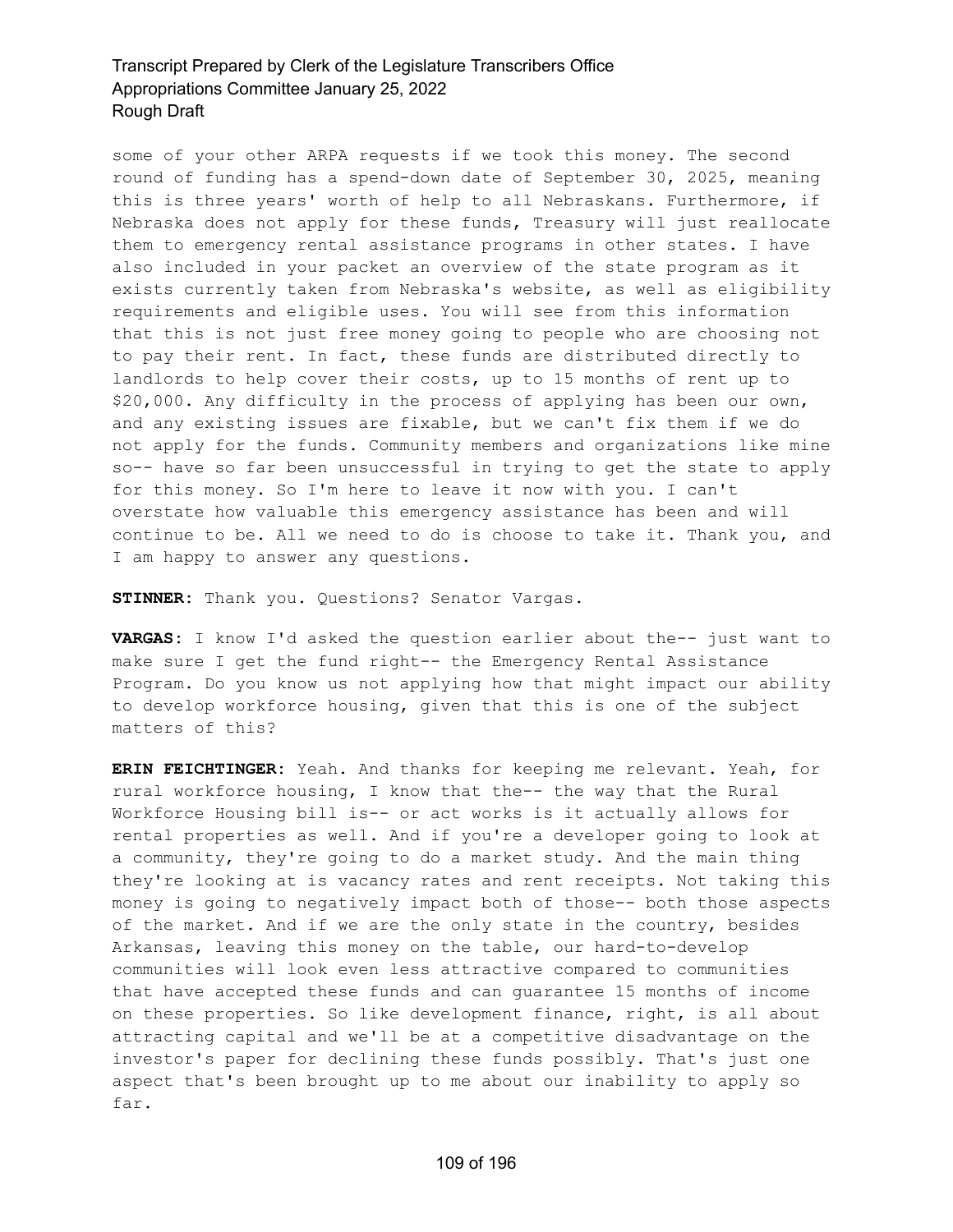some of your other ARPA requests if we took this money. The second round of funding has a spend-down date of September 30, 2025, meaning this is three years' worth of help to all Nebraskans. Furthermore, if Nebraska does not apply for these funds, Treasury will just reallocate them to emergency rental assistance programs in other states. I have also included in your packet an overview of the state program as it exists currently taken from Nebraska's website, as well as eligibility requirements and eligible uses. You will see from this information that this is not just free money going to people who are choosing not to pay their rent. In fact, these funds are distributed directly to landlords to help cover their costs, up to 15 months of rent up to \$20,000. Any difficulty in the process of applying has been our own, and any existing issues are fixable, but we can't fix them if we do not apply for the funds. Community members and organizations like mine so-- have so far been unsuccessful in trying to get the state to apply for this money. So I'm here to leave it now with you. I can't overstate how valuable this emergency assistance has been and will continue to be. All we need to do is choose to take it. Thank you, and I am happy to answer any questions.

**STINNER:** Thank you. Questions? Senator Vargas.

**VARGAS:** I know I'd asked the question earlier about the-- just want to make sure I get the fund right-- the Emergency Rental Assistance Program. Do you know us not applying how that might impact our ability to develop workforce housing, given that this is one of the subject matters of this?

**ERIN FEICHTINGER:** Yeah. And thanks for keeping me relevant. Yeah, for rural workforce housing, I know that the-- the way that the Rural Workforce Housing bill is-- or act works is it actually allows for rental properties as well. And if you're a developer going to look at a community, they're going to do a market study. And the main thing they're looking at is vacancy rates and rent receipts. Not taking this money is going to negatively impact both of those-- both those aspects of the market. And if we are the only state in the country, besides Arkansas, leaving this money on the table, our hard-to-develop communities will look even less attractive compared to communities that have accepted these funds and can guarantee 15 months of income on these properties. So like development finance, right, is all about attracting capital and we'll be at a competitive disadvantage on the investor's paper for declining these funds possibly. That's just one aspect that's been brought up to me about our inability to apply so far.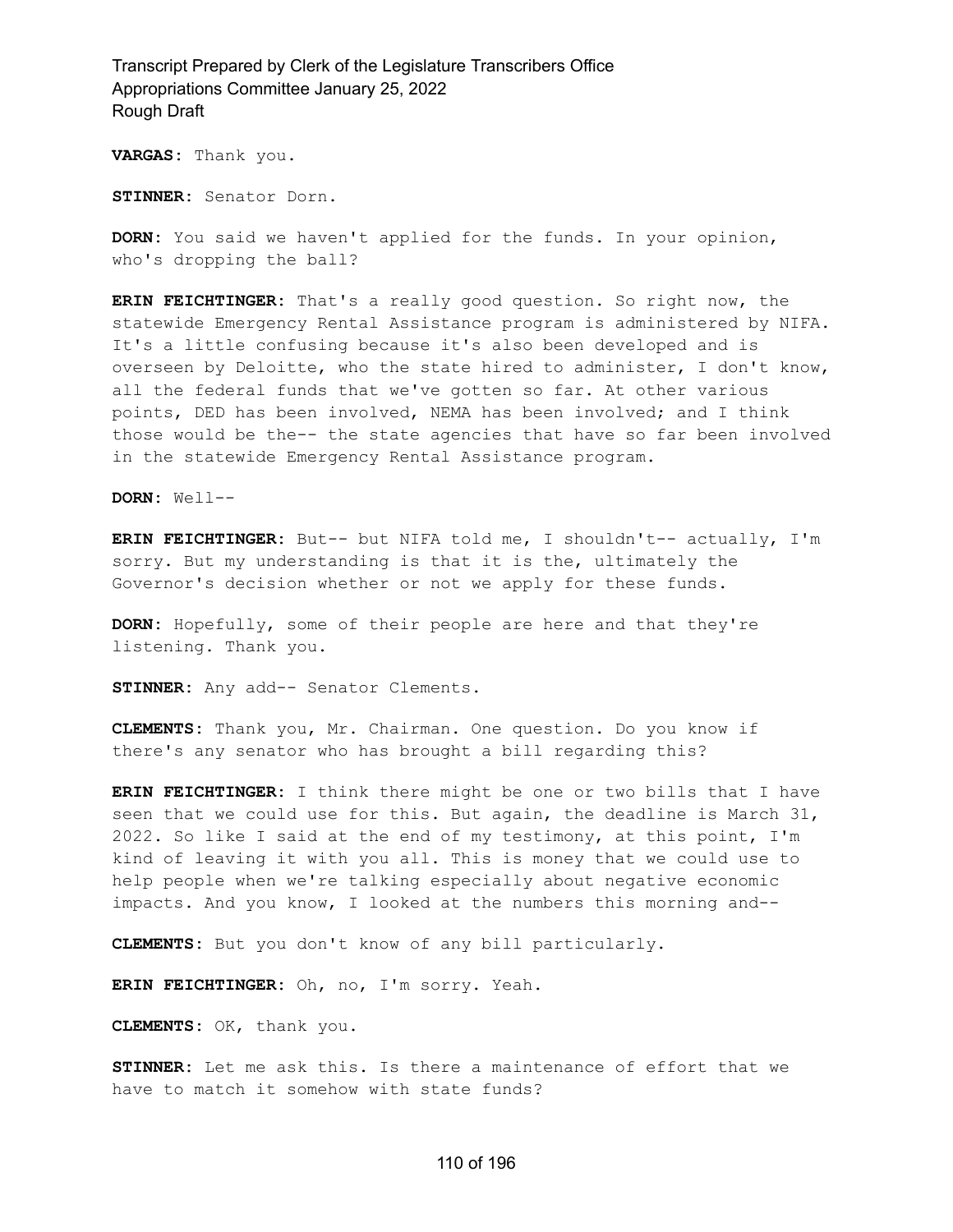**VARGAS:** Thank you.

**STINNER:** Senator Dorn.

**DORN:** You said we haven't applied for the funds. In your opinion, who's dropping the ball?

**ERIN FEICHTINGER:** That's a really good question. So right now, the statewide Emergency Rental Assistance program is administered by NIFA. It's a little confusing because it's also been developed and is overseen by Deloitte, who the state hired to administer, I don't know, all the federal funds that we've gotten so far. At other various points, DED has been involved, NEMA has been involved; and I think those would be the-- the state agencies that have so far been involved in the statewide Emergency Rental Assistance program.

**DORN:** Well--

**ERIN FEICHTINGER:** But-- but NIFA told me, I shouldn't-- actually, I'm sorry. But my understanding is that it is the, ultimately the Governor's decision whether or not we apply for these funds.

**DORN:** Hopefully, some of their people are here and that they're listening. Thank you.

**STINNER:** Any add-- Senator Clements.

**CLEMENTS:** Thank you, Mr. Chairman. One question. Do you know if there's any senator who has brought a bill regarding this?

**ERIN FEICHTINGER:** I think there might be one or two bills that I have seen that we could use for this. But again, the deadline is March 31, 2022. So like I said at the end of my testimony, at this point, I'm kind of leaving it with you all. This is money that we could use to help people when we're talking especially about negative economic impacts. And you know, I looked at the numbers this morning and--

**CLEMENTS:** But you don't know of any bill particularly.

**ERIN FEICHTINGER:** Oh, no, I'm sorry. Yeah.

**CLEMENTS:** OK, thank you.

**STINNER:** Let me ask this. Is there a maintenance of effort that we have to match it somehow with state funds?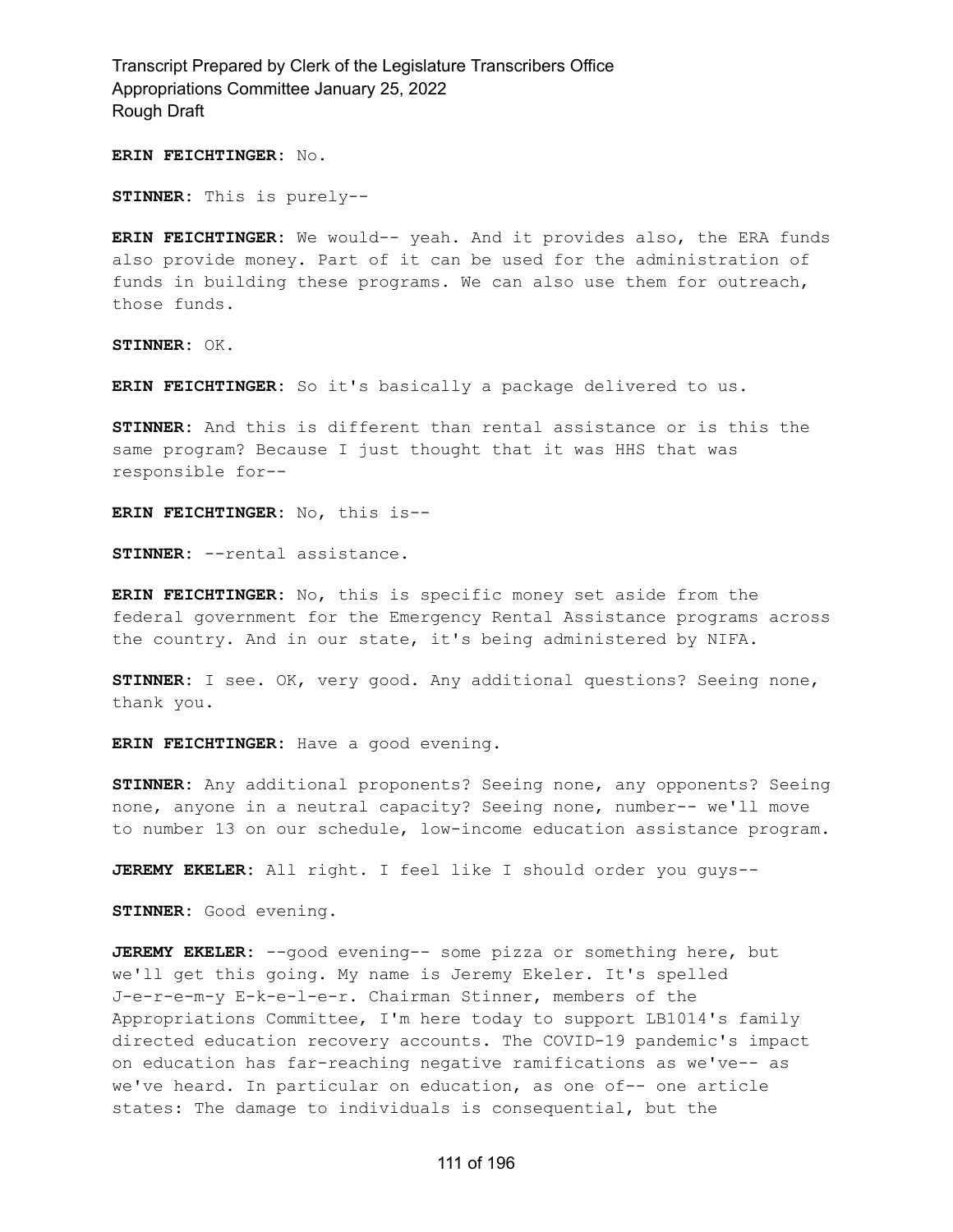#### **ERIN FEICHTINGER:** No.

**STINNER:** This is purely--

**ERIN FEICHTINGER:** We would-- yeah. And it provides also, the ERA funds also provide money. Part of it can be used for the administration of funds in building these programs. We can also use them for outreach, those funds.

**STINNER:** OK.

**ERIN FEICHTINGER:** So it's basically a package delivered to us.

**STINNER:** And this is different than rental assistance or is this the same program? Because I just thought that it was HHS that was responsible for--

**ERIN FEICHTINGER:** No, this is--

**STINNER:** --rental assistance.

**ERIN FEICHTINGER:** No, this is specific money set aside from the federal government for the Emergency Rental Assistance programs across the country. And in our state, it's being administered by NIFA.

**STINNER:** I see. OK, very good. Any additional questions? Seeing none, thank you.

**ERIN FEICHTINGER:** Have a good evening.

**STINNER:** Any additional proponents? Seeing none, any opponents? Seeing none, anyone in a neutral capacity? Seeing none, number-- we'll move to number 13 on our schedule, low-income education assistance program.

**JEREMY EKELER:** All right. I feel like I should order you guys--

**STINNER:** Good evening.

**JEREMY EKELER:** --good evening-- some pizza or something here, but we'll get this going. My name is Jeremy Ekeler. It's spelled J-e-r-e-m-y E-k-e-l-e-r. Chairman Stinner, members of the Appropriations Committee, I'm here today to support LB1014's family directed education recovery accounts. The COVID-19 pandemic's impact on education has far-reaching negative ramifications as we've-- as we've heard. In particular on education, as one of-- one article states: The damage to individuals is consequential, but the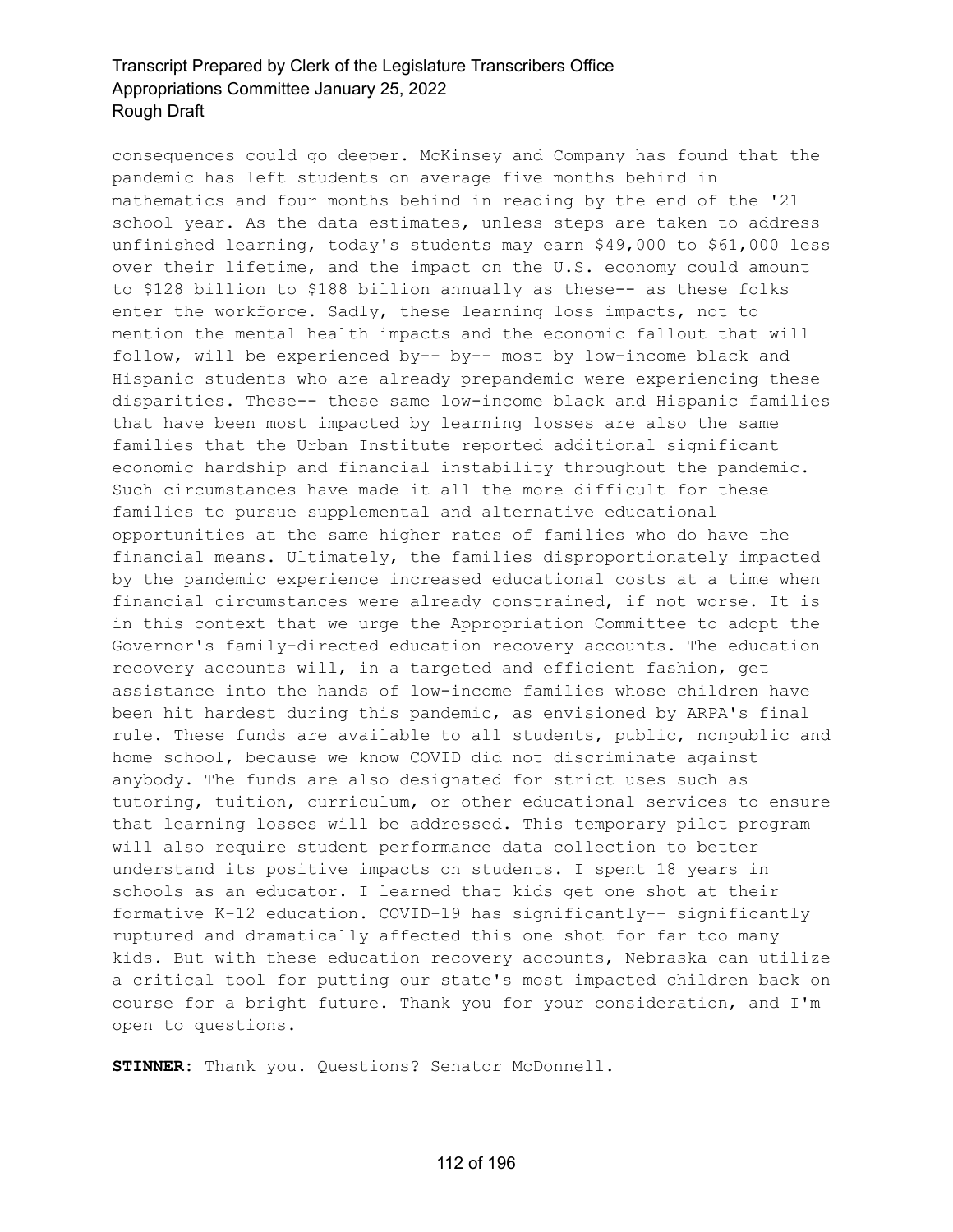consequences could go deeper. McKinsey and Company has found that the pandemic has left students on average five months behind in mathematics and four months behind in reading by the end of the '21 school year. As the data estimates, unless steps are taken to address unfinished learning, today's students may earn \$49,000 to \$61,000 less over their lifetime, and the impact on the U.S. economy could amount to \$128 billion to \$188 billion annually as these-- as these folks enter the workforce. Sadly, these learning loss impacts, not to mention the mental health impacts and the economic fallout that will follow, will be experienced by-- by-- most by low-income black and Hispanic students who are already prepandemic were experiencing these disparities. These-- these same low-income black and Hispanic families that have been most impacted by learning losses are also the same families that the Urban Institute reported additional significant economic hardship and financial instability throughout the pandemic. Such circumstances have made it all the more difficult for these families to pursue supplemental and alternative educational opportunities at the same higher rates of families who do have the financial means. Ultimately, the families disproportionately impacted by the pandemic experience increased educational costs at a time when financial circumstances were already constrained, if not worse. It is in this context that we urge the Appropriation Committee to adopt the Governor's family-directed education recovery accounts. The education recovery accounts will, in a targeted and efficient fashion, get assistance into the hands of low-income families whose children have been hit hardest during this pandemic, as envisioned by ARPA's final rule. These funds are available to all students, public, nonpublic and home school, because we know COVID did not discriminate against anybody. The funds are also designated for strict uses such as tutoring, tuition, curriculum, or other educational services to ensure that learning losses will be addressed. This temporary pilot program will also require student performance data collection to better understand its positive impacts on students. I spent 18 years in schools as an educator. I learned that kids get one shot at their formative K-12 education. COVID-19 has significantly-- significantly ruptured and dramatically affected this one shot for far too many kids. But with these education recovery accounts, Nebraska can utilize a critical tool for putting our state's most impacted children back on course for a bright future. Thank you for your consideration, and I'm open to questions.

**STINNER:** Thank you. Questions? Senator McDonnell.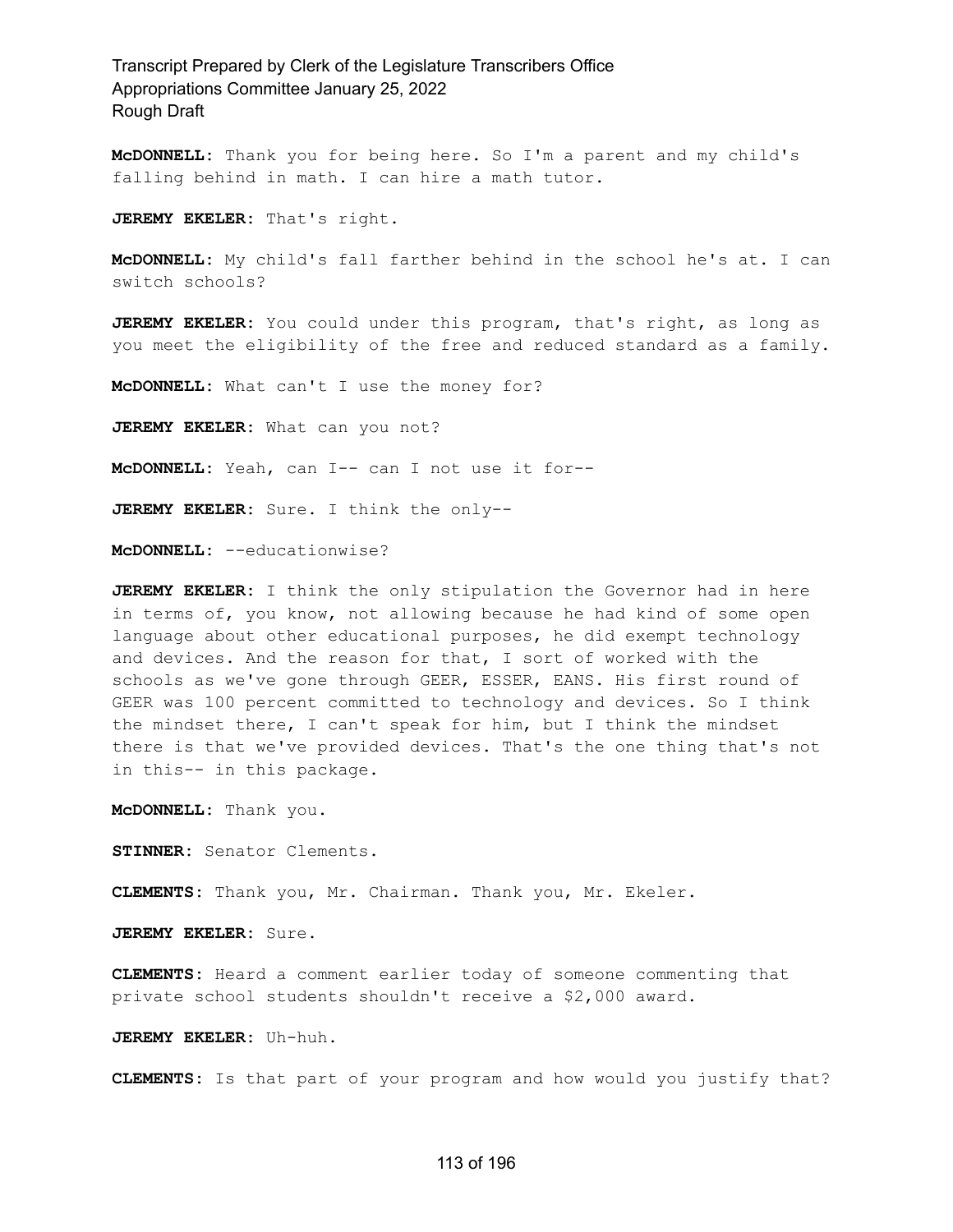**McDONNELL:** Thank you for being here. So I'm a parent and my child's falling behind in math. I can hire a math tutor.

**JEREMY EKELER:** That's right.

**McDONNELL:** My child's fall farther behind in the school he's at. I can switch schools?

**JEREMY EKELER:** You could under this program, that's right, as long as you meet the eligibility of the free and reduced standard as a family.

**McDONNELL:** What can't I use the money for?

**JEREMY EKELER:** What can you not?

**McDONNELL:** Yeah, can I-- can I not use it for--

**JEREMY EKELER:** Sure. I think the only--

**McDONNELL:** --educationwise?

**JEREMY EKELER:** I think the only stipulation the Governor had in here in terms of, you know, not allowing because he had kind of some open language about other educational purposes, he did exempt technology and devices. And the reason for that, I sort of worked with the schools as we've gone through GEER, ESSER, EANS. His first round of GEER was 100 percent committed to technology and devices. So I think the mindset there, I can't speak for him, but I think the mindset there is that we've provided devices. That's the one thing that's not in this-- in this package.

**McDONNELL:** Thank you.

**STINNER:** Senator Clements.

**CLEMENTS:** Thank you, Mr. Chairman. Thank you, Mr. Ekeler.

**JEREMY EKELER:** Sure.

**CLEMENTS:** Heard a comment earlier today of someone commenting that private school students shouldn't receive a \$2,000 award.

**JEREMY EKELER:** Uh-huh.

**CLEMENTS:** Is that part of your program and how would you justify that?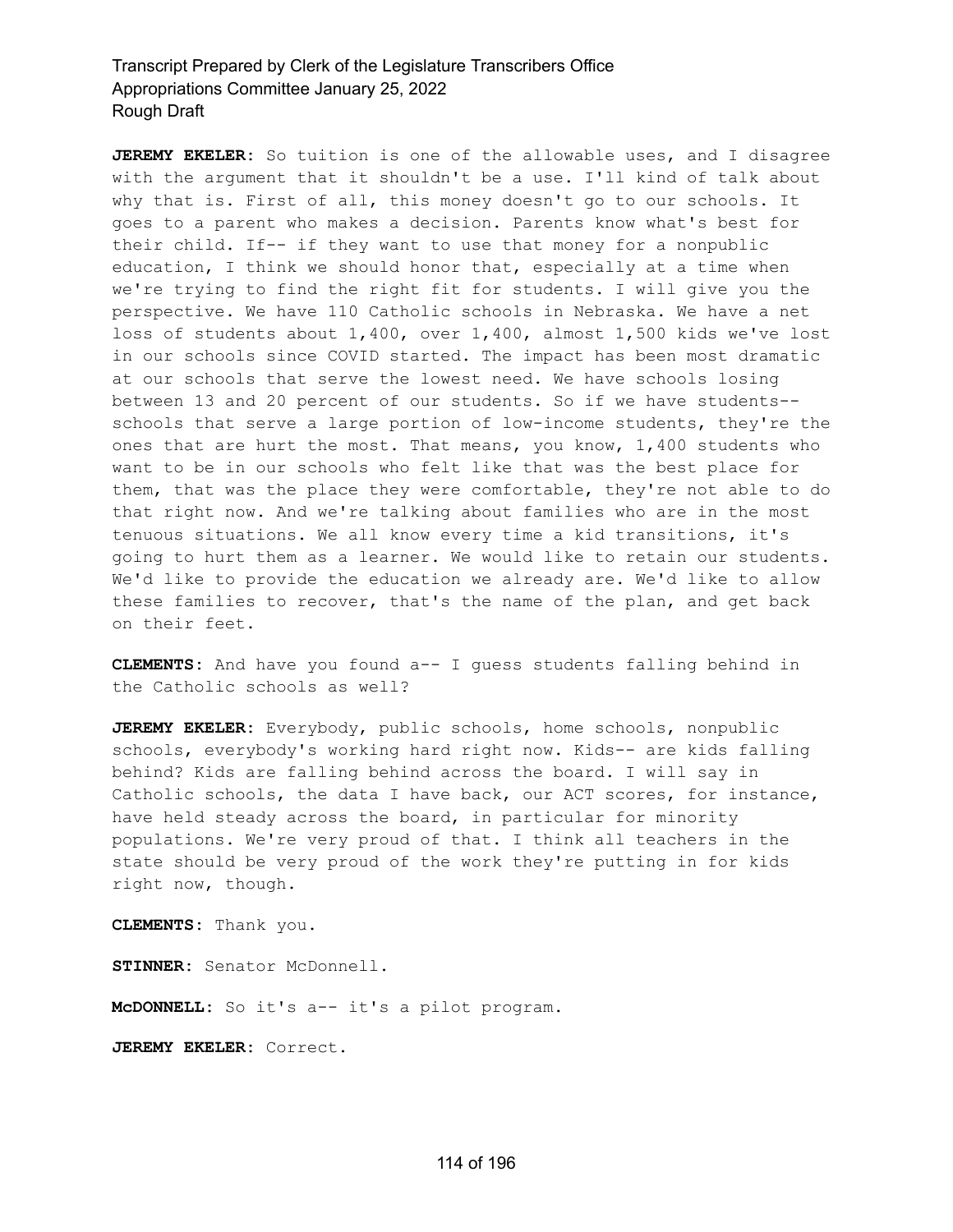**JEREMY EKELER:** So tuition is one of the allowable uses, and I disagree with the argument that it shouldn't be a use. I'll kind of talk about why that is. First of all, this money doesn't go to our schools. It goes to a parent who makes a decision. Parents know what's best for their child. If-- if they want to use that money for a nonpublic education, I think we should honor that, especially at a time when we're trying to find the right fit for students. I will give you the perspective. We have 110 Catholic schools in Nebraska. We have a net loss of students about 1,400, over 1,400, almost 1,500 kids we've lost in our schools since COVID started. The impact has been most dramatic at our schools that serve the lowest need. We have schools losing between 13 and 20 percent of our students. So if we have students- schools that serve a large portion of low-income students, they're the ones that are hurt the most. That means, you know, 1,400 students who want to be in our schools who felt like that was the best place for them, that was the place they were comfortable, they're not able to do that right now. And we're talking about families who are in the most tenuous situations. We all know every time a kid transitions, it's going to hurt them as a learner. We would like to retain our students. We'd like to provide the education we already are. We'd like to allow these families to recover, that's the name of the plan, and get back on their feet.

**CLEMENTS:** And have you found a-- I guess students falling behind in the Catholic schools as well?

**JEREMY EKELER:** Everybody, public schools, home schools, nonpublic schools, everybody's working hard right now. Kids-- are kids falling behind? Kids are falling behind across the board. I will say in Catholic schools, the data I have back, our ACT scores, for instance, have held steady across the board, in particular for minority populations. We're very proud of that. I think all teachers in the state should be very proud of the work they're putting in for kids right now, though.

**CLEMENTS:** Thank you.

**STINNER:** Senator McDonnell.

**McDONNELL:** So it's a-- it's a pilot program.

**JEREMY EKELER:** Correct.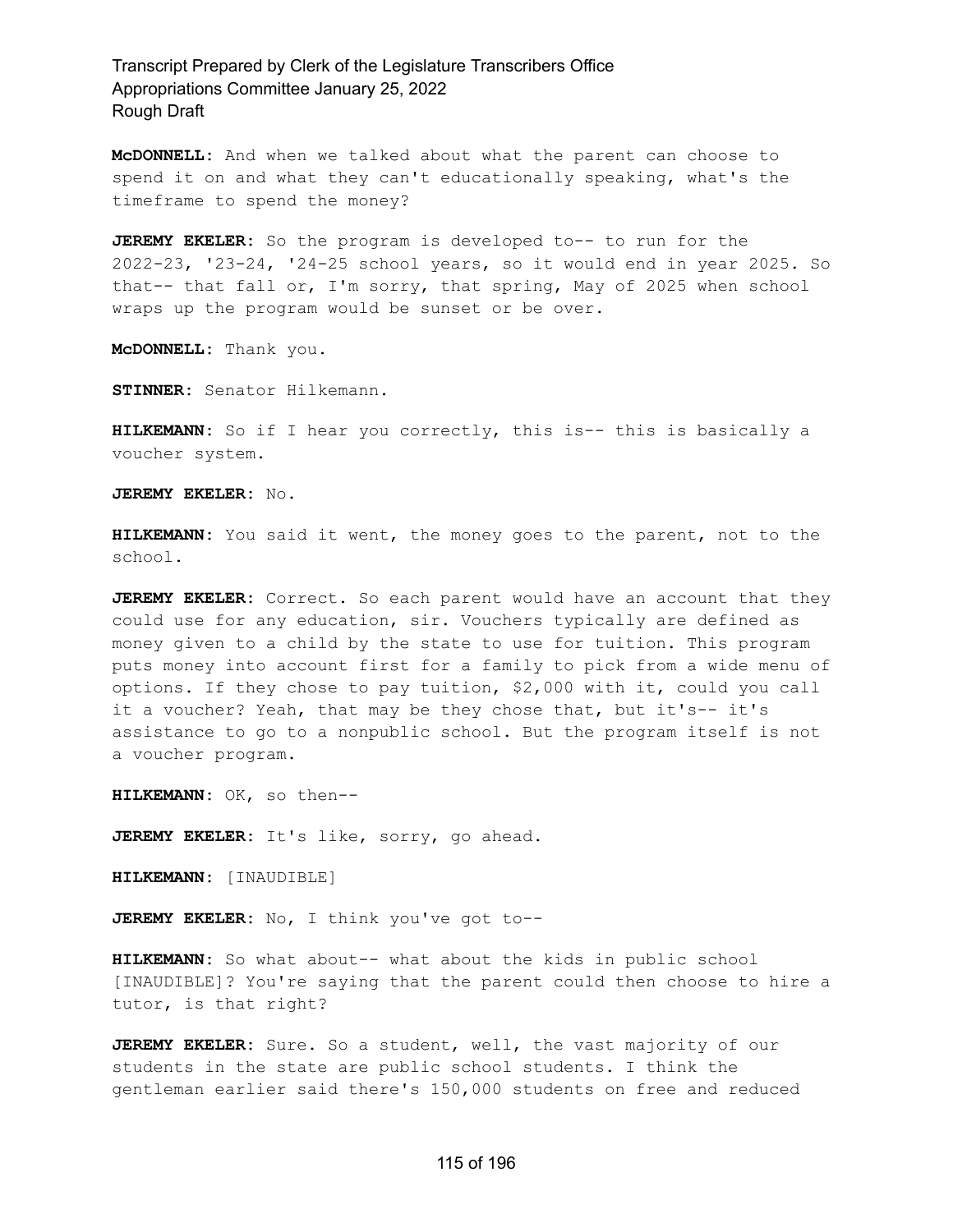**McDONNELL:** And when we talked about what the parent can choose to spend it on and what they can't educationally speaking, what's the timeframe to spend the money?

**JEREMY EKELER:** So the program is developed to-- to run for the 2022-23, '23-24, '24-25 school years, so it would end in year 2025. So that-- that fall or, I'm sorry, that spring, May of 2025 when school wraps up the program would be sunset or be over.

**McDONNELL:** Thank you.

**STINNER:** Senator Hilkemann.

**HILKEMANN:** So if I hear you correctly, this is-- this is basically a voucher system.

**JEREMY EKELER:** No.

**HILKEMANN:** You said it went, the money goes to the parent, not to the school.

**JEREMY EKELER:** Correct. So each parent would have an account that they could use for any education, sir. Vouchers typically are defined as money given to a child by the state to use for tuition. This program puts money into account first for a family to pick from a wide menu of options. If they chose to pay tuition, \$2,000 with it, could you call it a voucher? Yeah, that may be they chose that, but it's-- it's assistance to go to a nonpublic school. But the program itself is not a voucher program.

**HILKEMANN:** OK, so then--

**JEREMY EKELER:** It's like, sorry, go ahead.

**HILKEMANN:** [INAUDIBLE]

**JEREMY EKELER:** No, I think you've got to--

**HILKEMANN:** So what about-- what about the kids in public school [INAUDIBLE]? You're saying that the parent could then choose to hire a tutor, is that right?

**JEREMY EKELER:** Sure. So a student, well, the vast majority of our students in the state are public school students. I think the gentleman earlier said there's 150,000 students on free and reduced

### 115 of 196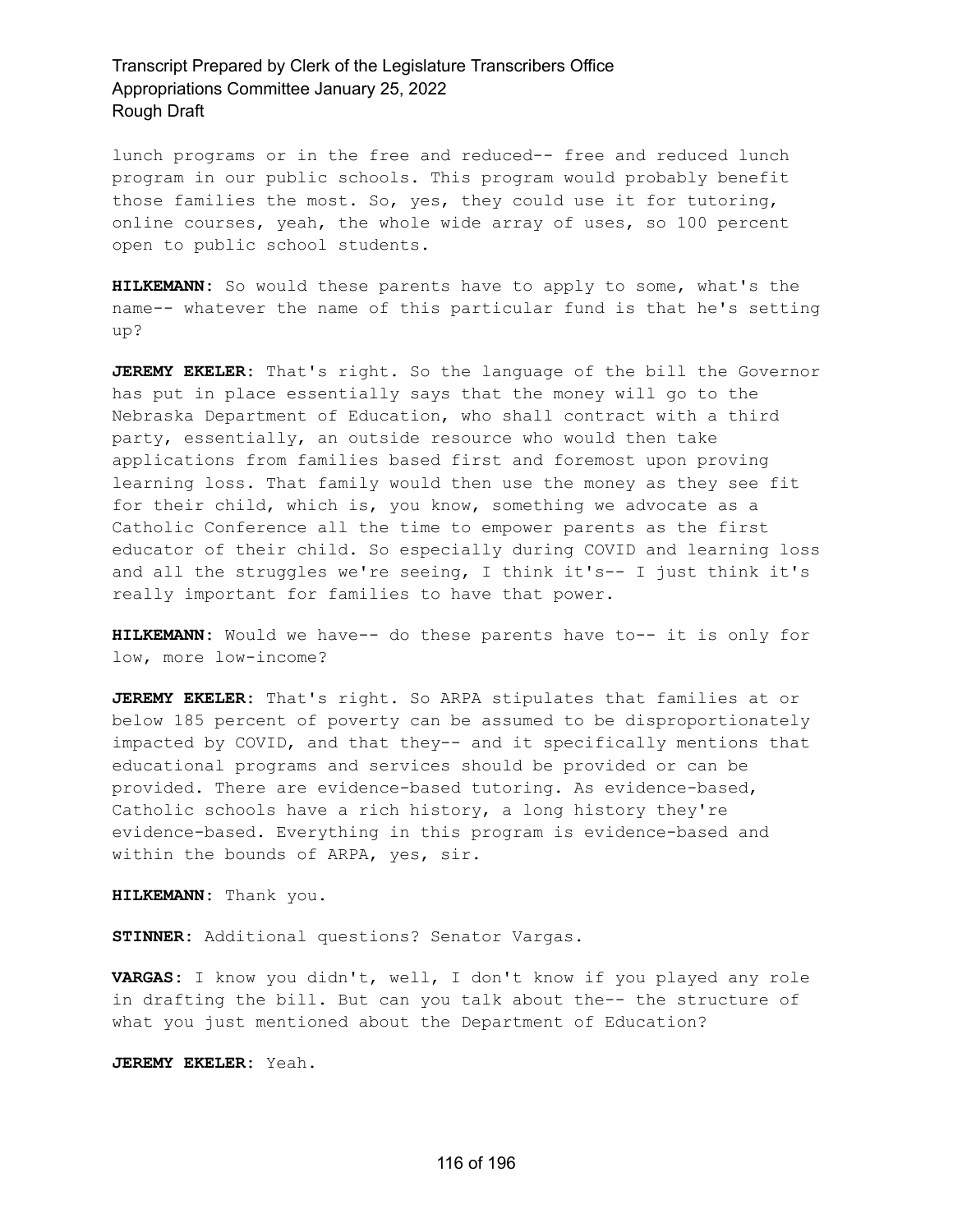lunch programs or in the free and reduced-- free and reduced lunch program in our public schools. This program would probably benefit those families the most. So, yes, they could use it for tutoring, online courses, yeah, the whole wide array of uses, so 100 percent open to public school students.

**HILKEMANN:** So would these parents have to apply to some, what's the name-- whatever the name of this particular fund is that he's setting up?

**JEREMY EKELER:** That's right. So the language of the bill the Governor has put in place essentially says that the money will go to the Nebraska Department of Education, who shall contract with a third party, essentially, an outside resource who would then take applications from families based first and foremost upon proving learning loss. That family would then use the money as they see fit for their child, which is, you know, something we advocate as a Catholic Conference all the time to empower parents as the first educator of their child. So especially during COVID and learning loss and all the struggles we're seeing, I think it's-- I just think it's really important for families to have that power.

**HILKEMANN:** Would we have-- do these parents have to-- it is only for low, more low-income?

**JEREMY EKELER:** That's right. So ARPA stipulates that families at or below 185 percent of poverty can be assumed to be disproportionately impacted by COVID, and that they-- and it specifically mentions that educational programs and services should be provided or can be provided. There are evidence-based tutoring. As evidence-based, Catholic schools have a rich history, a long history they're evidence-based. Everything in this program is evidence-based and within the bounds of ARPA, yes, sir.

**HILKEMANN:** Thank you.

**STINNER:** Additional questions? Senator Vargas.

**VARGAS:** I know you didn't, well, I don't know if you played any role in drafting the bill. But can you talk about the-- the structure of what you just mentioned about the Department of Education?

**JEREMY EKELER:** Yeah.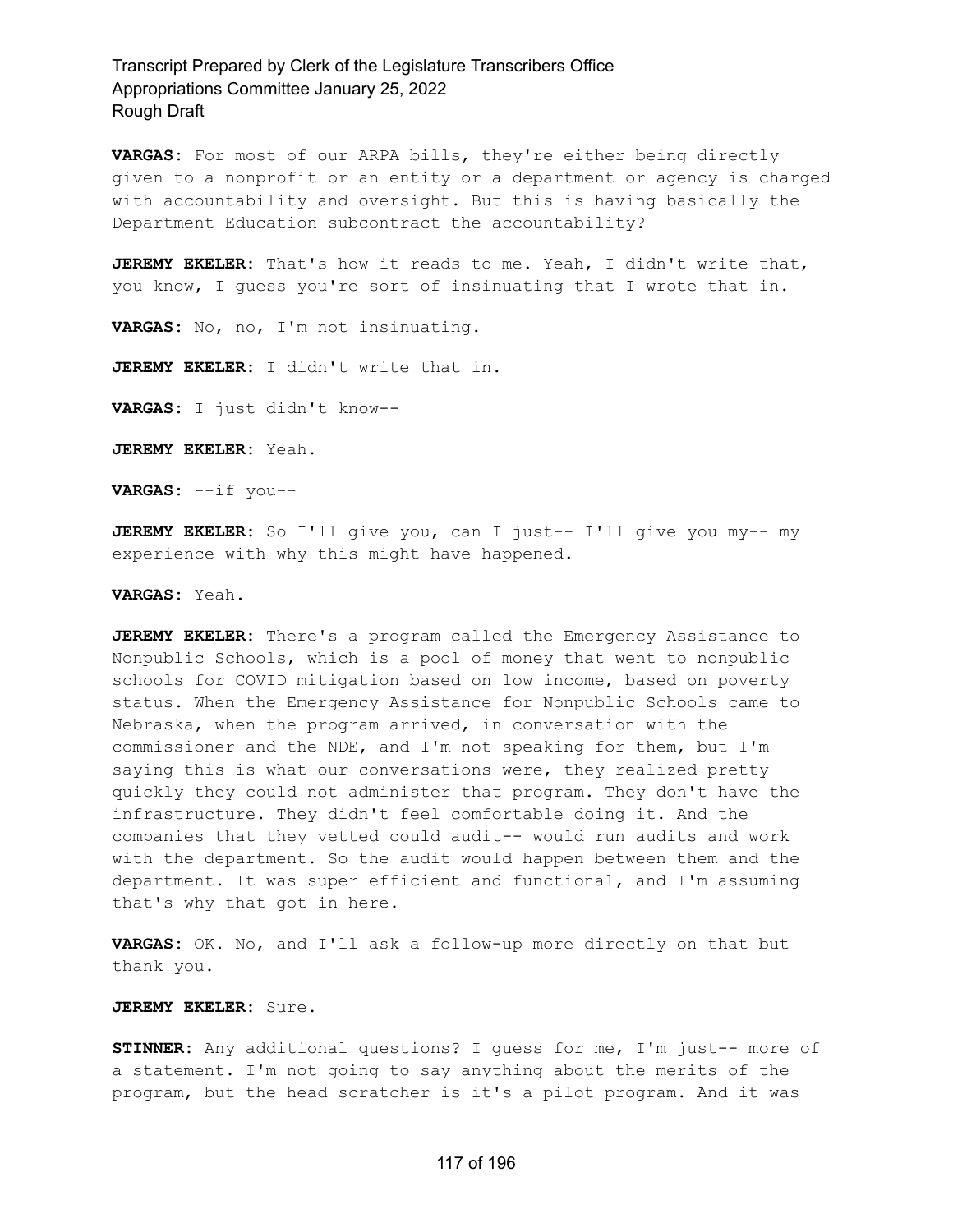**VARGAS:** For most of our ARPA bills, they're either being directly given to a nonprofit or an entity or a department or agency is charged with accountability and oversight. But this is having basically the Department Education subcontract the accountability?

**JEREMY EKELER:** That's how it reads to me. Yeah, I didn't write that, you know, I guess you're sort of insinuating that I wrote that in.

**VARGAS:** No, no, I'm not insinuating.

**JEREMY EKELER:** I didn't write that in.

**VARGAS:** I just didn't know--

**JEREMY EKELER:** Yeah.

**VARGAS:** --if you--

**JEREMY EKELER:** So I'll give you, can I just-- I'll give you my-- my experience with why this might have happened.

**VARGAS:** Yeah.

**JEREMY EKELER:** There's a program called the Emergency Assistance to Nonpublic Schools, which is a pool of money that went to nonpublic schools for COVID mitigation based on low income, based on poverty status. When the Emergency Assistance for Nonpublic Schools came to Nebraska, when the program arrived, in conversation with the commissioner and the NDE, and I'm not speaking for them, but I'm saying this is what our conversations were, they realized pretty quickly they could not administer that program. They don't have the infrastructure. They didn't feel comfortable doing it. And the companies that they vetted could audit-- would run audits and work with the department. So the audit would happen between them and the department. It was super efficient and functional, and I'm assuming that's why that got in here.

**VARGAS:** OK. No, and I'll ask a follow-up more directly on that but thank you.

**JEREMY EKELER:** Sure.

**STINNER:** Any additional questions? I guess for me, I'm just-- more of a statement. I'm not going to say anything about the merits of the program, but the head scratcher is it's a pilot program. And it was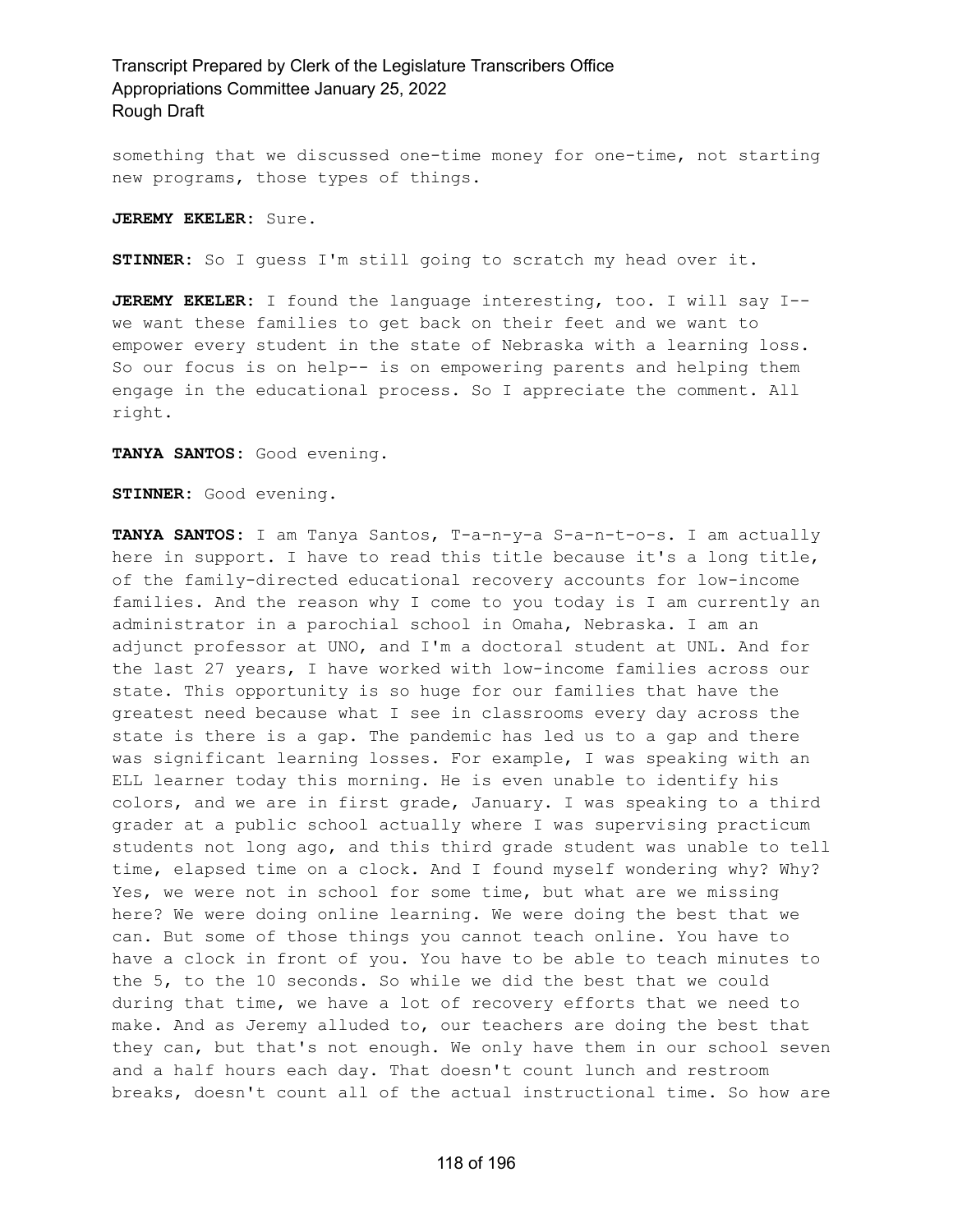something that we discussed one-time money for one-time, not starting new programs, those types of things.

**JEREMY EKELER:** Sure.

**STINNER:** So I guess I'm still going to scratch my head over it.

**JEREMY EKELER:** I found the language interesting, too. I will say I- we want these families to get back on their feet and we want to empower every student in the state of Nebraska with a learning loss. So our focus is on help-- is on empowering parents and helping them engage in the educational process. So I appreciate the comment. All right.

**TANYA SANTOS:** Good evening.

**STINNER:** Good evening.

**TANYA SANTOS:** I am Tanya Santos, T-a-n-y-a S-a-n-t-o-s. I am actually here in support. I have to read this title because it's a long title, of the family-directed educational recovery accounts for low-income families. And the reason why I come to you today is I am currently an administrator in a parochial school in Omaha, Nebraska. I am an adjunct professor at UNO, and I'm a doctoral student at UNL. And for the last 27 years, I have worked with low-income families across our state. This opportunity is so huge for our families that have the greatest need because what I see in classrooms every day across the state is there is a gap. The pandemic has led us to a gap and there was significant learning losses. For example, I was speaking with an ELL learner today this morning. He is even unable to identify his colors, and we are in first grade, January. I was speaking to a third grader at a public school actually where I was supervising practicum students not long ago, and this third grade student was unable to tell time, elapsed time on a clock. And I found myself wondering why? Why? Yes, we were not in school for some time, but what are we missing here? We were doing online learning. We were doing the best that we can. But some of those things you cannot teach online. You have to have a clock in front of you. You have to be able to teach minutes to the 5, to the 10 seconds. So while we did the best that we could during that time, we have a lot of recovery efforts that we need to make. And as Jeremy alluded to, our teachers are doing the best that they can, but that's not enough. We only have them in our school seven and a half hours each day. That doesn't count lunch and restroom breaks, doesn't count all of the actual instructional time. So how are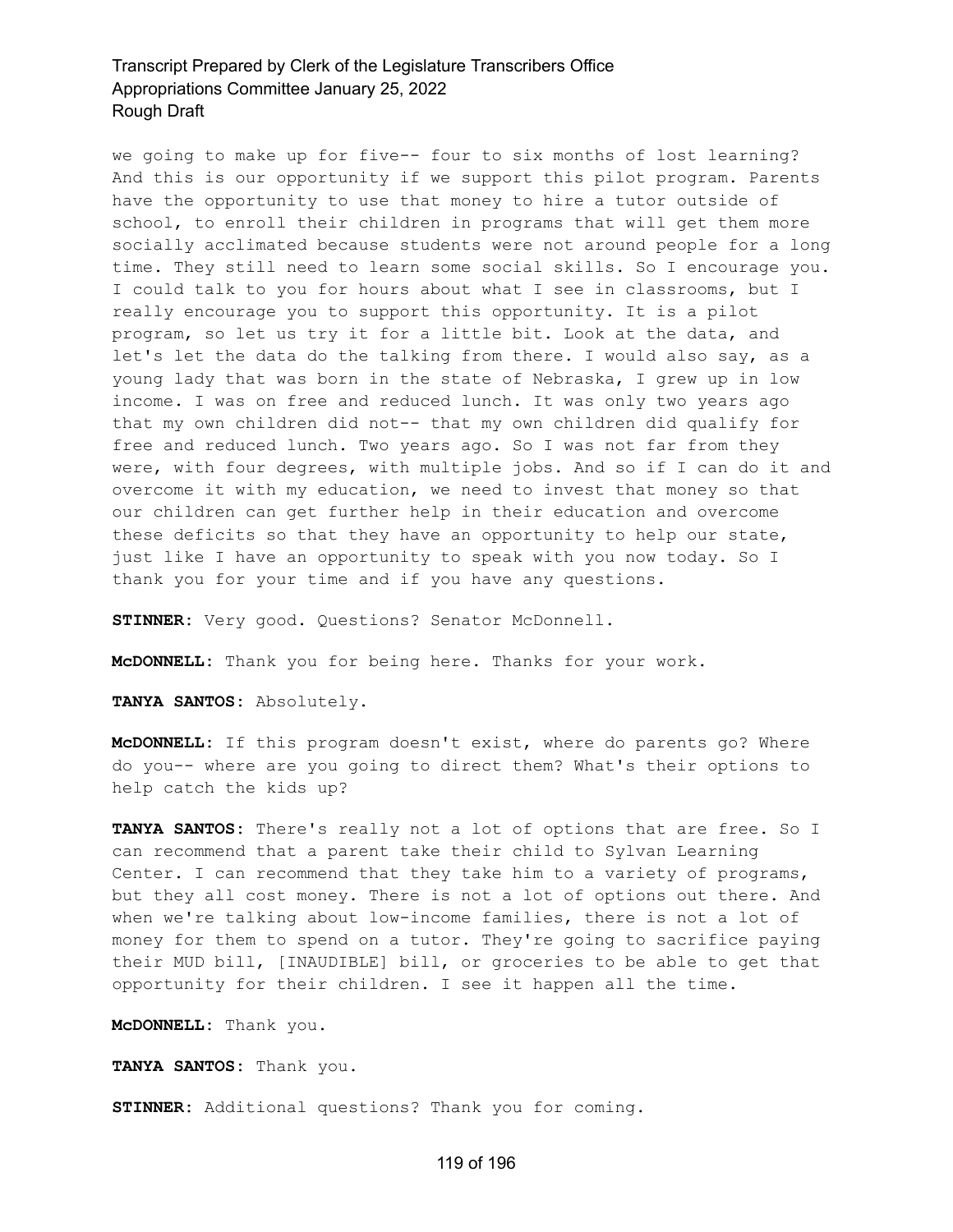we going to make up for five-- four to six months of lost learning? And this is our opportunity if we support this pilot program. Parents have the opportunity to use that money to hire a tutor outside of school, to enroll their children in programs that will get them more socially acclimated because students were not around people for a long time. They still need to learn some social skills. So I encourage you. I could talk to you for hours about what I see in classrooms, but I really encourage you to support this opportunity. It is a pilot program, so let us try it for a little bit. Look at the data, and let's let the data do the talking from there. I would also say, as a young lady that was born in the state of Nebraska, I grew up in low income. I was on free and reduced lunch. It was only two years ago that my own children did not-- that my own children did qualify for free and reduced lunch. Two years ago. So I was not far from they were, with four degrees, with multiple jobs. And so if I can do it and overcome it with my education, we need to invest that money so that our children can get further help in their education and overcome these deficits so that they have an opportunity to help our state, just like I have an opportunity to speak with you now today. So I thank you for your time and if you have any questions.

**STINNER:** Very good. Questions? Senator McDonnell.

**McDONNELL:** Thank you for being here. Thanks for your work.

**TANYA SANTOS:** Absolutely.

**McDONNELL:** If this program doesn't exist, where do parents go? Where do you-- where are you going to direct them? What's their options to help catch the kids up?

**TANYA SANTOS:** There's really not a lot of options that are free. So I can recommend that a parent take their child to Sylvan Learning Center. I can recommend that they take him to a variety of programs, but they all cost money. There is not a lot of options out there. And when we're talking about low-income families, there is not a lot of money for them to spend on a tutor. They're going to sacrifice paying their MUD bill, [INAUDIBLE] bill, or groceries to be able to get that opportunity for their children. I see it happen all the time.

**McDONNELL:** Thank you.

**TANYA SANTOS:** Thank you.

**STINNER:** Additional questions? Thank you for coming.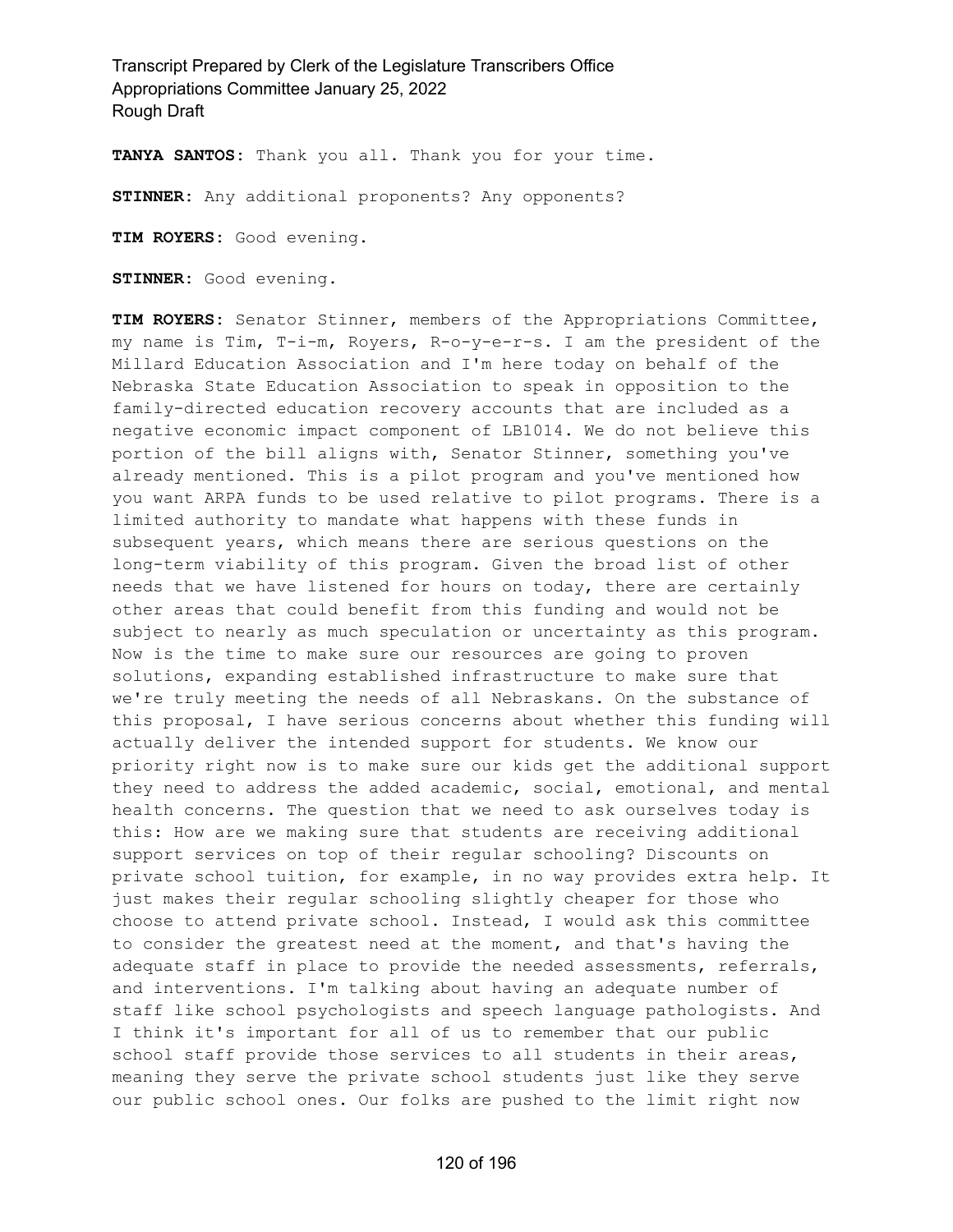**TANYA SANTOS:** Thank you all. Thank you for your time.

**STINNER:** Any additional proponents? Any opponents?

**TIM ROYERS:** Good evening.

**STINNER:** Good evening.

**TIM ROYERS:** Senator Stinner, members of the Appropriations Committee, my name is Tim, T-i-m, Royers, R-o-y-e-r-s. I am the president of the Millard Education Association and I'm here today on behalf of the Nebraska State Education Association to speak in opposition to the family-directed education recovery accounts that are included as a negative economic impact component of LB1014. We do not believe this portion of the bill aligns with, Senator Stinner, something you've already mentioned. This is a pilot program and you've mentioned how you want ARPA funds to be used relative to pilot programs. There is a limited authority to mandate what happens with these funds in subsequent years, which means there are serious questions on the long-term viability of this program. Given the broad list of other needs that we have listened for hours on today, there are certainly other areas that could benefit from this funding and would not be subject to nearly as much speculation or uncertainty as this program. Now is the time to make sure our resources are going to proven solutions, expanding established infrastructure to make sure that we're truly meeting the needs of all Nebraskans. On the substance of this proposal, I have serious concerns about whether this funding will actually deliver the intended support for students. We know our priority right now is to make sure our kids get the additional support they need to address the added academic, social, emotional, and mental health concerns. The question that we need to ask ourselves today is this: How are we making sure that students are receiving additional support services on top of their regular schooling? Discounts on private school tuition, for example, in no way provides extra help. It just makes their regular schooling slightly cheaper for those who choose to attend private school. Instead, I would ask this committee to consider the greatest need at the moment, and that's having the adequate staff in place to provide the needed assessments, referrals, and interventions. I'm talking about having an adequate number of staff like school psychologists and speech language pathologists. And I think it's important for all of us to remember that our public school staff provide those services to all students in their areas, meaning they serve the private school students just like they serve our public school ones. Our folks are pushed to the limit right now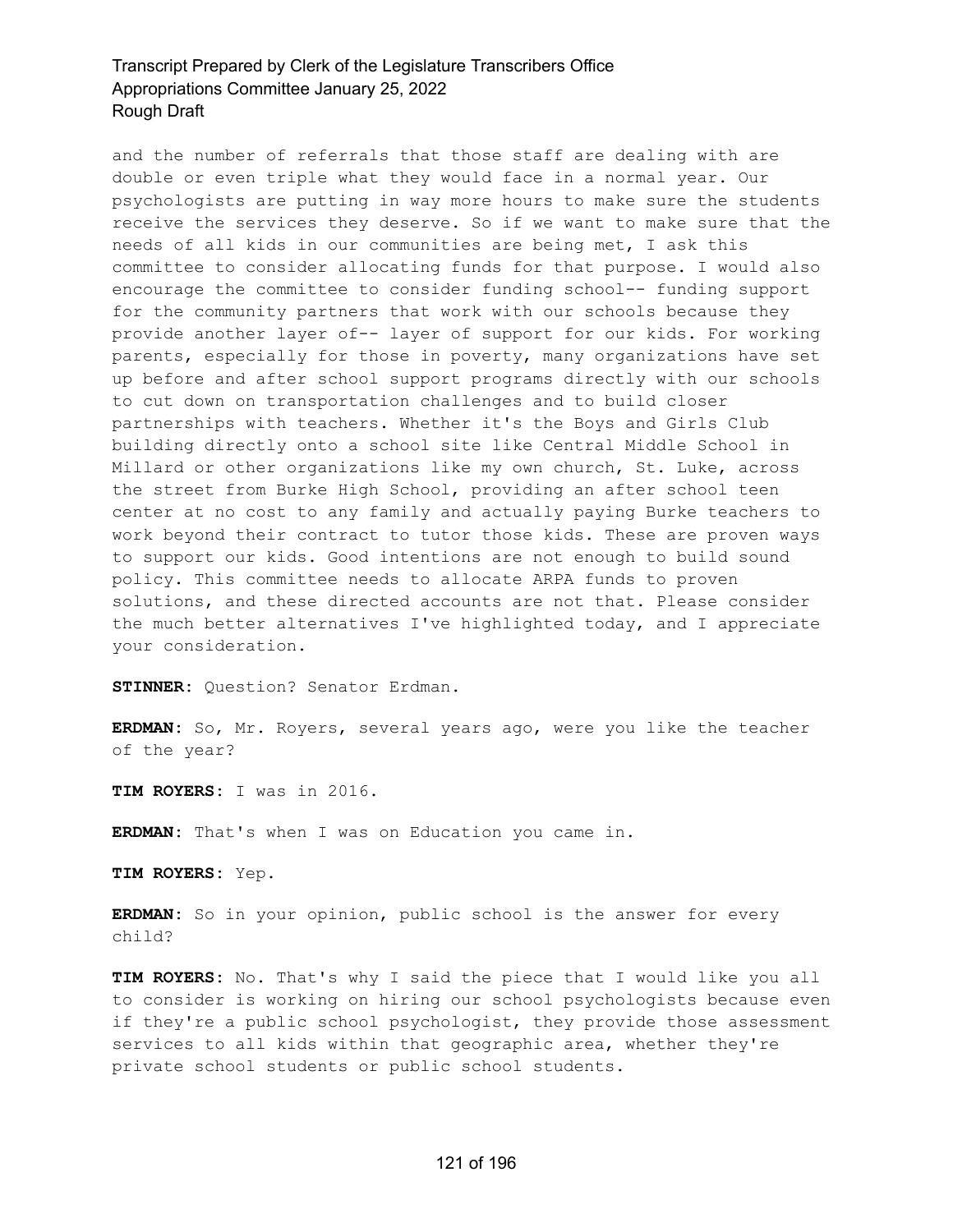and the number of referrals that those staff are dealing with are double or even triple what they would face in a normal year. Our psychologists are putting in way more hours to make sure the students receive the services they deserve. So if we want to make sure that the needs of all kids in our communities are being met, I ask this committee to consider allocating funds for that purpose. I would also encourage the committee to consider funding school-- funding support for the community partners that work with our schools because they provide another layer of-- layer of support for our kids. For working parents, especially for those in poverty, many organizations have set up before and after school support programs directly with our schools to cut down on transportation challenges and to build closer partnerships with teachers. Whether it's the Boys and Girls Club building directly onto a school site like Central Middle School in Millard or other organizations like my own church, St. Luke, across the street from Burke High School, providing an after school teen center at no cost to any family and actually paying Burke teachers to work beyond their contract to tutor those kids. These are proven ways to support our kids. Good intentions are not enough to build sound policy. This committee needs to allocate ARPA funds to proven solutions, and these directed accounts are not that. Please consider the much better alternatives I've highlighted today, and I appreciate your consideration.

**STINNER:** Question? Senator Erdman.

**ERDMAN:** So, Mr. Royers, several years ago, were you like the teacher of the year?

**TIM ROYERS:** I was in 2016.

**ERDMAN:** That's when I was on Education you came in.

**TIM ROYERS:** Yep.

**ERDMAN:** So in your opinion, public school is the answer for every child?

**TIM ROYERS:** No. That's why I said the piece that I would like you all to consider is working on hiring our school psychologists because even if they're a public school psychologist, they provide those assessment services to all kids within that geographic area, whether they're private school students or public school students.

### 121 of 196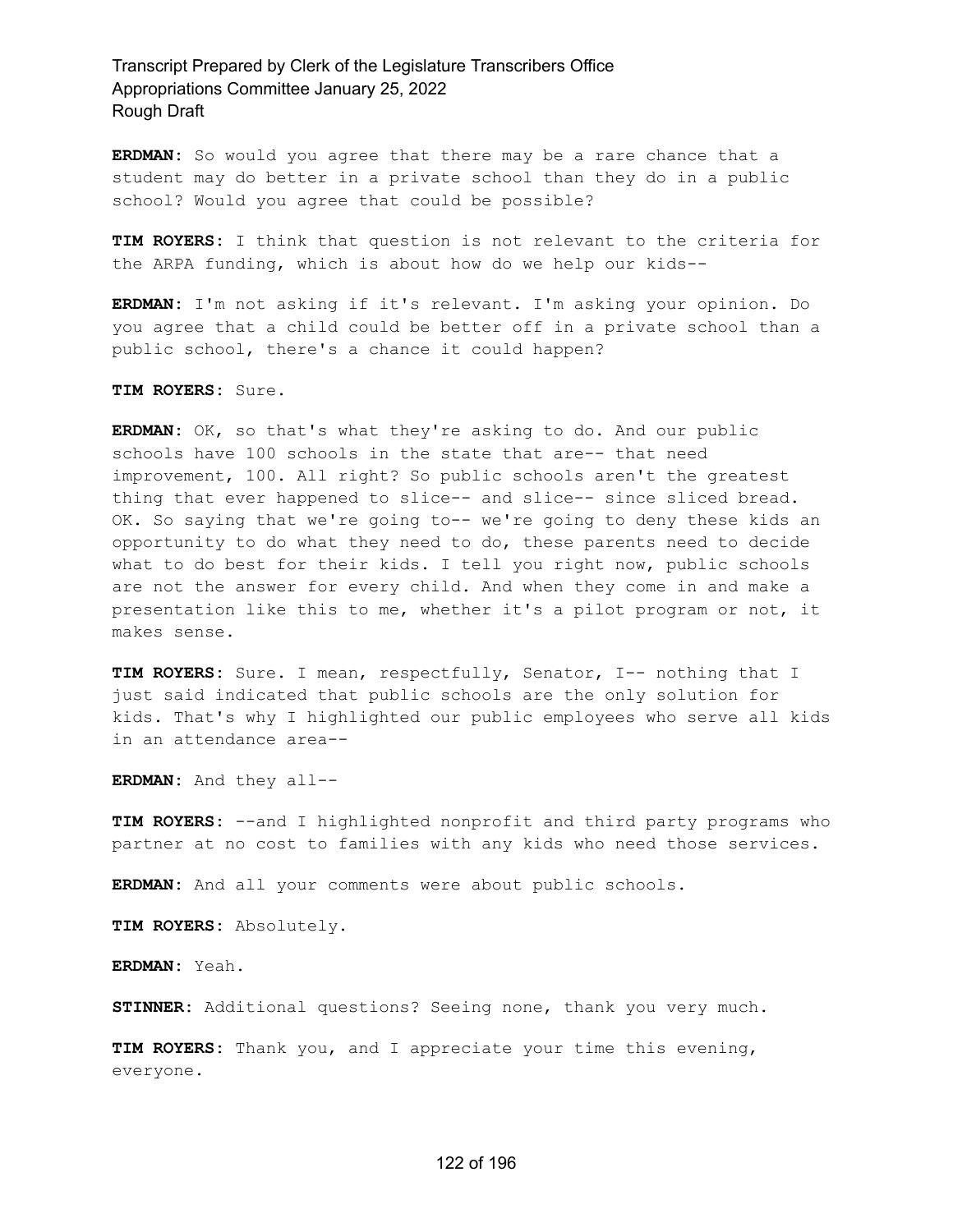**ERDMAN:** So would you agree that there may be a rare chance that a student may do better in a private school than they do in a public school? Would you agree that could be possible?

**TIM ROYERS:** I think that question is not relevant to the criteria for the ARPA funding, which is about how do we help our kids--

**ERDMAN:** I'm not asking if it's relevant. I'm asking your opinion. Do you agree that a child could be better off in a private school than a public school, there's a chance it could happen?

**TIM ROYERS:** Sure.

**ERDMAN:** OK, so that's what they're asking to do. And our public schools have 100 schools in the state that are-- that need improvement, 100. All right? So public schools aren't the greatest thing that ever happened to slice-- and slice-- since sliced bread. OK. So saying that we're going to-- we're going to deny these kids an opportunity to do what they need to do, these parents need to decide what to do best for their kids. I tell you right now, public schools are not the answer for every child. And when they come in and make a presentation like this to me, whether it's a pilot program or not, it makes sense.

**TIM ROYERS:** Sure. I mean, respectfully, Senator, I-- nothing that I just said indicated that public schools are the only solution for kids. That's why I highlighted our public employees who serve all kids in an attendance area--

**ERDMAN:** And they all--

**TIM ROYERS:** --and I highlighted nonprofit and third party programs who partner at no cost to families with any kids who need those services.

**ERDMAN:** And all your comments were about public schools.

**TIM ROYERS:** Absolutely.

**ERDMAN:** Yeah.

**STINNER:** Additional questions? Seeing none, thank you very much.

**TIM ROYERS:** Thank you, and I appreciate your time this evening, everyone.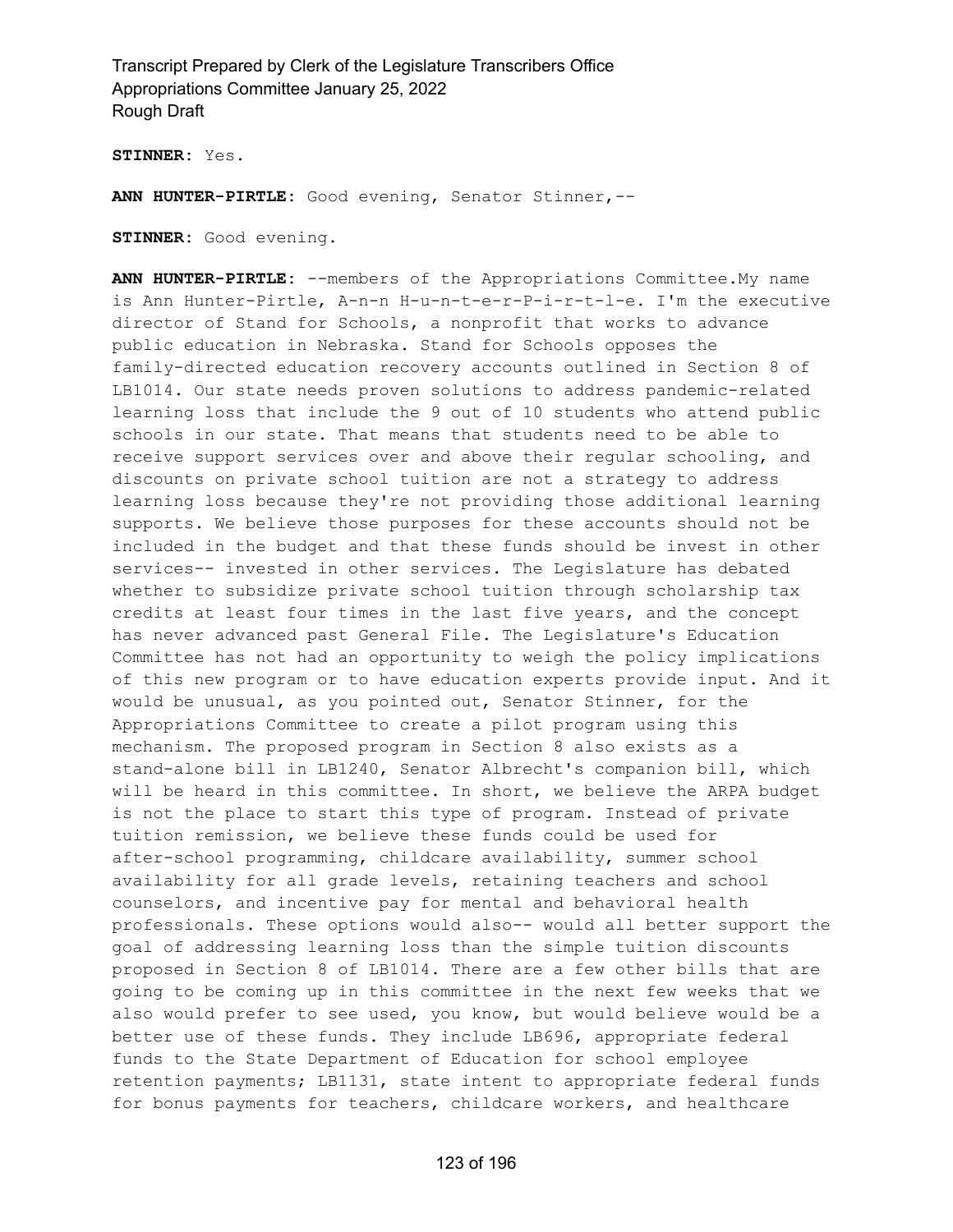**STINNER:** Yes.

**ANN HUNTER-PIRTLE:** Good evening, Senator Stinner,--

**STINNER:** Good evening.

**ANN HUNTER-PIRTLE:** --members of the Appropriations Committee.My name is Ann Hunter-Pirtle, A-n-n H-u-n-t-e-r-P-i-r-t-l-e. I'm the executive director of Stand for Schools, a nonprofit that works to advance public education in Nebraska. Stand for Schools opposes the family-directed education recovery accounts outlined in Section 8 of LB1014. Our state needs proven solutions to address pandemic-related learning loss that include the 9 out of 10 students who attend public schools in our state. That means that students need to be able to receive support services over and above their regular schooling, and discounts on private school tuition are not a strategy to address learning loss because they're not providing those additional learning supports. We believe those purposes for these accounts should not be included in the budget and that these funds should be invest in other services-- invested in other services. The Legislature has debated whether to subsidize private school tuition through scholarship tax credits at least four times in the last five years, and the concept has never advanced past General File. The Legislature's Education Committee has not had an opportunity to weigh the policy implications of this new program or to have education experts provide input. And it would be unusual, as you pointed out, Senator Stinner, for the Appropriations Committee to create a pilot program using this mechanism. The proposed program in Section 8 also exists as a stand-alone bill in LB1240, Senator Albrecht's companion bill, which will be heard in this committee. In short, we believe the ARPA budget is not the place to start this type of program. Instead of private tuition remission, we believe these funds could be used for after-school programming, childcare availability, summer school availability for all grade levels, retaining teachers and school counselors, and incentive pay for mental and behavioral health professionals. These options would also-- would all better support the goal of addressing learning loss than the simple tuition discounts proposed in Section 8 of LB1014. There are a few other bills that are going to be coming up in this committee in the next few weeks that we also would prefer to see used, you know, but would believe would be a better use of these funds. They include LB696, appropriate federal funds to the State Department of Education for school employee retention payments; LB1131, state intent to appropriate federal funds for bonus payments for teachers, childcare workers, and healthcare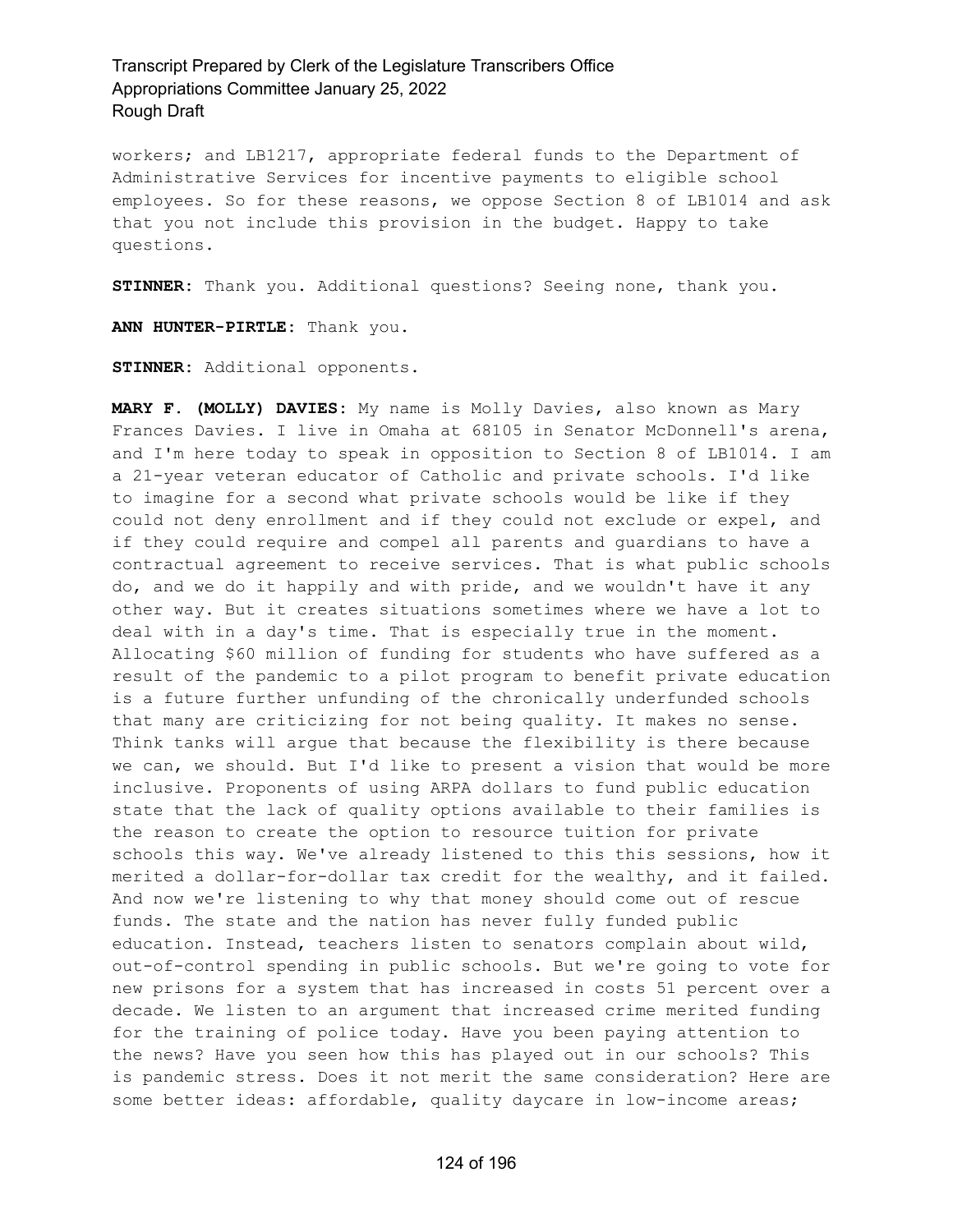workers; and LB1217, appropriate federal funds to the Department of Administrative Services for incentive payments to eligible school employees. So for these reasons, we oppose Section 8 of LB1014 and ask that you not include this provision in the budget. Happy to take questions.

**STINNER:** Thank you. Additional questions? Seeing none, thank you.

**ANN HUNTER-PIRTLE:** Thank you.

**STINNER:** Additional opponents.

**MARY F. (MOLLY) DAVIES:** My name is Molly Davies, also known as Mary Frances Davies. I live in Omaha at 68105 in Senator McDonnell's arena, and I'm here today to speak in opposition to Section 8 of LB1014. I am a 21-year veteran educator of Catholic and private schools. I'd like to imagine for a second what private schools would be like if they could not deny enrollment and if they could not exclude or expel, and if they could require and compel all parents and guardians to have a contractual agreement to receive services. That is what public schools do, and we do it happily and with pride, and we wouldn't have it any other way. But it creates situations sometimes where we have a lot to deal with in a day's time. That is especially true in the moment. Allocating \$60 million of funding for students who have suffered as a result of the pandemic to a pilot program to benefit private education is a future further unfunding of the chronically underfunded schools that many are criticizing for not being quality. It makes no sense. Think tanks will argue that because the flexibility is there because we can, we should. But I'd like to present a vision that would be more inclusive. Proponents of using ARPA dollars to fund public education state that the lack of quality options available to their families is the reason to create the option to resource tuition for private schools this way. We've already listened to this this sessions, how it merited a dollar-for-dollar tax credit for the wealthy, and it failed. And now we're listening to why that money should come out of rescue funds. The state and the nation has never fully funded public education. Instead, teachers listen to senators complain about wild, out-of-control spending in public schools. But we're going to vote for new prisons for a system that has increased in costs 51 percent over a decade. We listen to an argument that increased crime merited funding for the training of police today. Have you been paying attention to the news? Have you seen how this has played out in our schools? This is pandemic stress. Does it not merit the same consideration? Here are some better ideas: affordable, quality daycare in low-income areas;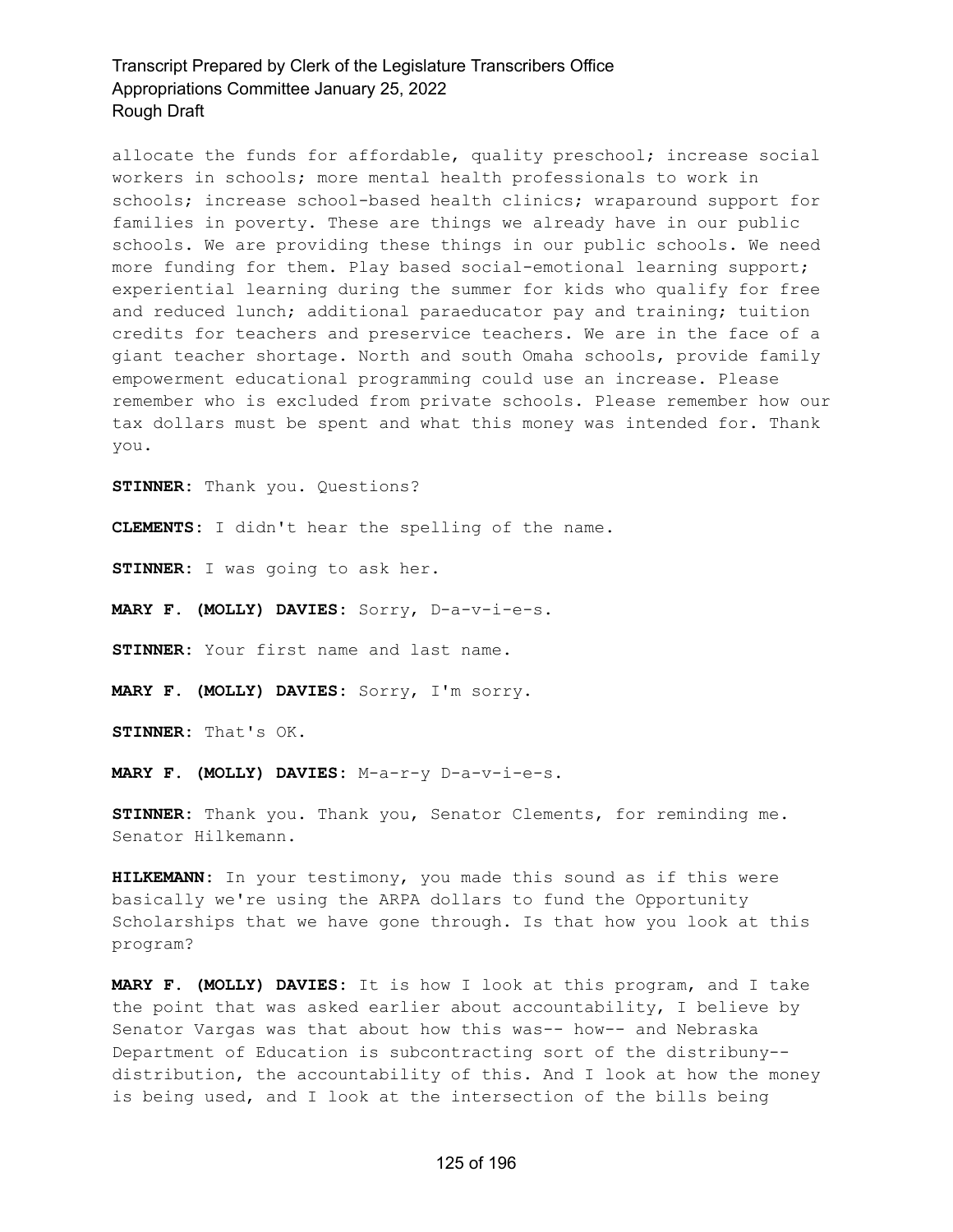allocate the funds for affordable, quality preschool; increase social workers in schools; more mental health professionals to work in schools; increase school-based health clinics; wraparound support for families in poverty. These are things we already have in our public schools. We are providing these things in our public schools. We need more funding for them. Play based social-emotional learning support; experiential learning during the summer for kids who qualify for free and reduced lunch; additional paraeducator pay and training; tuition credits for teachers and preservice teachers. We are in the face of a giant teacher shortage. North and south Omaha schools, provide family empowerment educational programming could use an increase. Please remember who is excluded from private schools. Please remember how our tax dollars must be spent and what this money was intended for. Thank you.

**STINNER:** Thank you. Questions?

**CLEMENTS:** I didn't hear the spelling of the name.

**STINNER:** I was going to ask her.

**MARY F. (MOLLY) DAVIES:** Sorry, D-a-v-i-e-s.

**STINNER:** Your first name and last name.

**MARY F. (MOLLY) DAVIES:** Sorry, I'm sorry.

**STINNER:** That's OK.

**MARY F. (MOLLY) DAVIES:** M-a-r-y D-a-v-i-e-s.

**STINNER:** Thank you. Thank you, Senator Clements, for reminding me. Senator Hilkemann.

**HILKEMANN:** In your testimony, you made this sound as if this were basically we're using the ARPA dollars to fund the Opportunity Scholarships that we have gone through. Is that how you look at this program?

**MARY F. (MOLLY) DAVIES:** It is how I look at this program, and I take the point that was asked earlier about accountability, I believe by Senator Vargas was that about how this was-- how-- and Nebraska Department of Education is subcontracting sort of the distribuny- distribution, the accountability of this. And I look at how the money is being used, and I look at the intersection of the bills being

### 125 of 196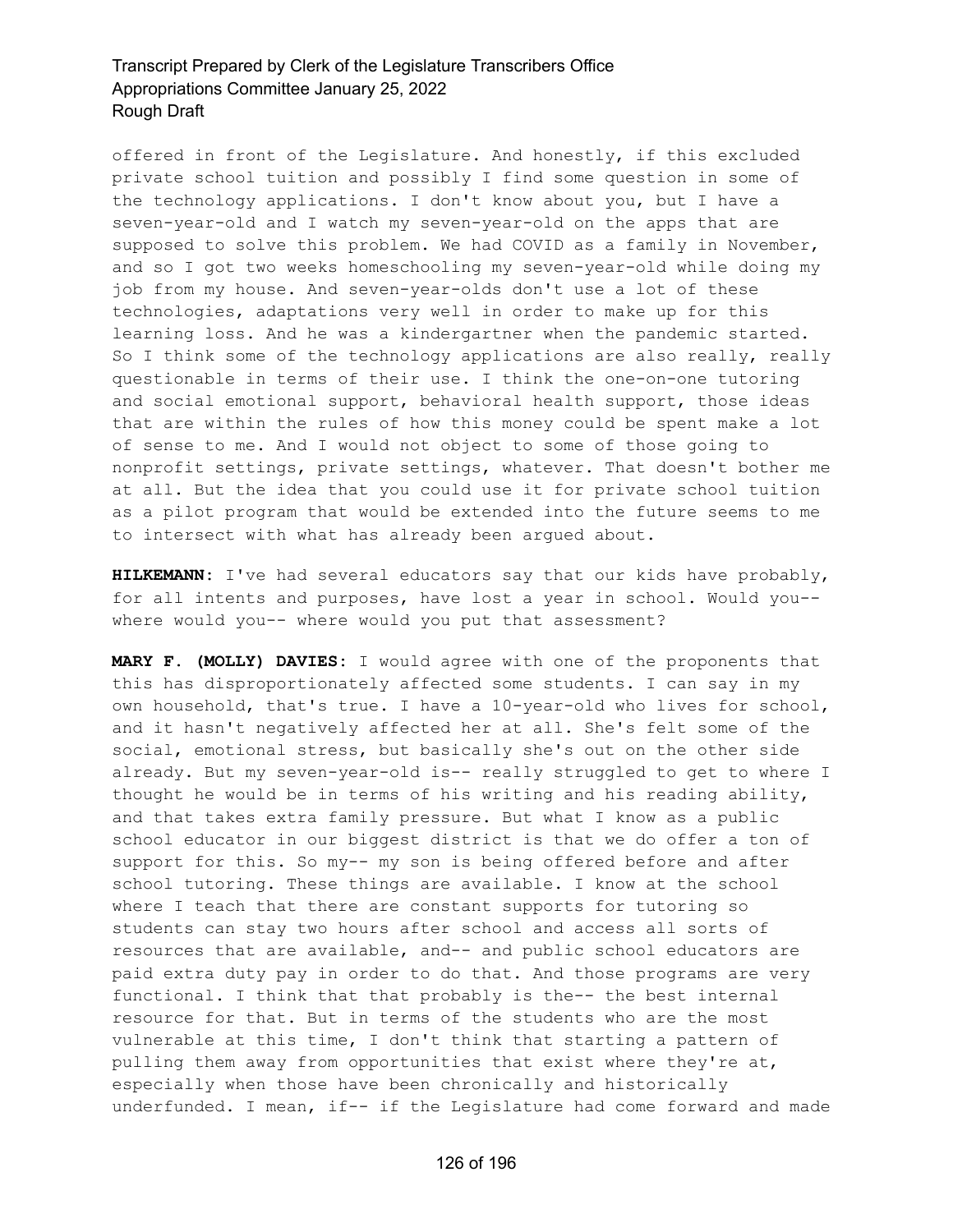offered in front of the Legislature. And honestly, if this excluded private school tuition and possibly I find some question in some of the technology applications. I don't know about you, but I have a seven-year-old and I watch my seven-year-old on the apps that are supposed to solve this problem. We had COVID as a family in November, and so I got two weeks homeschooling my seven-year-old while doing my job from my house. And seven-year-olds don't use a lot of these technologies, adaptations very well in order to make up for this learning loss. And he was a kindergartner when the pandemic started. So I think some of the technology applications are also really, really questionable in terms of their use. I think the one-on-one tutoring and social emotional support, behavioral health support, those ideas that are within the rules of how this money could be spent make a lot of sense to me. And I would not object to some of those going to nonprofit settings, private settings, whatever. That doesn't bother me at all. But the idea that you could use it for private school tuition as a pilot program that would be extended into the future seems to me to intersect with what has already been argued about.

**HILKEMANN:** I've had several educators say that our kids have probably, for all intents and purposes, have lost a year in school. Would you- where would you-- where would you put that assessment?

**MARY F. (MOLLY) DAVIES:** I would agree with one of the proponents that this has disproportionately affected some students. I can say in my own household, that's true. I have a 10-year-old who lives for school, and it hasn't negatively affected her at all. She's felt some of the social, emotional stress, but basically she's out on the other side already. But my seven-year-old is-- really struggled to get to where I thought he would be in terms of his writing and his reading ability, and that takes extra family pressure. But what I know as a public school educator in our biggest district is that we do offer a ton of support for this. So my-- my son is being offered before and after school tutoring. These things are available. I know at the school where I teach that there are constant supports for tutoring so students can stay two hours after school and access all sorts of resources that are available, and-- and public school educators are paid extra duty pay in order to do that. And those programs are very functional. I think that that probably is the-- the best internal resource for that. But in terms of the students who are the most vulnerable at this time, I don't think that starting a pattern of pulling them away from opportunities that exist where they're at, especially when those have been chronically and historically underfunded. I mean, if-- if the Legislature had come forward and made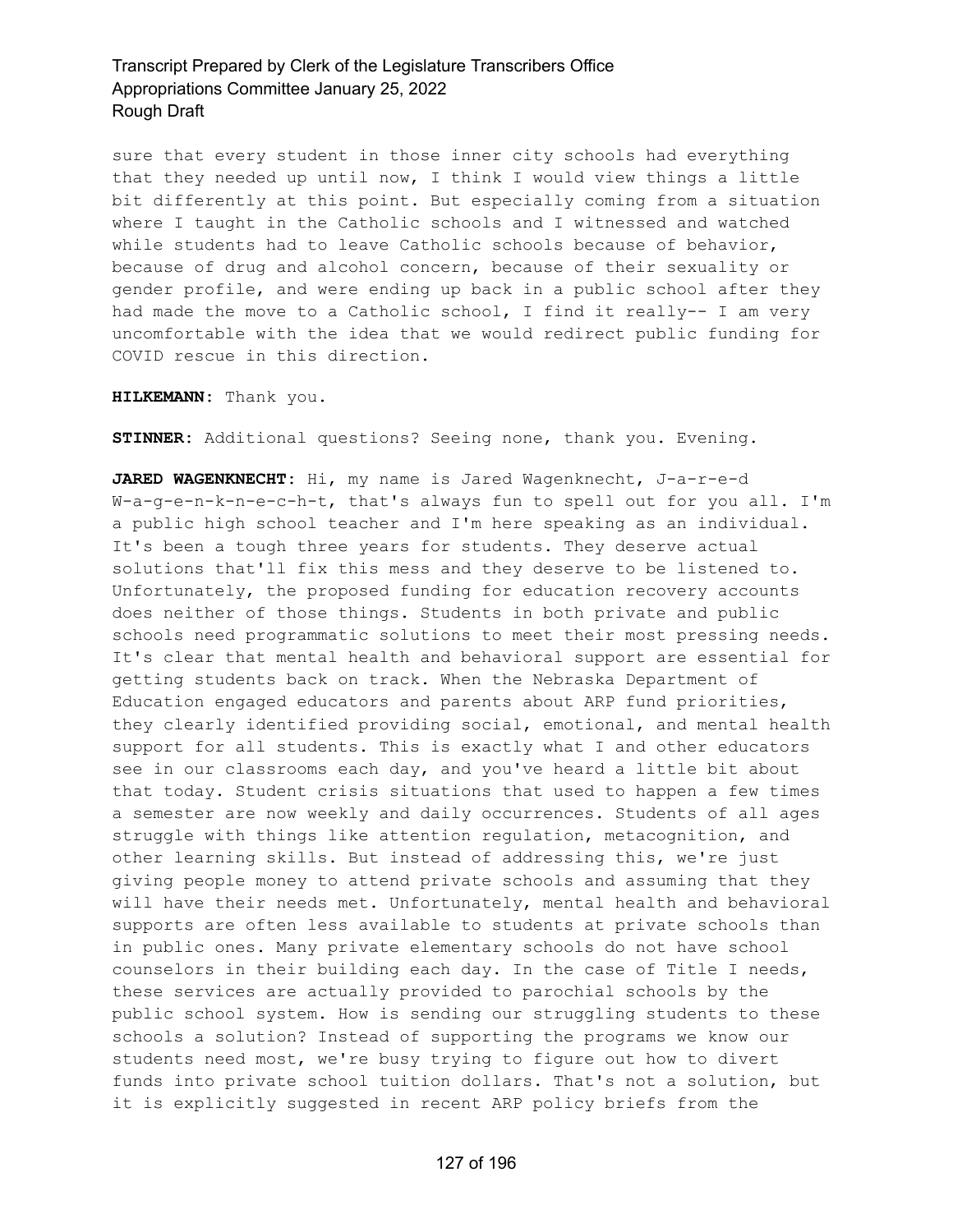sure that every student in those inner city schools had everything that they needed up until now, I think I would view things a little bit differently at this point. But especially coming from a situation where I taught in the Catholic schools and I witnessed and watched while students had to leave Catholic schools because of behavior, because of drug and alcohol concern, because of their sexuality or gender profile, and were ending up back in a public school after they had made the move to a Catholic school, I find it really-- I am very uncomfortable with the idea that we would redirect public funding for COVID rescue in this direction.

**HILKEMANN:** Thank you.

**STINNER:** Additional questions? Seeing none, thank you. Evening.

**JARED WAGENKNECHT:** Hi, my name is Jared Wagenknecht, J-a-r-e-d W-a-g-e-n-k-n-e-c-h-t, that's always fun to spell out for you all. I'm a public high school teacher and I'm here speaking as an individual. It's been a tough three years for students. They deserve actual solutions that'll fix this mess and they deserve to be listened to. Unfortunately, the proposed funding for education recovery accounts does neither of those things. Students in both private and public schools need programmatic solutions to meet their most pressing needs. It's clear that mental health and behavioral support are essential for getting students back on track. When the Nebraska Department of Education engaged educators and parents about ARP fund priorities, they clearly identified providing social, emotional, and mental health support for all students. This is exactly what I and other educators see in our classrooms each day, and you've heard a little bit about that today. Student crisis situations that used to happen a few times a semester are now weekly and daily occurrences. Students of all ages struggle with things like attention regulation, metacognition, and other learning skills. But instead of addressing this, we're just giving people money to attend private schools and assuming that they will have their needs met. Unfortunately, mental health and behavioral supports are often less available to students at private schools than in public ones. Many private elementary schools do not have school counselors in their building each day. In the case of Title I needs, these services are actually provided to parochial schools by the public school system. How is sending our struggling students to these schools a solution? Instead of supporting the programs we know our students need most, we're busy trying to figure out how to divert funds into private school tuition dollars. That's not a solution, but it is explicitly suggested in recent ARP policy briefs from the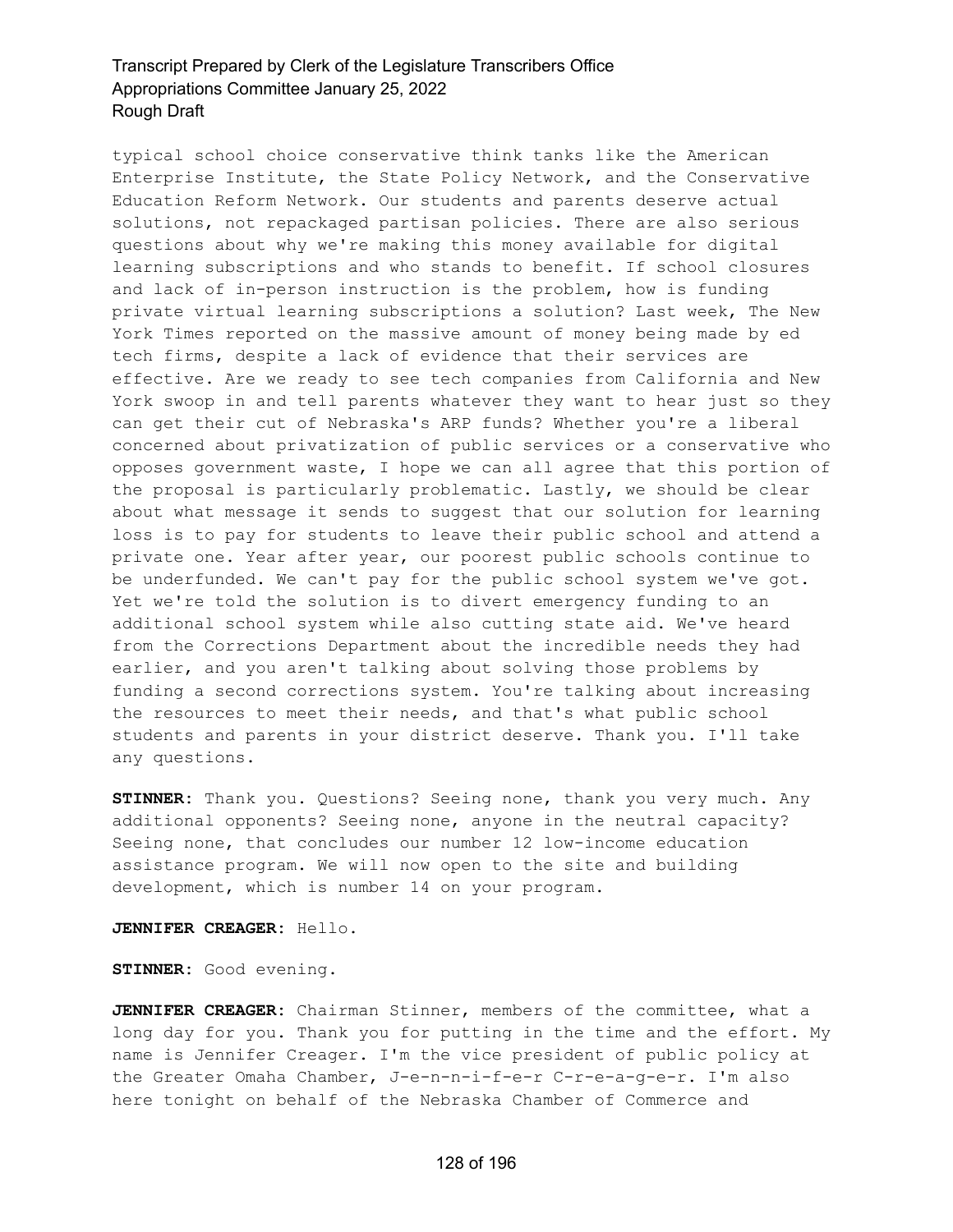typical school choice conservative think tanks like the American Enterprise Institute, the State Policy Network, and the Conservative Education Reform Network. Our students and parents deserve actual solutions, not repackaged partisan policies. There are also serious questions about why we're making this money available for digital learning subscriptions and who stands to benefit. If school closures and lack of in-person instruction is the problem, how is funding private virtual learning subscriptions a solution? Last week, The New York Times reported on the massive amount of money being made by ed tech firms, despite a lack of evidence that their services are effective. Are we ready to see tech companies from California and New York swoop in and tell parents whatever they want to hear just so they can get their cut of Nebraska's ARP funds? Whether you're a liberal concerned about privatization of public services or a conservative who opposes government waste, I hope we can all agree that this portion of the proposal is particularly problematic. Lastly, we should be clear about what message it sends to suggest that our solution for learning loss is to pay for students to leave their public school and attend a private one. Year after year, our poorest public schools continue to be underfunded. We can't pay for the public school system we've got. Yet we're told the solution is to divert emergency funding to an additional school system while also cutting state aid. We've heard from the Corrections Department about the incredible needs they had earlier, and you aren't talking about solving those problems by funding a second corrections system. You're talking about increasing the resources to meet their needs, and that's what public school students and parents in your district deserve. Thank you. I'll take any questions.

**STINNER:** Thank you. Questions? Seeing none, thank you very much. Any additional opponents? Seeing none, anyone in the neutral capacity? Seeing none, that concludes our number 12 low-income education assistance program. We will now open to the site and building development, which is number 14 on your program.

#### **JENNIFER CREAGER:** Hello.

**STINNER:** Good evening.

**JENNIFER CREAGER:** Chairman Stinner, members of the committee, what a long day for you. Thank you for putting in the time and the effort. My name is Jennifer Creager. I'm the vice president of public policy at the Greater Omaha Chamber, J-e-n-n-i-f-e-r C-r-e-a-g-e-r. I'm also here tonight on behalf of the Nebraska Chamber of Commerce and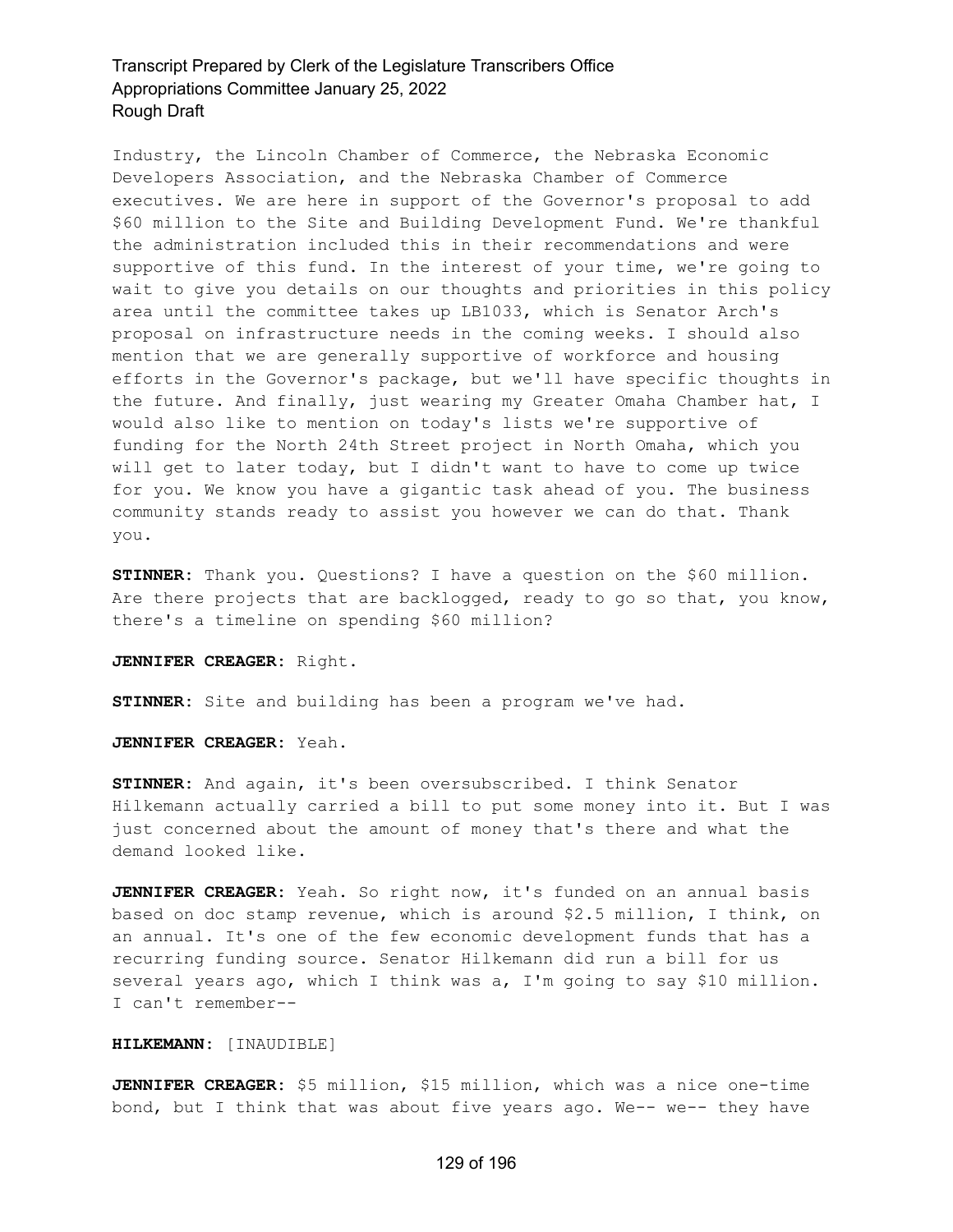Industry, the Lincoln Chamber of Commerce, the Nebraska Economic Developers Association, and the Nebraska Chamber of Commerce executives. We are here in support of the Governor's proposal to add \$60 million to the Site and Building Development Fund. We're thankful the administration included this in their recommendations and were supportive of this fund. In the interest of your time, we're going to wait to give you details on our thoughts and priorities in this policy area until the committee takes up LB1033, which is Senator Arch's proposal on infrastructure needs in the coming weeks. I should also mention that we are generally supportive of workforce and housing efforts in the Governor's package, but we'll have specific thoughts in the future. And finally, just wearing my Greater Omaha Chamber hat, I would also like to mention on today's lists we're supportive of funding for the North 24th Street project in North Omaha, which you will get to later today, but I didn't want to have to come up twice for you. We know you have a gigantic task ahead of you. The business community stands ready to assist you however we can do that. Thank you.

**STINNER:** Thank you. Questions? I have a question on the \$60 million. Are there projects that are backlogged, ready to go so that, you know, there's a timeline on spending \$60 million?

**JENNIFER CREAGER:** Right.

**STINNER:** Site and building has been a program we've had.

**JENNIFER CREAGER:** Yeah.

**STINNER:** And again, it's been oversubscribed. I think Senator Hilkemann actually carried a bill to put some money into it. But I was just concerned about the amount of money that's there and what the demand looked like.

**JENNIFER CREAGER:** Yeah. So right now, it's funded on an annual basis based on doc stamp revenue, which is around \$2.5 million, I think, on an annual. It's one of the few economic development funds that has a recurring funding source. Senator Hilkemann did run a bill for us several years ago, which I think was a, I'm going to say \$10 million. I can't remember--

### **HILKEMANN:** [INAUDIBLE]

**JENNIFER CREAGER:** \$5 million, \$15 million, which was a nice one-time bond, but I think that was about five years ago. We-- we-- they have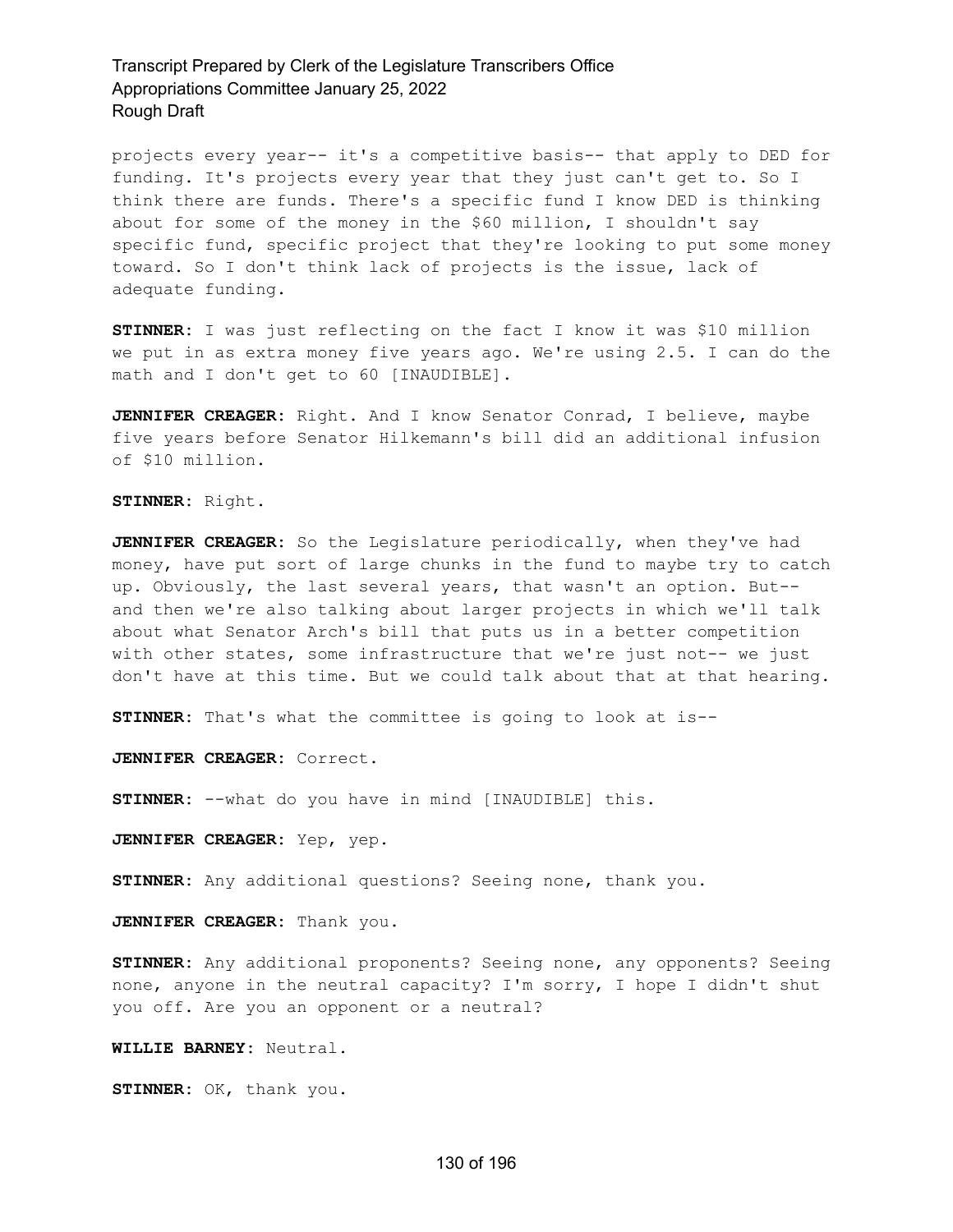projects every year-- it's a competitive basis-- that apply to DED for funding. It's projects every year that they just can't get to. So I think there are funds. There's a specific fund I know DED is thinking about for some of the money in the \$60 million, I shouldn't say specific fund, specific project that they're looking to put some money toward. So I don't think lack of projects is the issue, lack of adequate funding.

**STINNER:** I was just reflecting on the fact I know it was \$10 million we put in as extra money five years ago. We're using 2.5. I can do the math and I don't get to 60 [INAUDIBLE].

**JENNIFER CREAGER:** Right. And I know Senator Conrad, I believe, maybe five years before Senator Hilkemann's bill did an additional infusion of \$10 million.

**STINNER:** Right.

**JENNIFER CREAGER:** So the Legislature periodically, when they've had money, have put sort of large chunks in the fund to maybe try to catch up. Obviously, the last several years, that wasn't an option. But- and then we're also talking about larger projects in which we'll talk about what Senator Arch's bill that puts us in a better competition with other states, some infrastructure that we're just not-- we just don't have at this time. But we could talk about that at that hearing.

**STINNER:** That's what the committee is going to look at is--

**JENNIFER CREAGER:** Correct.

**STINNER:** --what do you have in mind [INAUDIBLE] this.

**JENNIFER CREAGER:** Yep, yep.

**STINNER:** Any additional questions? Seeing none, thank you.

**JENNIFER CREAGER:** Thank you.

**STINNER:** Any additional proponents? Seeing none, any opponents? Seeing none, anyone in the neutral capacity? I'm sorry, I hope I didn't shut you off. Are you an opponent or a neutral?

**WILLIE BARNEY:** Neutral.

**STINNER:** OK, thank you.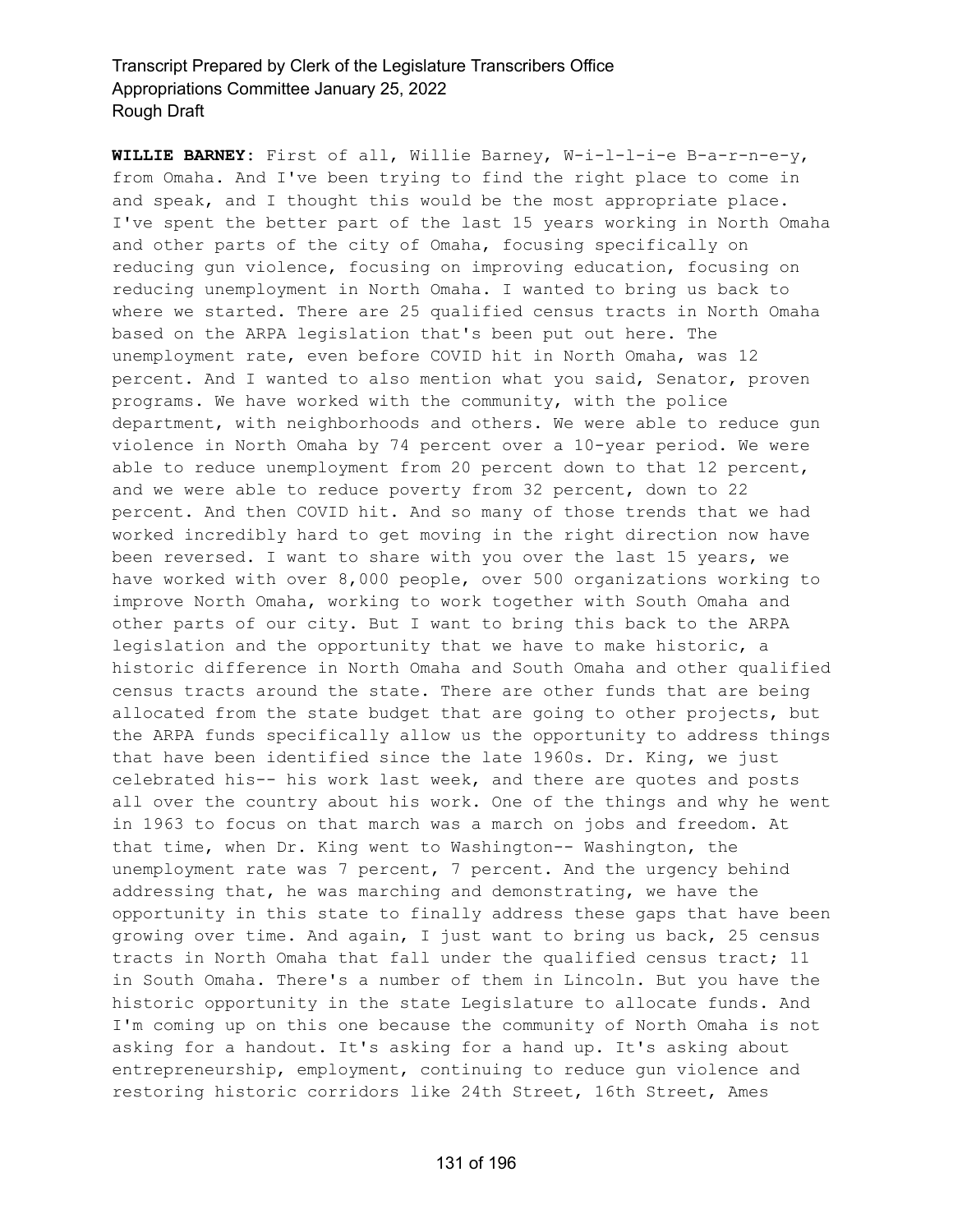**WILLIE BARNEY:** First of all, Willie Barney, W-i-l-l-i-e B-a-r-n-e-y, from Omaha. And I've been trying to find the right place to come in and speak, and I thought this would be the most appropriate place. I've spent the better part of the last 15 years working in North Omaha and other parts of the city of Omaha, focusing specifically on reducing gun violence, focusing on improving education, focusing on reducing unemployment in North Omaha. I wanted to bring us back to where we started. There are 25 qualified census tracts in North Omaha based on the ARPA legislation that's been put out here. The unemployment rate, even before COVID hit in North Omaha, was 12 percent. And I wanted to also mention what you said, Senator, proven programs. We have worked with the community, with the police department, with neighborhoods and others. We were able to reduce gun violence in North Omaha by 74 percent over a 10-year period. We were able to reduce unemployment from 20 percent down to that 12 percent, and we were able to reduce poverty from 32 percent, down to 22 percent. And then COVID hit. And so many of those trends that we had worked incredibly hard to get moving in the right direction now have been reversed. I want to share with you over the last 15 years, we have worked with over 8,000 people, over 500 organizations working to improve North Omaha, working to work together with South Omaha and other parts of our city. But I want to bring this back to the ARPA legislation and the opportunity that we have to make historic, a historic difference in North Omaha and South Omaha and other qualified census tracts around the state. There are other funds that are being allocated from the state budget that are going to other projects, but the ARPA funds specifically allow us the opportunity to address things that have been identified since the late 1960s. Dr. King, we just celebrated his-- his work last week, and there are quotes and posts all over the country about his work. One of the things and why he went in 1963 to focus on that march was a march on jobs and freedom. At that time, when Dr. King went to Washington-- Washington, the unemployment rate was 7 percent, 7 percent. And the urgency behind addressing that, he was marching and demonstrating, we have the opportunity in this state to finally address these gaps that have been growing over time. And again, I just want to bring us back, 25 census tracts in North Omaha that fall under the qualified census tract; 11 in South Omaha. There's a number of them in Lincoln. But you have the historic opportunity in the state Legislature to allocate funds. And I'm coming up on this one because the community of North Omaha is not asking for a handout. It's asking for a hand up. It's asking about entrepreneurship, employment, continuing to reduce gun violence and restoring historic corridors like 24th Street, 16th Street, Ames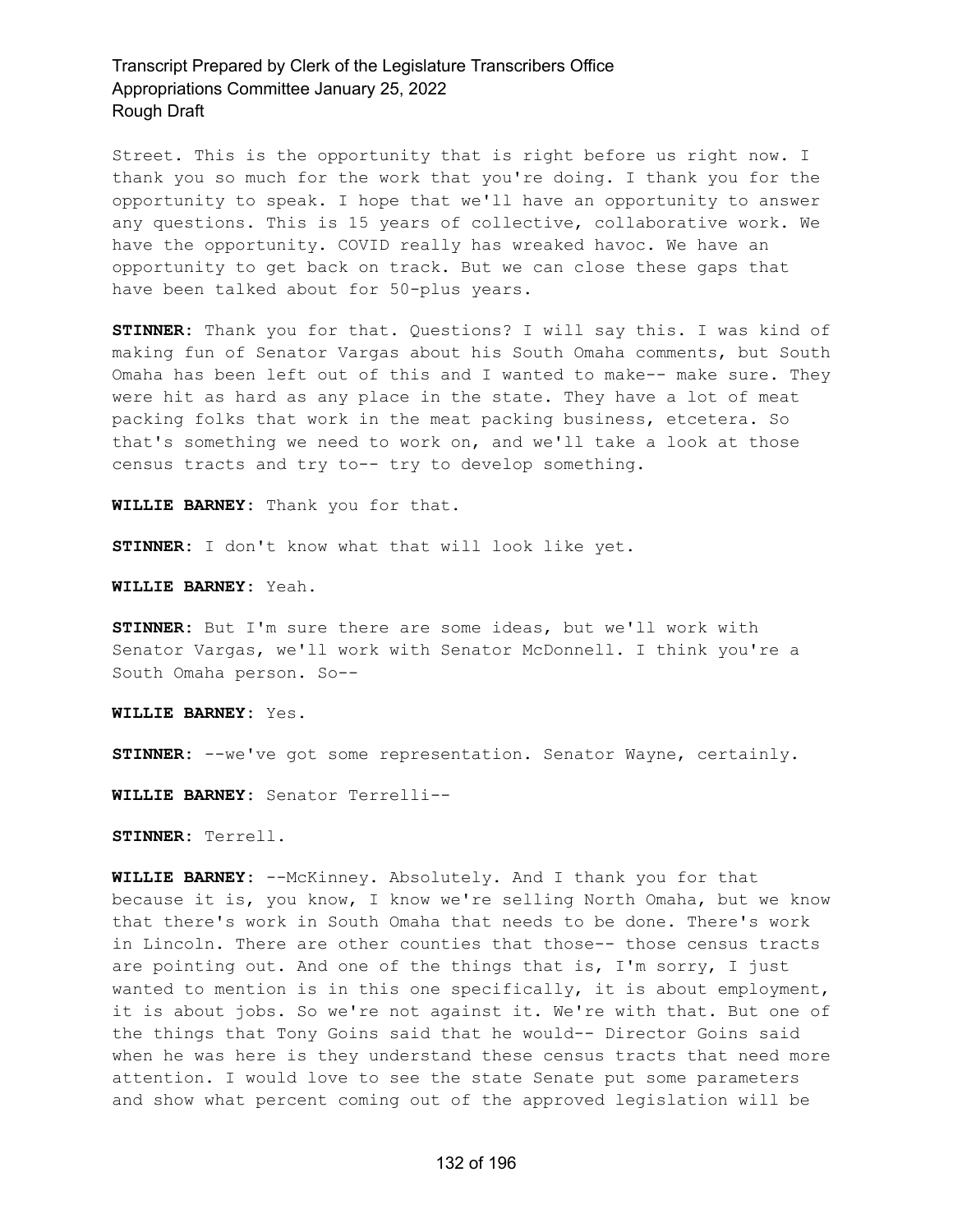Street. This is the opportunity that is right before us right now. I thank you so much for the work that you're doing. I thank you for the opportunity to speak. I hope that we'll have an opportunity to answer any questions. This is 15 years of collective, collaborative work. We have the opportunity. COVID really has wreaked havoc. We have an opportunity to get back on track. But we can close these gaps that have been talked about for 50-plus years.

**STINNER:** Thank you for that. Questions? I will say this. I was kind of making fun of Senator Vargas about his South Omaha comments, but South Omaha has been left out of this and I wanted to make-- make sure. They were hit as hard as any place in the state. They have a lot of meat packing folks that work in the meat packing business, etcetera. So that's something we need to work on, and we'll take a look at those census tracts and try to-- try to develop something.

**WILLIE BARNEY:** Thank you for that.

**STINNER:** I don't know what that will look like yet.

**WILLIE BARNEY:** Yeah.

**STINNER:** But I'm sure there are some ideas, but we'll work with Senator Vargas, we'll work with Senator McDonnell. I think you're a South Omaha person. So--

**WILLIE BARNEY:** Yes.

**STINNER:** --we've got some representation. Senator Wayne, certainly.

**WILLIE BARNEY:** Senator Terrelli--

**STINNER:** Terrell.

**WILLIE BARNEY:** --McKinney. Absolutely. And I thank you for that because it is, you know, I know we're selling North Omaha, but we know that there's work in South Omaha that needs to be done. There's work in Lincoln. There are other counties that those-- those census tracts are pointing out. And one of the things that is, I'm sorry, I just wanted to mention is in this one specifically, it is about employment, it is about jobs. So we're not against it. We're with that. But one of the things that Tony Goins said that he would-- Director Goins said when he was here is they understand these census tracts that need more attention. I would love to see the state Senate put some parameters and show what percent coming out of the approved legislation will be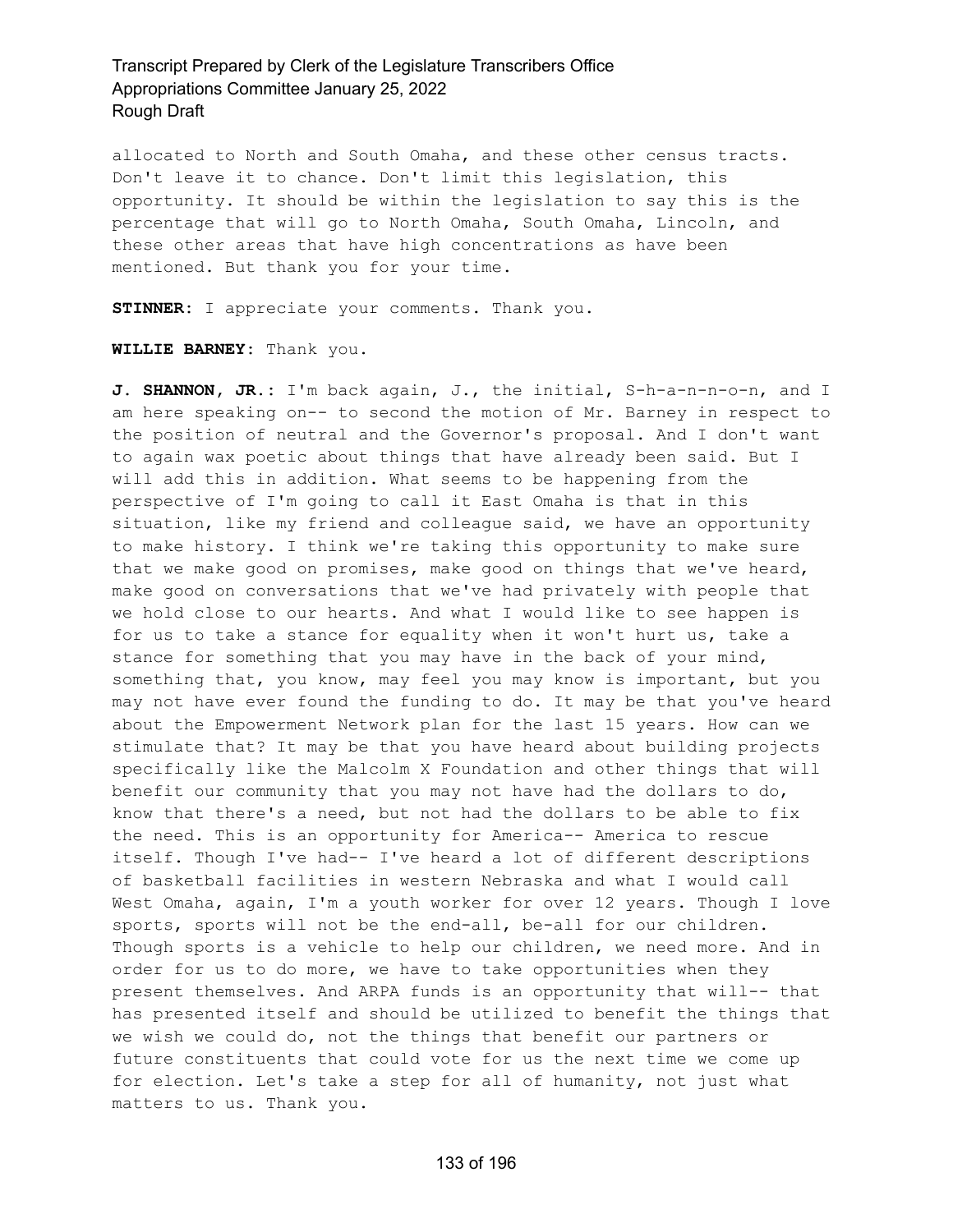allocated to North and South Omaha, and these other census tracts. Don't leave it to chance. Don't limit this legislation, this opportunity. It should be within the legislation to say this is the percentage that will go to North Omaha, South Omaha, Lincoln, and these other areas that have high concentrations as have been mentioned. But thank you for your time.

**STINNER:** I appreciate your comments. Thank you.

**WILLIE BARNEY:** Thank you.

**J. SHANNON, JR.:** I'm back again, J., the initial, S-h-a-n-n-o-n, and I am here speaking on-- to second the motion of Mr. Barney in respect to the position of neutral and the Governor's proposal. And I don't want to again wax poetic about things that have already been said. But I will add this in addition. What seems to be happening from the perspective of I'm going to call it East Omaha is that in this situation, like my friend and colleague said, we have an opportunity to make history. I think we're taking this opportunity to make sure that we make good on promises, make good on things that we've heard, make good on conversations that we've had privately with people that we hold close to our hearts. And what I would like to see happen is for us to take a stance for equality when it won't hurt us, take a stance for something that you may have in the back of your mind, something that, you know, may feel you may know is important, but you may not have ever found the funding to do. It may be that you've heard about the Empowerment Network plan for the last 15 years. How can we stimulate that? It may be that you have heard about building projects specifically like the Malcolm X Foundation and other things that will benefit our community that you may not have had the dollars to do, know that there's a need, but not had the dollars to be able to fix the need. This is an opportunity for America-- America to rescue itself. Though I've had-- I've heard a lot of different descriptions of basketball facilities in western Nebraska and what I would call West Omaha, again, I'm a youth worker for over 12 years. Though I love sports, sports will not be the end-all, be-all for our children. Though sports is a vehicle to help our children, we need more. And in order for us to do more, we have to take opportunities when they present themselves. And ARPA funds is an opportunity that will-- that has presented itself and should be utilized to benefit the things that we wish we could do, not the things that benefit our partners or future constituents that could vote for us the next time we come up for election. Let's take a step for all of humanity, not just what matters to us. Thank you.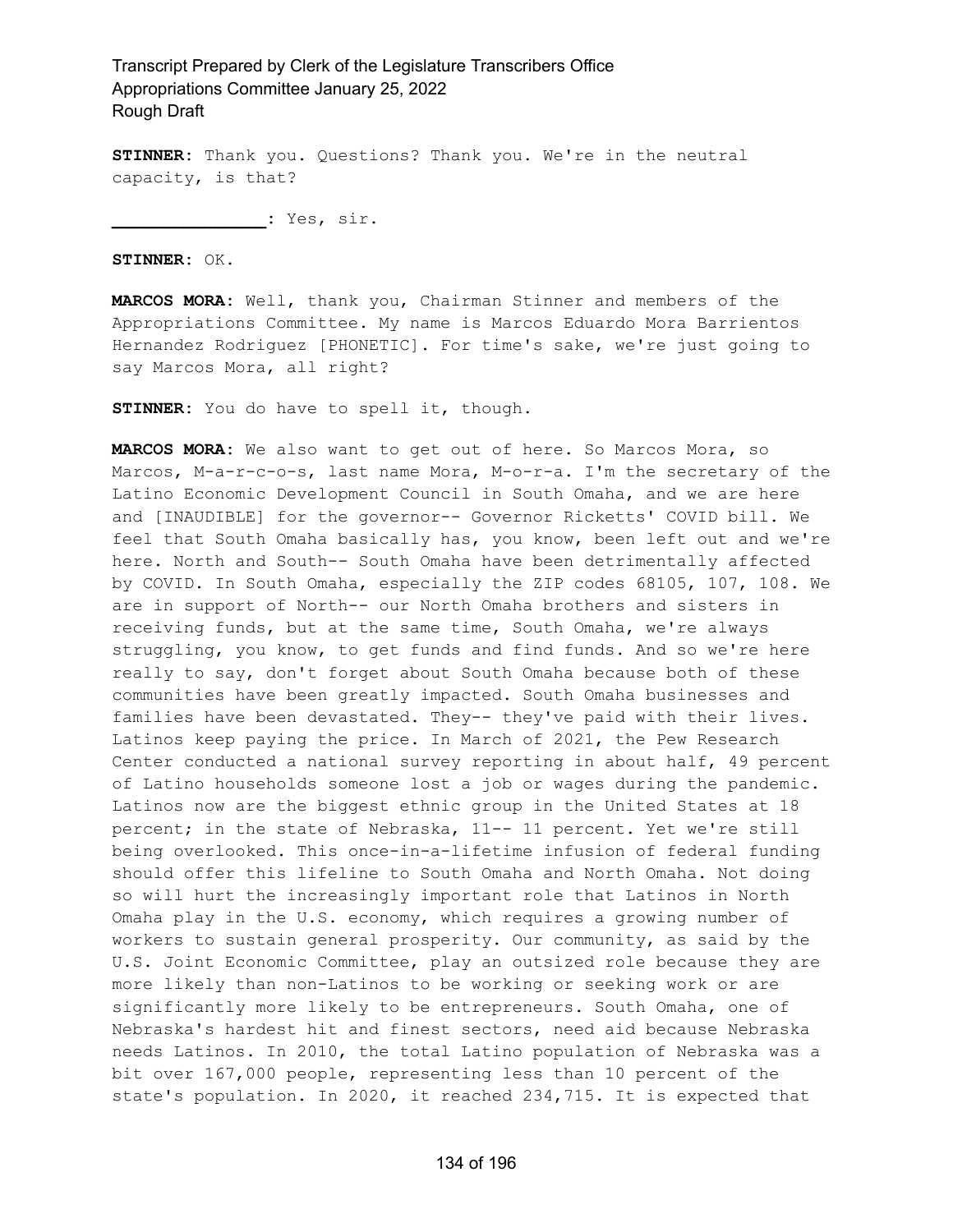**STINNER:** Thank you. Questions? Thank you. We're in the neutral capacity, is that?

**\_\_\_\_\_\_\_\_\_\_\_\_\_\_\_:** Yes, sir.

**STINNER:** OK.

**MARCOS MORA:** Well, thank you, Chairman Stinner and members of the Appropriations Committee. My name is Marcos Eduardo Mora Barrientos Hernandez Rodriguez [PHONETIC]. For time's sake, we're just going to say Marcos Mora, all right?

**STINNER:** You do have to spell it, though.

**MARCOS MORA:** We also want to get out of here. So Marcos Mora, so Marcos, M-a-r-c-o-s, last name Mora, M-o-r-a. I'm the secretary of the Latino Economic Development Council in South Omaha, and we are here and [INAUDIBLE] for the governor-- Governor Ricketts' COVID bill. We feel that South Omaha basically has, you know, been left out and we're here. North and South-- South Omaha have been detrimentally affected by COVID. In South Omaha, especially the ZIP codes 68105, 107, 108. We are in support of North-- our North Omaha brothers and sisters in receiving funds, but at the same time, South Omaha, we're always struggling, you know, to get funds and find funds. And so we're here really to say, don't forget about South Omaha because both of these communities have been greatly impacted. South Omaha businesses and families have been devastated. They-- they've paid with their lives. Latinos keep paying the price. In March of 2021, the Pew Research Center conducted a national survey reporting in about half, 49 percent of Latino households someone lost a job or wages during the pandemic. Latinos now are the biggest ethnic group in the United States at 18 percent; in the state of Nebraska, 11-- 11 percent. Yet we're still being overlooked. This once-in-a-lifetime infusion of federal funding should offer this lifeline to South Omaha and North Omaha. Not doing so will hurt the increasingly important role that Latinos in North Omaha play in the U.S. economy, which requires a growing number of workers to sustain general prosperity. Our community, as said by the U.S. Joint Economic Committee, play an outsized role because they are more likely than non-Latinos to be working or seeking work or are significantly more likely to be entrepreneurs. South Omaha, one of Nebraska's hardest hit and finest sectors, need aid because Nebraska needs Latinos. In 2010, the total Latino population of Nebraska was a bit over 167,000 people, representing less than 10 percent of the state's population. In 2020, it reached 234,715. It is expected that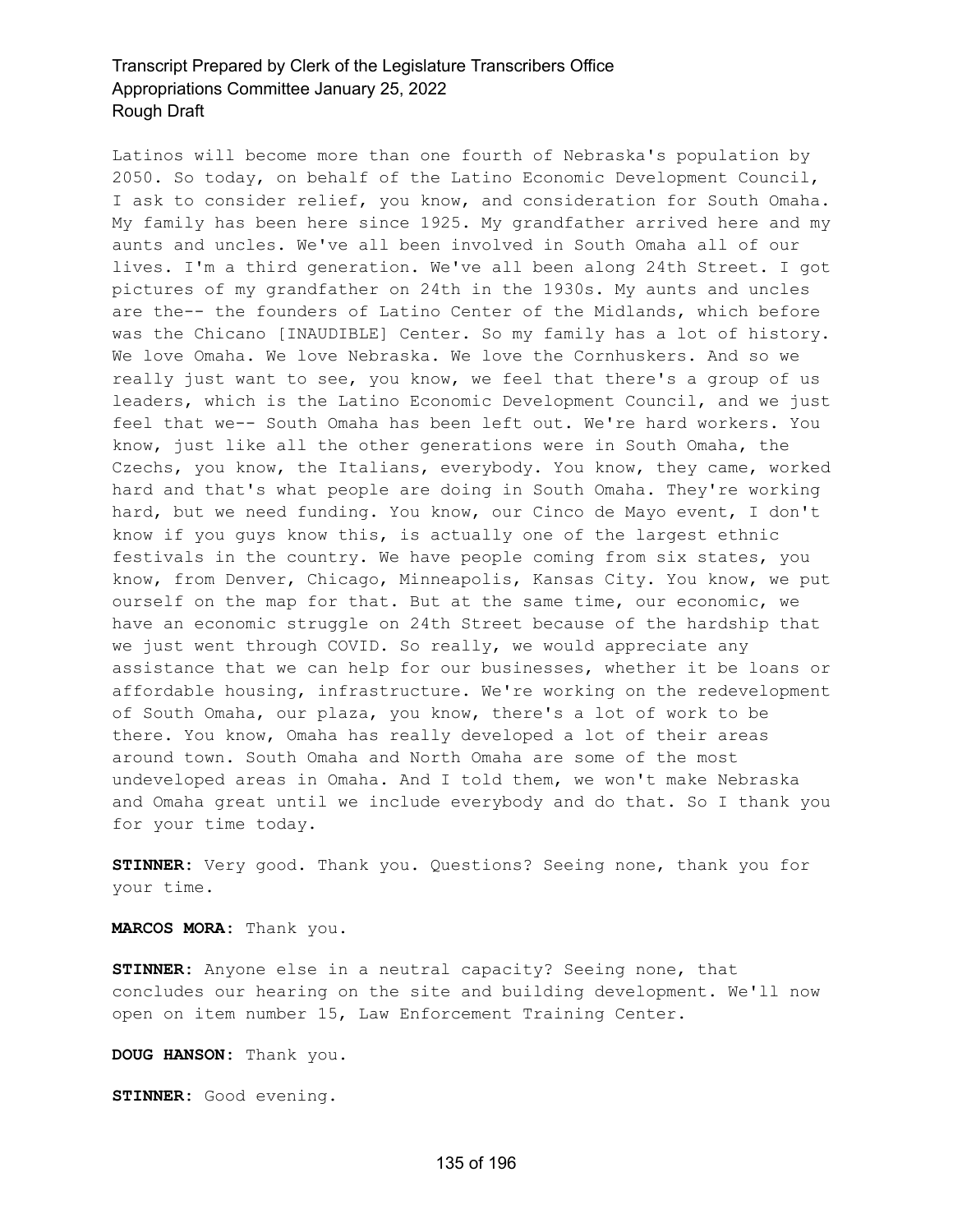Latinos will become more than one fourth of Nebraska's population by 2050. So today, on behalf of the Latino Economic Development Council, I ask to consider relief, you know, and consideration for South Omaha. My family has been here since 1925. My grandfather arrived here and my aunts and uncles. We've all been involved in South Omaha all of our lives. I'm a third generation. We've all been along 24th Street. I got pictures of my grandfather on 24th in the 1930s. My aunts and uncles are the-- the founders of Latino Center of the Midlands, which before was the Chicano [INAUDIBLE] Center. So my family has a lot of history. We love Omaha. We love Nebraska. We love the Cornhuskers. And so we really just want to see, you know, we feel that there's a group of us leaders, which is the Latino Economic Development Council, and we just feel that we-- South Omaha has been left out. We're hard workers. You know, just like all the other generations were in South Omaha, the Czechs, you know, the Italians, everybody. You know, they came, worked hard and that's what people are doing in South Omaha. They're working hard, but we need funding. You know, our Cinco de Mayo event, I don't know if you guys know this, is actually one of the largest ethnic festivals in the country. We have people coming from six states, you know, from Denver, Chicago, Minneapolis, Kansas City. You know, we put ourself on the map for that. But at the same time, our economic, we have an economic struggle on 24th Street because of the hardship that we just went through COVID. So really, we would appreciate any assistance that we can help for our businesses, whether it be loans or affordable housing, infrastructure. We're working on the redevelopment of South Omaha, our plaza, you know, there's a lot of work to be there. You know, Omaha has really developed a lot of their areas around town. South Omaha and North Omaha are some of the most undeveloped areas in Omaha. And I told them, we won't make Nebraska and Omaha great until we include everybody and do that. So I thank you for your time today.

**STINNER:** Very good. Thank you. Questions? Seeing none, thank you for your time.

**MARCOS MORA:** Thank you.

**STINNER:** Anyone else in a neutral capacity? Seeing none, that concludes our hearing on the site and building development. We'll now open on item number 15, Law Enforcement Training Center.

**DOUG HANSON:** Thank you.

**STINNER:** Good evening.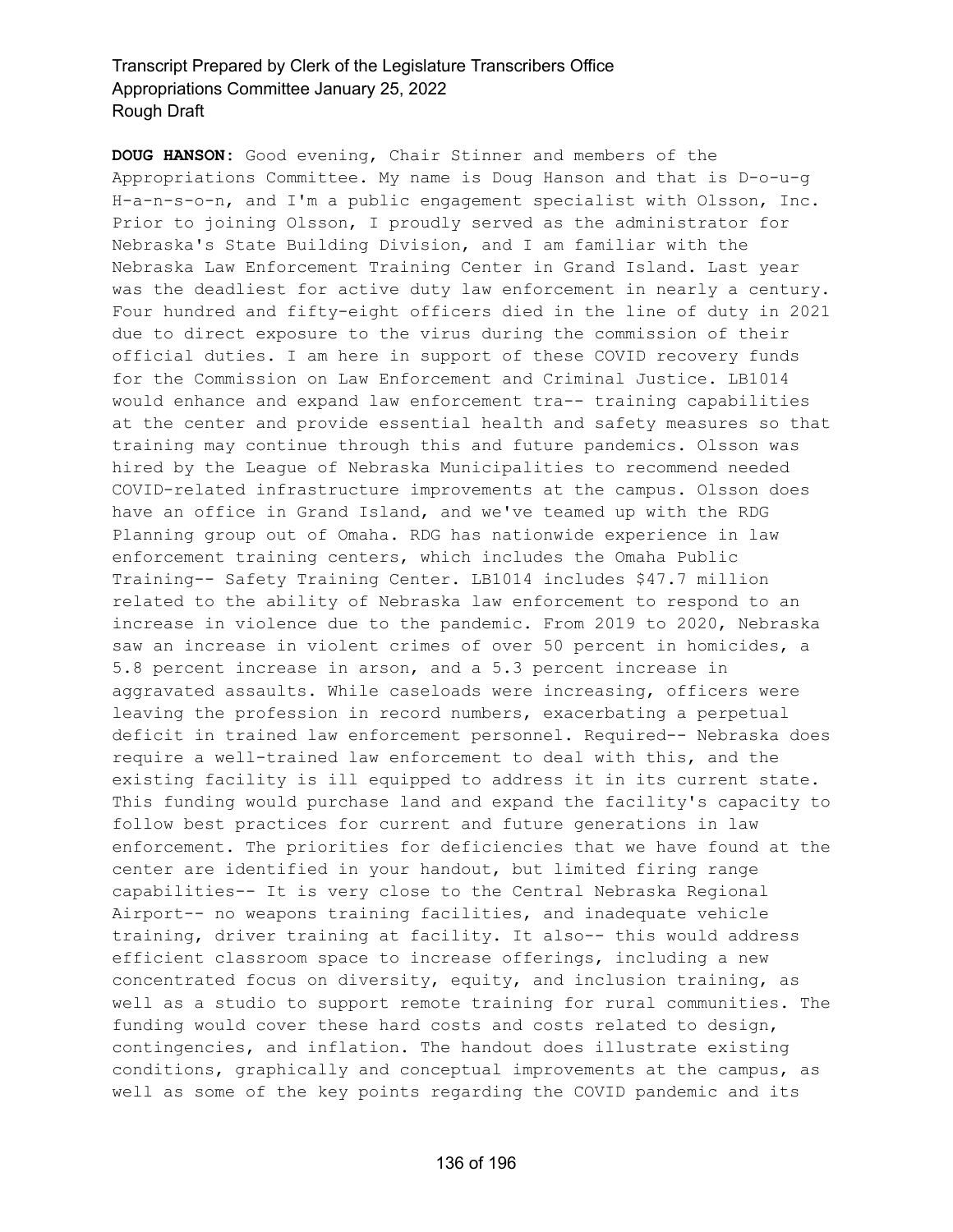**DOUG HANSON:** Good evening, Chair Stinner and members of the Appropriations Committee. My name is Doug Hanson and that is D-o-u-g H-a-n-s-o-n, and I'm a public engagement specialist with Olsson, Inc. Prior to joining Olsson, I proudly served as the administrator for Nebraska's State Building Division, and I am familiar with the Nebraska Law Enforcement Training Center in Grand Island. Last year was the deadliest for active duty law enforcement in nearly a century. Four hundred and fifty-eight officers died in the line of duty in 2021 due to direct exposure to the virus during the commission of their official duties. I am here in support of these COVID recovery funds for the Commission on Law Enforcement and Criminal Justice. LB1014 would enhance and expand law enforcement tra-- training capabilities at the center and provide essential health and safety measures so that training may continue through this and future pandemics. Olsson was hired by the League of Nebraska Municipalities to recommend needed COVID-related infrastructure improvements at the campus. Olsson does have an office in Grand Island, and we've teamed up with the RDG Planning group out of Omaha. RDG has nationwide experience in law enforcement training centers, which includes the Omaha Public Training-- Safety Training Center. LB1014 includes \$47.7 million related to the ability of Nebraska law enforcement to respond to an increase in violence due to the pandemic. From 2019 to 2020, Nebraska saw an increase in violent crimes of over 50 percent in homicides, a 5.8 percent increase in arson, and a 5.3 percent increase in aggravated assaults. While caseloads were increasing, officers were leaving the profession in record numbers, exacerbating a perpetual deficit in trained law enforcement personnel. Required-- Nebraska does require a well-trained law enforcement to deal with this, and the existing facility is ill equipped to address it in its current state. This funding would purchase land and expand the facility's capacity to follow best practices for current and future generations in law enforcement. The priorities for deficiencies that we have found at the center are identified in your handout, but limited firing range capabilities-- It is very close to the Central Nebraska Regional Airport-- no weapons training facilities, and inadequate vehicle training, driver training at facility. It also-- this would address efficient classroom space to increase offerings, including a new concentrated focus on diversity, equity, and inclusion training, as well as a studio to support remote training for rural communities. The funding would cover these hard costs and costs related to design, contingencies, and inflation. The handout does illustrate existing conditions, graphically and conceptual improvements at the campus, as well as some of the key points regarding the COVID pandemic and its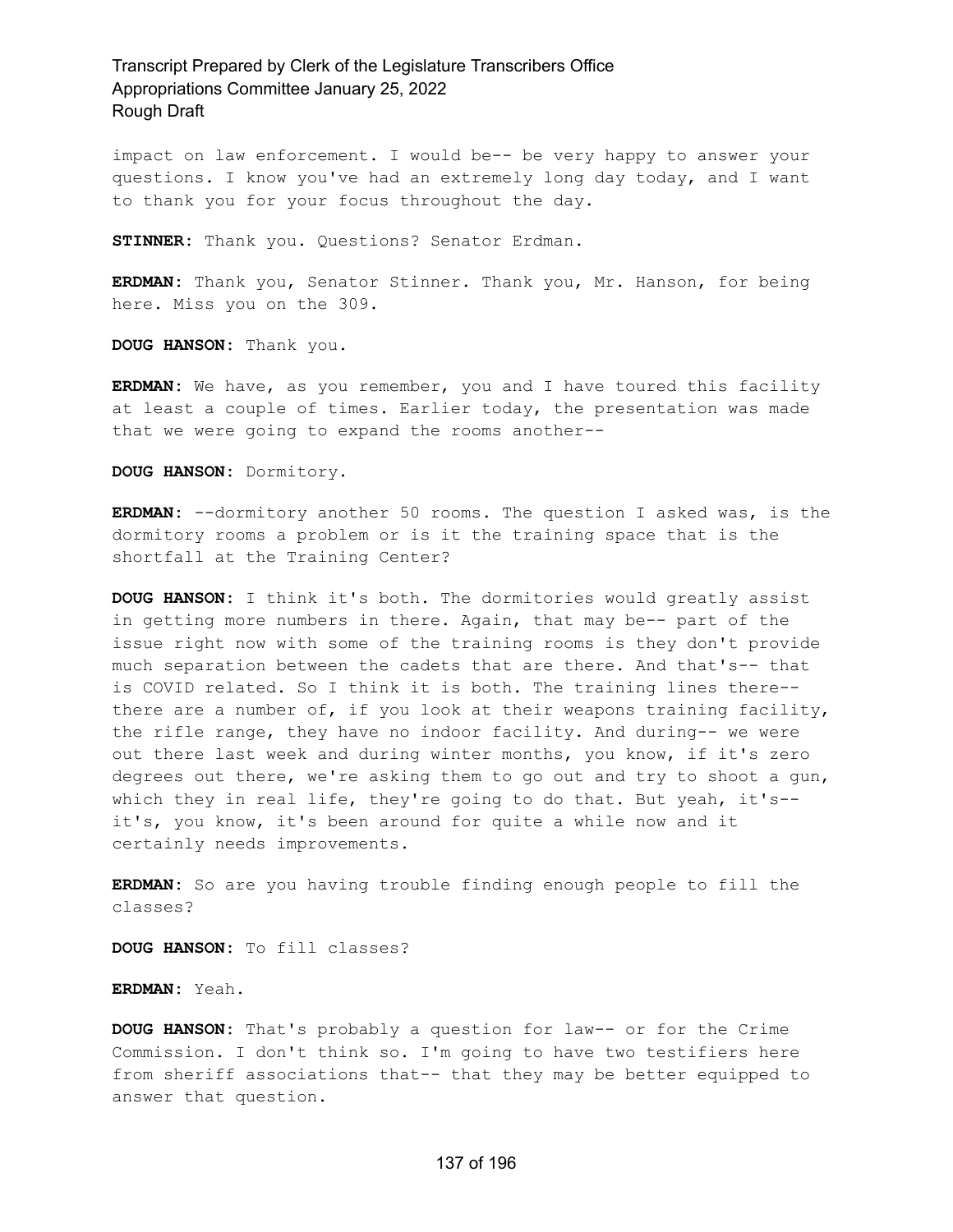impact on law enforcement. I would be-- be very happy to answer your questions. I know you've had an extremely long day today, and I want to thank you for your focus throughout the day.

**STINNER:** Thank you. Questions? Senator Erdman.

**ERDMAN:** Thank you, Senator Stinner. Thank you, Mr. Hanson, for being here. Miss you on the 309.

**DOUG HANSON:** Thank you.

**ERDMAN:** We have, as you remember, you and I have toured this facility at least a couple of times. Earlier today, the presentation was made that we were going to expand the rooms another--

**DOUG HANSON:** Dormitory.

**ERDMAN:** --dormitory another 50 rooms. The question I asked was, is the dormitory rooms a problem or is it the training space that is the shortfall at the Training Center?

**DOUG HANSON:** I think it's both. The dormitories would greatly assist in getting more numbers in there. Again, that may be-- part of the issue right now with some of the training rooms is they don't provide much separation between the cadets that are there. And that's-- that is COVID related. So I think it is both. The training lines there- there are a number of, if you look at their weapons training facility, the rifle range, they have no indoor facility. And during-- we were out there last week and during winter months, you know, if it's zero degrees out there, we're asking them to go out and try to shoot a gun, which they in real life, they're going to do that. But yeah, it's-it's, you know, it's been around for quite a while now and it certainly needs improvements.

**ERDMAN:** So are you having trouble finding enough people to fill the classes?

**DOUG HANSON:** To fill classes?

**ERDMAN:** Yeah.

**DOUG HANSON:** That's probably a question for law-- or for the Crime Commission. I don't think so. I'm going to have two testifiers here from sheriff associations that-- that they may be better equipped to answer that question.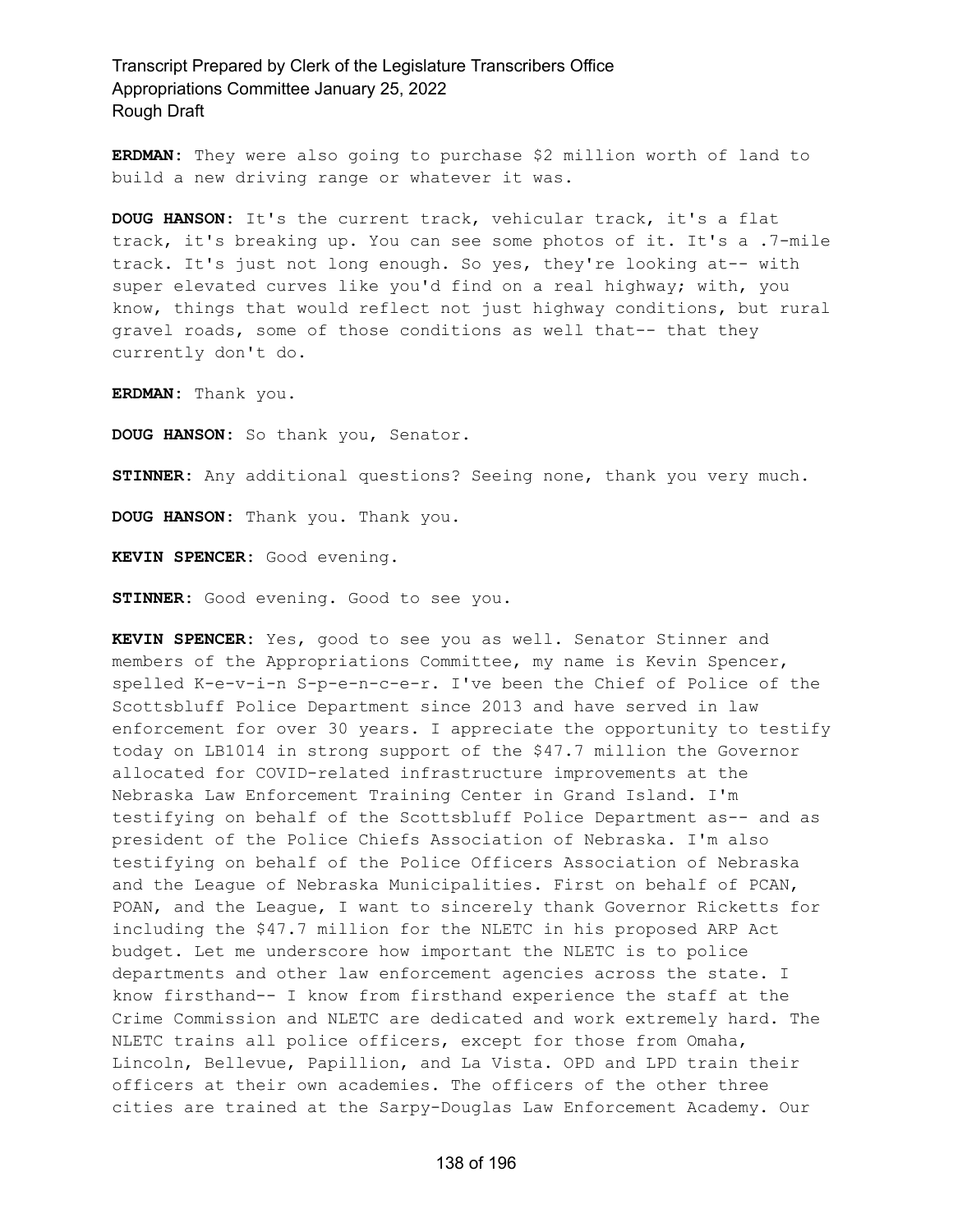**ERDMAN:** They were also going to purchase \$2 million worth of land to build a new driving range or whatever it was.

**DOUG HANSON:** It's the current track, vehicular track, it's a flat track, it's breaking up. You can see some photos of it. It's a .7-mile track. It's just not long enough. So yes, they're looking at-- with super elevated curves like you'd find on a real highway; with, you know, things that would reflect not just highway conditions, but rural gravel roads, some of those conditions as well that-- that they currently don't do.

**ERDMAN:** Thank you.

**DOUG HANSON:** So thank you, Senator.

**STINNER:** Any additional questions? Seeing none, thank you very much.

**DOUG HANSON:** Thank you. Thank you.

**KEVIN SPENCER:** Good evening.

**STINNER:** Good evening. Good to see you.

**KEVIN SPENCER:** Yes, good to see you as well. Senator Stinner and members of the Appropriations Committee, my name is Kevin Spencer, spelled K-e-v-i-n S-p-e-n-c-e-r. I've been the Chief of Police of the Scottsbluff Police Department since 2013 and have served in law enforcement for over 30 years. I appreciate the opportunity to testify today on LB1014 in strong support of the \$47.7 million the Governor allocated for COVID-related infrastructure improvements at the Nebraska Law Enforcement Training Center in Grand Island. I'm testifying on behalf of the Scottsbluff Police Department as-- and as president of the Police Chiefs Association of Nebraska. I'm also testifying on behalf of the Police Officers Association of Nebraska and the League of Nebraska Municipalities. First on behalf of PCAN, POAN, and the League, I want to sincerely thank Governor Ricketts for including the \$47.7 million for the NLETC in his proposed ARP Act budget. Let me underscore how important the NLETC is to police departments and other law enforcement agencies across the state. I know firsthand-- I know from firsthand experience the staff at the Crime Commission and NLETC are dedicated and work extremely hard. The NLETC trains all police officers, except for those from Omaha, Lincoln, Bellevue, Papillion, and La Vista. OPD and LPD train their officers at their own academies. The officers of the other three cities are trained at the Sarpy-Douglas Law Enforcement Academy. Our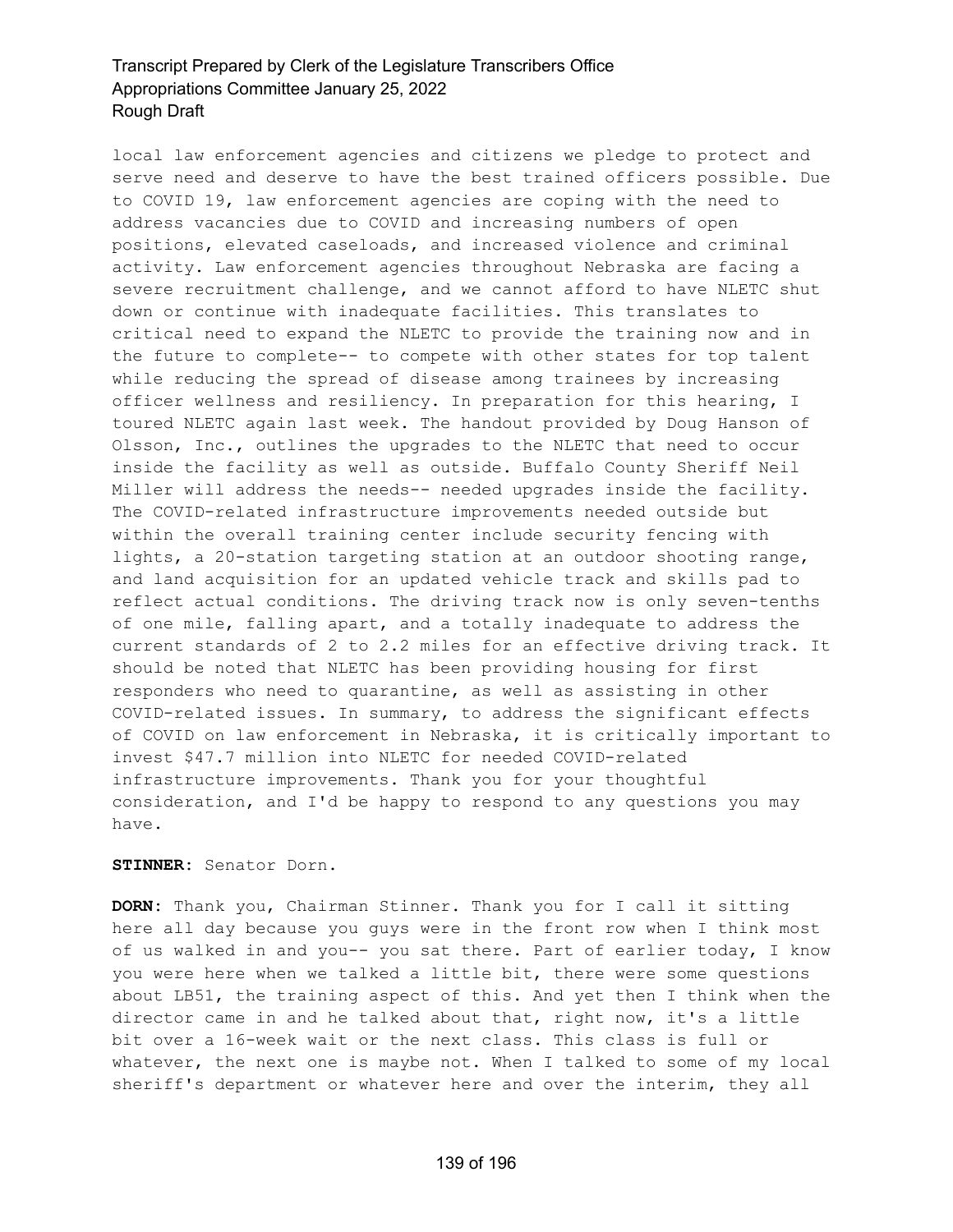local law enforcement agencies and citizens we pledge to protect and serve need and deserve to have the best trained officers possible. Due to COVID 19, law enforcement agencies are coping with the need to address vacancies due to COVID and increasing numbers of open positions, elevated caseloads, and increased violence and criminal activity. Law enforcement agencies throughout Nebraska are facing a severe recruitment challenge, and we cannot afford to have NLETC shut down or continue with inadequate facilities. This translates to critical need to expand the NLETC to provide the training now and in the future to complete-- to compete with other states for top talent while reducing the spread of disease among trainees by increasing officer wellness and resiliency. In preparation for this hearing, I toured NLETC again last week. The handout provided by Doug Hanson of Olsson, Inc., outlines the upgrades to the NLETC that need to occur inside the facility as well as outside. Buffalo County Sheriff Neil Miller will address the needs-- needed upgrades inside the facility. The COVID-related infrastructure improvements needed outside but within the overall training center include security fencing with lights, a 20-station targeting station at an outdoor shooting range, and land acquisition for an updated vehicle track and skills pad to reflect actual conditions. The driving track now is only seven-tenths of one mile, falling apart, and a totally inadequate to address the current standards of 2 to 2.2 miles for an effective driving track. It should be noted that NLETC has been providing housing for first responders who need to quarantine, as well as assisting in other COVID-related issues. In summary, to address the significant effects of COVID on law enforcement in Nebraska, it is critically important to invest \$47.7 million into NLETC for needed COVID-related infrastructure improvements. Thank you for your thoughtful consideration, and I'd be happy to respond to any questions you may have.

### **STINNER:** Senator Dorn.

**DORN:** Thank you, Chairman Stinner. Thank you for I call it sitting here all day because you guys were in the front row when I think most of us walked in and you-- you sat there. Part of earlier today, I know you were here when we talked a little bit, there were some questions about LB51, the training aspect of this. And yet then I think when the director came in and he talked about that, right now, it's a little bit over a 16-week wait or the next class. This class is full or whatever, the next one is maybe not. When I talked to some of my local sheriff's department or whatever here and over the interim, they all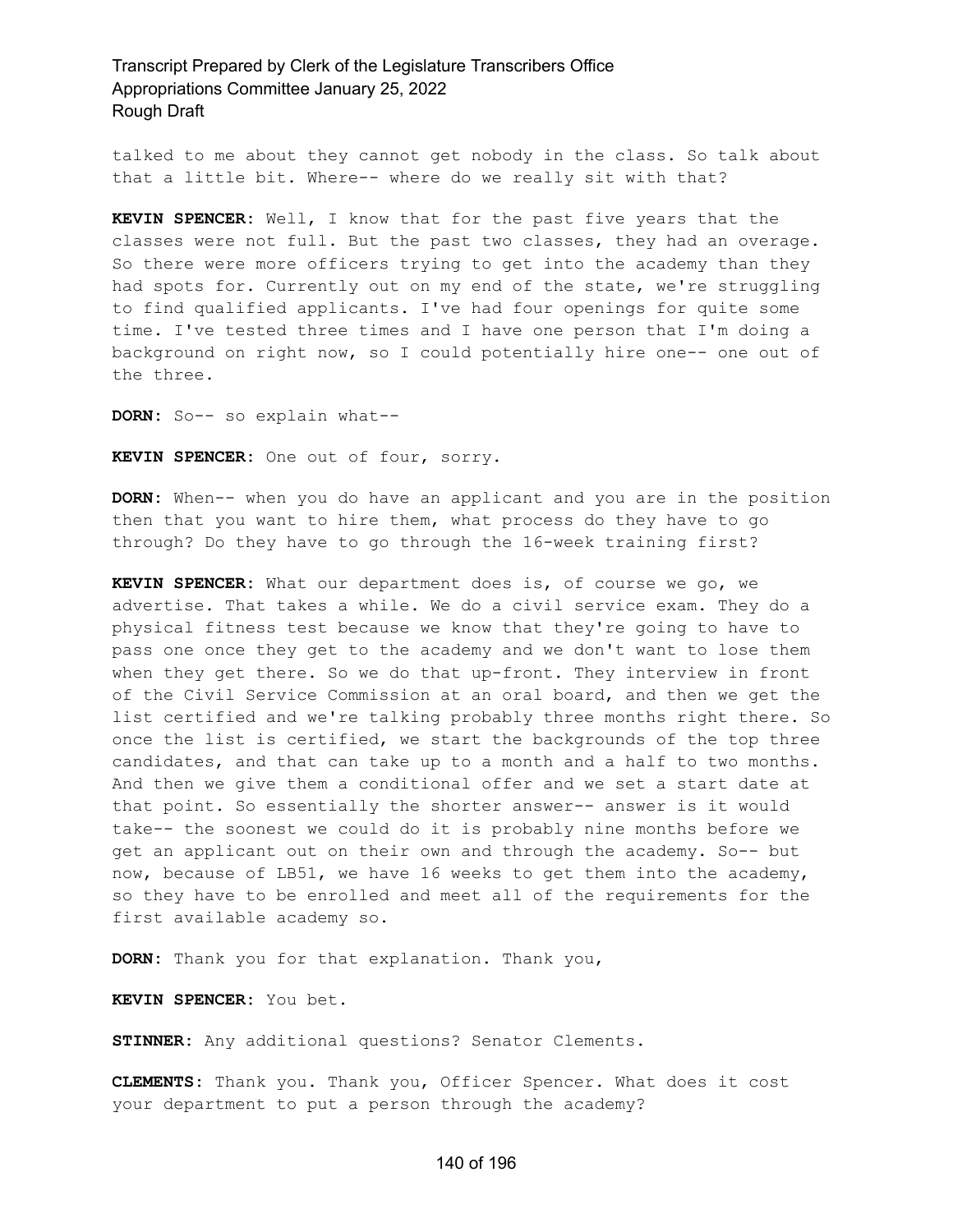talked to me about they cannot get nobody in the class. So talk about that a little bit. Where-- where do we really sit with that?

**KEVIN SPENCER:** Well, I know that for the past five years that the classes were not full. But the past two classes, they had an overage. So there were more officers trying to get into the academy than they had spots for. Currently out on my end of the state, we're struggling to find qualified applicants. I've had four openings for quite some time. I've tested three times and I have one person that I'm doing a background on right now, so I could potentially hire one-- one out of the three.

**DORN:** So-- so explain what--

**KEVIN SPENCER:** One out of four, sorry.

**DORN:** When-- when you do have an applicant and you are in the position then that you want to hire them, what process do they have to go through? Do they have to go through the 16-week training first?

**KEVIN SPENCER:** What our department does is, of course we go, we advertise. That takes a while. We do a civil service exam. They do a physical fitness test because we know that they're going to have to pass one once they get to the academy and we don't want to lose them when they get there. So we do that up-front. They interview in front of the Civil Service Commission at an oral board, and then we get the list certified and we're talking probably three months right there. So once the list is certified, we start the backgrounds of the top three candidates, and that can take up to a month and a half to two months. And then we give them a conditional offer and we set a start date at that point. So essentially the shorter answer-- answer is it would take-- the soonest we could do it is probably nine months before we get an applicant out on their own and through the academy. So-- but now, because of LB51, we have 16 weeks to get them into the academy, so they have to be enrolled and meet all of the requirements for the first available academy so.

**DORN:** Thank you for that explanation. Thank you,

**KEVIN SPENCER:** You bet.

**STINNER:** Any additional questions? Senator Clements.

**CLEMENTS:** Thank you. Thank you, Officer Spencer. What does it cost your department to put a person through the academy?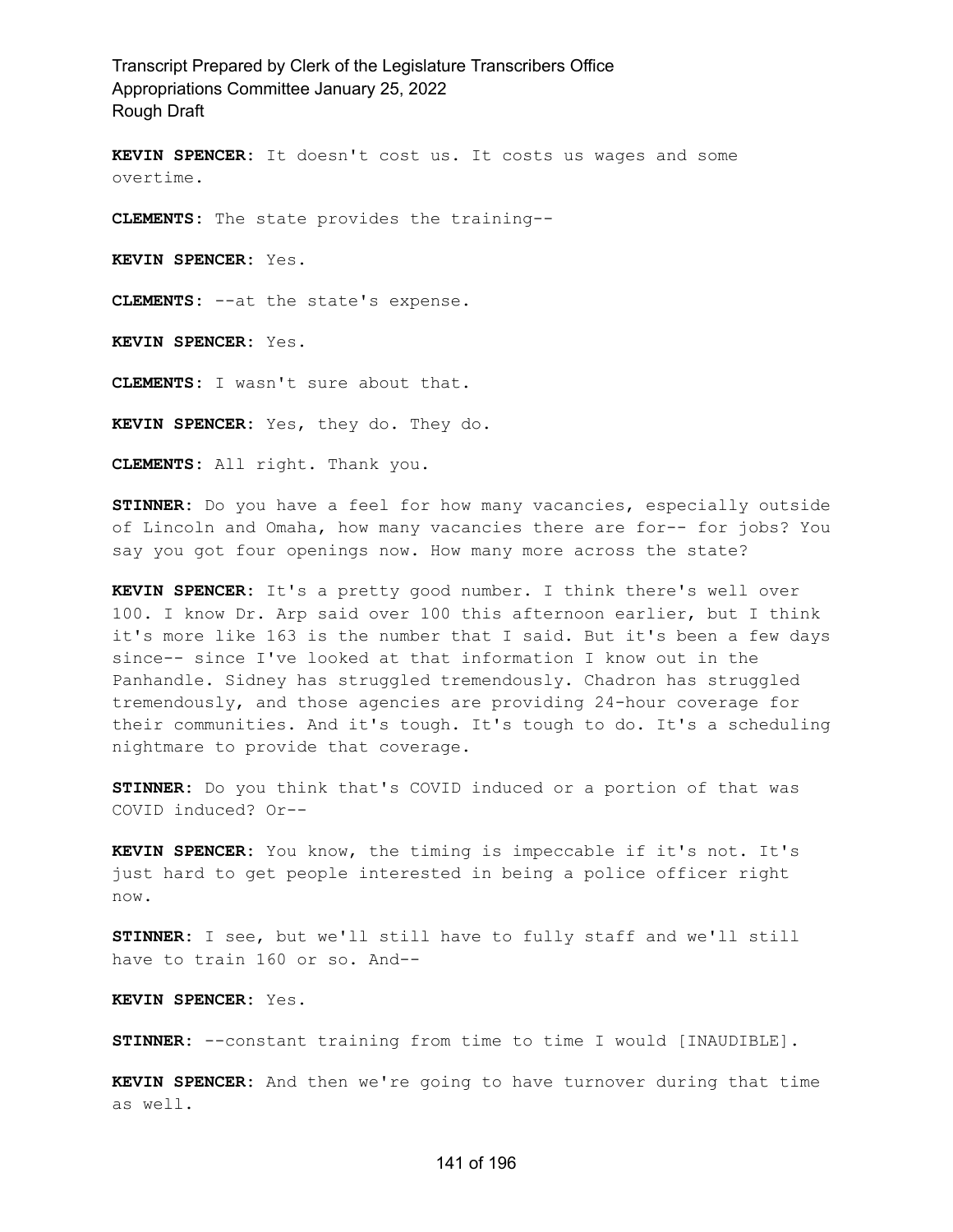**KEVIN SPENCER:** It doesn't cost us. It costs us wages and some overtime.

**CLEMENTS:** The state provides the training--

**KEVIN SPENCER:** Yes.

**CLEMENTS:** --at the state's expense.

**KEVIN SPENCER:** Yes.

**CLEMENTS:** I wasn't sure about that.

**KEVIN SPENCER:** Yes, they do. They do.

**CLEMENTS:** All right. Thank you.

**STINNER:** Do you have a feel for how many vacancies, especially outside of Lincoln and Omaha, how many vacancies there are for-- for jobs? You say you got four openings now. How many more across the state?

**KEVIN SPENCER:** It's a pretty good number. I think there's well over 100. I know Dr. Arp said over 100 this afternoon earlier, but I think it's more like 163 is the number that I said. But it's been a few days since-- since I've looked at that information I know out in the Panhandle. Sidney has struggled tremendously. Chadron has struggled tremendously, and those agencies are providing 24-hour coverage for their communities. And it's tough. It's tough to do. It's a scheduling nightmare to provide that coverage.

**STINNER:** Do you think that's COVID induced or a portion of that was COVID induced? Or--

**KEVIN SPENCER:** You know, the timing is impeccable if it's not. It's just hard to get people interested in being a police officer right now.

**STINNER:** I see, but we'll still have to fully staff and we'll still have to train 160 or so. And--

**KEVIN SPENCER:** Yes.

**STINNER:** --constant training from time to time I would [INAUDIBLE].

**KEVIN SPENCER:** And then we're going to have turnover during that time as well.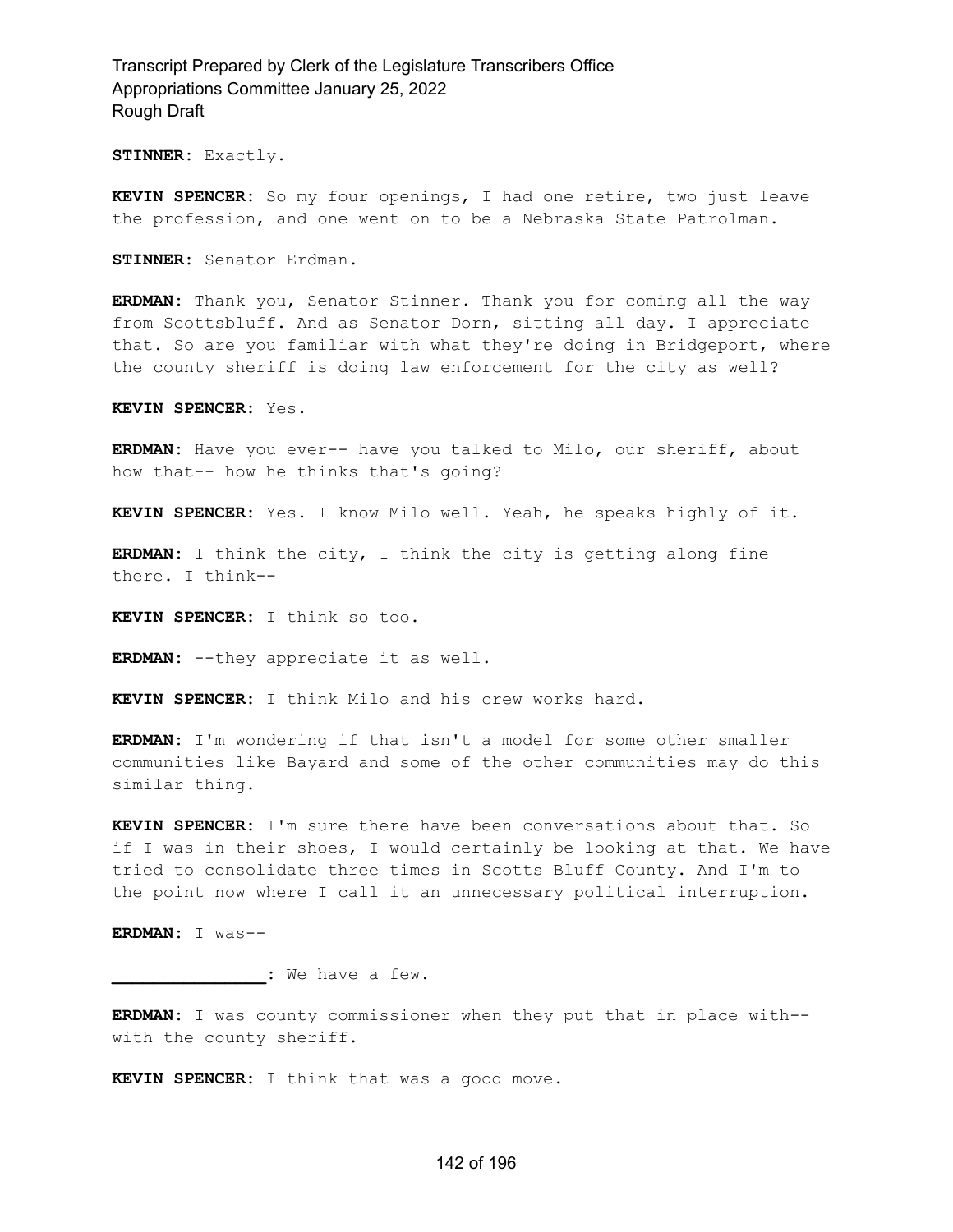**STINNER:** Exactly.

**KEVIN SPENCER:** So my four openings, I had one retire, two just leave the profession, and one went on to be a Nebraska State Patrolman.

**STINNER:** Senator Erdman.

**ERDMAN:** Thank you, Senator Stinner. Thank you for coming all the way from Scottsbluff. And as Senator Dorn, sitting all day. I appreciate that. So are you familiar with what they're doing in Bridgeport, where the county sheriff is doing law enforcement for the city as well?

**KEVIN SPENCER:** Yes.

**ERDMAN:** Have you ever-- have you talked to Milo, our sheriff, about how that-- how he thinks that's going?

**KEVIN SPENCER:** Yes. I know Milo well. Yeah, he speaks highly of it.

**ERDMAN:** I think the city, I think the city is getting along fine there. I think--

**KEVIN SPENCER:** I think so too.

**ERDMAN:** --they appreciate it as well.

**KEVIN SPENCER:** I think Milo and his crew works hard.

**ERDMAN:** I'm wondering if that isn't a model for some other smaller communities like Bayard and some of the other communities may do this similar thing.

**KEVIN SPENCER:** I'm sure there have been conversations about that. So if I was in their shoes, I would certainly be looking at that. We have tried to consolidate three times in Scotts Bluff County. And I'm to the point now where I call it an unnecessary political interruption.

**ERDMAN:** I was--

**\_\_\_\_\_\_\_\_\_\_\_\_\_\_\_:** We have a few.

**ERDMAN:** I was county commissioner when they put that in place with- with the county sheriff.

**KEVIN SPENCER:** I think that was a good move.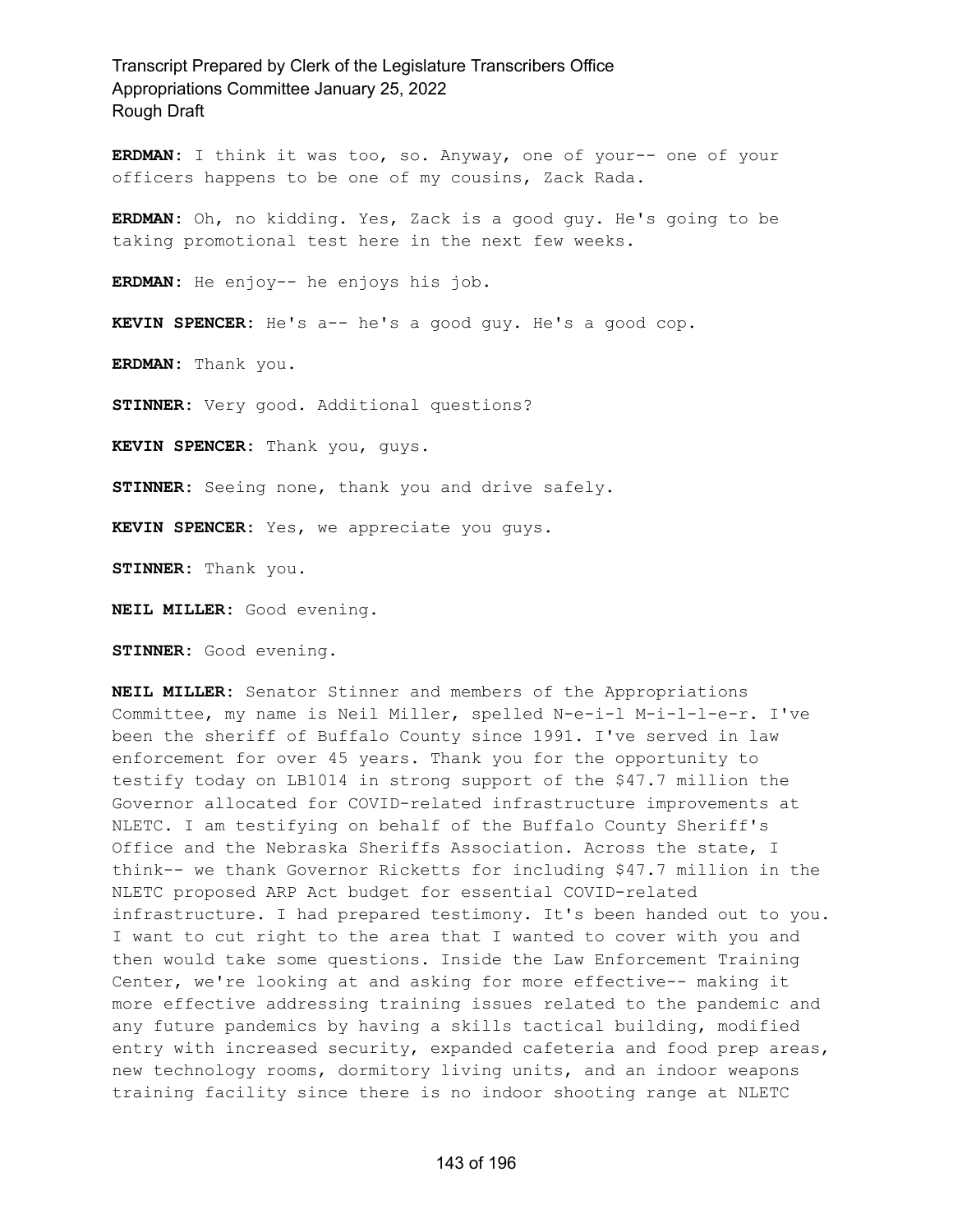**ERDMAN:** I think it was too, so. Anyway, one of your-- one of your officers happens to be one of my cousins, Zack Rada.

**ERDMAN:** Oh, no kidding. Yes, Zack is a good guy. He's going to be taking promotional test here in the next few weeks.

**ERDMAN:** He enjoy-- he enjoys his job.

**KEVIN SPENCER:** He's a-- he's a good guy. He's a good cop.

**ERDMAN:** Thank you.

**STINNER:** Very good. Additional questions?

**KEVIN SPENCER:** Thank you, guys.

**STINNER:** Seeing none, thank you and drive safely.

**KEVIN SPENCER:** Yes, we appreciate you guys.

**STINNER:** Thank you.

**NEIL MILLER:** Good evening.

**STINNER:** Good evening.

**NEIL MILLER:** Senator Stinner and members of the Appropriations Committee, my name is Neil Miller, spelled N-e-i-l M-i-l-l-e-r. I've been the sheriff of Buffalo County since 1991. I've served in law enforcement for over 45 years. Thank you for the opportunity to testify today on LB1014 in strong support of the \$47.7 million the Governor allocated for COVID-related infrastructure improvements at NLETC. I am testifying on behalf of the Buffalo County Sheriff's Office and the Nebraska Sheriffs Association. Across the state, I think-- we thank Governor Ricketts for including \$47.7 million in the NLETC proposed ARP Act budget for essential COVID-related infrastructure. I had prepared testimony. It's been handed out to you. I want to cut right to the area that I wanted to cover with you and then would take some questions. Inside the Law Enforcement Training Center, we're looking at and asking for more effective-- making it more effective addressing training issues related to the pandemic and any future pandemics by having a skills tactical building, modified entry with increased security, expanded cafeteria and food prep areas, new technology rooms, dormitory living units, and an indoor weapons training facility since there is no indoor shooting range at NLETC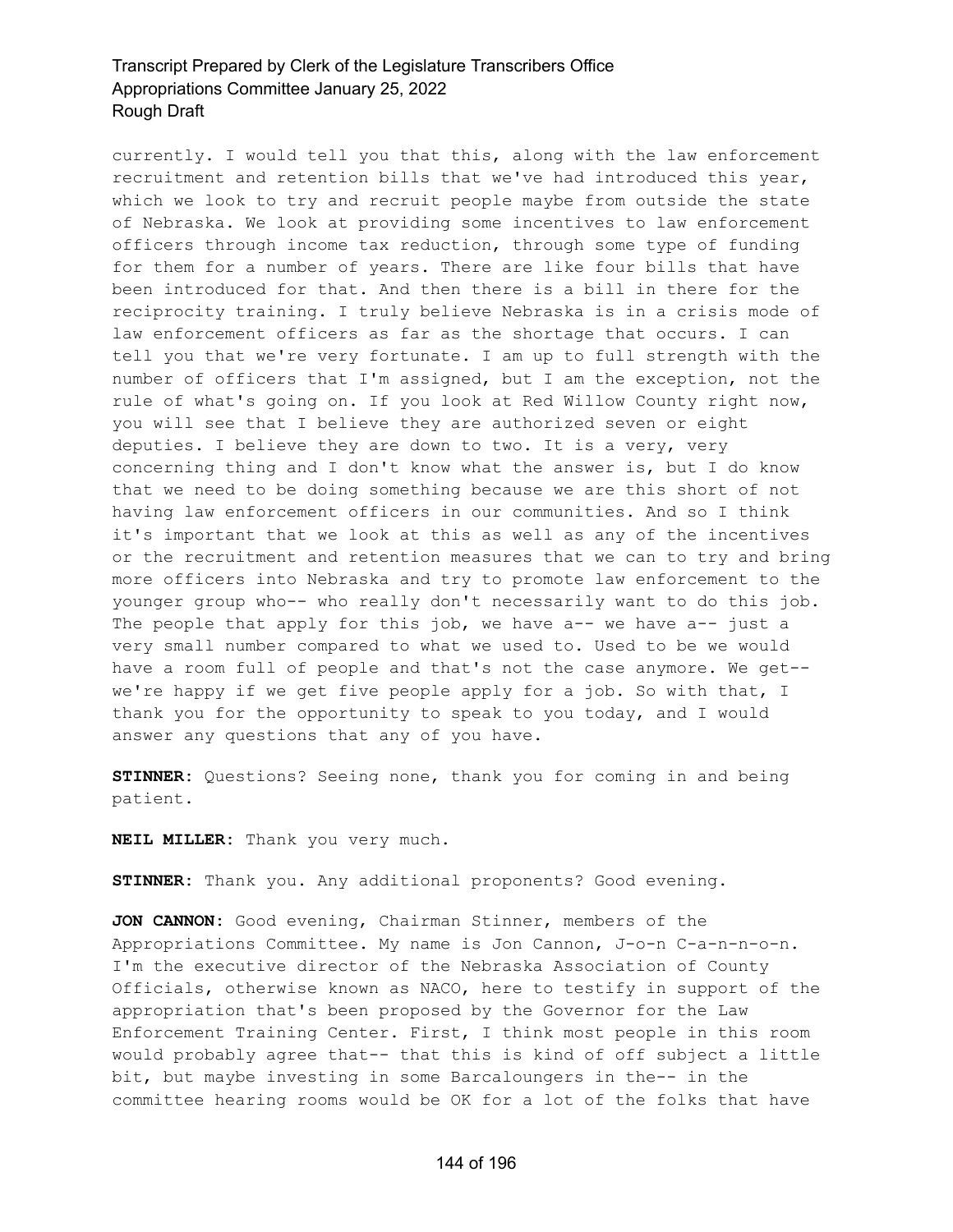currently. I would tell you that this, along with the law enforcement recruitment and retention bills that we've had introduced this year, which we look to try and recruit people maybe from outside the state of Nebraska. We look at providing some incentives to law enforcement officers through income tax reduction, through some type of funding for them for a number of years. There are like four bills that have been introduced for that. And then there is a bill in there for the reciprocity training. I truly believe Nebraska is in a crisis mode of law enforcement officers as far as the shortage that occurs. I can tell you that we're very fortunate. I am up to full strength with the number of officers that I'm assigned, but I am the exception, not the rule of what's going on. If you look at Red Willow County right now, you will see that I believe they are authorized seven or eight deputies. I believe they are down to two. It is a very, very concerning thing and I don't know what the answer is, but I do know that we need to be doing something because we are this short of not having law enforcement officers in our communities. And so I think it's important that we look at this as well as any of the incentives or the recruitment and retention measures that we can to try and bring more officers into Nebraska and try to promote law enforcement to the younger group who-- who really don't necessarily want to do this job. The people that apply for this job, we have a-- we have a-- just a very small number compared to what we used to. Used to be we would have a room full of people and that's not the case anymore. We get- we're happy if we get five people apply for a job. So with that, I thank you for the opportunity to speak to you today, and I would answer any questions that any of you have.

**STINNER:** Questions? Seeing none, thank you for coming in and being patient.

**NEIL MILLER:** Thank you very much.

**STINNER:** Thank you. Any additional proponents? Good evening.

**JON CANNON:** Good evening, Chairman Stinner, members of the Appropriations Committee. My name is Jon Cannon, J-o-n C-a-n-n-o-n. I'm the executive director of the Nebraska Association of County Officials, otherwise known as NACO, here to testify in support of the appropriation that's been proposed by the Governor for the Law Enforcement Training Center. First, I think most people in this room would probably agree that-- that this is kind of off subject a little bit, but maybe investing in some Barcaloungers in the-- in the committee hearing rooms would be OK for a lot of the folks that have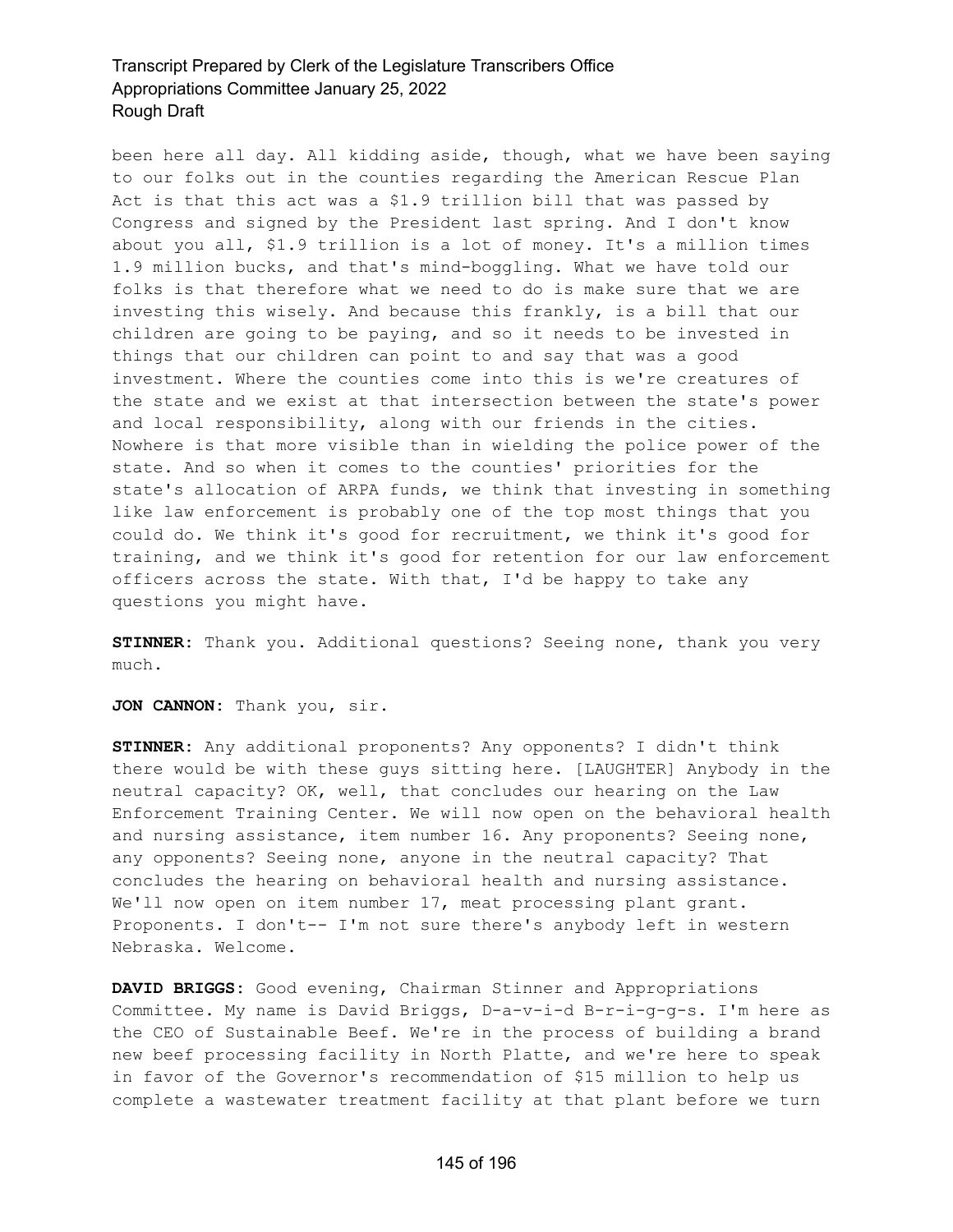been here all day. All kidding aside, though, what we have been saying to our folks out in the counties regarding the American Rescue Plan Act is that this act was a \$1.9 trillion bill that was passed by Congress and signed by the President last spring. And I don't know about you all, \$1.9 trillion is a lot of money. It's a million times 1.9 million bucks, and that's mind-boggling. What we have told our folks is that therefore what we need to do is make sure that we are investing this wisely. And because this frankly, is a bill that our children are going to be paying, and so it needs to be invested in things that our children can point to and say that was a good investment. Where the counties come into this is we're creatures of the state and we exist at that intersection between the state's power and local responsibility, along with our friends in the cities. Nowhere is that more visible than in wielding the police power of the state. And so when it comes to the counties' priorities for the state's allocation of ARPA funds, we think that investing in something like law enforcement is probably one of the top most things that you could do. We think it's good for recruitment, we think it's good for training, and we think it's good for retention for our law enforcement officers across the state. With that, I'd be happy to take any questions you might have.

**STINNER:** Thank you. Additional questions? Seeing none, thank you very much.

**JON CANNON:** Thank you, sir.

**STINNER:** Any additional proponents? Any opponents? I didn't think there would be with these guys sitting here. [LAUGHTER] Anybody in the neutral capacity? OK, well, that concludes our hearing on the Law Enforcement Training Center. We will now open on the behavioral health and nursing assistance, item number 16. Any proponents? Seeing none, any opponents? Seeing none, anyone in the neutral capacity? That concludes the hearing on behavioral health and nursing assistance. We'll now open on item number 17, meat processing plant grant. Proponents. I don't-- I'm not sure there's anybody left in western Nebraska. Welcome.

**DAVID BRIGGS:** Good evening, Chairman Stinner and Appropriations Committee. My name is David Briggs, D-a-v-i-d B-r-i-g-g-s. I'm here as the CEO of Sustainable Beef. We're in the process of building a brand new beef processing facility in North Platte, and we're here to speak in favor of the Governor's recommendation of \$15 million to help us complete a wastewater treatment facility at that plant before we turn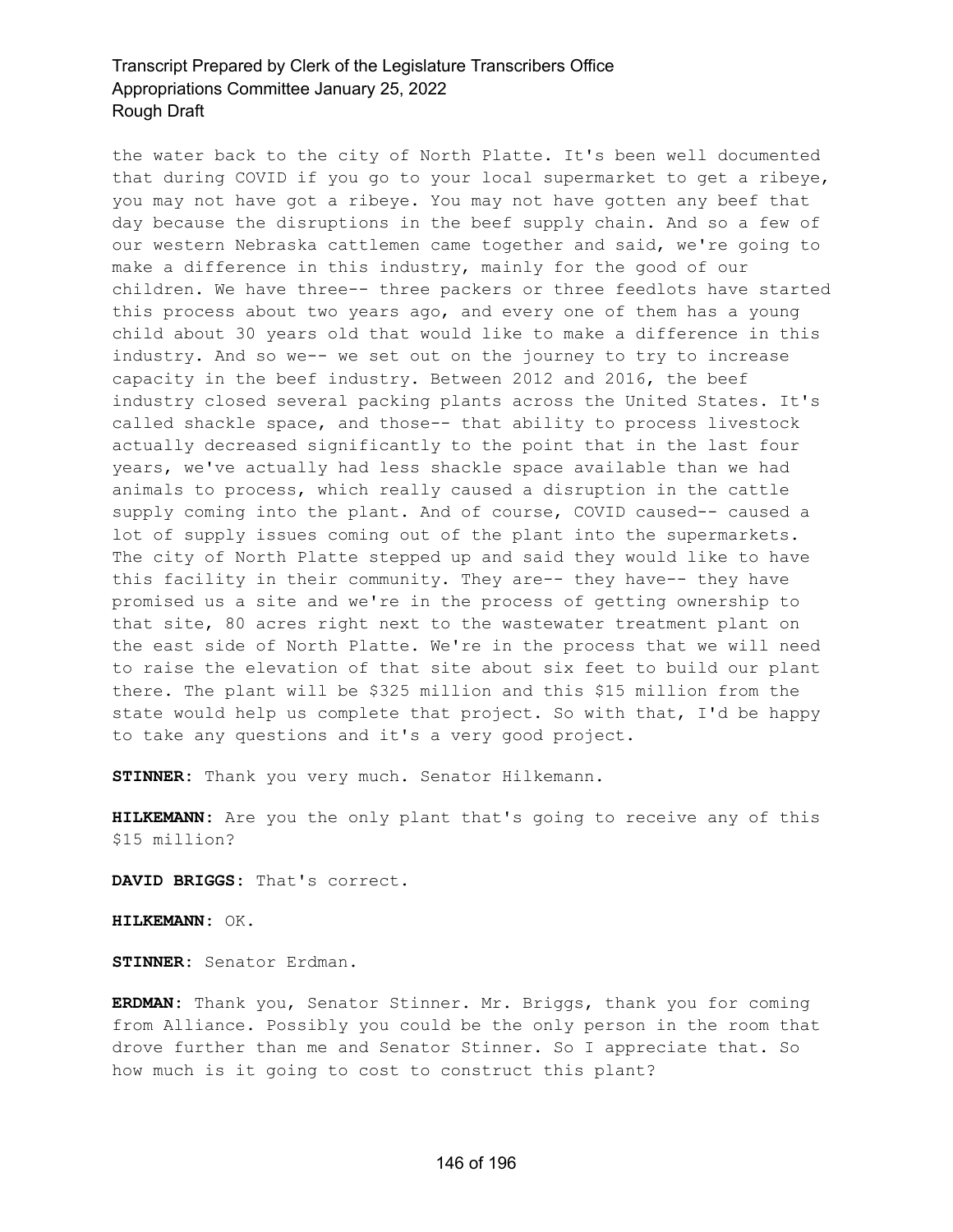the water back to the city of North Platte. It's been well documented that during COVID if you go to your local supermarket to get a ribeye, you may not have got a ribeye. You may not have gotten any beef that day because the disruptions in the beef supply chain. And so a few of our western Nebraska cattlemen came together and said, we're going to make a difference in this industry, mainly for the good of our children. We have three-- three packers or three feedlots have started this process about two years ago, and every one of them has a young child about 30 years old that would like to make a difference in this industry. And so we-- we set out on the journey to try to increase capacity in the beef industry. Between 2012 and 2016, the beef industry closed several packing plants across the United States. It's called shackle space, and those-- that ability to process livestock actually decreased significantly to the point that in the last four years, we've actually had less shackle space available than we had animals to process, which really caused a disruption in the cattle supply coming into the plant. And of course, COVID caused-- caused a lot of supply issues coming out of the plant into the supermarkets. The city of North Platte stepped up and said they would like to have this facility in their community. They are-- they have-- they have promised us a site and we're in the process of getting ownership to that site, 80 acres right next to the wastewater treatment plant on the east side of North Platte. We're in the process that we will need to raise the elevation of that site about six feet to build our plant there. The plant will be \$325 million and this \$15 million from the state would help us complete that project. So with that, I'd be happy to take any questions and it's a very good project.

**STINNER:** Thank you very much. Senator Hilkemann.

**HILKEMANN:** Are you the only plant that's going to receive any of this \$15 million?

**DAVID BRIGGS:** That's correct.

**HILKEMANN:** OK.

**STINNER:** Senator Erdman.

**ERDMAN:** Thank you, Senator Stinner. Mr. Briggs, thank you for coming from Alliance. Possibly you could be the only person in the room that drove further than me and Senator Stinner. So I appreciate that. So how much is it going to cost to construct this plant?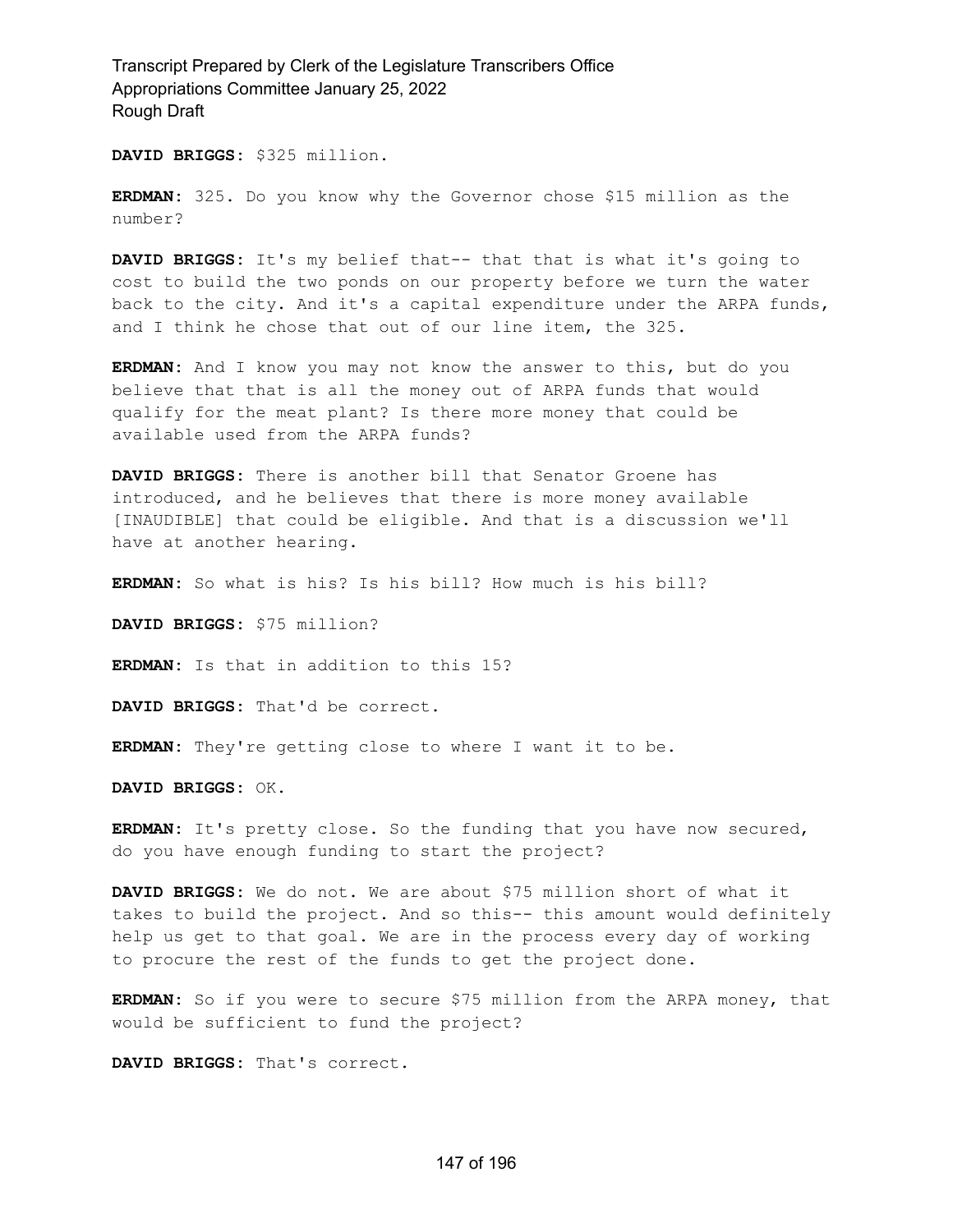**DAVID BRIGGS:** \$325 million.

**ERDMAN:** 325. Do you know why the Governor chose \$15 million as the number?

**DAVID BRIGGS:** It's my belief that-- that that is what it's going to cost to build the two ponds on our property before we turn the water back to the city. And it's a capital expenditure under the ARPA funds, and I think he chose that out of our line item, the 325.

**ERDMAN:** And I know you may not know the answer to this, but do you believe that that is all the money out of ARPA funds that would qualify for the meat plant? Is there more money that could be available used from the ARPA funds?

**DAVID BRIGGS:** There is another bill that Senator Groene has introduced, and he believes that there is more money available [INAUDIBLE] that could be eligible. And that is a discussion we'll have at another hearing.

**ERDMAN:** So what is his? Is his bill? How much is his bill?

**DAVID BRIGGS:** \$75 million?

**ERDMAN:** Is that in addition to this 15?

**DAVID BRIGGS:** That'd be correct.

**ERDMAN:** They're getting close to where I want it to be.

**DAVID BRIGGS:** OK.

**ERDMAN:** It's pretty close. So the funding that you have now secured, do you have enough funding to start the project?

**DAVID BRIGGS:** We do not. We are about \$75 million short of what it takes to build the project. And so this-- this amount would definitely help us get to that goal. We are in the process every day of working to procure the rest of the funds to get the project done.

**ERDMAN:** So if you were to secure \$75 million from the ARPA money, that would be sufficient to fund the project?

**DAVID BRIGGS:** That's correct.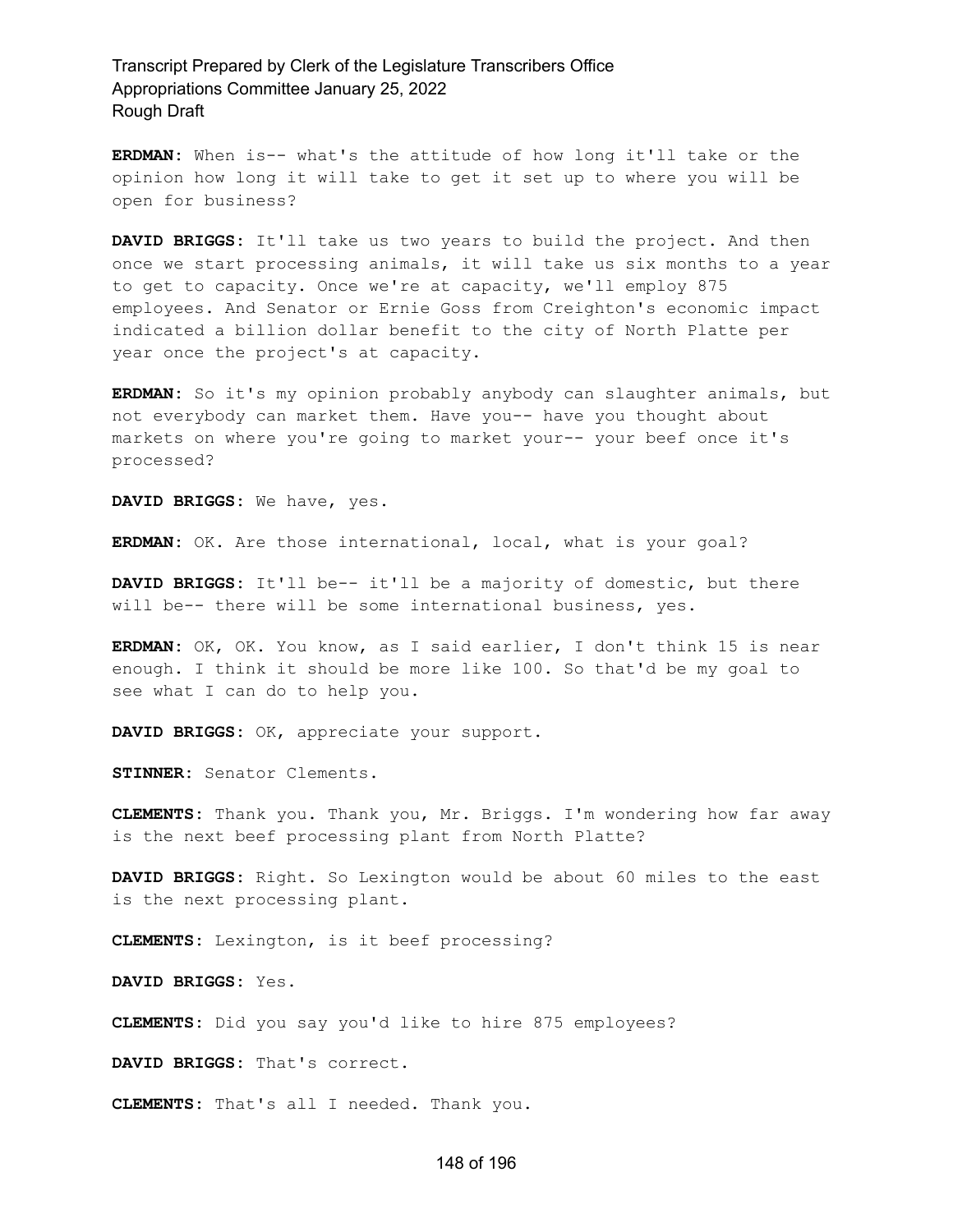**ERDMAN:** When is-- what's the attitude of how long it'll take or the opinion how long it will take to get it set up to where you will be open for business?

**DAVID BRIGGS:** It'll take us two years to build the project. And then once we start processing animals, it will take us six months to a year to get to capacity. Once we're at capacity, we'll employ 875 employees. And Senator or Ernie Goss from Creighton's economic impact indicated a billion dollar benefit to the city of North Platte per year once the project's at capacity.

**ERDMAN:** So it's my opinion probably anybody can slaughter animals, but not everybody can market them. Have you-- have you thought about markets on where you're going to market your-- your beef once it's processed?

**DAVID BRIGGS:** We have, yes.

**ERDMAN:** OK. Are those international, local, what is your goal?

**DAVID BRIGGS:** It'll be-- it'll be a majority of domestic, but there will be-- there will be some international business, yes.

**ERDMAN:** OK, OK. You know, as I said earlier, I don't think 15 is near enough. I think it should be more like 100. So that'd be my goal to see what I can do to help you.

**DAVID BRIGGS:** OK, appreciate your support.

**STINNER:** Senator Clements.

**CLEMENTS:** Thank you. Thank you, Mr. Briggs. I'm wondering how far away is the next beef processing plant from North Platte?

**DAVID BRIGGS:** Right. So Lexington would be about 60 miles to the east is the next processing plant.

**CLEMENTS:** Lexington, is it beef processing?

**DAVID BRIGGS:** Yes.

**CLEMENTS:** Did you say you'd like to hire 875 employees?

**DAVID BRIGGS:** That's correct.

**CLEMENTS:** That's all I needed. Thank you.

#### 148 of 196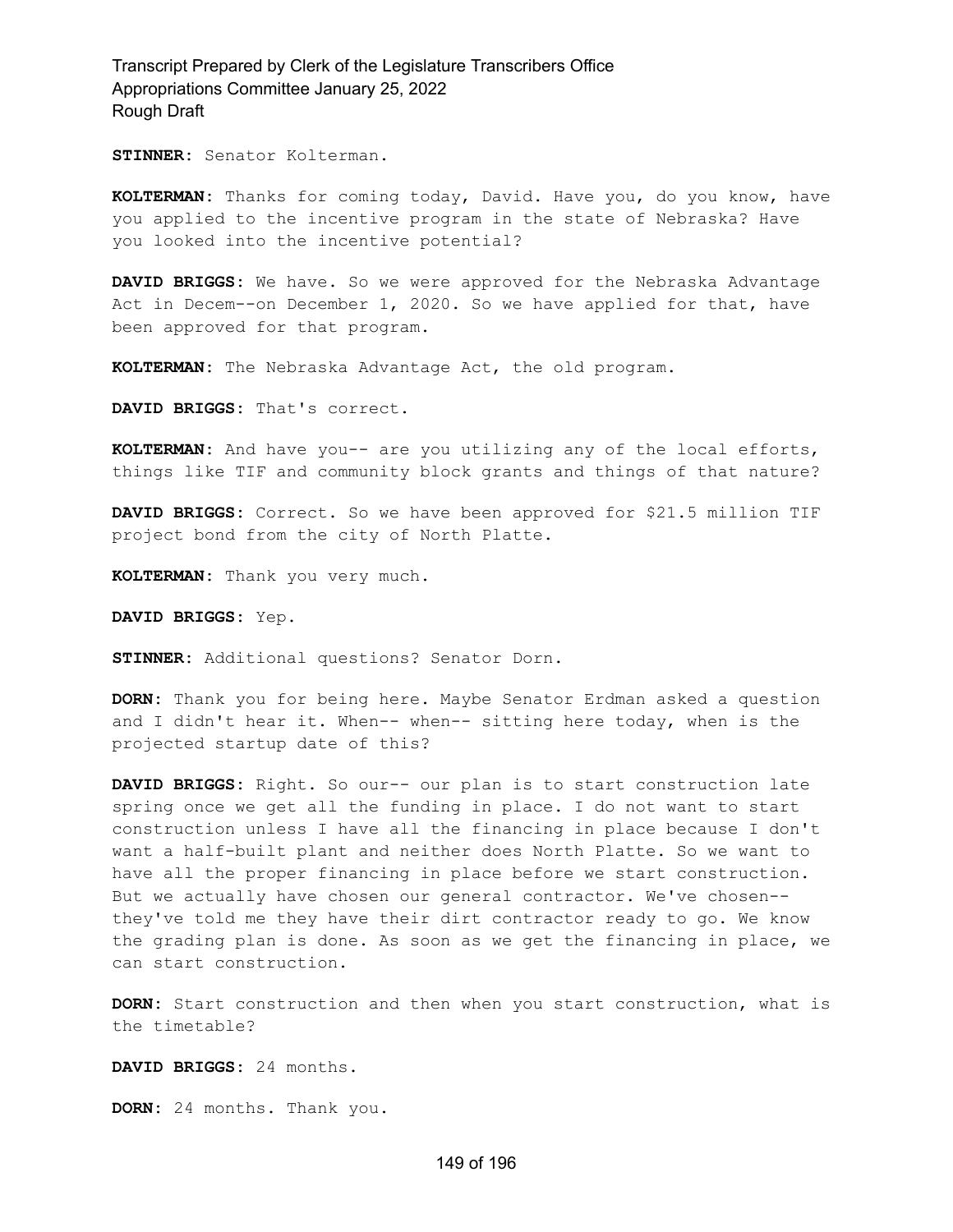**STINNER:** Senator Kolterman.

**KOLTERMAN:** Thanks for coming today, David. Have you, do you know, have you applied to the incentive program in the state of Nebraska? Have you looked into the incentive potential?

**DAVID BRIGGS:** We have. So we were approved for the Nebraska Advantage Act in Decem--on December 1, 2020. So we have applied for that, have been approved for that program.

**KOLTERMAN:** The Nebraska Advantage Act, the old program.

**DAVID BRIGGS:** That's correct.

**KOLTERMAN:** And have you-- are you utilizing any of the local efforts, things like TIF and community block grants and things of that nature?

**DAVID BRIGGS:** Correct. So we have been approved for \$21.5 million TIF project bond from the city of North Platte.

**KOLTERMAN:** Thank you very much.

**DAVID BRIGGS:** Yep.

**STINNER:** Additional questions? Senator Dorn.

**DORN:** Thank you for being here. Maybe Senator Erdman asked a question and I didn't hear it. When-- when-- sitting here today, when is the projected startup date of this?

**DAVID BRIGGS:** Right. So our-- our plan is to start construction late spring once we get all the funding in place. I do not want to start construction unless I have all the financing in place because I don't want a half-built plant and neither does North Platte. So we want to have all the proper financing in place before we start construction. But we actually have chosen our general contractor. We've chosen- they've told me they have their dirt contractor ready to go. We know the grading plan is done. As soon as we get the financing in place, we can start construction.

**DORN:** Start construction and then when you start construction, what is the timetable?

**DAVID BRIGGS:** 24 months.

**DORN:** 24 months. Thank you.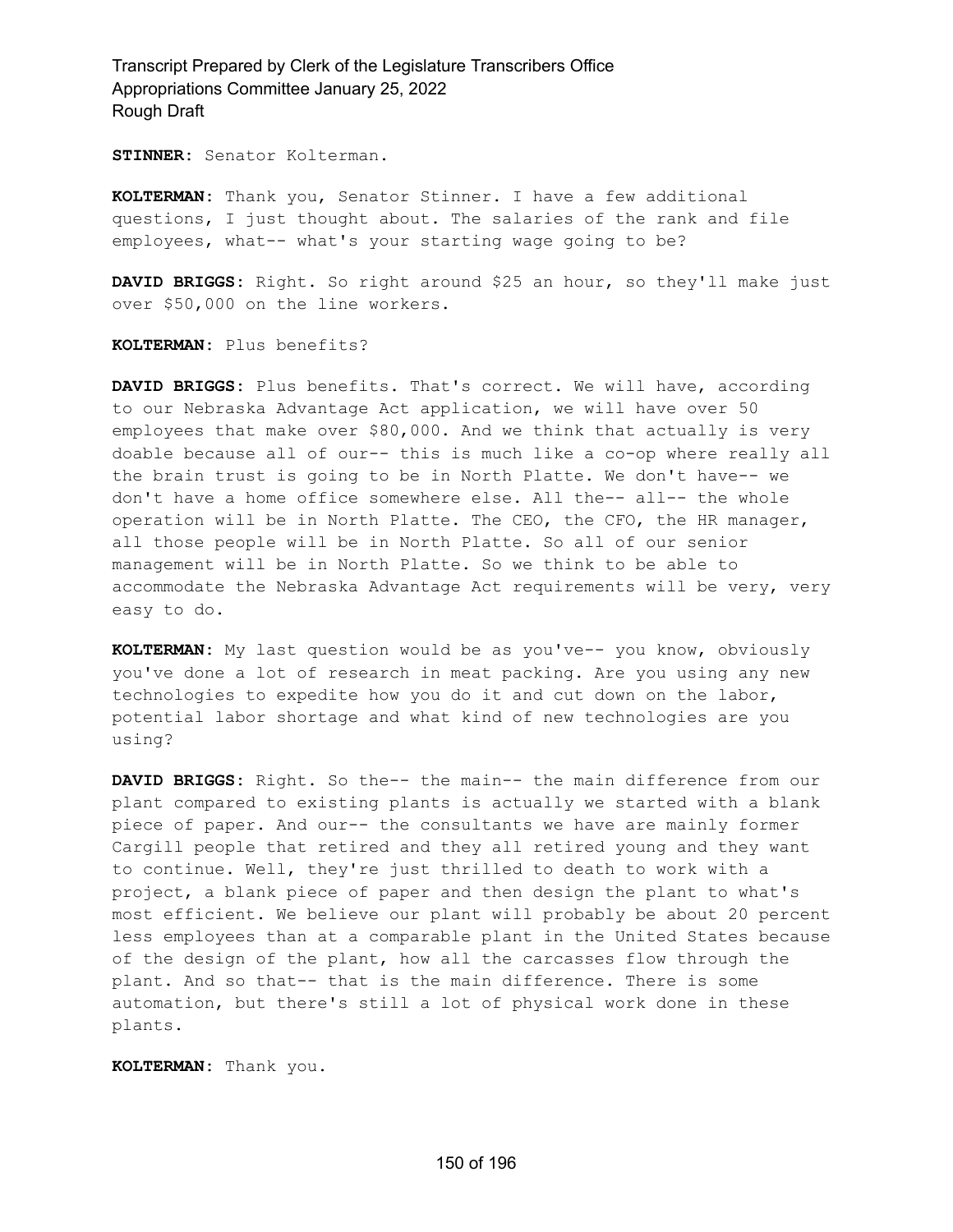**STINNER:** Senator Kolterman.

**KOLTERMAN:** Thank you, Senator Stinner. I have a few additional questions, I just thought about. The salaries of the rank and file employees, what-- what's your starting wage going to be?

**DAVID BRIGGS:** Right. So right around \$25 an hour, so they'll make just over \$50,000 on the line workers.

**KOLTERMAN:** Plus benefits?

**DAVID BRIGGS:** Plus benefits. That's correct. We will have, according to our Nebraska Advantage Act application, we will have over 50 employees that make over \$80,000. And we think that actually is very doable because all of our-- this is much like a co-op where really all the brain trust is going to be in North Platte. We don't have-- we don't have a home office somewhere else. All the-- all-- the whole operation will be in North Platte. The CEO, the CFO, the HR manager, all those people will be in North Platte. So all of our senior management will be in North Platte. So we think to be able to accommodate the Nebraska Advantage Act requirements will be very, very easy to do.

**KOLTERMAN:** My last question would be as you've-- you know, obviously you've done a lot of research in meat packing. Are you using any new technologies to expedite how you do it and cut down on the labor, potential labor shortage and what kind of new technologies are you using?

**DAVID BRIGGS:** Right. So the-- the main-- the main difference from our plant compared to existing plants is actually we started with a blank piece of paper. And our-- the consultants we have are mainly former Cargill people that retired and they all retired young and they want to continue. Well, they're just thrilled to death to work with a project, a blank piece of paper and then design the plant to what's most efficient. We believe our plant will probably be about 20 percent less employees than at a comparable plant in the United States because of the design of the plant, how all the carcasses flow through the plant. And so that-- that is the main difference. There is some automation, but there's still a lot of physical work done in these plants.

**KOLTERMAN:** Thank you.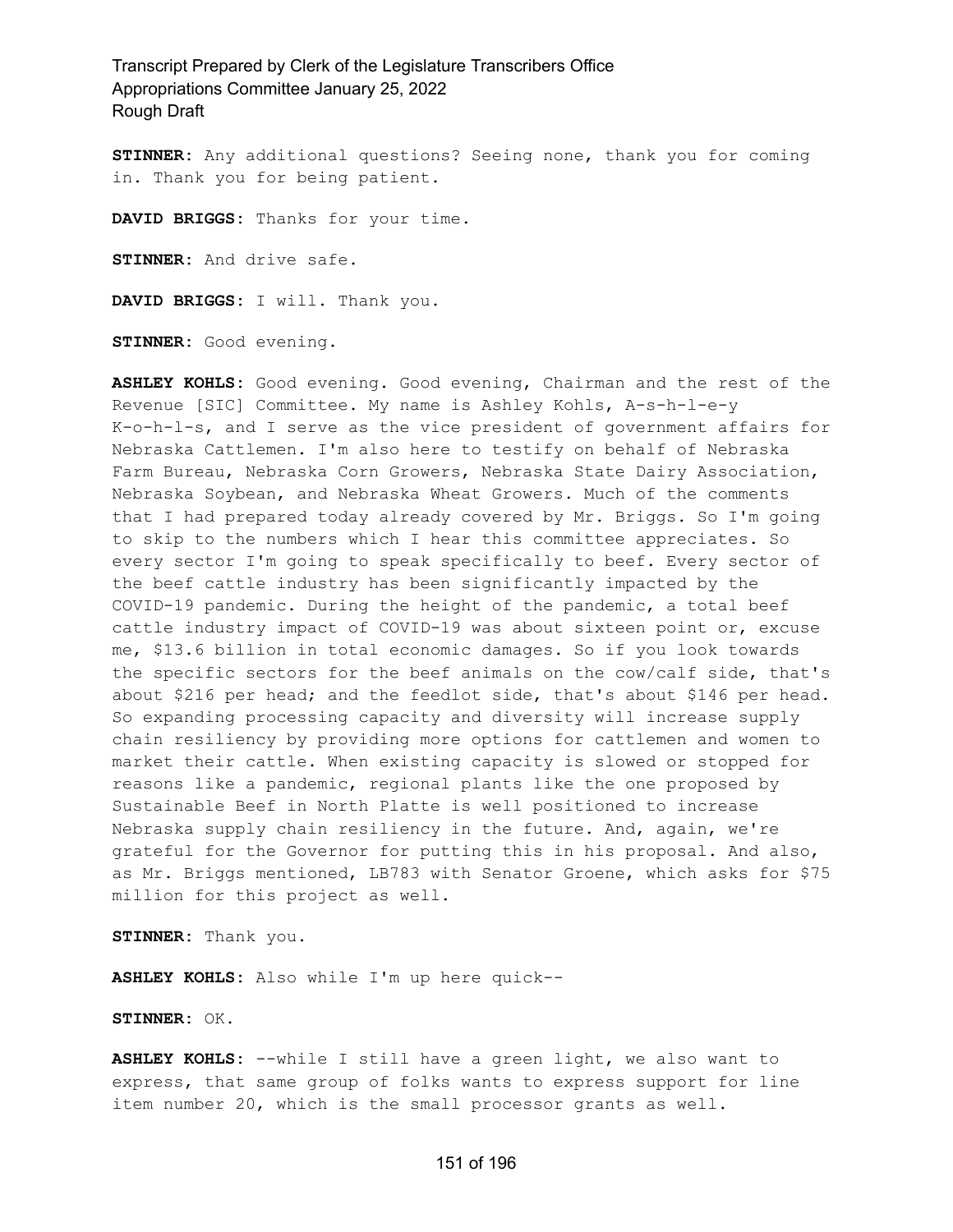**STINNER:** Any additional questions? Seeing none, thank you for coming in. Thank you for being patient.

**DAVID BRIGGS:** Thanks for your time.

**STINNER:** And drive safe.

**DAVID BRIGGS:** I will. Thank you.

**STINNER:** Good evening.

**ASHLEY KOHLS:** Good evening. Good evening, Chairman and the rest of the Revenue [SIC] Committee. My name is Ashley Kohls, A-s-h-l-e-y K-o-h-l-s, and I serve as the vice president of government affairs for Nebraska Cattlemen. I'm also here to testify on behalf of Nebraska Farm Bureau, Nebraska Corn Growers, Nebraska State Dairy Association, Nebraska Soybean, and Nebraska Wheat Growers. Much of the comments that I had prepared today already covered by Mr. Briggs. So I'm going to skip to the numbers which I hear this committee appreciates. So every sector I'm going to speak specifically to beef. Every sector of the beef cattle industry has been significantly impacted by the COVID-19 pandemic. During the height of the pandemic, a total beef cattle industry impact of COVID-19 was about sixteen point or, excuse me, \$13.6 billion in total economic damages. So if you look towards the specific sectors for the beef animals on the cow/calf side, that's about \$216 per head; and the feedlot side, that's about \$146 per head. So expanding processing capacity and diversity will increase supply chain resiliency by providing more options for cattlemen and women to market their cattle. When existing capacity is slowed or stopped for reasons like a pandemic, regional plants like the one proposed by Sustainable Beef in North Platte is well positioned to increase Nebraska supply chain resiliency in the future. And, again, we're grateful for the Governor for putting this in his proposal. And also, as Mr. Briggs mentioned, LB783 with Senator Groene, which asks for \$75 million for this project as well.

**STINNER:** Thank you.

**ASHLEY KOHLS:** Also while I'm up here quick--

**STINNER:** OK.

**ASHLEY KOHLS:** --while I still have a green light, we also want to express, that same group of folks wants to express support for line item number 20, which is the small processor grants as well.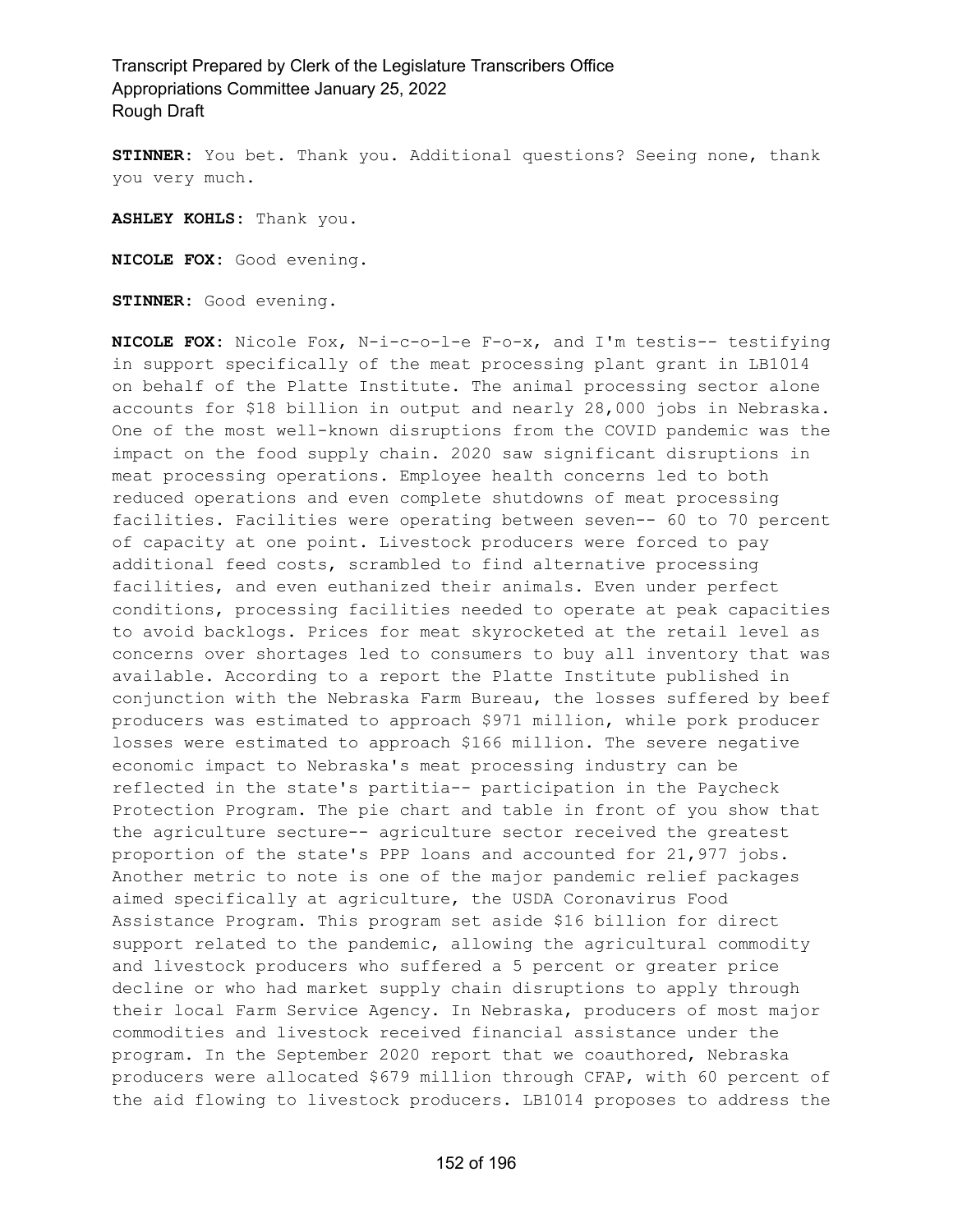**STINNER:** You bet. Thank you. Additional questions? Seeing none, thank you very much.

**ASHLEY KOHLS:** Thank you.

**NICOLE FOX:** Good evening.

**STINNER:** Good evening.

**NICOLE FOX:** Nicole Fox, N-i-c-o-l-e F-o-x, and I'm testis-- testifying in support specifically of the meat processing plant grant in LB1014 on behalf of the Platte Institute. The animal processing sector alone accounts for \$18 billion in output and nearly 28,000 jobs in Nebraska. One of the most well-known disruptions from the COVID pandemic was the impact on the food supply chain. 2020 saw significant disruptions in meat processing operations. Employee health concerns led to both reduced operations and even complete shutdowns of meat processing facilities. Facilities were operating between seven-- 60 to 70 percent of capacity at one point. Livestock producers were forced to pay additional feed costs, scrambled to find alternative processing facilities, and even euthanized their animals. Even under perfect conditions, processing facilities needed to operate at peak capacities to avoid backlogs. Prices for meat skyrocketed at the retail level as concerns over shortages led to consumers to buy all inventory that was available. According to a report the Platte Institute published in conjunction with the Nebraska Farm Bureau, the losses suffered by beef producers was estimated to approach \$971 million, while pork producer losses were estimated to approach \$166 million. The severe negative economic impact to Nebraska's meat processing industry can be reflected in the state's partitia-- participation in the Paycheck Protection Program. The pie chart and table in front of you show that the agriculture secture-- agriculture sector received the greatest proportion of the state's PPP loans and accounted for 21,977 jobs. Another metric to note is one of the major pandemic relief packages aimed specifically at agriculture, the USDA Coronavirus Food Assistance Program. This program set aside \$16 billion for direct support related to the pandemic, allowing the agricultural commodity and livestock producers who suffered a 5 percent or greater price decline or who had market supply chain disruptions to apply through their local Farm Service Agency. In Nebraska, producers of most major commodities and livestock received financial assistance under the program. In the September 2020 report that we coauthored, Nebraska producers were allocated \$679 million through CFAP, with 60 percent of the aid flowing to livestock producers. LB1014 proposes to address the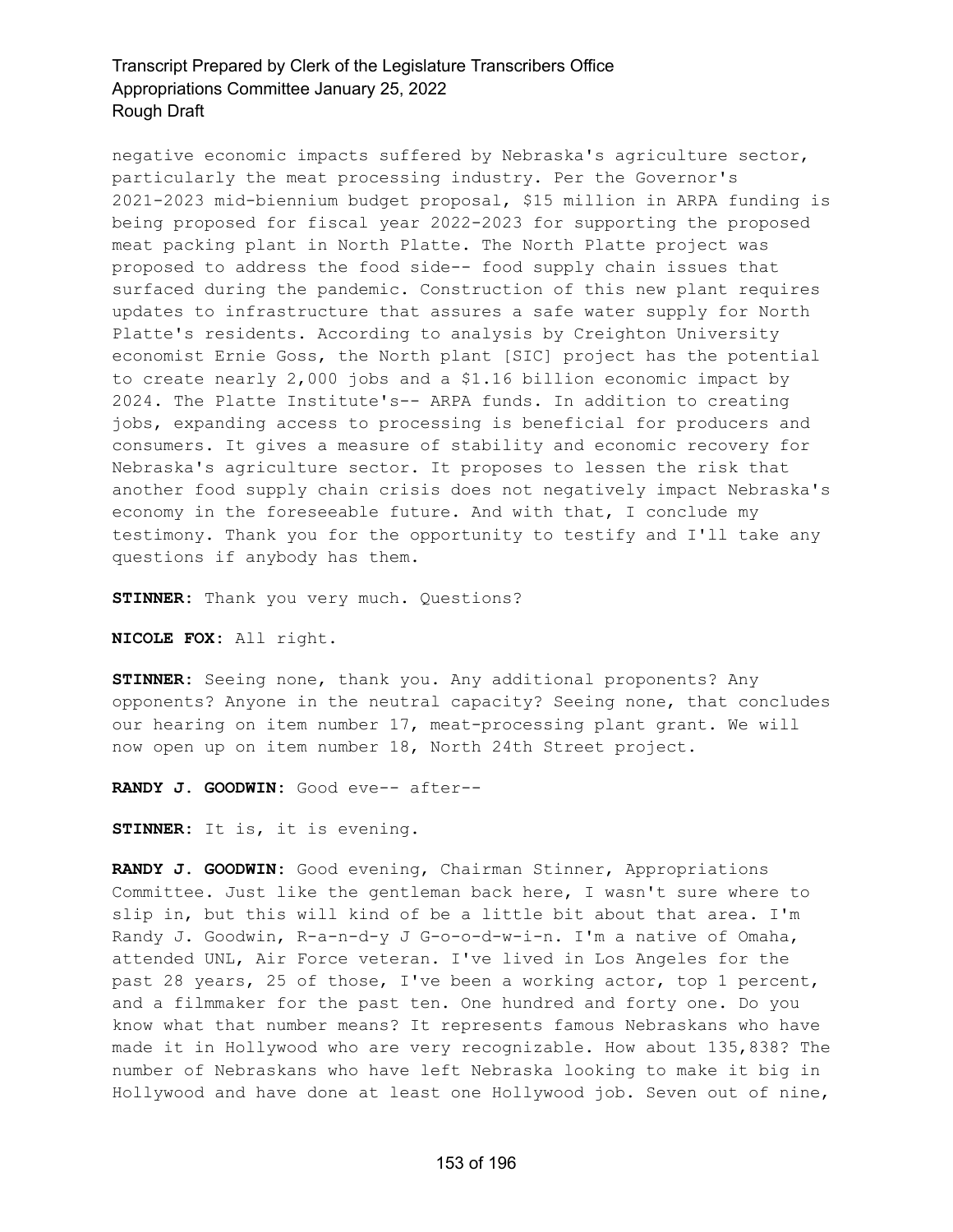negative economic impacts suffered by Nebraska's agriculture sector, particularly the meat processing industry. Per the Governor's 2021-2023 mid-biennium budget proposal, \$15 million in ARPA funding is being proposed for fiscal year 2022-2023 for supporting the proposed meat packing plant in North Platte. The North Platte project was proposed to address the food side-- food supply chain issues that surfaced during the pandemic. Construction of this new plant requires updates to infrastructure that assures a safe water supply for North Platte's residents. According to analysis by Creighton University economist Ernie Goss, the North plant [SIC] project has the potential to create nearly 2,000 jobs and a \$1.16 billion economic impact by 2024. The Platte Institute's-- ARPA funds. In addition to creating jobs, expanding access to processing is beneficial for producers and consumers. It gives a measure of stability and economic recovery for Nebraska's agriculture sector. It proposes to lessen the risk that another food supply chain crisis does not negatively impact Nebraska's economy in the foreseeable future. And with that, I conclude my testimony. Thank you for the opportunity to testify and I'll take any questions if anybody has them.

**STINNER:** Thank you very much. Questions?

**NICOLE FOX:** All right.

**STINNER:** Seeing none, thank you. Any additional proponents? Any opponents? Anyone in the neutral capacity? Seeing none, that concludes our hearing on item number 17, meat-processing plant grant. We will now open up on item number 18, North 24th Street project.

**RANDY J. GOODWIN:** Good eve-- after--

**STINNER:** It is, it is evening.

**RANDY J. GOODWIN:** Good evening, Chairman Stinner, Appropriations Committee. Just like the gentleman back here, I wasn't sure where to slip in, but this will kind of be a little bit about that area. I'm Randy J. Goodwin, R-a-n-d-y J G-o-o-d-w-i-n. I'm a native of Omaha, attended UNL, Air Force veteran. I've lived in Los Angeles for the past 28 years, 25 of those, I've been a working actor, top 1 percent, and a filmmaker for the past ten. One hundred and forty one. Do you know what that number means? It represents famous Nebraskans who have made it in Hollywood who are very recognizable. How about 135,838? The number of Nebraskans who have left Nebraska looking to make it big in Hollywood and have done at least one Hollywood job. Seven out of nine,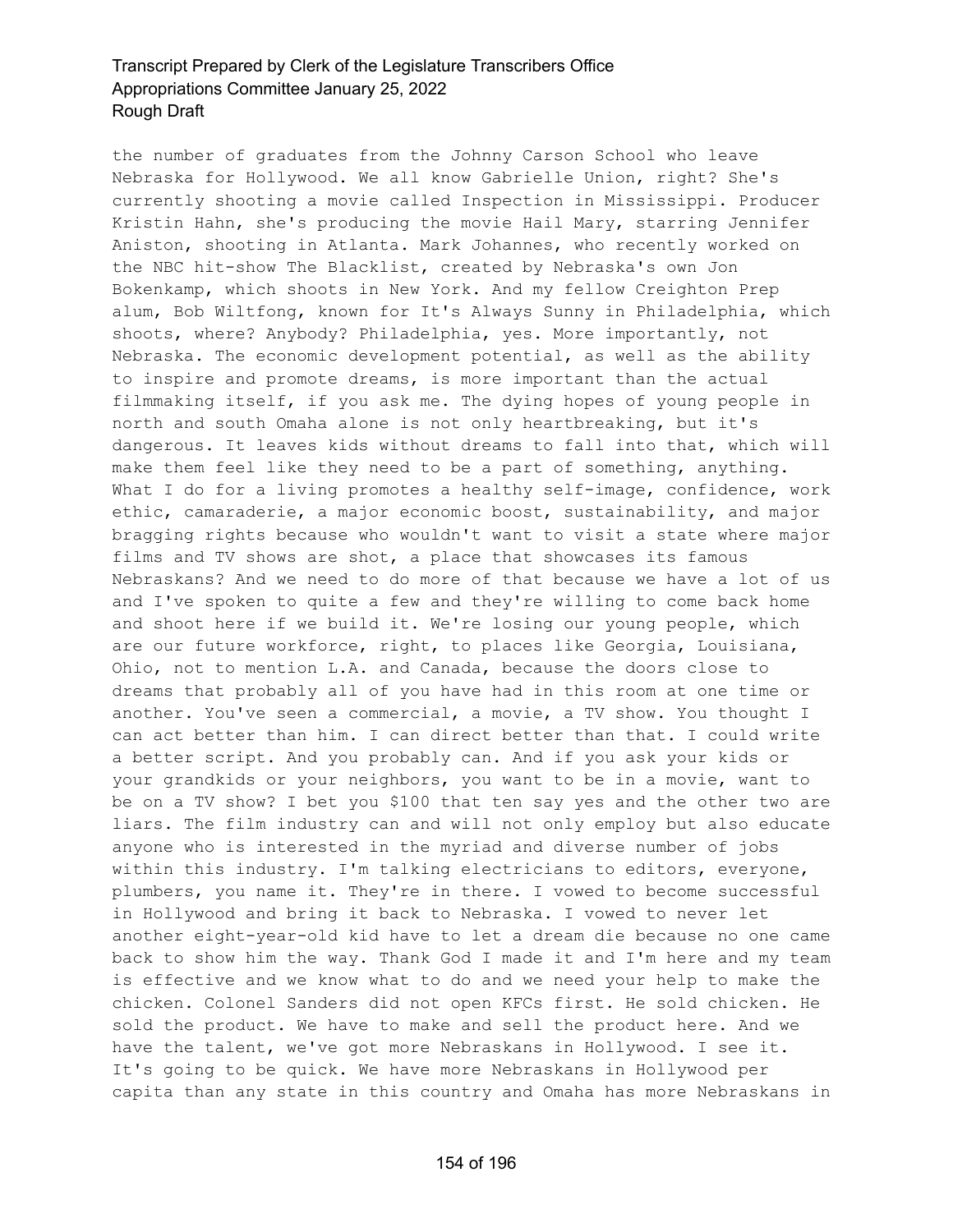the number of graduates from the Johnny Carson School who leave Nebraska for Hollywood. We all know Gabrielle Union, right? She's currently shooting a movie called Inspection in Mississippi. Producer Kristin Hahn, she's producing the movie Hail Mary, starring Jennifer Aniston, shooting in Atlanta. Mark Johannes, who recently worked on the NBC hit-show The Blacklist, created by Nebraska's own Jon Bokenkamp, which shoots in New York. And my fellow Creighton Prep alum, Bob Wiltfong, known for It's Always Sunny in Philadelphia, which shoots, where? Anybody? Philadelphia, yes. More importantly, not Nebraska. The economic development potential, as well as the ability to inspire and promote dreams, is more important than the actual filmmaking itself, if you ask me. The dying hopes of young people in north and south Omaha alone is not only heartbreaking, but it's dangerous. It leaves kids without dreams to fall into that, which will make them feel like they need to be a part of something, anything. What I do for a living promotes a healthy self-image, confidence, work ethic, camaraderie, a major economic boost, sustainability, and major bragging rights because who wouldn't want to visit a state where major films and TV shows are shot, a place that showcases its famous Nebraskans? And we need to do more of that because we have a lot of us and I've spoken to quite a few and they're willing to come back home and shoot here if we build it. We're losing our young people, which are our future workforce, right, to places like Georgia, Louisiana, Ohio, not to mention L.A. and Canada, because the doors close to dreams that probably all of you have had in this room at one time or another. You've seen a commercial, a movie, a TV show. You thought I can act better than him. I can direct better than that. I could write a better script. And you probably can. And if you ask your kids or your grandkids or your neighbors, you want to be in a movie, want to be on a TV show? I bet you \$100 that ten say yes and the other two are liars. The film industry can and will not only employ but also educate anyone who is interested in the myriad and diverse number of jobs within this industry. I'm talking electricians to editors, everyone, plumbers, you name it. They're in there. I vowed to become successful in Hollywood and bring it back to Nebraska. I vowed to never let another eight-year-old kid have to let a dream die because no one came back to show him the way. Thank God I made it and I'm here and my team is effective and we know what to do and we need your help to make the chicken. Colonel Sanders did not open KFCs first. He sold chicken. He sold the product. We have to make and sell the product here. And we have the talent, we've got more Nebraskans in Hollywood. I see it. It's going to be quick. We have more Nebraskans in Hollywood per capita than any state in this country and Omaha has more Nebraskans in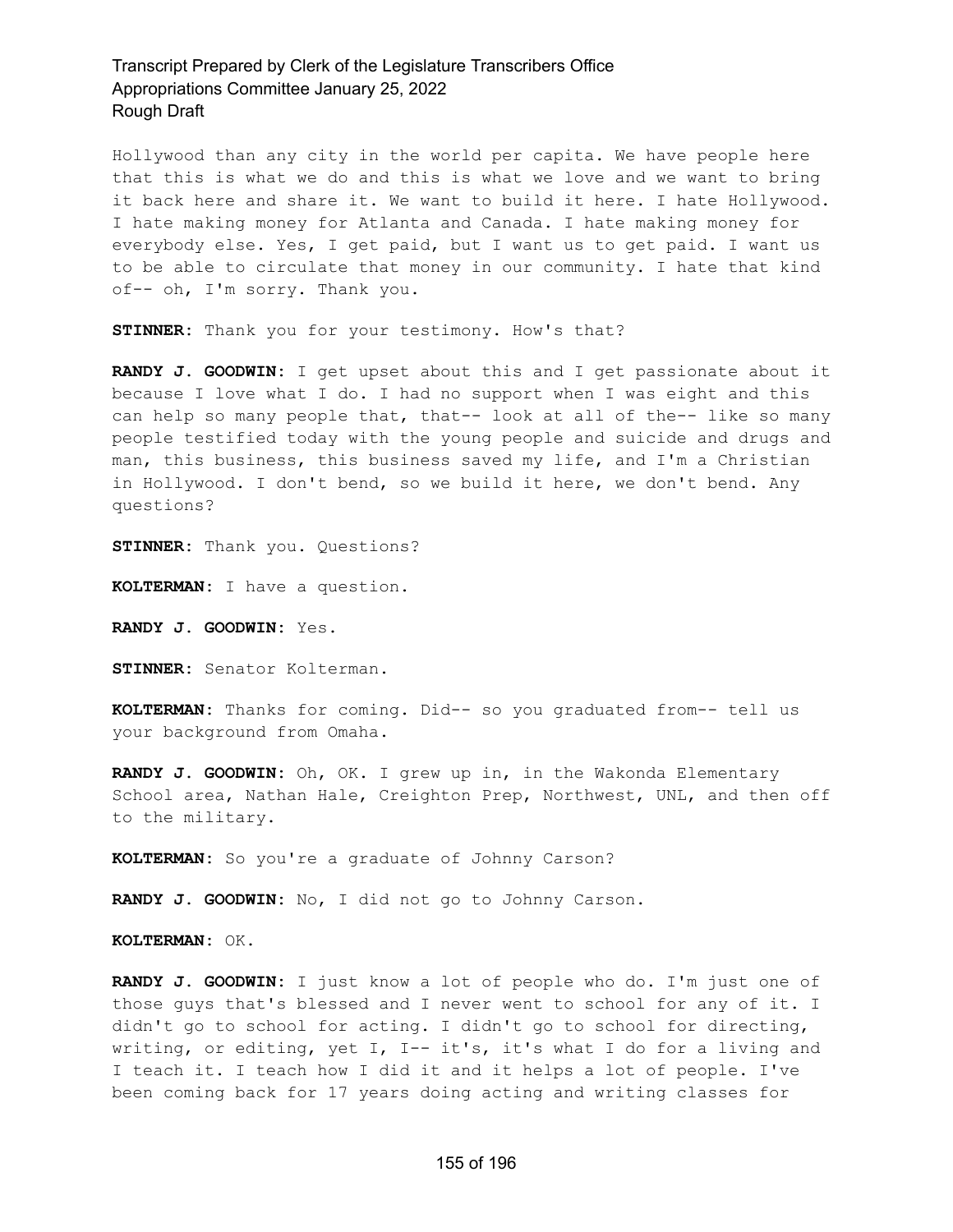Hollywood than any city in the world per capita. We have people here that this is what we do and this is what we love and we want to bring it back here and share it. We want to build it here. I hate Hollywood. I hate making money for Atlanta and Canada. I hate making money for everybody else. Yes, I get paid, but I want us to get paid. I want us to be able to circulate that money in our community. I hate that kind of-- oh, I'm sorry. Thank you.

**STINNER:** Thank you for your testimony. How's that?

**RANDY J. GOODWIN:** I get upset about this and I get passionate about it because I love what I do. I had no support when I was eight and this can help so many people that, that-- look at all of the-- like so many people testified today with the young people and suicide and drugs and man, this business, this business saved my life, and I'm a Christian in Hollywood. I don't bend, so we build it here, we don't bend. Any questions?

**STINNER:** Thank you. Questions?

**KOLTERMAN:** I have a question.

**RANDY J. GOODWIN:** Yes.

**STINNER:** Senator Kolterman.

**KOLTERMAN:** Thanks for coming. Did-- so you graduated from-- tell us your background from Omaha.

**RANDY J. GOODWIN:** Oh, OK. I grew up in, in the Wakonda Elementary School area, Nathan Hale, Creighton Prep, Northwest, UNL, and then off to the military.

**KOLTERMAN:** So you're a graduate of Johnny Carson?

**RANDY J. GOODWIN:** No, I did not go to Johnny Carson.

**KOLTERMAN:** OK.

**RANDY J. GOODWIN:** I just know a lot of people who do. I'm just one of those guys that's blessed and I never went to school for any of it. I didn't go to school for acting. I didn't go to school for directing, writing, or editing, yet I, I-- it's, it's what I do for a living and I teach it. I teach how I did it and it helps a lot of people. I've been coming back for 17 years doing acting and writing classes for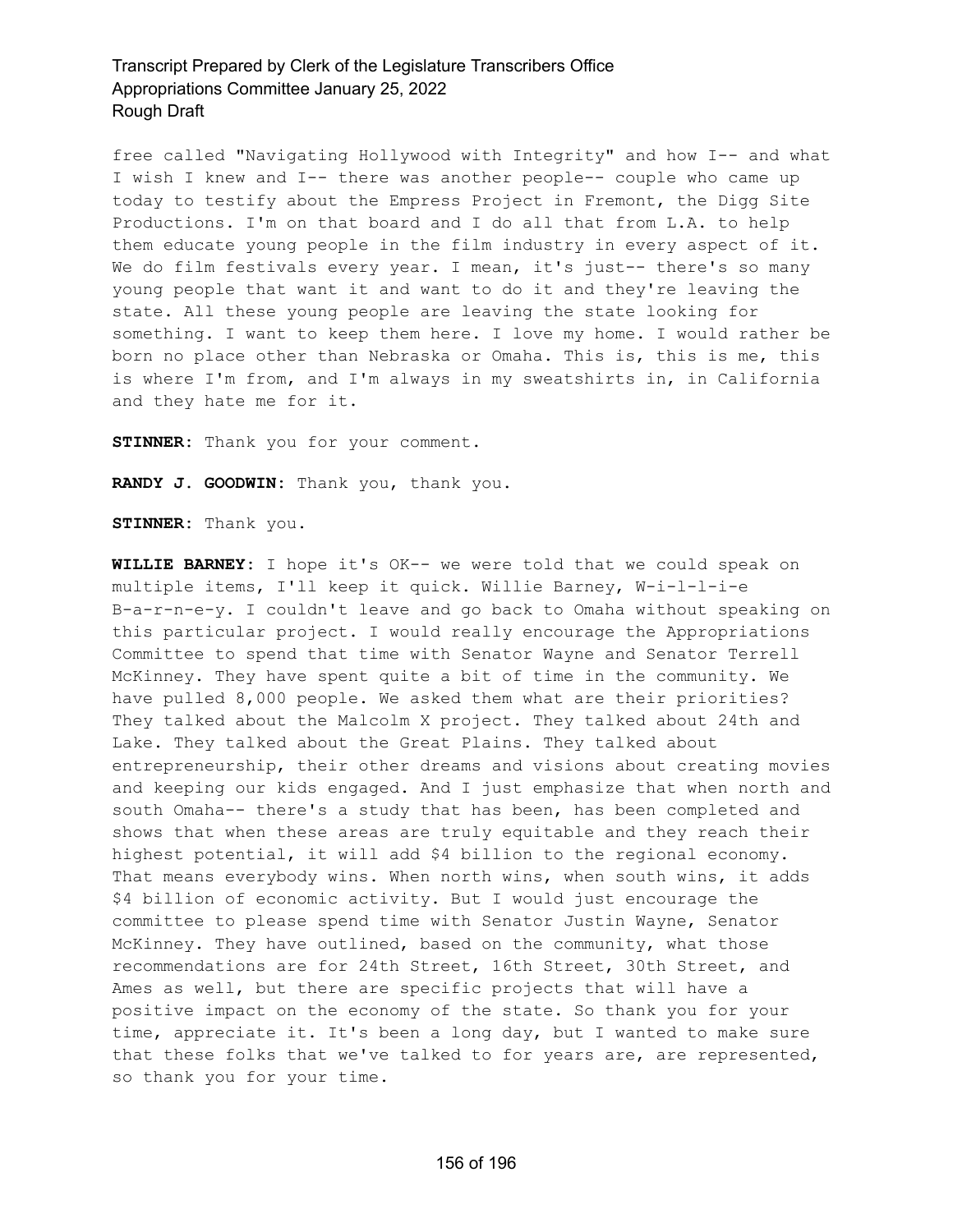free called "Navigating Hollywood with Integrity" and how I-- and what I wish I knew and I-- there was another people-- couple who came up today to testify about the Empress Project in Fremont, the Digg Site Productions. I'm on that board and I do all that from L.A. to help them educate young people in the film industry in every aspect of it. We do film festivals every year. I mean, it's just-- there's so many young people that want it and want to do it and they're leaving the state. All these young people are leaving the state looking for something. I want to keep them here. I love my home. I would rather be born no place other than Nebraska or Omaha. This is, this is me, this is where I'm from, and I'm always in my sweatshirts in, in California and they hate me for it.

**STINNER:** Thank you for your comment.

**RANDY J. GOODWIN:** Thank you, thank you.

**STINNER:** Thank you.

**WILLIE BARNEY:** I hope it's OK-- we were told that we could speak on multiple items, I'll keep it quick. Willie Barney, W-i-l-l-i-e B-a-r-n-e-y. I couldn't leave and go back to Omaha without speaking on this particular project. I would really encourage the Appropriations Committee to spend that time with Senator Wayne and Senator Terrell McKinney. They have spent quite a bit of time in the community. We have pulled 8,000 people. We asked them what are their priorities? They talked about the Malcolm X project. They talked about 24th and Lake. They talked about the Great Plains. They talked about entrepreneurship, their other dreams and visions about creating movies and keeping our kids engaged. And I just emphasize that when north and south Omaha-- there's a study that has been, has been completed and shows that when these areas are truly equitable and they reach their highest potential, it will add \$4 billion to the regional economy. That means everybody wins. When north wins, when south wins, it adds \$4 billion of economic activity. But I would just encourage the committee to please spend time with Senator Justin Wayne, Senator McKinney. They have outlined, based on the community, what those recommendations are for 24th Street, 16th Street, 30th Street, and Ames as well, but there are specific projects that will have a positive impact on the economy of the state. So thank you for your time, appreciate it. It's been a long day, but I wanted to make sure that these folks that we've talked to for years are, are represented, so thank you for your time.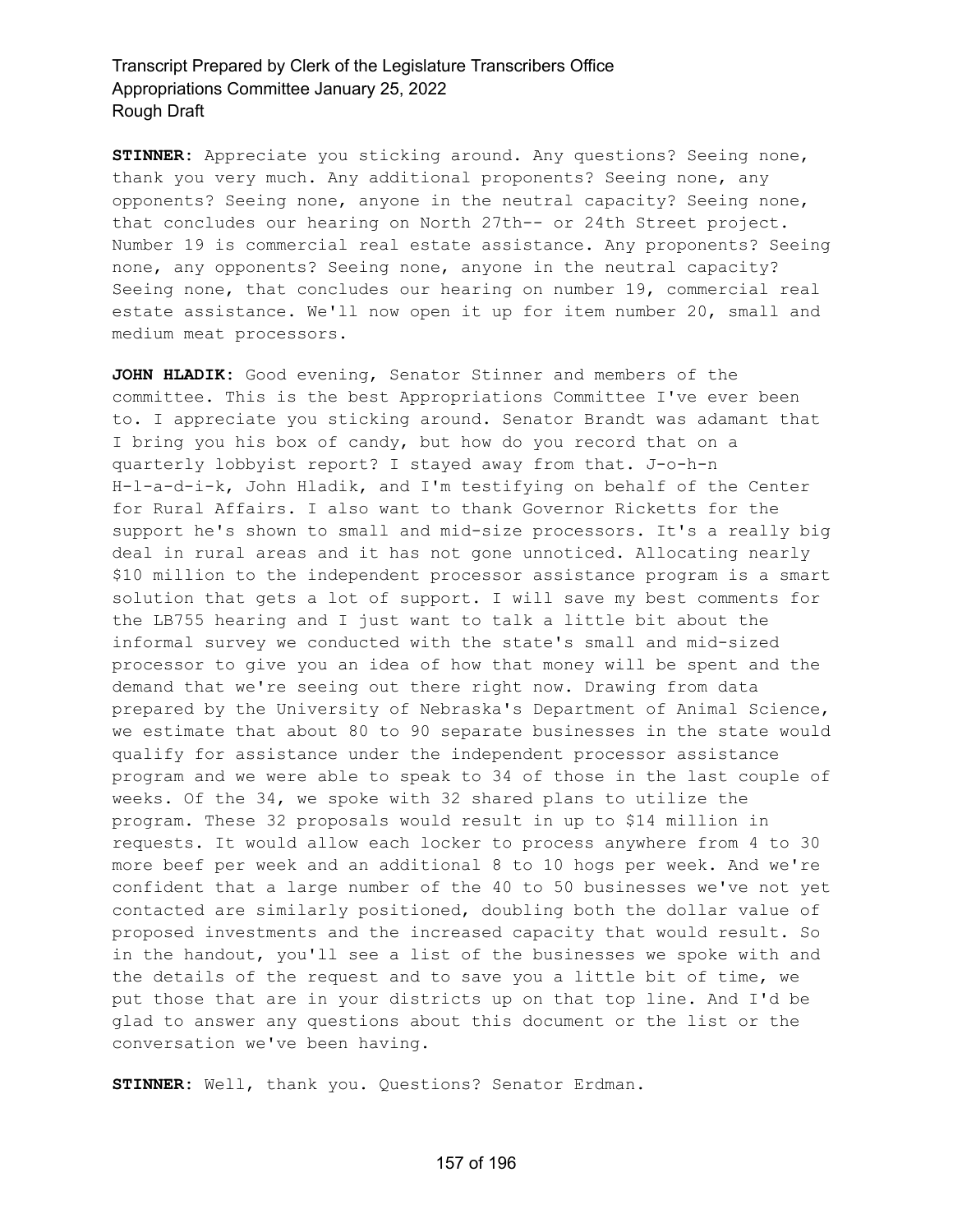**STINNER:** Appreciate you sticking around. Any questions? Seeing none, thank you very much. Any additional proponents? Seeing none, any opponents? Seeing none, anyone in the neutral capacity? Seeing none, that concludes our hearing on North 27th-- or 24th Street project. Number 19 is commercial real estate assistance. Any proponents? Seeing none, any opponents? Seeing none, anyone in the neutral capacity? Seeing none, that concludes our hearing on number 19, commercial real estate assistance. We'll now open it up for item number 20, small and medium meat processors.

**JOHN HLADIK:** Good evening, Senator Stinner and members of the committee. This is the best Appropriations Committee I've ever been to. I appreciate you sticking around. Senator Brandt was adamant that I bring you his box of candy, but how do you record that on a quarterly lobbyist report? I stayed away from that. J-o-h-n H-l-a-d-i-k, John Hladik, and I'm testifying on behalf of the Center for Rural Affairs. I also want to thank Governor Ricketts for the support he's shown to small and mid-size processors. It's a really big deal in rural areas and it has not gone unnoticed. Allocating nearly \$10 million to the independent processor assistance program is a smart solution that gets a lot of support. I will save my best comments for the LB755 hearing and I just want to talk a little bit about the informal survey we conducted with the state's small and mid-sized processor to give you an idea of how that money will be spent and the demand that we're seeing out there right now. Drawing from data prepared by the University of Nebraska's Department of Animal Science, we estimate that about 80 to 90 separate businesses in the state would qualify for assistance under the independent processor assistance program and we were able to speak to 34 of those in the last couple of weeks. Of the 34, we spoke with 32 shared plans to utilize the program. These 32 proposals would result in up to \$14 million in requests. It would allow each locker to process anywhere from 4 to 30 more beef per week and an additional 8 to 10 hogs per week. And we're confident that a large number of the 40 to 50 businesses we've not yet contacted are similarly positioned, doubling both the dollar value of proposed investments and the increased capacity that would result. So in the handout, you'll see a list of the businesses we spoke with and the details of the request and to save you a little bit of time, we put those that are in your districts up on that top line. And I'd be glad to answer any questions about this document or the list or the conversation we've been having.

**STINNER:** Well, thank you. Questions? Senator Erdman.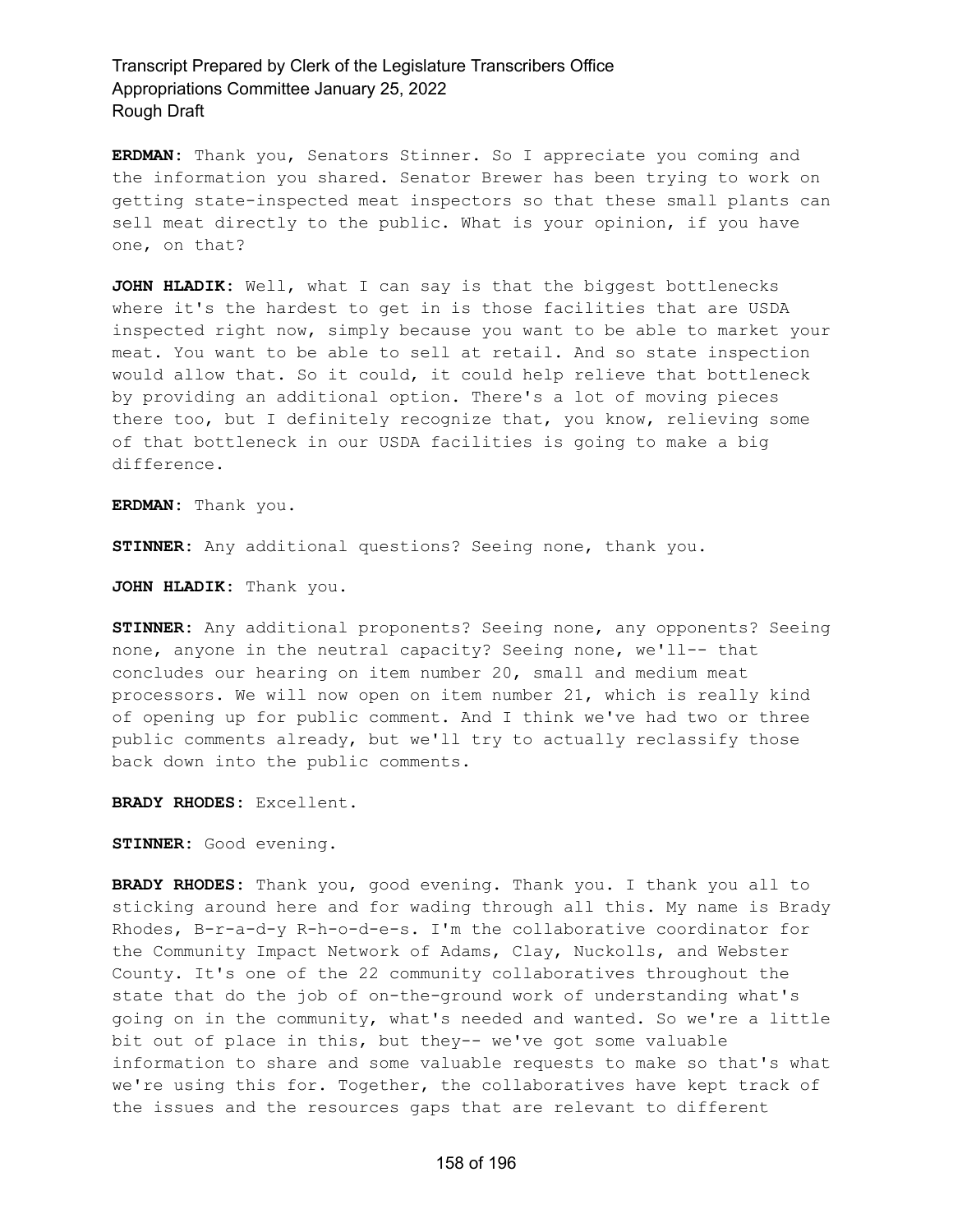**ERDMAN:** Thank you, Senators Stinner. So I appreciate you coming and the information you shared. Senator Brewer has been trying to work on getting state-inspected meat inspectors so that these small plants can sell meat directly to the public. What is your opinion, if you have one, on that?

**JOHN HLADIK:** Well, what I can say is that the biggest bottlenecks where it's the hardest to get in is those facilities that are USDA inspected right now, simply because you want to be able to market your meat. You want to be able to sell at retail. And so state inspection would allow that. So it could, it could help relieve that bottleneck by providing an additional option. There's a lot of moving pieces there too, but I definitely recognize that, you know, relieving some of that bottleneck in our USDA facilities is going to make a big difference.

**ERDMAN:** Thank you.

**STINNER:** Any additional questions? Seeing none, thank you.

**JOHN HLADIK:** Thank you.

**STINNER:** Any additional proponents? Seeing none, any opponents? Seeing none, anyone in the neutral capacity? Seeing none, we'll-- that concludes our hearing on item number 20, small and medium meat processors. We will now open on item number 21, which is really kind of opening up for public comment. And I think we've had two or three public comments already, but we'll try to actually reclassify those back down into the public comments.

**BRADY RHODES:** Excellent.

**STINNER:** Good evening.

**BRADY RHODES:** Thank you, good evening. Thank you. I thank you all to sticking around here and for wading through all this. My name is Brady Rhodes, B-r-a-d-y R-h-o-d-e-s. I'm the collaborative coordinator for the Community Impact Network of Adams, Clay, Nuckolls, and Webster County. It's one of the 22 community collaboratives throughout the state that do the job of on-the-ground work of understanding what's going on in the community, what's needed and wanted. So we're a little bit out of place in this, but they-- we've got some valuable information to share and some valuable requests to make so that's what we're using this for. Together, the collaboratives have kept track of the issues and the resources gaps that are relevant to different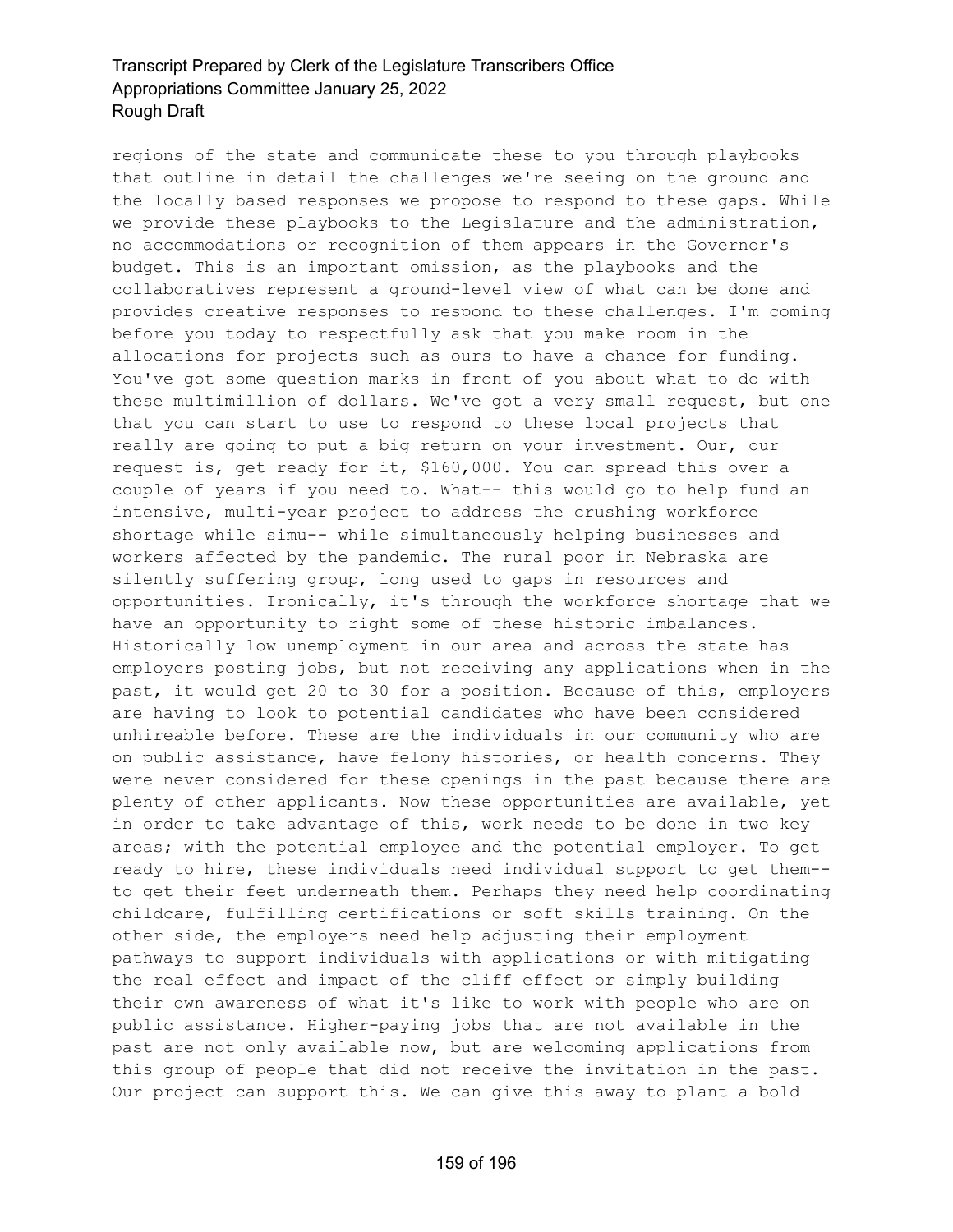regions of the state and communicate these to you through playbooks that outline in detail the challenges we're seeing on the ground and the locally based responses we propose to respond to these gaps. While we provide these playbooks to the Legislature and the administration, no accommodations or recognition of them appears in the Governor's budget. This is an important omission, as the playbooks and the collaboratives represent a ground-level view of what can be done and provides creative responses to respond to these challenges. I'm coming before you today to respectfully ask that you make room in the allocations for projects such as ours to have a chance for funding. You've got some question marks in front of you about what to do with these multimillion of dollars. We've got a very small request, but one that you can start to use to respond to these local projects that really are going to put a big return on your investment. Our, our request is, get ready for it, \$160,000. You can spread this over a couple of years if you need to. What-- this would go to help fund an intensive, multi-year project to address the crushing workforce shortage while simu-- while simultaneously helping businesses and workers affected by the pandemic. The rural poor in Nebraska are silently suffering group, long used to gaps in resources and opportunities. Ironically, it's through the workforce shortage that we have an opportunity to right some of these historic imbalances. Historically low unemployment in our area and across the state has employers posting jobs, but not receiving any applications when in the past, it would get 20 to 30 for a position. Because of this, employers are having to look to potential candidates who have been considered unhireable before. These are the individuals in our community who are on public assistance, have felony histories, or health concerns. They were never considered for these openings in the past because there are plenty of other applicants. Now these opportunities are available, yet in order to take advantage of this, work needs to be done in two key areas; with the potential employee and the potential employer. To get ready to hire, these individuals need individual support to get them- to get their feet underneath them. Perhaps they need help coordinating childcare, fulfilling certifications or soft skills training. On the other side, the employers need help adjusting their employment pathways to support individuals with applications or with mitigating the real effect and impact of the cliff effect or simply building their own awareness of what it's like to work with people who are on public assistance. Higher-paying jobs that are not available in the past are not only available now, but are welcoming applications from this group of people that did not receive the invitation in the past. Our project can support this. We can give this away to plant a bold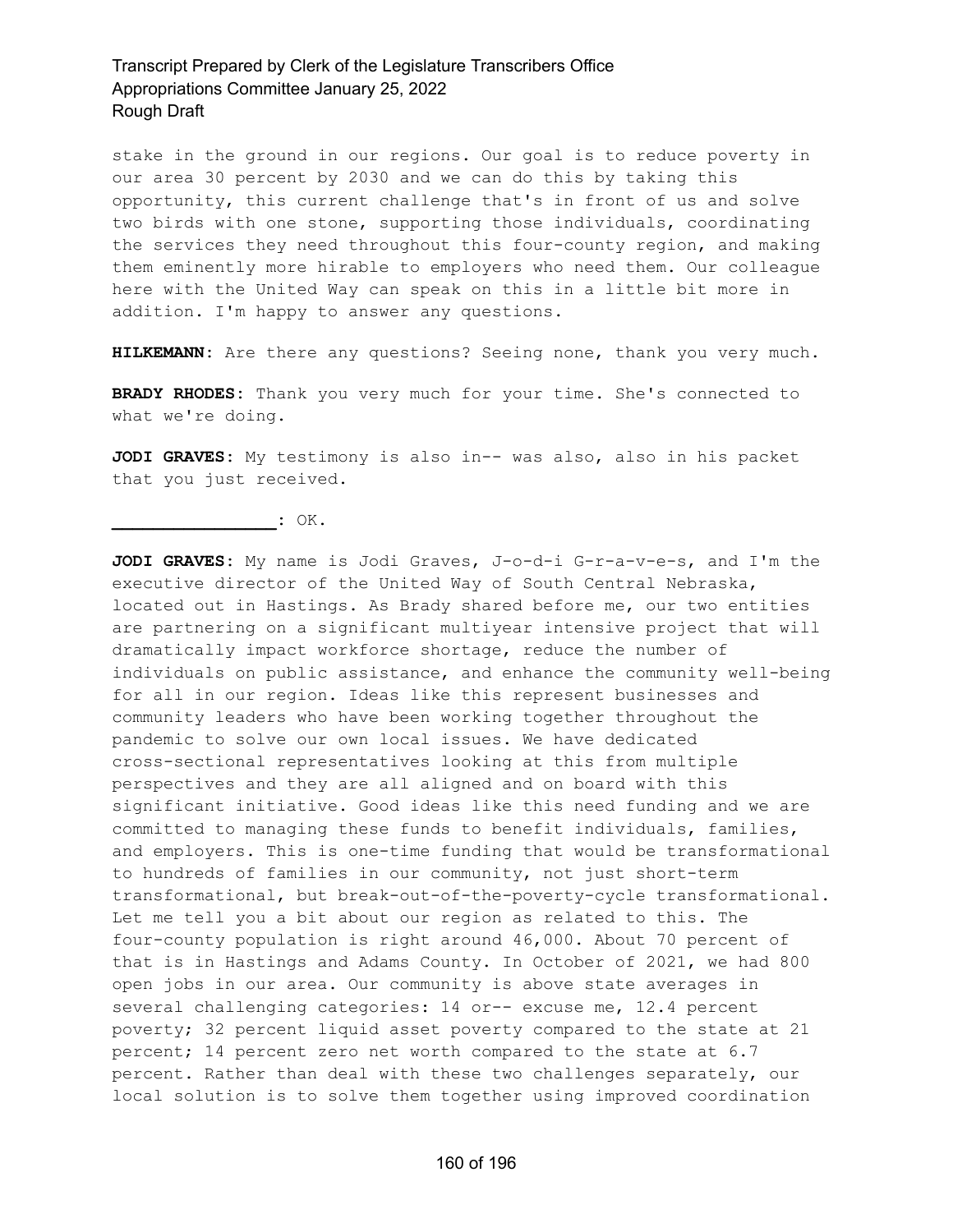stake in the ground in our regions. Our goal is to reduce poverty in our area 30 percent by 2030 and we can do this by taking this opportunity, this current challenge that's in front of us and solve two birds with one stone, supporting those individuals, coordinating the services they need throughout this four-county region, and making them eminently more hirable to employers who need them. Our colleague here with the United Way can speak on this in a little bit more in addition. I'm happy to answer any questions.

**HILKEMANN:** Are there any questions? Seeing none, thank you very much.

**BRADY RHODES:** Thank you very much for your time. She's connected to what we're doing.

**JODI GRAVES:** My testimony is also in-- was also, also in his packet that you just received.

**\_\_\_\_\_\_\_\_\_\_\_\_\_\_\_\_:** OK.

**JODI GRAVES:** My name is Jodi Graves, J-o-d-i G-r-a-v-e-s, and I'm the executive director of the United Way of South Central Nebraska, located out in Hastings. As Brady shared before me, our two entities are partnering on a significant multiyear intensive project that will dramatically impact workforce shortage, reduce the number of individuals on public assistance, and enhance the community well-being for all in our region. Ideas like this represent businesses and community leaders who have been working together throughout the pandemic to solve our own local issues. We have dedicated cross-sectional representatives looking at this from multiple perspectives and they are all aligned and on board with this significant initiative. Good ideas like this need funding and we are committed to managing these funds to benefit individuals, families, and employers. This is one-time funding that would be transformational to hundreds of families in our community, not just short-term transformational, but break-out-of-the-poverty-cycle transformational. Let me tell you a bit about our region as related to this. The four-county population is right around 46,000. About 70 percent of that is in Hastings and Adams County. In October of 2021, we had 800 open jobs in our area. Our community is above state averages in several challenging categories: 14 or-- excuse me, 12.4 percent poverty; 32 percent liquid asset poverty compared to the state at 21 percent; 14 percent zero net worth compared to the state at 6.7 percent. Rather than deal with these two challenges separately, our local solution is to solve them together using improved coordination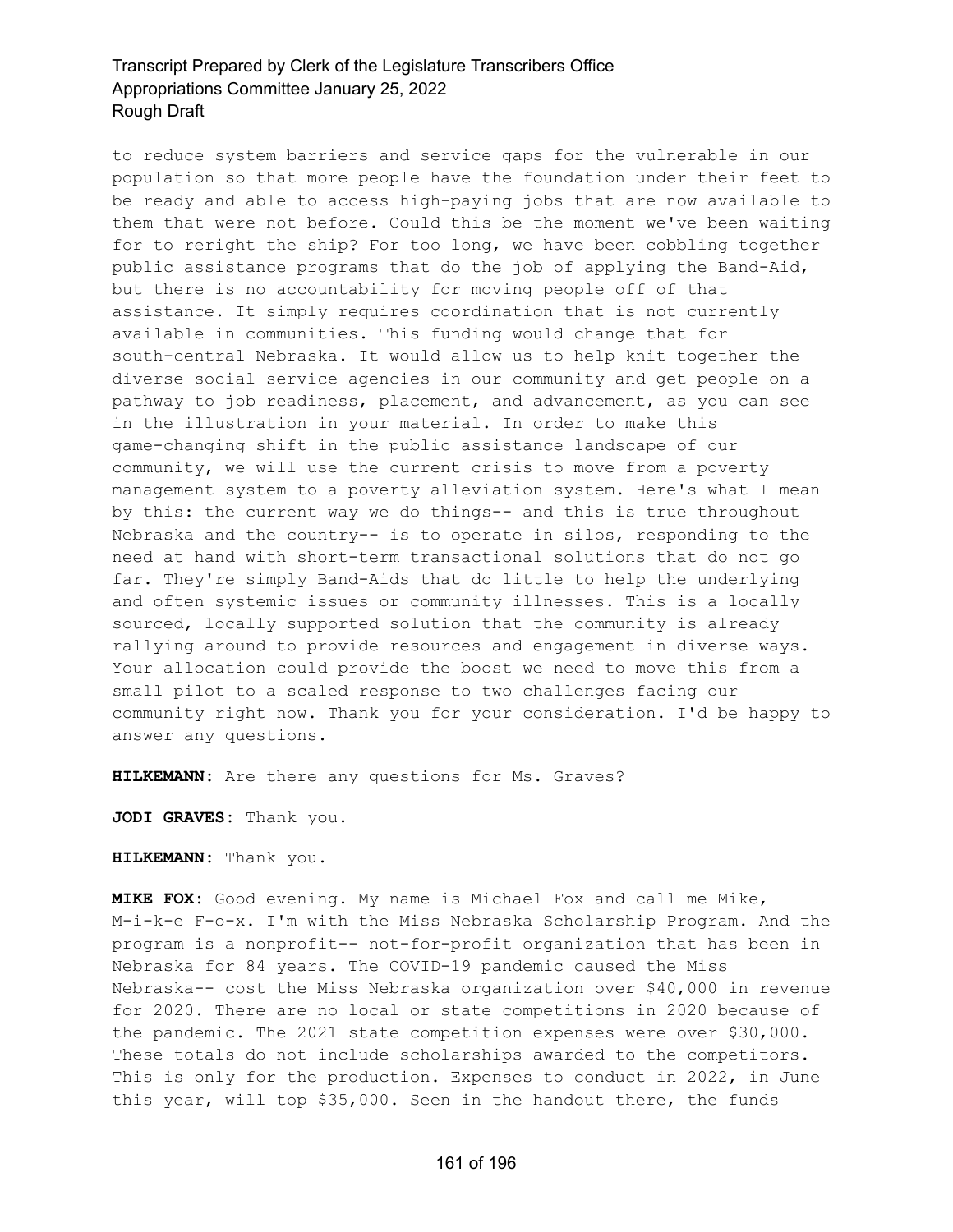to reduce system barriers and service gaps for the vulnerable in our population so that more people have the foundation under their feet to be ready and able to access high-paying jobs that are now available to them that were not before. Could this be the moment we've been waiting for to reright the ship? For too long, we have been cobbling together public assistance programs that do the job of applying the Band-Aid, but there is no accountability for moving people off of that assistance. It simply requires coordination that is not currently available in communities. This funding would change that for south-central Nebraska. It would allow us to help knit together the diverse social service agencies in our community and get people on a pathway to job readiness, placement, and advancement, as you can see in the illustration in your material. In order to make this game-changing shift in the public assistance landscape of our community, we will use the current crisis to move from a poverty management system to a poverty alleviation system. Here's what I mean by this: the current way we do things-- and this is true throughout Nebraska and the country-- is to operate in silos, responding to the need at hand with short-term transactional solutions that do not go far. They're simply Band-Aids that do little to help the underlying and often systemic issues or community illnesses. This is a locally sourced, locally supported solution that the community is already rallying around to provide resources and engagement in diverse ways. Your allocation could provide the boost we need to move this from a small pilot to a scaled response to two challenges facing our community right now. Thank you for your consideration. I'd be happy to answer any questions.

**HILKEMANN:** Are there any questions for Ms. Graves?

**JODI GRAVES:** Thank you.

**HILKEMANN:** Thank you.

**MIKE FOX:** Good evening. My name is Michael Fox and call me Mike, M-i-k-e F-o-x. I'm with the Miss Nebraska Scholarship Program. And the program is a nonprofit-- not-for-profit organization that has been in Nebraska for 84 years. The COVID-19 pandemic caused the Miss Nebraska-- cost the Miss Nebraska organization over \$40,000 in revenue for 2020. There are no local or state competitions in 2020 because of the pandemic. The 2021 state competition expenses were over \$30,000. These totals do not include scholarships awarded to the competitors. This is only for the production. Expenses to conduct in 2022, in June this year, will top \$35,000. Seen in the handout there, the funds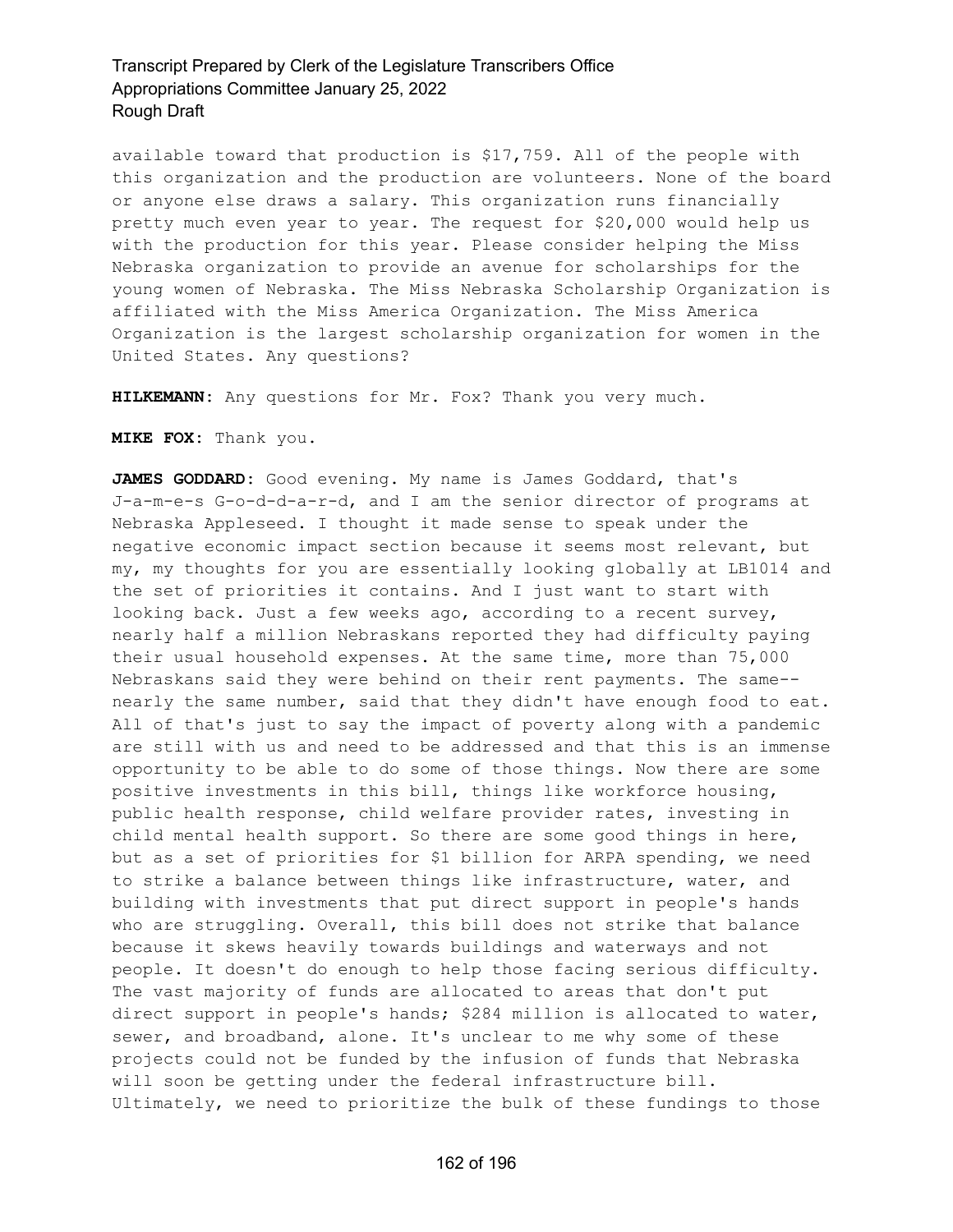available toward that production is \$17,759. All of the people with this organization and the production are volunteers. None of the board or anyone else draws a salary. This organization runs financially pretty much even year to year. The request for \$20,000 would help us with the production for this year. Please consider helping the Miss Nebraska organization to provide an avenue for scholarships for the young women of Nebraska. The Miss Nebraska Scholarship Organization is affiliated with the Miss America Organization. The Miss America Organization is the largest scholarship organization for women in the United States. Any questions?

**HILKEMANN:** Any questions for Mr. Fox? Thank you very much.

**MIKE FOX:** Thank you.

**JAMES GODDARD:** Good evening. My name is James Goddard, that's J-a-m-e-s G-o-d-d-a-r-d, and I am the senior director of programs at Nebraska Appleseed. I thought it made sense to speak under the negative economic impact section because it seems most relevant, but my, my thoughts for you are essentially looking globally at LB1014 and the set of priorities it contains. And I just want to start with looking back. Just a few weeks ago, according to a recent survey, nearly half a million Nebraskans reported they had difficulty paying their usual household expenses. At the same time, more than 75,000 Nebraskans said they were behind on their rent payments. The same- nearly the same number, said that they didn't have enough food to eat. All of that's just to say the impact of poverty along with a pandemic are still with us and need to be addressed and that this is an immense opportunity to be able to do some of those things. Now there are some positive investments in this bill, things like workforce housing, public health response, child welfare provider rates, investing in child mental health support. So there are some good things in here, but as a set of priorities for \$1 billion for ARPA spending, we need to strike a balance between things like infrastructure, water, and building with investments that put direct support in people's hands who are struggling. Overall, this bill does not strike that balance because it skews heavily towards buildings and waterways and not people. It doesn't do enough to help those facing serious difficulty. The vast majority of funds are allocated to areas that don't put direct support in people's hands; \$284 million is allocated to water, sewer, and broadband, alone. It's unclear to me why some of these projects could not be funded by the infusion of funds that Nebraska will soon be getting under the federal infrastructure bill. Ultimately, we need to prioritize the bulk of these fundings to those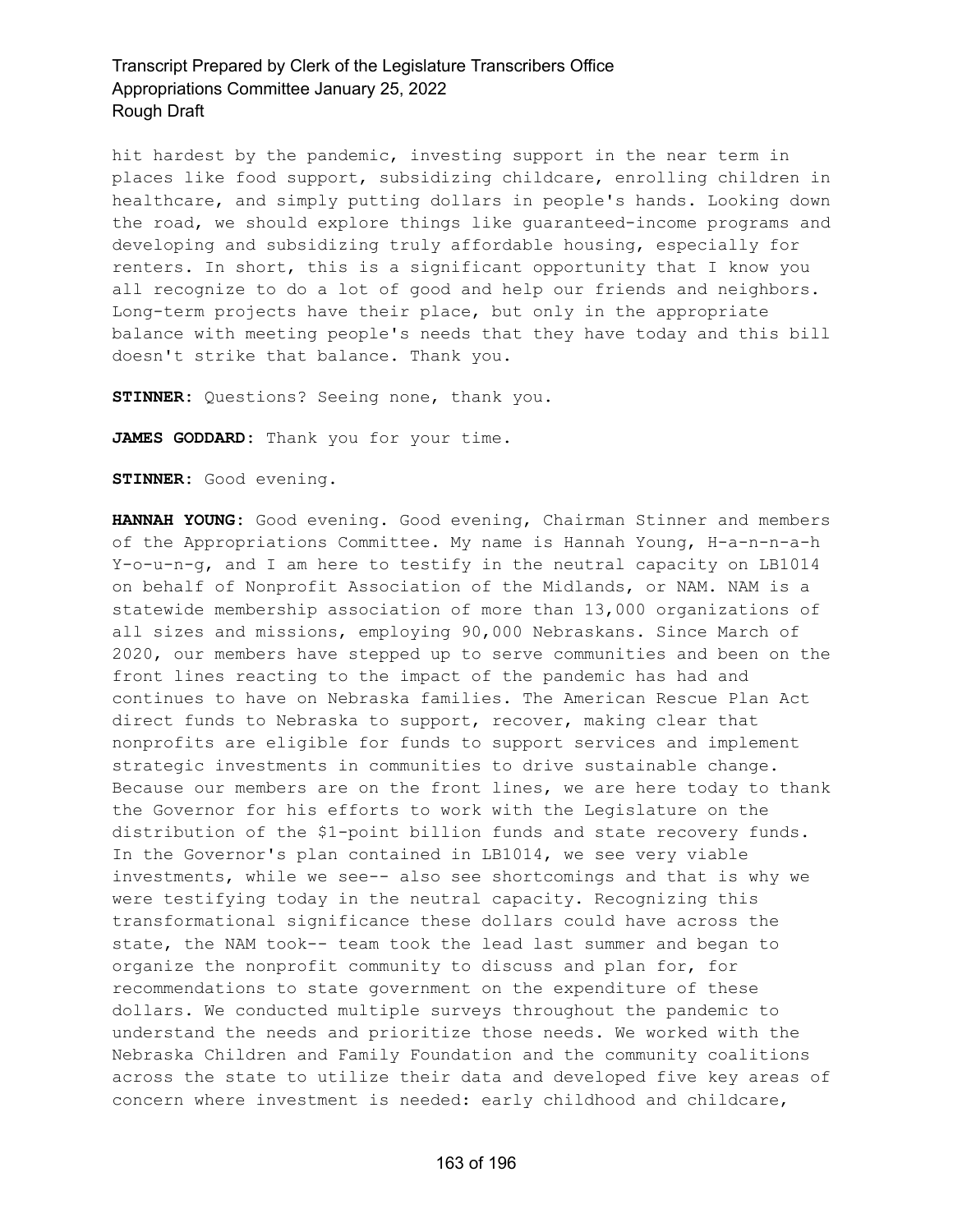hit hardest by the pandemic, investing support in the near term in places like food support, subsidizing childcare, enrolling children in healthcare, and simply putting dollars in people's hands. Looking down the road, we should explore things like guaranteed-income programs and developing and subsidizing truly affordable housing, especially for renters. In short, this is a significant opportunity that I know you all recognize to do a lot of good and help our friends and neighbors. Long-term projects have their place, but only in the appropriate balance with meeting people's needs that they have today and this bill doesn't strike that balance. Thank you.

**STINNER:** Questions? Seeing none, thank you.

**JAMES GODDARD:** Thank you for your time.

**STINNER:** Good evening.

**HANNAH YOUNG:** Good evening. Good evening, Chairman Stinner and members of the Appropriations Committee. My name is Hannah Young, H-a-n-n-a-h Y-o-u-n-g, and I am here to testify in the neutral capacity on LB1014 on behalf of Nonprofit Association of the Midlands, or NAM. NAM is a statewide membership association of more than 13,000 organizations of all sizes and missions, employing 90,000 Nebraskans. Since March of 2020, our members have stepped up to serve communities and been on the front lines reacting to the impact of the pandemic has had and continues to have on Nebraska families. The American Rescue Plan Act direct funds to Nebraska to support, recover, making clear that nonprofits are eligible for funds to support services and implement strategic investments in communities to drive sustainable change. Because our members are on the front lines, we are here today to thank the Governor for his efforts to work with the Legislature on the distribution of the \$1-point billion funds and state recovery funds. In the Governor's plan contained in LB1014, we see very viable investments, while we see-- also see shortcomings and that is why we were testifying today in the neutral capacity. Recognizing this transformational significance these dollars could have across the state, the NAM took-- team took the lead last summer and began to organize the nonprofit community to discuss and plan for, for recommendations to state government on the expenditure of these dollars. We conducted multiple surveys throughout the pandemic to understand the needs and prioritize those needs. We worked with the Nebraska Children and Family Foundation and the community coalitions across the state to utilize their data and developed five key areas of concern where investment is needed: early childhood and childcare,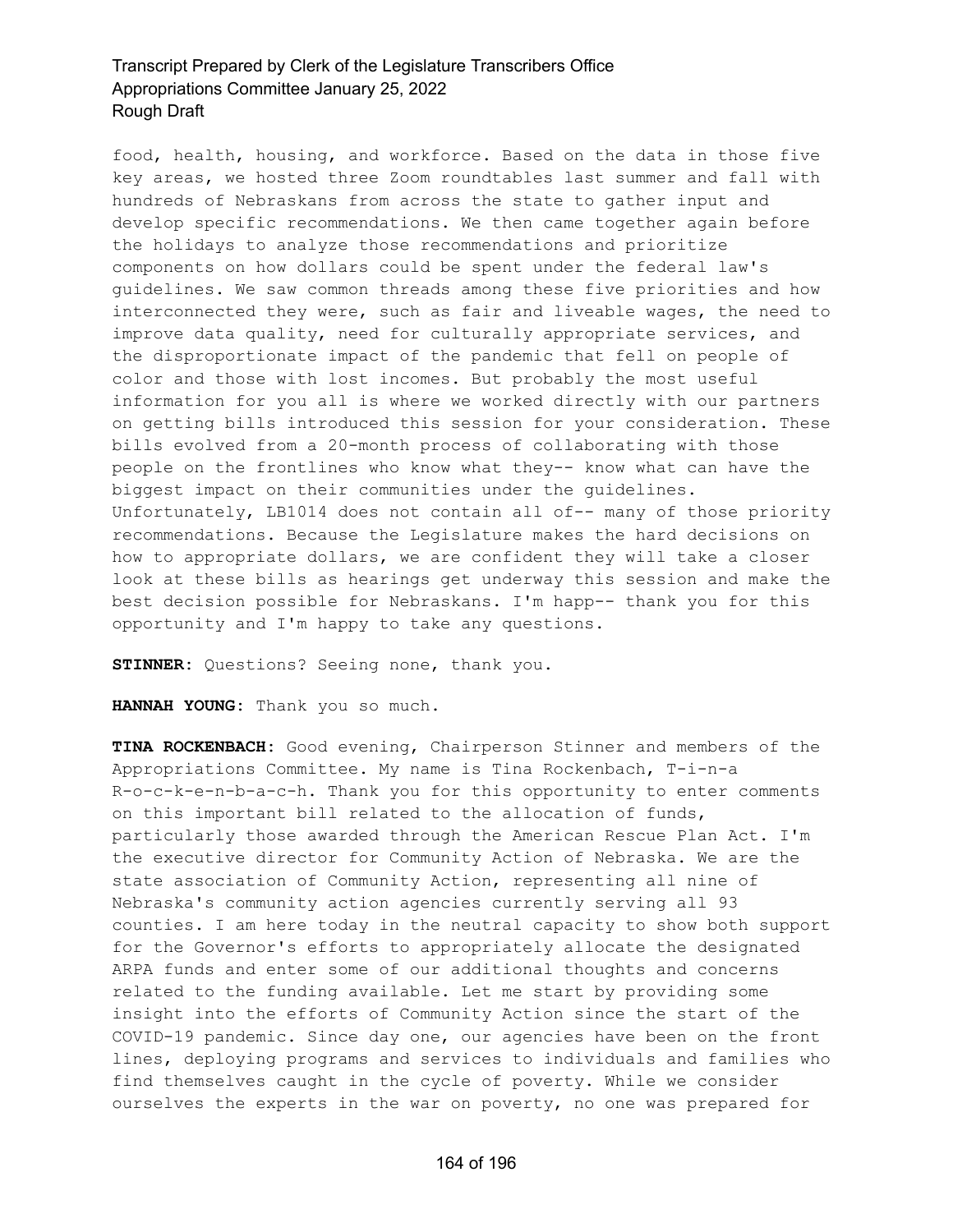food, health, housing, and workforce. Based on the data in those five key areas, we hosted three Zoom roundtables last summer and fall with hundreds of Nebraskans from across the state to gather input and develop specific recommendations. We then came together again before the holidays to analyze those recommendations and prioritize components on how dollars could be spent under the federal law's guidelines. We saw common threads among these five priorities and how interconnected they were, such as fair and liveable wages, the need to improve data quality, need for culturally appropriate services, and the disproportionate impact of the pandemic that fell on people of color and those with lost incomes. But probably the most useful information for you all is where we worked directly with our partners on getting bills introduced this session for your consideration. These bills evolved from a 20-month process of collaborating with those people on the frontlines who know what they-- know what can have the biggest impact on their communities under the guidelines. Unfortunately, LB1014 does not contain all of-- many of those priority recommendations. Because the Legislature makes the hard decisions on how to appropriate dollars, we are confident they will take a closer look at these bills as hearings get underway this session and make the best decision possible for Nebraskans. I'm happ-- thank you for this opportunity and I'm happy to take any questions.

**STINNER:** Questions? Seeing none, thank you.

**HANNAH YOUNG:** Thank you so much.

**TINA ROCKENBACH:** Good evening, Chairperson Stinner and members of the Appropriations Committee. My name is Tina Rockenbach, T-i-n-a R-o-c-k-e-n-b-a-c-h. Thank you for this opportunity to enter comments on this important bill related to the allocation of funds, particularly those awarded through the American Rescue Plan Act. I'm the executive director for Community Action of Nebraska. We are the state association of Community Action, representing all nine of Nebraska's community action agencies currently serving all 93 counties. I am here today in the neutral capacity to show both support for the Governor's efforts to appropriately allocate the designated ARPA funds and enter some of our additional thoughts and concerns related to the funding available. Let me start by providing some insight into the efforts of Community Action since the start of the COVID-19 pandemic. Since day one, our agencies have been on the front lines, deploying programs and services to individuals and families who find themselves caught in the cycle of poverty. While we consider ourselves the experts in the war on poverty, no one was prepared for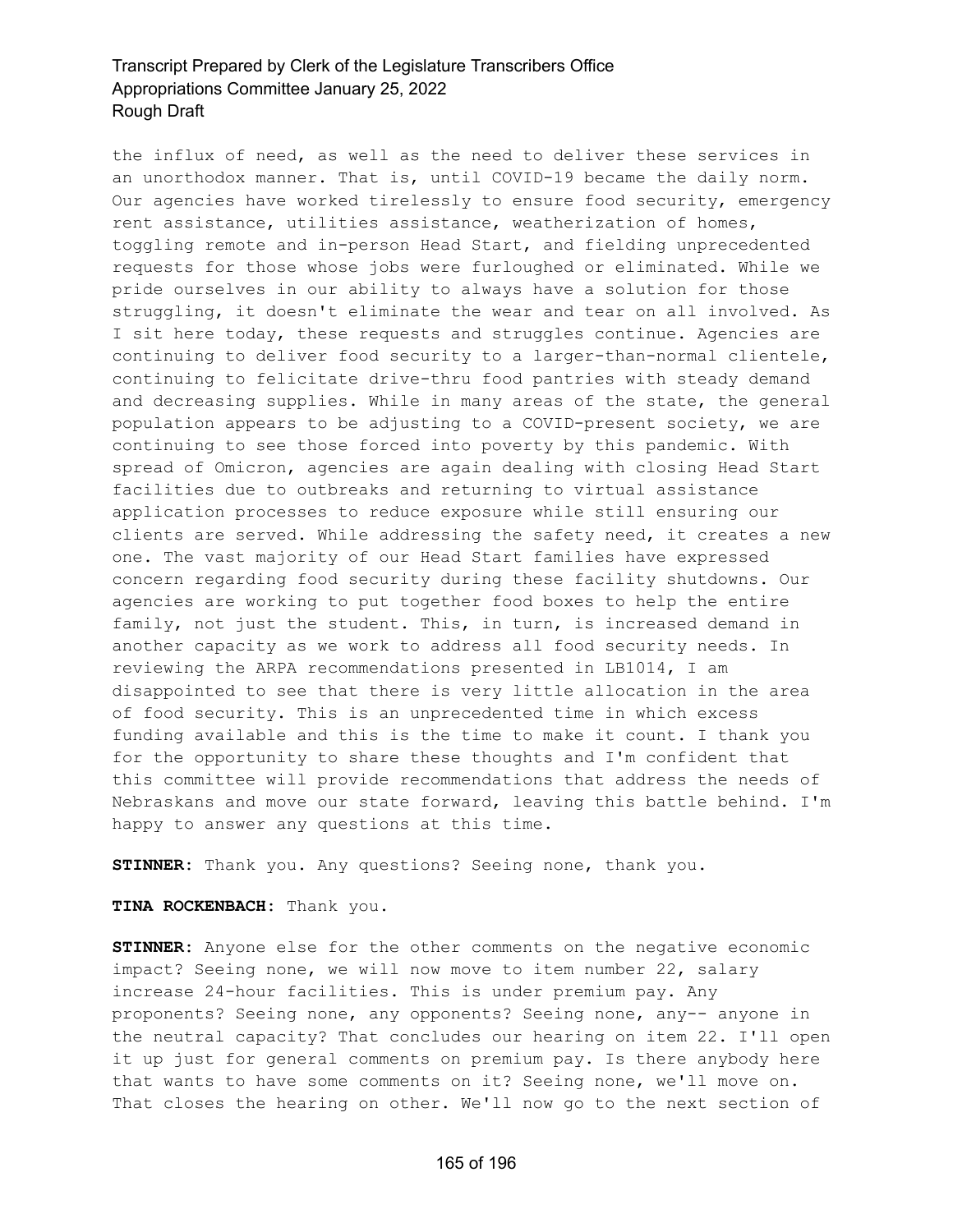the influx of need, as well as the need to deliver these services in an unorthodox manner. That is, until COVID-19 became the daily norm. Our agencies have worked tirelessly to ensure food security, emergency rent assistance, utilities assistance, weatherization of homes, toggling remote and in-person Head Start, and fielding unprecedented requests for those whose jobs were furloughed or eliminated. While we pride ourselves in our ability to always have a solution for those struggling, it doesn't eliminate the wear and tear on all involved. As I sit here today, these requests and struggles continue. Agencies are continuing to deliver food security to a larger-than-normal clientele, continuing to felicitate drive-thru food pantries with steady demand and decreasing supplies. While in many areas of the state, the general population appears to be adjusting to a COVID-present society, we are continuing to see those forced into poverty by this pandemic. With spread of Omicron, agencies are again dealing with closing Head Start facilities due to outbreaks and returning to virtual assistance application processes to reduce exposure while still ensuring our clients are served. While addressing the safety need, it creates a new one. The vast majority of our Head Start families have expressed concern regarding food security during these facility shutdowns. Our agencies are working to put together food boxes to help the entire family, not just the student. This, in turn, is increased demand in another capacity as we work to address all food security needs. In reviewing the ARPA recommendations presented in LB1014, I am disappointed to see that there is very little allocation in the area of food security. This is an unprecedented time in which excess funding available and this is the time to make it count. I thank you for the opportunity to share these thoughts and I'm confident that this committee will provide recommendations that address the needs of Nebraskans and move our state forward, leaving this battle behind. I'm happy to answer any questions at this time.

**STINNER:** Thank you. Any questions? Seeing none, thank you.

#### **TINA ROCKENBACH:** Thank you.

**STINNER:** Anyone else for the other comments on the negative economic impact? Seeing none, we will now move to item number 22, salary increase 24-hour facilities. This is under premium pay. Any proponents? Seeing none, any opponents? Seeing none, any-- anyone in the neutral capacity? That concludes our hearing on item 22. I'll open it up just for general comments on premium pay. Is there anybody here that wants to have some comments on it? Seeing none, we'll move on. That closes the hearing on other. We'll now go to the next section of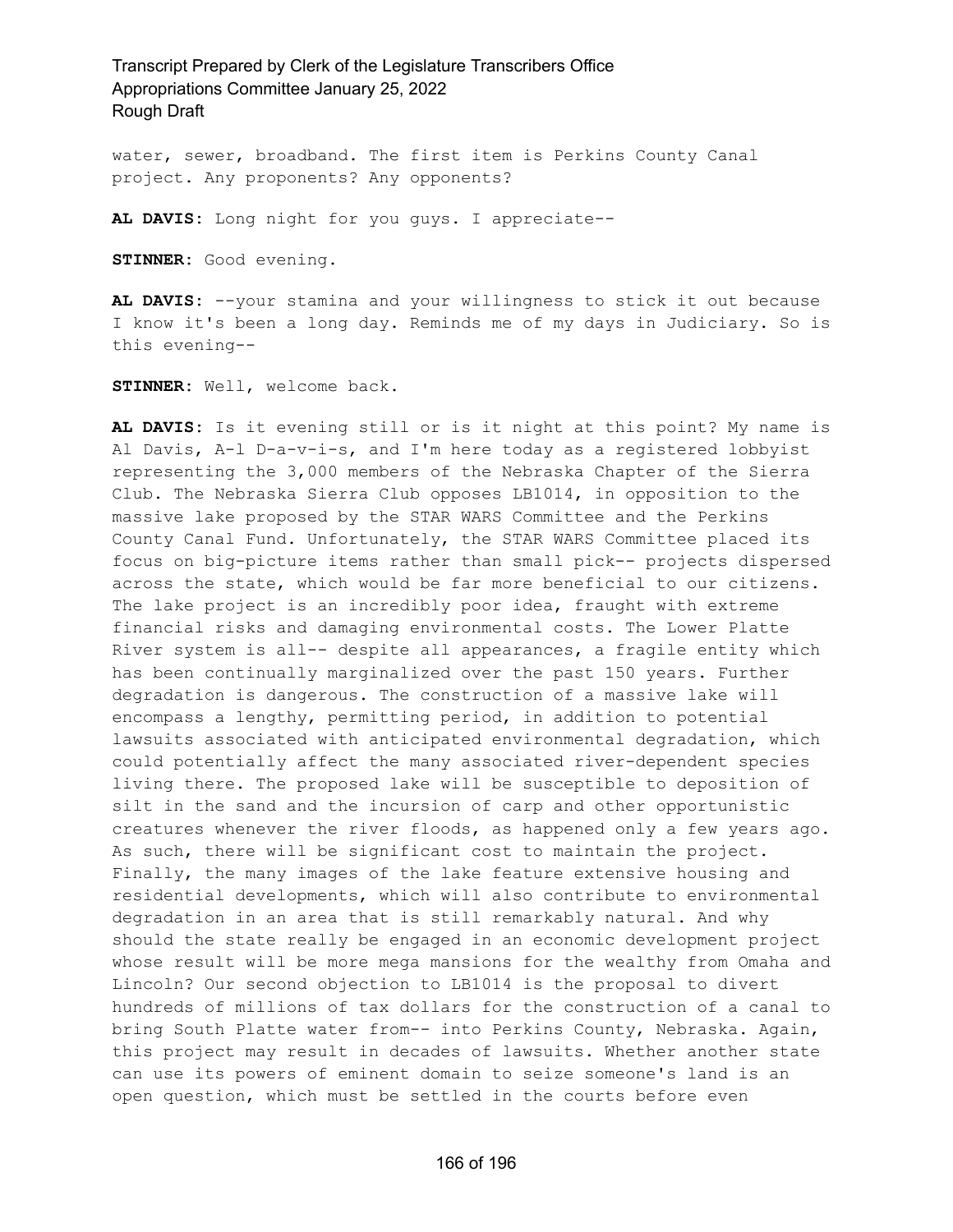water, sewer, broadband. The first item is Perkins County Canal project. Any proponents? Any opponents?

**AL DAVIS:** Long night for you guys. I appreciate--

**STINNER:** Good evening.

**AL DAVIS:** --your stamina and your willingness to stick it out because I know it's been a long day. Reminds me of my days in Judiciary. So is this evening--

**STINNER:** Well, welcome back.

**AL DAVIS:** Is it evening still or is it night at this point? My name is Al Davis, A-l D-a-v-i-s, and I'm here today as a registered lobbyist representing the 3,000 members of the Nebraska Chapter of the Sierra Club. The Nebraska Sierra Club opposes LB1014, in opposition to the massive lake proposed by the STAR WARS Committee and the Perkins County Canal Fund. Unfortunately, the STAR WARS Committee placed its focus on big-picture items rather than small pick-- projects dispersed across the state, which would be far more beneficial to our citizens. The lake project is an incredibly poor idea, fraught with extreme financial risks and damaging environmental costs. The Lower Platte River system is all-- despite all appearances, a fragile entity which has been continually marginalized over the past 150 years. Further degradation is dangerous. The construction of a massive lake will encompass a lengthy, permitting period, in addition to potential lawsuits associated with anticipated environmental degradation, which could potentially affect the many associated river-dependent species living there. The proposed lake will be susceptible to deposition of silt in the sand and the incursion of carp and other opportunistic creatures whenever the river floods, as happened only a few years ago. As such, there will be significant cost to maintain the project. Finally, the many images of the lake feature extensive housing and residential developments, which will also contribute to environmental degradation in an area that is still remarkably natural. And why should the state really be engaged in an economic development project whose result will be more mega mansions for the wealthy from Omaha and Lincoln? Our second objection to LB1014 is the proposal to divert hundreds of millions of tax dollars for the construction of a canal to bring South Platte water from-- into Perkins County, Nebraska. Again, this project may result in decades of lawsuits. Whether another state can use its powers of eminent domain to seize someone's land is an open question, which must be settled in the courts before even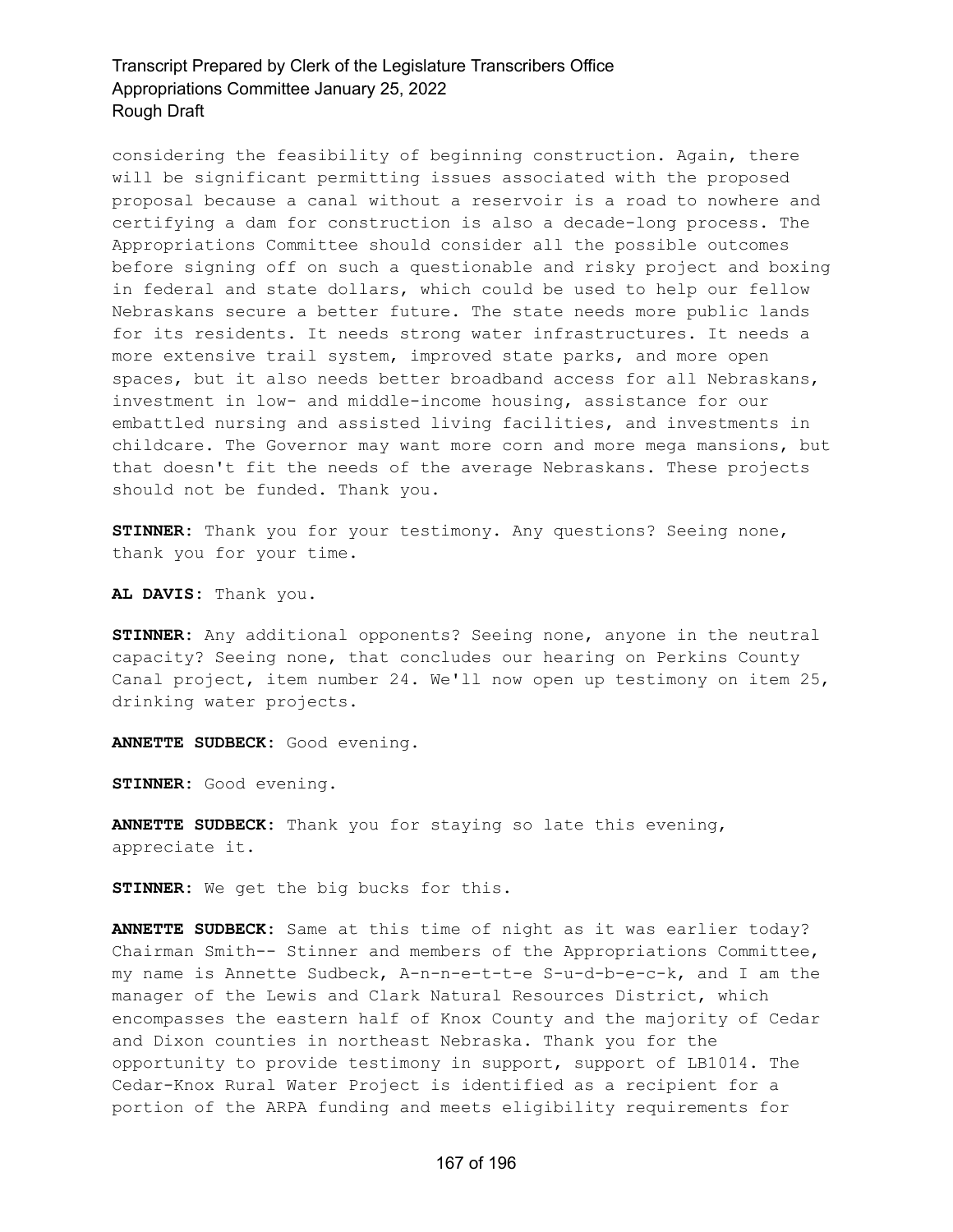considering the feasibility of beginning construction. Again, there will be significant permitting issues associated with the proposed proposal because a canal without a reservoir is a road to nowhere and certifying a dam for construction is also a decade-long process. The Appropriations Committee should consider all the possible outcomes before signing off on such a questionable and risky project and boxing in federal and state dollars, which could be used to help our fellow Nebraskans secure a better future. The state needs more public lands for its residents. It needs strong water infrastructures. It needs a more extensive trail system, improved state parks, and more open spaces, but it also needs better broadband access for all Nebraskans, investment in low- and middle-income housing, assistance for our embattled nursing and assisted living facilities, and investments in childcare. The Governor may want more corn and more mega mansions, but that doesn't fit the needs of the average Nebraskans. These projects should not be funded. Thank you.

**STINNER:** Thank you for your testimony. Any questions? Seeing none, thank you for your time.

**AL DAVIS:** Thank you.

**STINNER:** Any additional opponents? Seeing none, anyone in the neutral capacity? Seeing none, that concludes our hearing on Perkins County Canal project, item number 24. We'll now open up testimony on item 25, drinking water projects.

**ANNETTE SUDBECK:** Good evening.

**STINNER:** Good evening.

**ANNETTE SUDBECK:** Thank you for staying so late this evening, appreciate it.

**STINNER:** We get the big bucks for this.

**ANNETTE SUDBECK:** Same at this time of night as it was earlier today? Chairman Smith-- Stinner and members of the Appropriations Committee, my name is Annette Sudbeck, A-n-n-e-t-t-e S-u-d-b-e-c-k, and I am the manager of the Lewis and Clark Natural Resources District, which encompasses the eastern half of Knox County and the majority of Cedar and Dixon counties in northeast Nebraska. Thank you for the opportunity to provide testimony in support, support of LB1014. The Cedar-Knox Rural Water Project is identified as a recipient for a portion of the ARPA funding and meets eligibility requirements for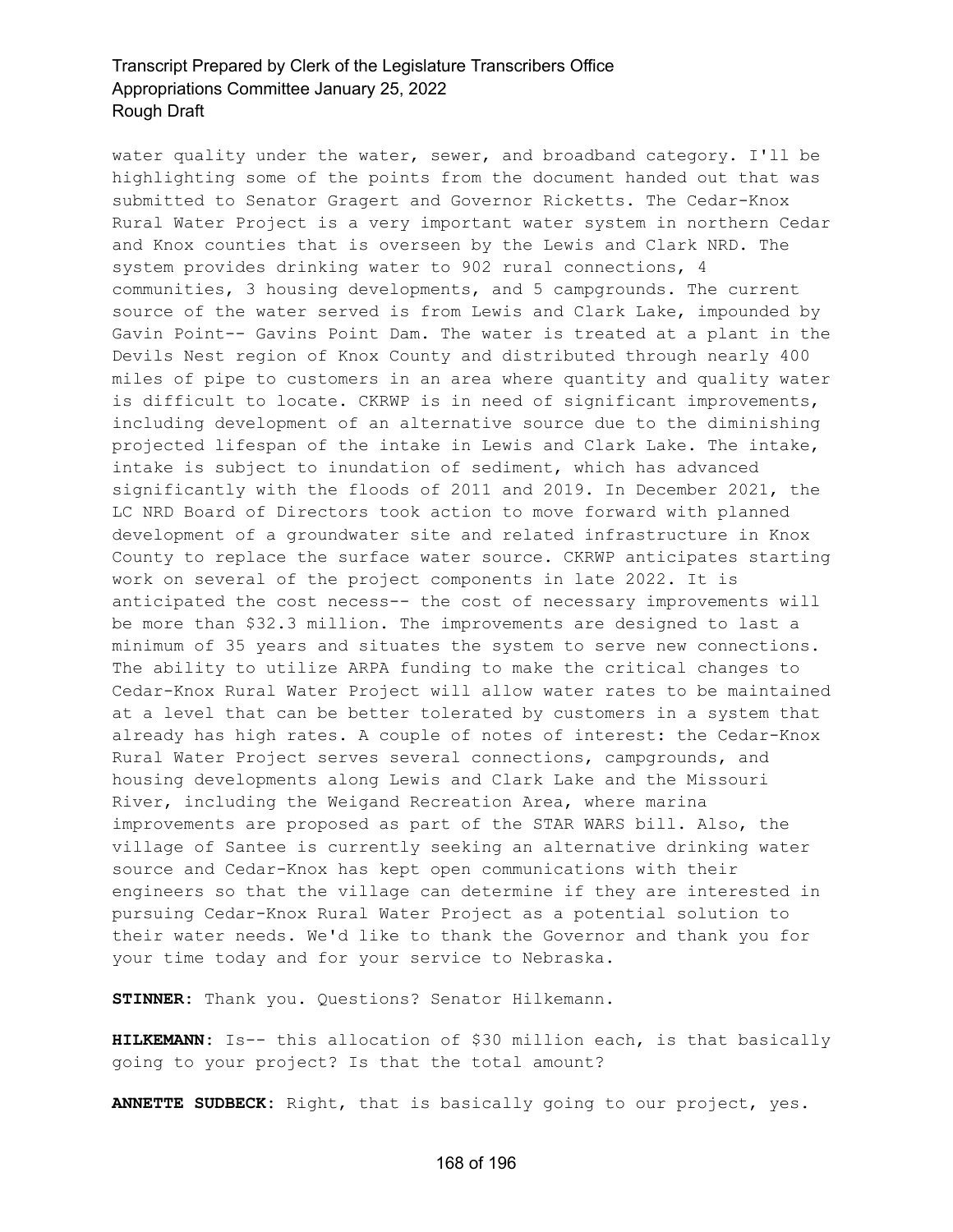water quality under the water, sewer, and broadband category. I'll be highlighting some of the points from the document handed out that was submitted to Senator Gragert and Governor Ricketts. The Cedar-Knox Rural Water Project is a very important water system in northern Cedar and Knox counties that is overseen by the Lewis and Clark NRD. The system provides drinking water to 902 rural connections, 4 communities, 3 housing developments, and 5 campgrounds. The current source of the water served is from Lewis and Clark Lake, impounded by Gavin Point-- Gavins Point Dam. The water is treated at a plant in the Devils Nest region of Knox County and distributed through nearly 400 miles of pipe to customers in an area where quantity and quality water is difficult to locate. CKRWP is in need of significant improvements, including development of an alternative source due to the diminishing projected lifespan of the intake in Lewis and Clark Lake. The intake, intake is subject to inundation of sediment, which has advanced significantly with the floods of 2011 and 2019. In December 2021, the LC NRD Board of Directors took action to move forward with planned development of a groundwater site and related infrastructure in Knox County to replace the surface water source. CKRWP anticipates starting work on several of the project components in late 2022. It is anticipated the cost necess-- the cost of necessary improvements will be more than \$32.3 million. The improvements are designed to last a minimum of 35 years and situates the system to serve new connections. The ability to utilize ARPA funding to make the critical changes to Cedar-Knox Rural Water Project will allow water rates to be maintained at a level that can be better tolerated by customers in a system that already has high rates. A couple of notes of interest: the Cedar-Knox Rural Water Project serves several connections, campgrounds, and housing developments along Lewis and Clark Lake and the Missouri River, including the Weigand Recreation Area, where marina improvements are proposed as part of the STAR WARS bill. Also, the village of Santee is currently seeking an alternative drinking water source and Cedar-Knox has kept open communications with their engineers so that the village can determine if they are interested in pursuing Cedar-Knox Rural Water Project as a potential solution to their water needs. We'd like to thank the Governor and thank you for your time today and for your service to Nebraska.

**STINNER:** Thank you. Questions? Senator Hilkemann.

**HILKEMANN:** Is-- this allocation of \$30 million each, is that basically going to your project? Is that the total amount?

**ANNETTE SUDBECK:** Right, that is basically going to our project, yes.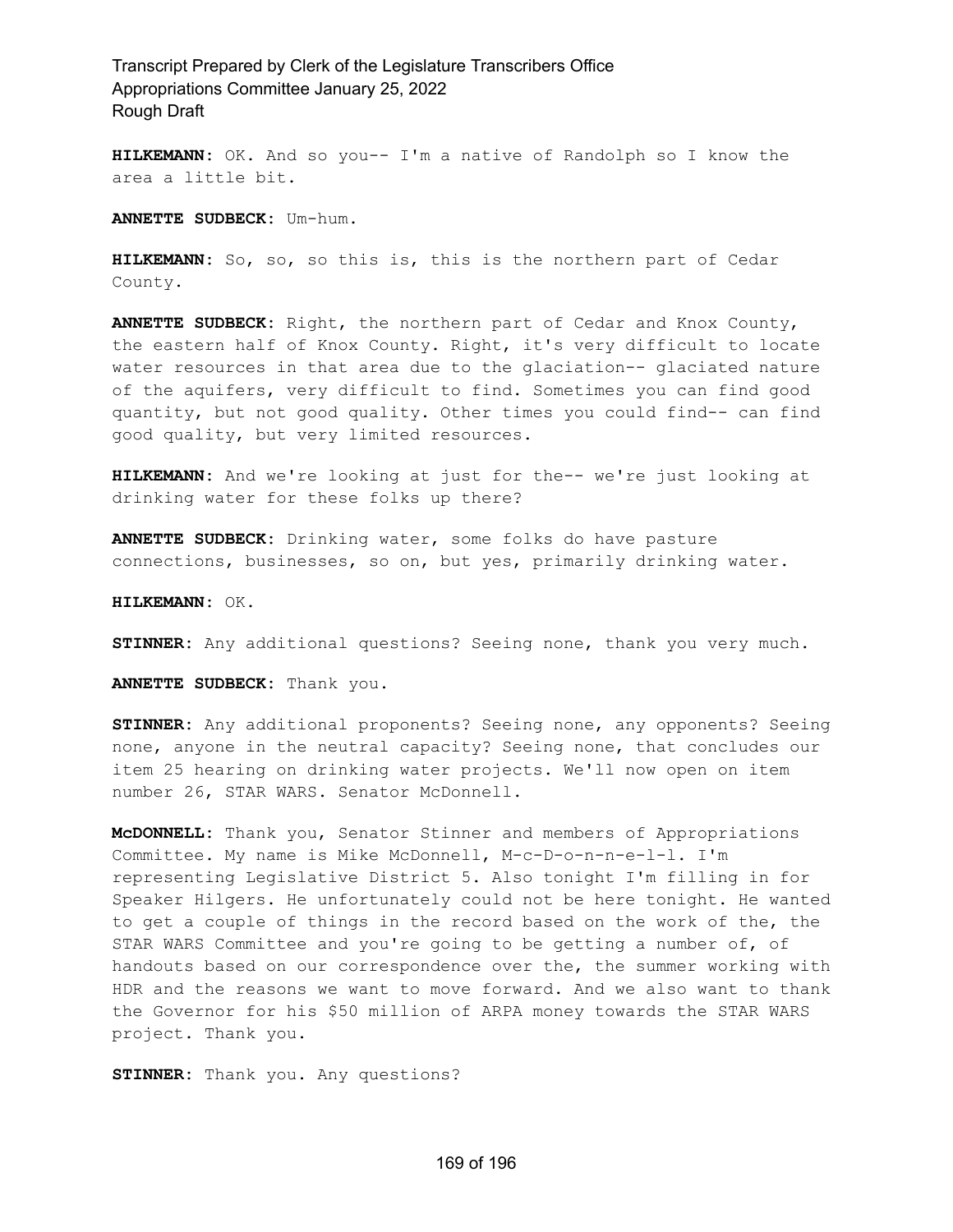**HILKEMANN:** OK. And so you-- I'm a native of Randolph so I know the area a little bit.

**ANNETTE SUDBECK:** Um-hum.

**HILKEMANN:** So, so, so this is, this is the northern part of Cedar County.

**ANNETTE SUDBECK:** Right, the northern part of Cedar and Knox County, the eastern half of Knox County. Right, it's very difficult to locate water resources in that area due to the glaciation-- glaciated nature of the aquifers, very difficult to find. Sometimes you can find good quantity, but not good quality. Other times you could find-- can find good quality, but very limited resources.

**HILKEMANN:** And we're looking at just for the-- we're just looking at drinking water for these folks up there?

**ANNETTE SUDBECK:** Drinking water, some folks do have pasture connections, businesses, so on, but yes, primarily drinking water.

**HILKEMANN:** OK.

**STINNER:** Any additional questions? Seeing none, thank you very much.

**ANNETTE SUDBECK:** Thank you.

**STINNER:** Any additional proponents? Seeing none, any opponents? Seeing none, anyone in the neutral capacity? Seeing none, that concludes our item 25 hearing on drinking water projects. We'll now open on item number 26, STAR WARS. Senator McDonnell.

**McDONNELL:** Thank you, Senator Stinner and members of Appropriations Committee. My name is Mike McDonnell, M-c-D-o-n-n-e-l-l. I'm representing Legislative District 5. Also tonight I'm filling in for Speaker Hilgers. He unfortunately could not be here tonight. He wanted to get a couple of things in the record based on the work of the, the STAR WARS Committee and you're going to be getting a number of, of handouts based on our correspondence over the, the summer working with HDR and the reasons we want to move forward. And we also want to thank the Governor for his \$50 million of ARPA money towards the STAR WARS project. Thank you.

**STINNER:** Thank you. Any questions?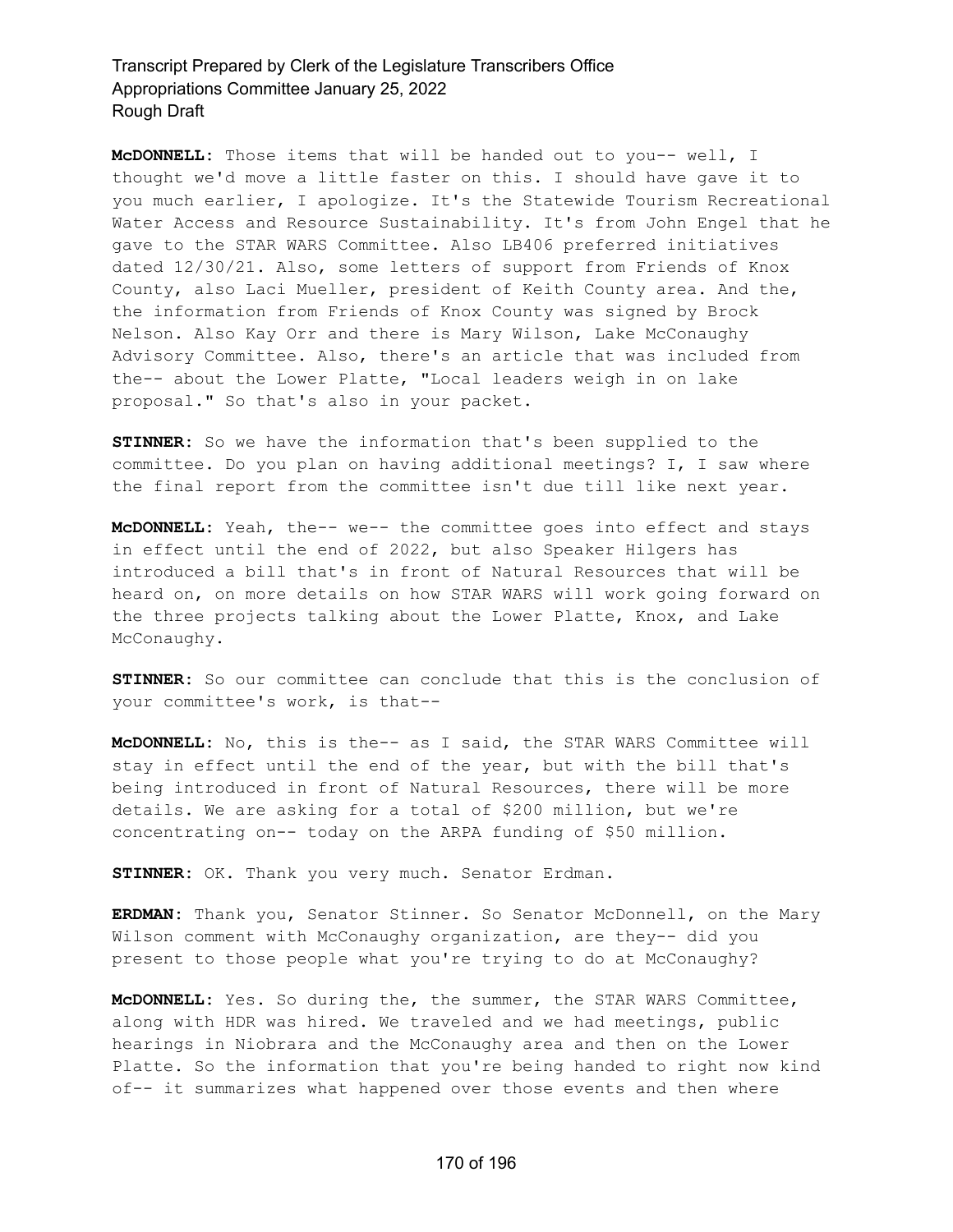**McDONNELL:** Those items that will be handed out to you-- well, I thought we'd move a little faster on this. I should have gave it to you much earlier, I apologize. It's the Statewide Tourism Recreational Water Access and Resource Sustainability. It's from John Engel that he gave to the STAR WARS Committee. Also LB406 preferred initiatives dated 12/30/21. Also, some letters of support from Friends of Knox County, also Laci Mueller, president of Keith County area. And the, the information from Friends of Knox County was signed by Brock Nelson. Also Kay Orr and there is Mary Wilson, Lake McConaughy Advisory Committee. Also, there's an article that was included from the-- about the Lower Platte, "Local leaders weigh in on lake proposal." So that's also in your packet.

**STINNER:** So we have the information that's been supplied to the committee. Do you plan on having additional meetings? I, I saw where the final report from the committee isn't due till like next year.

**McDONNELL:** Yeah, the-- we-- the committee goes into effect and stays in effect until the end of 2022, but also Speaker Hilgers has introduced a bill that's in front of Natural Resources that will be heard on, on more details on how STAR WARS will work going forward on the three projects talking about the Lower Platte, Knox, and Lake McConaughy.

**STINNER:** So our committee can conclude that this is the conclusion of your committee's work, is that--

**McDONNELL:** No, this is the-- as I said, the STAR WARS Committee will stay in effect until the end of the year, but with the bill that's being introduced in front of Natural Resources, there will be more details. We are asking for a total of \$200 million, but we're concentrating on-- today on the ARPA funding of \$50 million.

**STINNER:** OK. Thank you very much. Senator Erdman.

**ERDMAN:** Thank you, Senator Stinner. So Senator McDonnell, on the Mary Wilson comment with McConaughy organization, are they-- did you present to those people what you're trying to do at McConaughy?

**McDONNELL:** Yes. So during the, the summer, the STAR WARS Committee, along with HDR was hired. We traveled and we had meetings, public hearings in Niobrara and the McConaughy area and then on the Lower Platte. So the information that you're being handed to right now kind of-- it summarizes what happened over those events and then where

#### 170 of 196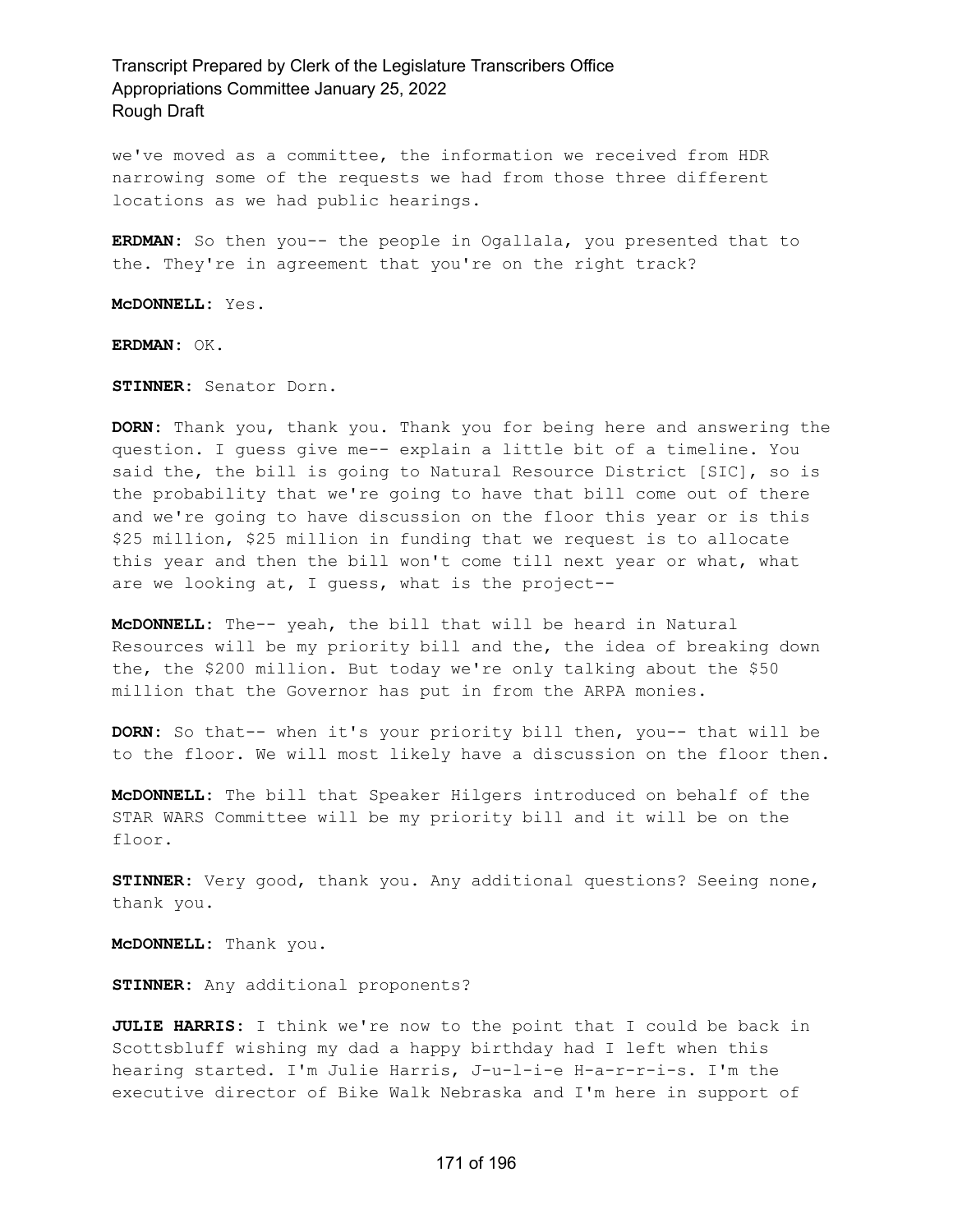we've moved as a committee, the information we received from HDR narrowing some of the requests we had from those three different locations as we had public hearings.

**ERDMAN:** So then you-- the people in Ogallala, you presented that to the. They're in agreement that you're on the right track?

**McDONNELL:** Yes.

**ERDMAN:** OK.

**STINNER:** Senator Dorn.

**DORN:** Thank you, thank you. Thank you for being here and answering the question. I guess give me-- explain a little bit of a timeline. You said the, the bill is going to Natural Resource District [SIC], so is the probability that we're going to have that bill come out of there and we're going to have discussion on the floor this year or is this \$25 million, \$25 million in funding that we request is to allocate this year and then the bill won't come till next year or what, what are we looking at, I guess, what is the project--

**McDONNELL:** The-- yeah, the bill that will be heard in Natural Resources will be my priority bill and the, the idea of breaking down the, the \$200 million. But today we're only talking about the \$50 million that the Governor has put in from the ARPA monies.

**DORN:** So that-- when it's your priority bill then, you-- that will be to the floor. We will most likely have a discussion on the floor then.

**McDONNELL:** The bill that Speaker Hilgers introduced on behalf of the STAR WARS Committee will be my priority bill and it will be on the floor.

**STINNER:** Very good, thank you. Any additional questions? Seeing none, thank you.

**McDONNELL:** Thank you.

**STINNER:** Any additional proponents?

**JULIE HARRIS:** I think we're now to the point that I could be back in Scottsbluff wishing my dad a happy birthday had I left when this hearing started. I'm Julie Harris, J-u-l-i-e H-a-r-r-i-s. I'm the executive director of Bike Walk Nebraska and I'm here in support of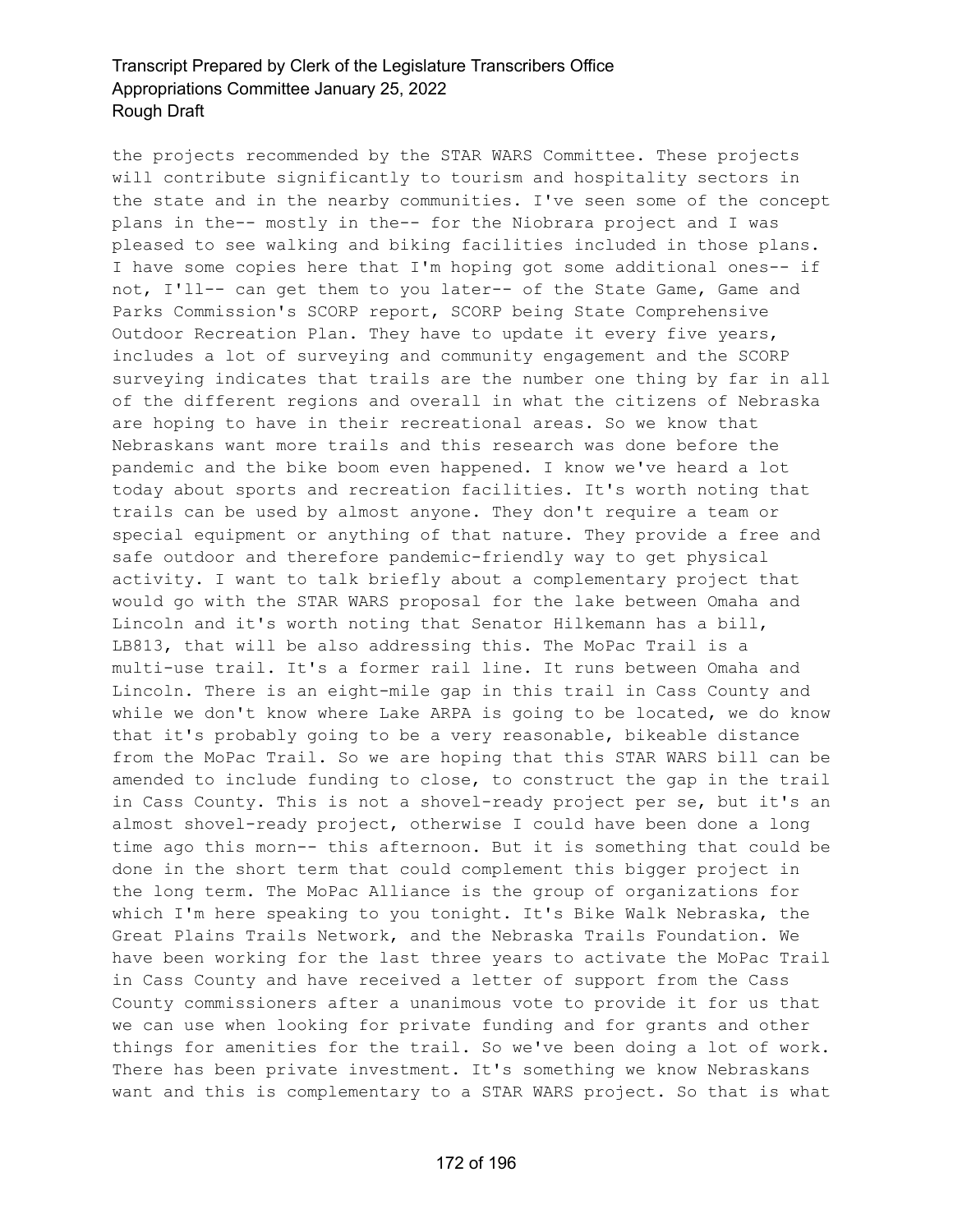the projects recommended by the STAR WARS Committee. These projects will contribute significantly to tourism and hospitality sectors in the state and in the nearby communities. I've seen some of the concept plans in the-- mostly in the-- for the Niobrara project and I was pleased to see walking and biking facilities included in those plans. I have some copies here that I'm hoping got some additional ones-- if not, I'll-- can get them to you later-- of the State Game, Game and Parks Commission's SCORP report, SCORP being State Comprehensive Outdoor Recreation Plan. They have to update it every five years, includes a lot of surveying and community engagement and the SCORP surveying indicates that trails are the number one thing by far in all of the different regions and overall in what the citizens of Nebraska are hoping to have in their recreational areas. So we know that Nebraskans want more trails and this research was done before the pandemic and the bike boom even happened. I know we've heard a lot today about sports and recreation facilities. It's worth noting that trails can be used by almost anyone. They don't require a team or special equipment or anything of that nature. They provide a free and safe outdoor and therefore pandemic-friendly way to get physical activity. I want to talk briefly about a complementary project that would go with the STAR WARS proposal for the lake between Omaha and Lincoln and it's worth noting that Senator Hilkemann has a bill, LB813, that will be also addressing this. The MoPac Trail is a multi-use trail. It's a former rail line. It runs between Omaha and Lincoln. There is an eight-mile gap in this trail in Cass County and while we don't know where Lake ARPA is going to be located, we do know that it's probably going to be a very reasonable, bikeable distance from the MoPac Trail. So we are hoping that this STAR WARS bill can be amended to include funding to close, to construct the gap in the trail in Cass County. This is not a shovel-ready project per se, but it's an almost shovel-ready project, otherwise I could have been done a long time ago this morn-- this afternoon. But it is something that could be done in the short term that could complement this bigger project in the long term. The MoPac Alliance is the group of organizations for which I'm here speaking to you tonight. It's Bike Walk Nebraska, the Great Plains Trails Network, and the Nebraska Trails Foundation. We have been working for the last three years to activate the MoPac Trail in Cass County and have received a letter of support from the Cass County commissioners after a unanimous vote to provide it for us that we can use when looking for private funding and for grants and other things for amenities for the trail. So we've been doing a lot of work. There has been private investment. It's something we know Nebraskans want and this is complementary to a STAR WARS project. So that is what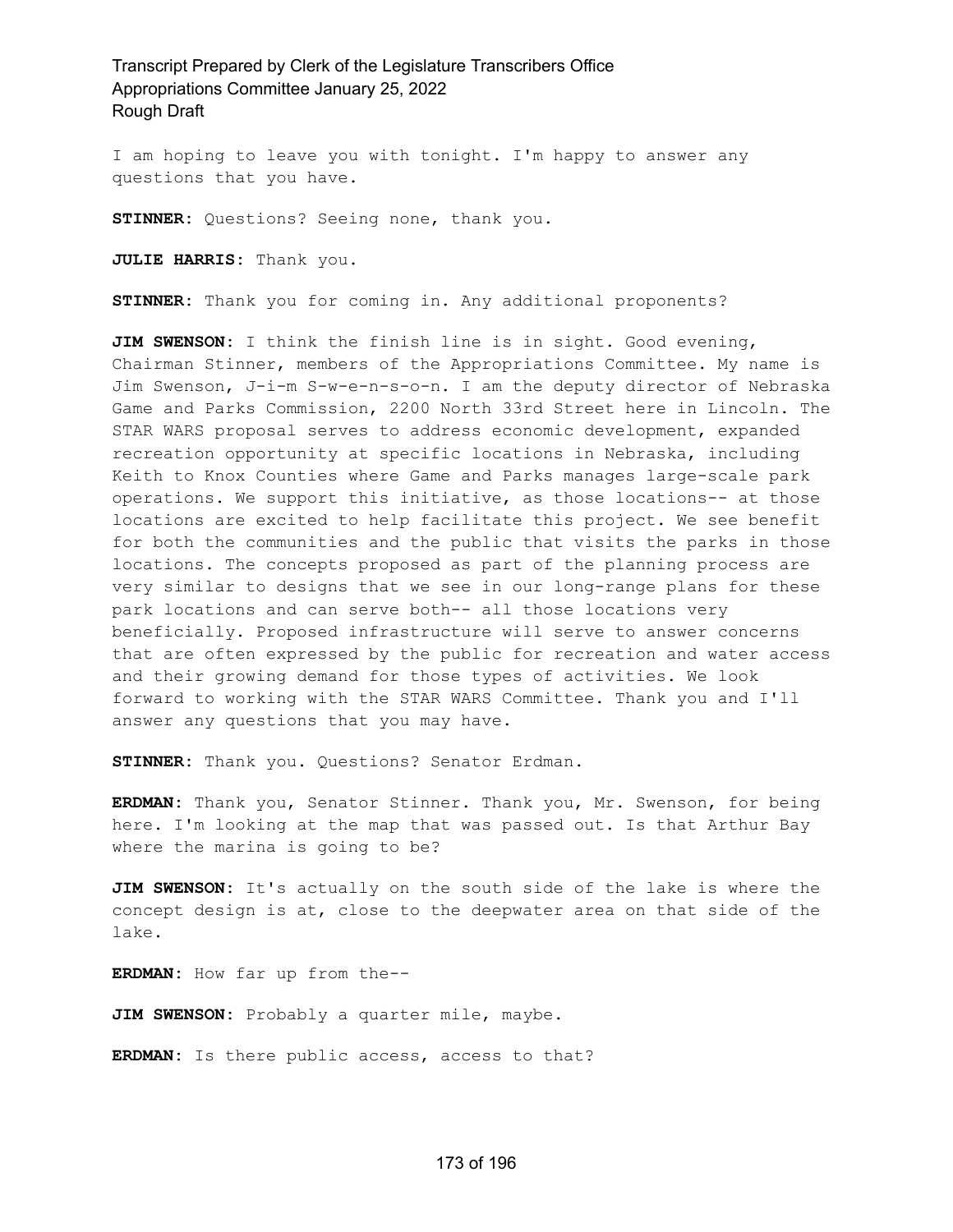I am hoping to leave you with tonight. I'm happy to answer any questions that you have.

**STINNER:** Questions? Seeing none, thank you.

**JULIE HARRIS:** Thank you.

**STINNER:** Thank you for coming in. Any additional proponents?

**JIM SWENSON:** I think the finish line is in sight. Good evening, Chairman Stinner, members of the Appropriations Committee. My name is Jim Swenson, J-i-m S-w-e-n-s-o-n. I am the deputy director of Nebraska Game and Parks Commission, 2200 North 33rd Street here in Lincoln. The STAR WARS proposal serves to address economic development, expanded recreation opportunity at specific locations in Nebraska, including Keith to Knox Counties where Game and Parks manages large-scale park operations. We support this initiative, as those locations-- at those locations are excited to help facilitate this project. We see benefit for both the communities and the public that visits the parks in those locations. The concepts proposed as part of the planning process are very similar to designs that we see in our long-range plans for these park locations and can serve both-- all those locations very beneficially. Proposed infrastructure will serve to answer concerns that are often expressed by the public for recreation and water access and their growing demand for those types of activities. We look forward to working with the STAR WARS Committee. Thank you and I'll answer any questions that you may have.

**STINNER:** Thank you. Questions? Senator Erdman.

**ERDMAN:** Thank you, Senator Stinner. Thank you, Mr. Swenson, for being here. I'm looking at the map that was passed out. Is that Arthur Bay where the marina is going to be?

**JIM SWENSON:** It's actually on the south side of the lake is where the concept design is at, close to the deepwater area on that side of the lake.

**ERDMAN:** How far up from the--

**JIM SWENSON:** Probably a quarter mile, maybe.

**ERDMAN:** Is there public access, access to that?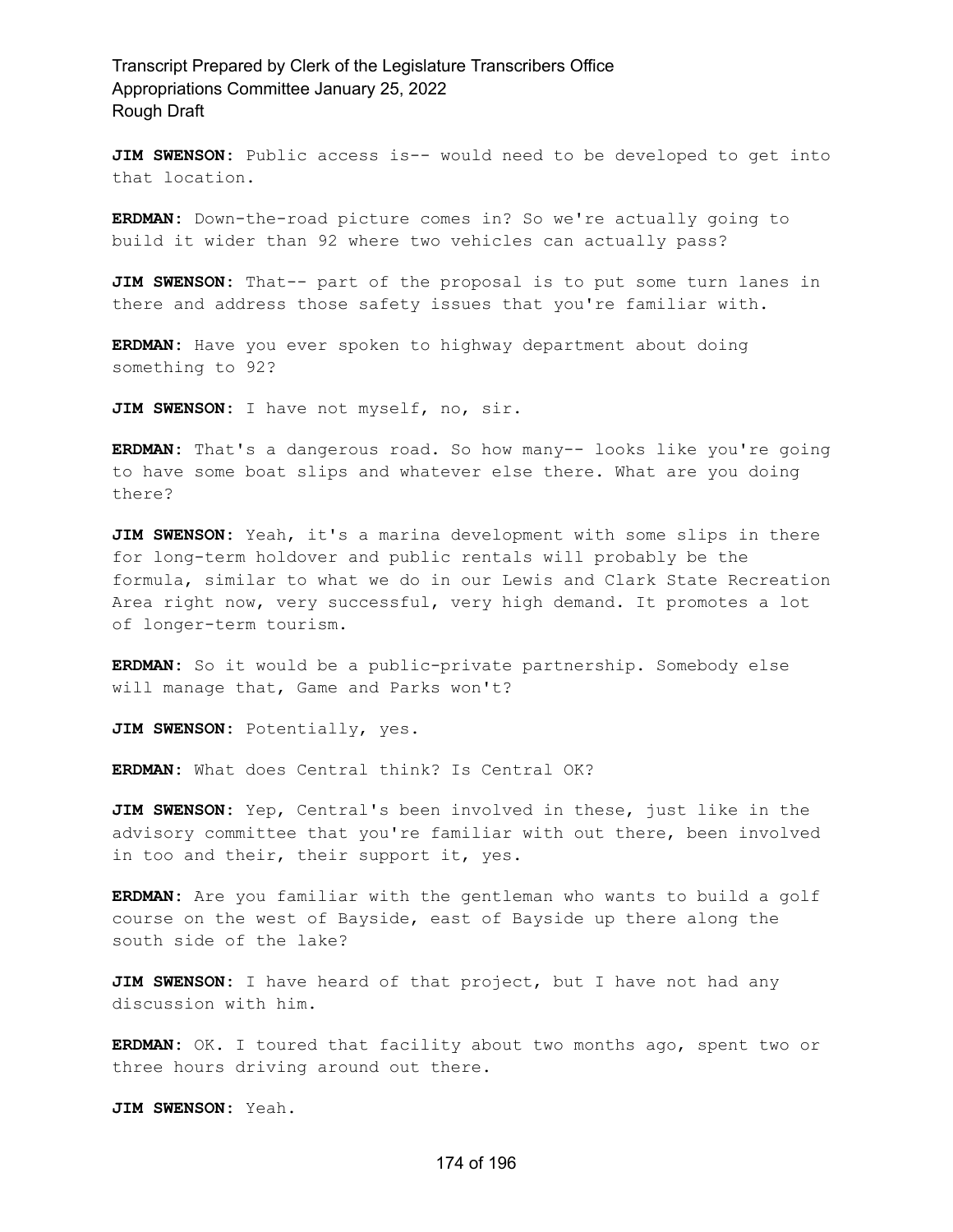**JIM SWENSON:** Public access is-- would need to be developed to get into that location.

**ERDMAN:** Down-the-road picture comes in? So we're actually going to build it wider than 92 where two vehicles can actually pass?

**JIM SWENSON:** That-- part of the proposal is to put some turn lanes in there and address those safety issues that you're familiar with.

**ERDMAN:** Have you ever spoken to highway department about doing something to 92?

**JIM SWENSON:** I have not myself, no, sir.

**ERDMAN:** That's a dangerous road. So how many-- looks like you're going to have some boat slips and whatever else there. What are you doing there?

**JIM SWENSON:** Yeah, it's a marina development with some slips in there for long-term holdover and public rentals will probably be the formula, similar to what we do in our Lewis and Clark State Recreation Area right now, very successful, very high demand. It promotes a lot of longer-term tourism.

**ERDMAN:** So it would be a public-private partnership. Somebody else will manage that, Game and Parks won't?

**JIM SWENSON:** Potentially, yes.

**ERDMAN:** What does Central think? Is Central OK?

**JIM SWENSON:** Yep, Central's been involved in these, just like in the advisory committee that you're familiar with out there, been involved in too and their, their support it, yes.

**ERDMAN:** Are you familiar with the gentleman who wants to build a golf course on the west of Bayside, east of Bayside up there along the south side of the lake?

**JIM SWENSON:** I have heard of that project, but I have not had any discussion with him.

**ERDMAN:** OK. I toured that facility about two months ago, spent two or three hours driving around out there.

**JIM SWENSON:** Yeah.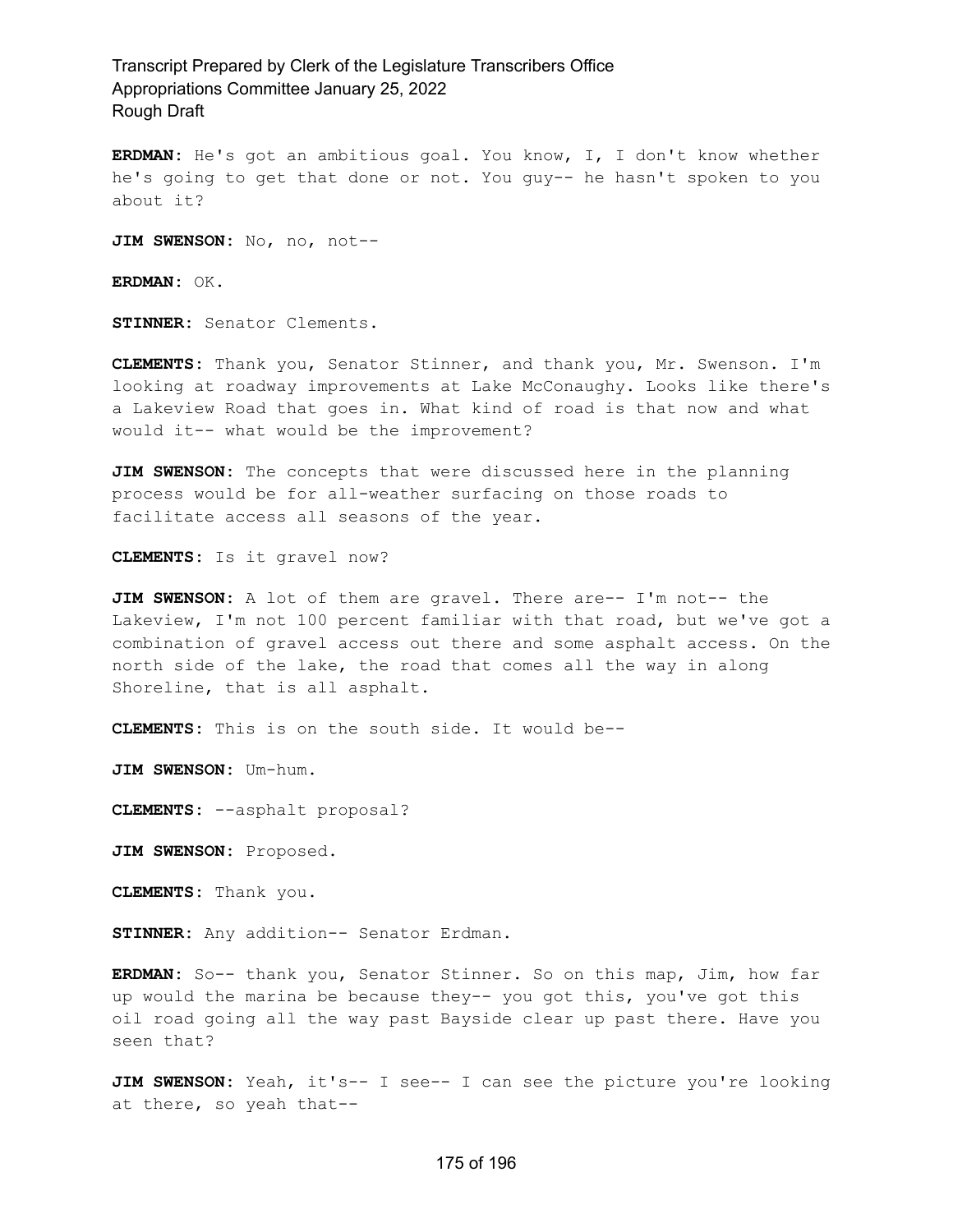**ERDMAN:** He's got an ambitious goal. You know, I, I don't know whether he's going to get that done or not. You guy-- he hasn't spoken to you about it?

JIM SWENSON: No, no, not--

**ERDMAN:** OK.

**STINNER:** Senator Clements.

**CLEMENTS:** Thank you, Senator Stinner, and thank you, Mr. Swenson. I'm looking at roadway improvements at Lake McConaughy. Looks like there's a Lakeview Road that goes in. What kind of road is that now and what would it-- what would be the improvement?

**JIM SWENSON:** The concepts that were discussed here in the planning process would be for all-weather surfacing on those roads to facilitate access all seasons of the year.

**CLEMENTS:** Is it gravel now?

**JIM SWENSON:** A lot of them are gravel. There are-- I'm not-- the Lakeview, I'm not 100 percent familiar with that road, but we've got a combination of gravel access out there and some asphalt access. On the north side of the lake, the road that comes all the way in along Shoreline, that is all asphalt.

**CLEMENTS:** This is on the south side. It would be--

**JIM SWENSON:** Um-hum.

**CLEMENTS:** --asphalt proposal?

**JIM SWENSON:** Proposed.

**CLEMENTS:** Thank you.

**STINNER:** Any addition-- Senator Erdman.

**ERDMAN:** So-- thank you, Senator Stinner. So on this map, Jim, how far up would the marina be because they-- you got this, you've got this oil road going all the way past Bayside clear up past there. Have you seen that?

**JIM SWENSON:** Yeah, it's-- I see-- I can see the picture you're looking at there, so yeah that--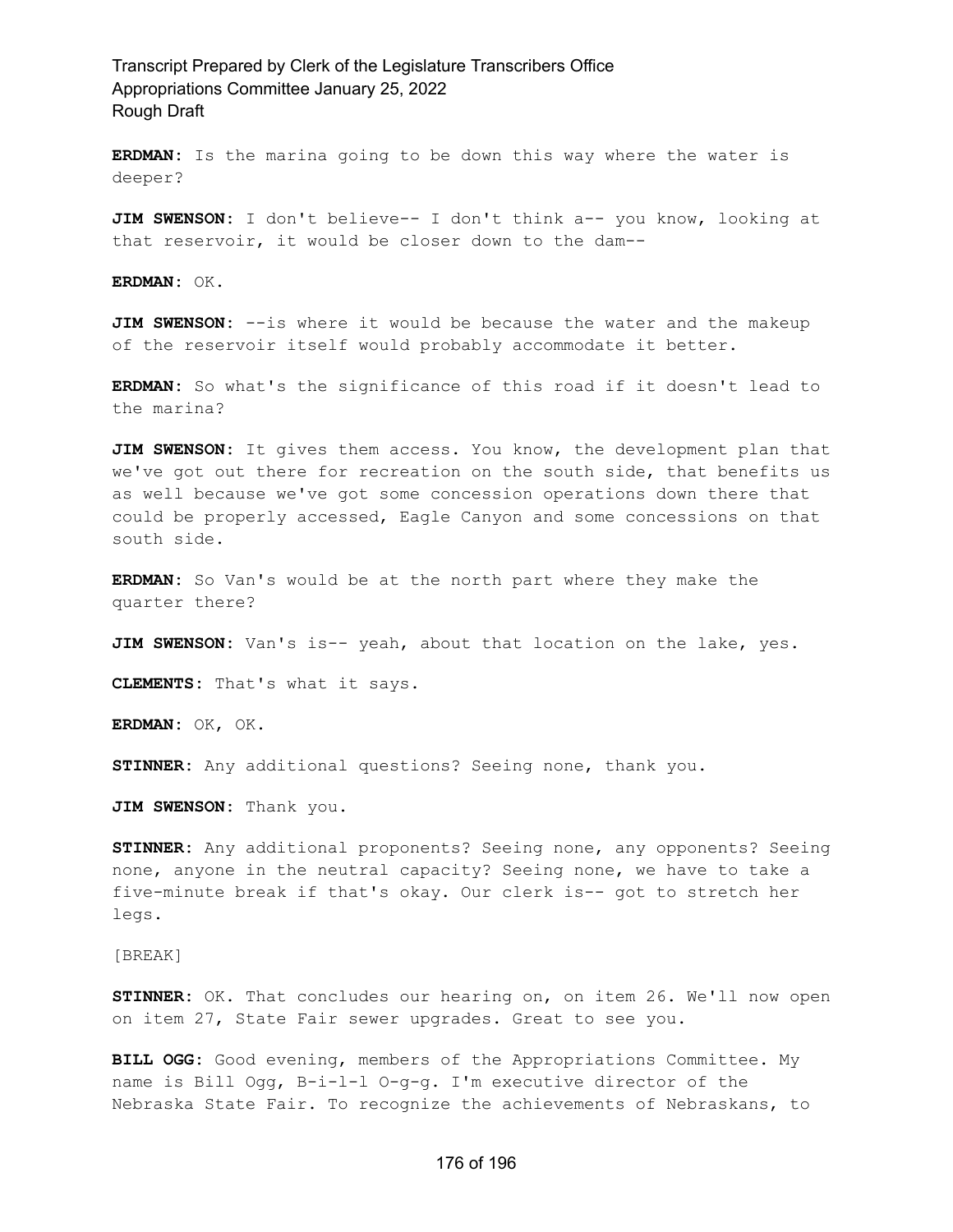**ERDMAN:** Is the marina going to be down this way where the water is deeper?

**JIM SWENSON:** I don't believe-- I don't think a-- you know, looking at that reservoir, it would be closer down to the dam--

**ERDMAN:** OK.

**JIM SWENSON:** --is where it would be because the water and the makeup of the reservoir itself would probably accommodate it better.

**ERDMAN:** So what's the significance of this road if it doesn't lead to the marina?

**JIM SWENSON:** It gives them access. You know, the development plan that we've got out there for recreation on the south side, that benefits us as well because we've got some concession operations down there that could be properly accessed, Eagle Canyon and some concessions on that south side.

**ERDMAN:** So Van's would be at the north part where they make the quarter there?

**JIM SWENSON:** Van's is-- yeah, about that location on the lake, yes.

**CLEMENTS:** That's what it says.

**ERDMAN:** OK, OK.

**STINNER:** Any additional questions? Seeing none, thank you.

**JIM SWENSON:** Thank you.

**STINNER:** Any additional proponents? Seeing none, any opponents? Seeing none, anyone in the neutral capacity? Seeing none, we have to take a five-minute break if that's okay. Our clerk is-- got to stretch her legs.

[BREAK]

**STINNER:** OK. That concludes our hearing on, on item 26. We'll now open on item 27, State Fair sewer upgrades. Great to see you.

**BILL OGG:** Good evening, members of the Appropriations Committee. My name is Bill Ogg, B-i-l-l O-g-g. I'm executive director of the Nebraska State Fair. To recognize the achievements of Nebraskans, to

#### 176 of 196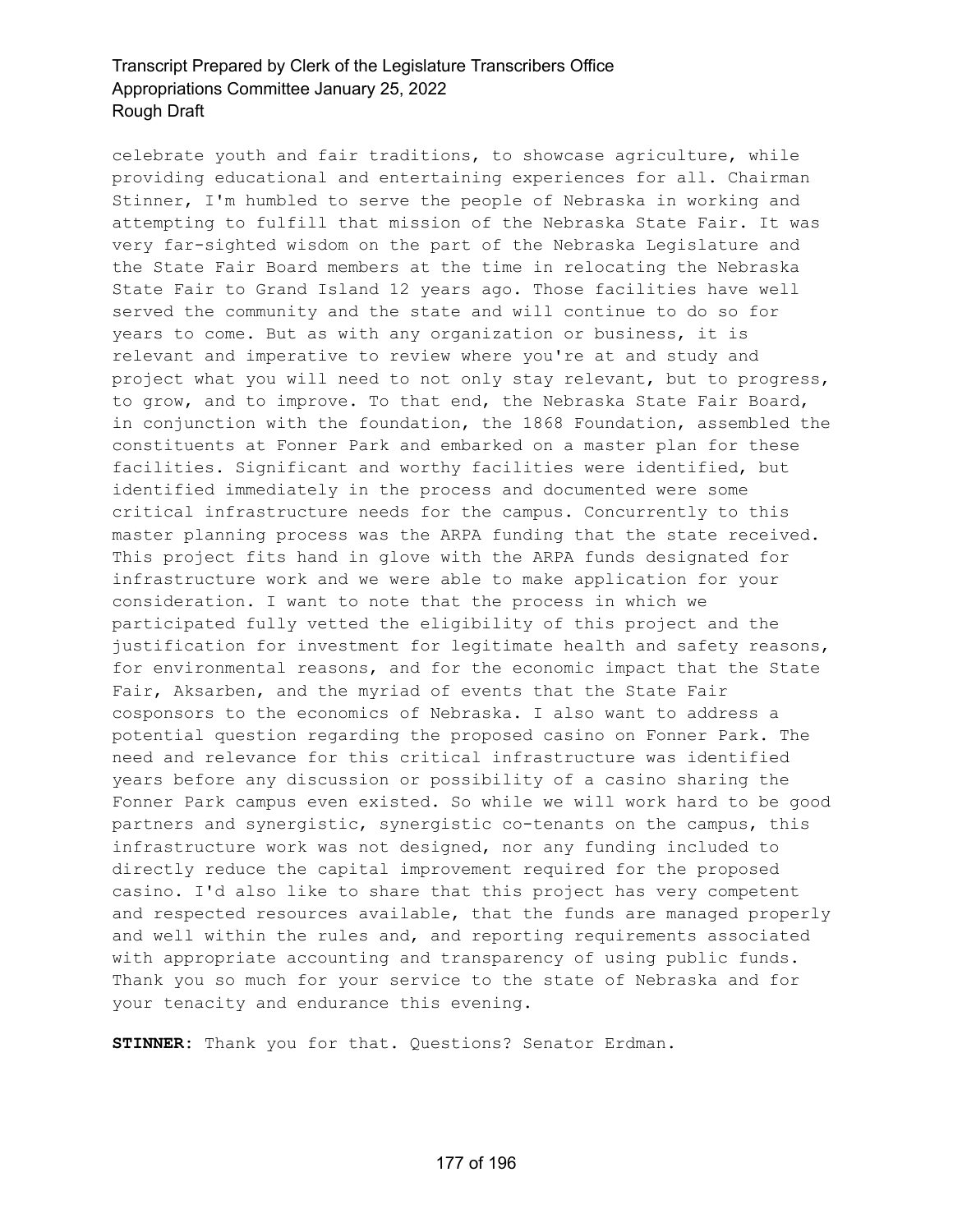celebrate youth and fair traditions, to showcase agriculture, while providing educational and entertaining experiences for all. Chairman Stinner, I'm humbled to serve the people of Nebraska in working and attempting to fulfill that mission of the Nebraska State Fair. It was very far-sighted wisdom on the part of the Nebraska Legislature and the State Fair Board members at the time in relocating the Nebraska State Fair to Grand Island 12 years ago. Those facilities have well served the community and the state and will continue to do so for years to come. But as with any organization or business, it is relevant and imperative to review where you're at and study and project what you will need to not only stay relevant, but to progress, to grow, and to improve. To that end, the Nebraska State Fair Board, in conjunction with the foundation, the 1868 Foundation, assembled the constituents at Fonner Park and embarked on a master plan for these facilities. Significant and worthy facilities were identified, but identified immediately in the process and documented were some critical infrastructure needs for the campus. Concurrently to this master planning process was the ARPA funding that the state received. This project fits hand in glove with the ARPA funds designated for infrastructure work and we were able to make application for your consideration. I want to note that the process in which we participated fully vetted the eligibility of this project and the justification for investment for legitimate health and safety reasons, for environmental reasons, and for the economic impact that the State Fair, Aksarben, and the myriad of events that the State Fair cosponsors to the economics of Nebraska. I also want to address a potential question regarding the proposed casino on Fonner Park. The need and relevance for this critical infrastructure was identified years before any discussion or possibility of a casino sharing the Fonner Park campus even existed. So while we will work hard to be good partners and synergistic, synergistic co-tenants on the campus, this infrastructure work was not designed, nor any funding included to directly reduce the capital improvement required for the proposed casino. I'd also like to share that this project has very competent and respected resources available, that the funds are managed properly and well within the rules and, and reporting requirements associated with appropriate accounting and transparency of using public funds. Thank you so much for your service to the state of Nebraska and for your tenacity and endurance this evening.

**STINNER:** Thank you for that. Questions? Senator Erdman.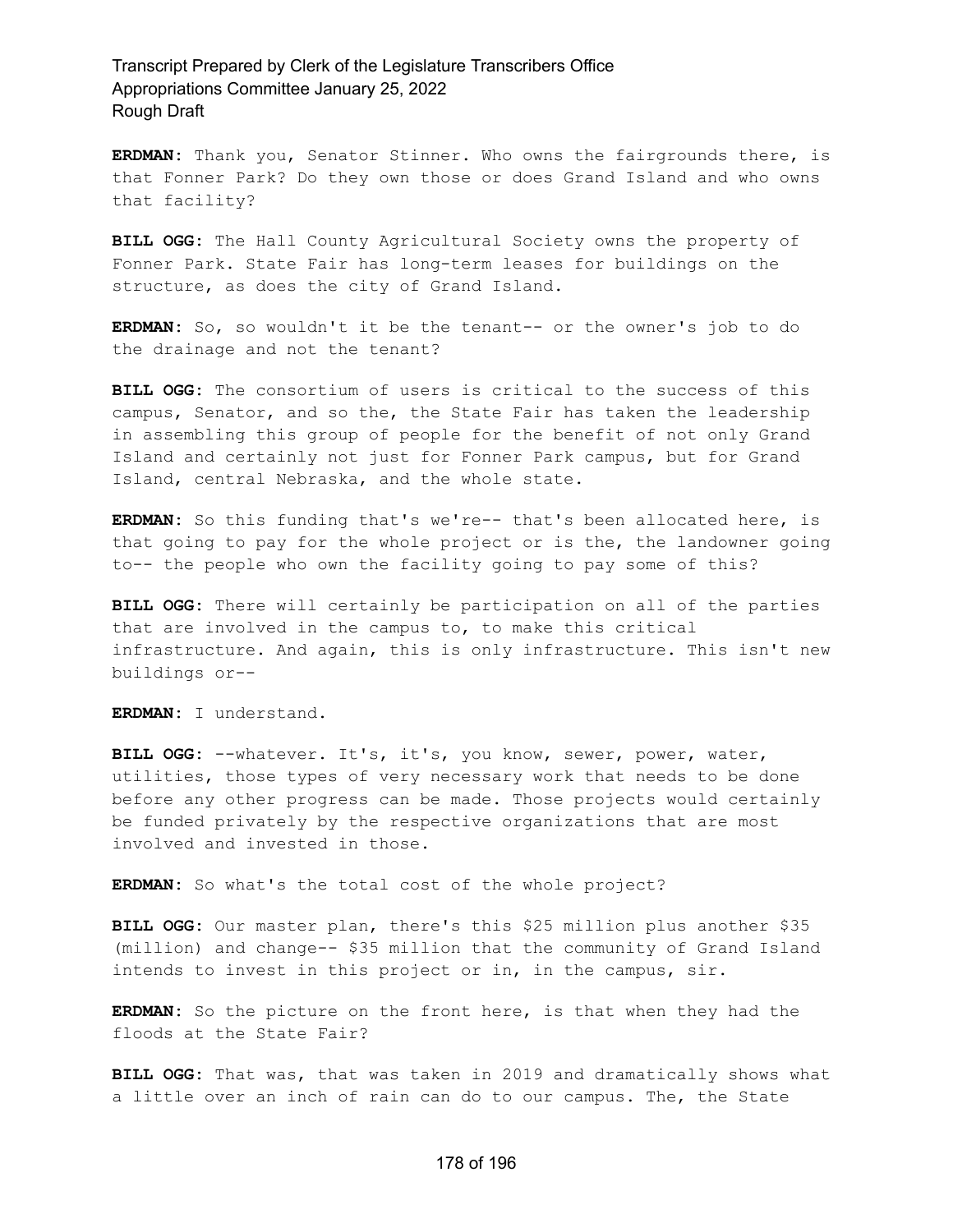**ERDMAN:** Thank you, Senator Stinner. Who owns the fairgrounds there, is that Fonner Park? Do they own those or does Grand Island and who owns that facility?

**BILL OGG:** The Hall County Agricultural Society owns the property of Fonner Park. State Fair has long-term leases for buildings on the structure, as does the city of Grand Island.

**ERDMAN:** So, so wouldn't it be the tenant-- or the owner's job to do the drainage and not the tenant?

**BILL OGG:** The consortium of users is critical to the success of this campus, Senator, and so the, the State Fair has taken the leadership in assembling this group of people for the benefit of not only Grand Island and certainly not just for Fonner Park campus, but for Grand Island, central Nebraska, and the whole state.

**ERDMAN:** So this funding that's we're-- that's been allocated here, is that going to pay for the whole project or is the, the landowner going to-- the people who own the facility going to pay some of this?

**BILL OGG:** There will certainly be participation on all of the parties that are involved in the campus to, to make this critical infrastructure. And again, this is only infrastructure. This isn't new buildings or--

**ERDMAN:** I understand.

**BILL OGG:** --whatever. It's, it's, you know, sewer, power, water, utilities, those types of very necessary work that needs to be done before any other progress can be made. Those projects would certainly be funded privately by the respective organizations that are most involved and invested in those.

**ERDMAN:** So what's the total cost of the whole project?

**BILL OGG:** Our master plan, there's this \$25 million plus another \$35 (million) and change-- \$35 million that the community of Grand Island intends to invest in this project or in, in the campus, sir.

**ERDMAN:** So the picture on the front here, is that when they had the floods at the State Fair?

**BILL OGG:** That was, that was taken in 2019 and dramatically shows what a little over an inch of rain can do to our campus. The, the State

#### 178 of 196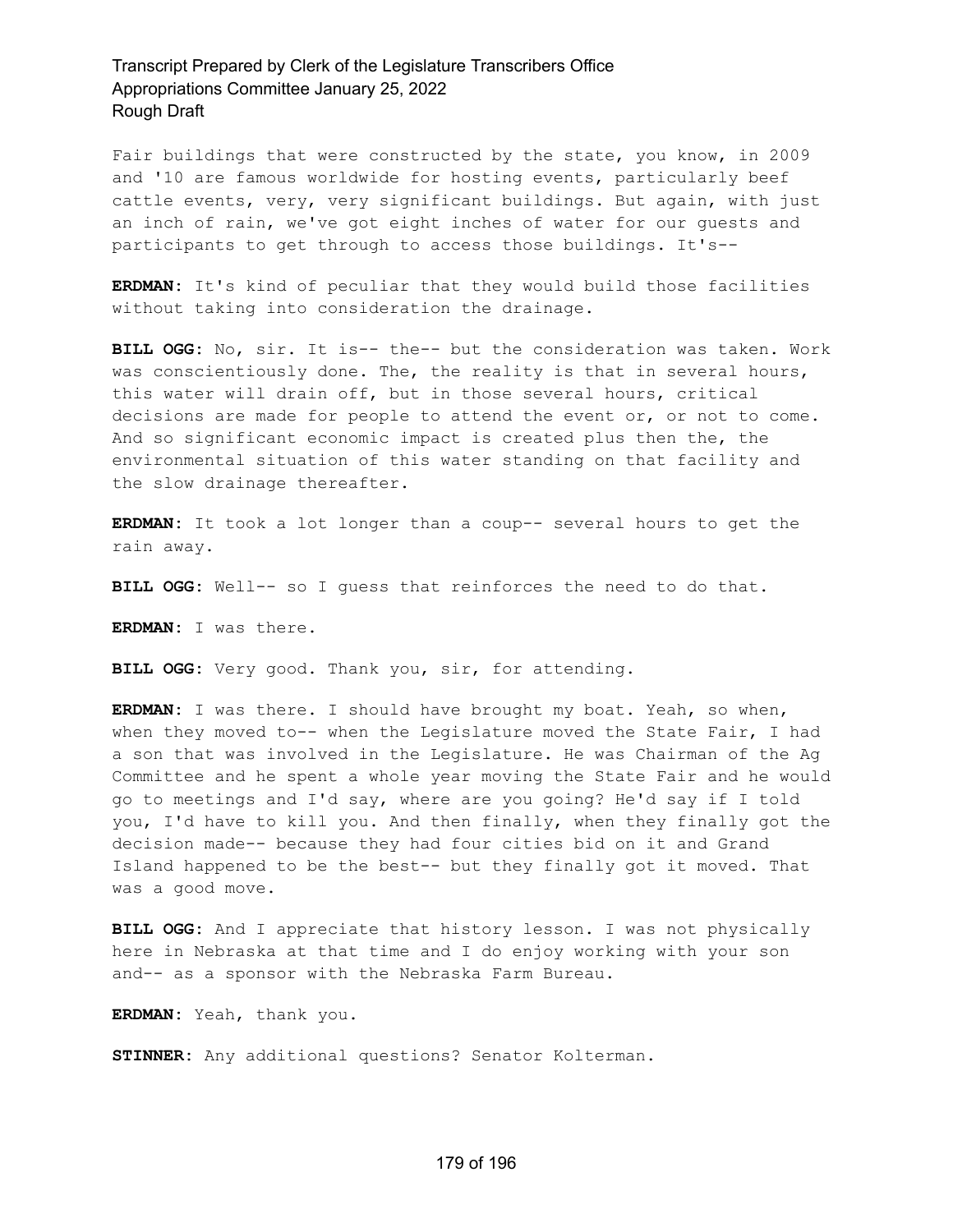Fair buildings that were constructed by the state, you know, in 2009 and '10 are famous worldwide for hosting events, particularly beef cattle events, very, very significant buildings. But again, with just an inch of rain, we've got eight inches of water for our guests and participants to get through to access those buildings. It's--

**ERDMAN:** It's kind of peculiar that they would build those facilities without taking into consideration the drainage.

**BILL OGG:** No, sir. It is-- the-- but the consideration was taken. Work was conscientiously done. The, the reality is that in several hours, this water will drain off, but in those several hours, critical decisions are made for people to attend the event or, or not to come. And so significant economic impact is created plus then the, the environmental situation of this water standing on that facility and the slow drainage thereafter.

**ERDMAN:** It took a lot longer than a coup-- several hours to get the rain away.

**BILL OGG:** Well-- so I guess that reinforces the need to do that.

**ERDMAN:** I was there.

**BILL OGG:** Very good. Thank you, sir, for attending.

**ERDMAN:** I was there. I should have brought my boat. Yeah, so when, when they moved to-- when the Legislature moved the State Fair, I had a son that was involved in the Legislature. He was Chairman of the Ag Committee and he spent a whole year moving the State Fair and he would go to meetings and I'd say, where are you going? He'd say if I told you, I'd have to kill you. And then finally, when they finally got the decision made-- because they had four cities bid on it and Grand Island happened to be the best-- but they finally got it moved. That was a good move.

**BILL OGG:** And I appreciate that history lesson. I was not physically here in Nebraska at that time and I do enjoy working with your son and-- as a sponsor with the Nebraska Farm Bureau.

**ERDMAN:** Yeah, thank you.

**STINNER:** Any additional questions? Senator Kolterman.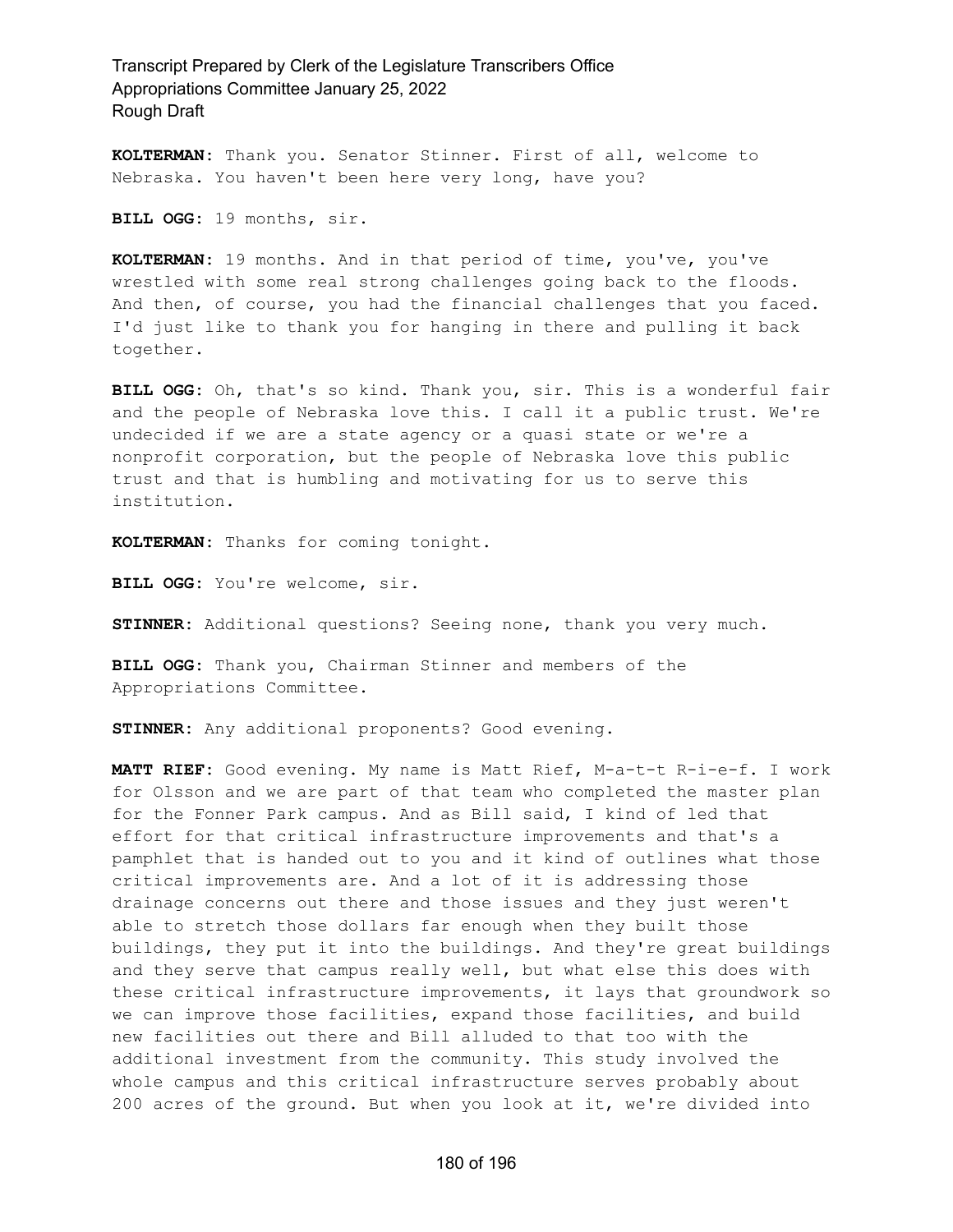**KOLTERMAN:** Thank you. Senator Stinner. First of all, welcome to Nebraska. You haven't been here very long, have you?

**BILL OGG:** 19 months, sir.

**KOLTERMAN:** 19 months. And in that period of time, you've, you've wrestled with some real strong challenges going back to the floods. And then, of course, you had the financial challenges that you faced. I'd just like to thank you for hanging in there and pulling it back together.

**BILL OGG:** Oh, that's so kind. Thank you, sir. This is a wonderful fair and the people of Nebraska love this. I call it a public trust. We're undecided if we are a state agency or a quasi state or we're a nonprofit corporation, but the people of Nebraska love this public trust and that is humbling and motivating for us to serve this institution.

**KOLTERMAN:** Thanks for coming tonight.

**BILL OGG:** You're welcome, sir.

**STINNER:** Additional questions? Seeing none, thank you very much.

**BILL OGG:** Thank you, Chairman Stinner and members of the Appropriations Committee.

**STINNER:** Any additional proponents? Good evening.

**MATT RIEF:** Good evening. My name is Matt Rief, M-a-t-t R-i-e-f. I work for Olsson and we are part of that team who completed the master plan for the Fonner Park campus. And as Bill said, I kind of led that effort for that critical infrastructure improvements and that's a pamphlet that is handed out to you and it kind of outlines what those critical improvements are. And a lot of it is addressing those drainage concerns out there and those issues and they just weren't able to stretch those dollars far enough when they built those buildings, they put it into the buildings. And they're great buildings and they serve that campus really well, but what else this does with these critical infrastructure improvements, it lays that groundwork so we can improve those facilities, expand those facilities, and build new facilities out there and Bill alluded to that too with the additional investment from the community. This study involved the whole campus and this critical infrastructure serves probably about 200 acres of the ground. But when you look at it, we're divided into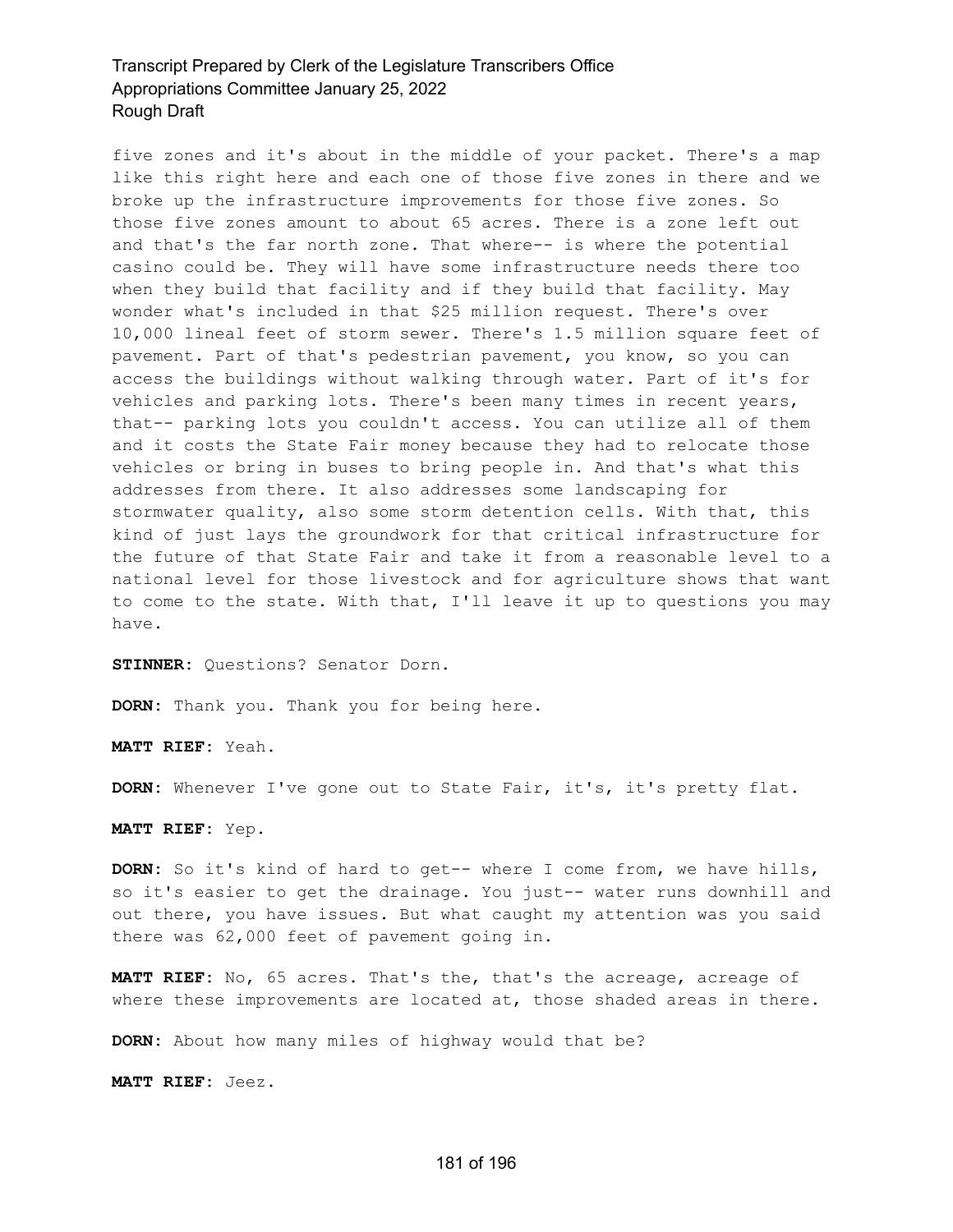five zones and it's about in the middle of your packet. There's a map like this right here and each one of those five zones in there and we broke up the infrastructure improvements for those five zones. So those five zones amount to about 65 acres. There is a zone left out and that's the far north zone. That where-- is where the potential casino could be. They will have some infrastructure needs there too when they build that facility and if they build that facility. May wonder what's included in that \$25 million request. There's over 10,000 lineal feet of storm sewer. There's 1.5 million square feet of pavement. Part of that's pedestrian pavement, you know, so you can access the buildings without walking through water. Part of it's for vehicles and parking lots. There's been many times in recent years, that-- parking lots you couldn't access. You can utilize all of them and it costs the State Fair money because they had to relocate those vehicles or bring in buses to bring people in. And that's what this addresses from there. It also addresses some landscaping for stormwater quality, also some storm detention cells. With that, this kind of just lays the groundwork for that critical infrastructure for the future of that State Fair and take it from a reasonable level to a national level for those livestock and for agriculture shows that want to come to the state. With that, I'll leave it up to questions you may have.

**STINNER:** Questions? Senator Dorn.

**DORN:** Thank you. Thank you for being here.

**MATT RIEF:** Yeah.

**DORN:** Whenever I've gone out to State Fair, it's, it's pretty flat.

**MATT RIEF:** Yep.

**DORN:** So it's kind of hard to get-- where I come from, we have hills, so it's easier to get the drainage. You just-- water runs downhill and out there, you have issues. But what caught my attention was you said there was 62,000 feet of pavement going in.

**MATT RIEF:** No, 65 acres. That's the, that's the acreage, acreage of where these improvements are located at, those shaded areas in there.

**DORN:** About how many miles of highway would that be?

**MATT RIEF:** Jeez.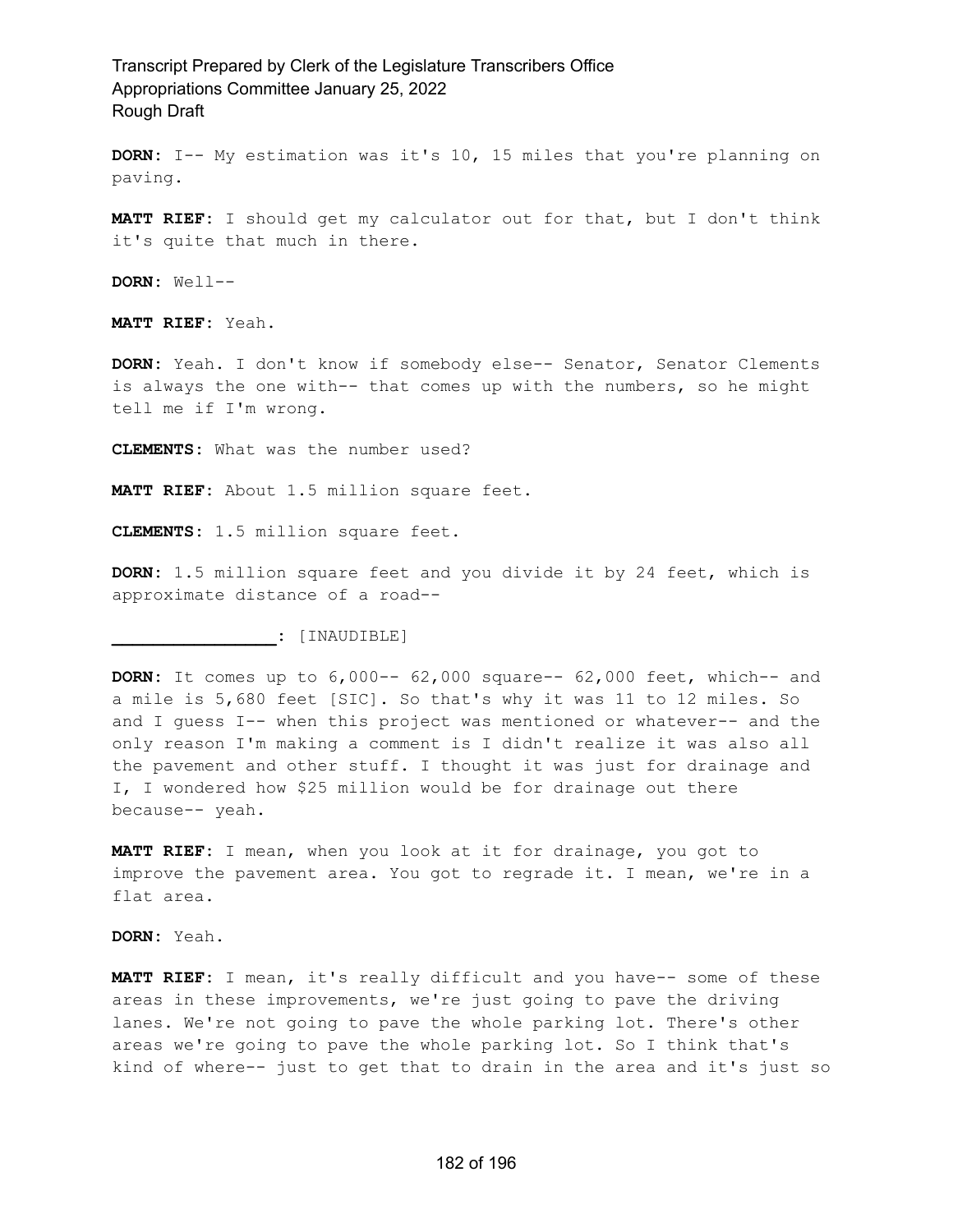**DORN:** I-- My estimation was it's 10, 15 miles that you're planning on paving.

**MATT RIEF:** I should get my calculator out for that, but I don't think it's quite that much in there.

**DORN:** Well--

**MATT RIEF:** Yeah.

**DORN:** Yeah. I don't know if somebody else-- Senator, Senator Clements is always the one with-- that comes up with the numbers, so he might tell me if I'm wrong.

**CLEMENTS:** What was the number used?

**MATT RIEF:** About 1.5 million square feet.

**CLEMENTS:** 1.5 million square feet.

**DORN:** 1.5 million square feet and you divide it by 24 feet, which is approximate distance of a road--

**\_\_\_\_\_\_\_\_\_\_\_\_\_\_\_\_:** [INAUDIBLE]

**DORN:** It comes up to 6,000-- 62,000 square-- 62,000 feet, which-- and a mile is 5,680 feet [SIC]. So that's why it was 11 to 12 miles. So and I guess I-- when this project was mentioned or whatever-- and the only reason I'm making a comment is I didn't realize it was also all the pavement and other stuff. I thought it was just for drainage and I, I wondered how \$25 million would be for drainage out there because-- yeah.

**MATT RIEF:** I mean, when you look at it for drainage, you got to improve the pavement area. You got to regrade it. I mean, we're in a flat area.

**DORN:** Yeah.

**MATT RIEF:** I mean, it's really difficult and you have-- some of these areas in these improvements, we're just going to pave the driving lanes. We're not going to pave the whole parking lot. There's other areas we're going to pave the whole parking lot. So I think that's kind of where-- just to get that to drain in the area and it's just so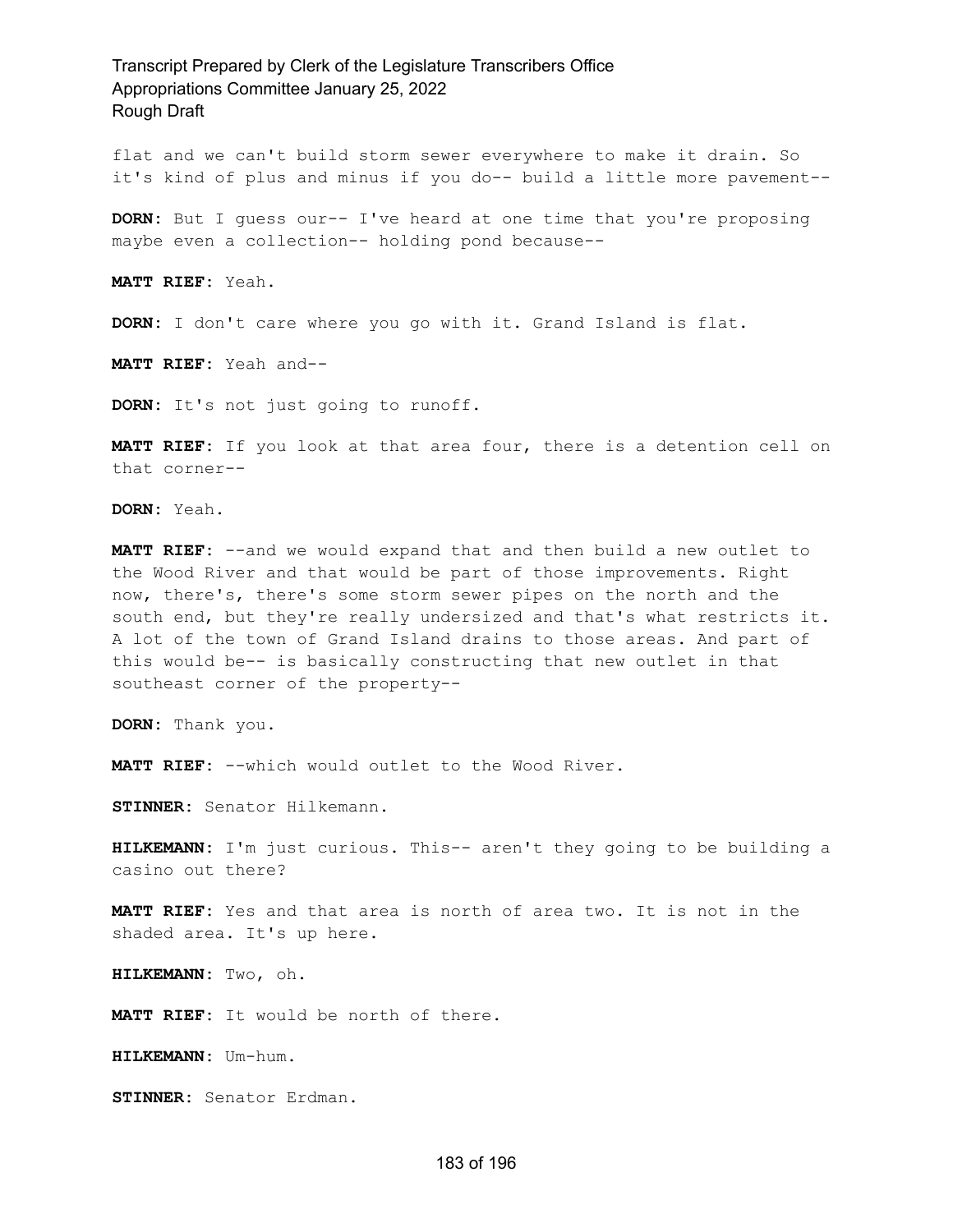flat and we can't build storm sewer everywhere to make it drain. So it's kind of plus and minus if you do-- build a little more pavement--

**DORN:** But I guess our-- I've heard at one time that you're proposing maybe even a collection-- holding pond because--

**MATT RIEF:** Yeah.

**DORN:** I don't care where you go with it. Grand Island is flat.

**MATT RIEF:** Yeah and--

**DORN:** It's not just going to runoff.

**MATT RIEF:** If you look at that area four, there is a detention cell on that corner--

**DORN:** Yeah.

**MATT RIEF:** --and we would expand that and then build a new outlet to the Wood River and that would be part of those improvements. Right now, there's, there's some storm sewer pipes on the north and the south end, but they're really undersized and that's what restricts it. A lot of the town of Grand Island drains to those areas. And part of this would be-- is basically constructing that new outlet in that southeast corner of the property--

**DORN:** Thank you.

**MATT RIEF:** --which would outlet to the Wood River.

**STINNER:** Senator Hilkemann.

**HILKEMANN:** I'm just curious. This-- aren't they going to be building a casino out there?

**MATT RIEF:** Yes and that area is north of area two. It is not in the shaded area. It's up here.

**HILKEMANN:** Two, oh.

**MATT RIEF:** It would be north of there.

**HILKEMANN:** Um-hum.

**STINNER:** Senator Erdman.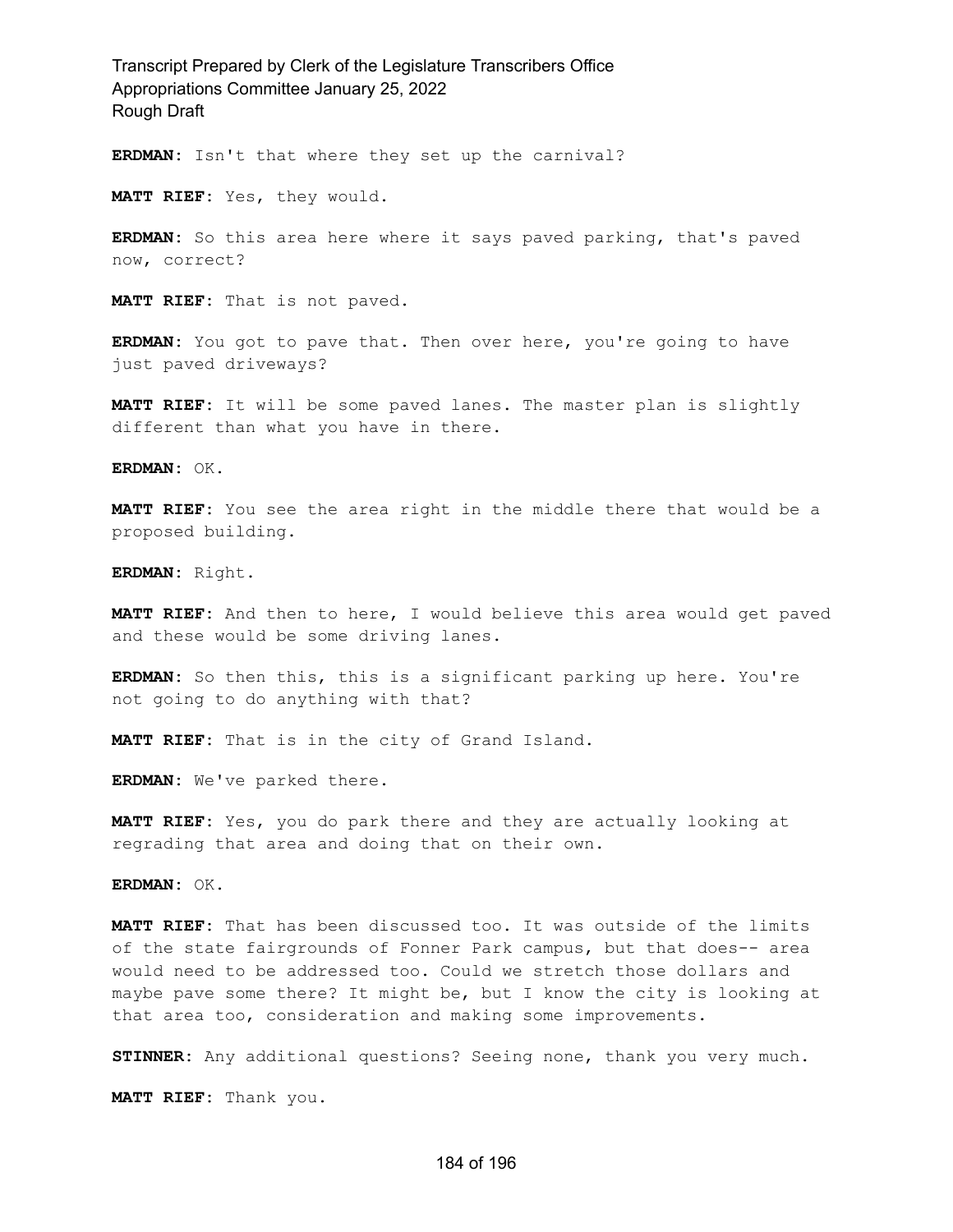**ERDMAN:** Isn't that where they set up the carnival?

**MATT RIEF:** Yes, they would.

**ERDMAN:** So this area here where it says paved parking, that's paved now, correct?

**MATT RIEF:** That is not paved.

**ERDMAN:** You got to pave that. Then over here, you're going to have just paved driveways?

**MATT RIEF:** It will be some paved lanes. The master plan is slightly different than what you have in there.

**ERDMAN:** OK.

**MATT RIEF:** You see the area right in the middle there that would be a proposed building.

**ERDMAN:** Right.

**MATT RIEF:** And then to here, I would believe this area would get paved and these would be some driving lanes.

**ERDMAN:** So then this, this is a significant parking up here. You're not going to do anything with that?

**MATT RIEF:** That is in the city of Grand Island.

**ERDMAN:** We've parked there.

**MATT RIEF:** Yes, you do park there and they are actually looking at regrading that area and doing that on their own.

**ERDMAN:** OK.

**MATT RIEF:** That has been discussed too. It was outside of the limits of the state fairgrounds of Fonner Park campus, but that does-- area would need to be addressed too. Could we stretch those dollars and maybe pave some there? It might be, but I know the city is looking at that area too, consideration and making some improvements.

**STINNER:** Any additional questions? Seeing none, thank you very much.

**MATT RIEF:** Thank you.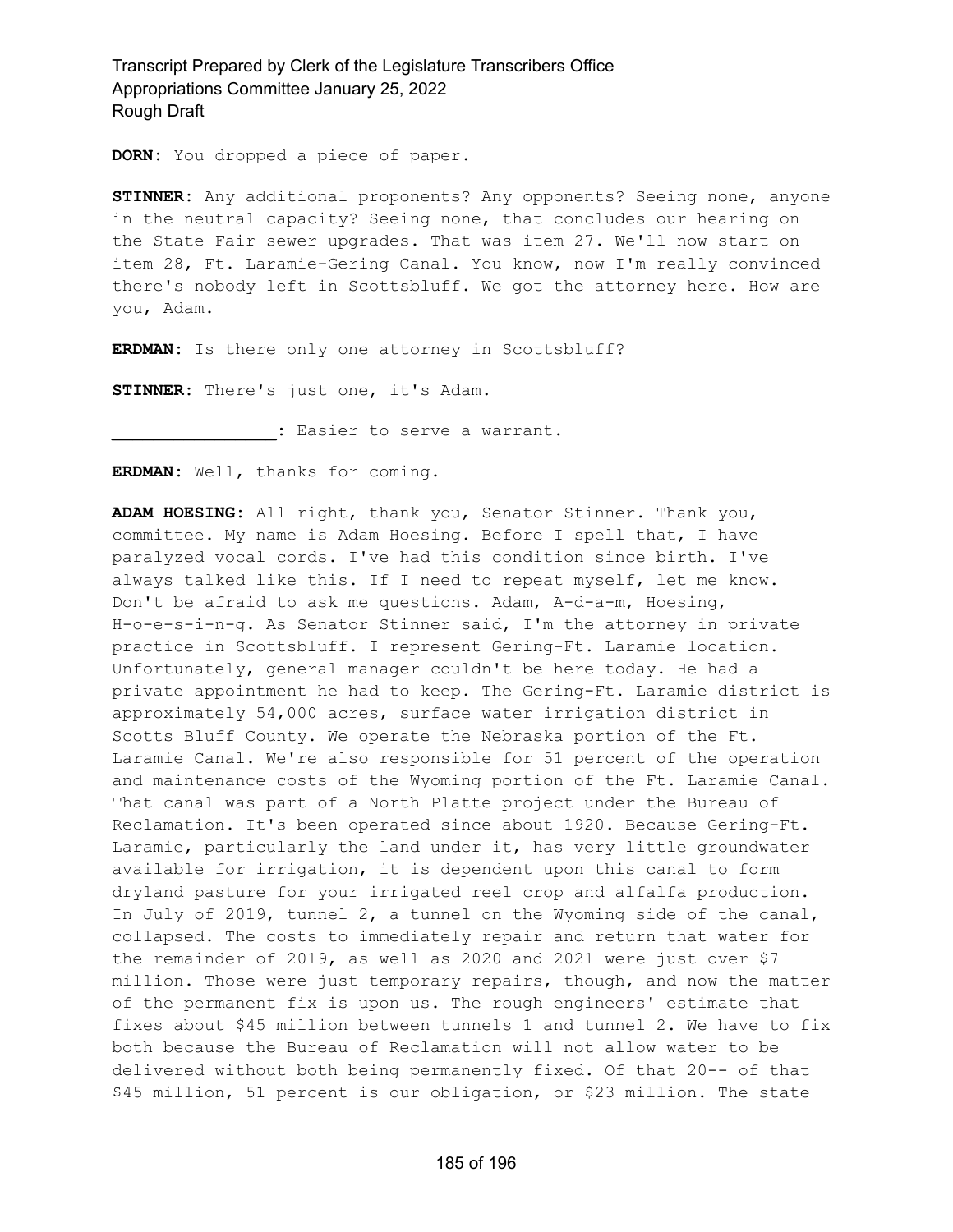**DORN:** You dropped a piece of paper.

**STINNER:** Any additional proponents? Any opponents? Seeing none, anyone in the neutral capacity? Seeing none, that concludes our hearing on the State Fair sewer upgrades. That was item 27. We'll now start on item 28, Ft. Laramie-Gering Canal. You know, now I'm really convinced there's nobody left in Scottsbluff. We got the attorney here. How are you, Adam.

**ERDMAN:** Is there only one attorney in Scottsbluff?

**STINNER:** There's just one, it's Adam.

**\_\_\_\_\_\_\_\_\_\_\_\_\_\_\_\_:** Easier to serve a warrant.

**ERDMAN:** Well, thanks for coming.

**ADAM HOESING:** All right, thank you, Senator Stinner. Thank you, committee. My name is Adam Hoesing. Before I spell that, I have paralyzed vocal cords. I've had this condition since birth. I've always talked like this. If I need to repeat myself, let me know. Don't be afraid to ask me questions. Adam, A-d-a-m, Hoesing, H-o-e-s-i-n-g. As Senator Stinner said, I'm the attorney in private practice in Scottsbluff. I represent Gering-Ft. Laramie location. Unfortunately, general manager couldn't be here today. He had a private appointment he had to keep. The Gering-Ft. Laramie district is approximately 54,000 acres, surface water irrigation district in Scotts Bluff County. We operate the Nebraska portion of the Ft. Laramie Canal. We're also responsible for 51 percent of the operation and maintenance costs of the Wyoming portion of the Ft. Laramie Canal. That canal was part of a North Platte project under the Bureau of Reclamation. It's been operated since about 1920. Because Gering-Ft. Laramie, particularly the land under it, has very little groundwater available for irrigation, it is dependent upon this canal to form dryland pasture for your irrigated reel crop and alfalfa production. In July of 2019, tunnel 2, a tunnel on the Wyoming side of the canal, collapsed. The costs to immediately repair and return that water for the remainder of 2019, as well as 2020 and 2021 were just over \$7 million. Those were just temporary repairs, though, and now the matter of the permanent fix is upon us. The rough engineers' estimate that fixes about \$45 million between tunnels 1 and tunnel 2. We have to fix both because the Bureau of Reclamation will not allow water to be delivered without both being permanently fixed. Of that 20-- of that \$45 million, 51 percent is our obligation, or \$23 million. The state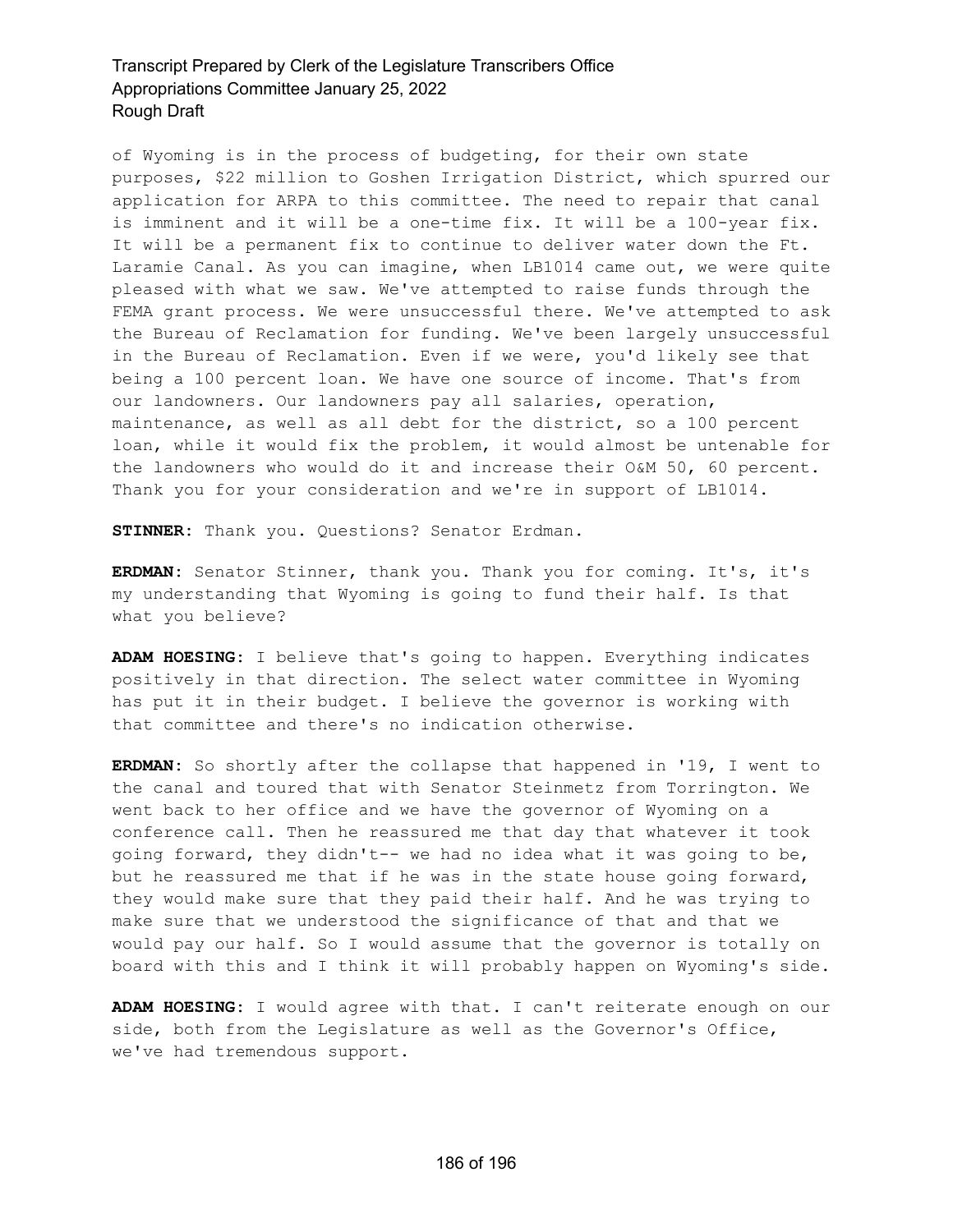of Wyoming is in the process of budgeting, for their own state purposes, \$22 million to Goshen Irrigation District, which spurred our application for ARPA to this committee. The need to repair that canal is imminent and it will be a one-time fix. It will be a 100-year fix. It will be a permanent fix to continue to deliver water down the Ft. Laramie Canal. As you can imagine, when LB1014 came out, we were quite pleased with what we saw. We've attempted to raise funds through the FEMA grant process. We were unsuccessful there. We've attempted to ask the Bureau of Reclamation for funding. We've been largely unsuccessful in the Bureau of Reclamation. Even if we were, you'd likely see that being a 100 percent loan. We have one source of income. That's from our landowners. Our landowners pay all salaries, operation, maintenance, as well as all debt for the district, so a 100 percent loan, while it would fix the problem, it would almost be untenable for the landowners who would do it and increase their O&M 50, 60 percent. Thank you for your consideration and we're in support of LB1014.

**STINNER:** Thank you. Questions? Senator Erdman.

**ERDMAN:** Senator Stinner, thank you. Thank you for coming. It's, it's my understanding that Wyoming is going to fund their half. Is that what you believe?

**ADAM HOESING:** I believe that's going to happen. Everything indicates positively in that direction. The select water committee in Wyoming has put it in their budget. I believe the governor is working with that committee and there's no indication otherwise.

**ERDMAN:** So shortly after the collapse that happened in '19, I went to the canal and toured that with Senator Steinmetz from Torrington. We went back to her office and we have the governor of Wyoming on a conference call. Then he reassured me that day that whatever it took going forward, they didn't-- we had no idea what it was going to be, but he reassured me that if he was in the state house going forward, they would make sure that they paid their half. And he was trying to make sure that we understood the significance of that and that we would pay our half. So I would assume that the governor is totally on board with this and I think it will probably happen on Wyoming's side.

**ADAM HOESING:** I would agree with that. I can't reiterate enough on our side, both from the Legislature as well as the Governor's Office, we've had tremendous support.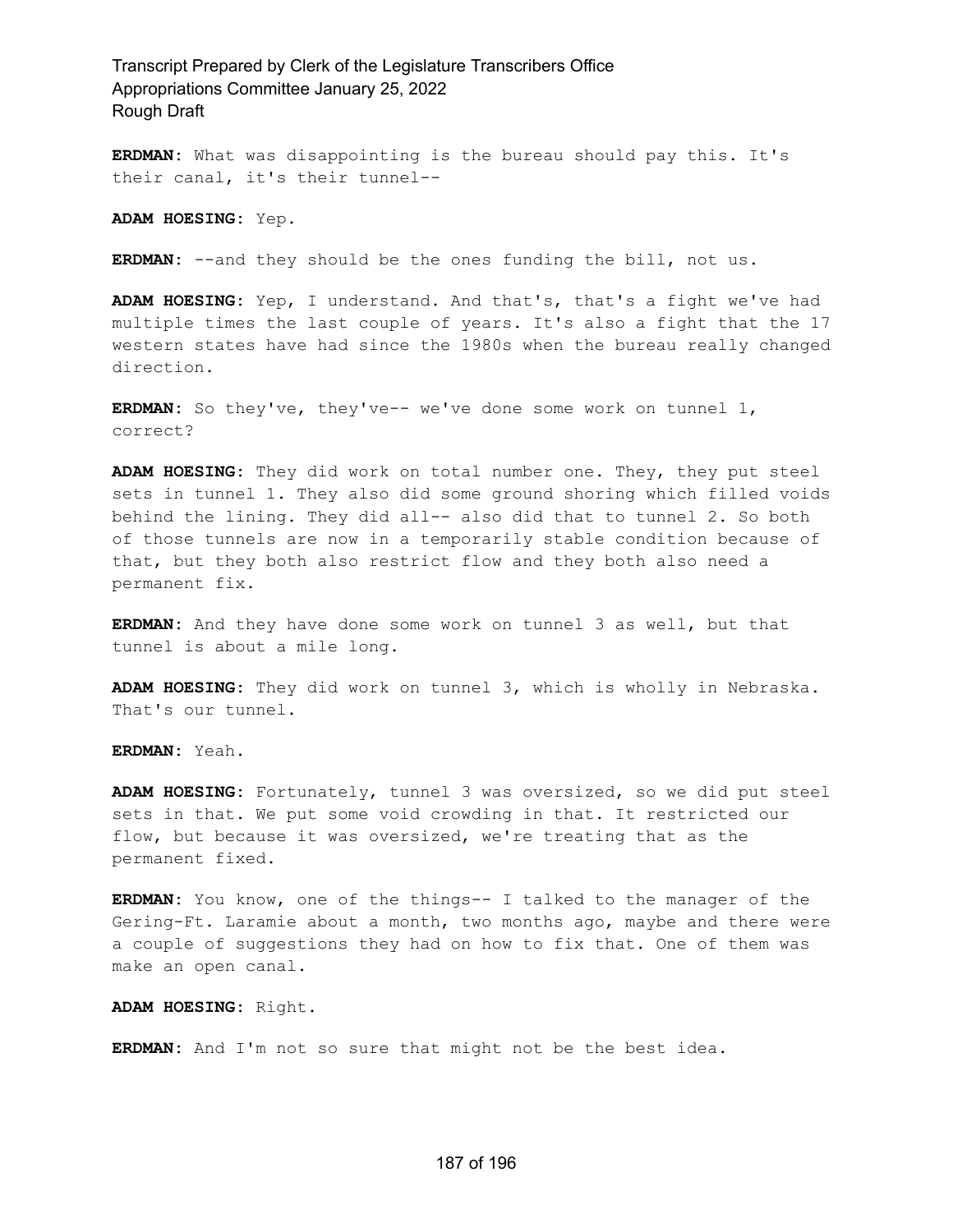**ERDMAN:** What was disappointing is the bureau should pay this. It's their canal, it's their tunnel--

**ADAM HOESING:** Yep.

**ERDMAN:** --and they should be the ones funding the bill, not us.

**ADAM HOESING:** Yep, I understand. And that's, that's a fight we've had multiple times the last couple of years. It's also a fight that the 17 western states have had since the 1980s when the bureau really changed direction.

**ERDMAN:** So they've, they've-- we've done some work on tunnel 1, correct?

**ADAM HOESING:** They did work on total number one. They, they put steel sets in tunnel 1. They also did some ground shoring which filled voids behind the lining. They did all-- also did that to tunnel 2. So both of those tunnels are now in a temporarily stable condition because of that, but they both also restrict flow and they both also need a permanent fix.

**ERDMAN:** And they have done some work on tunnel 3 as well, but that tunnel is about a mile long.

**ADAM HOESING:** They did work on tunnel 3, which is wholly in Nebraska. That's our tunnel.

**ERDMAN:** Yeah.

**ADAM HOESING:** Fortunately, tunnel 3 was oversized, so we did put steel sets in that. We put some void crowding in that. It restricted our flow, but because it was oversized, we're treating that as the permanent fixed.

**ERDMAN:** You know, one of the things-- I talked to the manager of the Gering-Ft. Laramie about a month, two months ago, maybe and there were a couple of suggestions they had on how to fix that. One of them was make an open canal.

**ADAM HOESING:** Right.

**ERDMAN:** And I'm not so sure that might not be the best idea.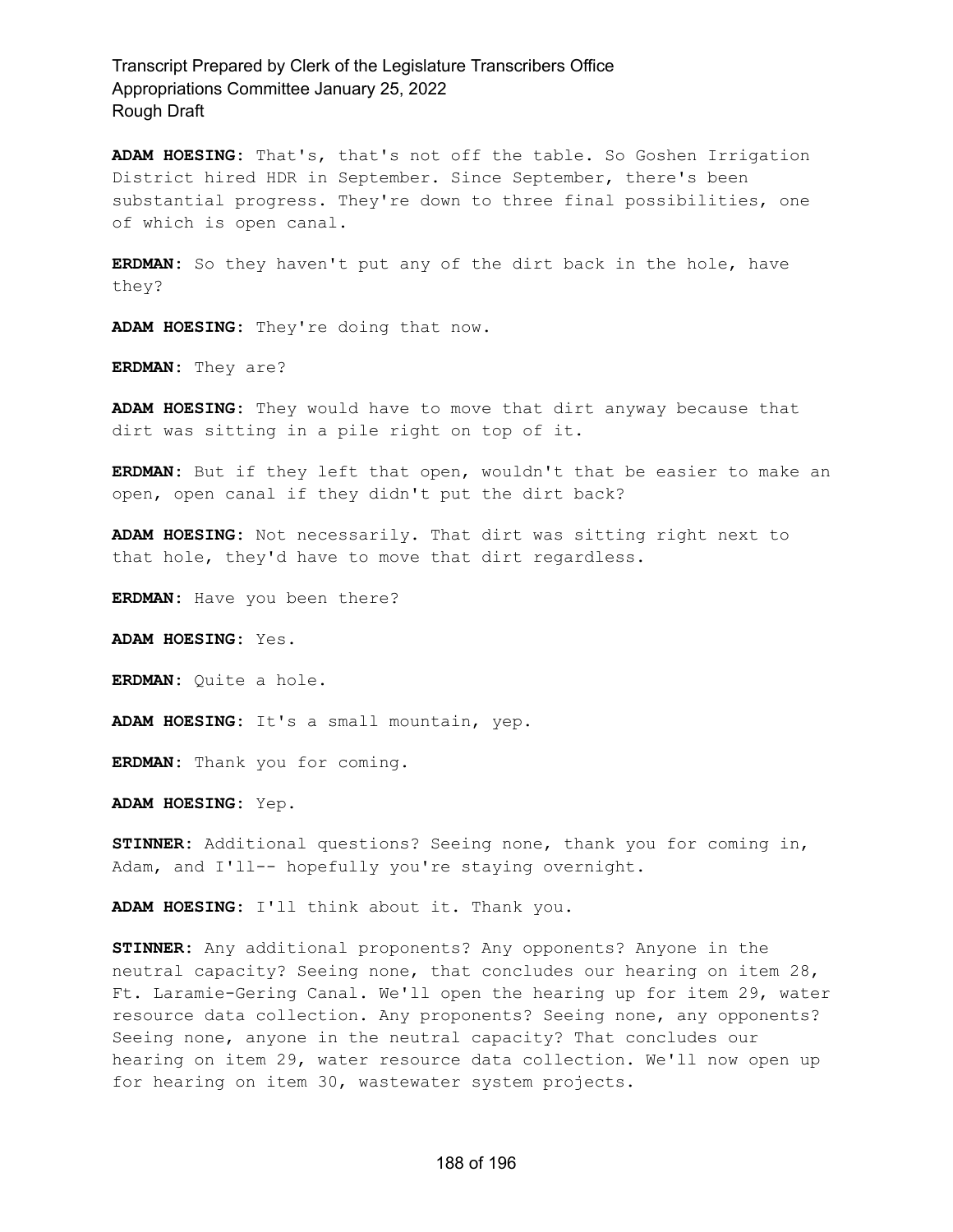**ADAM HOESING:** That's, that's not off the table. So Goshen Irrigation District hired HDR in September. Since September, there's been substantial progress. They're down to three final possibilities, one of which is open canal.

**ERDMAN:** So they haven't put any of the dirt back in the hole, have they?

**ADAM HOESING:** They're doing that now.

**ERDMAN:** They are?

**ADAM HOESING:** They would have to move that dirt anyway because that dirt was sitting in a pile right on top of it.

**ERDMAN:** But if they left that open, wouldn't that be easier to make an open, open canal if they didn't put the dirt back?

**ADAM HOESING:** Not necessarily. That dirt was sitting right next to that hole, they'd have to move that dirt regardless.

**ERDMAN:** Have you been there?

**ADAM HOESING:** Yes.

**ERDMAN:** Quite a hole.

**ADAM HOESING:** It's a small mountain, yep.

**ERDMAN:** Thank you for coming.

**ADAM HOESING:** Yep.

**STINNER:** Additional questions? Seeing none, thank you for coming in, Adam, and I'll-- hopefully you're staying overnight.

**ADAM HOESING:** I'll think about it. Thank you.

**STINNER:** Any additional proponents? Any opponents? Anyone in the neutral capacity? Seeing none, that concludes our hearing on item 28, Ft. Laramie-Gering Canal. We'll open the hearing up for item 29, water resource data collection. Any proponents? Seeing none, any opponents? Seeing none, anyone in the neutral capacity? That concludes our hearing on item 29, water resource data collection. We'll now open up for hearing on item 30, wastewater system projects.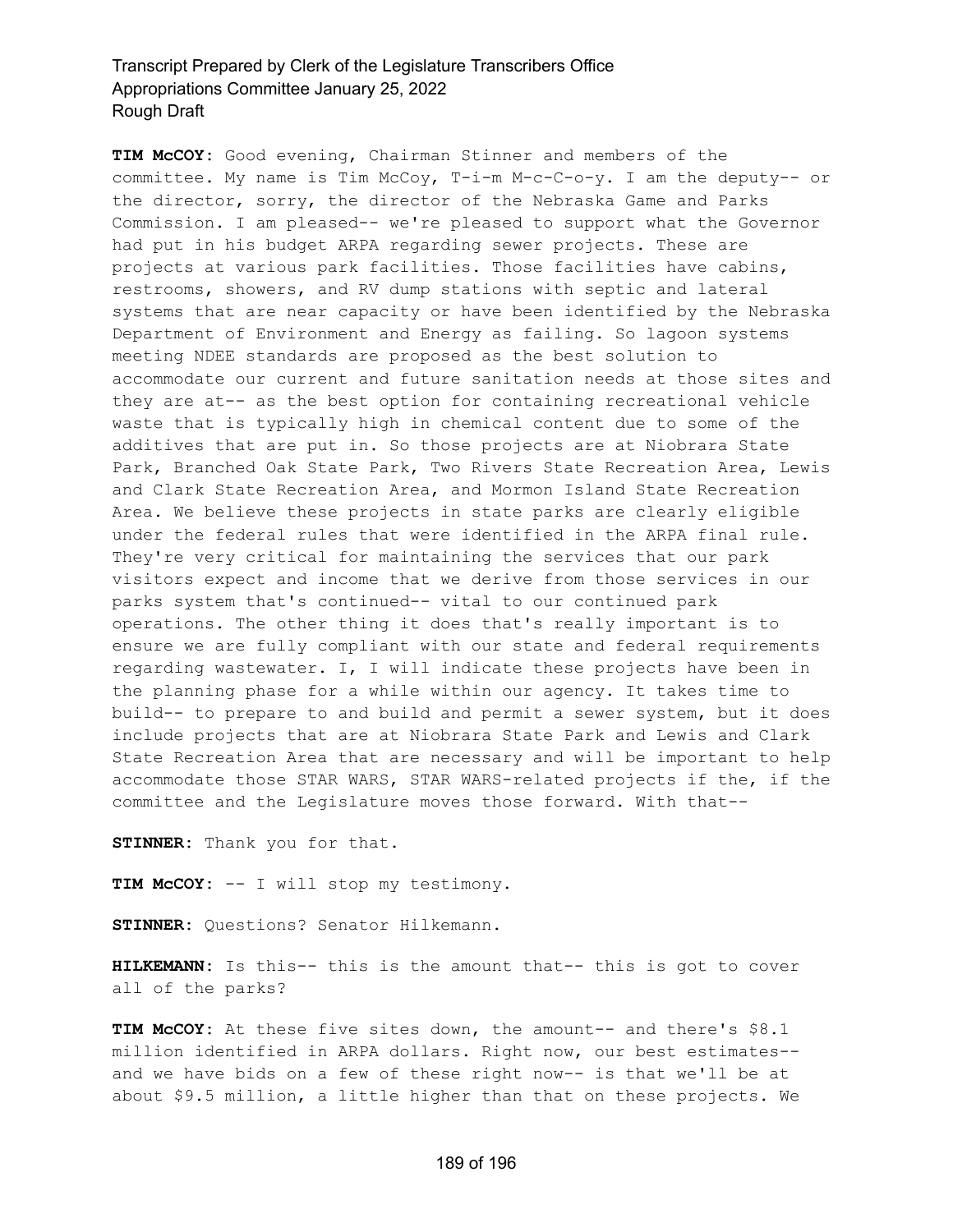**TIM McCOY:** Good evening, Chairman Stinner and members of the committee. My name is Tim McCoy, T-i-m M-c-C-o-y. I am the deputy-- or the director, sorry, the director of the Nebraska Game and Parks Commission. I am pleased-- we're pleased to support what the Governor had put in his budget ARPA regarding sewer projects. These are projects at various park facilities. Those facilities have cabins, restrooms, showers, and RV dump stations with septic and lateral systems that are near capacity or have been identified by the Nebraska Department of Environment and Energy as failing. So lagoon systems meeting NDEE standards are proposed as the best solution to accommodate our current and future sanitation needs at those sites and they are at-- as the best option for containing recreational vehicle waste that is typically high in chemical content due to some of the additives that are put in. So those projects are at Niobrara State Park, Branched Oak State Park, Two Rivers State Recreation Area, Lewis and Clark State Recreation Area, and Mormon Island State Recreation Area. We believe these projects in state parks are clearly eligible under the federal rules that were identified in the ARPA final rule. They're very critical for maintaining the services that our park visitors expect and income that we derive from those services in our parks system that's continued-- vital to our continued park operations. The other thing it does that's really important is to ensure we are fully compliant with our state and federal requirements regarding wastewater. I, I will indicate these projects have been in the planning phase for a while within our agency. It takes time to build-- to prepare to and build and permit a sewer system, but it does include projects that are at Niobrara State Park and Lewis and Clark State Recreation Area that are necessary and will be important to help accommodate those STAR WARS, STAR WARS-related projects if the, if the committee and the Legislature moves those forward. With that--

**STINNER:** Thank you for that.

**TIM McCOY:** -- I will stop my testimony.

**STINNER:** Questions? Senator Hilkemann.

**HILKEMANN:** Is this-- this is the amount that-- this is got to cover all of the parks?

**TIM McCOY:** At these five sites down, the amount-- and there's \$8.1 million identified in ARPA dollars. Right now, our best estimates- and we have bids on a few of these right now-- is that we'll be at about \$9.5 million, a little higher than that on these projects. We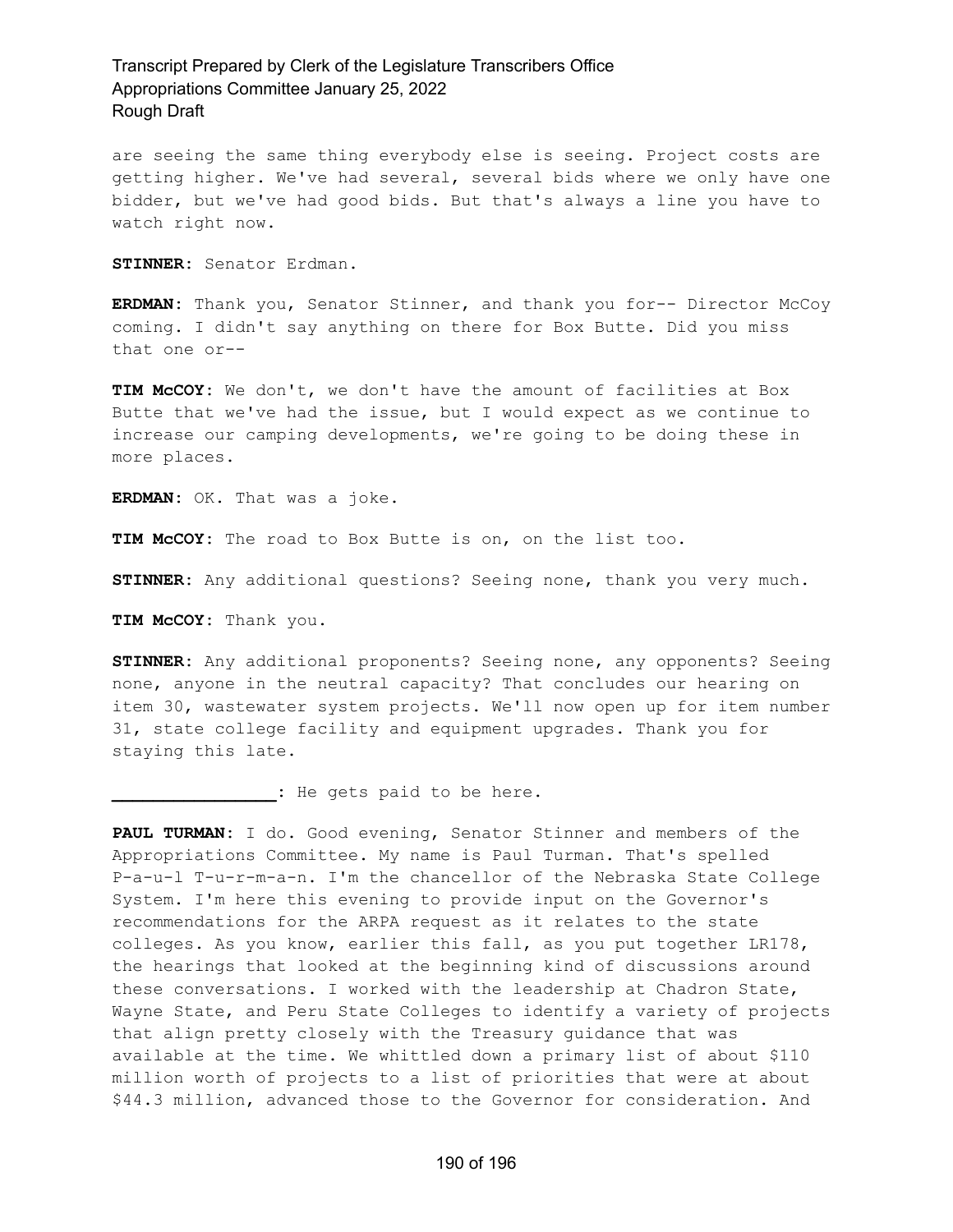are seeing the same thing everybody else is seeing. Project costs are getting higher. We've had several, several bids where we only have one bidder, but we've had good bids. But that's always a line you have to watch right now.

**STINNER:** Senator Erdman.

**ERDMAN:** Thank you, Senator Stinner, and thank you for-- Director McCoy coming. I didn't say anything on there for Box Butte. Did you miss that one or--

**TIM McCOY:** We don't, we don't have the amount of facilities at Box Butte that we've had the issue, but I would expect as we continue to increase our camping developments, we're going to be doing these in more places.

**ERDMAN:** OK. That was a joke.

**TIM McCOY:** The road to Box Butte is on, on the list too.

**STINNER:** Any additional questions? Seeing none, thank you very much.

**TIM McCOY:** Thank you.

**STINNER:** Any additional proponents? Seeing none, any opponents? Seeing none, anyone in the neutral capacity? That concludes our hearing on item 30, wastewater system projects. We'll now open up for item number 31, state college facility and equipment upgrades. Thank you for staying this late.

**\_\_\_\_\_\_\_\_\_\_\_\_\_\_\_\_:** He gets paid to be here.

**PAUL TURMAN:** I do. Good evening, Senator Stinner and members of the Appropriations Committee. My name is Paul Turman. That's spelled P-a-u-l T-u-r-m-a-n. I'm the chancellor of the Nebraska State College System. I'm here this evening to provide input on the Governor's recommendations for the ARPA request as it relates to the state colleges. As you know, earlier this fall, as you put together LR178, the hearings that looked at the beginning kind of discussions around these conversations. I worked with the leadership at Chadron State, Wayne State, and Peru State Colleges to identify a variety of projects that align pretty closely with the Treasury guidance that was available at the time. We whittled down a primary list of about \$110 million worth of projects to a list of priorities that were at about \$44.3 million, advanced those to the Governor for consideration. And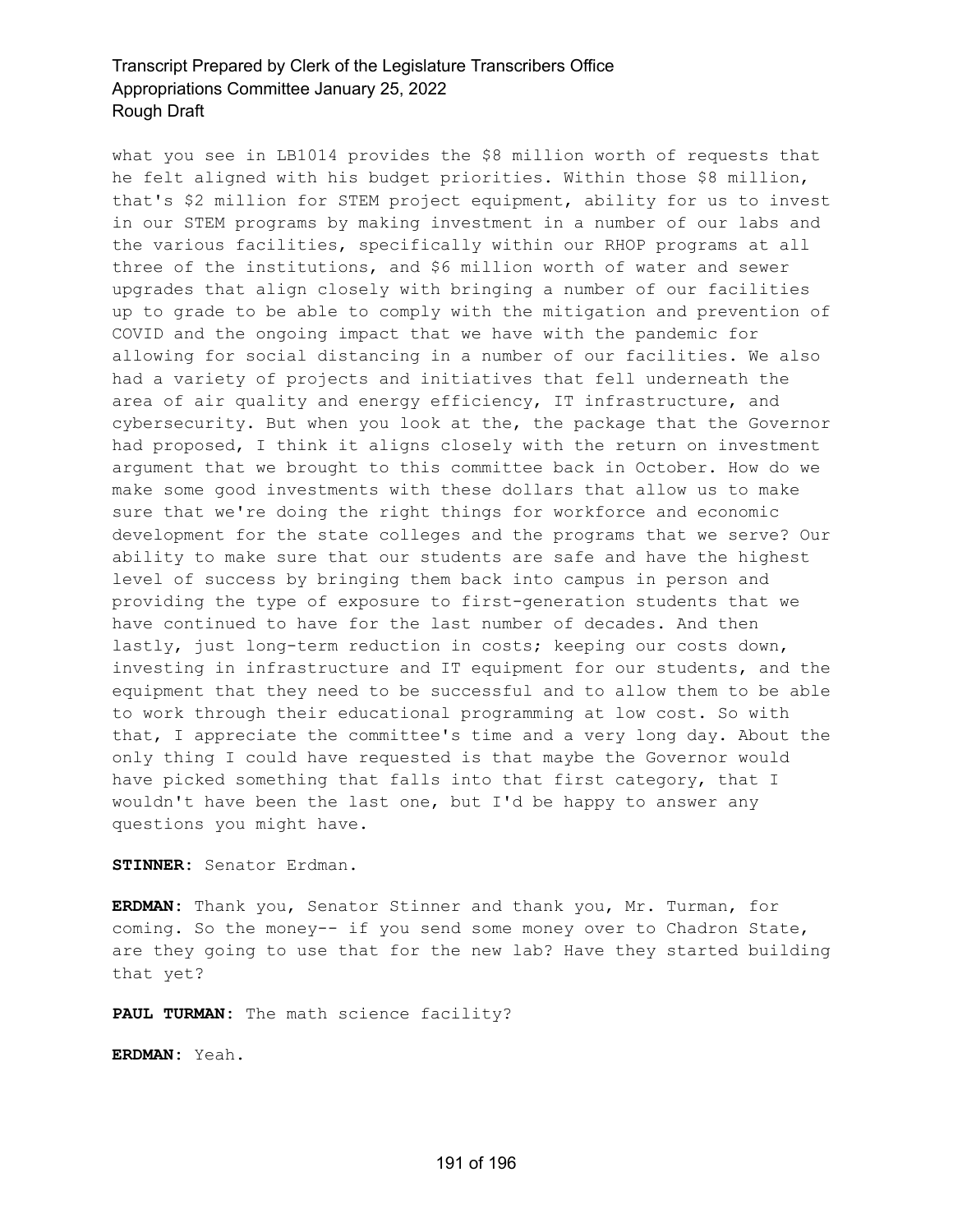what you see in LB1014 provides the \$8 million worth of requests that he felt aligned with his budget priorities. Within those \$8 million, that's \$2 million for STEM project equipment, ability for us to invest in our STEM programs by making investment in a number of our labs and the various facilities, specifically within our RHOP programs at all three of the institutions, and \$6 million worth of water and sewer upgrades that align closely with bringing a number of our facilities up to grade to be able to comply with the mitigation and prevention of COVID and the ongoing impact that we have with the pandemic for allowing for social distancing in a number of our facilities. We also had a variety of projects and initiatives that fell underneath the area of air quality and energy efficiency, IT infrastructure, and cybersecurity. But when you look at the, the package that the Governor had proposed, I think it aligns closely with the return on investment argument that we brought to this committee back in October. How do we make some good investments with these dollars that allow us to make sure that we're doing the right things for workforce and economic development for the state colleges and the programs that we serve? Our ability to make sure that our students are safe and have the highest level of success by bringing them back into campus in person and providing the type of exposure to first-generation students that we have continued to have for the last number of decades. And then lastly, just long-term reduction in costs; keeping our costs down, investing in infrastructure and IT equipment for our students, and the equipment that they need to be successful and to allow them to be able to work through their educational programming at low cost. So with that, I appreciate the committee's time and a very long day. About the only thing I could have requested is that maybe the Governor would have picked something that falls into that first category, that I wouldn't have been the last one, but I'd be happy to answer any questions you might have.

**STINNER:** Senator Erdman.

**ERDMAN:** Thank you, Senator Stinner and thank you, Mr. Turman, for coming. So the money-- if you send some money over to Chadron State, are they going to use that for the new lab? Have they started building that yet?

**PAUL TURMAN:** The math science facility?

**ERDMAN:** Yeah.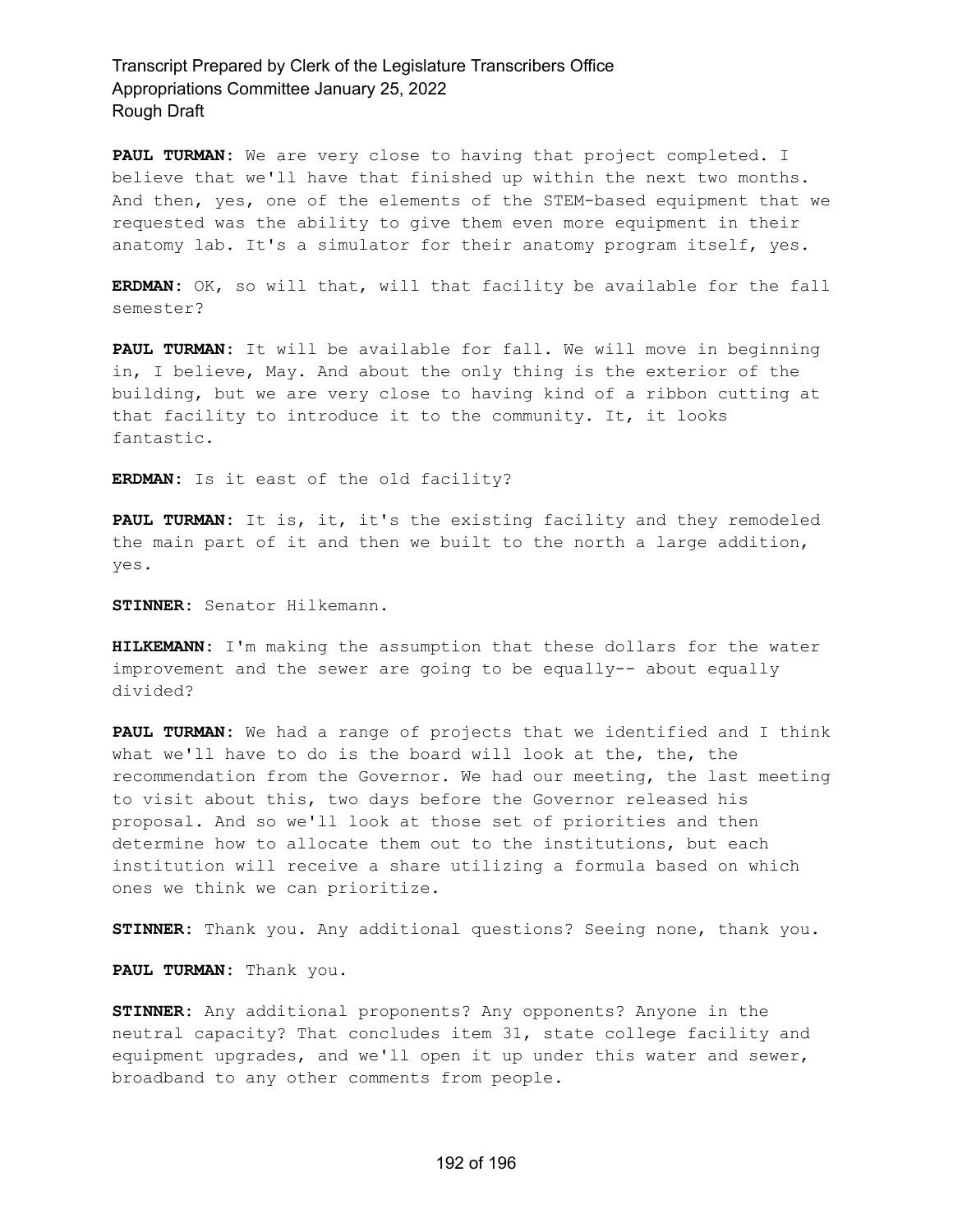**PAUL TURMAN:** We are very close to having that project completed. I believe that we'll have that finished up within the next two months. And then, yes, one of the elements of the STEM-based equipment that we requested was the ability to give them even more equipment in their anatomy lab. It's a simulator for their anatomy program itself, yes.

**ERDMAN:** OK, so will that, will that facility be available for the fall semester?

**PAUL TURMAN:** It will be available for fall. We will move in beginning in, I believe, May. And about the only thing is the exterior of the building, but we are very close to having kind of a ribbon cutting at that facility to introduce it to the community. It, it looks fantastic.

**ERDMAN:** Is it east of the old facility?

**PAUL TURMAN:** It is, it, it's the existing facility and they remodeled the main part of it and then we built to the north a large addition, yes.

**STINNER:** Senator Hilkemann.

**HILKEMANN:** I'm making the assumption that these dollars for the water improvement and the sewer are going to be equally-- about equally divided?

**PAUL TURMAN:** We had a range of projects that we identified and I think what we'll have to do is the board will look at the, the, the recommendation from the Governor. We had our meeting, the last meeting to visit about this, two days before the Governor released his proposal. And so we'll look at those set of priorities and then determine how to allocate them out to the institutions, but each institution will receive a share utilizing a formula based on which ones we think we can prioritize.

**STINNER:** Thank you. Any additional questions? Seeing none, thank you.

**PAUL TURMAN:** Thank you.

**STINNER:** Any additional proponents? Any opponents? Anyone in the neutral capacity? That concludes item 31, state college facility and equipment upgrades, and we'll open it up under this water and sewer, broadband to any other comments from people.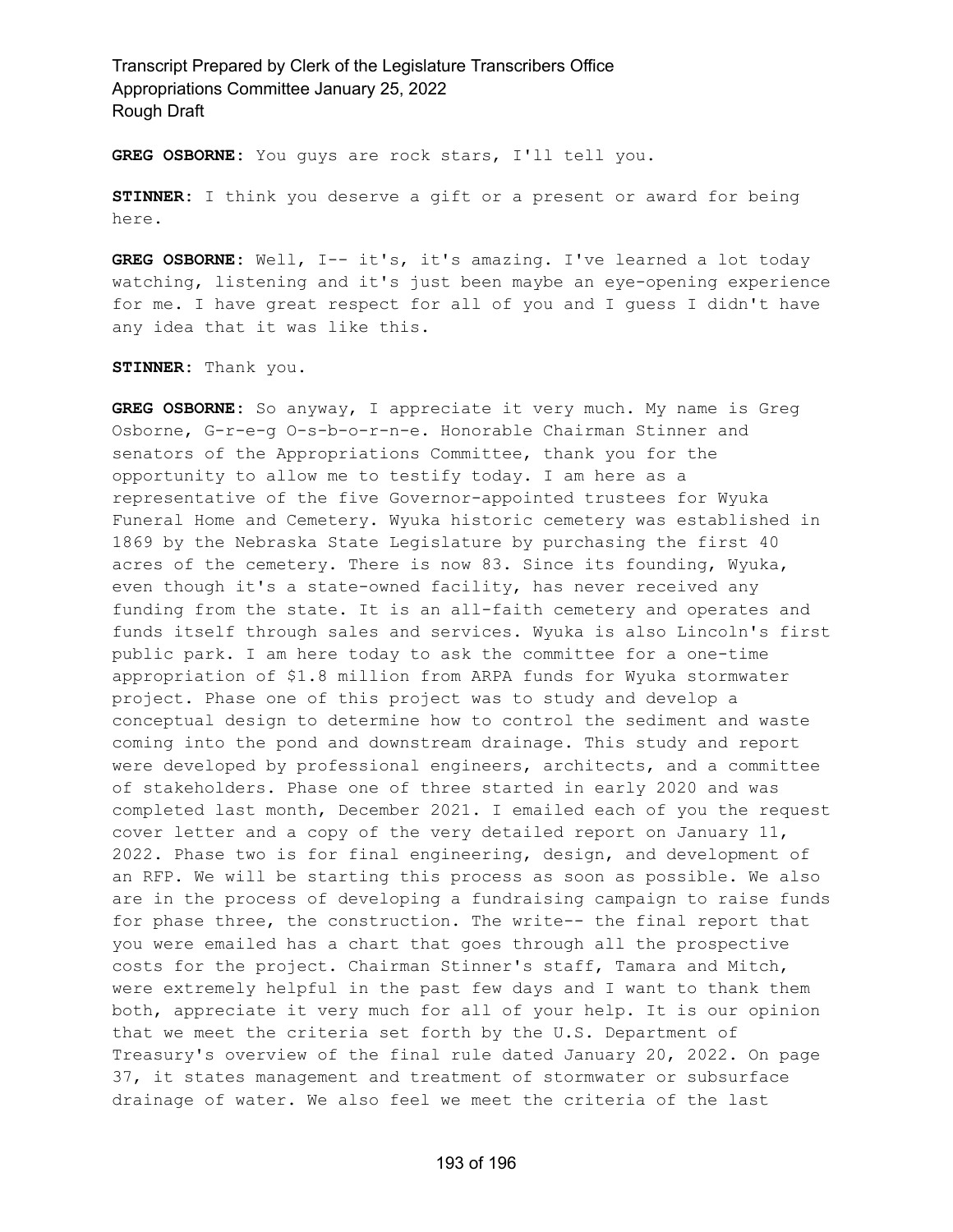**GREG OSBORNE:** You guys are rock stars, I'll tell you.

**STINNER:** I think you deserve a gift or a present or award for being here.

**GREG OSBORNE:** Well, I-- it's, it's amazing. I've learned a lot today watching, listening and it's just been maybe an eye-opening experience for me. I have great respect for all of you and I guess I didn't have any idea that it was like this.

**STINNER:** Thank you.

**GREG OSBORNE:** So anyway, I appreciate it very much. My name is Greg Osborne, G-r-e-g O-s-b-o-r-n-e. Honorable Chairman Stinner and senators of the Appropriations Committee, thank you for the opportunity to allow me to testify today. I am here as a representative of the five Governor-appointed trustees for Wyuka Funeral Home and Cemetery. Wyuka historic cemetery was established in 1869 by the Nebraska State Legislature by purchasing the first 40 acres of the cemetery. There is now 83. Since its founding, Wyuka, even though it's a state-owned facility, has never received any funding from the state. It is an all-faith cemetery and operates and funds itself through sales and services. Wyuka is also Lincoln's first public park. I am here today to ask the committee for a one-time appropriation of \$1.8 million from ARPA funds for Wyuka stormwater project. Phase one of this project was to study and develop a conceptual design to determine how to control the sediment and waste coming into the pond and downstream drainage. This study and report were developed by professional engineers, architects, and a committee of stakeholders. Phase one of three started in early 2020 and was completed last month, December 2021. I emailed each of you the request cover letter and a copy of the very detailed report on January 11, 2022. Phase two is for final engineering, design, and development of an RFP. We will be starting this process as soon as possible. We also are in the process of developing a fundraising campaign to raise funds for phase three, the construction. The write-- the final report that you were emailed has a chart that goes through all the prospective costs for the project. Chairman Stinner's staff, Tamara and Mitch, were extremely helpful in the past few days and I want to thank them both, appreciate it very much for all of your help. It is our opinion that we meet the criteria set forth by the U.S. Department of Treasury's overview of the final rule dated January 20, 2022. On page 37, it states management and treatment of stormwater or subsurface drainage of water. We also feel we meet the criteria of the last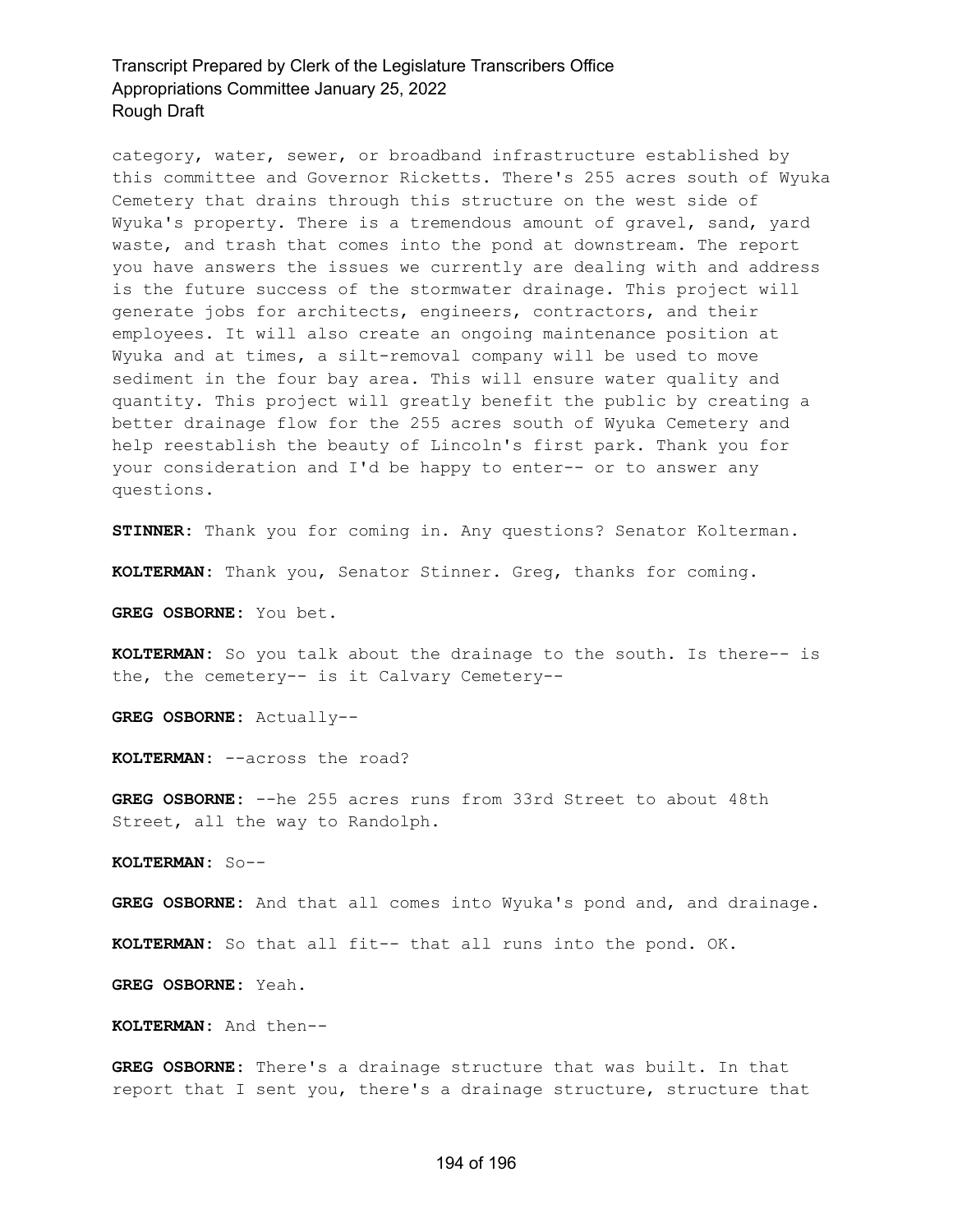category, water, sewer, or broadband infrastructure established by this committee and Governor Ricketts. There's 255 acres south of Wyuka Cemetery that drains through this structure on the west side of Wyuka's property. There is a tremendous amount of gravel, sand, yard waste, and trash that comes into the pond at downstream. The report you have answers the issues we currently are dealing with and address is the future success of the stormwater drainage. This project will generate jobs for architects, engineers, contractors, and their employees. It will also create an ongoing maintenance position at Wyuka and at times, a silt-removal company will be used to move sediment in the four bay area. This will ensure water quality and quantity. This project will greatly benefit the public by creating a better drainage flow for the 255 acres south of Wyuka Cemetery and help reestablish the beauty of Lincoln's first park. Thank you for your consideration and I'd be happy to enter-- or to answer any questions.

**STINNER:** Thank you for coming in. Any questions? Senator Kolterman.

**KOLTERMAN:** Thank you, Senator Stinner. Greg, thanks for coming.

**GREG OSBORNE:** You bet.

**KOLTERMAN:** So you talk about the drainage to the south. Is there-- is the, the cemetery-- is it Calvary Cemetery--

**GREG OSBORNE:** Actually--

**KOLTERMAN:** --across the road?

**GREG OSBORNE:** --he 255 acres runs from 33rd Street to about 48th Street, all the way to Randolph.

**KOLTERMAN:** So--

**GREG OSBORNE:** And that all comes into Wyuka's pond and, and drainage.

**KOLTERMAN:** So that all fit-- that all runs into the pond. OK.

**GREG OSBORNE:** Yeah.

**KOLTERMAN:** And then--

**GREG OSBORNE:** There's a drainage structure that was built. In that report that I sent you, there's a drainage structure, structure that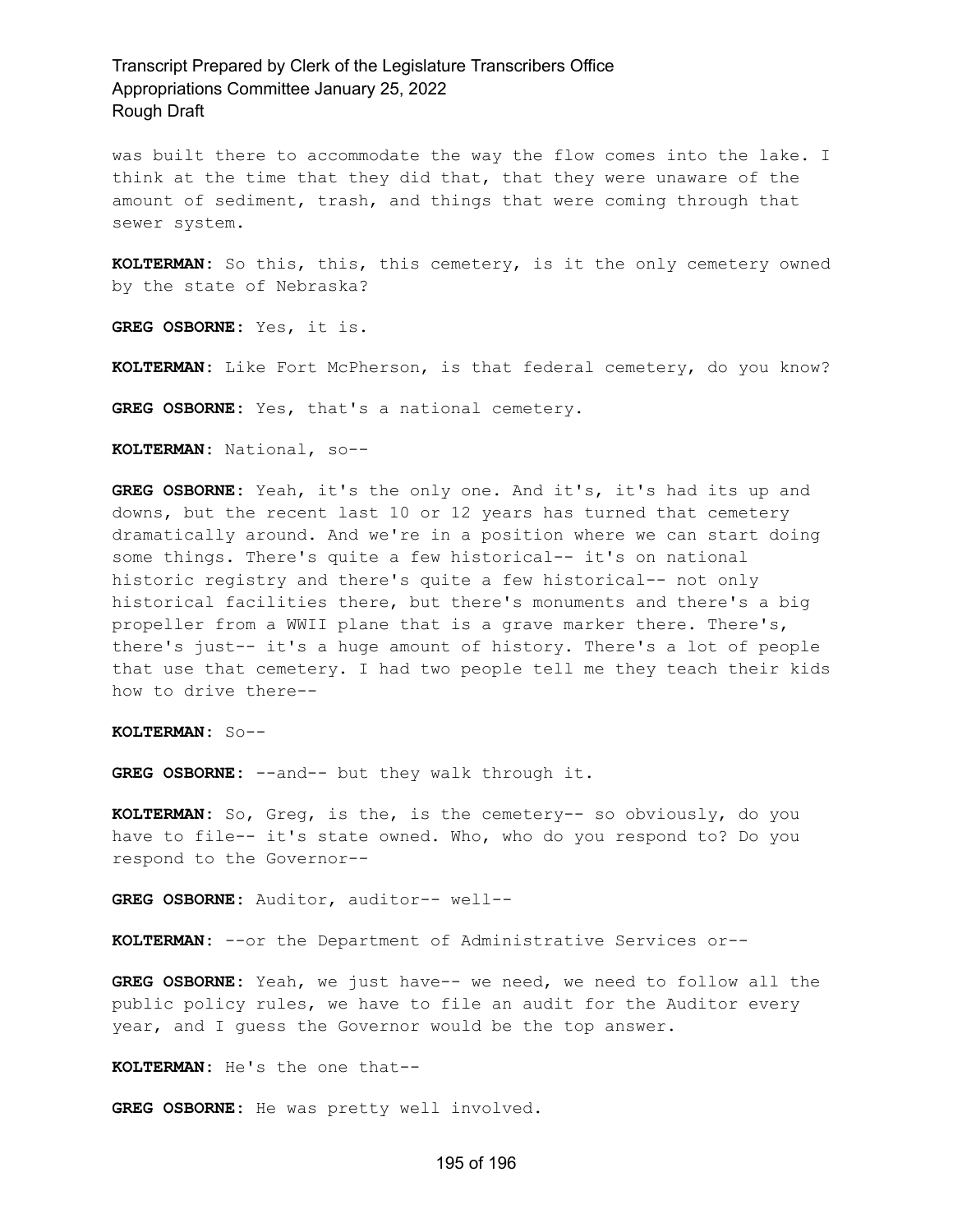was built there to accommodate the way the flow comes into the lake. I think at the time that they did that, that they were unaware of the amount of sediment, trash, and things that were coming through that sewer system.

**KOLTERMAN:** So this, this, this cemetery, is it the only cemetery owned by the state of Nebraska?

**GREG OSBORNE:** Yes, it is.

**KOLTERMAN:** Like Fort McPherson, is that federal cemetery, do you know?

**GREG OSBORNE:** Yes, that's a national cemetery.

**KOLTERMAN:** National, so--

**GREG OSBORNE:** Yeah, it's the only one. And it's, it's had its up and downs, but the recent last 10 or 12 years has turned that cemetery dramatically around. And we're in a position where we can start doing some things. There's quite a few historical-- it's on national historic registry and there's quite a few historical-- not only historical facilities there, but there's monuments and there's a big propeller from a WWII plane that is a grave marker there. There's, there's just-- it's a huge amount of history. There's a lot of people that use that cemetery. I had two people tell me they teach their kids how to drive there--

**KOLTERMAN:** So--

**GREG OSBORNE:** --and-- but they walk through it.

**KOLTERMAN:** So, Greg, is the, is the cemetery-- so obviously, do you have to file-- it's state owned. Who, who do you respond to? Do you respond to the Governor--

**GREG OSBORNE:** Auditor, auditor-- well--

**KOLTERMAN:** --or the Department of Administrative Services or--

**GREG OSBORNE:** Yeah, we just have-- we need, we need to follow all the public policy rules, we have to file an audit for the Auditor every year, and I guess the Governor would be the top answer.

**KOLTERMAN:** He's the one that--

**GREG OSBORNE:** He was pretty well involved.